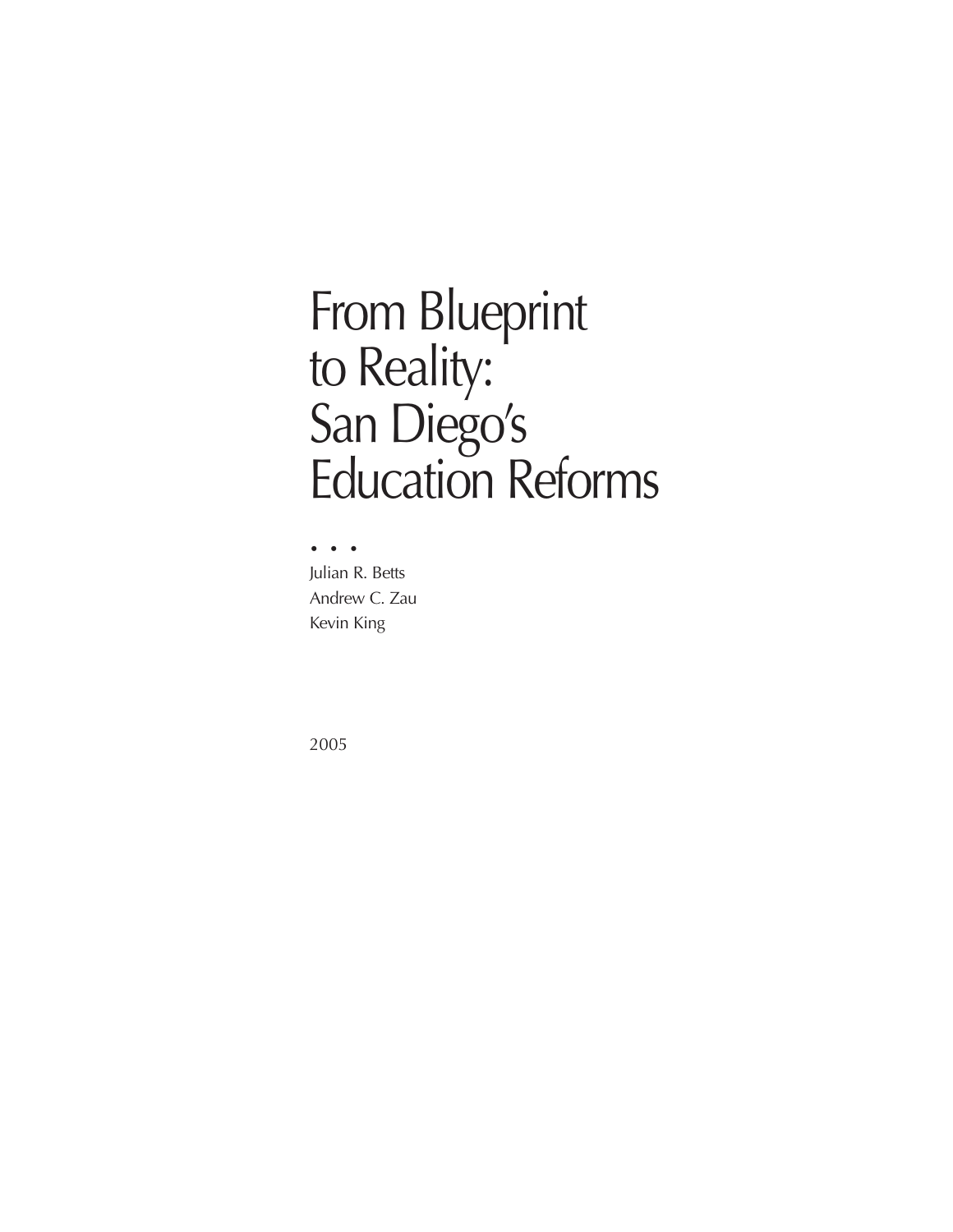# From Blueprint to Reality: San Diego's Education Reforms

••• Julian R. Betts Andrew C. Zau Kevin King

2005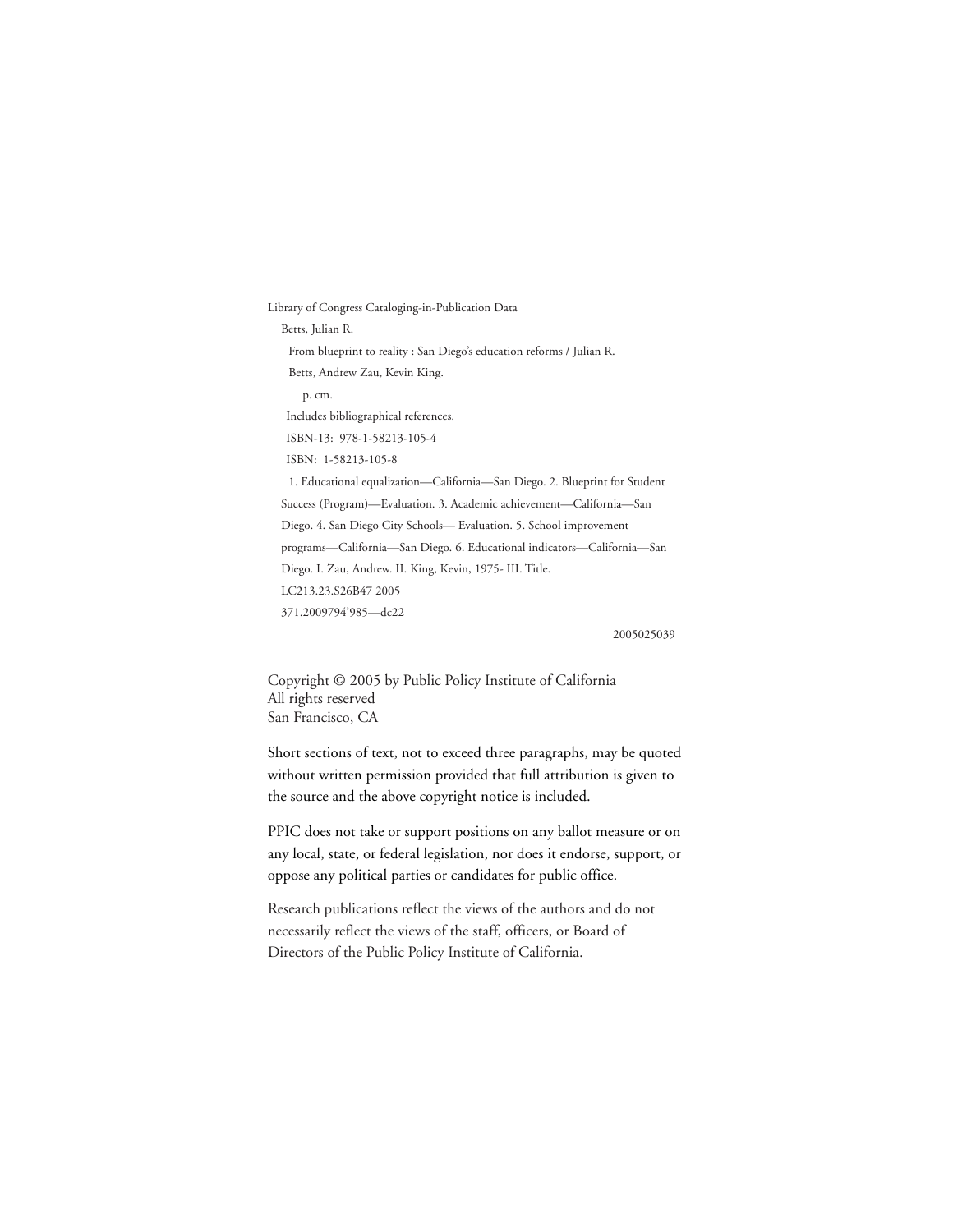Library of Congress Cataloging-in-Publication Data Betts, Julian R. From blueprint to reality : San Diego's education reforms / Julian R. Betts, Andrew Zau, Kevin King. p. cm. Includes bibliographical references. ISBN-13: 978-1-58213-105-4 ISBN: 1-58213-105-8 1. Educational equalization—California—San Diego. 2. Blueprint for Student Success (Program)—Evaluation. 3. Academic achievement—California—San Diego. 4. San Diego City Schools— Evaluation. 5. School improvement programs—California—San Diego. 6. Educational indicators—California—San Diego. I. Zau, Andrew. II. King, Kevin, 1975- III. Title. LC213.23.S26B47 2005 371.2009794'985—dc22

2005025039

Copyright © 2005 by Public Policy Institute of California All rights reserved San Francisco, CA

Short sections of text, not to exceed three paragraphs, may be quoted without written permission provided that full attribution is given to the source and the above copyright notice is included.

PPIC does not take or support positions on any ballot measure or on any local, state, or federal legislation, nor does it endorse, support, or oppose any political parties or candidates for public office.

Research publications reflect the views of the authors and do not necessarily reflect the views of the staff, officers, or Board of Directors of the Public Policy Institute of California.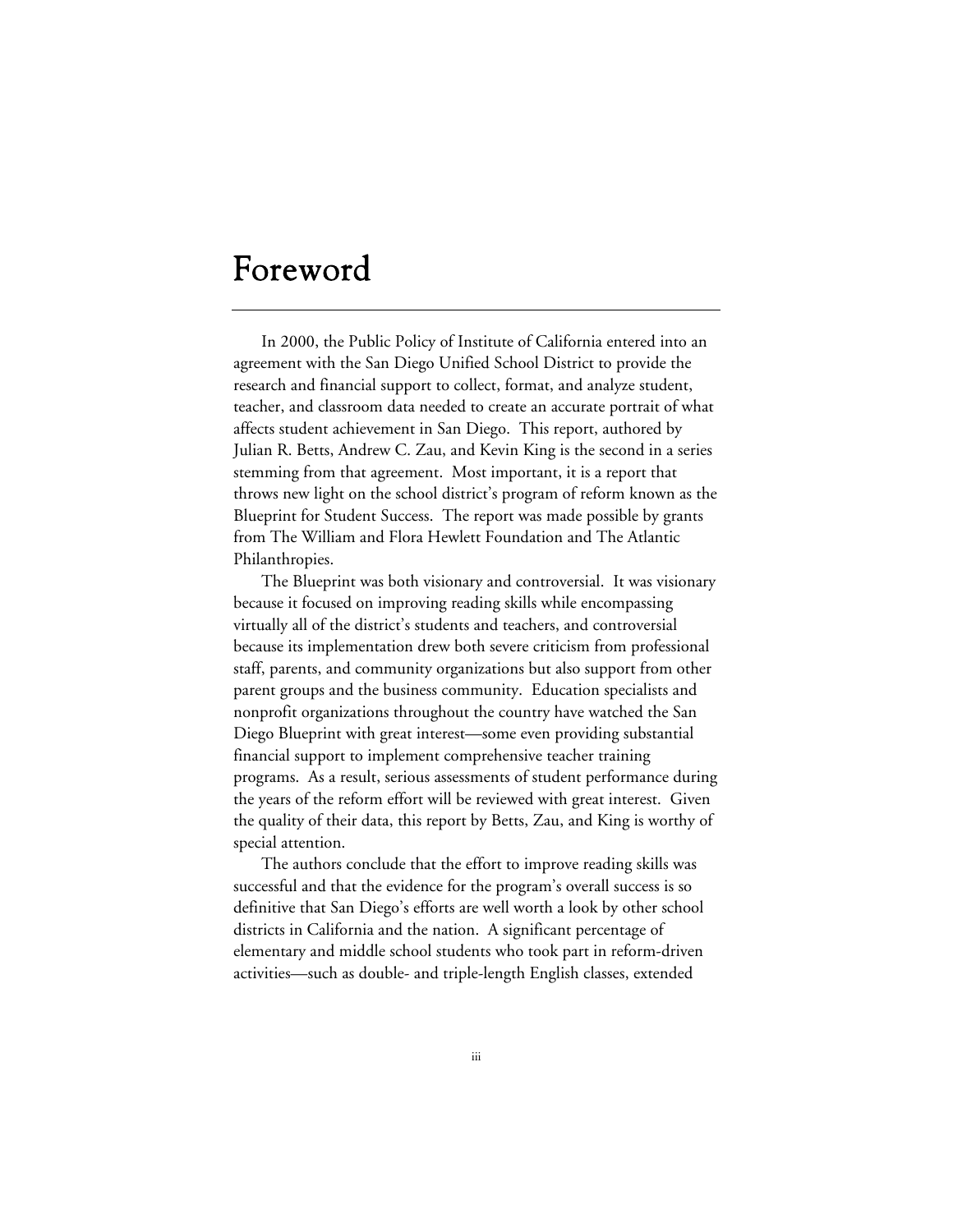# Foreword

In 2000, the Public Policy of Institute of California entered into an agreement with the San Diego Unified School District to provide the research and financial support to collect, format, and analyze student, teacher, and classroom data needed to create an accurate portrait of what affects student achievement in San Diego. This report, authored by Julian R. Betts, Andrew C. Zau, and Kevin King is the second in a series stemming from that agreement. Most important, it is a report that throws new light on the school district's program of reform known as the Blueprint for Student Success. The report was made possible by grants from The William and Flora Hewlett Foundation and The Atlantic Philanthropies.

The Blueprint was both visionary and controversial. It was visionary because it focused on improving reading skills while encompassing virtually all of the district's students and teachers, and controversial because its implementation drew both severe criticism from professional staff, parents, and community organizations but also support from other parent groups and the business community. Education specialists and nonprofit organizations throughout the country have watched the San Diego Blueprint with great interest—some even providing substantial financial support to implement comprehensive teacher training programs. As a result, serious assessments of student performance during the years of the reform effort will be reviewed with great interest. Given the quality of their data, this report by Betts, Zau, and King is worthy of special attention.

The authors conclude that the effort to improve reading skills was successful and that the evidence for the program's overall success is so definitive that San Diego's efforts are well worth a look by other school districts in California and the nation. A significant percentage of elementary and middle school students who took part in reform-driven activities—such as double- and triple-length English classes, extended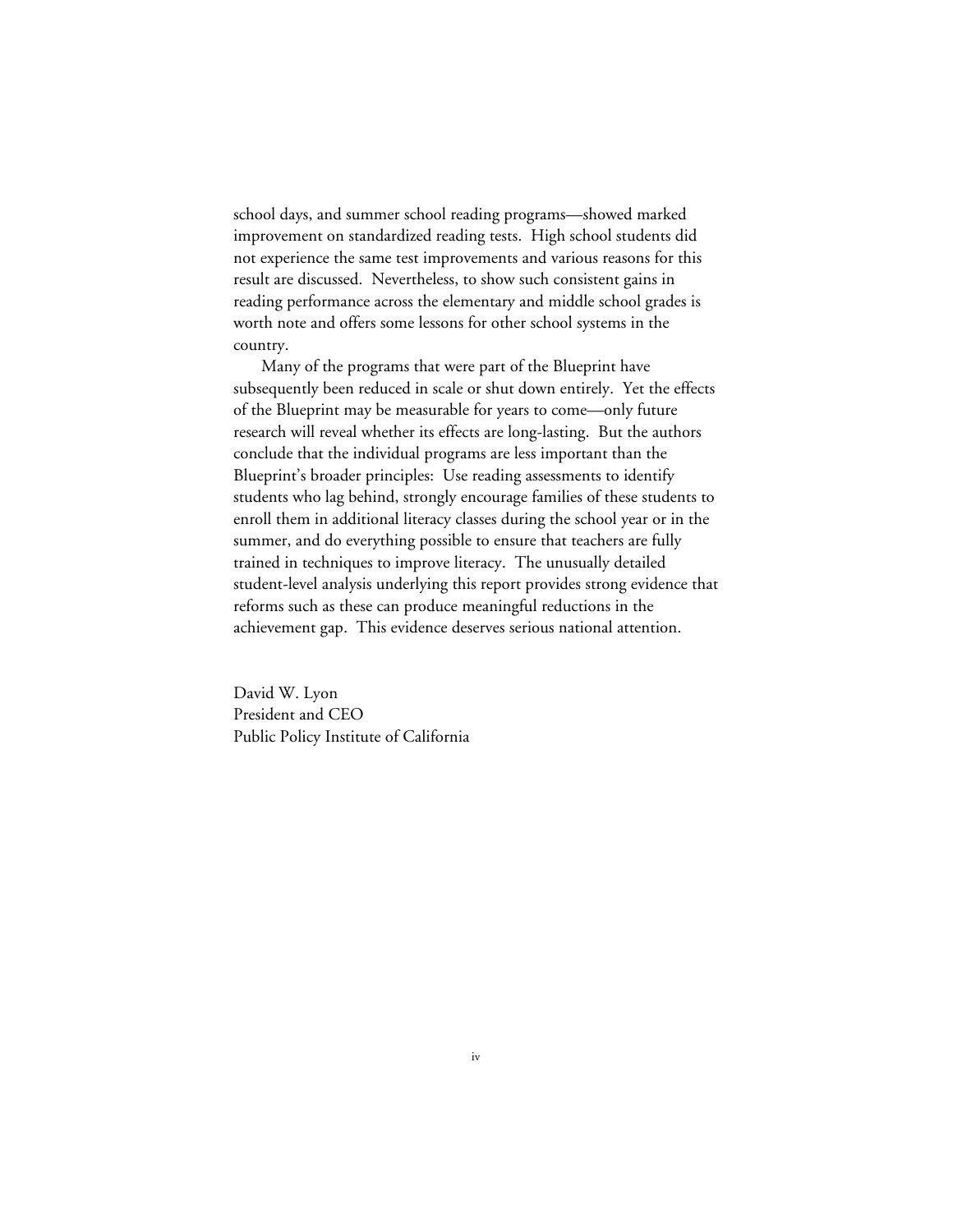school days, and summer school reading programs—showed marked improvement on standardized reading tests. High school students did not experience the same test improvements and various reasons for this result are discussed. Nevertheless, to show such consistent gains in reading performance across the elementary and middle school grades is worth note and offers some lessons for other school systems in the country.

Many of the programs that were part of the Blueprint have subsequently been reduced in scale or shut down entirely. Yet the effects of the Blueprint may be measurable for years to come—only future research will reveal whether its effects are long-lasting. But the authors conclude that the individual programs are less important than the Blueprint's broader principles: Use reading assessments to identify students who lag behind, strongly encourage families of these students to enroll them in additional literacy classes during the school year or in the summer, and do everything possible to ensure that teachers are fully trained in techniques to improve literacy. The unusually detailed student-level analysis underlying this report provides strong evidence that reforms such as these can produce meaningful reductions in the achievement gap. This evidence deserves serious national attention.

David W. Lyon President and CEO Public Policy Institute of California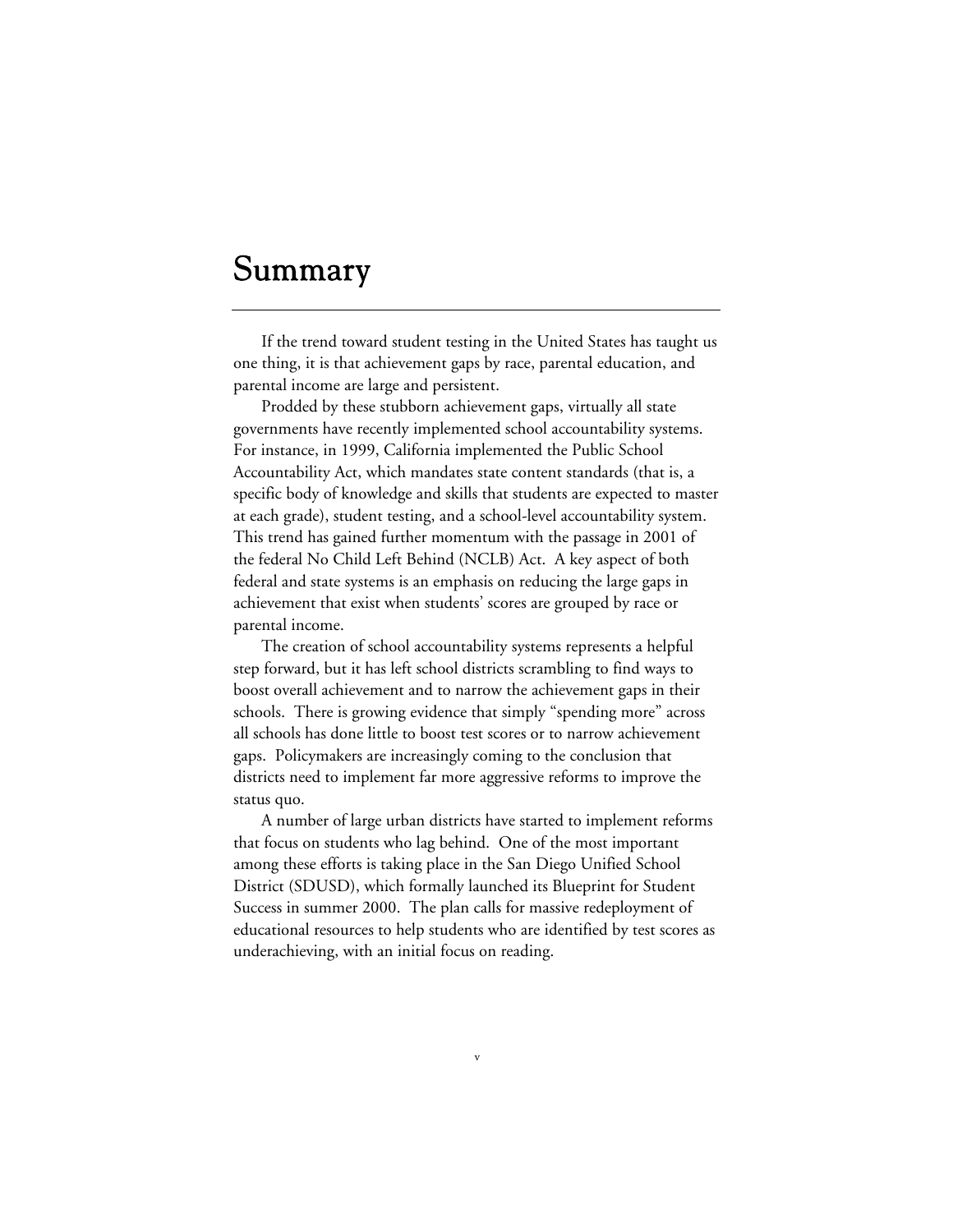# Summary

If the trend toward student testing in the United States has taught us one thing, it is that achievement gaps by race, parental education, and parental income are large and persistent.

Prodded by these stubborn achievement gaps, virtually all state governments have recently implemented school accountability systems. For instance, in 1999, California implemented the Public School Accountability Act, which mandates state content standards (that is, a specific body of knowledge and skills that students are expected to master at each grade), student testing, and a school-level accountability system. This trend has gained further momentum with the passage in 2001 of the federal No Child Left Behind (NCLB) Act. A key aspect of both federal and state systems is an emphasis on reducing the large gaps in achievement that exist when students' scores are grouped by race or parental income.

The creation of school accountability systems represents a helpful step forward, but it has left school districts scrambling to find ways to boost overall achievement and to narrow the achievement gaps in their schools. There is growing evidence that simply "spending more" across all schools has done little to boost test scores or to narrow achievement gaps. Policymakers are increasingly coming to the conclusion that districts need to implement far more aggressive reforms to improve the status quo.

A number of large urban districts have started to implement reforms that focus on students who lag behind. One of the most important among these efforts is taking place in the San Diego Unified School District (SDUSD), which formally launched its Blueprint for Student Success in summer 2000. The plan calls for massive redeployment of educational resources to help students who are identified by test scores as underachieving, with an initial focus on reading.

v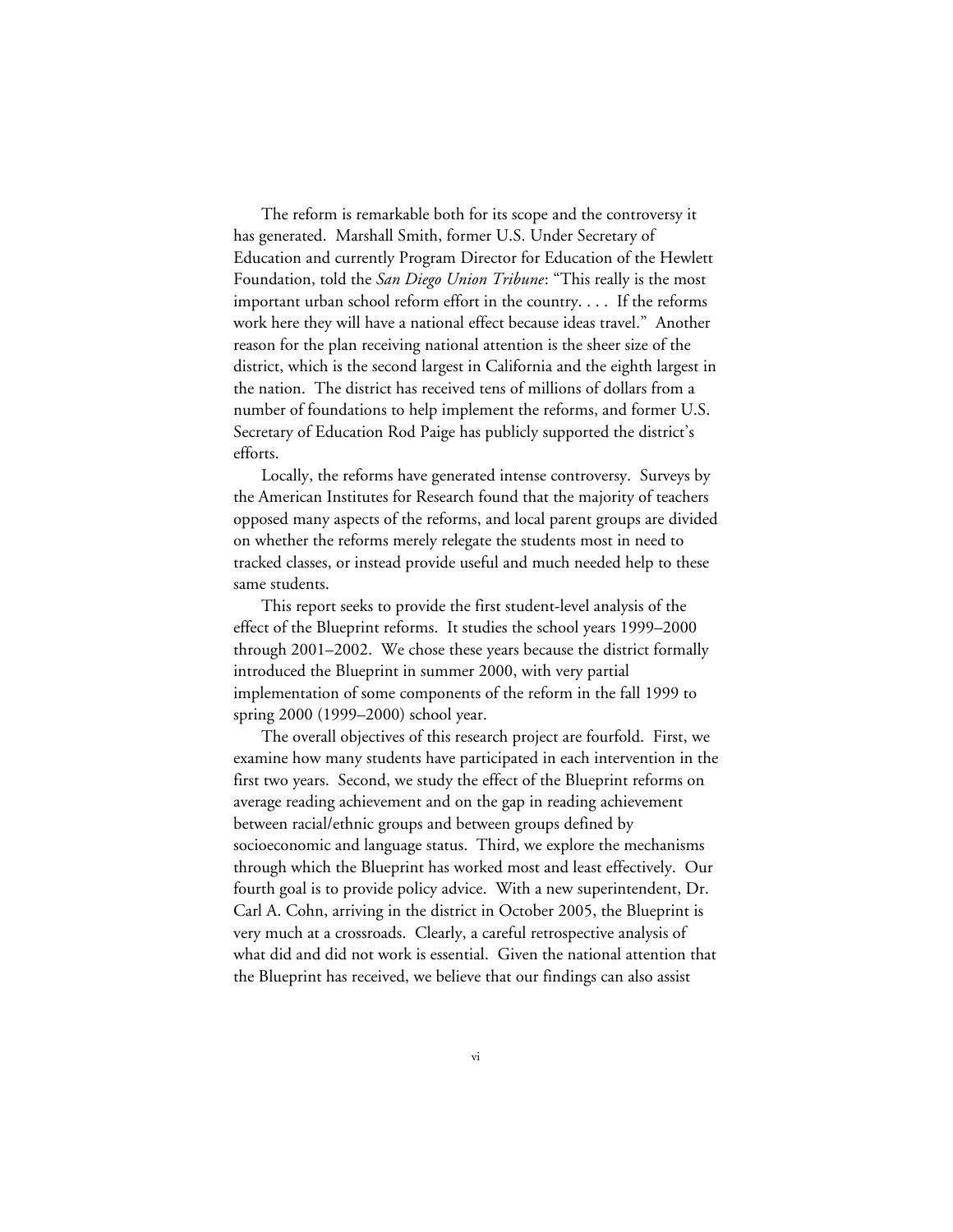The reform is remarkable both for its scope and the controversy it has generated. Marshall Smith, former U.S. Under Secretary of Education and currently Program Director for Education of the Hewlett Foundation, told the *San Diego Union Tribune*: "This really is the most important urban school reform effort in the country. . . . If the reforms work here they will have a national effect because ideas travel." Another reason for the plan receiving national attention is the sheer size of the district, which is the second largest in California and the eighth largest in the nation. The district has received tens of millions of dollars from a number of foundations to help implement the reforms, and former U.S. Secretary of Education Rod Paige has publicly supported the district's efforts.

Locally, the reforms have generated intense controversy. Surveys by the American Institutes for Research found that the majority of teachers opposed many aspects of the reforms, and local parent groups are divided on whether the reforms merely relegate the students most in need to tracked classes, or instead provide useful and much needed help to these same students.

This report seeks to provide the first student-level analysis of the effect of the Blueprint reforms. It studies the school years 1999–2000 through 2001–2002. We chose these years because the district formally introduced the Blueprint in summer 2000, with very partial implementation of some components of the reform in the fall 1999 to spring 2000 (1999–2000) school year.

The overall objectives of this research project are fourfold. First, we examine how many students have participated in each intervention in the first two years. Second, we study the effect of the Blueprint reforms on average reading achievement and on the gap in reading achievement between racial/ethnic groups and between groups defined by socioeconomic and language status. Third, we explore the mechanisms through which the Blueprint has worked most and least effectively. Our fourth goal is to provide policy advice. With a new superintendent, Dr. Carl A. Cohn, arriving in the district in October 2005, the Blueprint is very much at a crossroads. Clearly, a careful retrospective analysis of what did and did not work is essential. Given the national attention that the Blueprint has received, we believe that our findings can also assist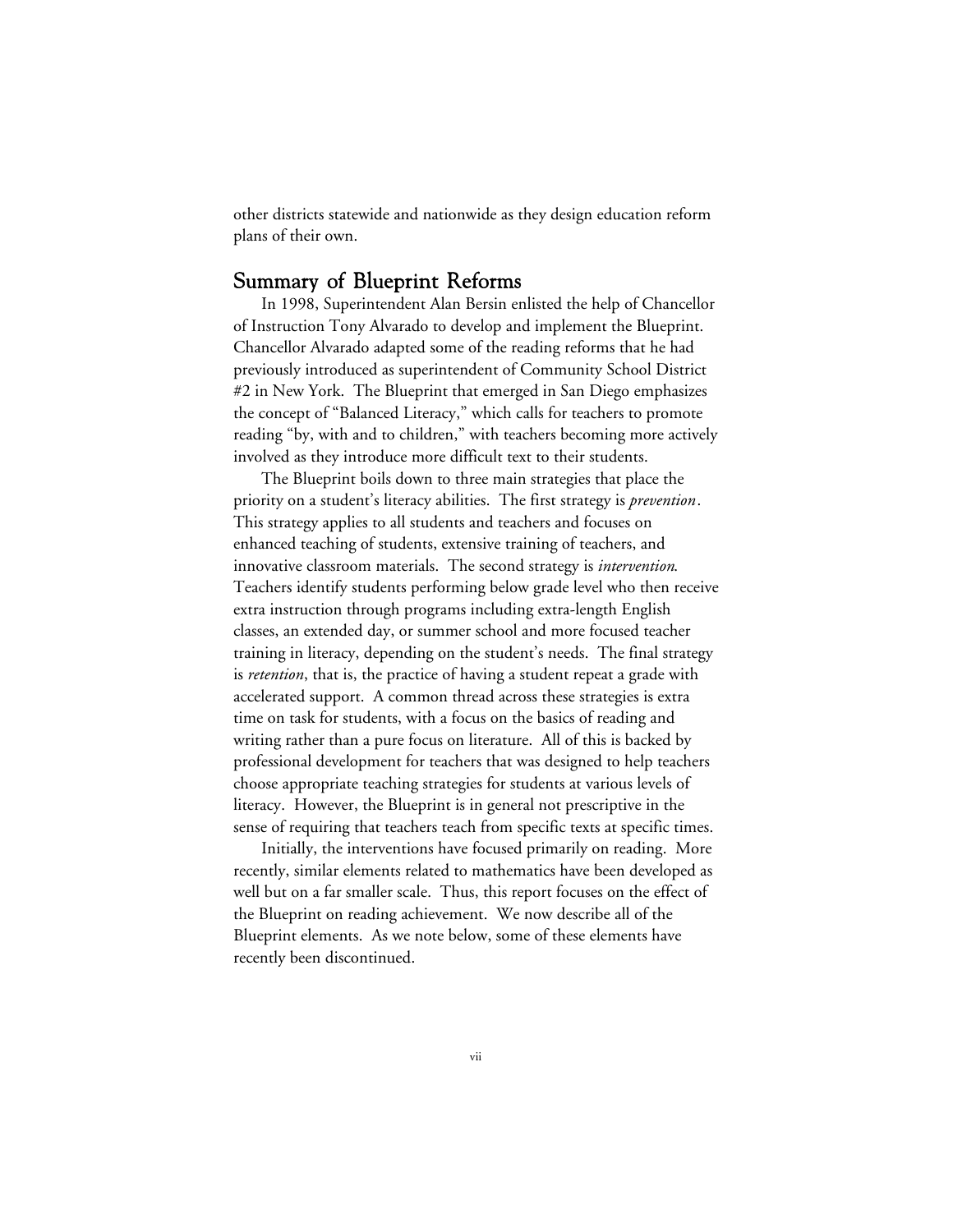other districts statewide and nationwide as they design education reform plans of their own.

#### Summary of Blueprint Reforms

In 1998, Superintendent Alan Bersin enlisted the help of Chancellor of Instruction Tony Alvarado to develop and implement the Blueprint. Chancellor Alvarado adapted some of the reading reforms that he had previously introduced as superintendent of Community School District #2 in New York. The Blueprint that emerged in San Diego emphasizes the concept of "Balanced Literacy," which calls for teachers to promote reading "by, with and to children," with teachers becoming more actively involved as they introduce more difficult text to their students.

The Blueprint boils down to three main strategies that place the priority on a student's literacy abilities. The first strategy is *prevention*. This strategy applies to all students and teachers and focuses on enhanced teaching of students, extensive training of teachers, and innovative classroom materials. The second strategy is *intervention*. Teachers identify students performing below grade level who then receive extra instruction through programs including extra-length English classes, an extended day, or summer school and more focused teacher training in literacy, depending on the student's needs. The final strategy is *retention*, that is, the practice of having a student repeat a grade with accelerated support. A common thread across these strategies is extra time on task for students, with a focus on the basics of reading and writing rather than a pure focus on literature. All of this is backed by professional development for teachers that was designed to help teachers choose appropriate teaching strategies for students at various levels of literacy. However, the Blueprint is in general not prescriptive in the sense of requiring that teachers teach from specific texts at specific times.

Initially, the interventions have focused primarily on reading. More recently, similar elements related to mathematics have been developed as well but on a far smaller scale. Thus, this report focuses on the effect of the Blueprint on reading achievement. We now describe all of the Blueprint elements. As we note below, some of these elements have recently been discontinued.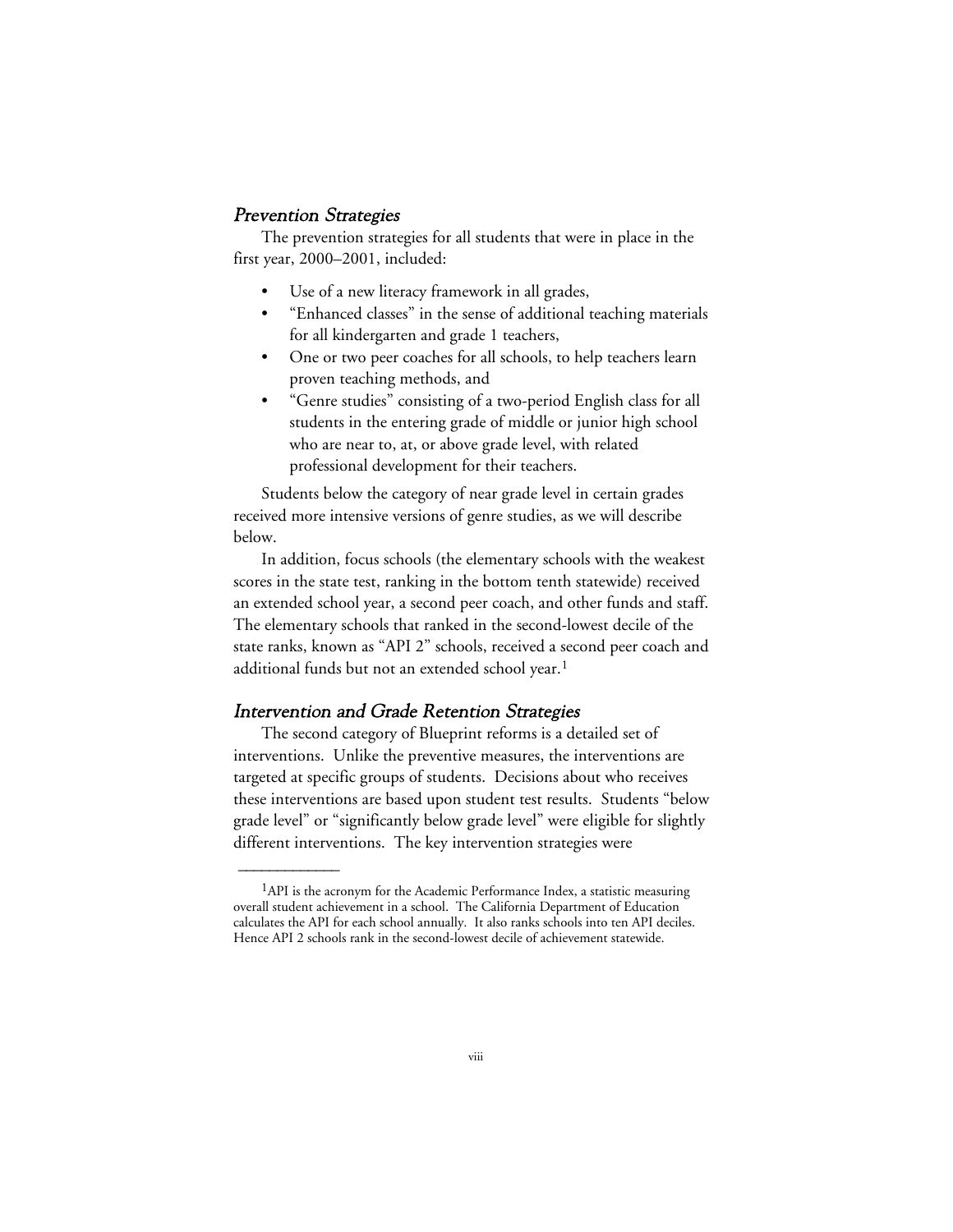#### Prevention Strategies

The prevention strategies for all students that were in place in the first year, 2000–2001, included:

- Use of a new literacy framework in all grades,
- "Enhanced classes" in the sense of additional teaching materials for all kindergarten and grade 1 teachers,
- One or two peer coaches for all schools, to help teachers learn proven teaching methods, and
- "Genre studies" consisting of a two-period English class for all students in the entering grade of middle or junior high school who are near to, at, or above grade level, with related professional development for their teachers.

Students below the category of near grade level in certain grades received more intensive versions of genre studies, as we will describe below.

In addition, focus schools (the elementary schools with the weakest scores in the state test, ranking in the bottom tenth statewide) received an extended school year, a second peer coach, and other funds and staff. The elementary schools that ranked in the second-lowest decile of the state ranks, known as "API 2" schools, received a second peer coach and additional funds but not an extended school year.<sup>1</sup>

#### Intervention and Grade Retention Strategies

 $\overline{\phantom{a}}$ 

The second category of Blueprint reforms is a detailed set of interventions. Unlike the preventive measures, the interventions are targeted at specific groups of students. Decisions about who receives these interventions are based upon student test results. Students "below grade level" or "significantly below grade level" were eligible for slightly different interventions. The key intervention strategies were

 $<sup>1</sup>$ API is the acronym for the Academic Performance Index, a statistic measuring</sup> overall student achievement in a school. The California Department of Education calculates the API for each school annually. It also ranks schools into ten API deciles. Hence API 2 schools rank in the second-lowest decile of achievement statewide.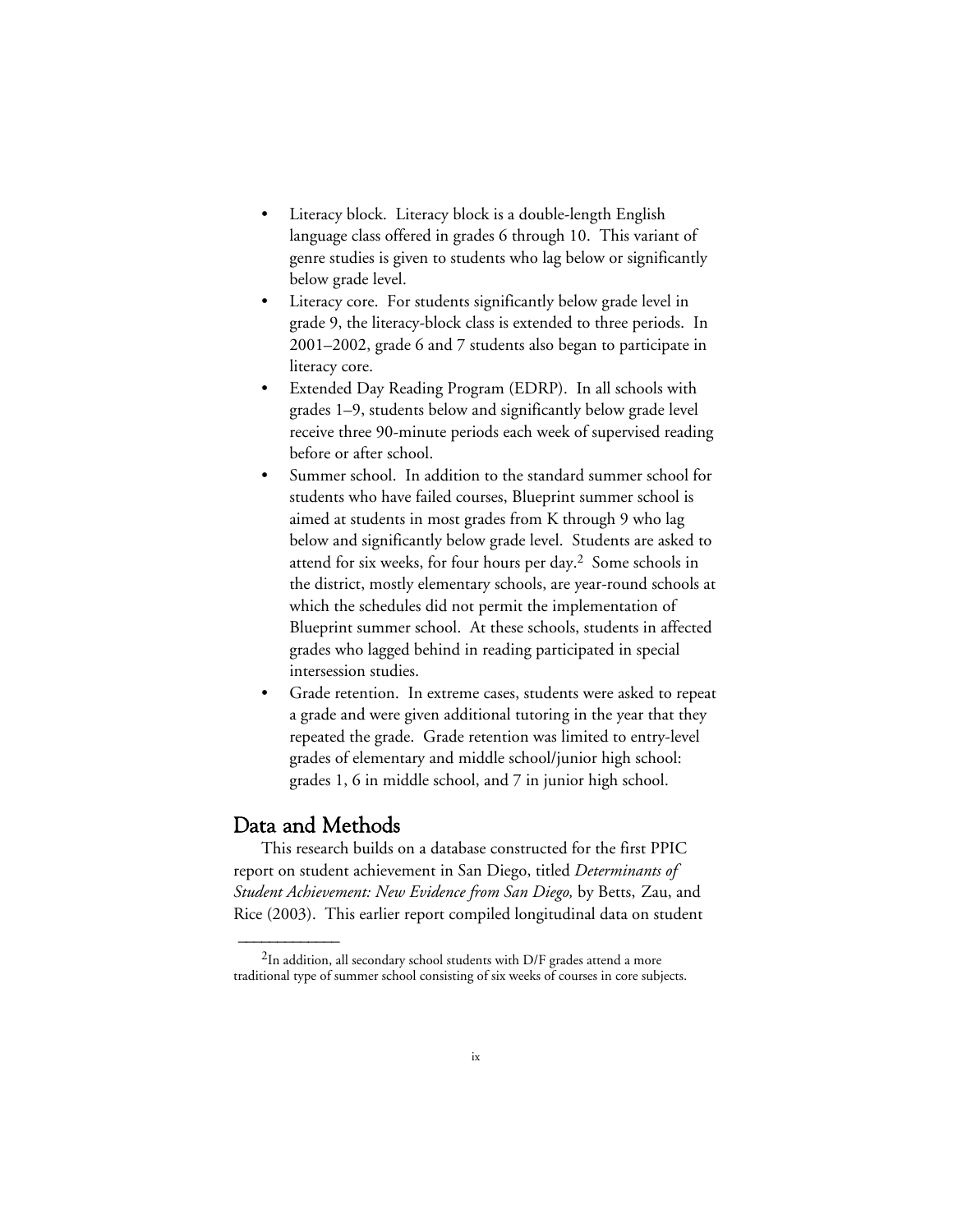- Literacy block. Literacy block is a double-length English language class offered in grades 6 through 10. This variant of genre studies is given to students who lag below or significantly below grade level.
- Literacy core. For students significantly below grade level in grade 9, the literacy-block class is extended to three periods. In 2001–2002, grade 6 and 7 students also began to participate in literacy core.
- Extended Day Reading Program (EDRP). In all schools with grades 1–9, students below and significantly below grade level receive three 90-minute periods each week of supervised reading before or after school.
- Summer school. In addition to the standard summer school for students who have failed courses, Blueprint summer school is aimed at students in most grades from K through 9 who lag below and significantly below grade level. Students are asked to attend for six weeks, for four hours per day.2 Some schools in the district, mostly elementary schools, are year-round schools at which the schedules did not permit the implementation of Blueprint summer school. At these schools, students in affected grades who lagged behind in reading participated in special intersession studies.
- Grade retention. In extreme cases, students were asked to repeat a grade and were given additional tutoring in the year that they repeated the grade. Grade retention was limited to entry-level grades of elementary and middle school/junior high school: grades 1, 6 in middle school, and 7 in junior high school.

#### Data and Methods

 $\overline{\phantom{a}}$ 

This research builds on a database constructed for the first PPIC report on student achievement in San Diego, titled *Determinants of Student Achievement: New Evidence from San Diego,* by Betts, Zau, and Rice (2003). This earlier report compiled longitudinal data on student

 $2$ In addition, all secondary school students with D/F grades attend a more traditional type of summer school consisting of six weeks of courses in core subjects.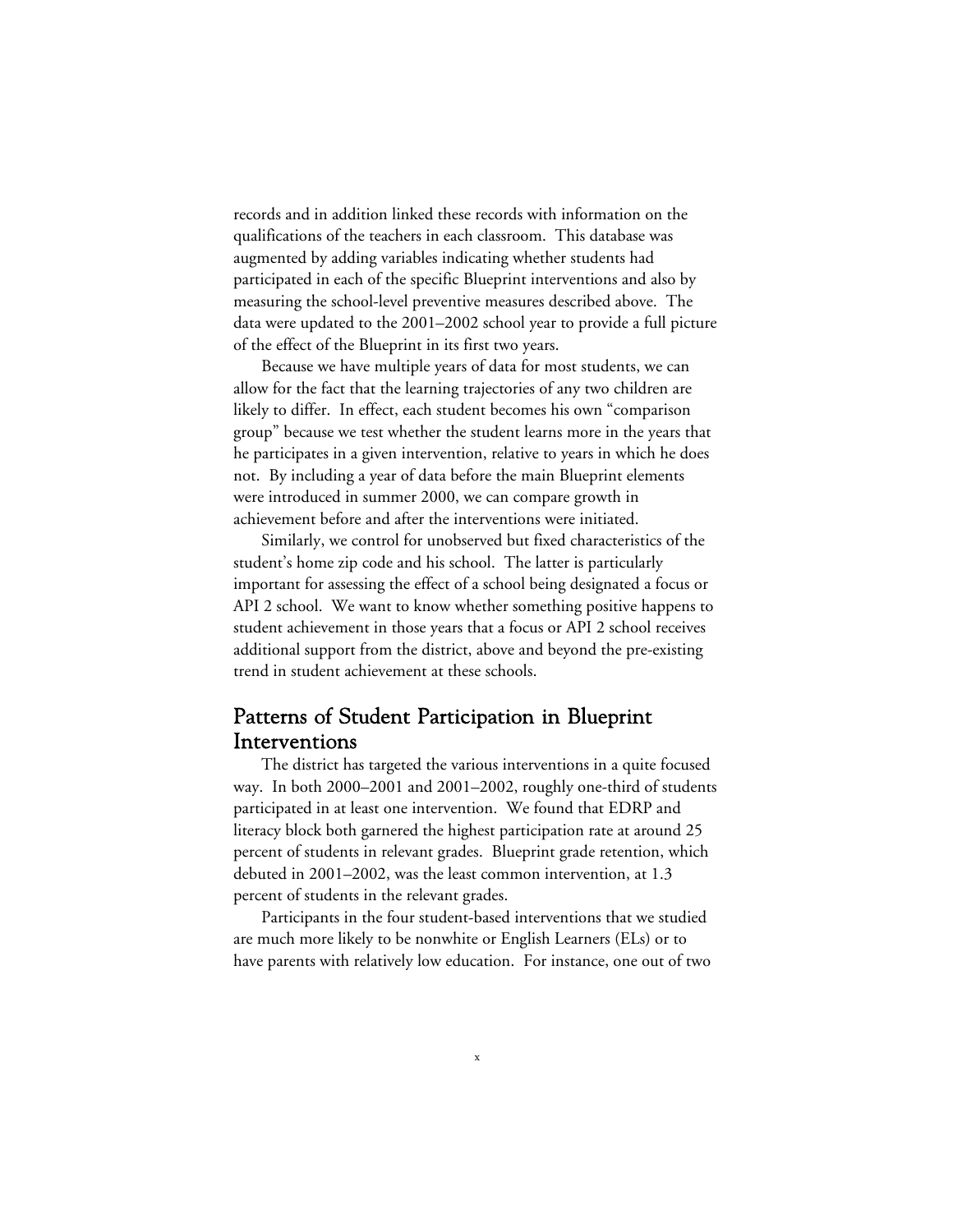records and in addition linked these records with information on the qualifications of the teachers in each classroom. This database was augmented by adding variables indicating whether students had participated in each of the specific Blueprint interventions and also by measuring the school-level preventive measures described above. The data were updated to the 2001–2002 school year to provide a full picture of the effect of the Blueprint in its first two years.

Because we have multiple years of data for most students, we can allow for the fact that the learning trajectories of any two children are likely to differ. In effect, each student becomes his own "comparison group" because we test whether the student learns more in the years that he participates in a given intervention, relative to years in which he does not. By including a year of data before the main Blueprint elements were introduced in summer 2000, we can compare growth in achievement before and after the interventions were initiated.

Similarly, we control for unobserved but fixed characteristics of the student's home zip code and his school. The latter is particularly important for assessing the effect of a school being designated a focus or API 2 school. We want to know whether something positive happens to student achievement in those years that a focus or API 2 school receives additional support from the district, above and beyond the pre-existing trend in student achievement at these schools.

### Patterns of Student Participation in Blueprint Interventions

The district has targeted the various interventions in a quite focused way. In both 2000–2001 and 2001–2002, roughly one-third of students participated in at least one intervention. We found that EDRP and literacy block both garnered the highest participation rate at around 25 percent of students in relevant grades. Blueprint grade retention, which debuted in 2001–2002, was the least common intervention, at 1.3 percent of students in the relevant grades.

Participants in the four student-based interventions that we studied are much more likely to be nonwhite or English Learners (ELs) or to have parents with relatively low education. For instance, one out of two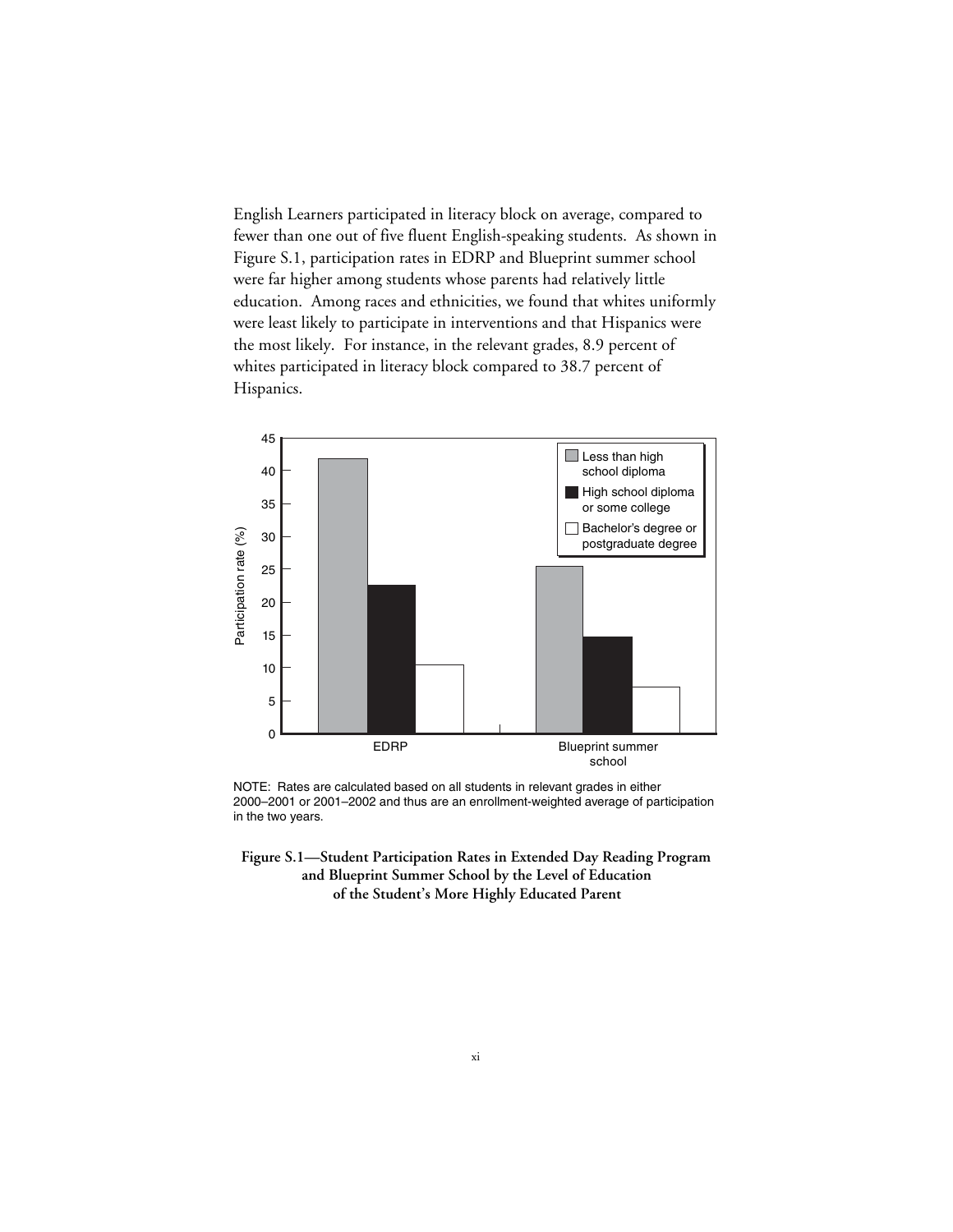English Learners participated in literacy block on average, compared to fewer than one out of five fluent English-speaking students. As shown in Figure S.1, participation rates in EDRP and Blueprint summer school were far higher among students whose parents had relatively little education. Among races and ethnicities, we found that whites uniformly were least likely to participate in interventions and that Hispanics were the most likely. For instance, in the relevant grades, 8.9 percent of whites participated in literacy block compared to 38.7 percent of Hispanics.



NOTE: Rates are calculated based on all students in relevant grades in either 2000–2001 or 2001–2002 and thus are an enrollment-weighted average of participation in the two years.

**Figure S.1—Student Participation Rates in Extended Day Reading Program and Blueprint Summer School by the Level of Education of the Student's More Highly Educated Parent**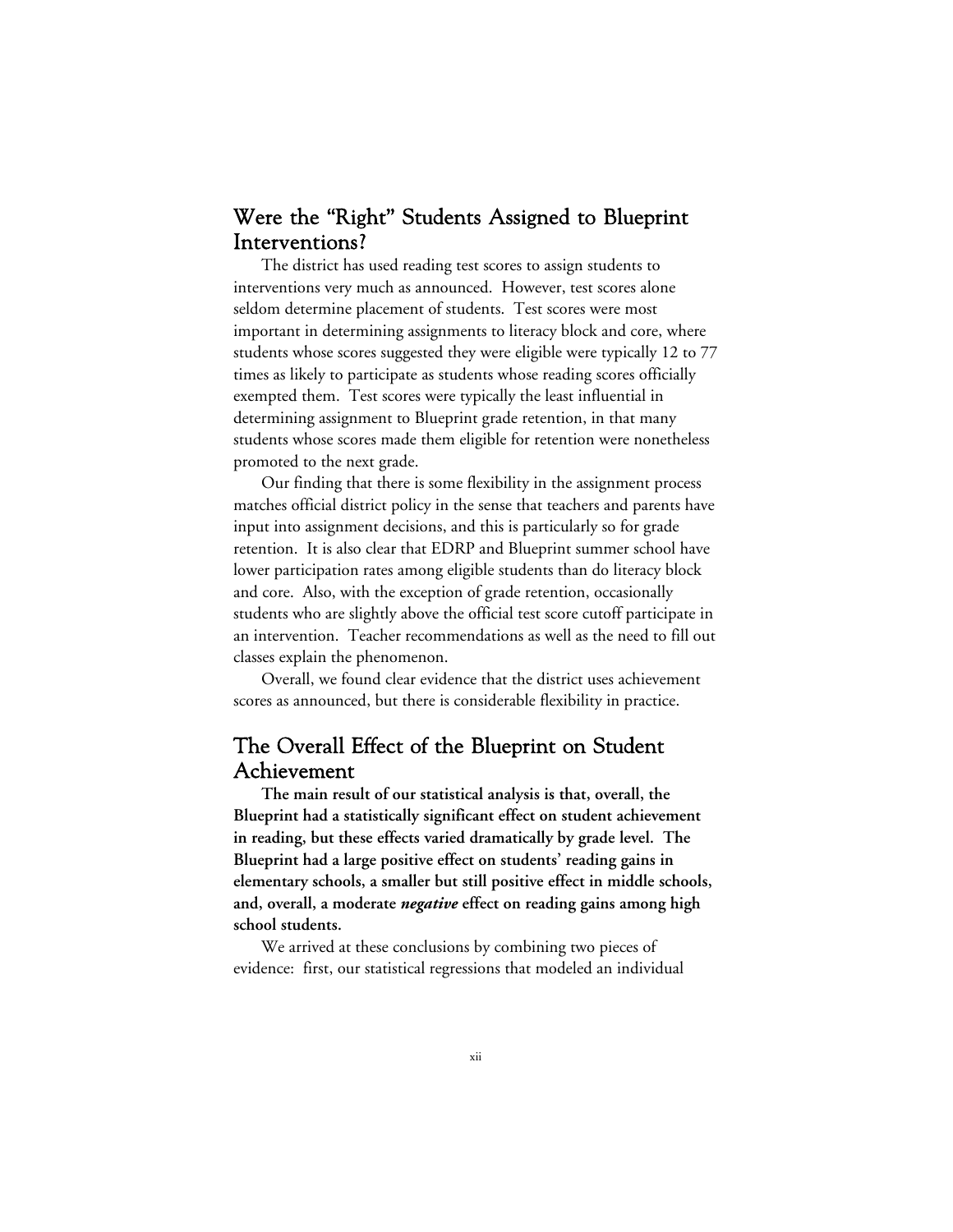## Were the "Right" Students Assigned to Blueprint Interventions?

The district has used reading test scores to assign students to interventions very much as announced. However, test scores alone seldom determine placement of students. Test scores were most important in determining assignments to literacy block and core, where students whose scores suggested they were eligible were typically 12 to 77 times as likely to participate as students whose reading scores officially exempted them. Test scores were typically the least influential in determining assignment to Blueprint grade retention, in that many students whose scores made them eligible for retention were nonetheless promoted to the next grade.

Our finding that there is some flexibility in the assignment process matches official district policy in the sense that teachers and parents have input into assignment decisions, and this is particularly so for grade retention. It is also clear that EDRP and Blueprint summer school have lower participation rates among eligible students than do literacy block and core. Also, with the exception of grade retention, occasionally students who are slightly above the official test score cutoff participate in an intervention. Teacher recommendations as well as the need to fill out classes explain the phenomenon.

Overall, we found clear evidence that the district uses achievement scores as announced, but there is considerable flexibility in practice.

### The Overall Effect of the Blueprint on Student Achievement

**The main result of our statistical analysis is that, overall, the Blueprint had a statistically significant effect on student achievement in reading, but these effects varied dramatically by grade level. The Blueprint had a large positive effect on students' reading gains in elementary schools, a smaller but still positive effect in middle schools, and, overall, a moderate** *negative* **effect on reading gains among high school students.**

We arrived at these conclusions by combining two pieces of evidence: first, our statistical regressions that modeled an individual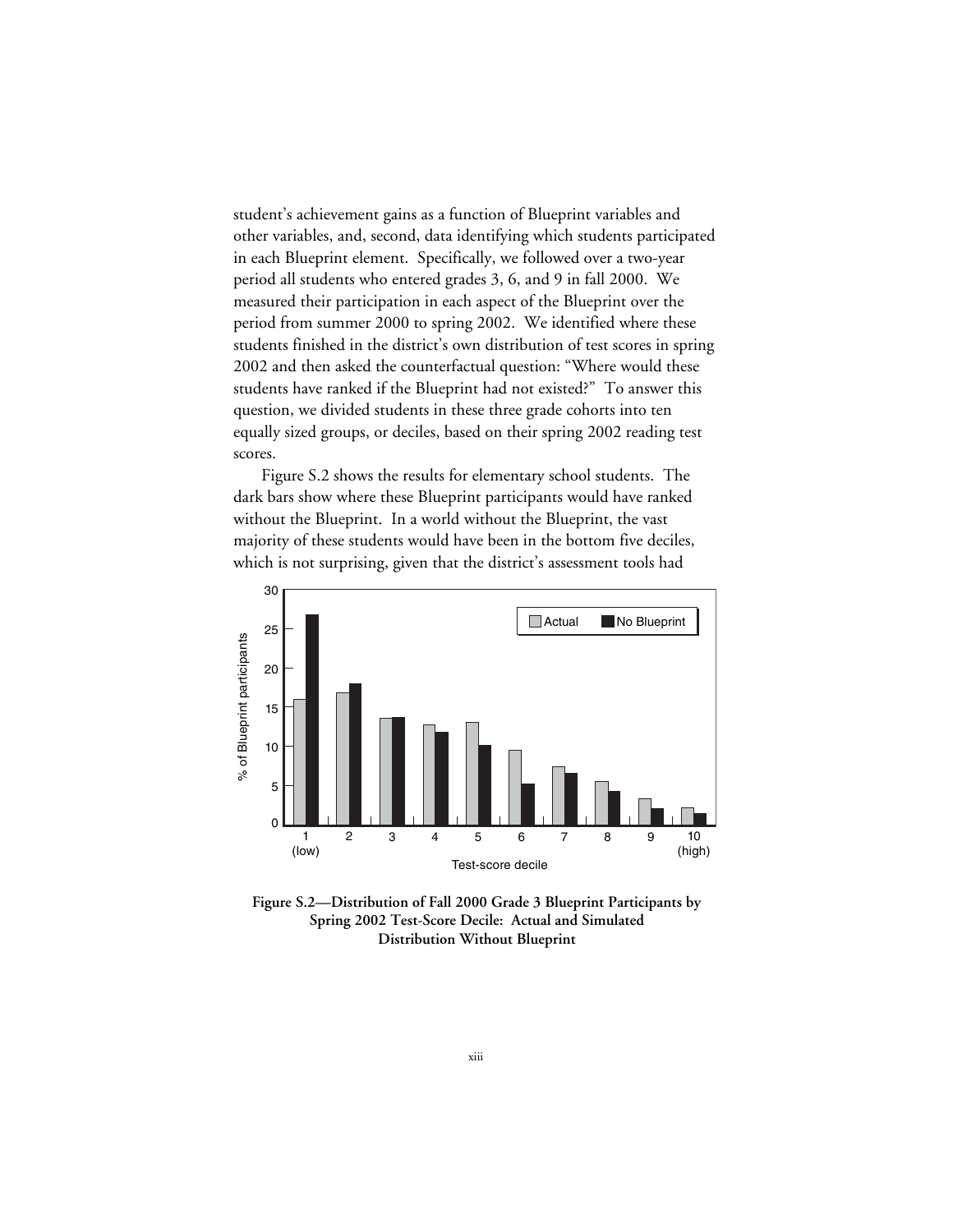student's achievement gains as a function of Blueprint variables and other variables, and, second, data identifying which students participated in each Blueprint element. Specifically, we followed over a two-year period all students who entered grades 3, 6, and 9 in fall 2000. We measured their participation in each aspect of the Blueprint over the period from summer 2000 to spring 2002. We identified where these students finished in the district's own distribution of test scores in spring 2002 and then asked the counterfactual question: "Where would these students have ranked if the Blueprint had not existed?" To answer this question, we divided students in these three grade cohorts into ten equally sized groups, or deciles, based on their spring 2002 reading test scores.

Figure S.2 shows the results for elementary school students. The dark bars show where these Blueprint participants would have ranked without the Blueprint. In a world without the Blueprint, the vast majority of these students would have been in the bottom five deciles, which is not surprising, given that the district's assessment tools had



**Figure S.2—Distribution of Fall 2000 Grade 3 Blueprint Participants by Spring 2002 Test-Score Decile: Actual and Simulated Distribution Without Blueprint**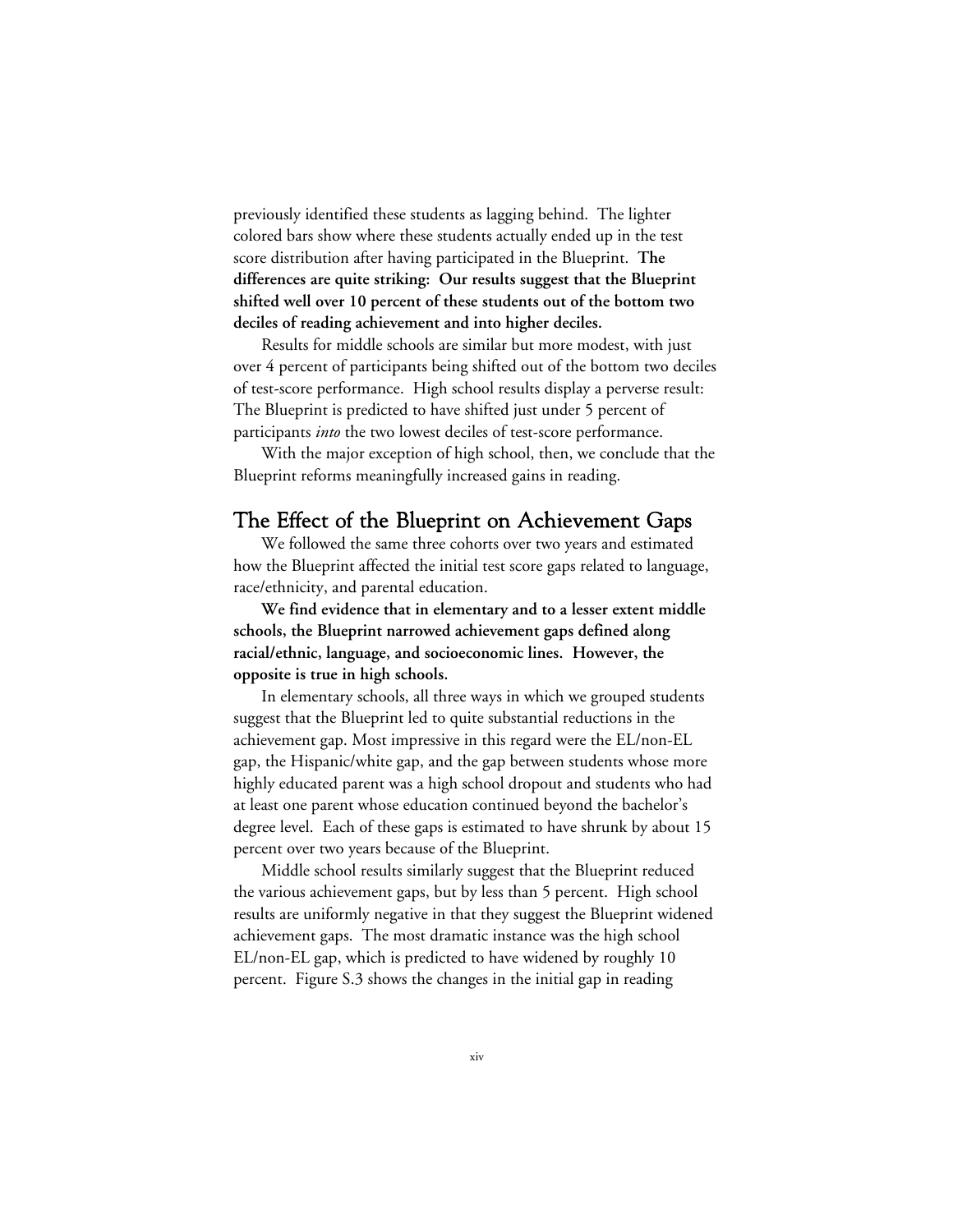previously identified these students as lagging behind. The lighter colored bars show where these students actually ended up in the test score distribution after having participated in the Blueprint. **The differences are quite striking: Our results suggest that the Blueprint shifted well over 10 percent of these students out of the bottom two deciles of reading achievement and into higher deciles.**

Results for middle schools are similar but more modest, with just over 4 percent of participants being shifted out of the bottom two deciles of test-score performance. High school results display a perverse result: The Blueprint is predicted to have shifted just under 5 percent of participants *into* the two lowest deciles of test-score performance.

With the major exception of high school, then, we conclude that the Blueprint reforms meaningfully increased gains in reading.

#### The Effect of the Blueprint on Achievement Gaps

We followed the same three cohorts over two years and estimated how the Blueprint affected the initial test score gaps related to language, race/ethnicity, and parental education.

**We find evidence that in elementary and to a lesser extent middle schools, the Blueprint narrowed achievement gaps defined along racial/ethnic, language, and socioeconomic lines. However, the opposite is true in high schools.**

In elementary schools, all three ways in which we grouped students suggest that the Blueprint led to quite substantial reductions in the achievement gap. Most impressive in this regard were the EL/non-EL gap, the Hispanic/white gap, and the gap between students whose more highly educated parent was a high school dropout and students who had at least one parent whose education continued beyond the bachelor's degree level. Each of these gaps is estimated to have shrunk by about 15 percent over two years because of the Blueprint.

Middle school results similarly suggest that the Blueprint reduced the various achievement gaps, but by less than 5 percent. High school results are uniformly negative in that they suggest the Blueprint widened achievement gaps. The most dramatic instance was the high school EL/non-EL gap, which is predicted to have widened by roughly 10 percent. Figure S.3 shows the changes in the initial gap in reading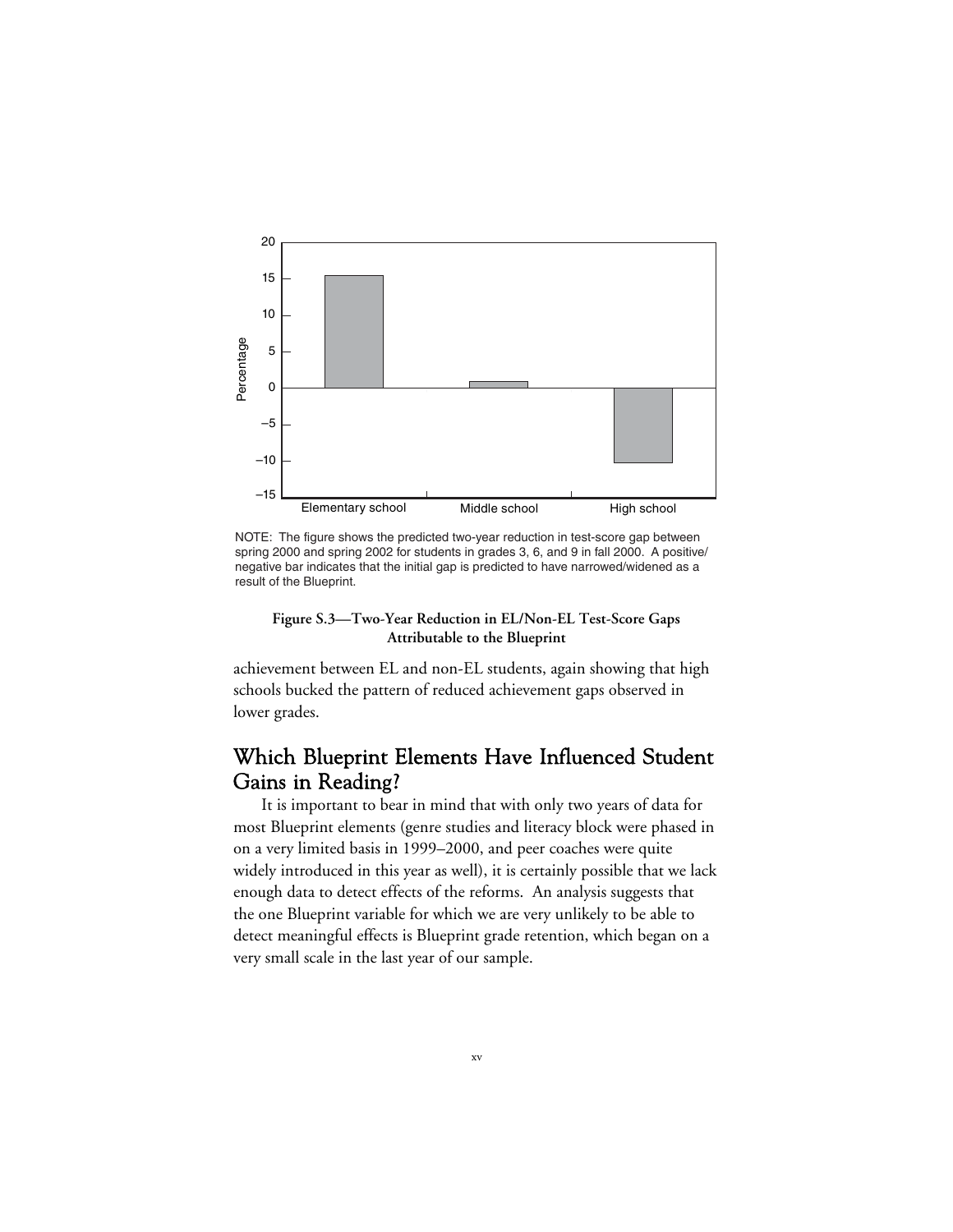

NOTE: The figure shows the predicted two-year reduction in test-score gap between spring 2000 and spring 2002 for students in grades 3, 6, and 9 in fall 2000. A positive/ negative bar indicates that the initial gap is predicted to have narrowed/widened as a result of the Blueprint.

**Figure S.3—Two-Year Reduction in EL/Non-EL Test-Score Gaps Attributable to the Blueprint**

achievement between EL and non-EL students, again showing that high schools bucked the pattern of reduced achievement gaps observed in lower grades.

### Which Blueprint Elements Have Influenced Student Gains in Reading?

It is important to bear in mind that with only two years of data for most Blueprint elements (genre studies and literacy block were phased in on a very limited basis in 1999–2000, and peer coaches were quite widely introduced in this year as well), it is certainly possible that we lack enough data to detect effects of the reforms. An analysis suggests that the one Blueprint variable for which we are very unlikely to be able to detect meaningful effects is Blueprint grade retention, which began on a very small scale in the last year of our sample.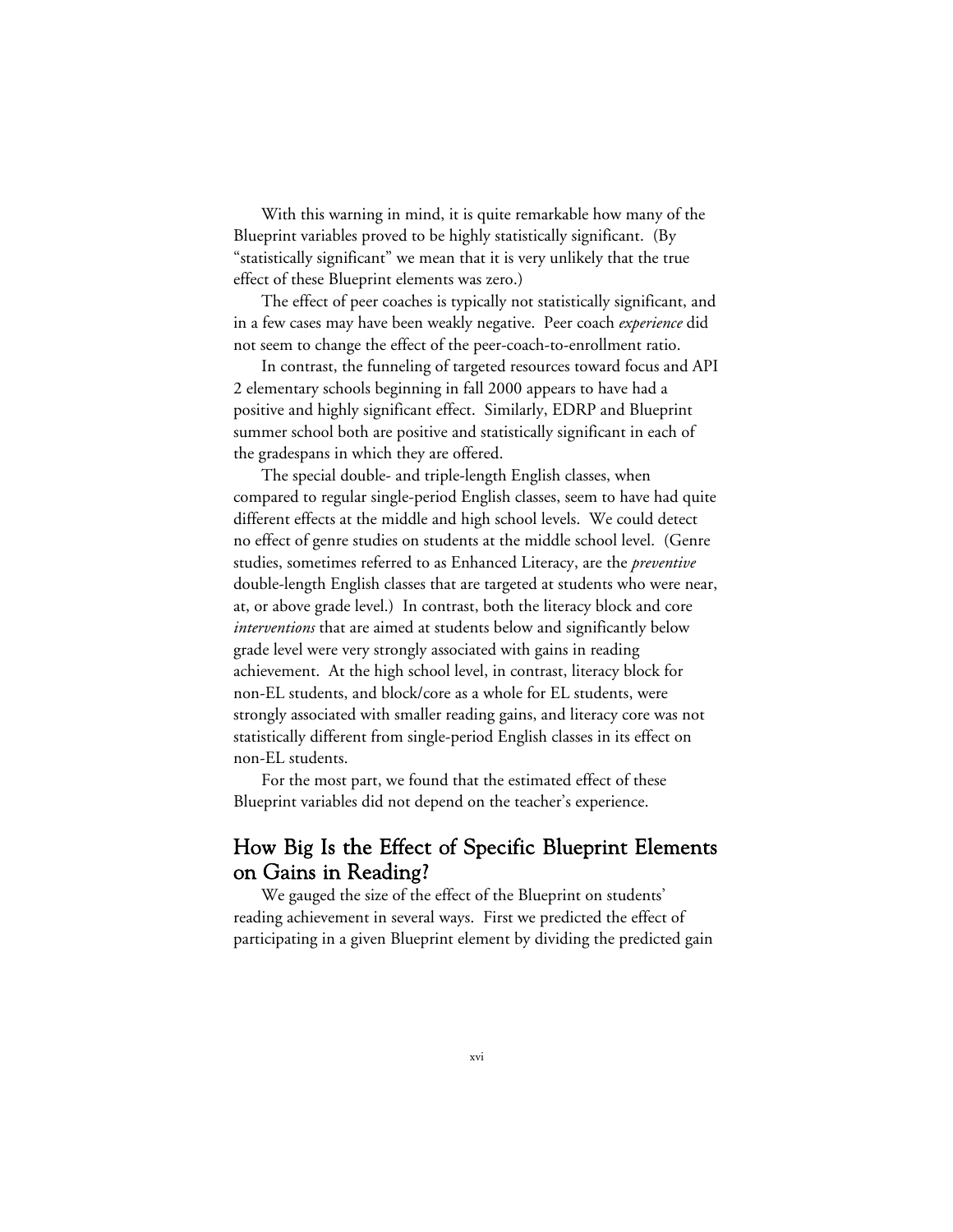With this warning in mind, it is quite remarkable how many of the Blueprint variables proved to be highly statistically significant. (By "statistically significant" we mean that it is very unlikely that the true effect of these Blueprint elements was zero.)

The effect of peer coaches is typically not statistically significant, and in a few cases may have been weakly negative. Peer coach *experience* did not seem to change the effect of the peer-coach-to-enrollment ratio.

In contrast, the funneling of targeted resources toward focus and API 2 elementary schools beginning in fall 2000 appears to have had a positive and highly significant effect. Similarly, EDRP and Blueprint summer school both are positive and statistically significant in each of the gradespans in which they are offered.

The special double- and triple-length English classes, when compared to regular single-period English classes, seem to have had quite different effects at the middle and high school levels. We could detect no effect of genre studies on students at the middle school level. (Genre studies, sometimes referred to as Enhanced Literacy, are the *preventive* double-length English classes that are targeted at students who were near, at, or above grade level.) In contrast, both the literacy block and core *interventions* that are aimed at students below and significantly below grade level were very strongly associated with gains in reading achievement. At the high school level, in contrast, literacy block for non-EL students, and block/core as a whole for EL students, were strongly associated with smaller reading gains, and literacy core was not statistically different from single-period English classes in its effect on non-EL students.

For the most part, we found that the estimated effect of these Blueprint variables did not depend on the teacher's experience.

### How Big Is the Effect of Specific Blueprint Elements on Gains in Reading?

We gauged the size of the effect of the Blueprint on students' reading achievement in several ways. First we predicted the effect of participating in a given Blueprint element by dividing the predicted gain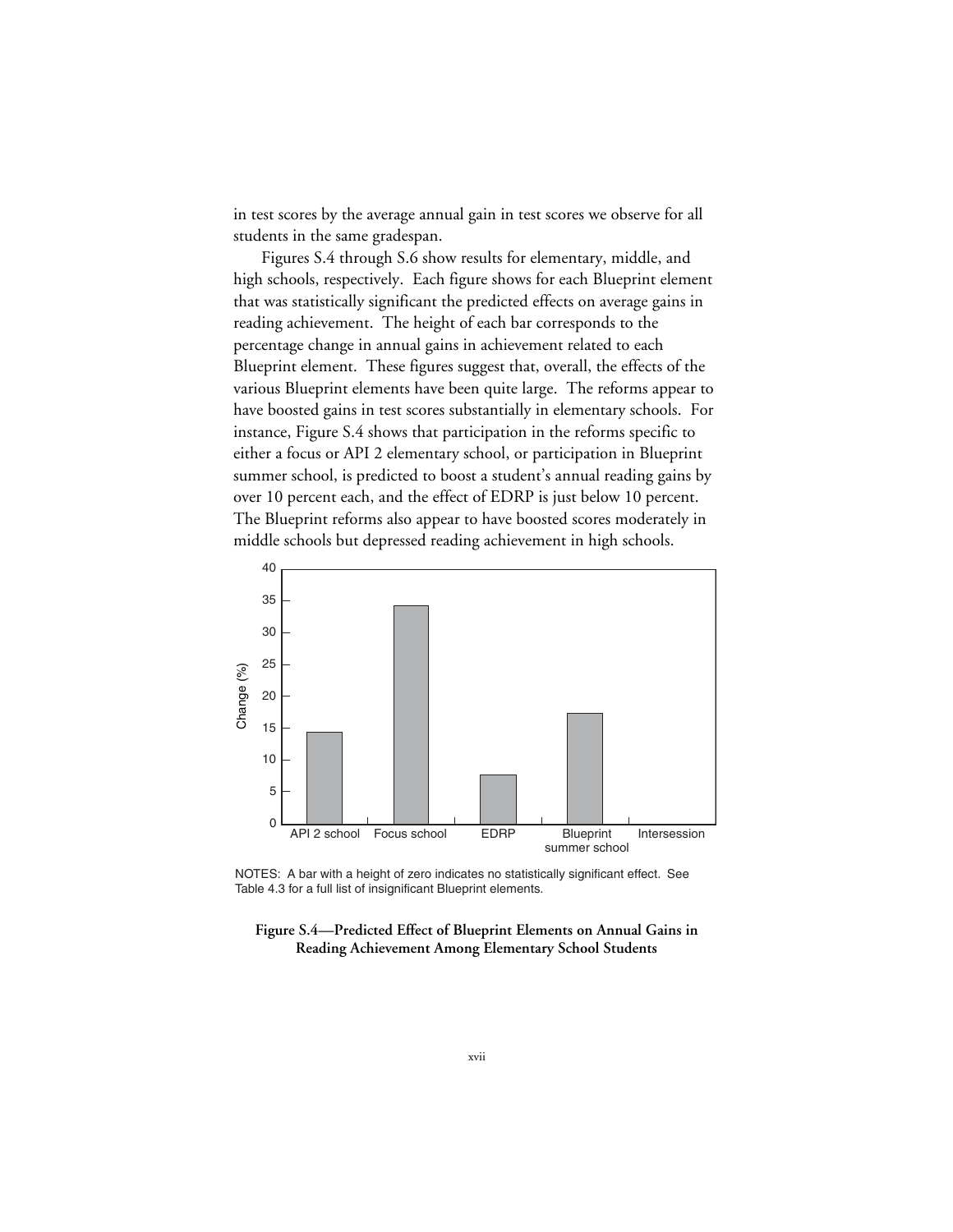in test scores by the average annual gain in test scores we observe for all students in the same gradespan.

Figures S.4 through S.6 show results for elementary, middle, and high schools, respectively. Each figure shows for each Blueprint element that was statistically significant the predicted effects on average gains in reading achievement. The height of each bar corresponds to the percentage change in annual gains in achievement related to each Blueprint element. These figures suggest that, overall, the effects of the various Blueprint elements have been quite large. The reforms appear to have boosted gains in test scores substantially in elementary schools. For instance, Figure S.4 shows that participation in the reforms specific to either a focus or API 2 elementary school, or participation in Blueprint summer school, is predicted to boost a student's annual reading gains by over 10 percent each, and the effect of EDRP is just below 10 percent. The Blueprint reforms also appear to have boosted scores moderately in middle schools but depressed reading achievement in high schools.



NOTES: A bar with a height of zero indicates no statistically significant effect. See Table 4.3 for a full list of insignificant Blueprint elements.

**Figure S.4—Predicted Effect of Blueprint Elements on Annual Gains in Reading Achievement Among Elementary School Students**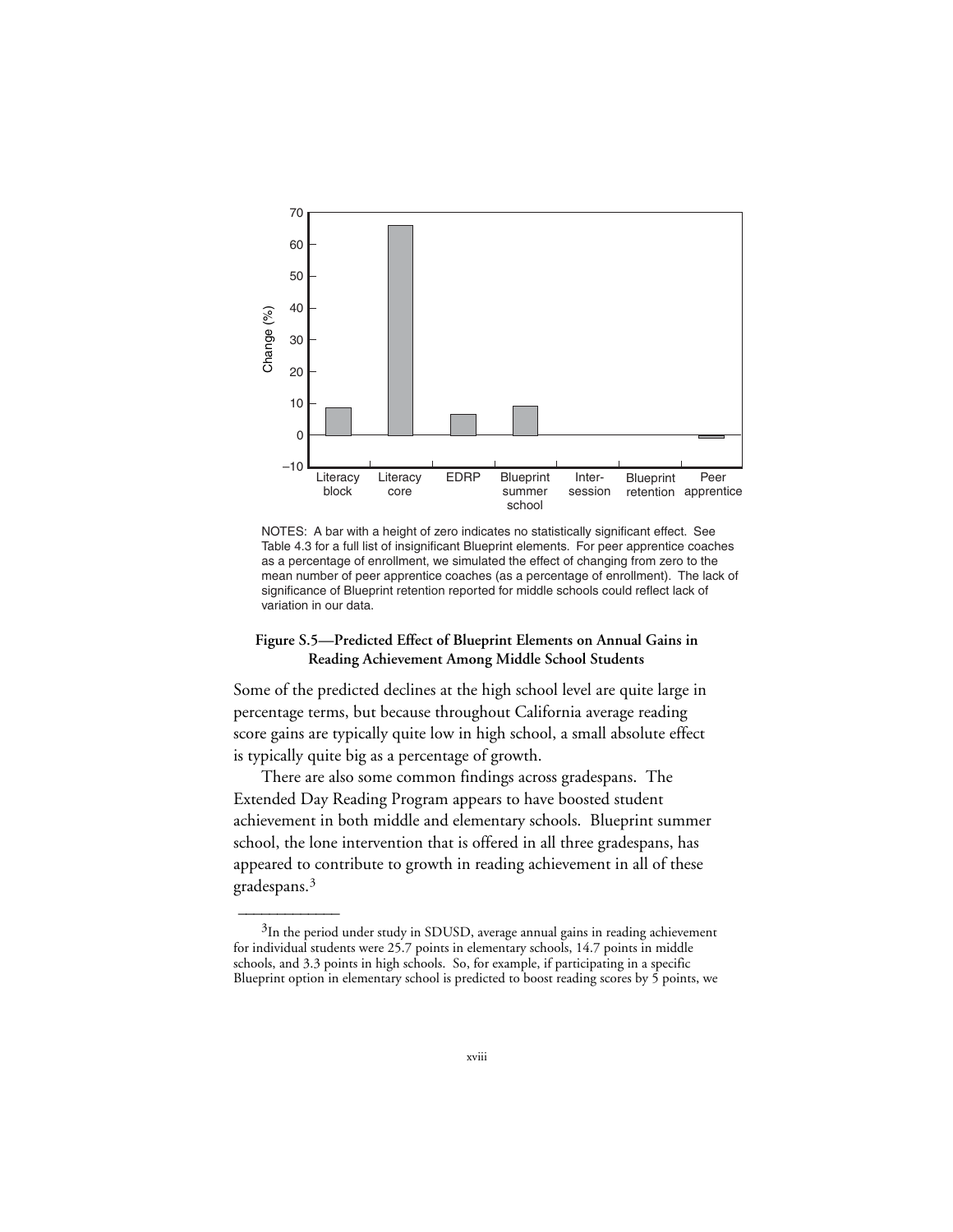

NOTES: A bar with a height of zero indicates no statistically significant effect. See Table 4.3 for a full list of insignificant Blueprint elements. For peer apprentice coaches as a percentage of enrollment, we simulated the effect of changing from zero to the mean number of peer apprentice coaches (as a percentage of enrollment). The lack of significance of Blueprint retention reported for middle schools could reflect lack of variation in our data.

#### **Figure S.5—Predicted Effect of Blueprint Elements on Annual Gains in Reading Achievement Among Middle School Students**

Some of the predicted declines at the high school level are quite large in percentage terms, but because throughout California average reading score gains are typically quite low in high school, a small absolute effect is typically quite big as a percentage of growth.

There are also some common findings across gradespans. The Extended Day Reading Program appears to have boosted student achievement in both middle and elementary schools. Blueprint summer school, the lone intervention that is offered in all three gradespans, has appeared to contribute to growth in reading achievement in all of these gradespans.3

 $\overline{\phantom{a}}$ 

 $3$ In the period under study in SDUSD, average annual gains in reading achievement for individual students were 25.7 points in elementary schools, 14.7 points in middle schools, and 3.3 points in high schools. So, for example, if participating in a specific Blueprint option in elementary school is predicted to boost reading scores by 5 points, we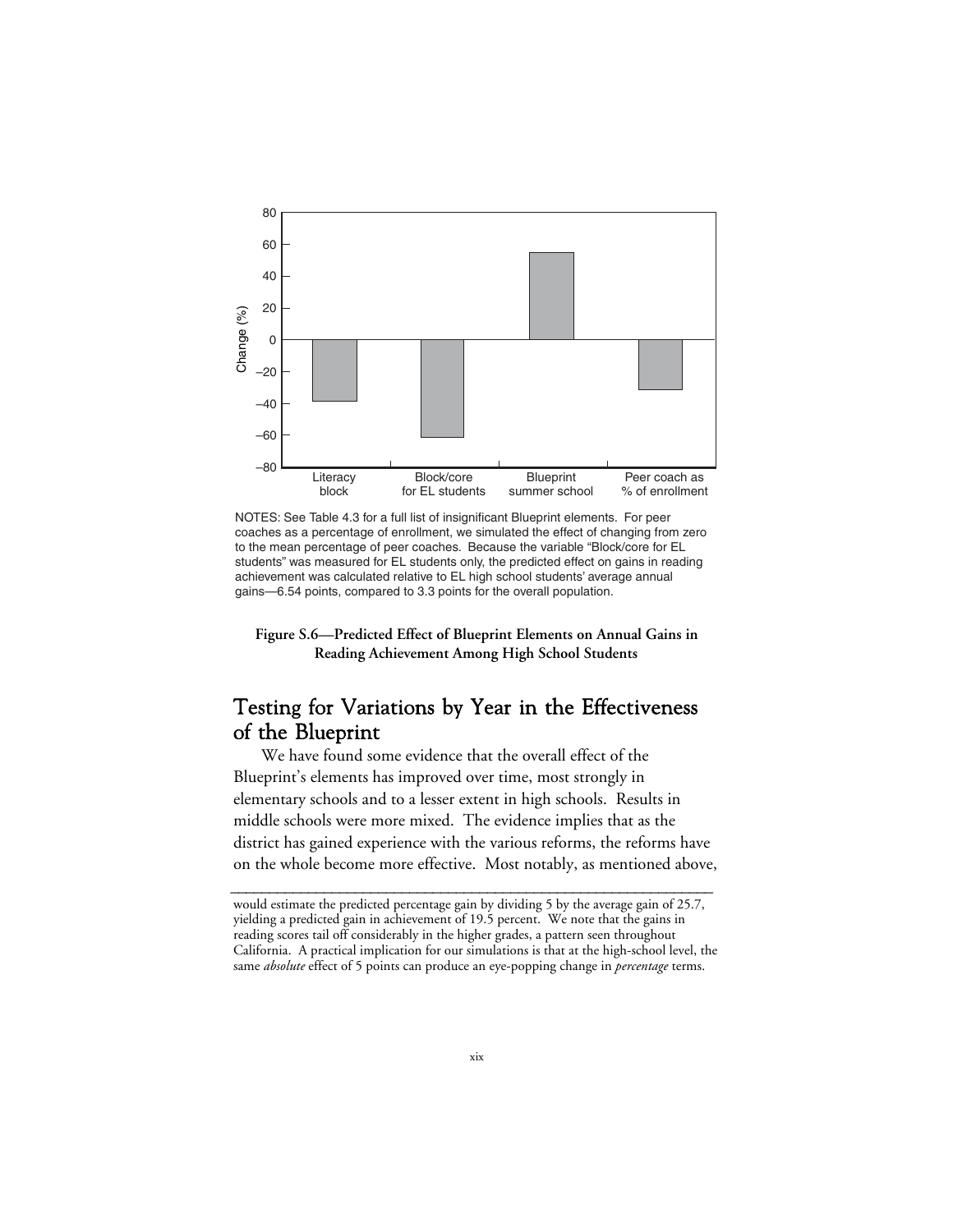

NOTES: See Table 4.3 for a full list of insignificant Blueprint elements. For peer coaches as a percentage of enrollment, we simulated the effect of changing from zero to the mean percentage of peer coaches. Because the variable "Block/core for EL students" was measured for EL students only, the predicted effect on gains in reading achievement was calculated relative to EL high school students' average annual gains—6.54 points, compared to 3.3 points for the overall population.

**Figure S.6—Predicted Effect of Blueprint Elements on Annual Gains in Reading Achievement Among High School Students**

## Testing for Variations by Year in the Effectiveness of the Blueprint

We have found some evidence that the overall effect of the Blueprint's elements has improved over time, most strongly in elementary schools and to a lesser extent in high schools. Results in middle schools were more mixed. The evidence implies that as the district has gained experience with the various reforms, the reforms have on the whole become more effective. Most notably, as mentioned above,

would estimate the predicted percentage gain by dividing 5 by the average gain of 25.7, yielding a predicted gain in achievement of 19.5 percent. We note that the gains in reading scores tail off considerably in the higher grades, a pattern seen throughout California. A practical implication for our simulations is that at the high-school level, the same *absolute* effect of 5 points can produce an eye-popping change in *percentage* terms.

**\_\_\_\_\_\_\_\_\_\_\_\_\_\_\_\_\_\_\_\_\_\_\_\_\_\_\_\_\_\_\_\_\_\_\_\_\_\_\_\_\_\_\_\_\_\_\_\_\_\_\_\_\_\_\_\_\_\_\_\_\_\_**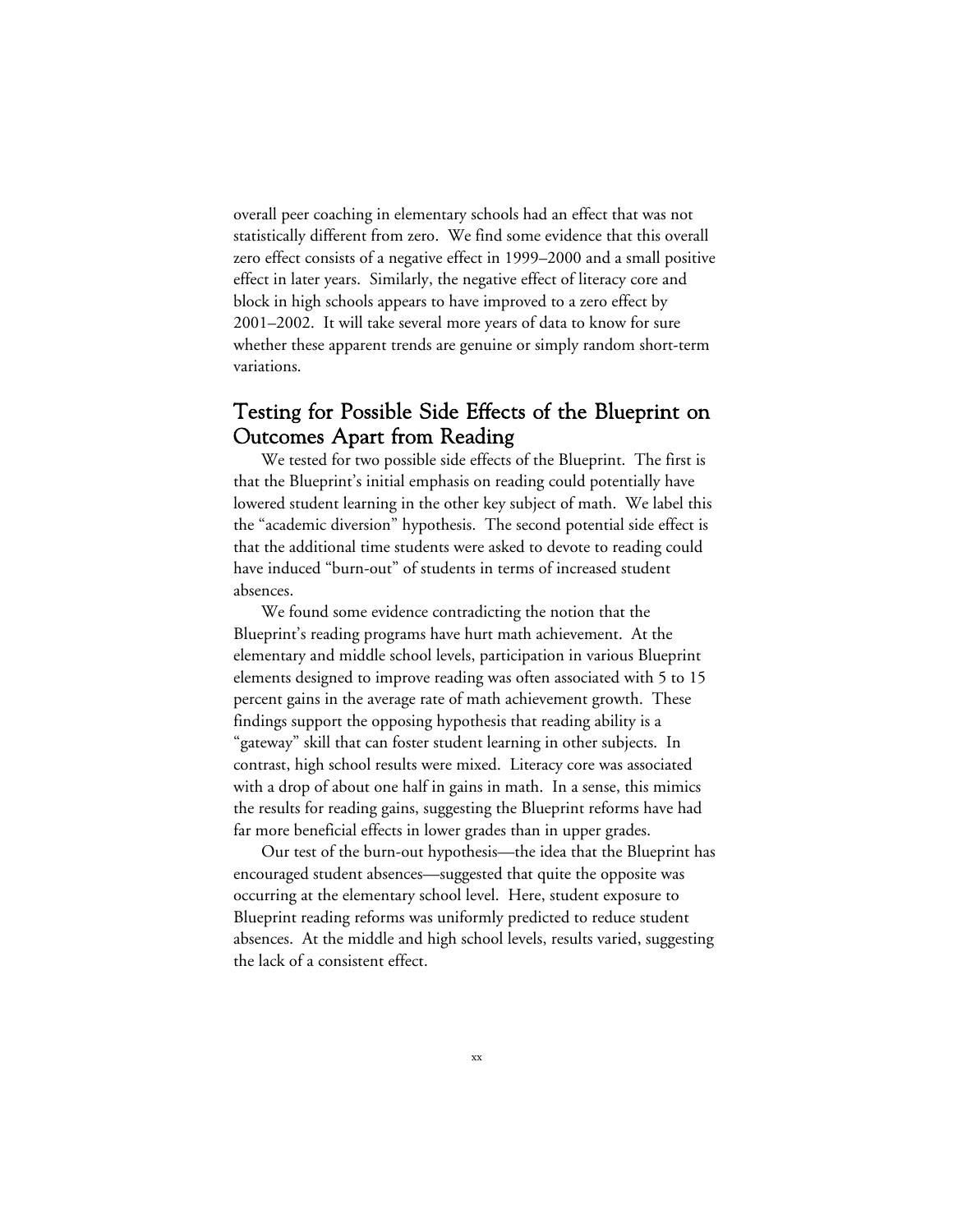overall peer coaching in elementary schools had an effect that was not statistically different from zero. We find some evidence that this overall zero effect consists of a negative effect in 1999–2000 and a small positive effect in later years. Similarly, the negative effect of literacy core and block in high schools appears to have improved to a zero effect by 2001–2002. It will take several more years of data to know for sure whether these apparent trends are genuine or simply random short-term variations.

### Testing for Possible Side Effects of the Blueprint on Outcomes Apart from Reading

We tested for two possible side effects of the Blueprint. The first is that the Blueprint's initial emphasis on reading could potentially have lowered student learning in the other key subject of math. We label this the "academic diversion" hypothesis. The second potential side effect is that the additional time students were asked to devote to reading could have induced "burn-out" of students in terms of increased student absences.

We found some evidence contradicting the notion that the Blueprint's reading programs have hurt math achievement. At the elementary and middle school levels, participation in various Blueprint elements designed to improve reading was often associated with 5 to 15 percent gains in the average rate of math achievement growth. These findings support the opposing hypothesis that reading ability is a "gateway" skill that can foster student learning in other subjects. In contrast, high school results were mixed. Literacy core was associated with a drop of about one half in gains in math. In a sense, this mimics the results for reading gains, suggesting the Blueprint reforms have had far more beneficial effects in lower grades than in upper grades.

Our test of the burn-out hypothesis—the idea that the Blueprint has encouraged student absences—suggested that quite the opposite was occurring at the elementary school level. Here, student exposure to Blueprint reading reforms was uniformly predicted to reduce student absences. At the middle and high school levels, results varied, suggesting the lack of a consistent effect.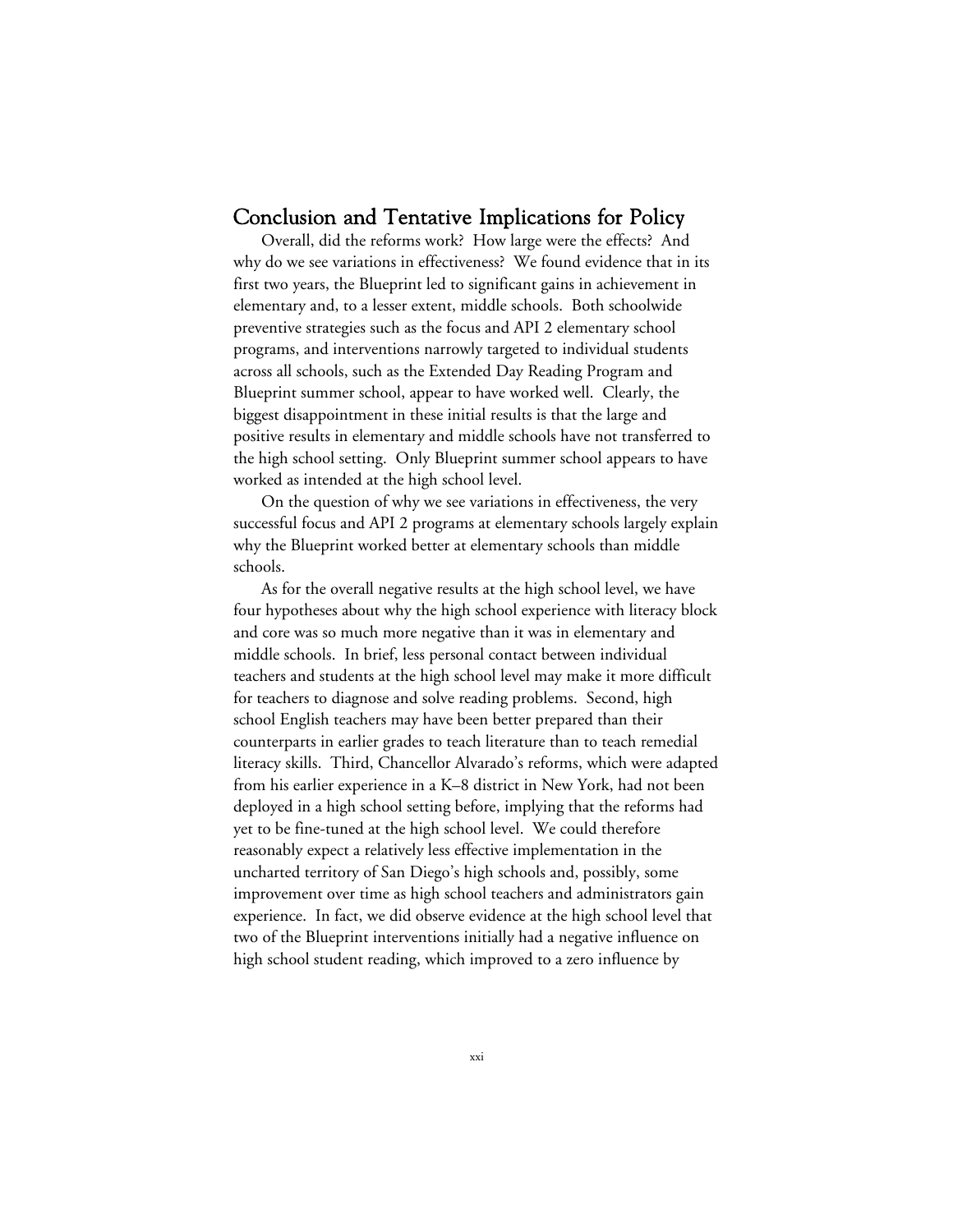#### Conclusion and Tentative Implications for Policy

Overall, did the reforms work? How large were the effects? And why do we see variations in effectiveness? We found evidence that in its first two years, the Blueprint led to significant gains in achievement in elementary and, to a lesser extent, middle schools. Both schoolwide preventive strategies such as the focus and API 2 elementary school programs, and interventions narrowly targeted to individual students across all schools, such as the Extended Day Reading Program and Blueprint summer school, appear to have worked well. Clearly, the biggest disappointment in these initial results is that the large and positive results in elementary and middle schools have not transferred to the high school setting. Only Blueprint summer school appears to have worked as intended at the high school level.

On the question of why we see variations in effectiveness, the very successful focus and API 2 programs at elementary schools largely explain why the Blueprint worked better at elementary schools than middle schools.

As for the overall negative results at the high school level, we have four hypotheses about why the high school experience with literacy block and core was so much more negative than it was in elementary and middle schools. In brief, less personal contact between individual teachers and students at the high school level may make it more difficult for teachers to diagnose and solve reading problems. Second, high school English teachers may have been better prepared than their counterparts in earlier grades to teach literature than to teach remedial literacy skills. Third, Chancellor Alvarado's reforms, which were adapted from his earlier experience in a K–8 district in New York, had not been deployed in a high school setting before, implying that the reforms had yet to be fine-tuned at the high school level. We could therefore reasonably expect a relatively less effective implementation in the uncharted territory of San Diego's high schools and, possibly, some improvement over time as high school teachers and administrators gain experience. In fact, we did observe evidence at the high school level that two of the Blueprint interventions initially had a negative influence on high school student reading, which improved to a zero influence by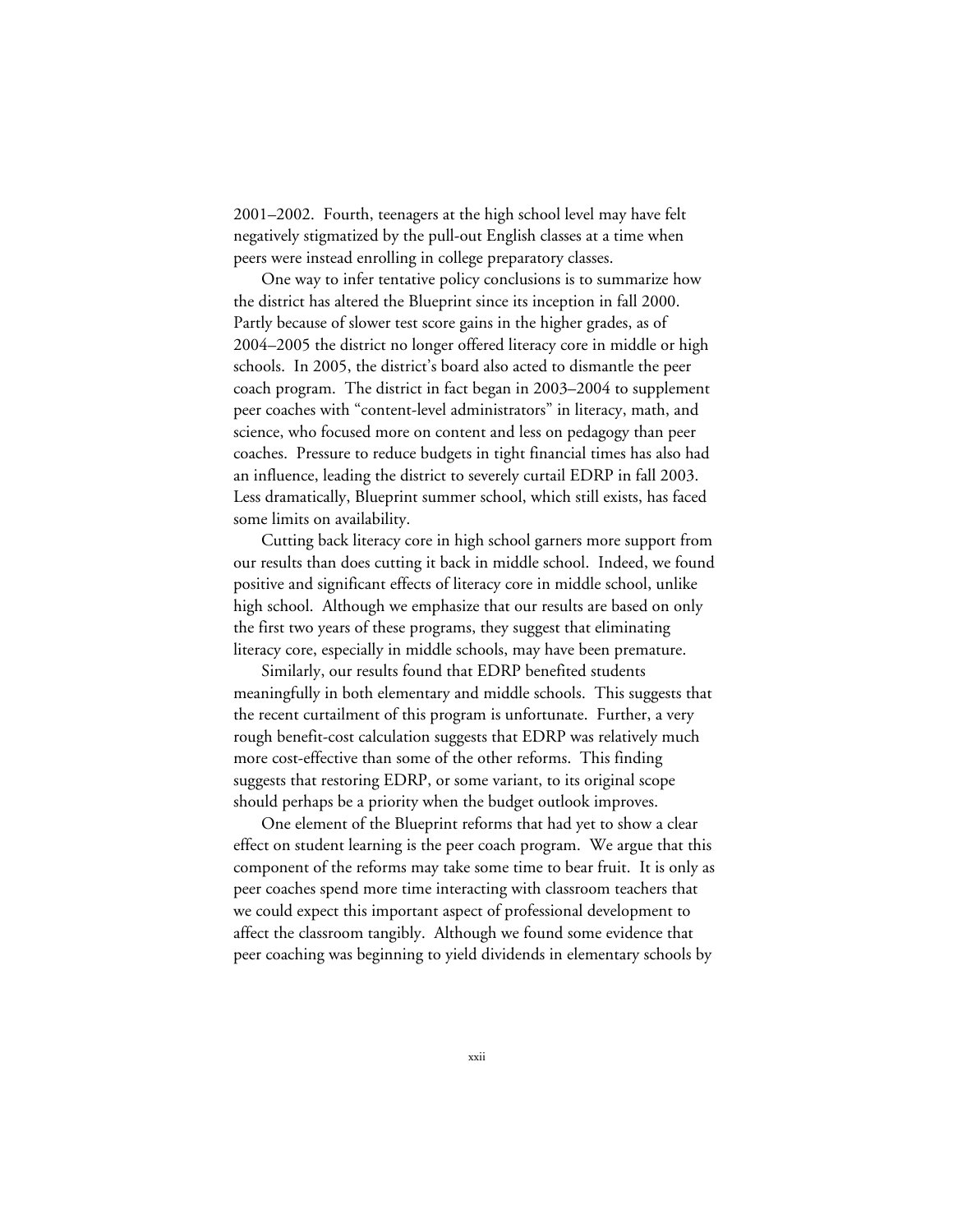2001–2002. Fourth, teenagers at the high school level may have felt negatively stigmatized by the pull-out English classes at a time when peers were instead enrolling in college preparatory classes.

One way to infer tentative policy conclusions is to summarize how the district has altered the Blueprint since its inception in fall 2000. Partly because of slower test score gains in the higher grades, as of 2004–2005 the district no longer offered literacy core in middle or high schools. In 2005, the district's board also acted to dismantle the peer coach program. The district in fact began in 2003–2004 to supplement peer coaches with "content-level administrators" in literacy, math, and science, who focused more on content and less on pedagogy than peer coaches. Pressure to reduce budgets in tight financial times has also had an influence, leading the district to severely curtail EDRP in fall 2003. Less dramatically, Blueprint summer school, which still exists, has faced some limits on availability.

Cutting back literacy core in high school garners more support from our results than does cutting it back in middle school. Indeed, we found positive and significant effects of literacy core in middle school, unlike high school. Although we emphasize that our results are based on only the first two years of these programs, they suggest that eliminating literacy core, especially in middle schools, may have been premature.

Similarly, our results found that EDRP benefited students meaningfully in both elementary and middle schools. This suggests that the recent curtailment of this program is unfortunate. Further, a very rough benefit-cost calculation suggests that EDRP was relatively much more cost-effective than some of the other reforms. This finding suggests that restoring EDRP, or some variant, to its original scope should perhaps be a priority when the budget outlook improves.

One element of the Blueprint reforms that had yet to show a clear effect on student learning is the peer coach program. We argue that this component of the reforms may take some time to bear fruit. It is only as peer coaches spend more time interacting with classroom teachers that we could expect this important aspect of professional development to affect the classroom tangibly. Although we found some evidence that peer coaching was beginning to yield dividends in elementary schools by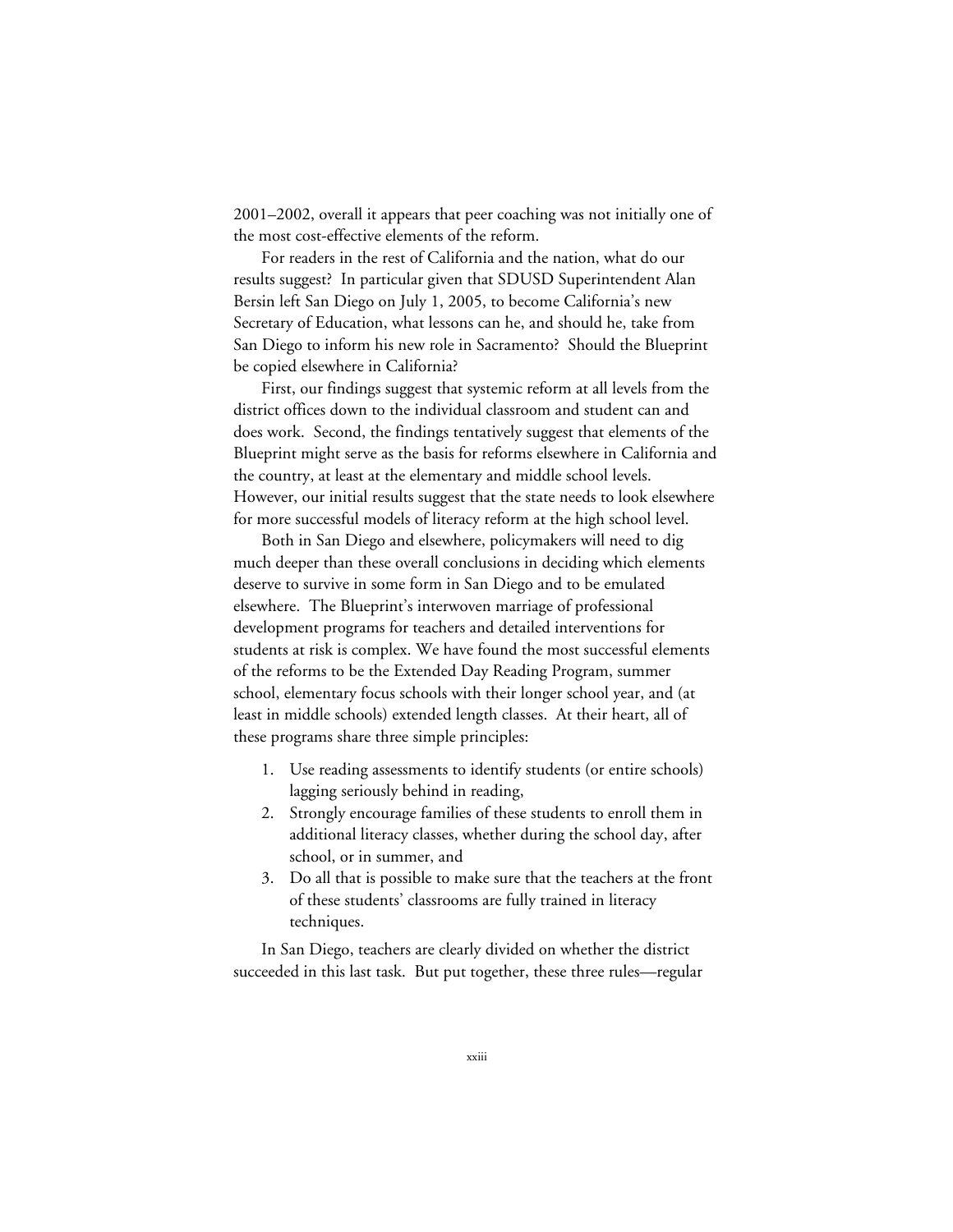2001–2002, overall it appears that peer coaching was not initially one of the most cost-effective elements of the reform.

For readers in the rest of California and the nation, what do our results suggest? In particular given that SDUSD Superintendent Alan Bersin left San Diego on July 1, 2005, to become California's new Secretary of Education, what lessons can he, and should he, take from San Diego to inform his new role in Sacramento? Should the Blueprint be copied elsewhere in California?

First, our findings suggest that systemic reform at all levels from the district offices down to the individual classroom and student can and does work. Second, the findings tentatively suggest that elements of the Blueprint might serve as the basis for reforms elsewhere in California and the country, at least at the elementary and middle school levels. However, our initial results suggest that the state needs to look elsewhere for more successful models of literacy reform at the high school level.

Both in San Diego and elsewhere, policymakers will need to dig much deeper than these overall conclusions in deciding which elements deserve to survive in some form in San Diego and to be emulated elsewhere. The Blueprint's interwoven marriage of professional development programs for teachers and detailed interventions for students at risk is complex. We have found the most successful elements of the reforms to be the Extended Day Reading Program, summer school, elementary focus schools with their longer school year, and (at least in middle schools) extended length classes. At their heart, all of these programs share three simple principles:

- 1. Use reading assessments to identify students (or entire schools) lagging seriously behind in reading,
- 2. Strongly encourage families of these students to enroll them in additional literacy classes, whether during the school day, after school, or in summer, and
- 3. Do all that is possible to make sure that the teachers at the front of these students' classrooms are fully trained in literacy techniques.

In San Diego, teachers are clearly divided on whether the district succeeded in this last task. But put together, these three rules—regular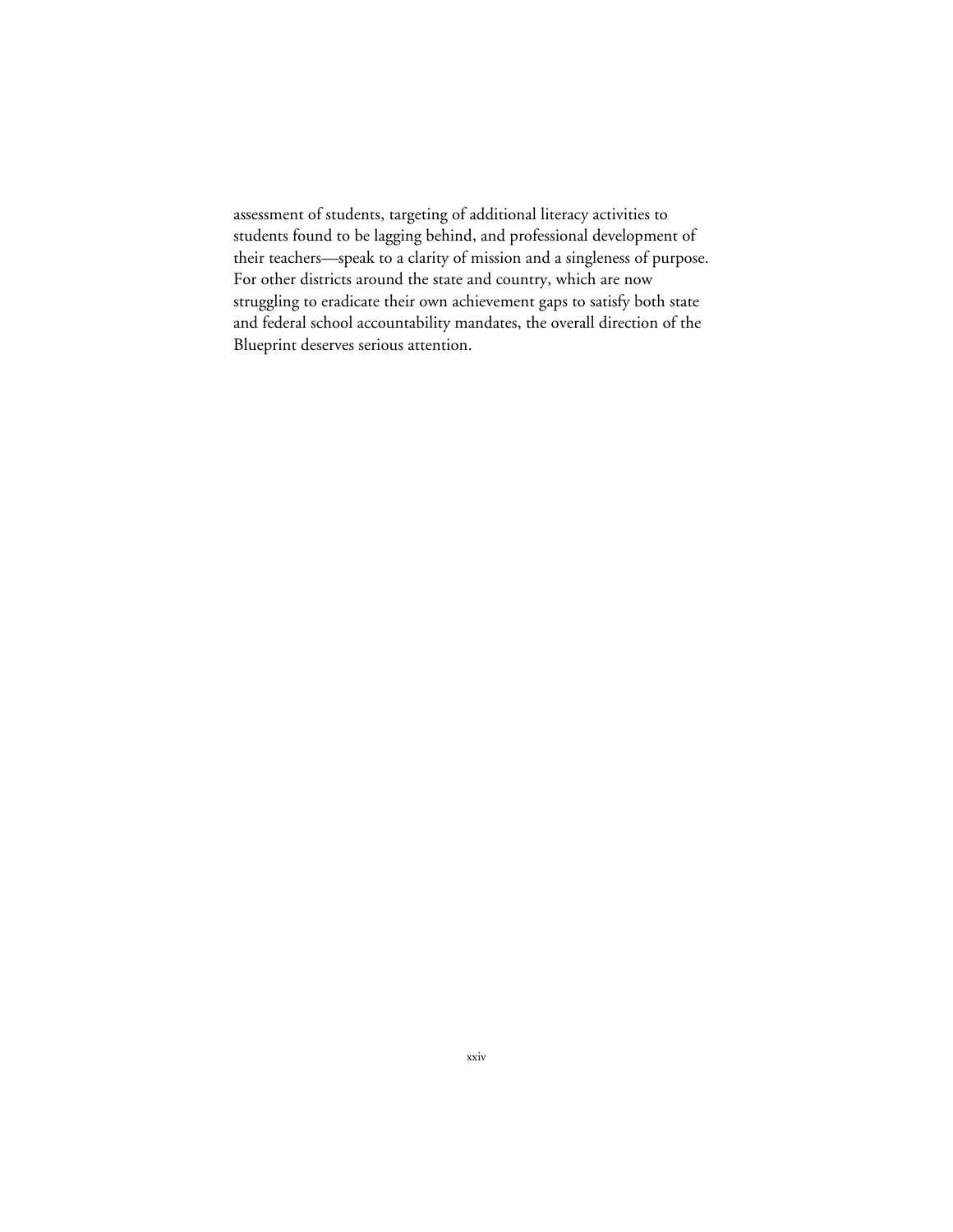assessment of students, targeting of additional literacy activities to students found to be lagging behind, and professional development of their teachers—speak to a clarity of mission and a singleness of purpose. For other districts around the state and country, which are now struggling to eradicate their own achievement gaps to satisfy both state and federal school accountability mandates, the overall direction of the Blueprint deserves serious attention.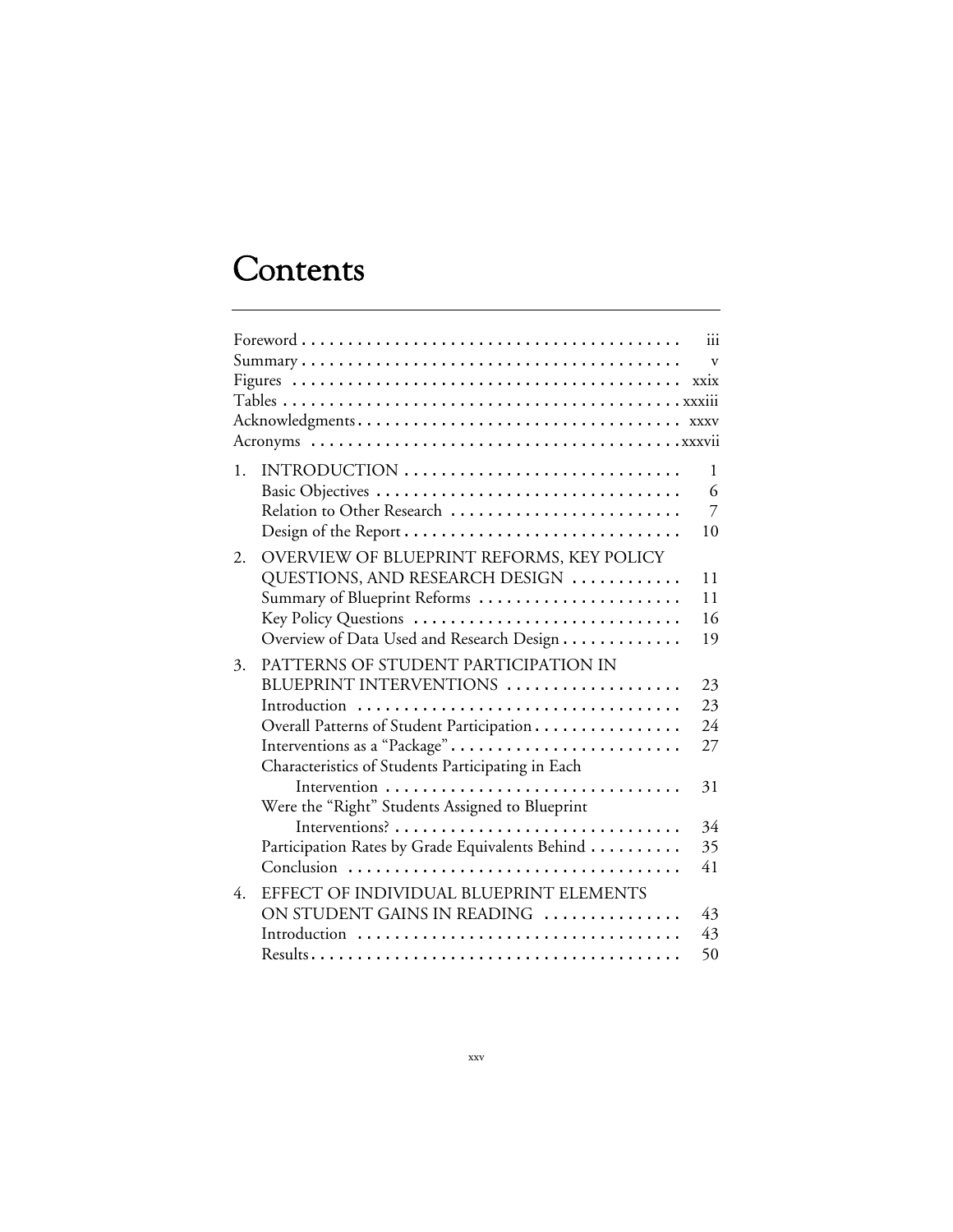# **Contents**

|    |                                                                                                                                                                                                                                                                                                                         | $\mathbf{v}$                                 |
|----|-------------------------------------------------------------------------------------------------------------------------------------------------------------------------------------------------------------------------------------------------------------------------------------------------------------------------|----------------------------------------------|
|    |                                                                                                                                                                                                                                                                                                                         |                                              |
| 1. | INTRODUCTION<br>Relation to Other Research                                                                                                                                                                                                                                                                              | $\mathbf{1}$<br>6<br>$\overline{7}$<br>10    |
| 2. | OVERVIEW OF BLUEPRINT REFORMS, KEY POLICY<br>QUESTIONS, AND RESEARCH DESIGN<br>Summary of Blueprint Reforms<br>Key Policy Questions<br>Overview of Data Used and Research Design                                                                                                                                        | 11<br>11<br>16<br>19                         |
| 3. | PATTERNS OF STUDENT PARTICIPATION IN<br>BLUEPRINT INTERVENTIONS<br>Introduction<br>Overall Patterns of Student Participation<br>Interventions as a "Package"<br>Characteristics of Students Participating in Each<br>Were the "Right" Students Assigned to Blueprint<br>Participation Rates by Grade Equivalents Behind | 23<br>23<br>24<br>27<br>31<br>34<br>35<br>41 |
| 4. | EFFECT OF INDIVIDUAL BLUEPRINT ELEMENTS<br>ON STUDENT GAINS IN READING<br>Introduction                                                                                                                                                                                                                                  | 43<br>43<br>50                               |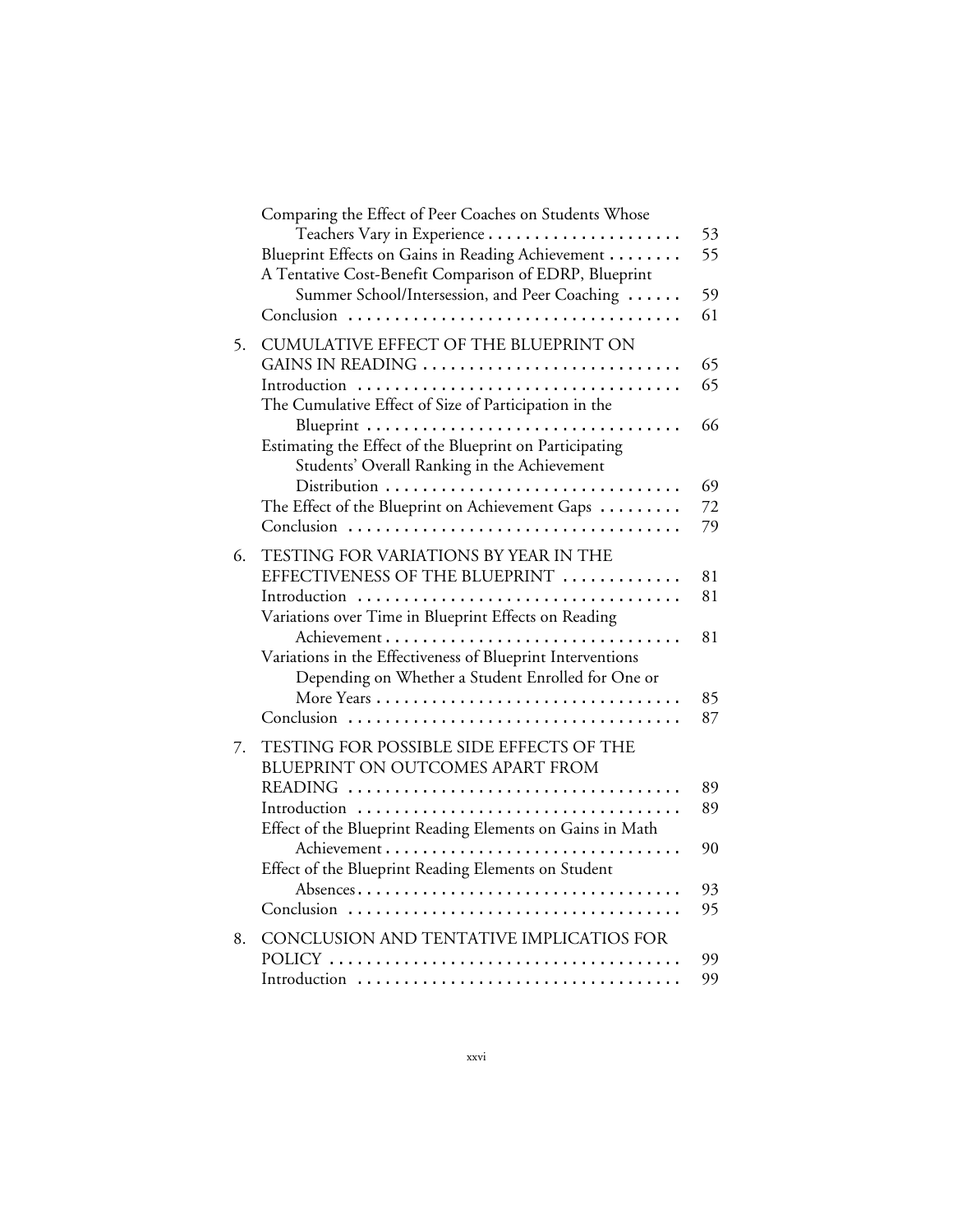|    | Comparing the Effect of Peer Coaches on Students Whose<br>Blueprint Effects on Gains in Reading Achievement<br>A Tentative Cost-Benefit Comparison of EDRP, Blueprint                                                                                                                         | 53<br>55                   |
|----|-----------------------------------------------------------------------------------------------------------------------------------------------------------------------------------------------------------------------------------------------------------------------------------------------|----------------------------|
|    | Summer School/Intersession, and Peer Coaching                                                                                                                                                                                                                                                 | 59<br>61                   |
| 5. | CUMULATIVE EFFECT OF THE BLUEPRINT ON<br>GAINS IN READING<br>The Cumulative Effect of Size of Participation in the<br>Blueprint<br>Estimating the Effect of the Blueprint on Participating<br>Students' Overall Ranking in the Achievement<br>The Effect of the Blueprint on Achievement Gaps | 65<br>65<br>66<br>69<br>72 |
|    |                                                                                                                                                                                                                                                                                               | 79                         |
| 6. | TESTING FOR VARIATIONS BY YEAR IN THE<br>EFFECTIVENESS OF THE BLUEPRINT<br>Variations over Time in Blueprint Effects on Reading<br>Variations in the Effectiveness of Blueprint Interventions<br>Depending on Whether a Student Enrolled for One or                                           | 81<br>81<br>81<br>85<br>87 |
| 7. | TESTING FOR POSSIBLE SIDE EFFECTS OF THE<br>BLUEPRINT ON OUTCOMES APART FROM<br>Introduction<br>Effect of the Blueprint Reading Elements on Gains in Math<br>Effect of the Blueprint Reading Elements on Student                                                                              | 89<br>89<br>90<br>93<br>95 |
| 8. | CONCLUSION AND TENTATIVE IMPLICATIOS FOR                                                                                                                                                                                                                                                      | 99<br>99                   |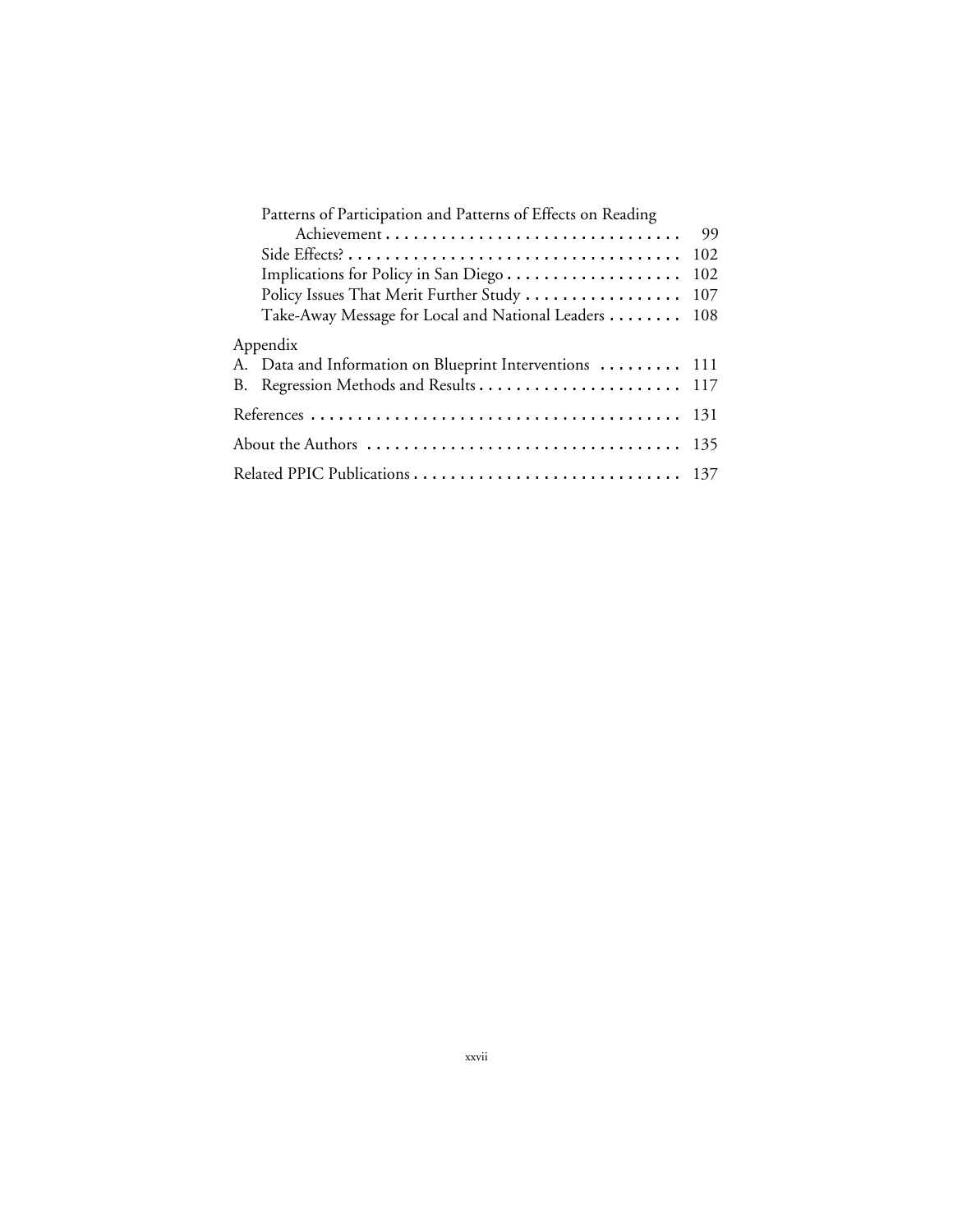| Patterns of Participation and Patterns of Effects on Reading |     |
|--------------------------------------------------------------|-----|
|                                                              | 99  |
|                                                              | 102 |
| Implications for Policy in San Diego                         | 102 |
| Policy Issues That Merit Further Study                       | 107 |
| Take-Away Message for Local and National Leaders 108         |     |
| Appendix                                                     |     |
| A. Data and Information on Blueprint Interventions  111      |     |
|                                                              |     |
|                                                              |     |
|                                                              |     |
|                                                              |     |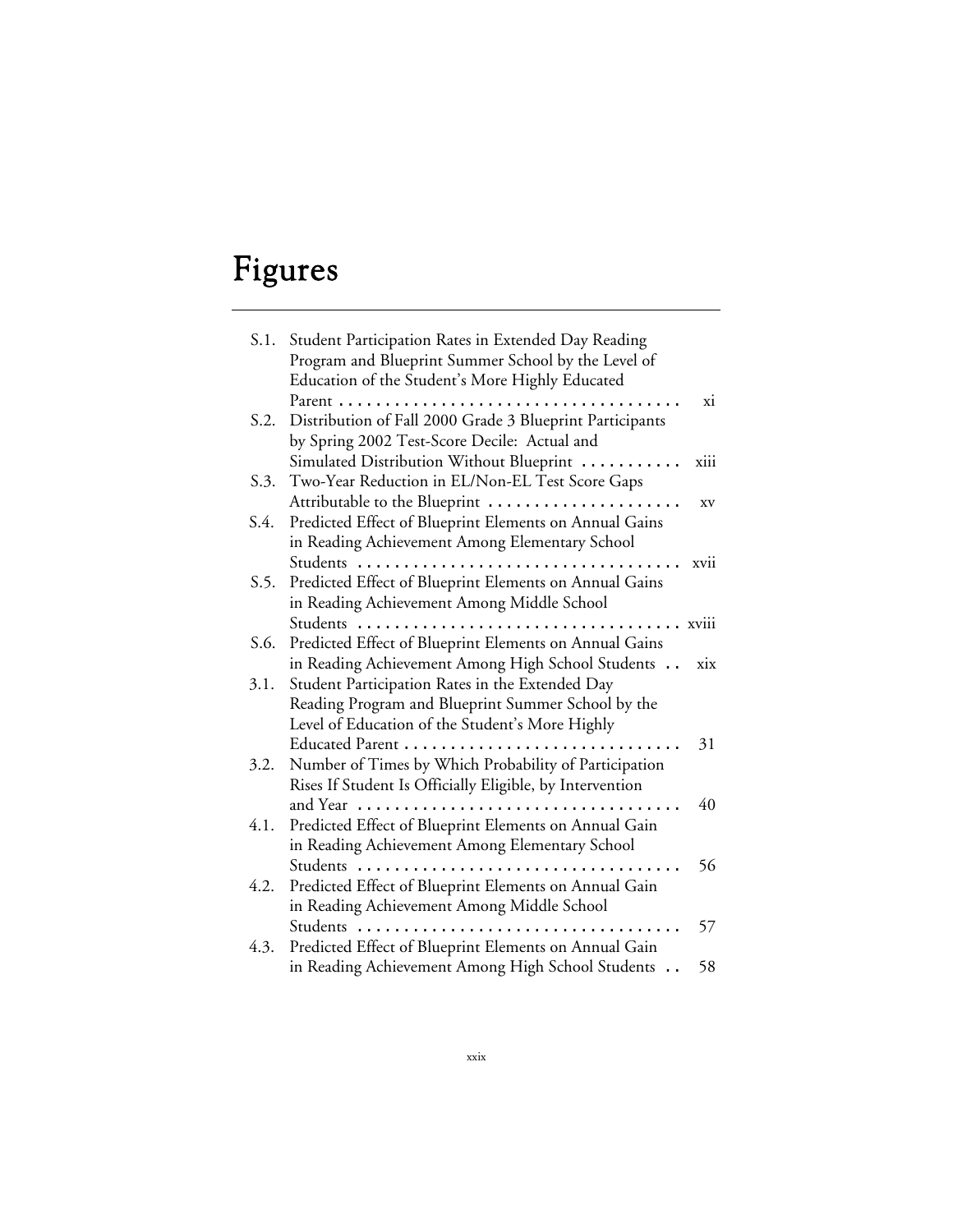# Figures

| S.1. | Student Participation Rates in Extended Day Reading      |       |
|------|----------------------------------------------------------|-------|
|      | Program and Blueprint Summer School by the Level of      |       |
|      | Education of the Student's More Highly Educated          |       |
|      | Parent<br>.                                              | xi    |
| S.2. | Distribution of Fall 2000 Grade 3 Blueprint Participants |       |
|      | by Spring 2002 Test-Score Decile: Actual and             |       |
|      | Simulated Distribution Without Blueprint                 | xiii  |
| S.3. | Two-Year Reduction in EL/Non-EL Test Score Gaps          |       |
|      | Attributable to the Blueprint                            | XV    |
| S.4. | Predicted Effect of Blueprint Elements on Annual Gains   |       |
|      | in Reading Achievement Among Elementary School           |       |
|      |                                                          | xvii  |
| S.5. | Predicted Effect of Blueprint Elements on Annual Gains   |       |
|      | in Reading Achievement Among Middle School               |       |
|      | Students                                                 | xviii |
| S.6. | Predicted Effect of Blueprint Elements on Annual Gains   |       |
|      | in Reading Achievement Among High School Students        | xix   |
| 3.1. | Student Participation Rates in the Extended Day          |       |
|      | Reading Program and Blueprint Summer School by the       |       |
|      | Level of Education of the Student's More Highly          |       |
|      |                                                          | 31    |
| 3.2. | Number of Times by Which Probability of Participation    |       |
|      | Rises If Student Is Officially Eligible, by Intervention |       |
|      | and Year                                                 | 40    |
| 4.1. | Predicted Effect of Blueprint Elements on Annual Gain    |       |
|      | in Reading Achievement Among Elementary School           |       |
|      |                                                          | 56    |
| 4.2. | Predicted Effect of Blueprint Elements on Annual Gain    |       |
|      | in Reading Achievement Among Middle School               |       |
|      | Students $\ldots$                                        | 57    |
| 4.3. | Predicted Effect of Blueprint Elements on Annual Gain    |       |
|      | in Reading Achievement Among High School Students        | 58    |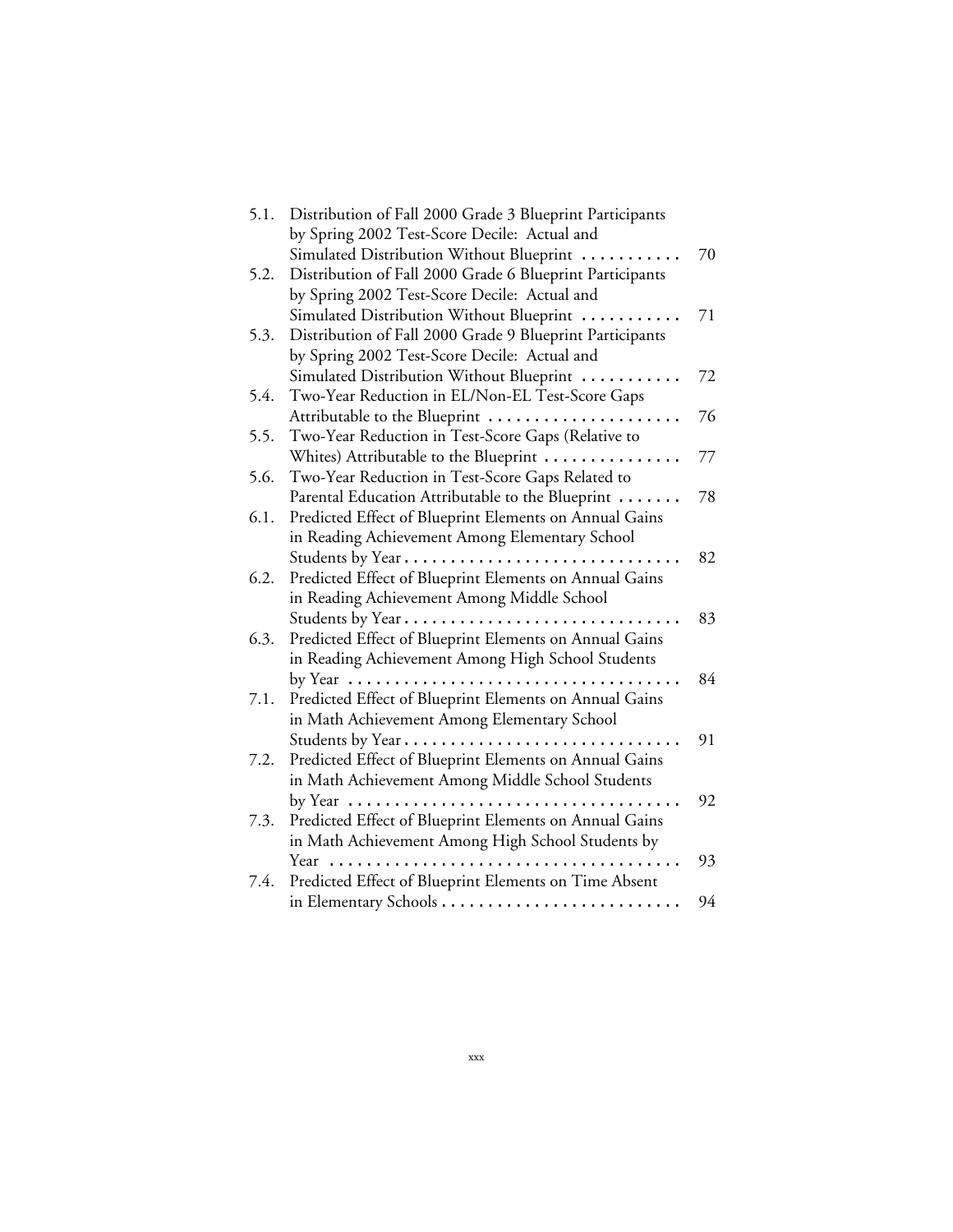| 5.1. | Distribution of Fall 2000 Grade 3 Blueprint Participants                               |    |
|------|----------------------------------------------------------------------------------------|----|
|      | by Spring 2002 Test-Score Decile: Actual and                                           |    |
|      | Simulated Distribution Without Blueprint                                               | 70 |
| 5.2. | Distribution of Fall 2000 Grade 6 Blueprint Participants                               |    |
|      | by Spring 2002 Test-Score Decile: Actual and                                           |    |
|      | Simulated Distribution Without Blueprint                                               | 71 |
| 5.3. | Distribution of Fall 2000 Grade 9 Blueprint Participants                               |    |
|      | by Spring 2002 Test-Score Decile: Actual and                                           |    |
|      | Simulated Distribution Without Blueprint                                               | 72 |
| 5.4. | Two-Year Reduction in EL/Non-EL Test-Score Gaps                                        |    |
|      | Attributable to the Blueprint                                                          | 76 |
| 5.5. | Two-Year Reduction in Test-Score Gaps (Relative to                                     |    |
|      | Whites) Attributable to the Blueprint                                                  | 77 |
| 5.6. | Two-Year Reduction in Test-Score Gaps Related to                                       |    |
|      | Parental Education Attributable to the Blueprint                                       | 78 |
| 6.1. | Predicted Effect of Blueprint Elements on Annual Gains                                 |    |
|      | in Reading Achievement Among Elementary School                                         |    |
|      |                                                                                        | 82 |
| 6.2. | Predicted Effect of Blueprint Elements on Annual Gains                                 |    |
|      | in Reading Achievement Among Middle School                                             |    |
|      | Students by Year                                                                       | 83 |
| 6.3. | Predicted Effect of Blueprint Elements on Annual Gains                                 |    |
|      | in Reading Achievement Among High School Students                                      |    |
|      | by Year $\dots\dots\dots\dots\dots\dots\dots\dots\dots\dots\dots\dots$                 | 84 |
| 7.1. | Predicted Effect of Blueprint Elements on Annual Gains                                 |    |
|      | in Math Achievement Among Elementary School                                            |    |
|      | Students by Year                                                                       | 91 |
| 7.2. | Predicted Effect of Blueprint Elements on Annual Gains                                 |    |
|      | in Math Achievement Among Middle School Students                                       |    |
|      | by Year $\ldots \ldots \ldots \ldots \ldots \ldots \ldots \ldots \ldots \ldots \ldots$ | 92 |
| 7.3. | Predicted Effect of Blueprint Elements on Annual Gains                                 |    |
|      | in Math Achievement Among High School Students by                                      |    |
|      | Year                                                                                   | 93 |
| 7.4. | Predicted Effect of Blueprint Elements on Time Absent                                  |    |
|      |                                                                                        | 94 |
|      |                                                                                        |    |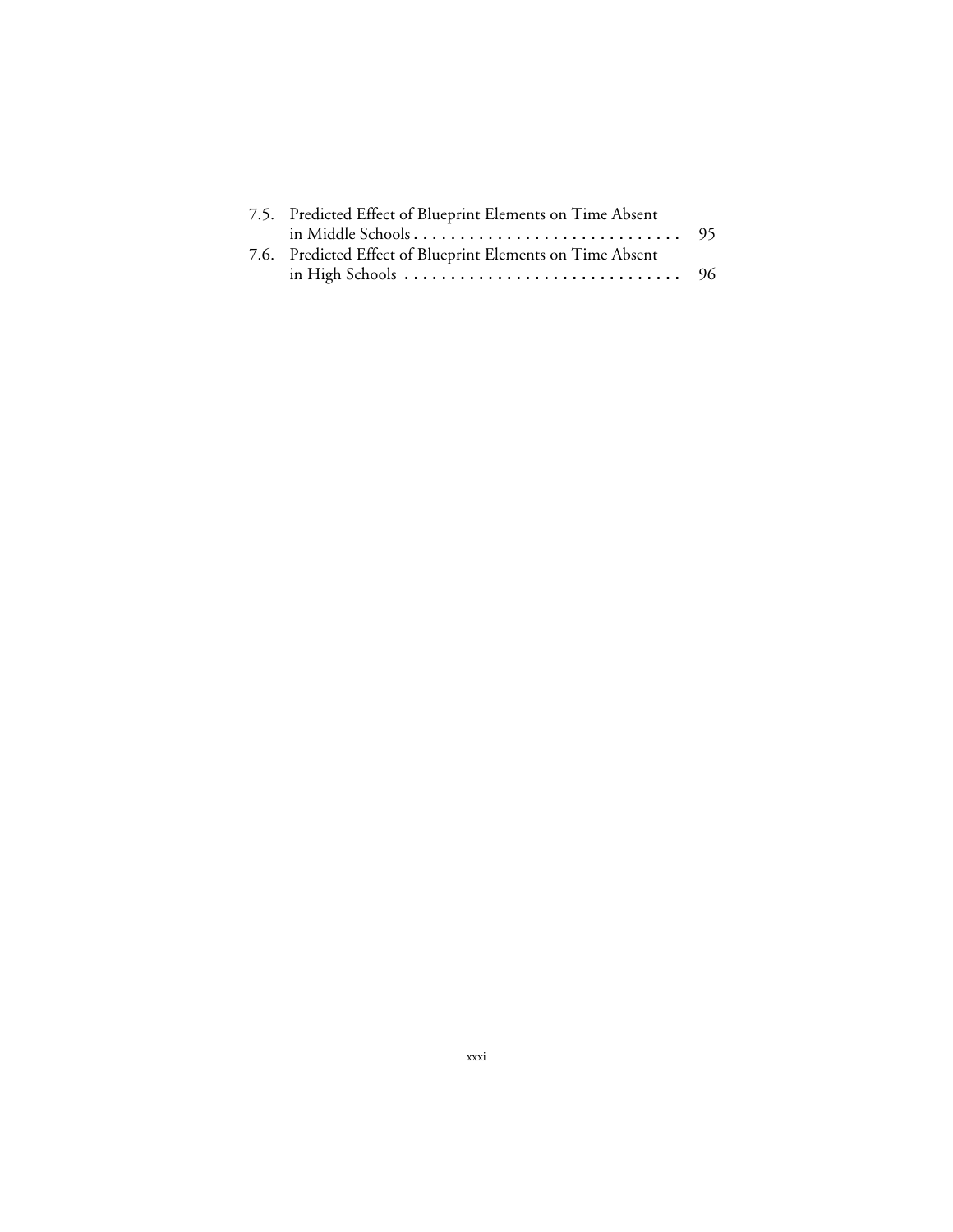| 7.5. Predicted Effect of Blueprint Elements on Time Absent                          |  |
|-------------------------------------------------------------------------------------|--|
|                                                                                     |  |
| 7.6. Predicted Effect of Blueprint Elements on Time Absent                          |  |
| in High Schools $\ldots \ldots \ldots \ldots \ldots \ldots \ldots \ldots \ldots$ 96 |  |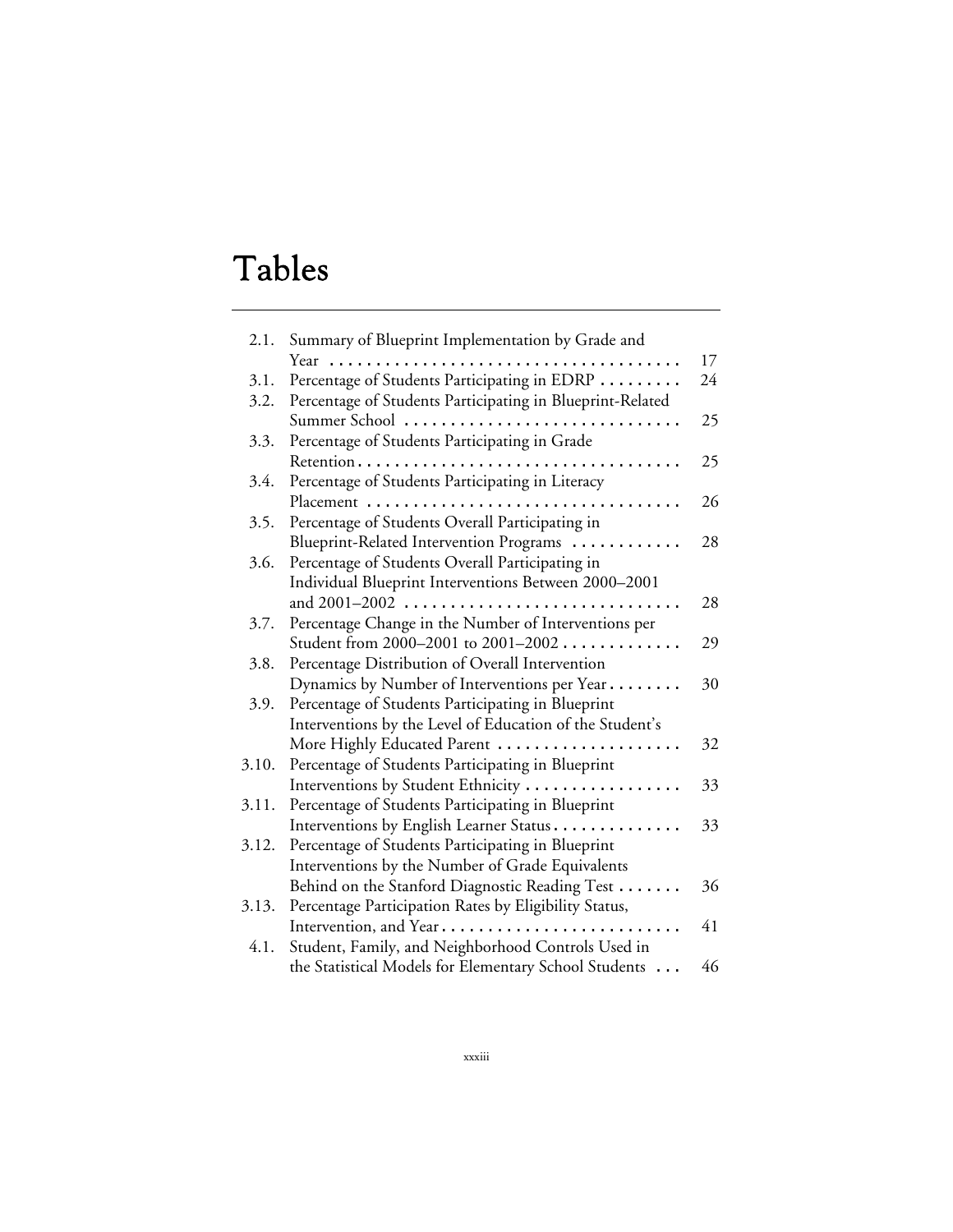# Tables

| 2.1.  | Summary of Blueprint Implementation by Grade and          |    |
|-------|-----------------------------------------------------------|----|
|       | Year                                                      | 17 |
| 3.1.  | Percentage of Students Participating in EDRP              | 24 |
| 3.2.  | Percentage of Students Participating in Blueprint-Related |    |
|       | Summer School<br>.                                        | 25 |
| 3.3.  | Percentage of Students Participating in Grade             |    |
|       | Retention                                                 | 25 |
| 3.4.  | Percentage of Students Participating in Literacy          |    |
|       | Placement                                                 | 26 |
| 3.5.  | Percentage of Students Overall Participating in           |    |
|       | Blueprint-Related Intervention Programs                   | 28 |
| 3.6.  | Percentage of Students Overall Participating in           |    |
|       | Individual Blueprint Interventions Between 2000-2001      |    |
|       |                                                           | 28 |
| 3.7.  | Percentage Change in the Number of Interventions per      |    |
|       | Student from 2000–2001 to 2001–2002                       | 29 |
| 3.8.  | Percentage Distribution of Overall Intervention           |    |
|       | Dynamics by Number of Interventions per Year              | 30 |
| 3.9.  | Percentage of Students Participating in Blueprint         |    |
|       | Interventions by the Level of Education of the Student's  |    |
|       | More Highly Educated Parent                               | 32 |
| 3.10. | Percentage of Students Participating in Blueprint         |    |
|       | Interventions by Student Ethnicity                        | 33 |
| 3.11. | Percentage of Students Participating in Blueprint         |    |
|       | Interventions by English Learner Status                   | 33 |
| 3.12. | Percentage of Students Participating in Blueprint         |    |
|       | Interventions by the Number of Grade Equivalents          |    |
|       | Behind on the Stanford Diagnostic Reading Test            | 36 |
| 3.13. | Percentage Participation Rates by Eligibility Status,     |    |
|       | Intervention, and Year                                    | 41 |
| 4.1.  | Student, Family, and Neighborhood Controls Used in        |    |
|       | the Statistical Models for Elementary School Students     | 46 |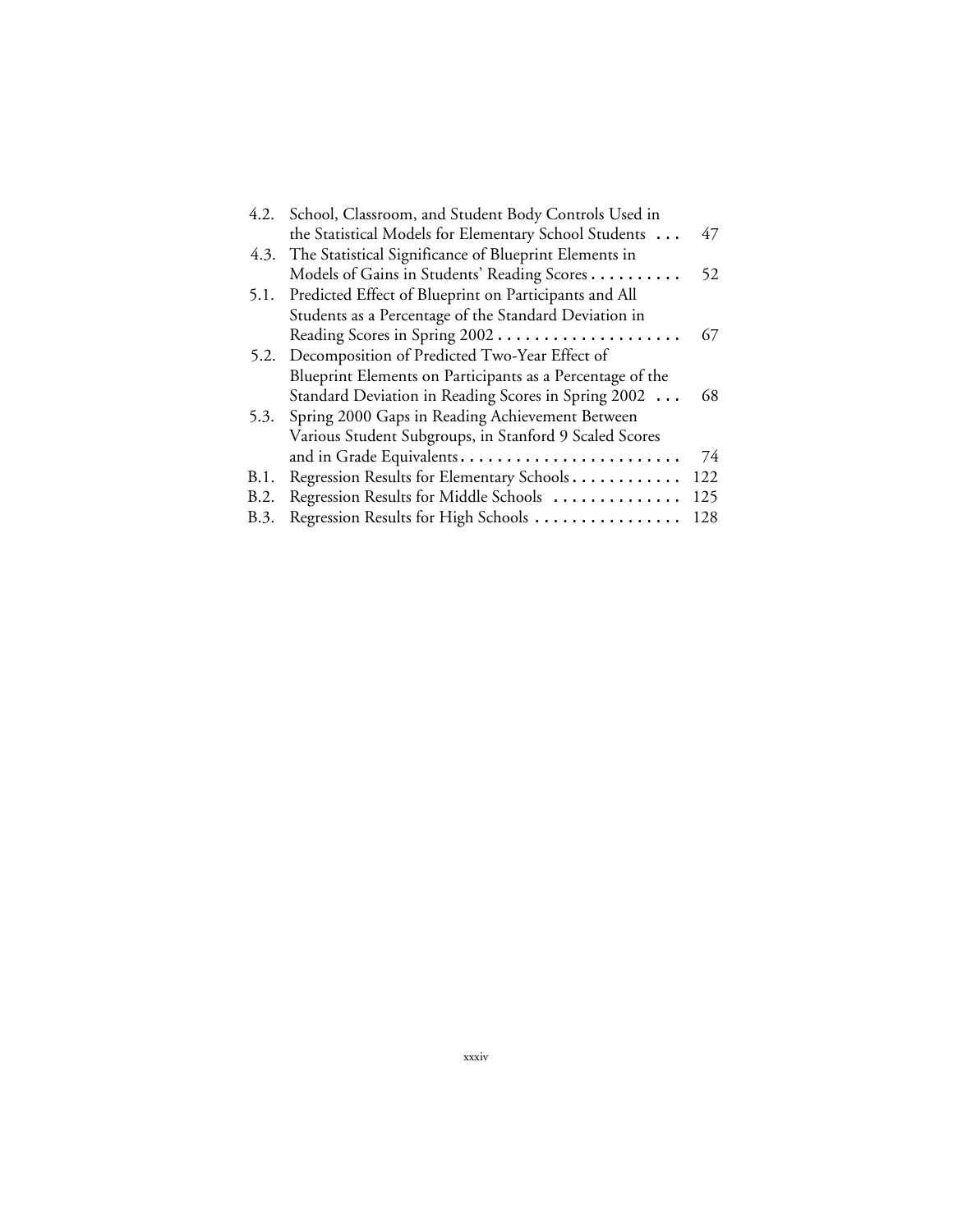| 4.2. | School, Classroom, and Student Body Controls Used in       |     |
|------|------------------------------------------------------------|-----|
|      | the Statistical Models for Elementary School Students      | 47  |
|      | 4.3. The Statistical Significance of Blueprint Elements in |     |
|      | Models of Gains in Students' Reading Scores                | 52  |
| 5.1. | Predicted Effect of Blueprint on Participants and All      |     |
|      | Students as a Percentage of the Standard Deviation in      |     |
|      | Reading Scores in Spring 2002                              | 67  |
|      | 5.2. Decomposition of Predicted Two-Year Effect of         |     |
|      | Blueprint Elements on Participants as a Percentage of the  |     |
|      | Standard Deviation in Reading Scores in Spring 2002        | 68  |
| 5.3. | Spring 2000 Gaps in Reading Achievement Between            |     |
|      | Various Student Subgroups, in Stanford 9 Scaled Scores     |     |
|      | and in Grade Equivalents                                   | 74  |
| B.1. | Regression Results for Elementary Schools                  | 122 |
| B.2. | Regression Results for Middle Schools                      | 125 |
| B.3. | Regression Results for High Schools                        | 128 |
|      |                                                            |     |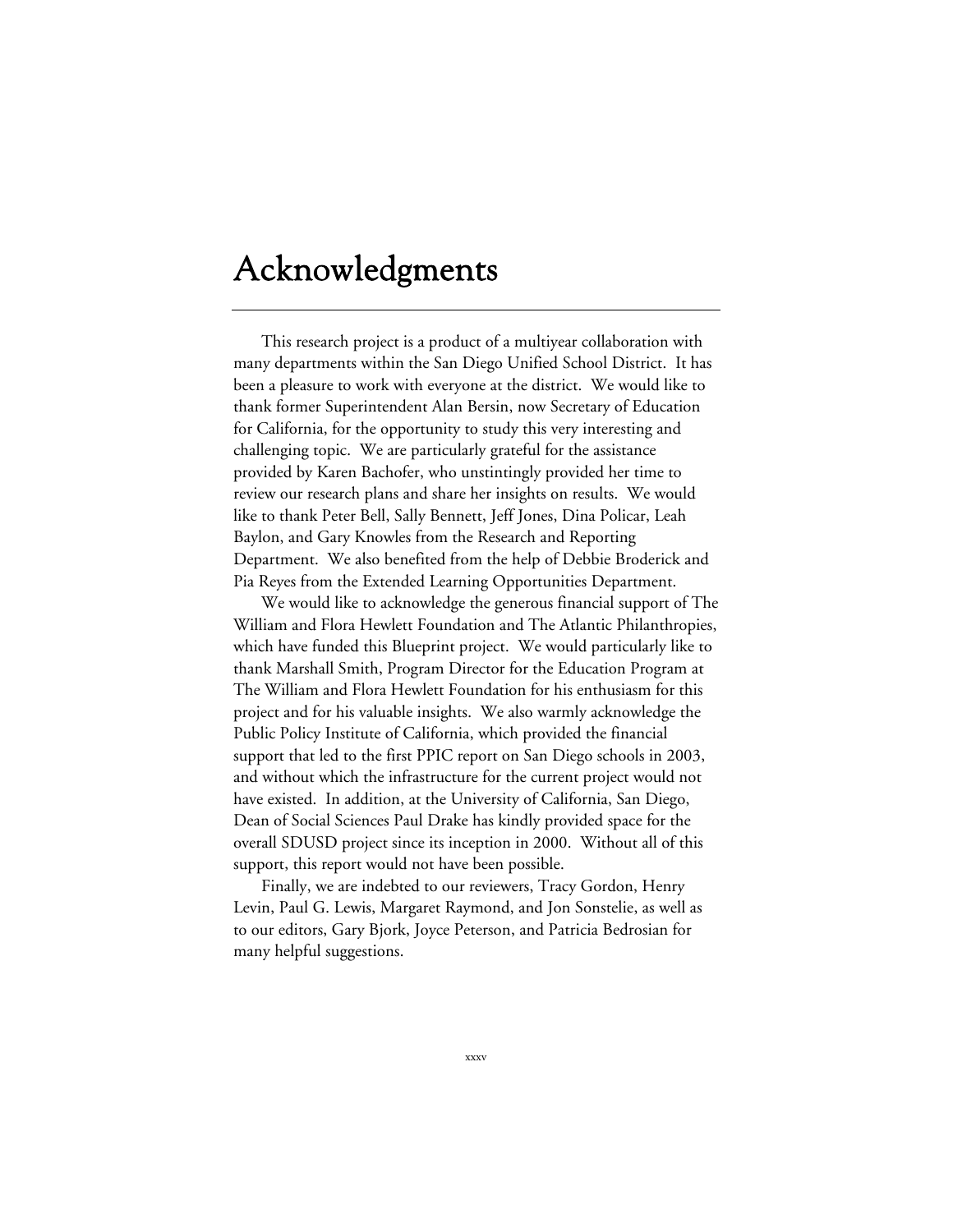# Acknowledgments

This research project is a product of a multiyear collaboration with many departments within the San Diego Unified School District. It has been a pleasure to work with everyone at the district. We would like to thank former Superintendent Alan Bersin, now Secretary of Education for California, for the opportunity to study this very interesting and challenging topic. We are particularly grateful for the assistance provided by Karen Bachofer, who unstintingly provided her time to review our research plans and share her insights on results. We would like to thank Peter Bell, Sally Bennett, Jeff Jones, Dina Policar, Leah Baylon, and Gary Knowles from the Research and Reporting Department. We also benefited from the help of Debbie Broderick and Pia Reyes from the Extended Learning Opportunities Department.

We would like to acknowledge the generous financial support of The William and Flora Hewlett Foundation and The Atlantic Philanthropies, which have funded this Blueprint project. We would particularly like to thank Marshall Smith, Program Director for the Education Program at The William and Flora Hewlett Foundation for his enthusiasm for this project and for his valuable insights. We also warmly acknowledge the Public Policy Institute of California, which provided the financial support that led to the first PPIC report on San Diego schools in 2003, and without which the infrastructure for the current project would not have existed. In addition, at the University of California, San Diego, Dean of Social Sciences Paul Drake has kindly provided space for the overall SDUSD project since its inception in 2000. Without all of this support, this report would not have been possible.

Finally, we are indebted to our reviewers, Tracy Gordon, Henry Levin, Paul G. Lewis, Margaret Raymond, and Jon Sonstelie, as well as to our editors, Gary Bjork, Joyce Peterson, and Patricia Bedrosian for many helpful suggestions.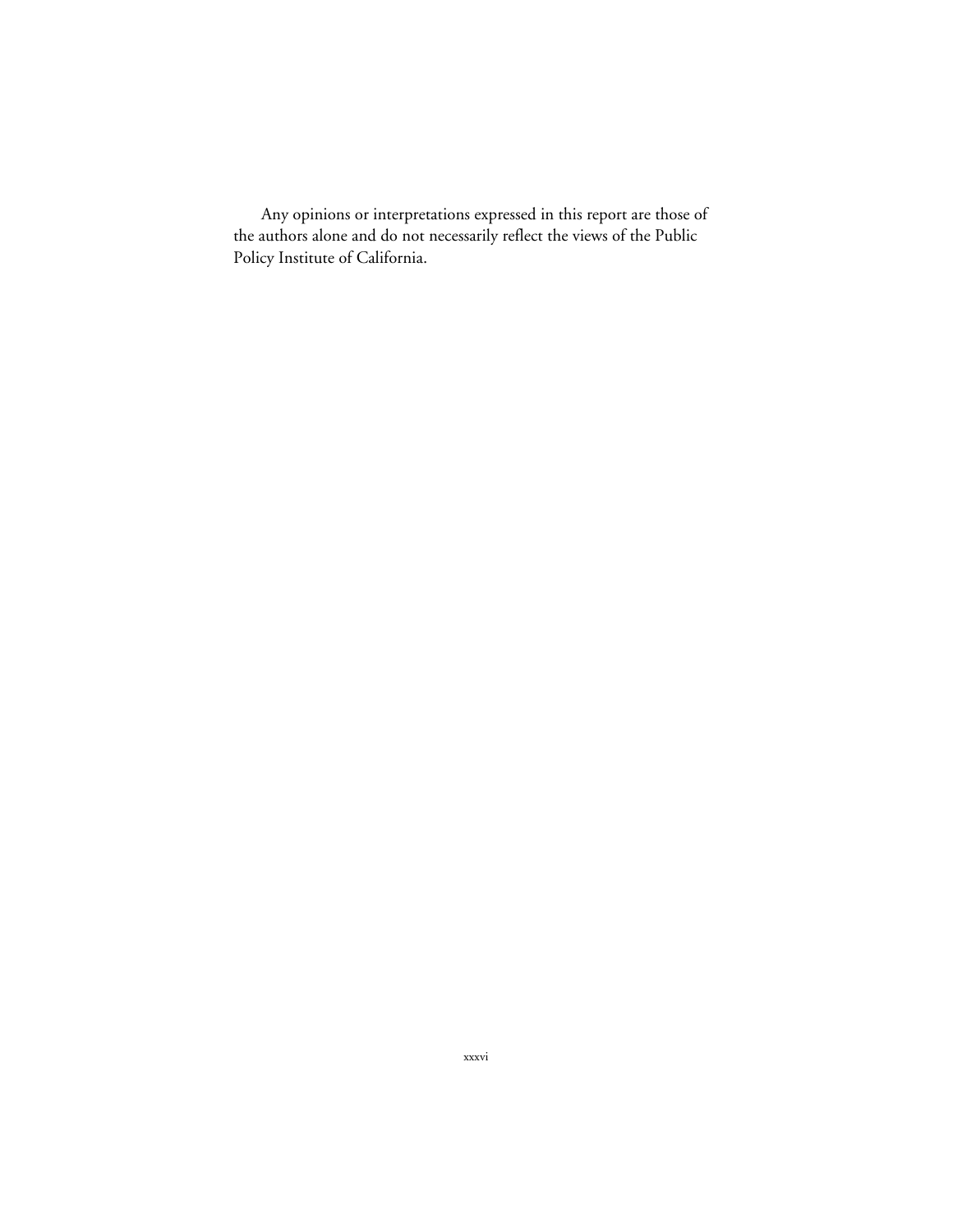Any opinions or interpretations expressed in this report are those of the authors alone and do not necessarily reflect the views of the Public Policy Institute of California.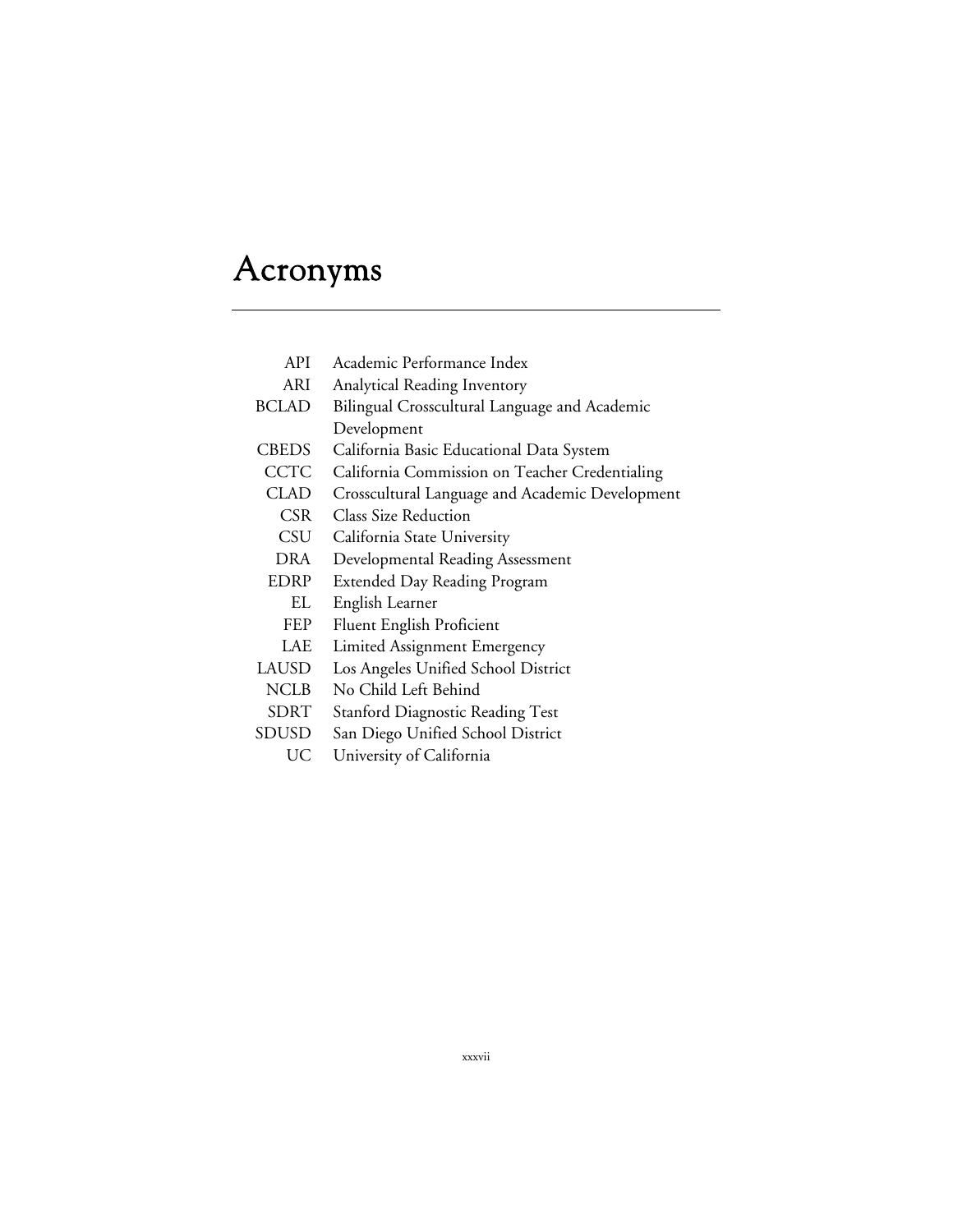# Acronyms

- API Academic Performance Index
- ARI Analytical Reading Inventory
- BCLAD Bilingual Crosscultural Language and Academic Development
- CBEDS California Basic Educational Data System
- CCTC California Commission on Teacher Credentialing
- CLAD Crosscultural Language and Academic Development
- CSR Class Size Reduction
- CSU California State University
- DRA Developmental Reading Assessment
- EDRP Extended Day Reading Program
	- EL English Learner
	- FEP Fluent English Proficient
- LAE Limited Assignment Emergency
- LAUSD Los Angeles Unified School District
- NCLB No Child Left Behind
- SDRT Stanford Diagnostic Reading Test
- SDUSD San Diego Unified School District
	- UC University of California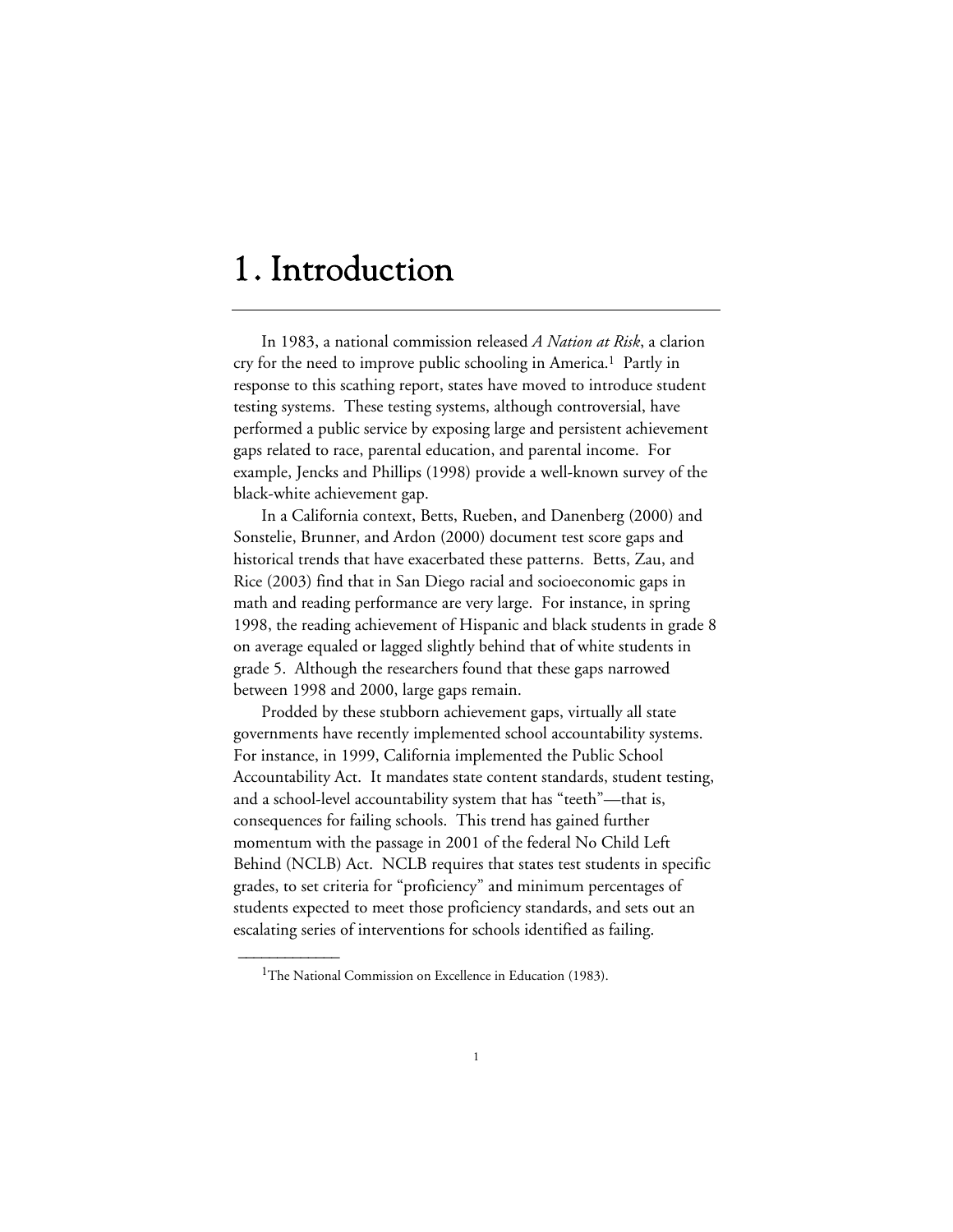# 1. Introduction

In 1983, a national commission released *A Nation at Risk*, a clarion cry for the need to improve public schooling in America.1 Partly in response to this scathing report, states have moved to introduce student testing systems. These testing systems, although controversial, have performed a public service by exposing large and persistent achievement gaps related to race, parental education, and parental income. For example, Jencks and Phillips (1998) provide a well-known survey of the black-white achievement gap.

In a California context, Betts, Rueben, and Danenberg (2000) and Sonstelie, Brunner, and Ardon (2000) document test score gaps and historical trends that have exacerbated these patterns. Betts, Zau, and Rice (2003) find that in San Diego racial and socioeconomic gaps in math and reading performance are very large. For instance, in spring 1998, the reading achievement of Hispanic and black students in grade 8 on average equaled or lagged slightly behind that of white students in grade 5. Although the researchers found that these gaps narrowed between 1998 and 2000, large gaps remain.

Prodded by these stubborn achievement gaps, virtually all state governments have recently implemented school accountability systems. For instance, in 1999, California implemented the Public School Accountability Act. It mandates state content standards, student testing, and a school-level accountability system that has "teeth"—that is, consequences for failing schools. This trend has gained further momentum with the passage in 2001 of the federal No Child Left Behind (NCLB) Act. NCLB requires that states test students in specific grades, to set criteria for "proficiency" and minimum percentages of students expected to meet those proficiency standards, and sets out an escalating series of interventions for schools identified as failing.

<sup>&</sup>lt;sup>1</sup>The National Commission on Excellence in Education (1983).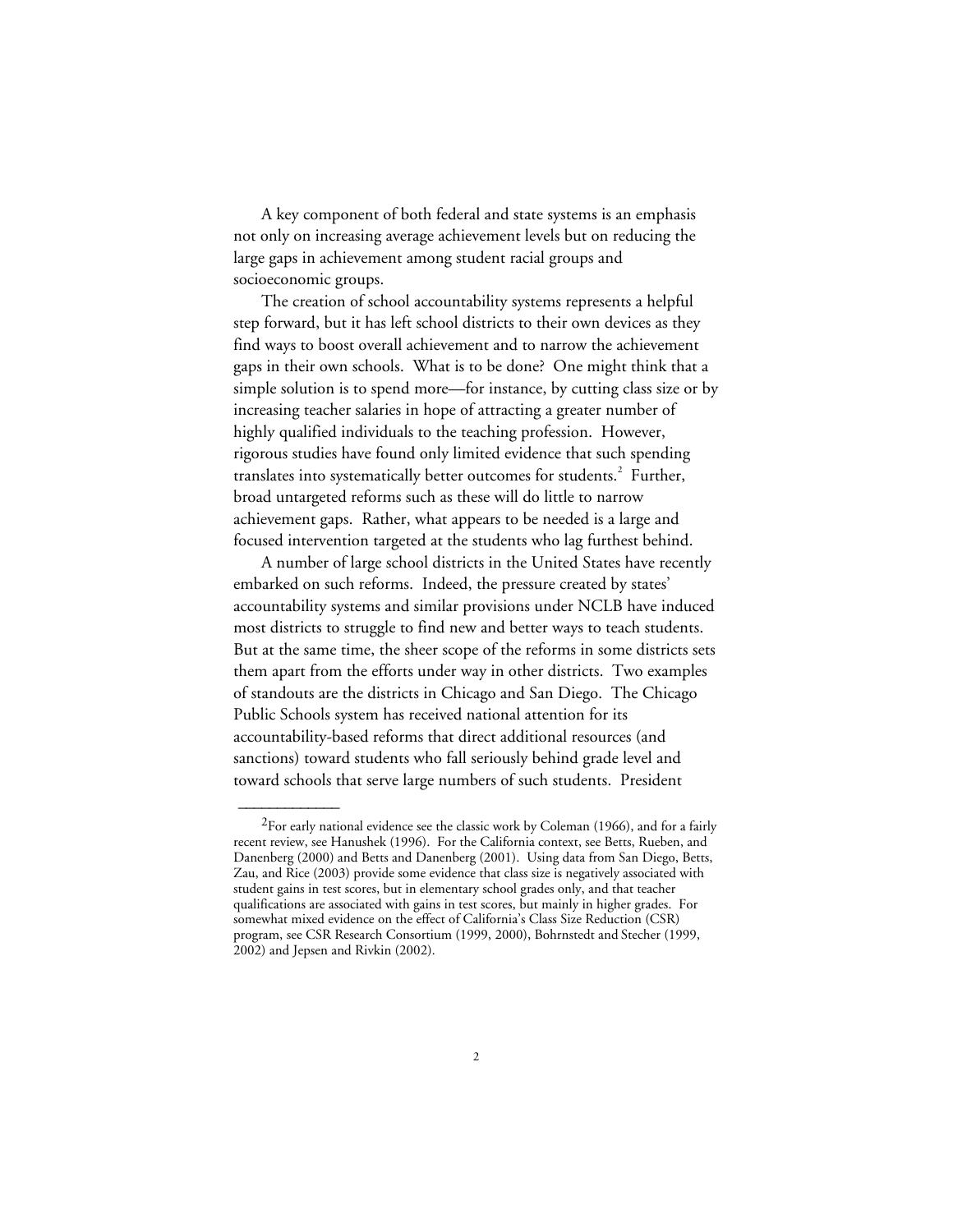A key component of both federal and state systems is an emphasis not only on increasing average achievement levels but on reducing the large gaps in achievement among student racial groups and socioeconomic groups.

The creation of school accountability systems represents a helpful step forward, but it has left school districts to their own devices as they find ways to boost overall achievement and to narrow the achievement gaps in their own schools. What is to be done? One might think that a simple solution is to spend more—for instance, by cutting class size or by increasing teacher salaries in hope of attracting a greater number of highly qualified individuals to the teaching profession. However, rigorous studies have found only limited evidence that such spending translates into systematically better outcomes for students.<sup>2</sup> Further, broad untargeted reforms such as these will do little to narrow achievement gaps. Rather, what appears to be needed is a large and focused intervention targeted at the students who lag furthest behind.

A number of large school districts in the United States have recently embarked on such reforms. Indeed, the pressure created by states' accountability systems and similar provisions under NCLB have induced most districts to struggle to find new and better ways to teach students. But at the same time, the sheer scope of the reforms in some districts sets them apart from the efforts under way in other districts. Two examples of standouts are the districts in Chicago and San Diego. The Chicago Public Schools system has received national attention for its accountability-based reforms that direct additional resources (and sanctions) toward students who fall seriously behind grade level and toward schools that serve large numbers of such students. President

 $^{2}$ For early national evidence see the classic work by Coleman (1966), and for a fairly recent review, see Hanushek (1996). For the California context, see Betts, Rueben, and Danenberg (2000) and Betts and Danenberg (2001). Using data from San Diego, Betts, Zau, and Rice (2003) provide some evidence that class size is negatively associated with student gains in test scores, but in elementary school grades only, and that teacher qualifications are associated with gains in test scores, but mainly in higher grades. For somewhat mixed evidence on the effect of California's Class Size Reduction (CSR) program, see CSR Research Consortium (1999, 2000), Bohrnstedt and Stecher (1999, 2002) and Jepsen and Rivkin (2002).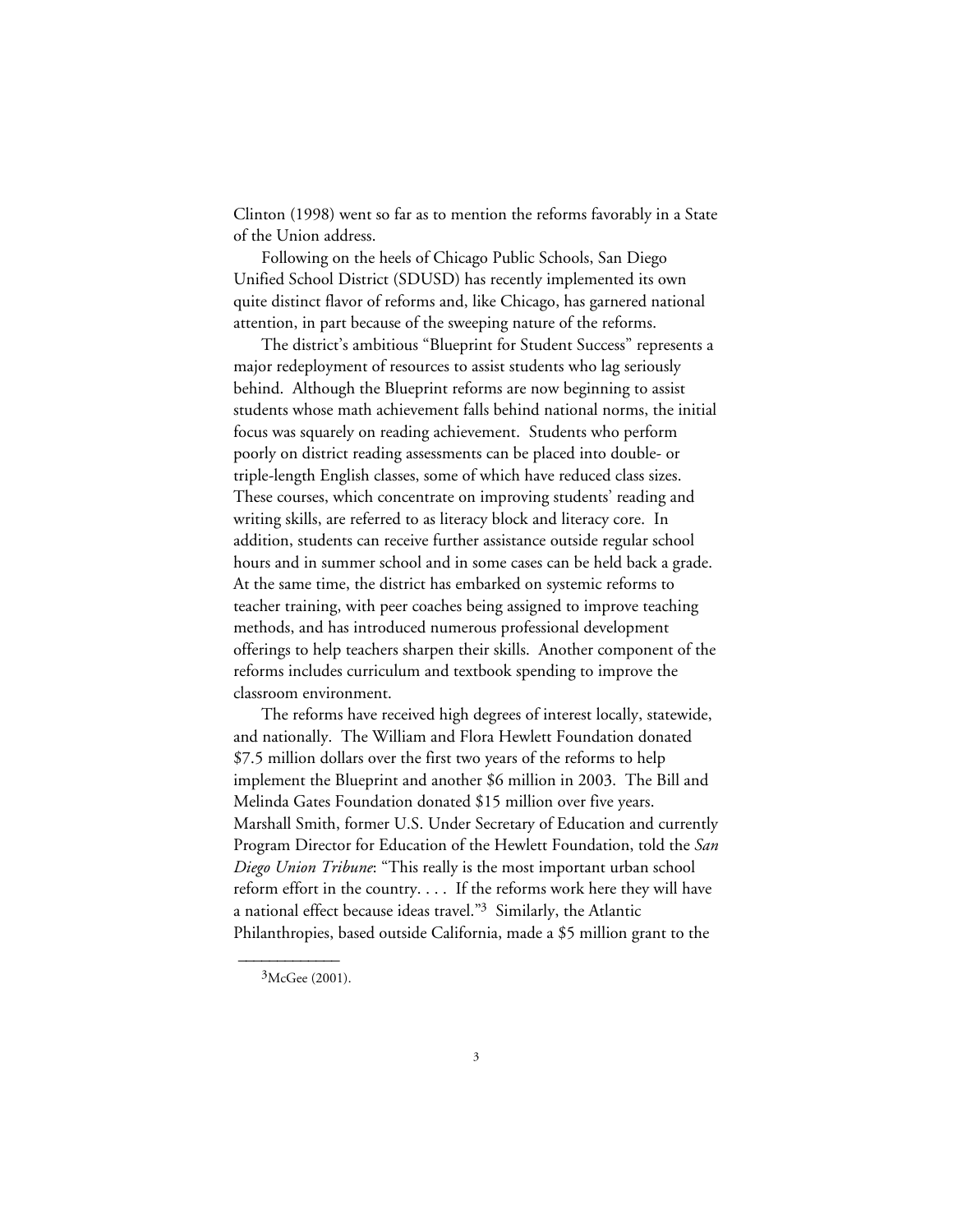Clinton (1998) went so far as to mention the reforms favorably in a State of the Union address.

Following on the heels of Chicago Public Schools, San Diego Unified School District (SDUSD) has recently implemented its own quite distinct flavor of reforms and, like Chicago, has garnered national attention, in part because of the sweeping nature of the reforms.

The district's ambitious "Blueprint for Student Success" represents a major redeployment of resources to assist students who lag seriously behind. Although the Blueprint reforms are now beginning to assist students whose math achievement falls behind national norms, the initial focus was squarely on reading achievement. Students who perform poorly on district reading assessments can be placed into double- or triple-length English classes, some of which have reduced class sizes. These courses, which concentrate on improving students' reading and writing skills, are referred to as literacy block and literacy core. In addition, students can receive further assistance outside regular school hours and in summer school and in some cases can be held back a grade. At the same time, the district has embarked on systemic reforms to teacher training, with peer coaches being assigned to improve teaching methods, and has introduced numerous professional development offerings to help teachers sharpen their skills. Another component of the reforms includes curriculum and textbook spending to improve the classroom environment.

The reforms have received high degrees of interest locally, statewide, and nationally. The William and Flora Hewlett Foundation donated \$7.5 million dollars over the first two years of the reforms to help implement the Blueprint and another \$6 million in 2003. The Bill and Melinda Gates Foundation donated \$15 million over five years. Marshall Smith, former U.S. Under Secretary of Education and currently Program Director for Education of the Hewlett Foundation, told the *San Diego Union Tribune*: "This really is the most important urban school reform effort in the country. . . . If the reforms work here they will have a national effect because ideas travel."3 Similarly, the Atlantic Philanthropies, based outside California, made a \$5 million grant to the

 ${}^{3}$ McGee (2001).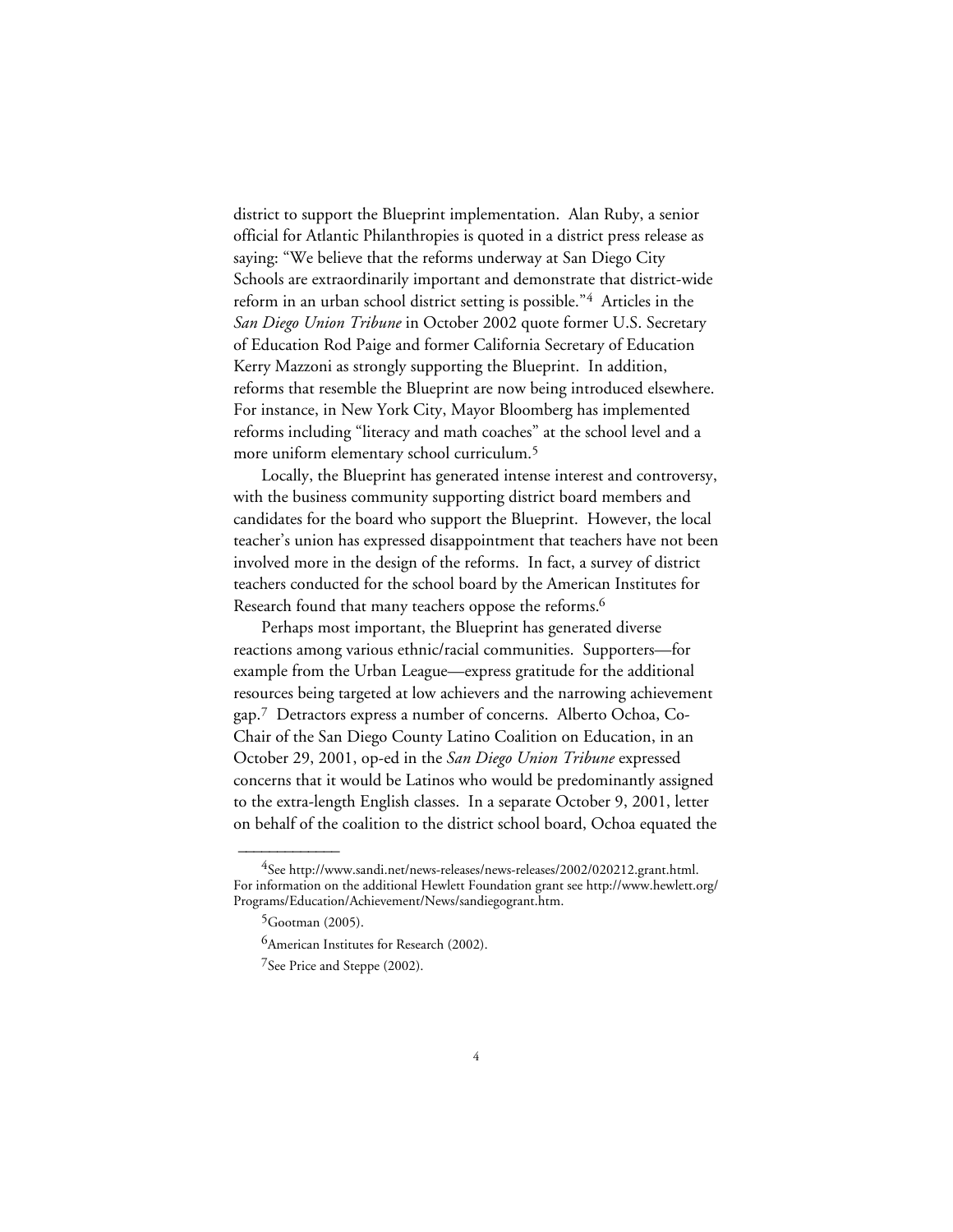district to support the Blueprint implementation. Alan Ruby, a senior official for Atlantic Philanthropies is quoted in a district press release as saying: "We believe that the reforms underway at San Diego City Schools are extraordinarily important and demonstrate that district-wide reform in an urban school district setting is possible."4 Articles in the *San Diego Union Tribune* in October 2002 quote former U.S. Secretary of Education Rod Paige and former California Secretary of Education Kerry Mazzoni as strongly supporting the Blueprint. In addition, reforms that resemble the Blueprint are now being introduced elsewhere. For instance, in New York City, Mayor Bloomberg has implemented reforms including "literacy and math coaches" at the school level and a more uniform elementary school curriculum.5

Locally, the Blueprint has generated intense interest and controversy, with the business community supporting district board members and candidates for the board who support the Blueprint. However, the local teacher's union has expressed disappointment that teachers have not been involved more in the design of the reforms. In fact, a survey of district teachers conducted for the school board by the American Institutes for Research found that many teachers oppose the reforms.<sup>6</sup>

Perhaps most important, the Blueprint has generated diverse reactions among various ethnic/racial communities. Supporters—for example from the Urban League—express gratitude for the additional resources being targeted at low achievers and the narrowing achievement gap.7 Detractors express a number of concerns. Alberto Ochoa, Co-Chair of the San Diego County Latino Coalition on Education, in an October 29, 2001, op-ed in the *San Diego Union Tribune* expressed concerns that it would be Latinos who would be predominantly assigned to the extra-length English classes. In a separate October 9, 2001, letter on behalf of the coalition to the district school board, Ochoa equated the

<sup>&</sup>lt;sup>4</sup>See http://www.sandi.net/news-releases/news-releases/2002/020212.grant.html. For information on the additional Hewlett Foundation grant see http://www.hewlett.org/ Programs/Education/Achievement/News/sandiegogrant.htm.

 $5$ Gootman (2005).

<sup>&</sup>lt;sup>6</sup>American Institutes for Research (2002).

<sup>7</sup>See Price and Steppe (2002).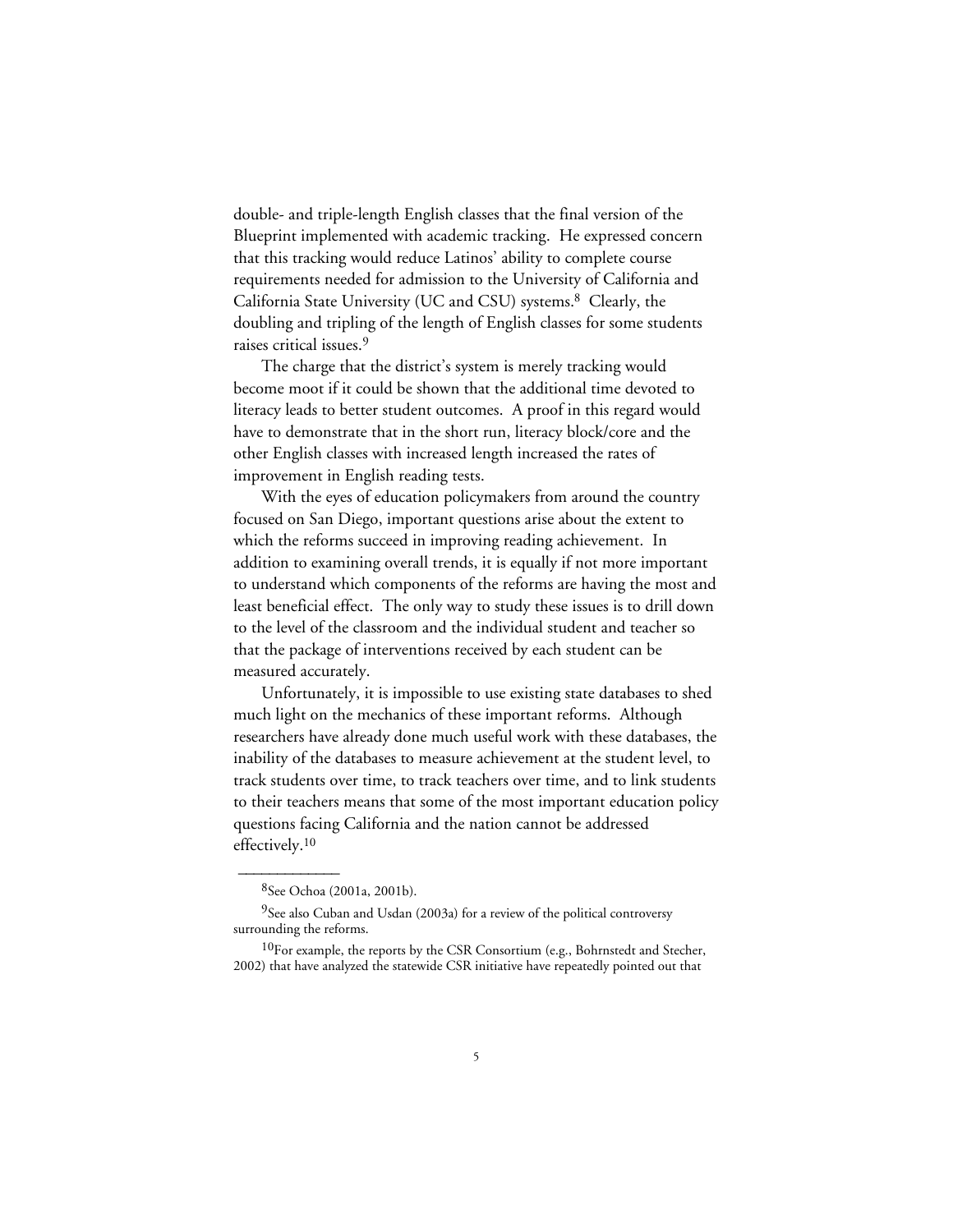double- and triple-length English classes that the final version of the Blueprint implemented with academic tracking. He expressed concern that this tracking would reduce Latinos' ability to complete course requirements needed for admission to the University of California and California State University (UC and CSU) systems.8 Clearly, the doubling and tripling of the length of English classes for some students raises critical issues.9

The charge that the district's system is merely tracking would become moot if it could be shown that the additional time devoted to literacy leads to better student outcomes. A proof in this regard would have to demonstrate that in the short run, literacy block/core and the other English classes with increased length increased the rates of improvement in English reading tests.

With the eyes of education policymakers from around the country focused on San Diego, important questions arise about the extent to which the reforms succeed in improving reading achievement. In addition to examining overall trends, it is equally if not more important to understand which components of the reforms are having the most and least beneficial effect. The only way to study these issues is to drill down to the level of the classroom and the individual student and teacher so that the package of interventions received by each student can be measured accurately.

Unfortunately, it is impossible to use existing state databases to shed much light on the mechanics of these important reforms. Although researchers have already done much useful work with these databases, the inability of the databases to measure achievement at the student level, to track students over time, to track teachers over time, and to link students to their teachers means that some of the most important education policy questions facing California and the nation cannot be addressed effectively.10

<sup>8</sup>See Ochoa (2001a, 2001b).

<sup>&</sup>lt;sup>9</sup>See also Cuban and Usdan (2003a) for a review of the political controversy surrounding the reforms.

 $10$ For example, the reports by the CSR Consortium (e.g., Bohrnstedt and Stecher, 2002) that have analyzed the statewide CSR initiative have repeatedly pointed out that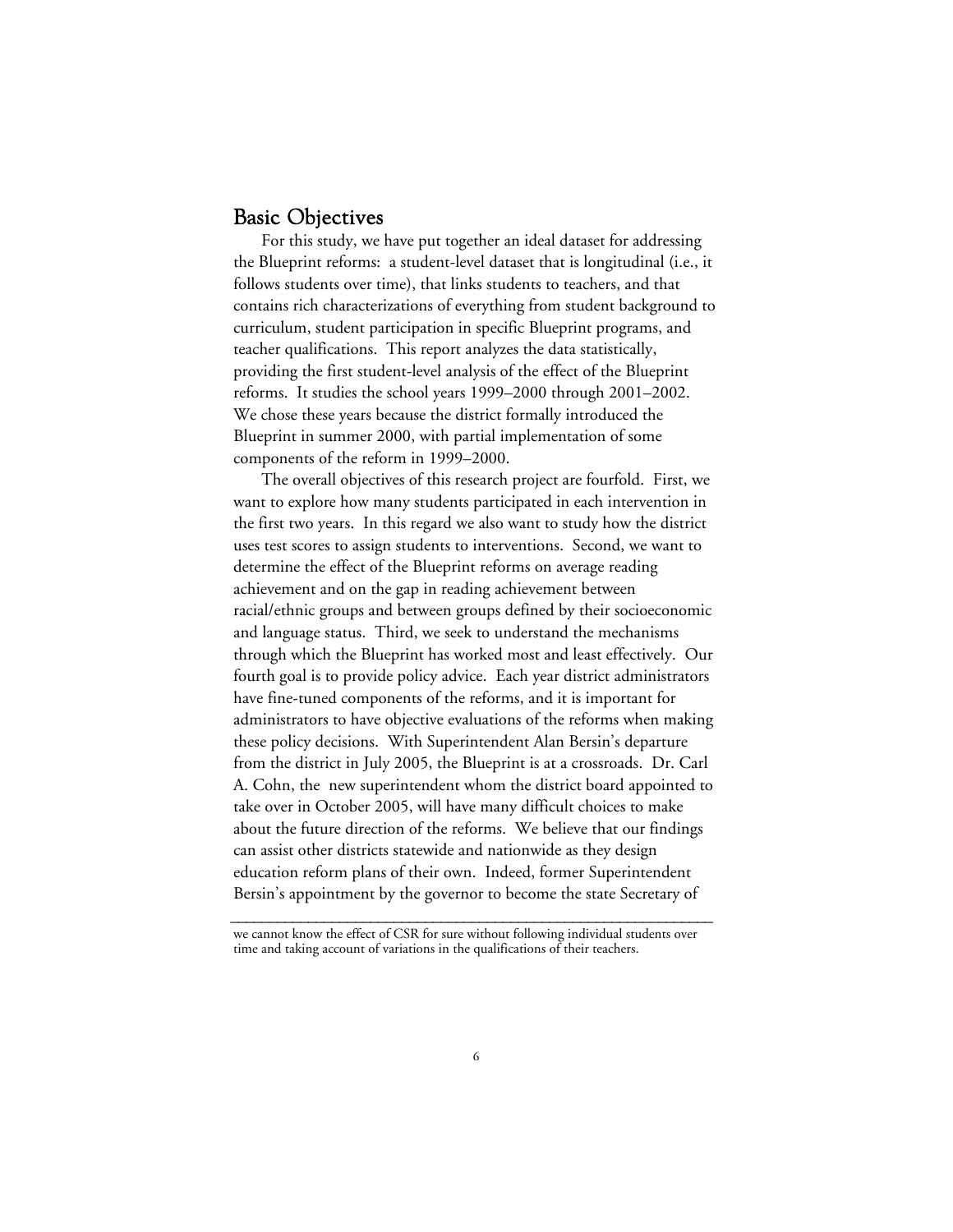## Basic Objectives

For this study, we have put together an ideal dataset for addressing the Blueprint reforms: a student-level dataset that is longitudinal (i.e., it follows students over time), that links students to teachers, and that contains rich characterizations of everything from student background to curriculum, student participation in specific Blueprint programs, and teacher qualifications. This report analyzes the data statistically, providing the first student-level analysis of the effect of the Blueprint reforms. It studies the school years 1999–2000 through 2001–2002. We chose these years because the district formally introduced the Blueprint in summer 2000, with partial implementation of some components of the reform in 1999–2000.

The overall objectives of this research project are fourfold. First, we want to explore how many students participated in each intervention in the first two years. In this regard we also want to study how the district uses test scores to assign students to interventions. Second, we want to determine the effect of the Blueprint reforms on average reading achievement and on the gap in reading achievement between racial/ethnic groups and between groups defined by their socioeconomic and language status. Third, we seek to understand the mechanisms through which the Blueprint has worked most and least effectively. Our fourth goal is to provide policy advice. Each year district administrators have fine-tuned components of the reforms, and it is important for administrators to have objective evaluations of the reforms when making these policy decisions. With Superintendent Alan Bersin's departure from the district in July 2005, the Blueprint is at a crossroads. Dr. Carl A. Cohn, the new superintendent whom the district board appointed to take over in October 2005, will have many difficult choices to make about the future direction of the reforms. We believe that our findings can assist other districts statewide and nationwide as they design education reform plans of their own. Indeed, former Superintendent Bersin's appointment by the governor to become the state Secretary of

**\_\_\_\_\_\_\_\_\_\_\_\_\_\_\_\_\_\_\_\_\_\_\_\_\_\_\_\_\_\_\_\_\_\_\_\_\_\_\_\_\_\_\_\_\_\_\_\_\_\_\_\_\_\_\_\_\_\_\_\_\_\_** we cannot know the effect of CSR for sure without following individual students over time and taking account of variations in the qualifications of their teachers.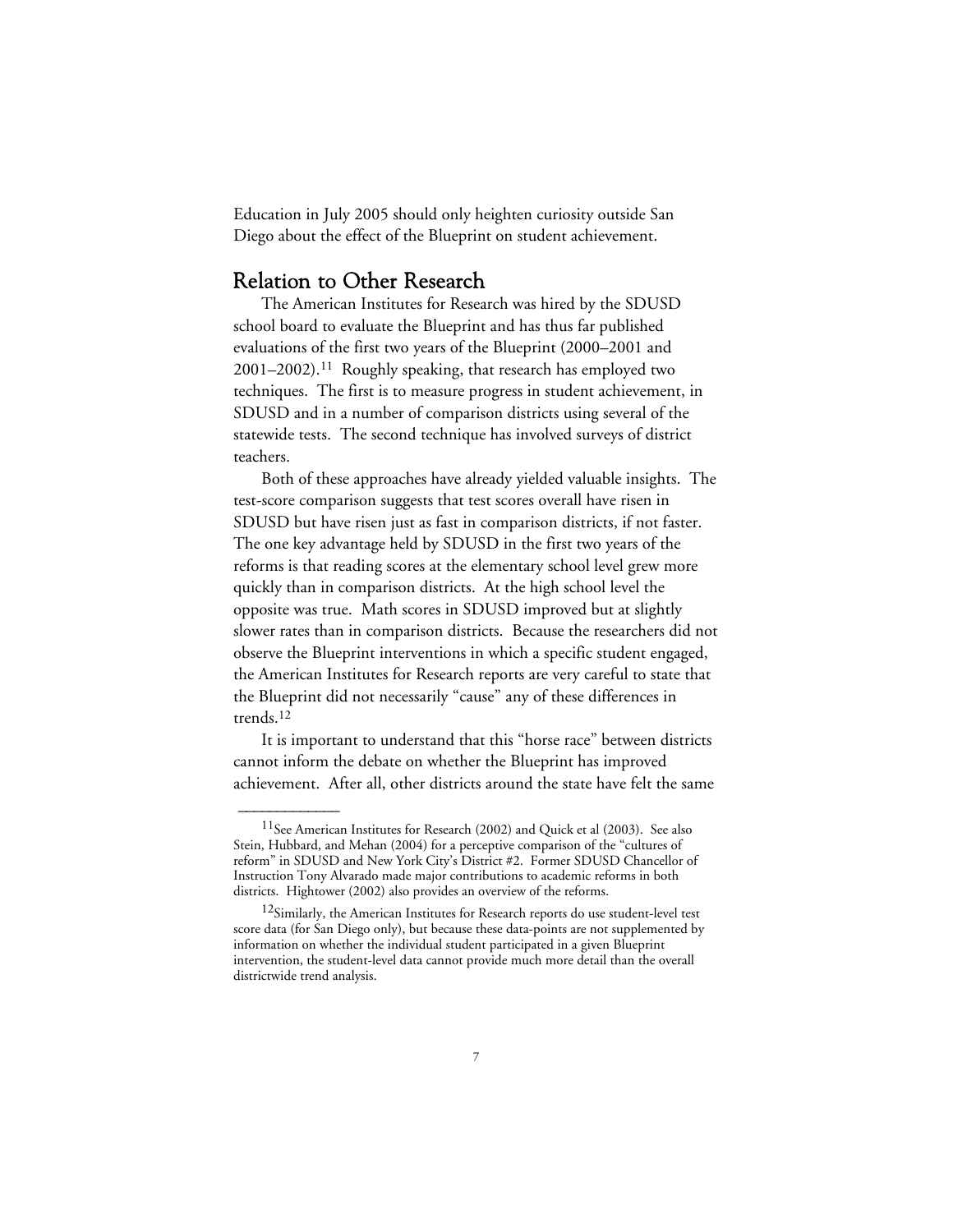Education in July 2005 should only heighten curiosity outside San Diego about the effect of the Blueprint on student achievement.

## Relation to Other Research

 $\overline{\phantom{a}}$ 

The American Institutes for Research was hired by the SDUSD school board to evaluate the Blueprint and has thus far published evaluations of the first two years of the Blueprint (2000–2001 and 2001–2002).11 Roughly speaking, that research has employed two techniques. The first is to measure progress in student achievement, in SDUSD and in a number of comparison districts using several of the statewide tests. The second technique has involved surveys of district teachers.

Both of these approaches have already yielded valuable insights. The test-score comparison suggests that test scores overall have risen in SDUSD but have risen just as fast in comparison districts, if not faster. The one key advantage held by SDUSD in the first two years of the reforms is that reading scores at the elementary school level grew more quickly than in comparison districts. At the high school level the opposite was true. Math scores in SDUSD improved but at slightly slower rates than in comparison districts. Because the researchers did not observe the Blueprint interventions in which a specific student engaged, the American Institutes for Research reports are very careful to state that the Blueprint did not necessarily "cause" any of these differences in trends.12

It is important to understand that this "horse race" between districts cannot inform the debate on whether the Blueprint has improved achievement. After all, other districts around the state have felt the same

<sup>&</sup>lt;sup>11</sup>See American Institutes for Research (2002) and Quick et al (2003). See also Stein, Hubbard, and Mehan (2004) for a perceptive comparison of the "cultures of reform" in SDUSD and New York City's District #2. Former SDUSD Chancellor of Instruction Tony Alvarado made major contributions to academic reforms in both districts. Hightower (2002) also provides an overview of the reforms.

<sup>&</sup>lt;sup>12</sup>Similarly, the American Institutes for Research reports do use student-level test score data (for San Diego only), but because these data-points are not supplemented by information on whether the individual student participated in a given Blueprint intervention, the student-level data cannot provide much more detail than the overall districtwide trend analysis.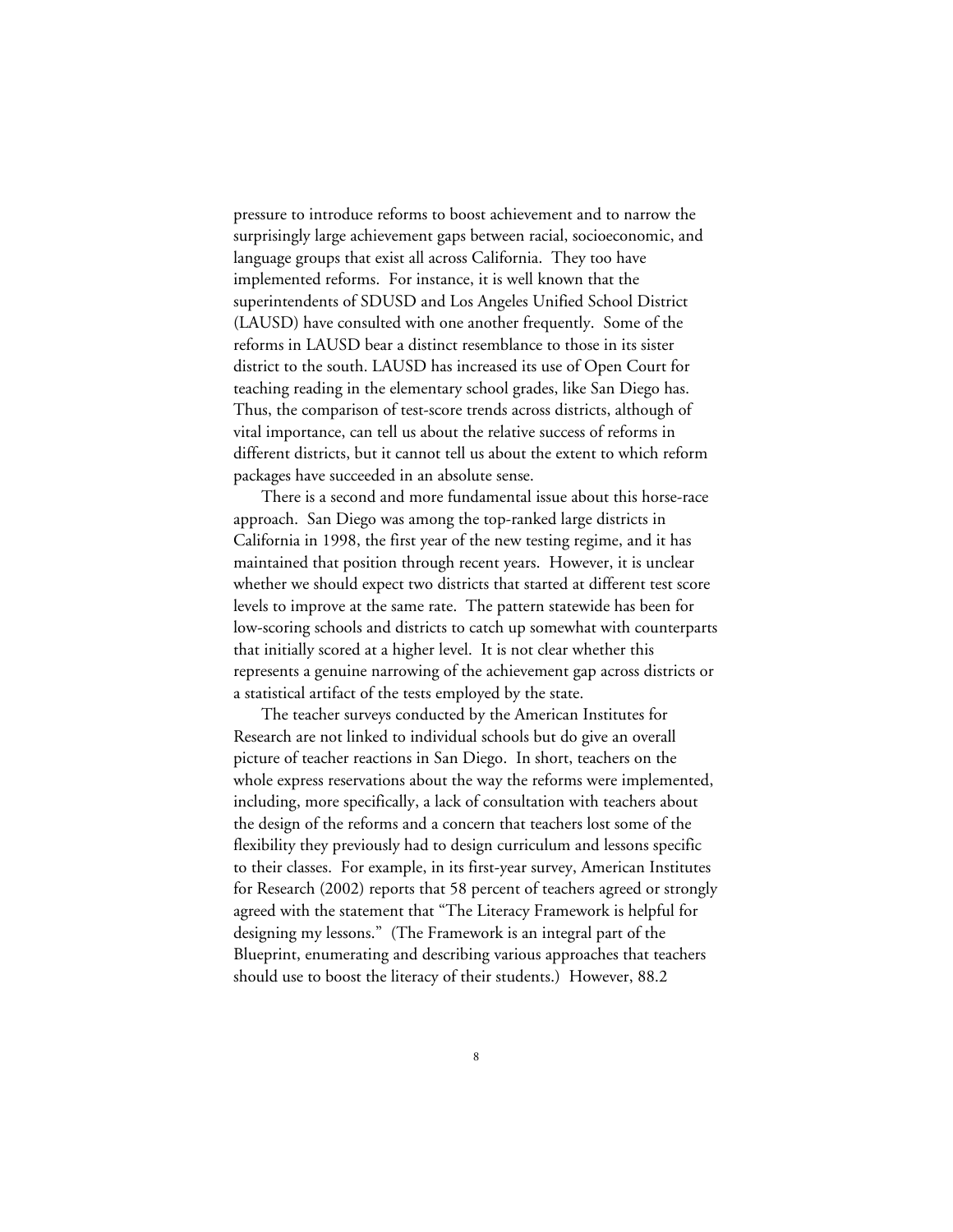pressure to introduce reforms to boost achievement and to narrow the surprisingly large achievement gaps between racial, socioeconomic, and language groups that exist all across California. They too have implemented reforms. For instance, it is well known that the superintendents of SDUSD and Los Angeles Unified School District (LAUSD) have consulted with one another frequently. Some of the reforms in LAUSD bear a distinct resemblance to those in its sister district to the south. LAUSD has increased its use of Open Court for teaching reading in the elementary school grades, like San Diego has. Thus, the comparison of test-score trends across districts, although of vital importance, can tell us about the relative success of reforms in different districts, but it cannot tell us about the extent to which reform packages have succeeded in an absolute sense.

There is a second and more fundamental issue about this horse-race approach. San Diego was among the top-ranked large districts in California in 1998, the first year of the new testing regime, and it has maintained that position through recent years. However, it is unclear whether we should expect two districts that started at different test score levels to improve at the same rate. The pattern statewide has been for low-scoring schools and districts to catch up somewhat with counterparts that initially scored at a higher level. It is not clear whether this represents a genuine narrowing of the achievement gap across districts or a statistical artifact of the tests employed by the state.

The teacher surveys conducted by the American Institutes for Research are not linked to individual schools but do give an overall picture of teacher reactions in San Diego. In short, teachers on the whole express reservations about the way the reforms were implemented, including, more specifically, a lack of consultation with teachers about the design of the reforms and a concern that teachers lost some of the flexibility they previously had to design curriculum and lessons specific to their classes. For example, in its first-year survey, American Institutes for Research (2002) reports that 58 percent of teachers agreed or strongly agreed with the statement that "The Literacy Framework is helpful for designing my lessons." (The Framework is an integral part of the Blueprint, enumerating and describing various approaches that teachers should use to boost the literacy of their students.) However, 88.2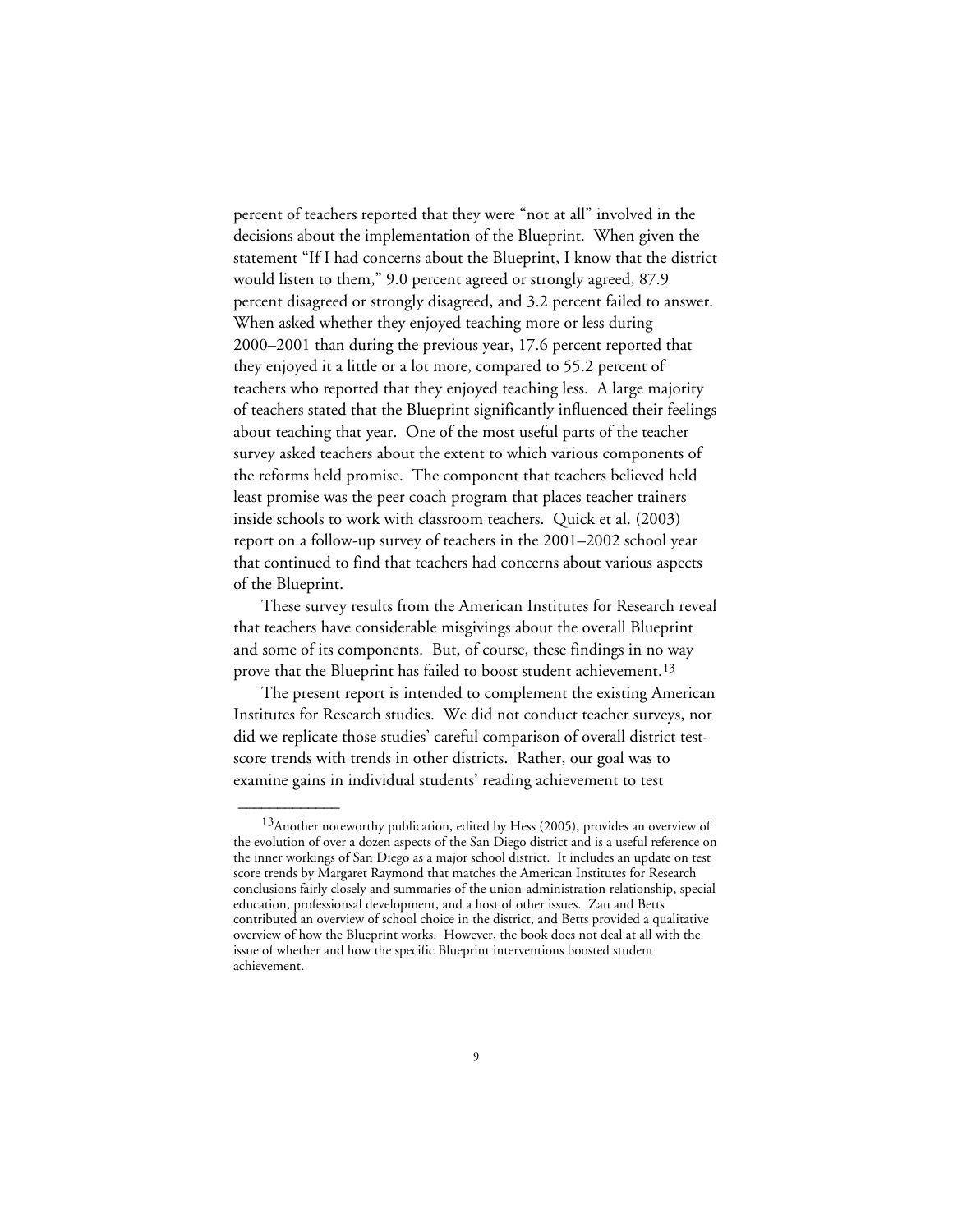percent of teachers reported that they were "not at all" involved in the decisions about the implementation of the Blueprint. When given the statement "If I had concerns about the Blueprint, I know that the district would listen to them," 9.0 percent agreed or strongly agreed, 87.9 percent disagreed or strongly disagreed, and 3.2 percent failed to answer. When asked whether they enjoyed teaching more or less during 2000–2001 than during the previous year, 17.6 percent reported that they enjoyed it a little or a lot more, compared to 55.2 percent of teachers who reported that they enjoyed teaching less. A large majority of teachers stated that the Blueprint significantly influenced their feelings about teaching that year. One of the most useful parts of the teacher survey asked teachers about the extent to which various components of the reforms held promise. The component that teachers believed held least promise was the peer coach program that places teacher trainers inside schools to work with classroom teachers. Quick et al. (2003) report on a follow-up survey of teachers in the 2001–2002 school year that continued to find that teachers had concerns about various aspects of the Blueprint.

These survey results from the American Institutes for Research reveal that teachers have considerable misgivings about the overall Blueprint and some of its components. But, of course, these findings in no way prove that the Blueprint has failed to boost student achievement.<sup>13</sup>

The present report is intended to complement the existing American Institutes for Research studies. We did not conduct teacher surveys, nor did we replicate those studies' careful comparison of overall district testscore trends with trends in other districts. Rather, our goal was to examine gains in individual students' reading achievement to test

<sup>&</sup>lt;sup>13</sup>Another noteworthy publication, edited by Hess (2005), provides an overview of the evolution of over a dozen aspects of the San Diego district and is a useful reference on the inner workings of San Diego as a major school district. It includes an update on test score trends by Margaret Raymond that matches the American Institutes for Research conclusions fairly closely and summaries of the union-administration relationship, special education, professionsal development, and a host of other issues. Zau and Betts contributed an overview of school choice in the district, and Betts provided a qualitative overview of how the Blueprint works. However, the book does not deal at all with the issue of whether and how the specific Blueprint interventions boosted student achievement.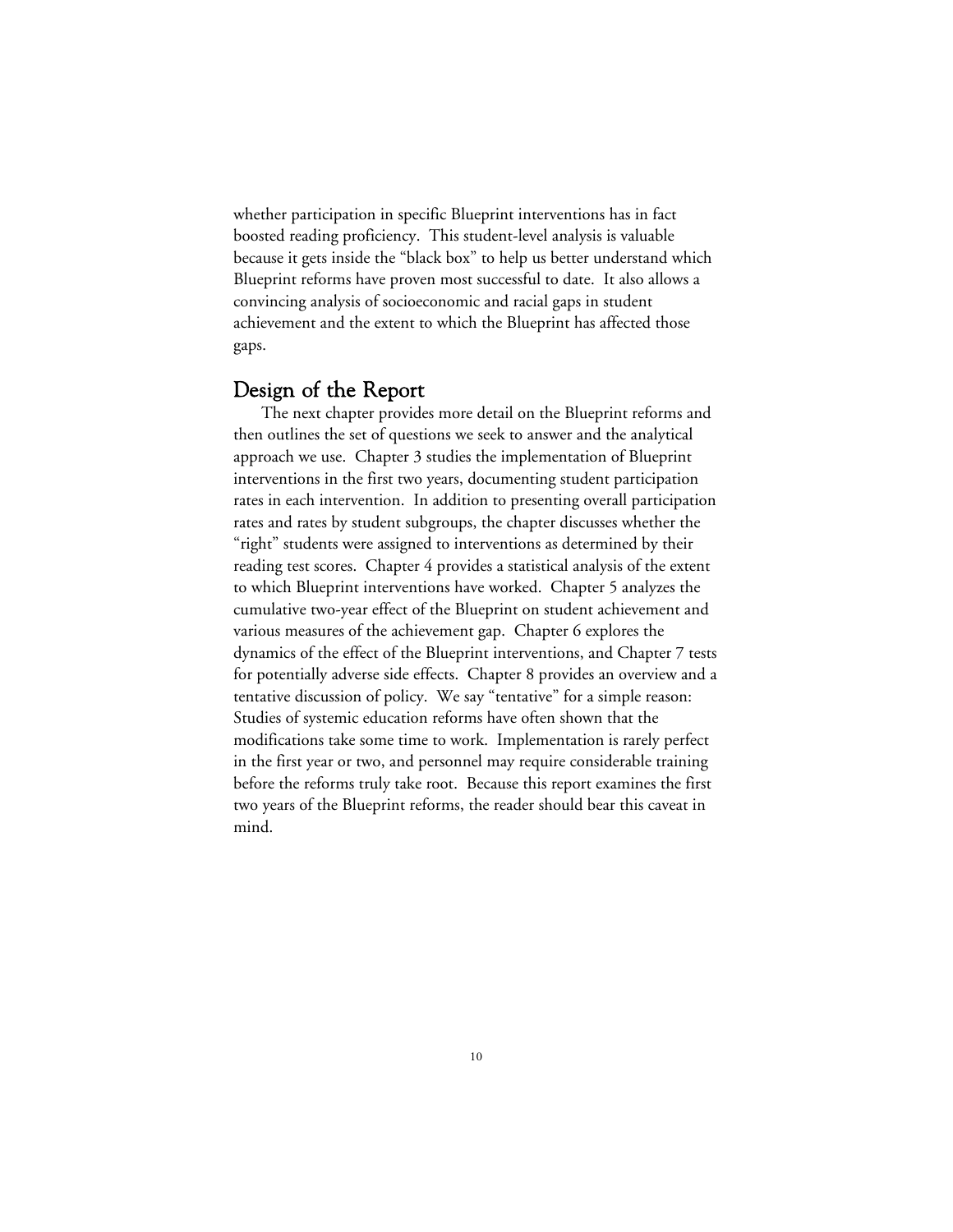whether participation in specific Blueprint interventions has in fact boosted reading proficiency. This student-level analysis is valuable because it gets inside the "black box" to help us better understand which Blueprint reforms have proven most successful to date. It also allows a convincing analysis of socioeconomic and racial gaps in student achievement and the extent to which the Blueprint has affected those gaps.

## Design of the Report

The next chapter provides more detail on the Blueprint reforms and then outlines the set of questions we seek to answer and the analytical approach we use. Chapter 3 studies the implementation of Blueprint interventions in the first two years, documenting student participation rates in each intervention. In addition to presenting overall participation rates and rates by student subgroups, the chapter discusses whether the "right" students were assigned to interventions as determined by their reading test scores. Chapter 4 provides a statistical analysis of the extent to which Blueprint interventions have worked. Chapter 5 analyzes the cumulative two-year effect of the Blueprint on student achievement and various measures of the achievement gap. Chapter 6 explores the dynamics of the effect of the Blueprint interventions, and Chapter 7 tests for potentially adverse side effects. Chapter 8 provides an overview and a tentative discussion of policy. We say "tentative" for a simple reason: Studies of systemic education reforms have often shown that the modifications take some time to work. Implementation is rarely perfect in the first year or two, and personnel may require considerable training before the reforms truly take root. Because this report examines the first two years of the Blueprint reforms, the reader should bear this caveat in mind.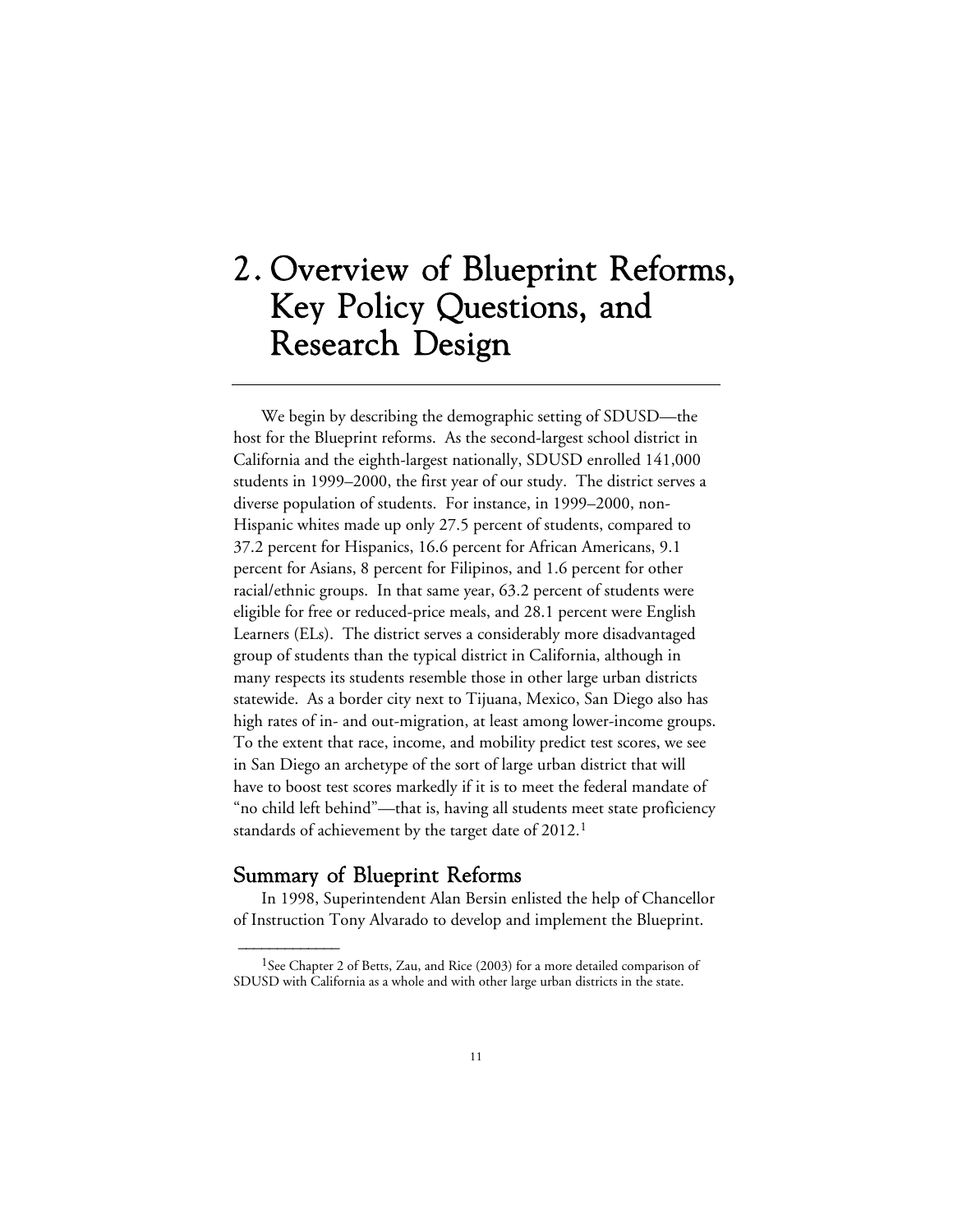# 2. Overview of Blueprint Reforms, Key Policy Questions, and Research Design

We begin by describing the demographic setting of SDUSD—the host for the Blueprint reforms. As the second-largest school district in California and the eighth-largest nationally, SDUSD enrolled 141,000 students in 1999–2000, the first year of our study. The district serves a diverse population of students. For instance, in 1999–2000, non-Hispanic whites made up only 27.5 percent of students, compared to 37.2 percent for Hispanics, 16.6 percent for African Americans, 9.1 percent for Asians, 8 percent for Filipinos, and 1.6 percent for other racial/ethnic groups. In that same year, 63.2 percent of students were eligible for free or reduced-price meals, and 28.1 percent were English Learners (ELs). The district serves a considerably more disadvantaged group of students than the typical district in California, although in many respects its students resemble those in other large urban districts statewide. As a border city next to Tijuana, Mexico, San Diego also has high rates of in- and out-migration, at least among lower-income groups. To the extent that race, income, and mobility predict test scores, we see in San Diego an archetype of the sort of large urban district that will have to boost test scores markedly if it is to meet the federal mandate of "no child left behind"—that is, having all students meet state proficiency standards of achievement by the target date of 2012.<sup>1</sup>

## Summary of Blueprint Reforms

 $\overline{\phantom{a}}$ 

In 1998, Superintendent Alan Bersin enlisted the help of Chancellor of Instruction Tony Alvarado to develop and implement the Blueprint.

<sup>&</sup>lt;sup>1</sup>See Chapter 2 of Betts, Zau, and Rice (2003) for a more detailed comparison of SDUSD with California as a whole and with other large urban districts in the state.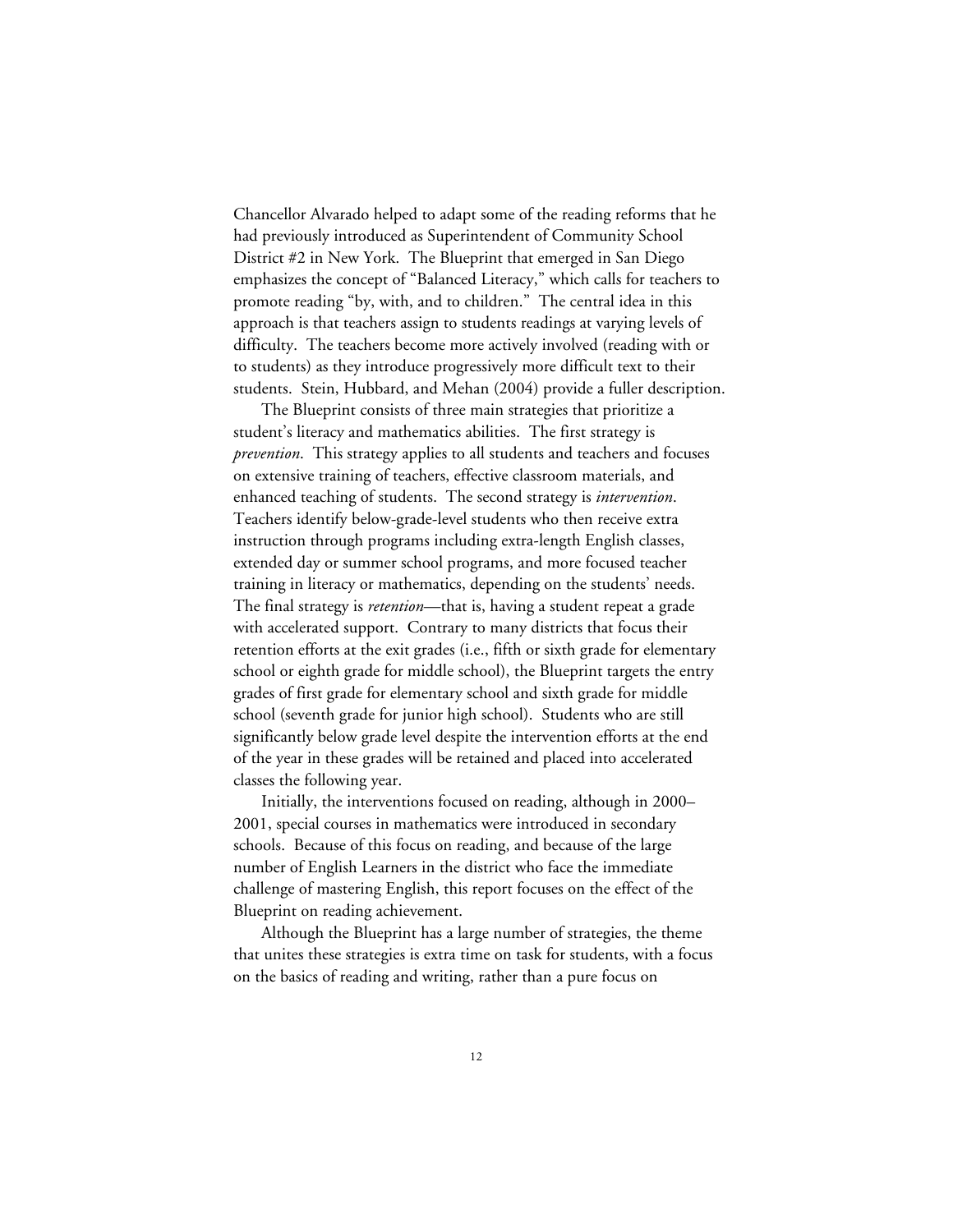Chancellor Alvarado helped to adapt some of the reading reforms that he had previously introduced as Superintendent of Community School District #2 in New York. The Blueprint that emerged in San Diego emphasizes the concept of "Balanced Literacy," which calls for teachers to promote reading "by, with, and to children." The central idea in this approach is that teachers assign to students readings at varying levels of difficulty. The teachers become more actively involved (reading with or to students) as they introduce progressively more difficult text to their students. Stein, Hubbard, and Mehan (2004) provide a fuller description.

The Blueprint consists of three main strategies that prioritize a student's literacy and mathematics abilities. The first strategy is *prevention*. This strategy applies to all students and teachers and focuses on extensive training of teachers, effective classroom materials, and enhanced teaching of students. The second strategy is *intervention*. Teachers identify below-grade-level students who then receive extra instruction through programs including extra-length English classes, extended day or summer school programs, and more focused teacher training in literacy or mathematics, depending on the students' needs. The final strategy is *retention*—that is, having a student repeat a grade with accelerated support. Contrary to many districts that focus their retention efforts at the exit grades (i.e., fifth or sixth grade for elementary school or eighth grade for middle school), the Blueprint targets the entry grades of first grade for elementary school and sixth grade for middle school (seventh grade for junior high school). Students who are still significantly below grade level despite the intervention efforts at the end of the year in these grades will be retained and placed into accelerated classes the following year.

Initially, the interventions focused on reading, although in 2000– 2001, special courses in mathematics were introduced in secondary schools. Because of this focus on reading, and because of the large number of English Learners in the district who face the immediate challenge of mastering English, this report focuses on the effect of the Blueprint on reading achievement.

Although the Blueprint has a large number of strategies, the theme that unites these strategies is extra time on task for students, with a focus on the basics of reading and writing, rather than a pure focus on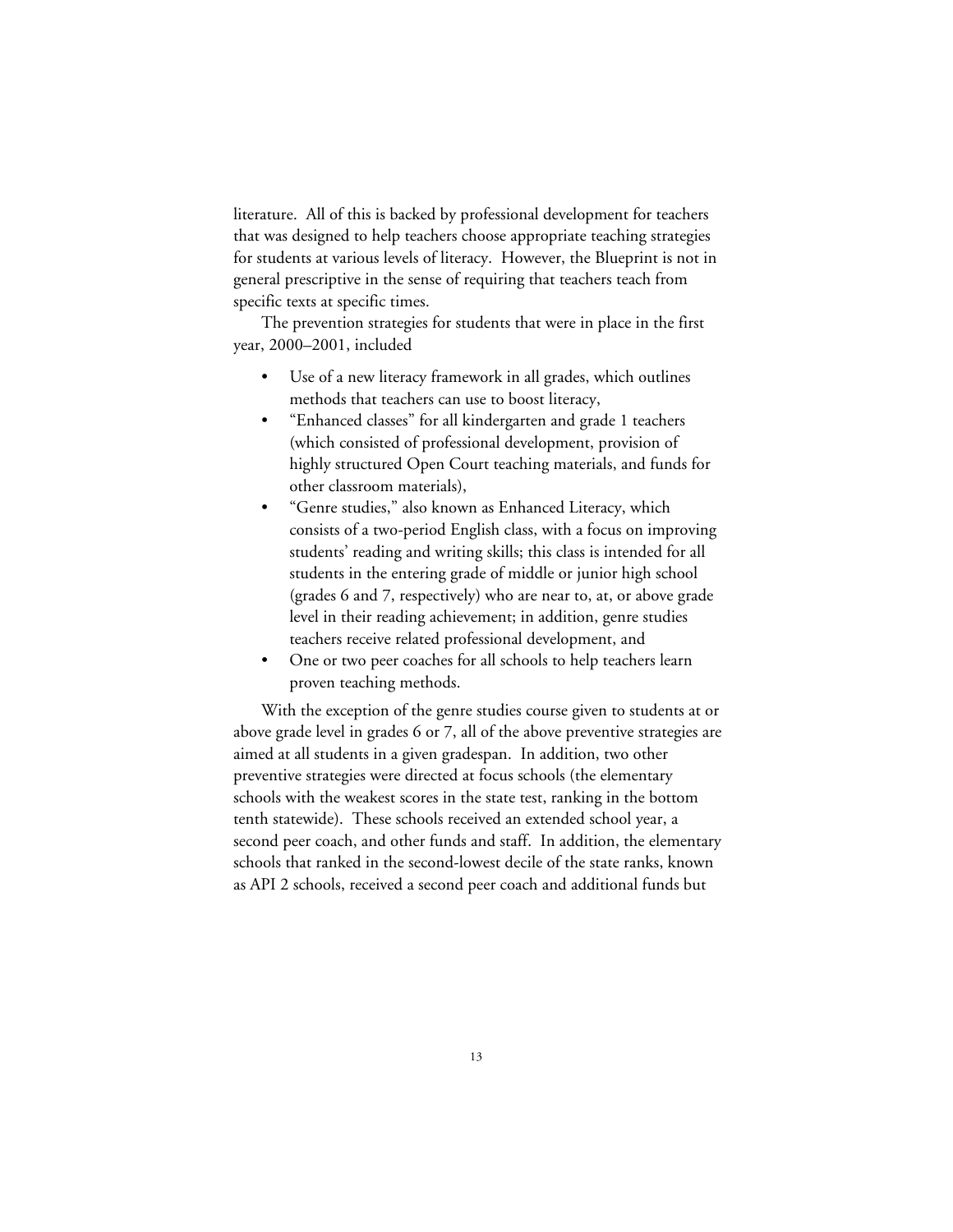literature. All of this is backed by professional development for teachers that was designed to help teachers choose appropriate teaching strategies for students at various levels of literacy. However, the Blueprint is not in general prescriptive in the sense of requiring that teachers teach from specific texts at specific times.

The prevention strategies for students that were in place in the first year, 2000–2001, included

- Use of a new literacy framework in all grades, which outlines methods that teachers can use to boost literacy,
- "Enhanced classes" for all kindergarten and grade 1 teachers (which consisted of professional development, provision of highly structured Open Court teaching materials, and funds for other classroom materials),
- "Genre studies," also known as Enhanced Literacy, which consists of a two-period English class, with a focus on improving students' reading and writing skills; this class is intended for all students in the entering grade of middle or junior high school (grades 6 and 7, respectively) who are near to, at, or above grade level in their reading achievement; in addition, genre studies teachers receive related professional development, and
- One or two peer coaches for all schools to help teachers learn proven teaching methods.

With the exception of the genre studies course given to students at or above grade level in grades 6 or 7, all of the above preventive strategies are aimed at all students in a given gradespan. In addition, two other preventive strategies were directed at focus schools (the elementary schools with the weakest scores in the state test, ranking in the bottom tenth statewide). These schools received an extended school year, a second peer coach, and other funds and staff. In addition, the elementary schools that ranked in the second-lowest decile of the state ranks, known as API 2 schools, received a second peer coach and additional funds but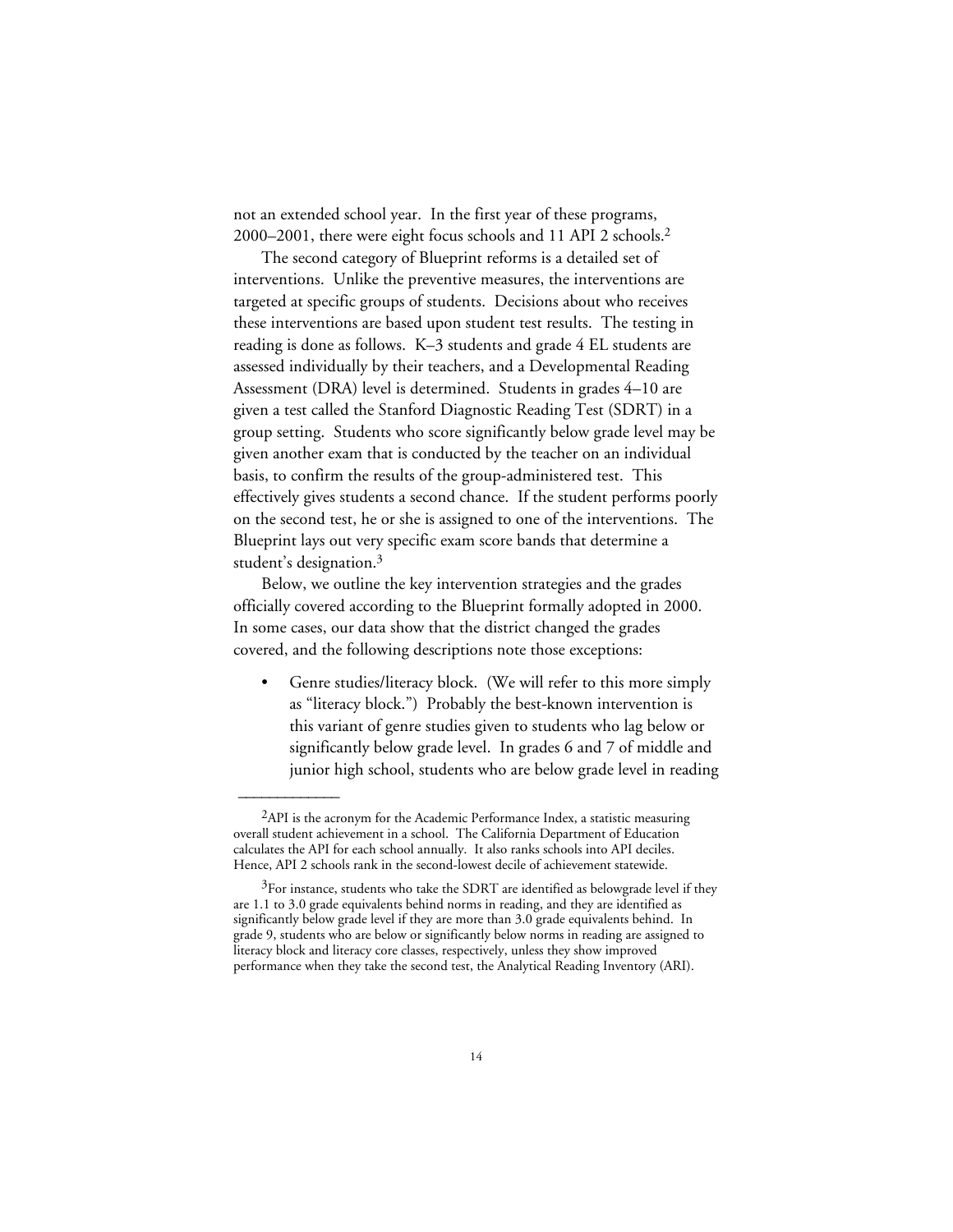not an extended school year. In the first year of these programs, 2000–2001, there were eight focus schools and 11 API 2 schools.2

The second category of Blueprint reforms is a detailed set of interventions. Unlike the preventive measures, the interventions are targeted at specific groups of students. Decisions about who receives these interventions are based upon student test results. The testing in reading is done as follows. K–3 students and grade 4 EL students are assessed individually by their teachers, and a Developmental Reading Assessment (DRA) level is determined. Students in grades 4–10 are given a test called the Stanford Diagnostic Reading Test (SDRT) in a group setting. Students who score significantly below grade level may be given another exam that is conducted by the teacher on an individual basis, to confirm the results of the group-administered test. This effectively gives students a second chance. If the student performs poorly on the second test, he or she is assigned to one of the interventions. The Blueprint lays out very specific exam score bands that determine a student's designation.3

Below, we outline the key intervention strategies and the grades officially covered according to the Blueprint formally adopted in 2000. In some cases, our data show that the district changed the grades covered, and the following descriptions note those exceptions:

• Genre studies/literacy block. (We will refer to this more simply as "literacy block.") Probably the best-known intervention is this variant of genre studies given to students who lag below or significantly below grade level. In grades 6 and 7 of middle and junior high school, students who are below grade level in reading

 ${}^{2}$ API is the acronym for the Academic Performance Index, a statistic measuring overall student achievement in a school. The California Department of Education calculates the API for each school annually. It also ranks schools into API deciles. Hence, API 2 schools rank in the second-lowest decile of achievement statewide.

 $3$ For instance, students who take the SDRT are identified as belowgrade level if they are 1.1 to 3.0 grade equivalents behind norms in reading, and they are identified as significantly below grade level if they are more than 3.0 grade equivalents behind. In grade 9, students who are below or significantly below norms in reading are assigned to literacy block and literacy core classes, respectively, unless they show improved performance when they take the second test, the Analytical Reading Inventory (ARI).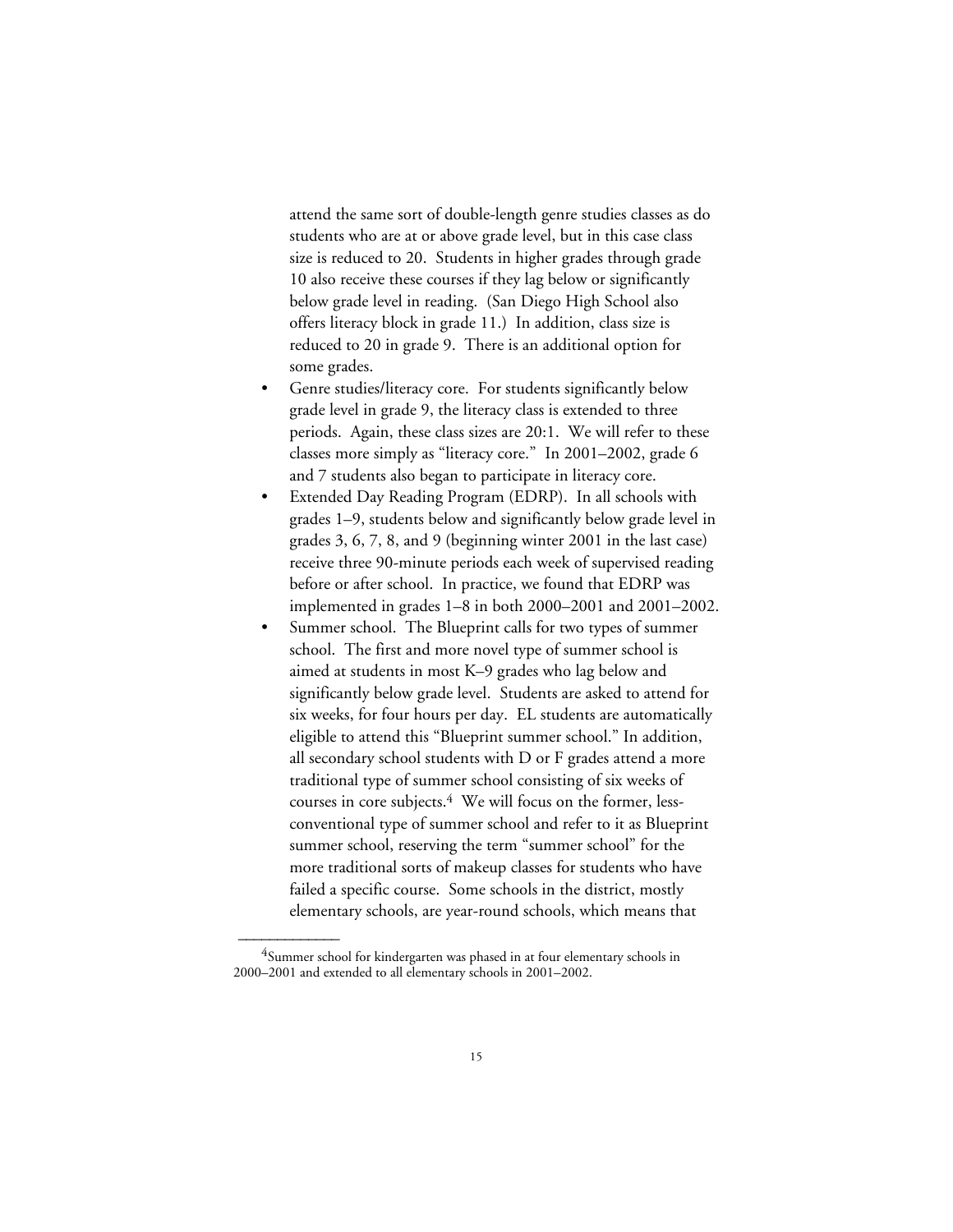attend the same sort of double-length genre studies classes as do students who are at or above grade level, but in this case class size is reduced to 20. Students in higher grades through grade 10 also receive these courses if they lag below or significantly below grade level in reading. (San Diego High School also offers literacy block in grade 11.) In addition, class size is reduced to 20 in grade 9. There is an additional option for some grades.

- Genre studies/literacy core. For students significantly below grade level in grade 9, the literacy class is extended to three periods. Again, these class sizes are 20:1. We will refer to these classes more simply as "literacy core." In 2001–2002, grade 6 and 7 students also began to participate in literacy core.
- Extended Day Reading Program (EDRP). In all schools with grades 1–9, students below and significantly below grade level in grades 3, 6, 7, 8, and 9 (beginning winter 2001 in the last case) receive three 90-minute periods each week of supervised reading before or after school. In practice, we found that EDRP was implemented in grades 1–8 in both 2000–2001 and 2001–2002.
- Summer school. The Blueprint calls for two types of summer school. The first and more novel type of summer school is aimed at students in most K–9 grades who lag below and significantly below grade level. Students are asked to attend for six weeks, for four hours per day. EL students are automatically eligible to attend this "Blueprint summer school." In addition, all secondary school students with D or F grades attend a more traditional type of summer school consisting of six weeks of courses in core subjects.<sup>4</sup> We will focus on the former, lessconventional type of summer school and refer to it as Blueprint summer school, reserving the term "summer school" for the more traditional sorts of makeup classes for students who have failed a specific course. Some schools in the district, mostly elementary schools, are year-round schools, which means that

<sup>&</sup>lt;sup>4</sup>Summer school for kindergarten was phased in at four elementary schools in 2000–2001 and extended to all elementary schools in 2001–2002.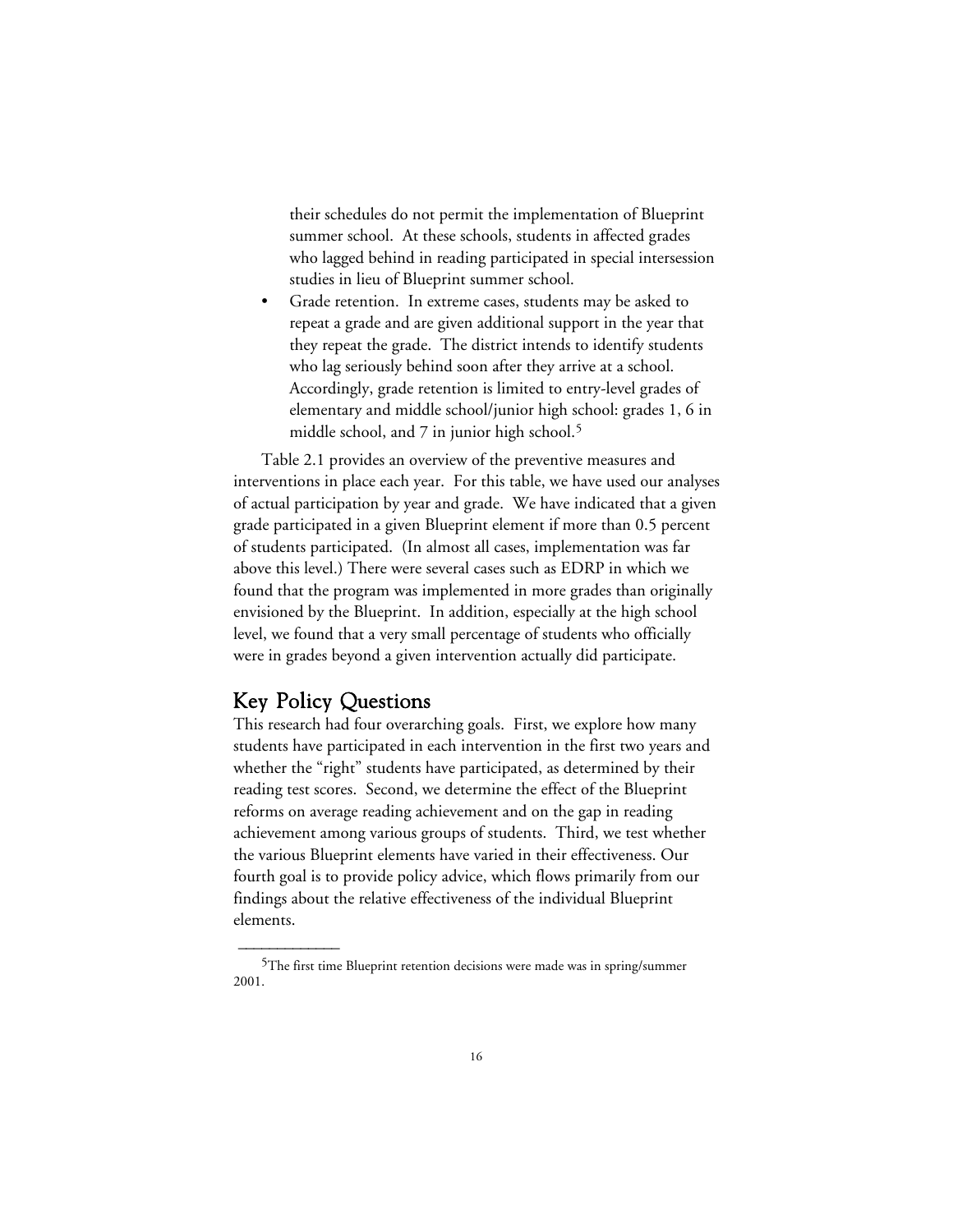their schedules do not permit the implementation of Blueprint summer school. At these schools, students in affected grades who lagged behind in reading participated in special intersession studies in lieu of Blueprint summer school.

• Grade retention. In extreme cases, students may be asked to repeat a grade and are given additional support in the year that they repeat the grade. The district intends to identify students who lag seriously behind soon after they arrive at a school. Accordingly, grade retention is limited to entry-level grades of elementary and middle school/junior high school: grades 1, 6 in middle school, and 7 in junior high school.<sup>5</sup>

Table 2.1 provides an overview of the preventive measures and interventions in place each year. For this table, we have used our analyses of actual participation by year and grade. We have indicated that a given grade participated in a given Blueprint element if more than 0.5 percent of students participated. (In almost all cases, implementation was far above this level.) There were several cases such as EDRP in which we found that the program was implemented in more grades than originally envisioned by the Blueprint. In addition, especially at the high school level, we found that a very small percentage of students who officially were in grades beyond a given intervention actually did participate.

## Key Policy Questions

 $\overline{\phantom{a}}$ 

This research had four overarching goals. First, we explore how many students have participated in each intervention in the first two years and whether the "right" students have participated, as determined by their reading test scores. Second, we determine the effect of the Blueprint reforms on average reading achievement and on the gap in reading achievement among various groups of students. Third, we test whether the various Blueprint elements have varied in their effectiveness. Our fourth goal is to provide policy advice, which flows primarily from our findings about the relative effectiveness of the individual Blueprint elements.

<sup>5</sup>The first time Blueprint retention decisions were made was in spring/summer 2001.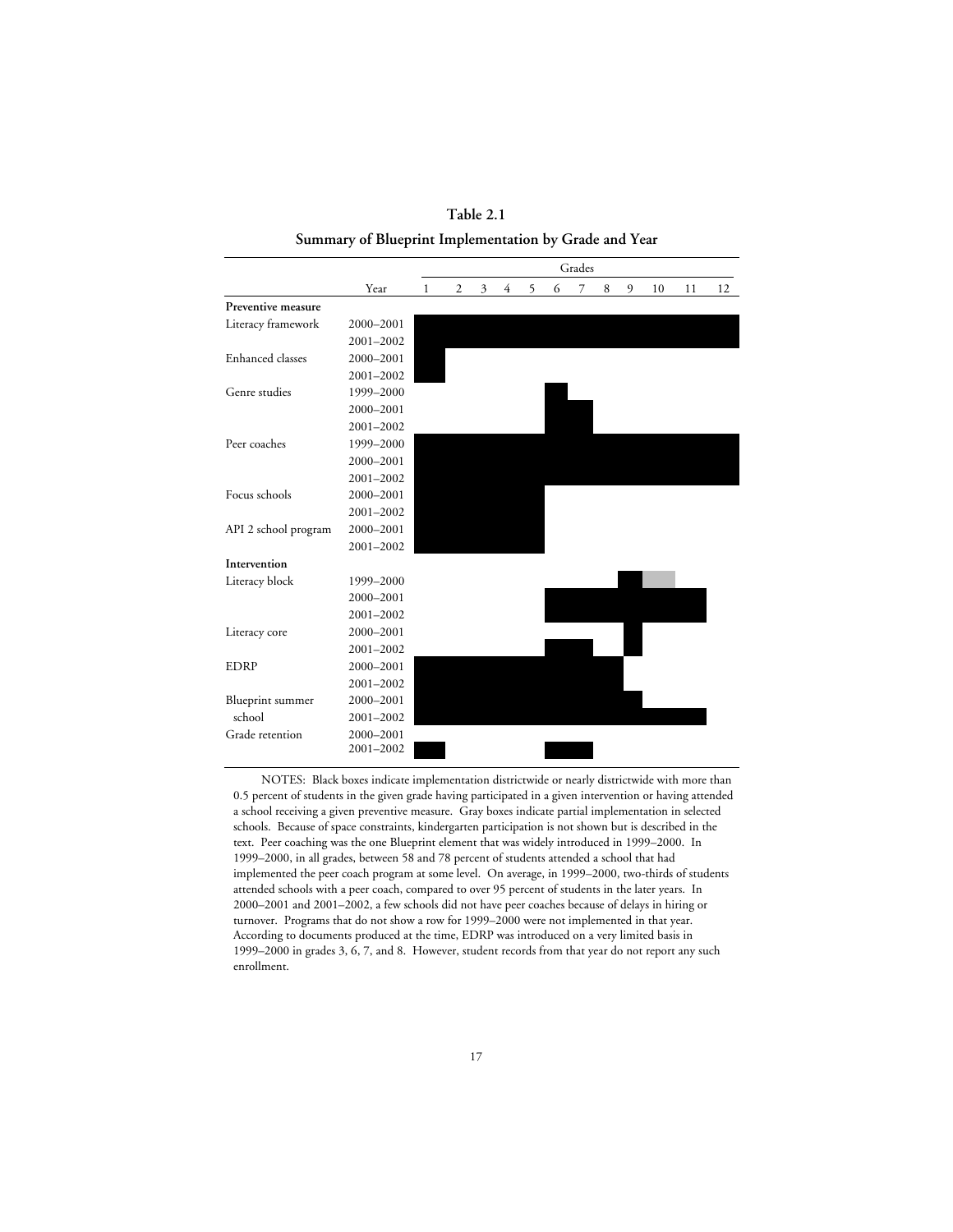**Table 2.1 Summary of Blueprint Implementation by Grade and Year**

|                         |           | Grades |   |   |   |   |   |   |   |   |    |    |    |
|-------------------------|-----------|--------|---|---|---|---|---|---|---|---|----|----|----|
|                         | Year      | 1      | 2 | 3 | 4 | 5 | 6 | 7 | 8 | 9 | 10 | 11 | 12 |
| Preventive measure      |           |        |   |   |   |   |   |   |   |   |    |    |    |
| Literacy framework      | 2000-2001 |        |   |   |   |   |   |   |   |   |    |    |    |
|                         | 2001-2002 |        |   |   |   |   |   |   |   |   |    |    |    |
| <b>Enhanced</b> classes | 2000-2001 |        |   |   |   |   |   |   |   |   |    |    |    |
|                         | 2001-2002 |        |   |   |   |   |   |   |   |   |    |    |    |
| Genre studies           | 1999-2000 |        |   |   |   |   |   |   |   |   |    |    |    |
|                         | 2000-2001 |        |   |   |   |   |   |   |   |   |    |    |    |
|                         | 2001-2002 |        |   |   |   |   |   |   |   |   |    |    |    |
| Peer coaches            | 1999-2000 |        |   |   |   |   |   |   |   |   |    |    |    |
|                         | 2000-2001 |        |   |   |   |   |   |   |   |   |    |    |    |
|                         | 2001-2002 |        |   |   |   |   |   |   |   |   |    |    |    |
| Focus schools           | 2000-2001 |        |   |   |   |   |   |   |   |   |    |    |    |
|                         | 2001-2002 |        |   |   |   |   |   |   |   |   |    |    |    |
| API 2 school program    | 2000-2001 |        |   |   |   |   |   |   |   |   |    |    |    |
|                         | 2001-2002 |        |   |   |   |   |   |   |   |   |    |    |    |
| Intervention            |           |        |   |   |   |   |   |   |   |   |    |    |    |
| Literacy block          | 1999-2000 |        |   |   |   |   |   |   |   |   |    |    |    |
|                         | 2000-2001 |        |   |   |   |   |   |   |   |   |    |    |    |
|                         | 2001-2002 |        |   |   |   |   |   |   |   |   |    |    |    |
| Literacy core           | 2000-2001 |        |   |   |   |   |   |   |   |   |    |    |    |
|                         | 2001-2002 |        |   |   |   |   |   |   |   |   |    |    |    |
| <b>EDRP</b>             | 2000-2001 |        |   |   |   |   |   |   |   |   |    |    |    |
|                         | 2001-2002 |        |   |   |   |   |   |   |   |   |    |    |    |
| Blueprint summer        | 2000-2001 |        |   |   |   |   |   |   |   |   |    |    |    |
| school                  | 2001-2002 |        |   |   |   |   |   |   |   |   |    |    |    |
| Grade retention         | 2000-2001 |        |   |   |   |   |   |   |   |   |    |    |    |
|                         | 2001-2002 |        |   |   |   |   |   |   |   |   |    |    |    |

NOTES: Black boxes indicate implementation districtwide or nearly districtwide with more than 0.5 percent of students in the given grade having participated in a given intervention or having attended a school receiving a given preventive measure. Gray boxes indicate partial implementation in selected schools. Because of space constraints, kindergarten participation is not shown but is described in the text. Peer coaching was the one Blueprint element that was widely introduced in 1999–2000. In 1999–2000, in all grades, between 58 and 78 percent of students attended a school that had implemented the peer coach program at some level. On average, in 1999–2000, two-thirds of students attended schools with a peer coach, compared to over 95 percent of students in the later years. In 2000–2001 and 2001–2002, a few schools did not have peer coaches because of delays in hiring or turnover. Programs that do not show a row for 1999–2000 were not implemented in that year. According to documents produced at the time, EDRP was introduced on a very limited basis in 1999–2000 in grades 3, 6, 7, and 8. However, student records from that year do not report any such enrollment.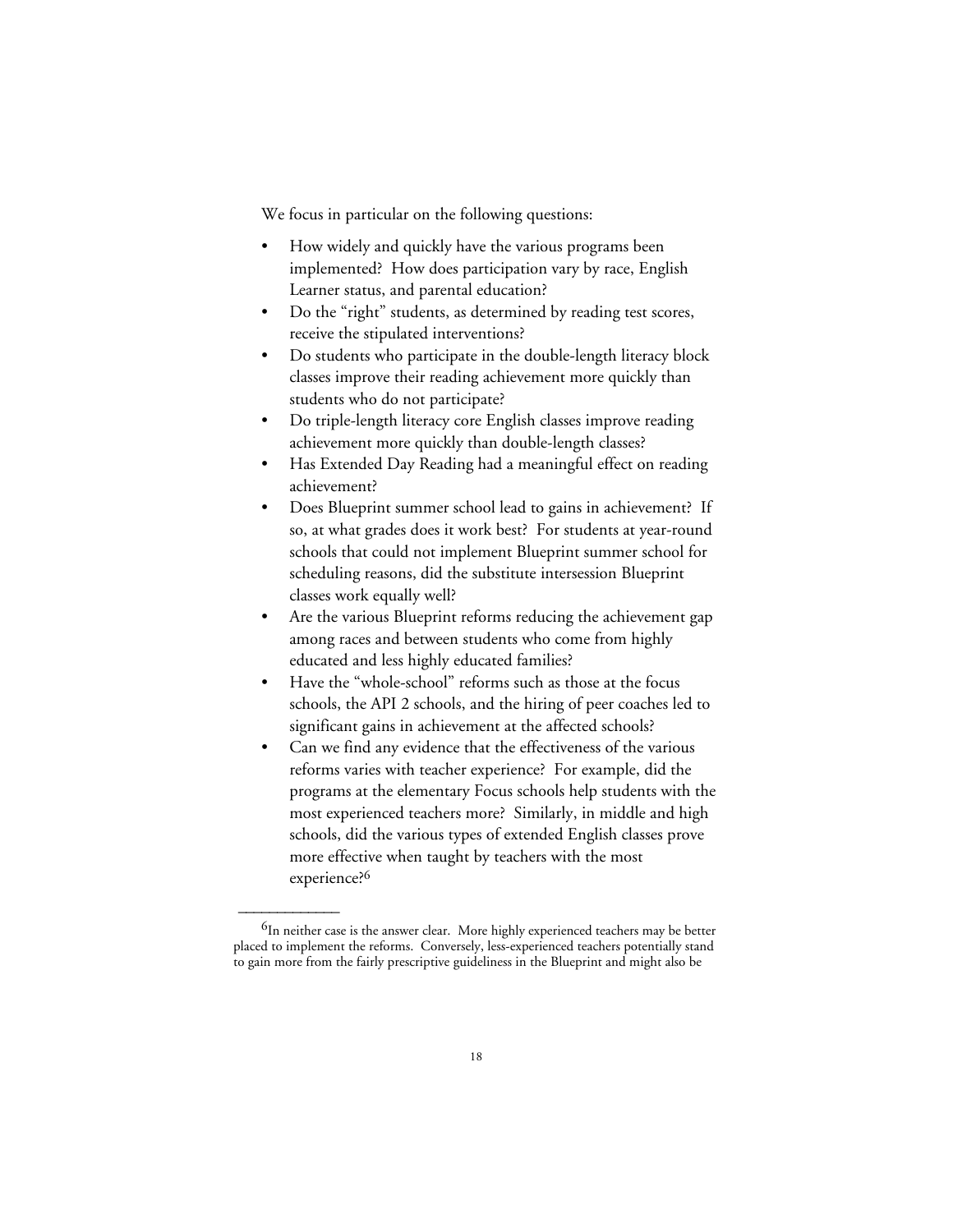We focus in particular on the following questions:

- How widely and quickly have the various programs been implemented? How does participation vary by race, English Learner status, and parental education?
- Do the "right" students, as determined by reading test scores, receive the stipulated interventions?
- Do students who participate in the double-length literacy block classes improve their reading achievement more quickly than students who do not participate?
- Do triple-length literacy core English classes improve reading achievement more quickly than double-length classes?
- Has Extended Day Reading had a meaningful effect on reading achievement?
- Does Blueprint summer school lead to gains in achievement? If so, at what grades does it work best? For students at year-round schools that could not implement Blueprint summer school for scheduling reasons, did the substitute intersession Blueprint classes work equally well?
- Are the various Blueprint reforms reducing the achievement gap among races and between students who come from highly educated and less highly educated families?
- Have the "whole-school" reforms such as those at the focus schools, the API 2 schools, and the hiring of peer coaches led to significant gains in achievement at the affected schools?
- Can we find any evidence that the effectiveness of the various reforms varies with teacher experience? For example, did the programs at the elementary Focus schools help students with the most experienced teachers more? Similarly, in middle and high schools, did the various types of extended English classes prove more effective when taught by teachers with the most experience?<sup>6</sup>

 $^{6}$ In neither case is the answer clear. More highly experienced teachers may be better placed to implement the reforms. Conversely, less-experienced teachers potentially stand to gain more from the fairly prescriptive guideliness in the Blueprint and might also be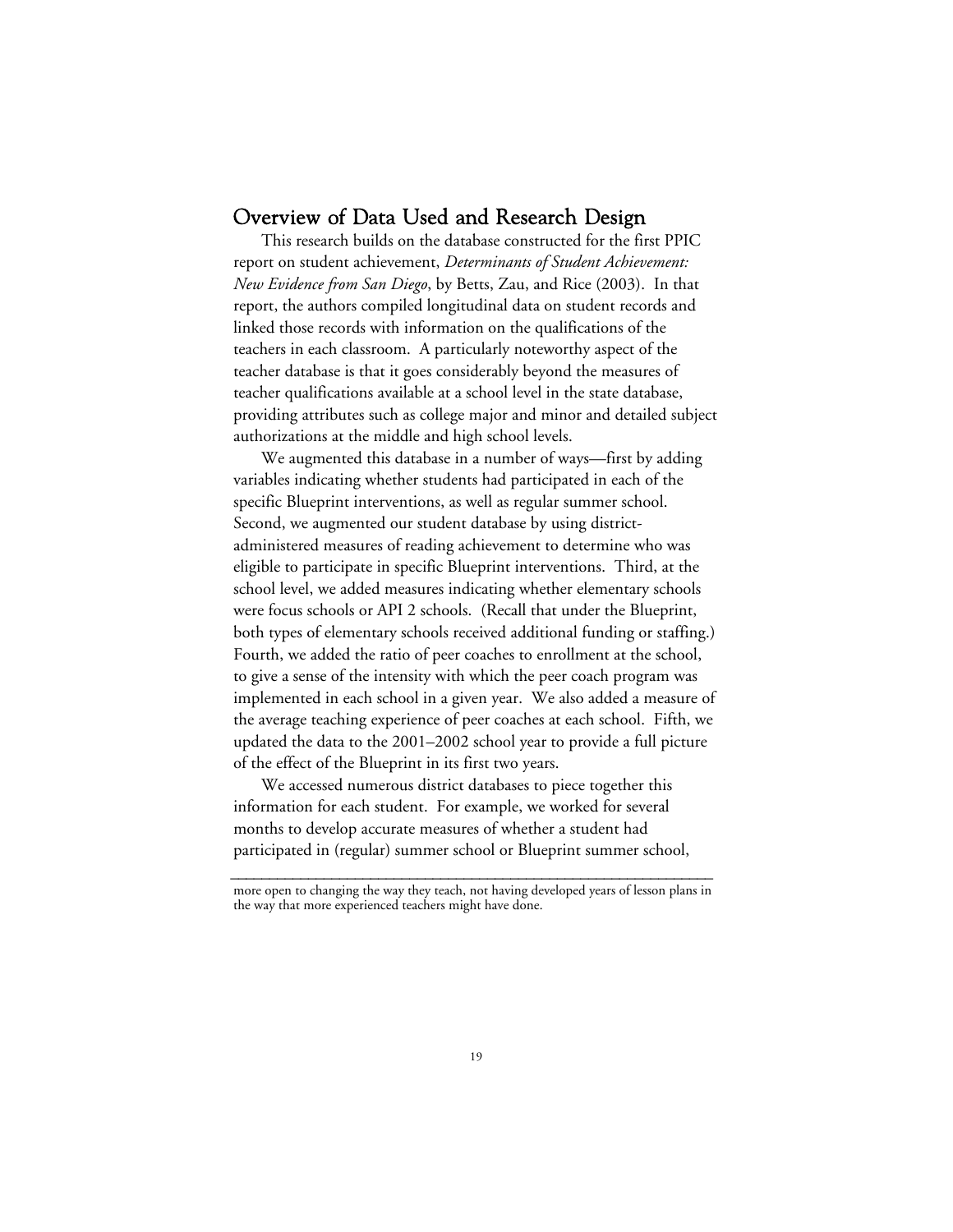## Overview of Data Used and Research Design

This research builds on the database constructed for the first PPIC report on student achievement, *Determinants of Student Achievement: New Evidence from San Diego*, by Betts, Zau, and Rice (2003). In that report, the authors compiled longitudinal data on student records and linked those records with information on the qualifications of the teachers in each classroom. A particularly noteworthy aspect of the teacher database is that it goes considerably beyond the measures of teacher qualifications available at a school level in the state database, providing attributes such as college major and minor and detailed subject authorizations at the middle and high school levels.

We augmented this database in a number of ways—first by adding variables indicating whether students had participated in each of the specific Blueprint interventions, as well as regular summer school. Second, we augmented our student database by using districtadministered measures of reading achievement to determine who was eligible to participate in specific Blueprint interventions. Third, at the school level, we added measures indicating whether elementary schools were focus schools or API 2 schools. (Recall that under the Blueprint, both types of elementary schools received additional funding or staffing.) Fourth, we added the ratio of peer coaches to enrollment at the school, to give a sense of the intensity with which the peer coach program was implemented in each school in a given year. We also added a measure of the average teaching experience of peer coaches at each school. Fifth, we updated the data to the 2001–2002 school year to provide a full picture of the effect of the Blueprint in its first two years.

We accessed numerous district databases to piece together this information for each student. For example, we worked for several months to develop accurate measures of whether a student had participated in (regular) summer school or Blueprint summer school,

**\_\_\_\_\_\_\_\_\_\_\_\_\_\_\_\_\_\_\_\_\_\_\_\_\_\_\_\_\_\_\_\_\_\_\_\_\_\_\_\_\_\_\_\_\_\_\_\_\_\_\_\_\_\_\_\_\_\_\_\_\_\_** more open to changing the way they teach, not having developed years of lesson plans in the way that more experienced teachers might have done.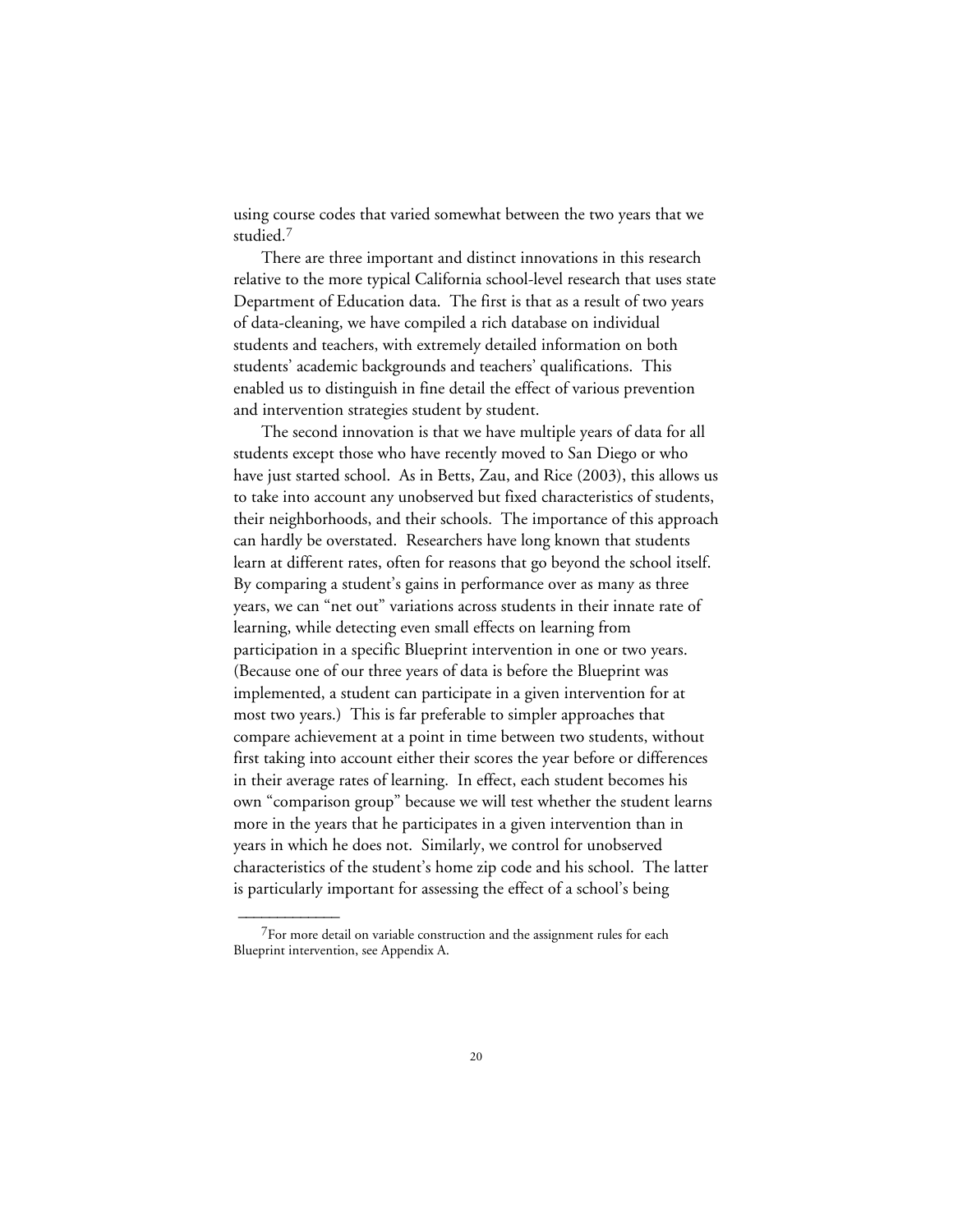using course codes that varied somewhat between the two years that we studied.7

There are three important and distinct innovations in this research relative to the more typical California school-level research that uses state Department of Education data. The first is that as a result of two years of data-cleaning, we have compiled a rich database on individual students and teachers, with extremely detailed information on both students' academic backgrounds and teachers' qualifications. This enabled us to distinguish in fine detail the effect of various prevention and intervention strategies student by student.

The second innovation is that we have multiple years of data for all students except those who have recently moved to San Diego or who have just started school. As in Betts, Zau, and Rice (2003), this allows us to take into account any unobserved but fixed characteristics of students, their neighborhoods, and their schools. The importance of this approach can hardly be overstated. Researchers have long known that students learn at different rates, often for reasons that go beyond the school itself. By comparing a student's gains in performance over as many as three years, we can "net out" variations across students in their innate rate of learning, while detecting even small effects on learning from participation in a specific Blueprint intervention in one or two years. (Because one of our three years of data is before the Blueprint was implemented, a student can participate in a given intervention for at most two years.) This is far preferable to simpler approaches that compare achievement at a point in time between two students, without first taking into account either their scores the year before or differences in their average rates of learning. In effect, each student becomes his own "comparison group" because we will test whether the student learns more in the years that he participates in a given intervention than in years in which he does not. Similarly, we control for unobserved characteristics of the student's home zip code and his school. The latter is particularly important for assessing the effect of a school's being

 $7$ For more detail on variable construction and the assignment rules for each Blueprint intervention, see Appendix A.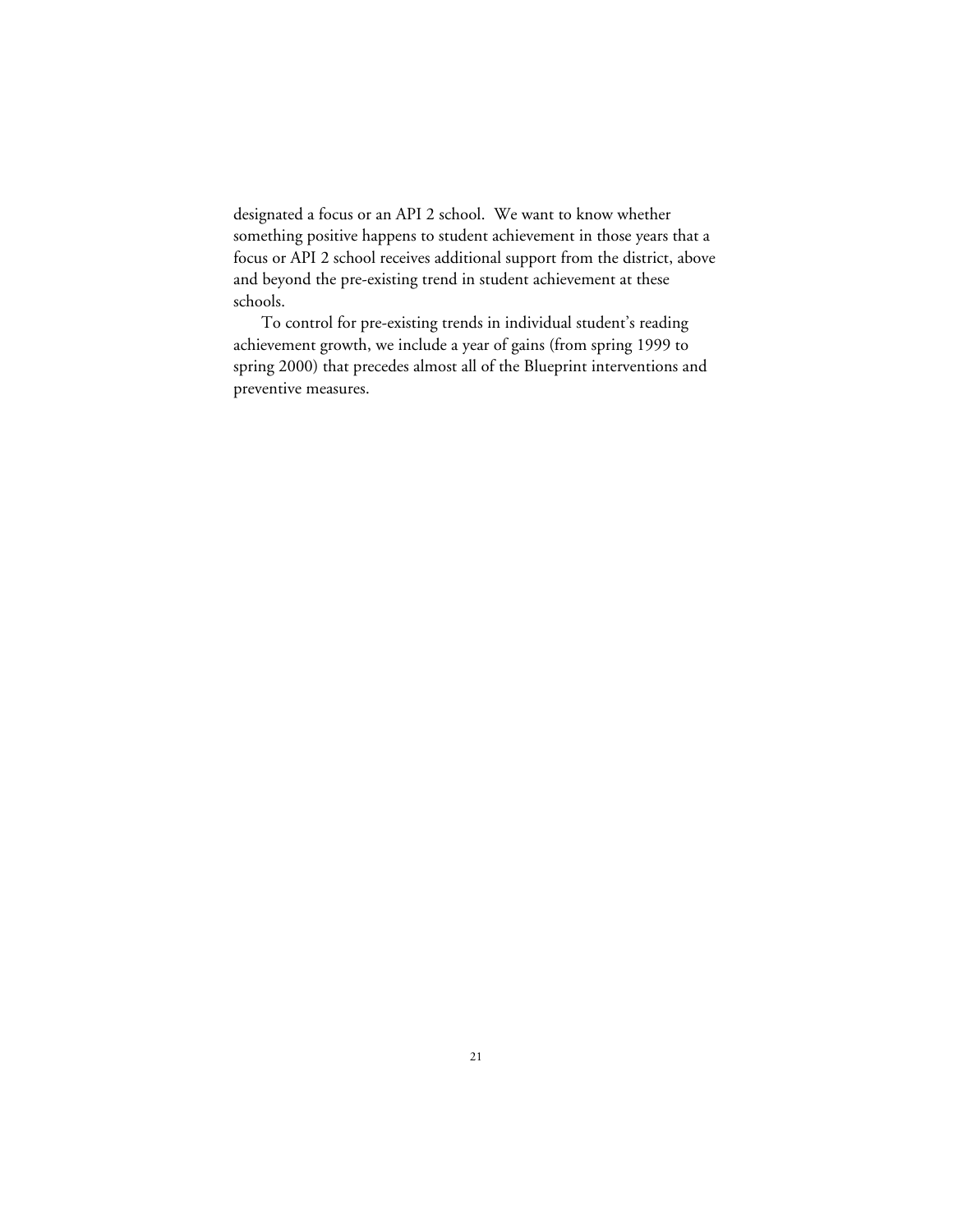designated a focus or an API 2 school. We want to know whether something positive happens to student achievement in those years that a focus or API 2 school receives additional support from the district, above and beyond the pre-existing trend in student achievement at these schools.

To control for pre-existing trends in individual student's reading achievement growth, we include a year of gains (from spring 1999 to spring 2000) that precedes almost all of the Blueprint interventions and preventive measures.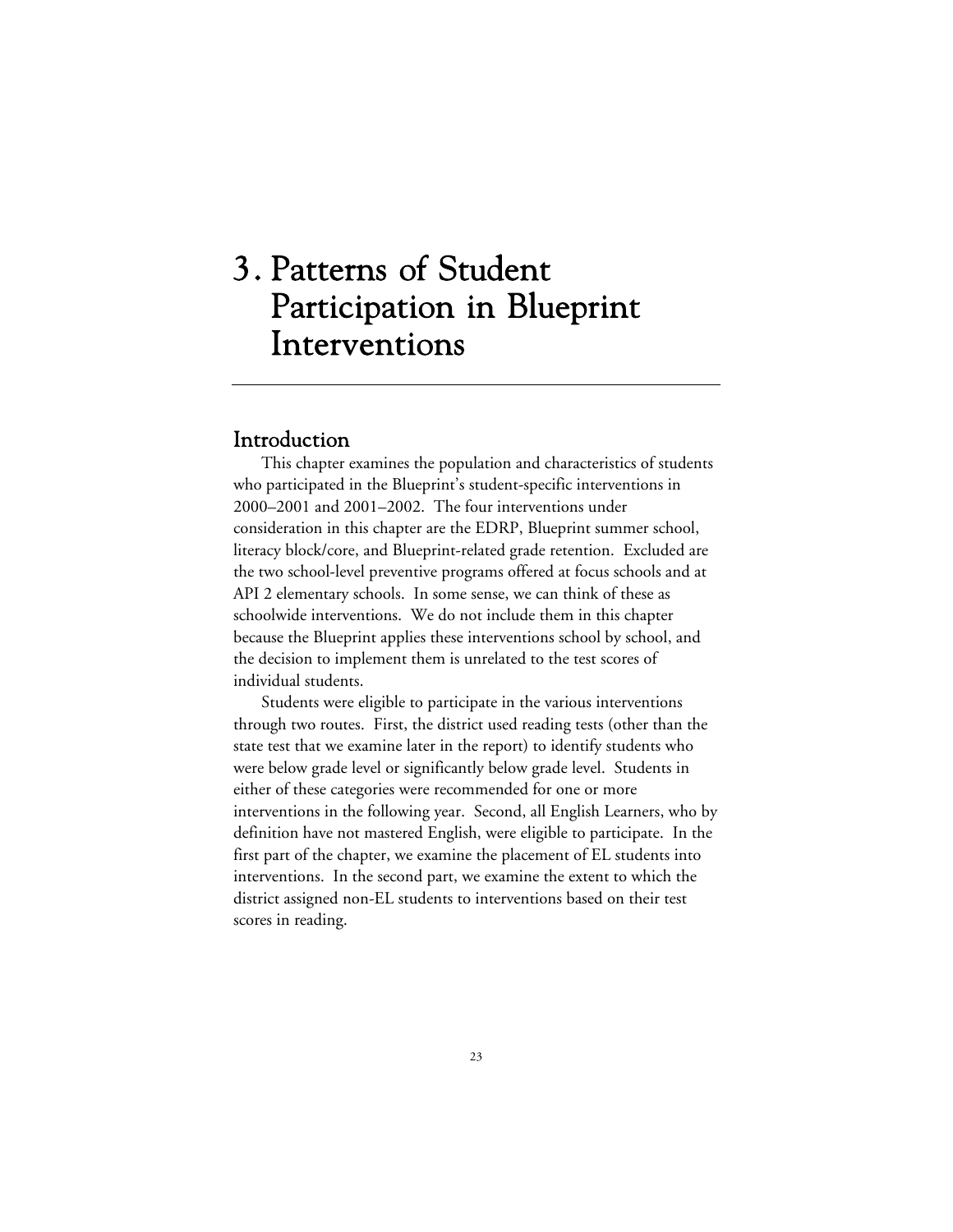# 3. Patterns of Student Participation in Blueprint Interventions

## Introduction

This chapter examines the population and characteristics of students who participated in the Blueprint's student-specific interventions in 2000–2001 and 2001–2002. The four interventions under consideration in this chapter are the EDRP, Blueprint summer school, literacy block/core, and Blueprint-related grade retention. Excluded are the two school-level preventive programs offered at focus schools and at API 2 elementary schools. In some sense, we can think of these as schoolwide interventions. We do not include them in this chapter because the Blueprint applies these interventions school by school, and the decision to implement them is unrelated to the test scores of individual students.

Students were eligible to participate in the various interventions through two routes. First, the district used reading tests (other than the state test that we examine later in the report) to identify students who were below grade level or significantly below grade level. Students in either of these categories were recommended for one or more interventions in the following year. Second, all English Learners, who by definition have not mastered English, were eligible to participate. In the first part of the chapter, we examine the placement of EL students into interventions. In the second part, we examine the extent to which the district assigned non-EL students to interventions based on their test scores in reading.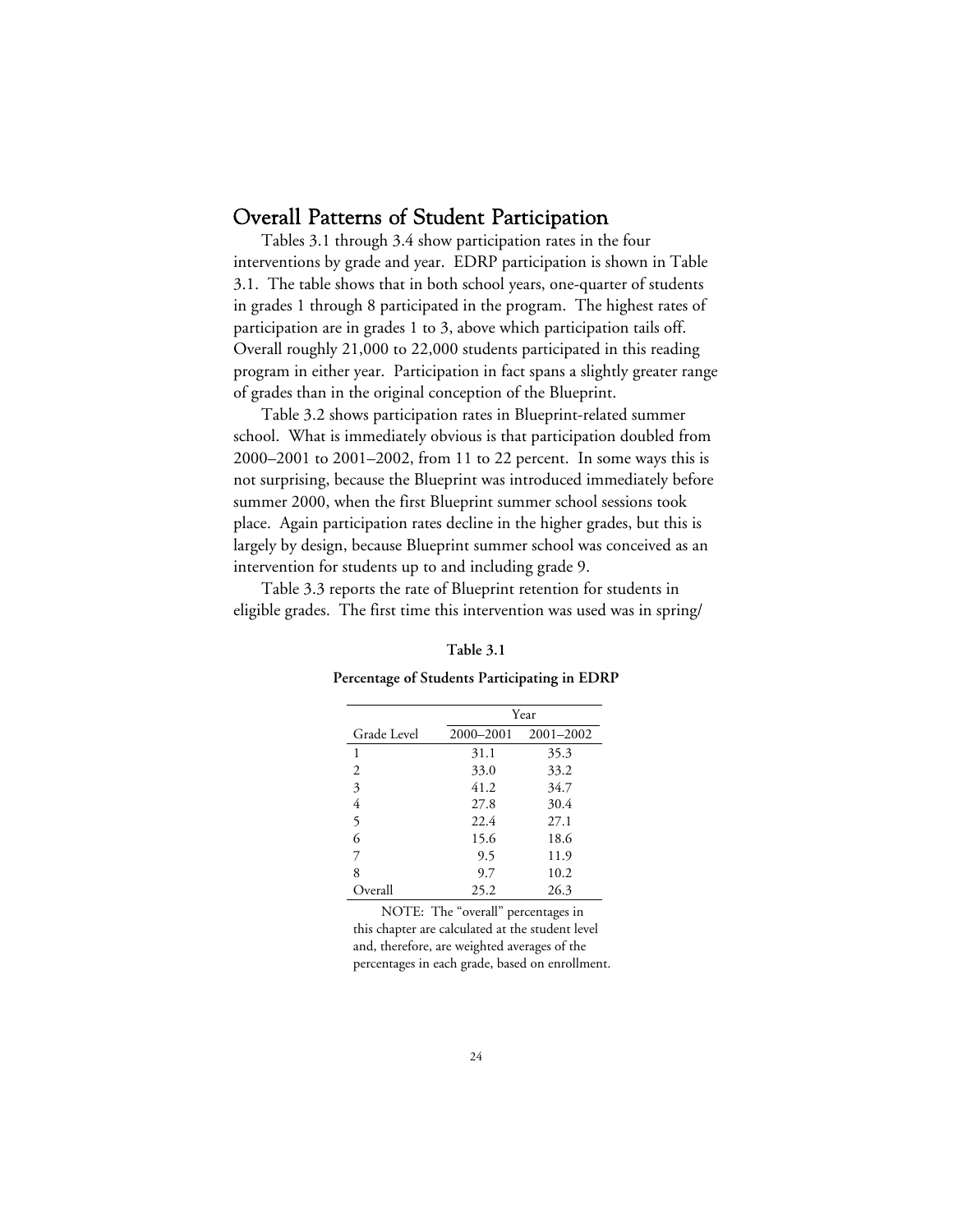## Overall Patterns of Student Participation

Tables 3.1 through 3.4 show participation rates in the four interventions by grade and year. EDRP participation is shown in Table 3.1. The table shows that in both school years, one-quarter of students in grades 1 through 8 participated in the program. The highest rates of participation are in grades 1 to 3, above which participation tails off. Overall roughly 21,000 to 22,000 students participated in this reading program in either year. Participation in fact spans a slightly greater range of grades than in the original conception of the Blueprint.

Table 3.2 shows participation rates in Blueprint-related summer school. What is immediately obvious is that participation doubled from 2000–2001 to 2001–2002, from 11 to 22 percent. In some ways this is not surprising, because the Blueprint was introduced immediately before summer 2000, when the first Blueprint summer school sessions took place. Again participation rates decline in the higher grades, but this is largely by design, because Blueprint summer school was conceived as an intervention for students up to and including grade 9.

Table 3.3 reports the rate of Blueprint retention for students in eligible grades. The first time this intervention was used was in spring/

**Percentage of Students Participating in EDRP**

|             | Year      |           |  |  |
|-------------|-----------|-----------|--|--|
| Grade Level | 2000-2001 | 2001-2002 |  |  |
| 1           | 31.1      | 35.3      |  |  |
| 2           | 33.0      | 33.2      |  |  |
| 3           | 41.2      | 34.7      |  |  |
| 4           | 27.8      | 30.4      |  |  |
| 5           | 22.4      | 27.1      |  |  |
| 6           | 15.6      | 18.6      |  |  |
| 7           | 9.5       | 11.9      |  |  |
| 8           | 9.7       | 10.2      |  |  |
| Overall     | 25.2      | 26.3      |  |  |

NOTE: The "overall" percentages in this chapter are calculated at the student level and, therefore, are weighted averages of the percentages in each grade, based on enrollment.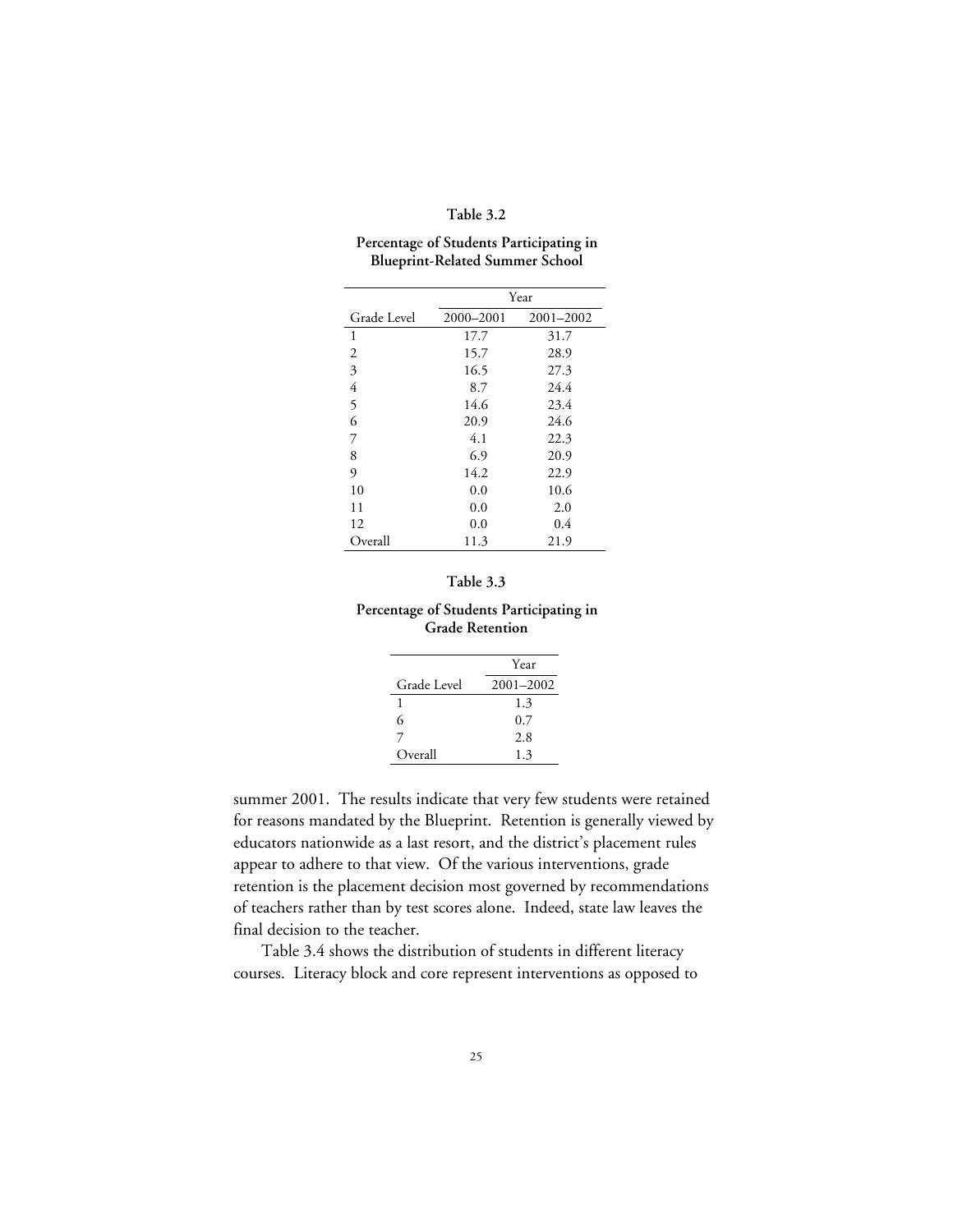#### **Table 3.2**

#### **Percentag**e **of Students Participating in Blueprint-Related Summer School**

|                | Year      |           |  |  |  |
|----------------|-----------|-----------|--|--|--|
| Grade Level    | 2000-2001 | 2001-2002 |  |  |  |
| 1              | 17.7      | 31.7      |  |  |  |
| 2              | 15.7      | 28.9      |  |  |  |
| 3              | 16.5      | 27.3      |  |  |  |
| $\overline{4}$ | 8.7       | 24.4      |  |  |  |
| 5              | 14.6      | 23.4      |  |  |  |
| 6              | 20.9      | 24.6      |  |  |  |
| 7              | 4.1       | 22.3      |  |  |  |
| 8              | 6.9       | 20.9      |  |  |  |
| 9              | 14.2      | 22.9      |  |  |  |
| 10             | 0.0       | 10.6      |  |  |  |
| 11             | 0.0       | 2.0       |  |  |  |
| 12             | 0.0       | 0.4       |  |  |  |
| Overall        | 11.3      | 21.9      |  |  |  |

### **Table 3.3**

### **Percentage of Students Participating in Grade Retention**

|             | Year      |
|-------------|-----------|
| Grade Level | 2001-2002 |
| ı           | 1.3       |
| 6           | 0.7       |
|             | 2.8       |
| Overall     | 1.3       |

summer 2001. The results indicate that very few students were retained for reasons mandated by the Blueprint. Retention is generally viewed by educators nationwide as a last resort, and the district's placement rules appear to adhere to that view. Of the various interventions, grade retention is the placement decision most governed by recommendations of teachers rather than by test scores alone. Indeed, state law leaves the final decision to the teacher.

Table 3.4 shows the distribution of students in different literacy courses. Literacy block and core represent interventions as opposed to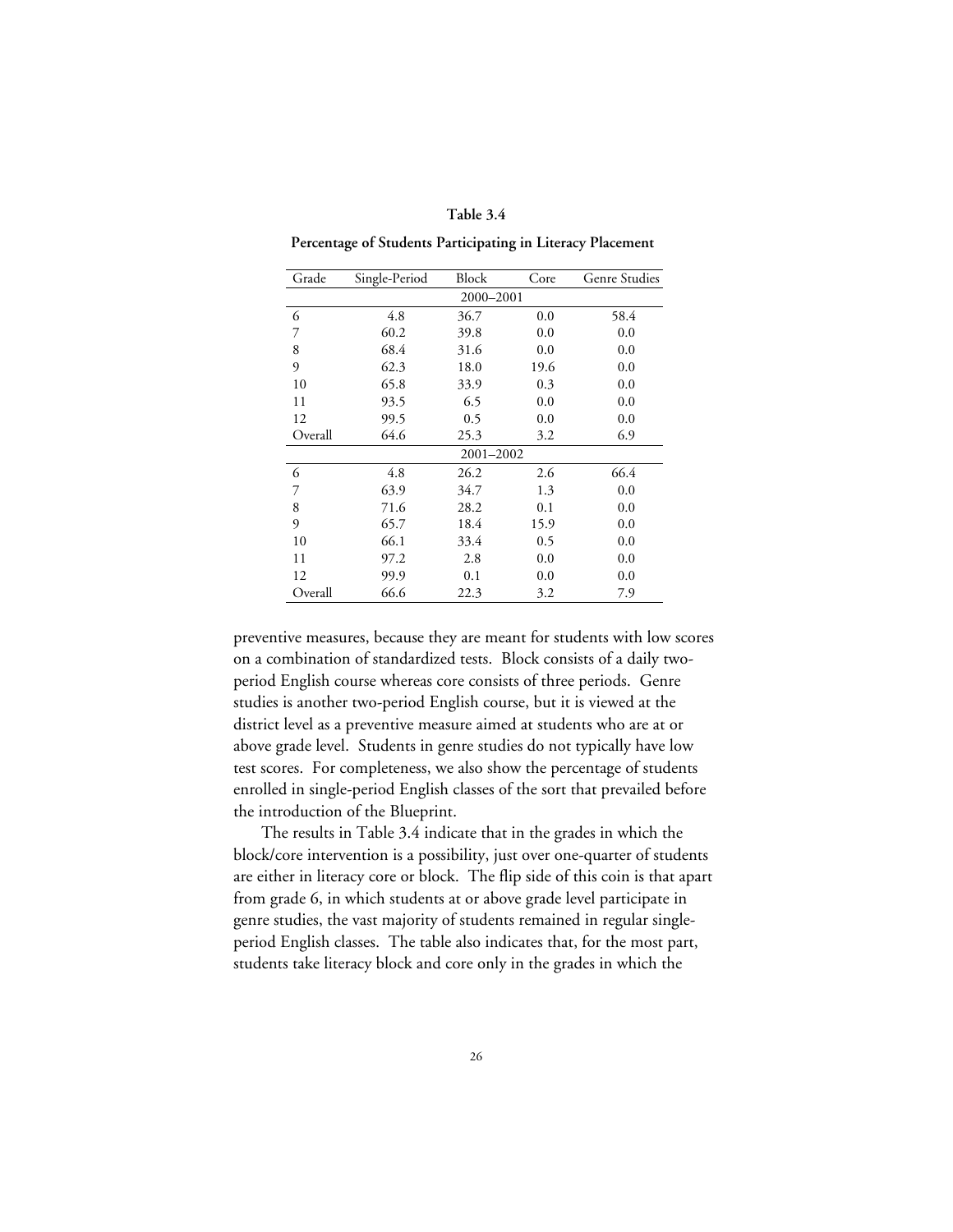|  | Table 3.4 |
|--|-----------|
|--|-----------|

**Percentage of Students Participating in Literacy Placement**

| Grade     | Single-Period | Block     | Core | <b>Genre Studies</b> |  |  |  |  |
|-----------|---------------|-----------|------|----------------------|--|--|--|--|
| 2000-2001 |               |           |      |                      |  |  |  |  |
| 6         | 4.8           | 36.7      | 0.0  | 58.4                 |  |  |  |  |
| 7         | 60.2          | 39.8      | 0.0  | 0.0                  |  |  |  |  |
| 8         | 68.4          | 31.6      | 0.0  | 0.0                  |  |  |  |  |
| 9         | 62.3          | 18.0      | 19.6 | 0.0                  |  |  |  |  |
| 10        | 65.8          | 33.9      | 0.3  | 0.0                  |  |  |  |  |
| 11        | 93.5          | 6.5       | 0.0  | 0.0                  |  |  |  |  |
| 12        | 99.5          | 0.5       | 0.0  | 0.0                  |  |  |  |  |
| Overall   | 64.6          | 25.3      | 3.2  | 6.9                  |  |  |  |  |
|           |               | 2001-2002 |      |                      |  |  |  |  |
| 6         | 4.8           | 26.2      | 2.6  | 66.4                 |  |  |  |  |
| 7         | 63.9          | 34.7      | 1.3  | 0.0                  |  |  |  |  |
| 8         | 71.6          | 28.2      | 0.1  | 0.0                  |  |  |  |  |
| 9         | 65.7          | 18.4      | 15.9 | 0.0                  |  |  |  |  |
| 10        | 66.1          | 33.4      | 0.5  | 0.0                  |  |  |  |  |
| 11        | 97.2          | 2.8       | 0.0  | 0.0                  |  |  |  |  |
| 12        | 99.9          | 0.1       | 0.0  | 0.0                  |  |  |  |  |
| Overall   | 66.6          | 22.3      | 3.2  | 7.9                  |  |  |  |  |

preventive measures, because they are meant for students with low scores on a combination of standardized tests. Block consists of a daily twoperiod English course whereas core consists of three periods. Genre studies is another two-period English course, but it is viewed at the district level as a preventive measure aimed at students who are at or above grade level. Students in genre studies do not typically have low test scores. For completeness, we also show the percentage of students enrolled in single-period English classes of the sort that prevailed before the introduction of the Blueprint.

The results in Table 3.4 indicate that in the grades in which the block/core intervention is a possibility, just over one-quarter of students are either in literacy core or block. The flip side of this coin is that apart from grade 6, in which students at or above grade level participate in genre studies, the vast majority of students remained in regular singleperiod English classes. The table also indicates that, for the most part, students take literacy block and core only in the grades in which the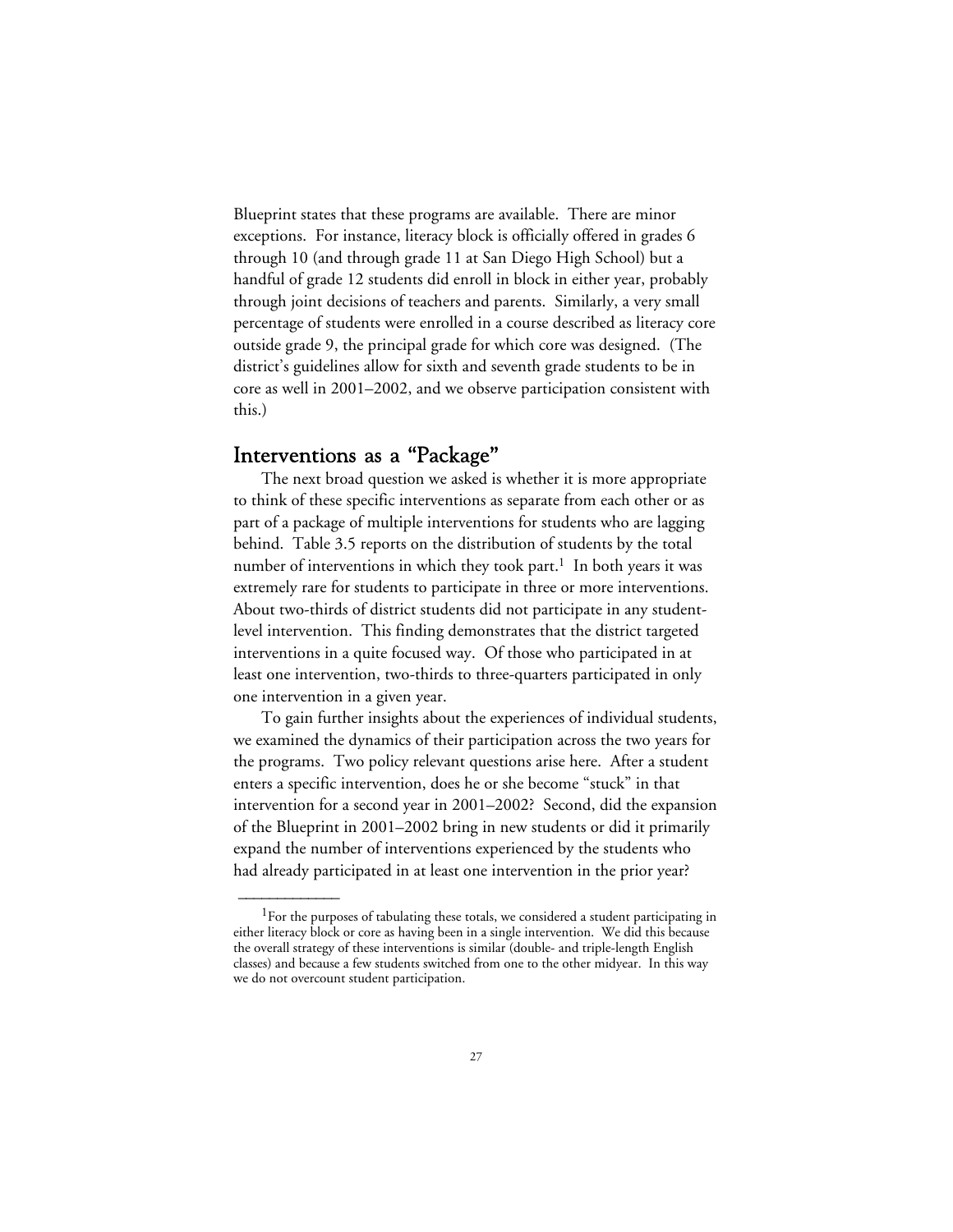Blueprint states that these programs are available. There are minor exceptions. For instance, literacy block is officially offered in grades 6 through 10 (and through grade 11 at San Diego High School) but a handful of grade 12 students did enroll in block in either year, probably through joint decisions of teachers and parents. Similarly, a very small percentage of students were enrolled in a course described as literacy core outside grade 9, the principal grade for which core was designed. (The district's guidelines allow for sixth and seventh grade students to be in core as well in 2001–2002, and we observe participation consistent with this.)

## Interventions as a "Package"

 $\overline{\phantom{a}}$ 

The next broad question we asked is whether it is more appropriate to think of these specific interventions as separate from each other or as part of a package of multiple interventions for students who are lagging behind. Table 3.5 reports on the distribution of students by the total number of interventions in which they took part.<sup>1</sup> In both years it was extremely rare for students to participate in three or more interventions. About two-thirds of district students did not participate in any studentlevel intervention. This finding demonstrates that the district targeted interventions in a quite focused way. Of those who participated in at least one intervention, two-thirds to three-quarters participated in only one intervention in a given year.

To gain further insights about the experiences of individual students, we examined the dynamics of their participation across the two years for the programs. Two policy relevant questions arise here. After a student enters a specific intervention, does he or she become "stuck" in that intervention for a second year in 2001–2002? Second, did the expansion of the Blueprint in 2001–2002 bring in new students or did it primarily expand the number of interventions experienced by the students who had already participated in at least one intervention in the prior year?

 $^1\!$  For the purposes of tabulating these totals, we considered a student participating in either literacy block or core as having been in a single intervention. We did this because the overall strategy of these interventions is similar (double- and triple-length English classes) and because a few students switched from one to the other midyear. In this way we do not overcount student participation.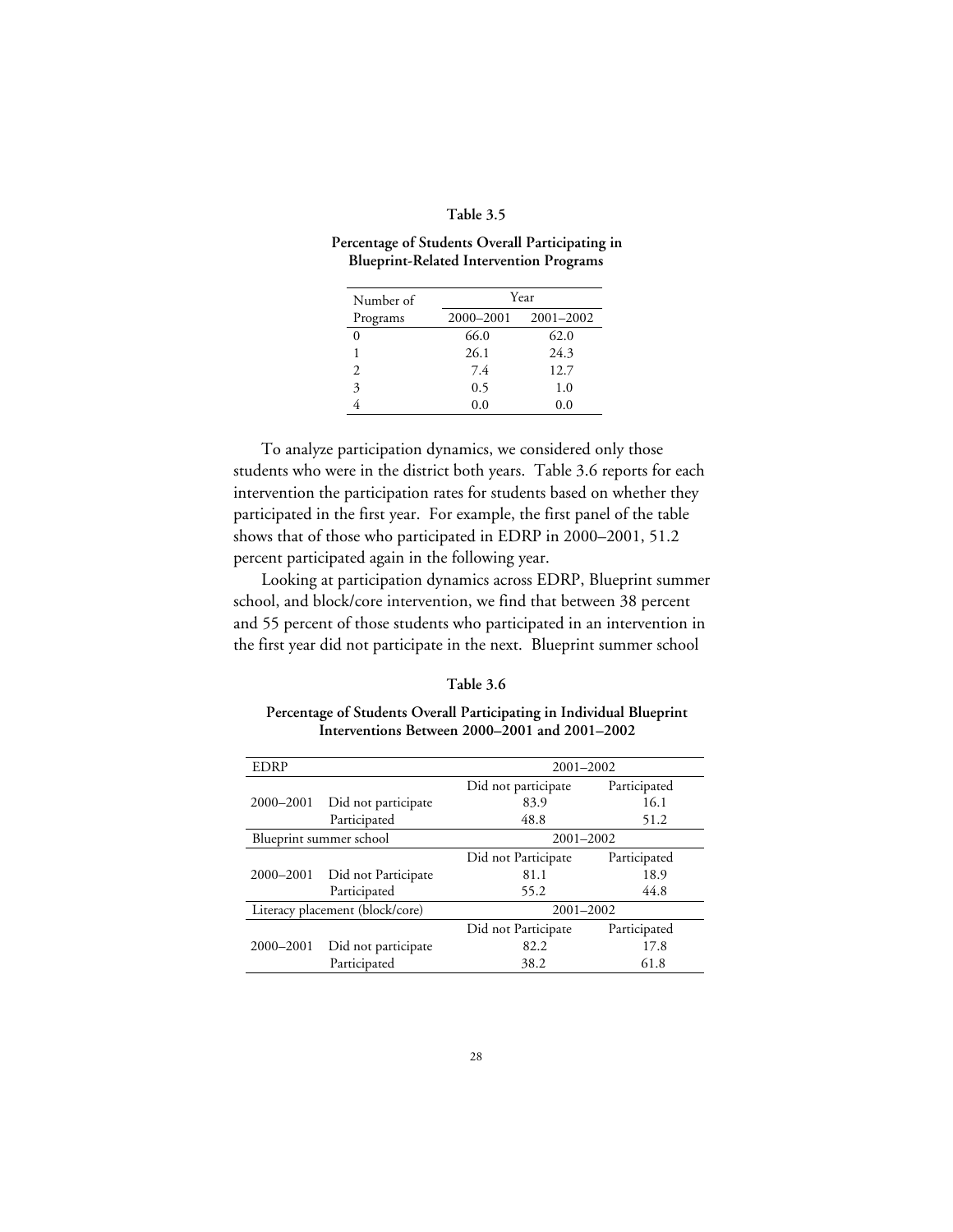#### **Table 3.5**

#### **Percentage of Students Overall Participating in Blueprint-Related Intervention Programs**

| Number of      | Year      |               |  |  |  |
|----------------|-----------|---------------|--|--|--|
| Programs       | 2000-2001 | $2001 - 2002$ |  |  |  |
|                | 66.0      | 62.0          |  |  |  |
|                | 26.1      | 24.3          |  |  |  |
| $\mathfrak{D}$ | 7.4       | 12.7          |  |  |  |
| 3              | 0.5       | 1.0           |  |  |  |
|                | 0.0       | 0.0           |  |  |  |

To analyze participation dynamics, we considered only those students who were in the district both years. Table 3.6 reports for each intervention the participation rates for students based on whether they participated in the first year. For example, the first panel of the table shows that of those who participated in EDRP in 2000–2001, 51.2 percent participated again in the following year.

Looking at participation dynamics across EDRP, Blueprint summer school, and block/core intervention, we find that between 38 percent and 55 percent of those students who participated in an intervention in the first year did not participate in the next. Blueprint summer school

#### **Table 3.6**

**Percentage of Students Overall Participating in Individual Blueprint Interventions Between 2000–2001 and 2001–2002**

| <b>EDRP</b>                     |                         | 2001-2002           |              |  |  |
|---------------------------------|-------------------------|---------------------|--------------|--|--|
|                                 |                         | Did not participate | Participated |  |  |
| 2000-2001                       | Did not participate     | 83.9                | 16.1         |  |  |
|                                 | Participated            | 48.8                | 51.2         |  |  |
|                                 | Blueprint summer school | 2001-2002           |              |  |  |
|                                 |                         | Did not Participate | Participated |  |  |
| 2000-2001                       | Did not Participate     | 81.1                | 18.9         |  |  |
|                                 | Participated            | 55.2                | 44.8         |  |  |
| Literacy placement (block/core) |                         | 2001-2002           |              |  |  |
|                                 |                         | Did not Participate | Participated |  |  |
| 2000-2001                       | Did not participate     | 82.2                | 17.8         |  |  |
|                                 | Participated            | 38.2                | 61.8         |  |  |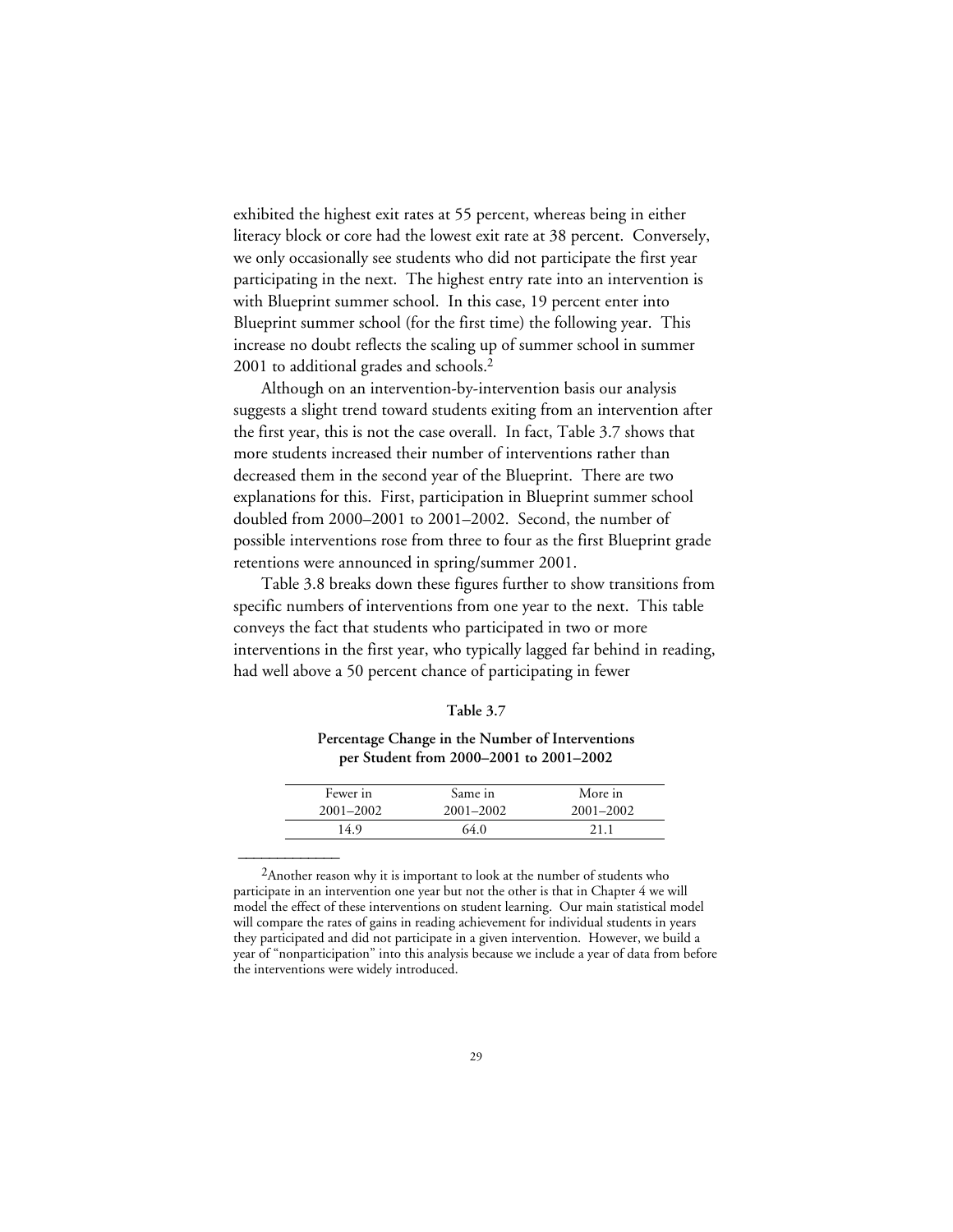exhibited the highest exit rates at 55 percent, whereas being in either literacy block or core had the lowest exit rate at 38 percent. Conversely, we only occasionally see students who did not participate the first year participating in the next. The highest entry rate into an intervention is with Blueprint summer school. In this case, 19 percent enter into Blueprint summer school (for the first time) the following year. This increase no doubt reflects the scaling up of summer school in summer 2001 to additional grades and schools.2

Although on an intervention-by-intervention basis our analysis suggests a slight trend toward students exiting from an intervention after the first year, this is not the case overall. In fact, Table 3.7 shows that more students increased their number of interventions rather than decreased them in the second year of the Blueprint. There are two explanations for this. First, participation in Blueprint summer school doubled from 2000–2001 to 2001–2002. Second, the number of possible interventions rose from three to four as the first Blueprint grade retentions were announced in spring/summer 2001.

Table 3.8 breaks down these figures further to show transitions from specific numbers of interventions from one year to the next. This table conveys the fact that students who participated in two or more interventions in the first year, who typically lagged far behind in reading, had well above a 50 percent chance of participating in fewer

#### **Table 3.7**

### **Percentage Change in the Number of Interventions per Student from 2000–2001 to 2001–2002**

| Fewer in  | Same in   | More in   |
|-----------|-----------|-----------|
| 2001-2002 | 2001–2002 | 2001-2002 |
| 14.9      | 64.0      | 2.1       |

<sup>&</sup>lt;sup>2</sup>Another reason why it is important to look at the number of students who participate in an intervention one year but not the other is that in Chapter 4 we will model the effect of these interventions on student learning. Our main statistical model will compare the rates of gains in reading achievement for individual students in years they participated and did not participate in a given intervention. However, we build a year of "nonparticipation" into this analysis because we include a year of data from before the interventions were widely introduced.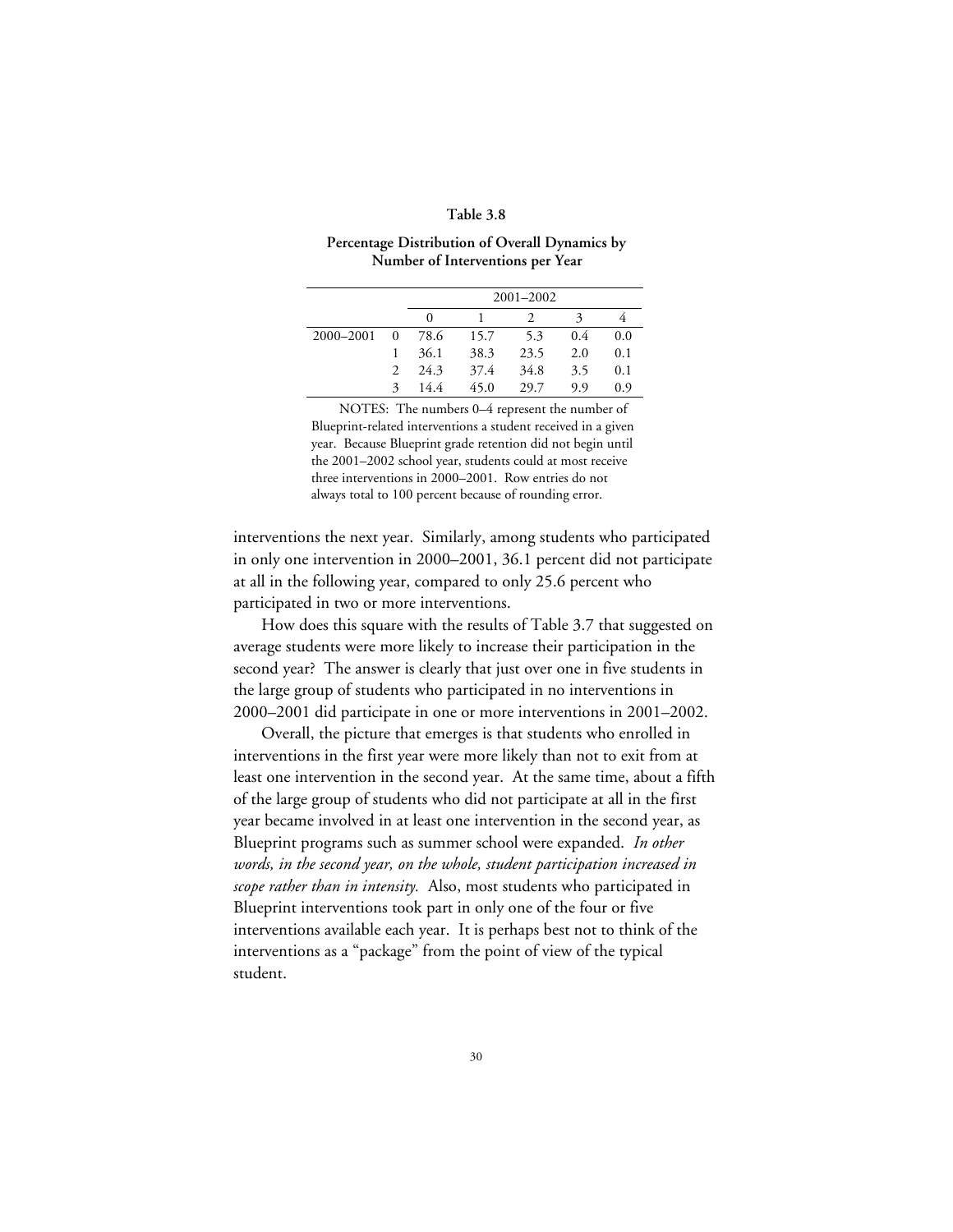#### **Table 3.8**

#### **Percentage Distribution of Overall Dynamics by Number of Interventions per Year**

|           |          |      |      | $2001 - 2002$ |     |     |
|-----------|----------|------|------|---------------|-----|-----|
|           |          | 0    |      |               | 3   |     |
| 2000-2001 | $\Omega$ | 78.6 | 15.7 | 5.3           | 0.4 | 0.0 |
|           |          | 36.1 | 38.3 | 23.5          | 2.0 | 0.1 |
|           | 2        | 24.3 | 37.4 | 34.8          | 3.5 | 0.1 |
|           | 3        | 14.4 | 45.0 | 29.7          | 9.9 | 0.9 |

NOTES: The numbers 0–4 represent the number of Blueprint-related interventions a student received in a given year. Because Blueprint grade retention did not begin until the 2001–2002 school year, students could at most receive three interventions in 2000–2001. Row entries do not always total to 100 percent because of rounding error.

interventions the next year. Similarly, among students who participated in only one intervention in 2000–2001, 36.1 percent did not participate at all in the following year, compared to only 25.6 percent who participated in two or more interventions.

How does this square with the results of Table 3.7 that suggested on average students were more likely to increase their participation in the second year? The answer is clearly that just over one in five students in the large group of students who participated in no interventions in 2000–2001 did participate in one or more interventions in 2001–2002.

Overall, the picture that emerges is that students who enrolled in interventions in the first year were more likely than not to exit from at least one intervention in the second year. At the same time, about a fifth of the large group of students who did not participate at all in the first year became involved in at least one intervention in the second year, as Blueprint programs such as summer school were expanded. *In other words, in the second year, on the whole, student participation increased in scope rather than in intensity.* Also, most students who participated in Blueprint interventions took part in only one of the four or five interventions available each year. It is perhaps best not to think of the interventions as a "package" from the point of view of the typical student.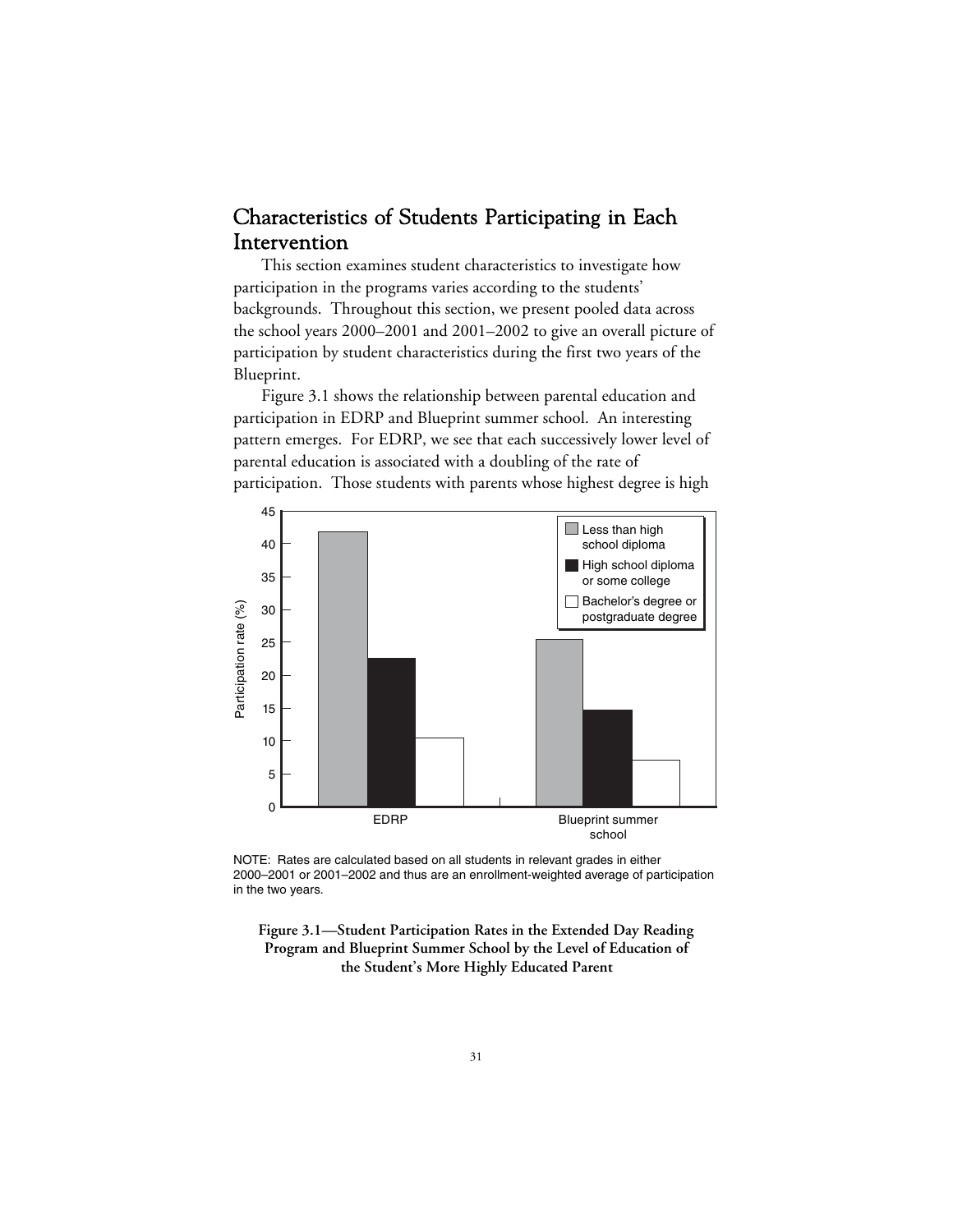## Characteristics of Students Participating in Each Intervention

This section examines student characteristics to investigate how participation in the programs varies according to the students' backgrounds. Throughout this section, we present pooled data across the school years 2000–2001 and 2001–2002 to give an overall picture of participation by student characteristics during the first two years of the Blueprint.

Figure 3.1 shows the relationship between parental education and participation in EDRP and Blueprint summer school. An interesting pattern emerges. For EDRP, we see that each successively lower level of parental education is associated with a doubling of the rate of participation. Those students with parents whose highest degree is high



NOTE: Rates are calculated based on all students in relevant grades in either 2000–2001 or 2001–2002 and thus are an enrollment-weighted average of participation in the two years.

**Figure 3.1—Student Participation Rates in the Extended Day Reading Program and Blueprint Summer School by the Level of Education of the Student's More Highly Educated Parent**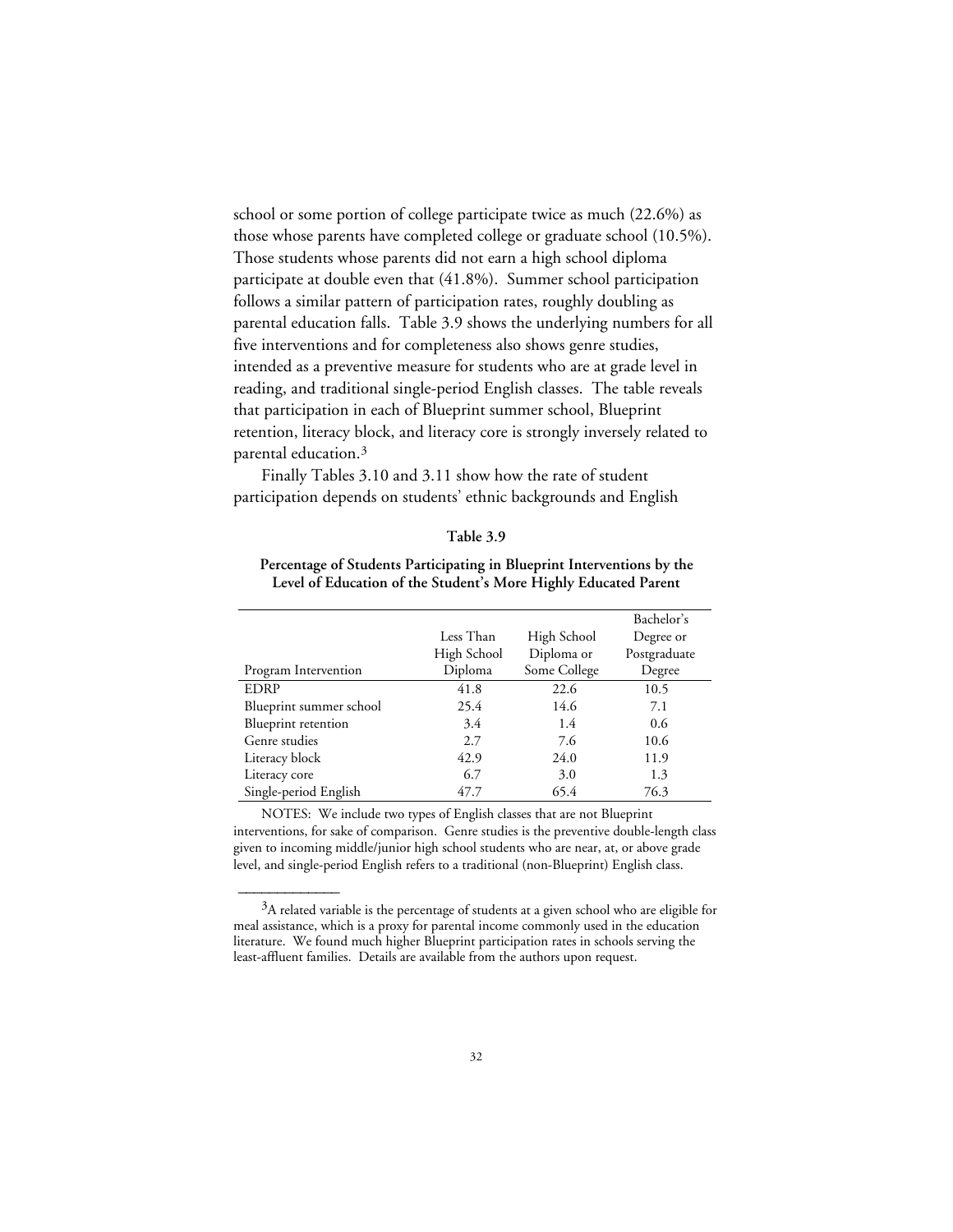school or some portion of college participate twice as much (22.6%) as those whose parents have completed college or graduate school (10.5%). Those students whose parents did not earn a high school diploma participate at double even that (41.8%). Summer school participation follows a similar pattern of participation rates, roughly doubling as parental education falls. Table 3.9 shows the underlying numbers for all five interventions and for completeness also shows genre studies, intended as a preventive measure for students who are at grade level in reading, and traditional single-period English classes. The table reveals that participation in each of Blueprint summer school, Blueprint retention, literacy block, and literacy core is strongly inversely related to parental education.3

Finally Tables 3.10 and 3.11 show how the rate of student participation depends on students' ethnic backgrounds and English

#### **Table 3.9**

### **Percentage of Students Participating in Blueprint Interventions by the Level of Education of the Student's More Highly Educated Parent**

|                         |             |              | Bachelor's   |
|-------------------------|-------------|--------------|--------------|
|                         | Less Than   | High School  | Degree or    |
|                         | High School | Diploma or   | Postgraduate |
| Program Intervention    | Diploma     | Some College | Degree       |
| <b>EDRP</b>             | 41.8        | 22.6         | 10.5         |
| Blueprint summer school | 25.4        | 14.6         | 7.1          |
| Blueprint retention     | 3.4         | 1.4          | 0.6          |
| Genre studies           | 2.7         | 7.6          | 10.6         |
| Literacy block          | 42.9        | 24.0         | 11.9         |
| Literacy core           | 6.7         | 3.0          | 1.3          |
| Single-period English   | 47.7        | 65.4         | 76.3         |

NOTES: We include two types of English classes that are not Blueprint interventions, for sake of comparison. Genre studies is the preventive double-length class given to incoming middle/junior high school students who are near, at, or above grade level, and single-period English refers to a traditional (non-Blueprint) English class.

 $3A$  related variable is the percentage of students at a given school who are eligible for meal assistance, which is a proxy for parental income commonly used in the education literature. We found much higher Blueprint participation rates in schools serving the least-affluent families. Details are available from the authors upon request.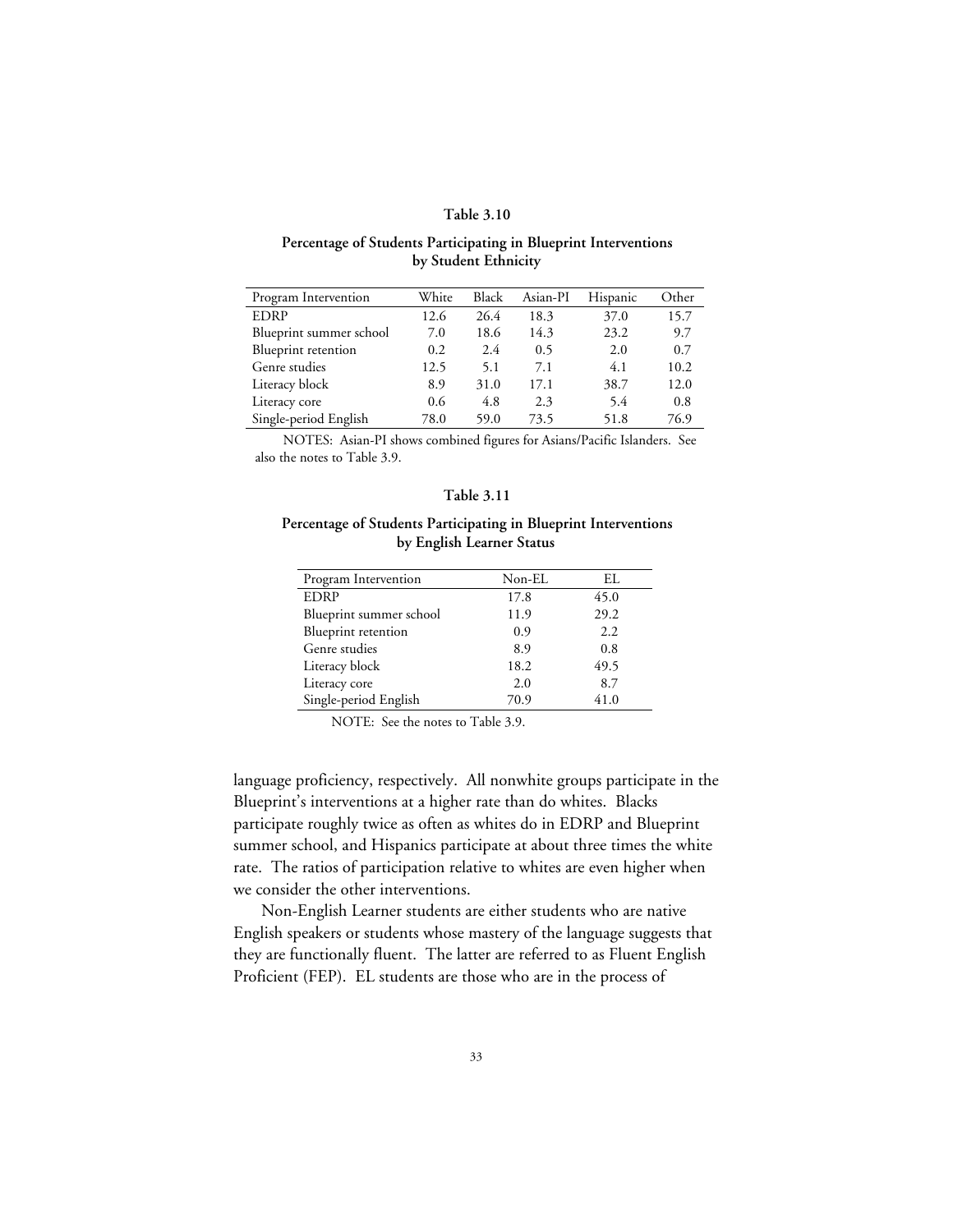#### **Table 3.10**

#### **Percentage of Students Participating in Blueprint Interventions by Student Ethnicity**

| Program Intervention    | White | Black | Asian-PI | Hispanic | Other |
|-------------------------|-------|-------|----------|----------|-------|
| <b>EDRP</b>             | 12.6  | 26.4  | 18.3     | 37.0     | 15.7  |
| Blueprint summer school | 7.0   | 18.6  | 14.3     | 23.2     | 9.7   |
| Blueprint retention     | 0.2   | 2.4   | 0.5      | 2.0      | 0.7   |
| Genre studies           | 12.5  | 5.1   | 7.1      | 4.1      | 10.2  |
| Literacy block          | 8.9   | 31.0  | 17.1     | 38.7     | 12.0  |
| Literacy core           | 0.6   | 4.8   | 2.3      | 5.4      | 0.8   |
| Single-period English   | 78.0  | 59.0  | 73.5     | 51.8     | 76.9  |

NOTES: Asian-PI shows combined figures for Asians/Pacific Islanders. See also the notes to Table 3.9.

#### **Table 3.11**

#### **Percentage of Students Participating in Blueprint Interventions by English Learner Status**

| Program Intervention    | Non-EL | EI.  |
|-------------------------|--------|------|
| <b>EDRP</b>             | 17.8   | 45.0 |
| Blueprint summer school | 11.9   | 29.2 |
| Blueprint retention     | 0.9    | 2.2  |
| Genre studies           | 8.9    | 0.8  |
| Literacy block          | 18.2   | 49.5 |
| Literacy core           | 2.0    | 8.7  |
| Single-period English   | 70.9   | 41.0 |

NOTE: See the notes to Table 3.9.

language proficiency, respectively. All nonwhite groups participate in the Blueprint's interventions at a higher rate than do whites. Blacks participate roughly twice as often as whites do in EDRP and Blueprint summer school, and Hispanics participate at about three times the white rate. The ratios of participation relative to whites are even higher when we consider the other interventions.

Non-English Learner students are either students who are native English speakers or students whose mastery of the language suggests that they are functionally fluent. The latter are referred to as Fluent English Proficient (FEP). EL students are those who are in the process of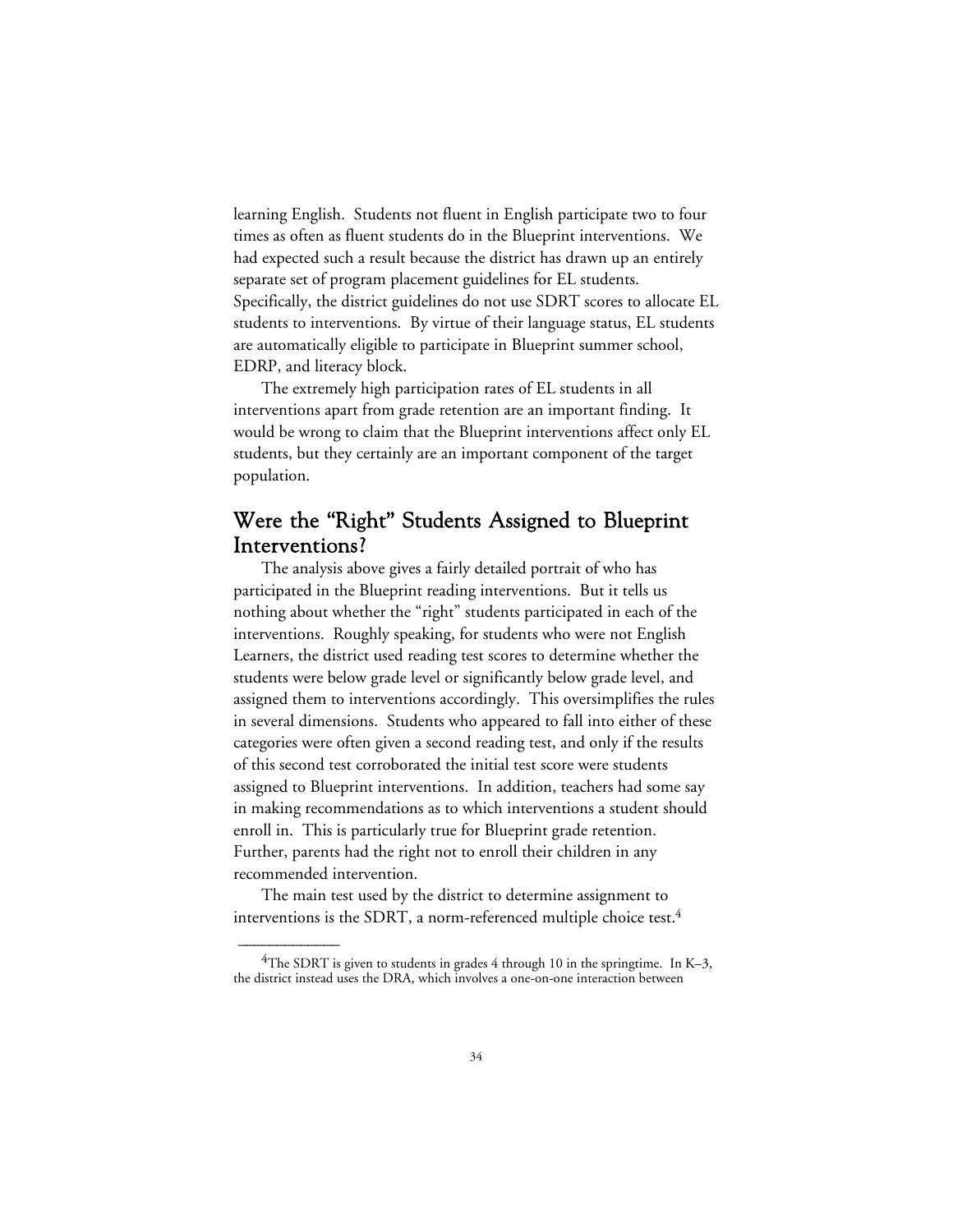learning English. Students not fluent in English participate two to four times as often as fluent students do in the Blueprint interventions. We had expected such a result because the district has drawn up an entirely separate set of program placement guidelines for EL students. Specifically, the district guidelines do not use SDRT scores to allocate EL students to interventions. By virtue of their language status, EL students are automatically eligible to participate in Blueprint summer school, EDRP, and literacy block.

The extremely high participation rates of EL students in all interventions apart from grade retention are an important finding. It would be wrong to claim that the Blueprint interventions affect only EL students, but they certainly are an important component of the target population.

## Were the "Right" Students Assigned to Blueprint Interventions?

The analysis above gives a fairly detailed portrait of who has participated in the Blueprint reading interventions. But it tells us nothing about whether the "right" students participated in each of the interventions. Roughly speaking, for students who were not English Learners, the district used reading test scores to determine whether the students were below grade level or significantly below grade level, and assigned them to interventions accordingly. This oversimplifies the rules in several dimensions. Students who appeared to fall into either of these categories were often given a second reading test, and only if the results of this second test corroborated the initial test score were students assigned to Blueprint interventions. In addition, teachers had some say in making recommendations as to which interventions a student should enroll in. This is particularly true for Blueprint grade retention. Further, parents had the right not to enroll their children in any recommended intervention.

The main test used by the district to determine assignment to interventions is the SDRT, a norm-referenced multiple choice test.<sup>4</sup>

<sup>&</sup>lt;sup>4</sup>The SDRT is given to students in grades 4 through 10 in the springtime. In K–3, the district instead uses the DRA, which involves a one-on-one interaction between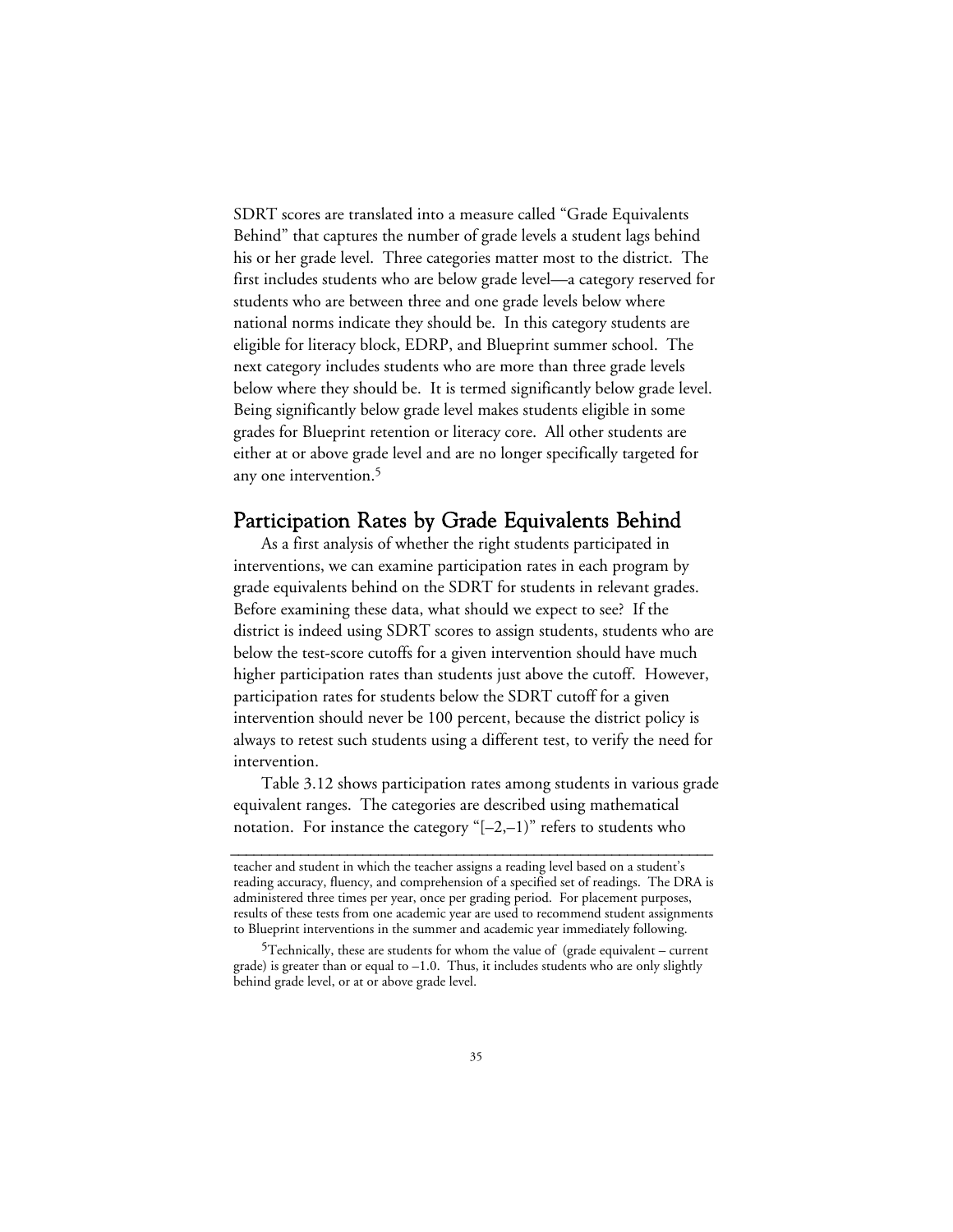SDRT scores are translated into a measure called "Grade Equivalents Behind" that captures the number of grade levels a student lags behind his or her grade level. Three categories matter most to the district. The first includes students who are below grade level—a category reserved for students who are between three and one grade levels below where national norms indicate they should be. In this category students are eligible for literacy block, EDRP, and Blueprint summer school. The next category includes students who are more than three grade levels below where they should be. It is termed significantly below grade level. Being significantly below grade level makes students eligible in some grades for Blueprint retention or literacy core. All other students are either at or above grade level and are no longer specifically targeted for any one intervention.5

## Participation Rates by Grade Equivalents Behind

As a first analysis of whether the right students participated in interventions, we can examine participation rates in each program by grade equivalents behind on the SDRT for students in relevant grades. Before examining these data, what should we expect to see? If the district is indeed using SDRT scores to assign students, students who are below the test-score cutoffs for a given intervention should have much higher participation rates than students just above the cutoff. However, participation rates for students below the SDRT cutoff for a given intervention should never be 100 percent, because the district policy is always to retest such students using a different test, to verify the need for intervention.

Table 3.12 shows participation rates among students in various grade equivalent ranges. The categories are described using mathematical notation. For instance the category " $[-2,-1)$ " refers to students who

**\_\_\_\_\_\_\_\_\_\_\_\_\_\_\_\_\_\_\_\_\_\_\_\_\_\_\_\_\_\_\_\_\_\_\_\_\_\_\_\_\_\_\_\_\_\_\_\_\_\_\_\_\_\_\_\_\_\_\_\_\_\_**

teacher and student in which the teacher assigns a reading level based on a student's reading accuracy, fluency, and comprehension of a specified set of readings. The DRA is administered three times per year, once per grading period. For placement purposes, results of these tests from one academic year are used to recommend student assignments to Blueprint interventions in the summer and academic year immediately following.

<sup>5</sup>Technically, these are students for whom the value of (grade equivalent – current grade) is greater than or equal to –1.0. Thus, it includes students who are only slightly behind grade level, or at or above grade level.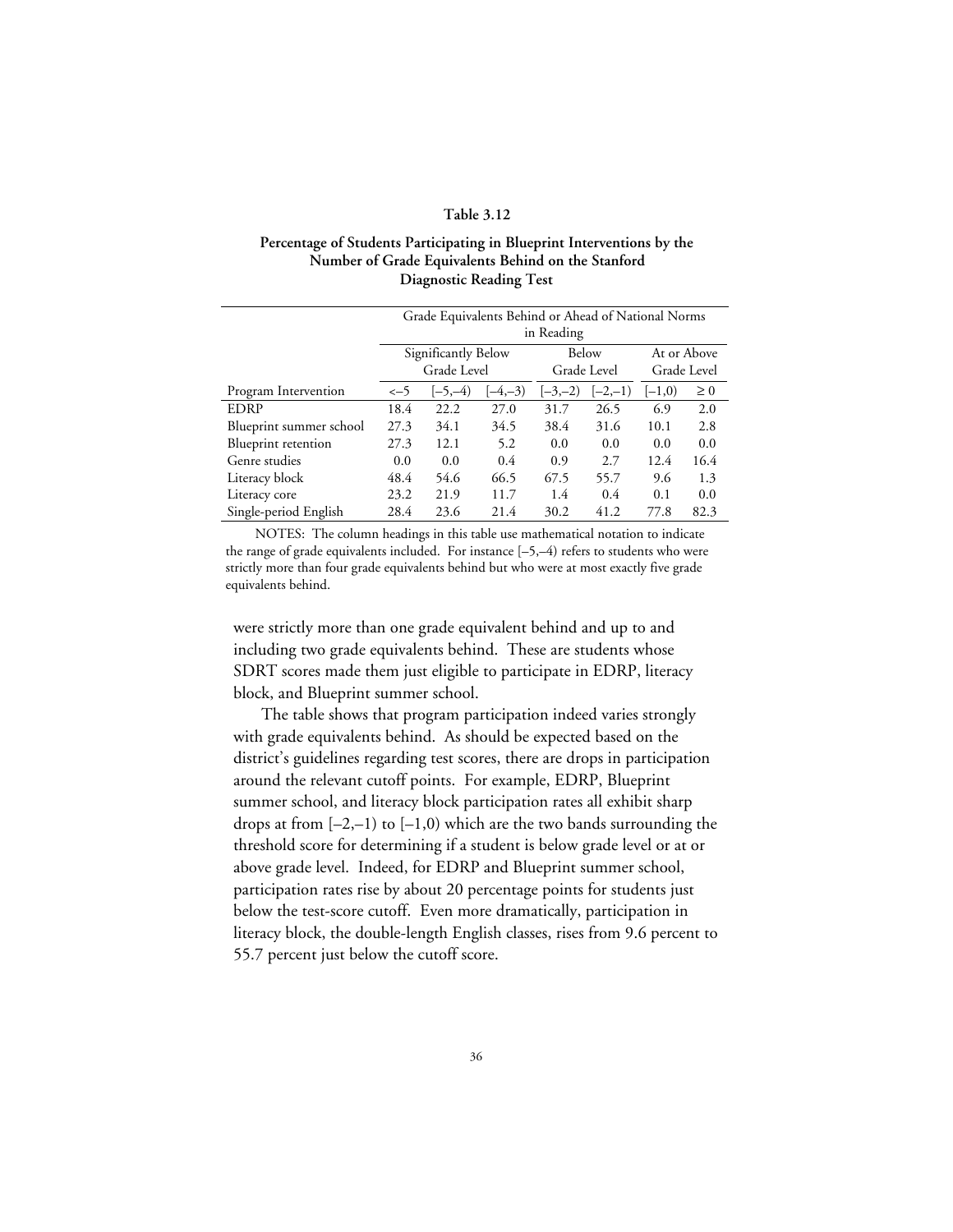## **Table 3.12**

## **Percentage of Students Participating in Blueprint Interventions by the Number of Grade Equivalents Behind on the Stanford Diagnostic Reading Test**

|                         | Grade Equivalents Behind or Ahead of National Norms |           |               |           |             |          |          |
|-------------------------|-----------------------------------------------------|-----------|---------------|-----------|-------------|----------|----------|
|                         | in Reading                                          |           |               |           |             |          |          |
|                         | Significantly Below                                 |           | Below         |           | At or Above |          |          |
|                         | Grade Level                                         |           | Grade Level   |           | Grade Level |          |          |
| Program Intervention    | $\leftarrow$ 5                                      | $[-5,-4)$ | $[-4,-3)$     | $[-3,-2)$ | $[-2,-1)$   | $[-1,0)$ | $\geq 0$ |
| <b>EDRP</b>             | 18.4                                                | 22.2      | 27.0          | 31.7      | 26.5        | 6.9      | 2.0      |
| Blueprint summer school | 27.3                                                | 34.1      | 34.5          | 38.4      | 31.6        | 10.1     | 2.8      |
| Blueprint retention     | 27.3                                                | 12.1      | 5.2           | 0.0       | 0.0         | 0.0      | 0.0      |
| Genre studies           | 0.0                                                 | 0.0       | $0.4^{\circ}$ | 0.9       | 2.7         | 12.4     | 16.4     |
| Literacy block          | 48.4                                                | 54.6      | 66.5          | 67.5      | 55.7        | 9.6      | 1.3      |
| Literacy core           | 23.2                                                | 21.9      | 11.7          | 1.4       | 0.4         | 0.1      | 0.0      |
| Single-period English   | 28.4                                                | 23.6      | 21.4          | 30.2      | 41.2        | 77.8     | 82.3     |

NOTES: The column headings in this table use mathematical notation to indicate the range of grade equivalents included. For instance [–5,–4) refers to students who were strictly more than four grade equivalents behind but who were at most exactly five grade equivalents behind.

were strictly more than one grade equivalent behind and up to and including two grade equivalents behind. These are students whose SDRT scores made them just eligible to participate in EDRP, literacy block, and Blueprint summer school.

The table shows that program participation indeed varies strongly with grade equivalents behind. As should be expected based on the district's guidelines regarding test scores, there are drops in participation around the relevant cutoff points. For example, EDRP, Blueprint summer school, and literacy block participation rates all exhibit sharp drops at from  $[-2,-1)$  to  $[-1,0)$  which are the two bands surrounding the threshold score for determining if a student is below grade level or at or above grade level. Indeed, for EDRP and Blueprint summer school, participation rates rise by about 20 percentage points for students just below the test-score cutoff. Even more dramatically, participation in literacy block, the double-length English classes, rises from 9.6 percent to 55.7 percent just below the cutoff score.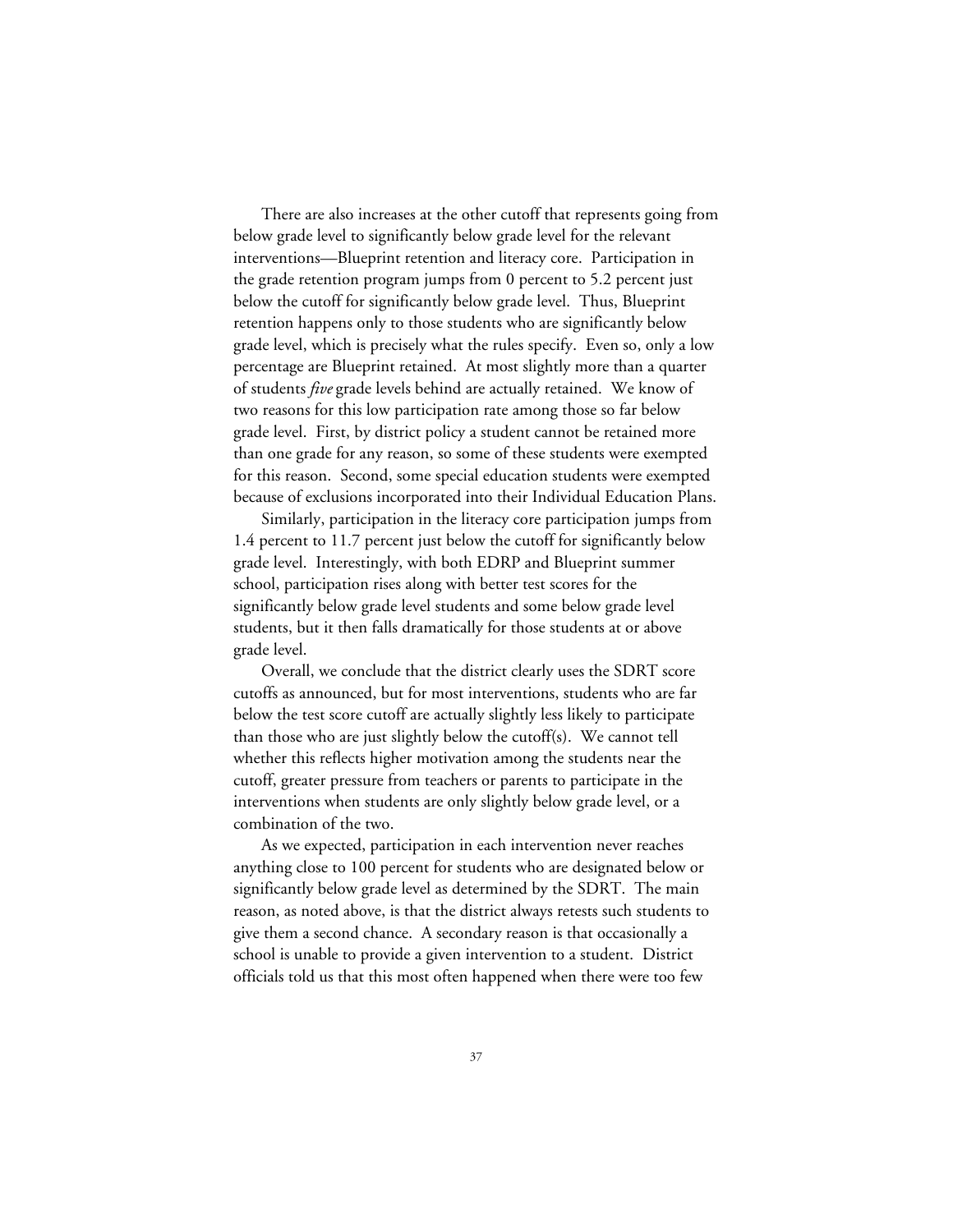There are also increases at the other cutoff that represents going from below grade level to significantly below grade level for the relevant interventions—Blueprint retention and literacy core. Participation in the grade retention program jumps from 0 percent to 5.2 percent just below the cutoff for significantly below grade level. Thus, Blueprint retention happens only to those students who are significantly below grade level, which is precisely what the rules specify. Even so, only a low percentage are Blueprint retained. At most slightly more than a quarter of students *five* grade levels behind are actually retained. We know of two reasons for this low participation rate among those so far below grade level. First, by district policy a student cannot be retained more than one grade for any reason, so some of these students were exempted for this reason. Second, some special education students were exempted because of exclusions incorporated into their Individual Education Plans.

Similarly, participation in the literacy core participation jumps from 1.4 percent to 11.7 percent just below the cutoff for significantly below grade level. Interestingly, with both EDRP and Blueprint summer school, participation rises along with better test scores for the significantly below grade level students and some below grade level students, but it then falls dramatically for those students at or above grade level.

Overall, we conclude that the district clearly uses the SDRT score cutoffs as announced, but for most interventions, students who are far below the test score cutoff are actually slightly less likely to participate than those who are just slightly below the cutoff(s). We cannot tell whether this reflects higher motivation among the students near the cutoff, greater pressure from teachers or parents to participate in the interventions when students are only slightly below grade level, or a combination of the two.

As we expected, participation in each intervention never reaches anything close to 100 percent for students who are designated below or significantly below grade level as determined by the SDRT. The main reason, as noted above, is that the district always retests such students to give them a second chance. A secondary reason is that occasionally a school is unable to provide a given intervention to a student. District officials told us that this most often happened when there were too few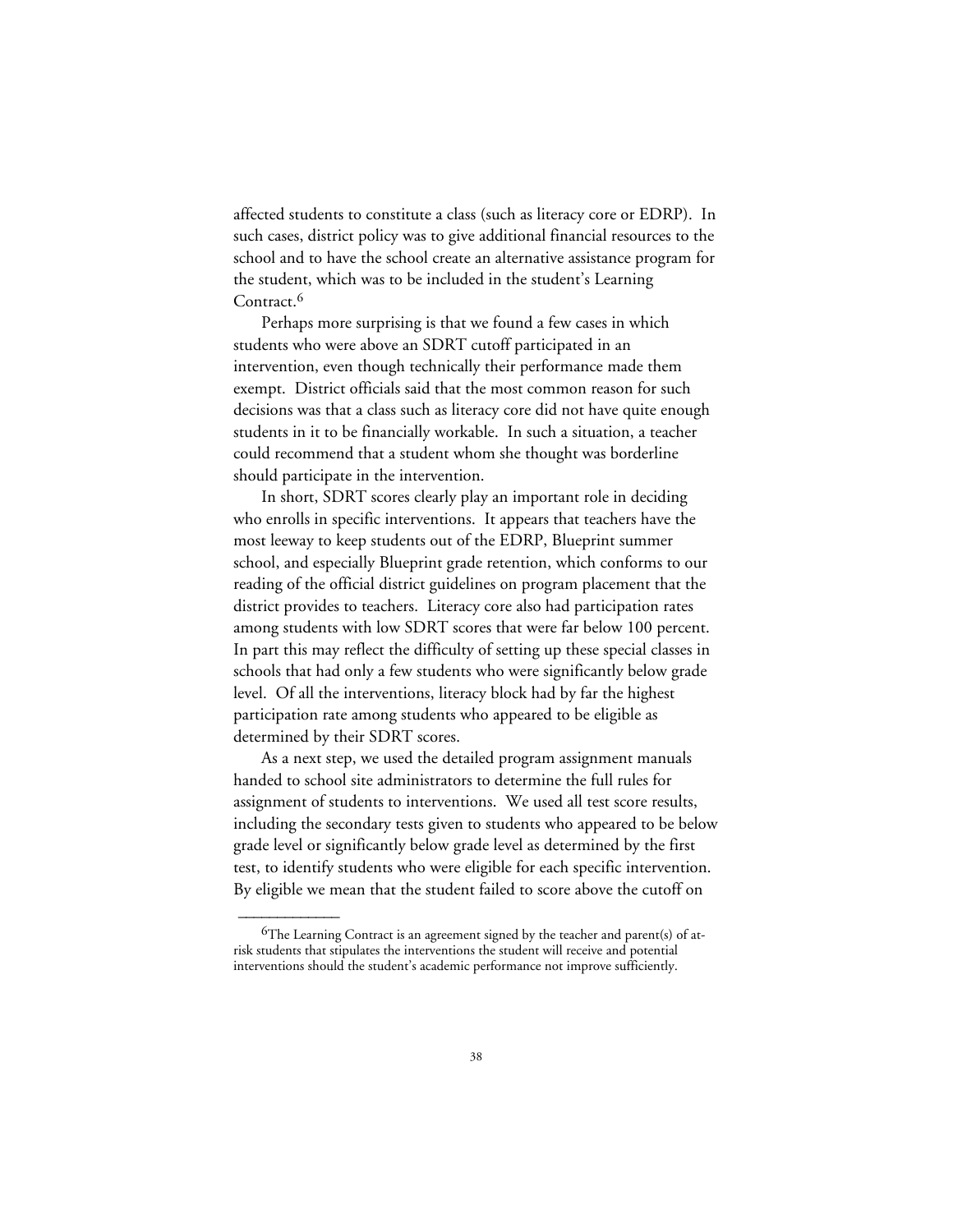affected students to constitute a class (such as literacy core or EDRP). In such cases, district policy was to give additional financial resources to the school and to have the school create an alternative assistance program for the student, which was to be included in the student's Learning Contract.<sup>6</sup>

Perhaps more surprising is that we found a few cases in which students who were above an SDRT cutoff participated in an intervention, even though technically their performance made them exempt. District officials said that the most common reason for such decisions was that a class such as literacy core did not have quite enough students in it to be financially workable. In such a situation, a teacher could recommend that a student whom she thought was borderline should participate in the intervention.

In short, SDRT scores clearly play an important role in deciding who enrolls in specific interventions. It appears that teachers have the most leeway to keep students out of the EDRP, Blueprint summer school, and especially Blueprint grade retention, which conforms to our reading of the official district guidelines on program placement that the district provides to teachers. Literacy core also had participation rates among students with low SDRT scores that were far below 100 percent. In part this may reflect the difficulty of setting up these special classes in schools that had only a few students who were significantly below grade level. Of all the interventions, literacy block had by far the highest participation rate among students who appeared to be eligible as determined by their SDRT scores.

As a next step, we used the detailed program assignment manuals handed to school site administrators to determine the full rules for assignment of students to interventions. We used all test score results, including the secondary tests given to students who appeared to be below grade level or significantly below grade level as determined by the first test, to identify students who were eligible for each specific intervention. By eligible we mean that the student failed to score above the cutoff on

 ${}^{6}$ The Learning Contract is an agreement signed by the teacher and parent(s) of atrisk students that stipulates the interventions the student will receive and potential interventions should the student's academic performance not improve sufficiently.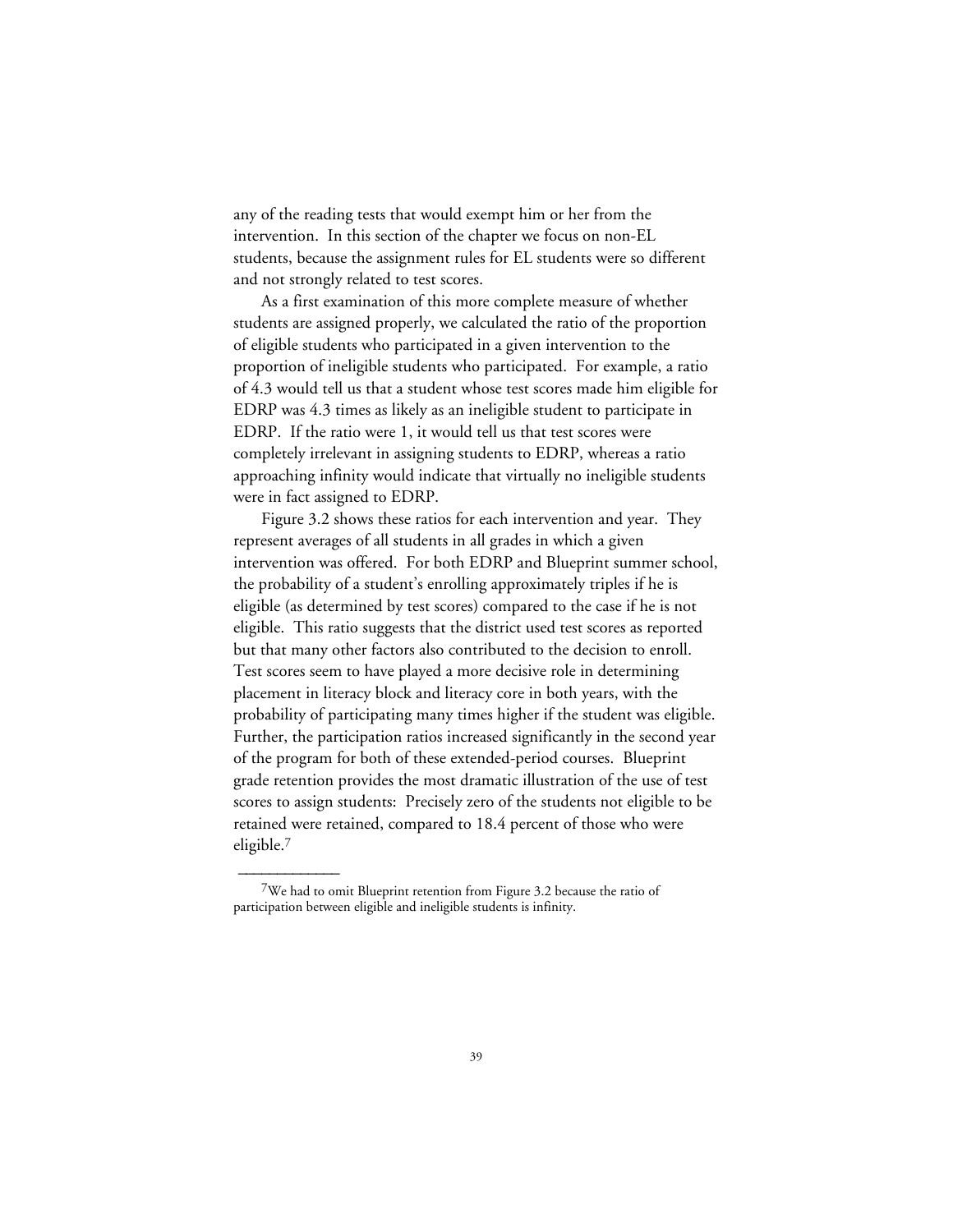any of the reading tests that would exempt him or her from the intervention. In this section of the chapter we focus on non-EL students, because the assignment rules for EL students were so different and not strongly related to test scores.

As a first examination of this more complete measure of whether students are assigned properly, we calculated the ratio of the proportion of eligible students who participated in a given intervention to the proportion of ineligible students who participated. For example, a ratio of 4.3 would tell us that a student whose test scores made him eligible for EDRP was 4.3 times as likely as an ineligible student to participate in EDRP. If the ratio were 1, it would tell us that test scores were completely irrelevant in assigning students to EDRP, whereas a ratio approaching infinity would indicate that virtually no ineligible students were in fact assigned to EDRP.

Figure 3.2 shows these ratios for each intervention and year. They represent averages of all students in all grades in which a given intervention was offered. For both EDRP and Blueprint summer school, the probability of a student's enrolling approximately triples if he is eligible (as determined by test scores) compared to the case if he is not eligible. This ratio suggests that the district used test scores as reported but that many other factors also contributed to the decision to enroll. Test scores seem to have played a more decisive role in determining placement in literacy block and literacy core in both years, with the probability of participating many times higher if the student was eligible. Further, the participation ratios increased significantly in the second year of the program for both of these extended-period courses. Blueprint grade retention provides the most dramatic illustration of the use of test scores to assign students: Precisely zero of the students not eligible to be retained were retained, compared to 18.4 percent of those who were eligible.7

<sup>7</sup>We had to omit Blueprint retention from Figure 3.2 because the ratio of participation between eligible and ineligible students is infinity.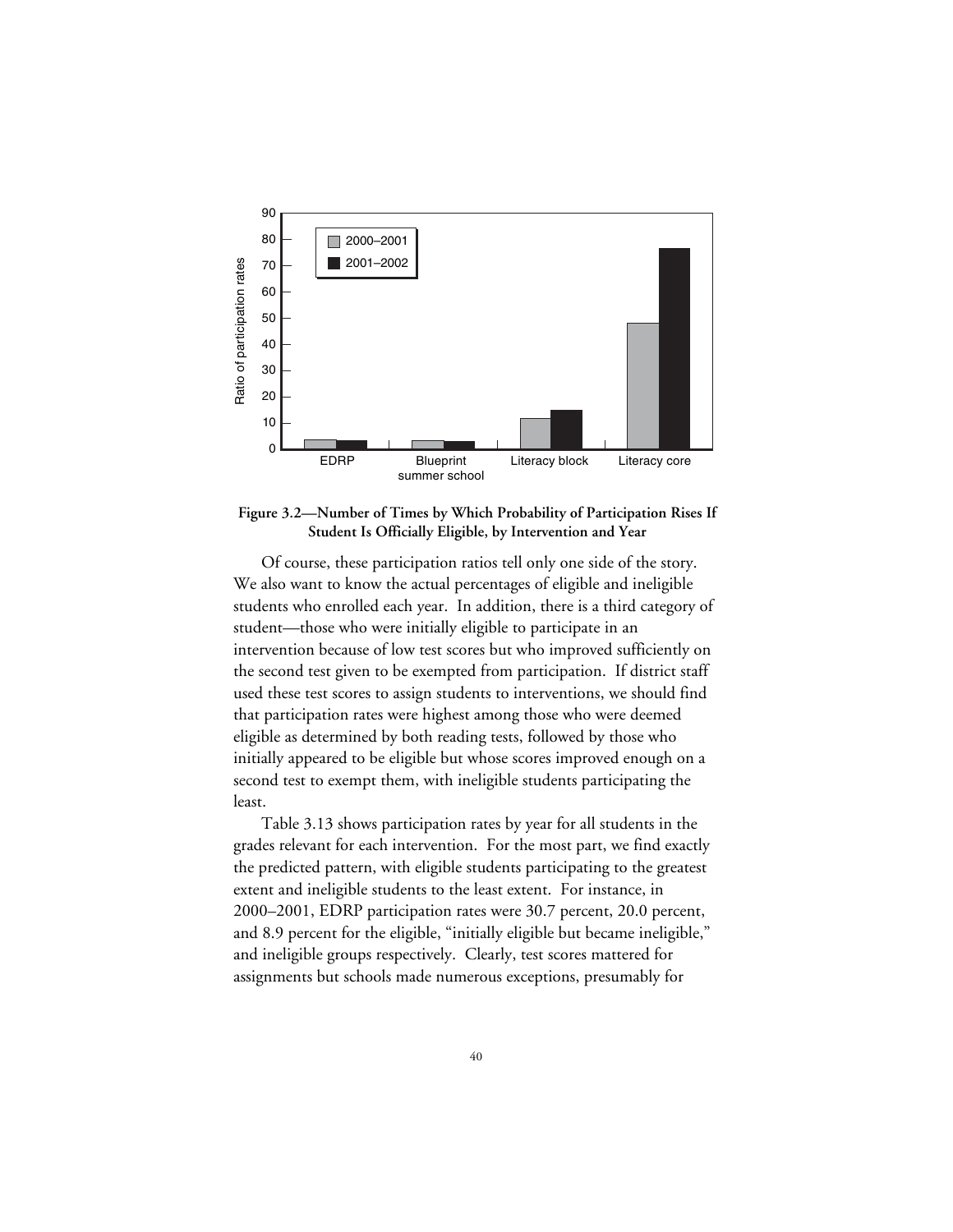

**Figure 3.2—Number of Times by Which Probability of Participation Rises If Student Is Officially Eligible, by Intervention and Year**

Of course, these participation ratios tell only one side of the story. We also want to know the actual percentages of eligible and ineligible students who enrolled each year. In addition, there is a third category of student—those who were initially eligible to participate in an intervention because of low test scores but who improved sufficiently on the second test given to be exempted from participation. If district staff used these test scores to assign students to interventions, we should find that participation rates were highest among those who were deemed eligible as determined by both reading tests, followed by those who initially appeared to be eligible but whose scores improved enough on a second test to exempt them, with ineligible students participating the least.

Table 3.13 shows participation rates by year for all students in the grades relevant for each intervention. For the most part, we find exactly the predicted pattern, with eligible students participating to the greatest extent and ineligible students to the least extent. For instance, in 2000–2001, EDRP participation rates were 30.7 percent, 20.0 percent, and 8.9 percent for the eligible, "initially eligible but became ineligible," and ineligible groups respectively. Clearly, test scores mattered for assignments but schools made numerous exceptions, presumably for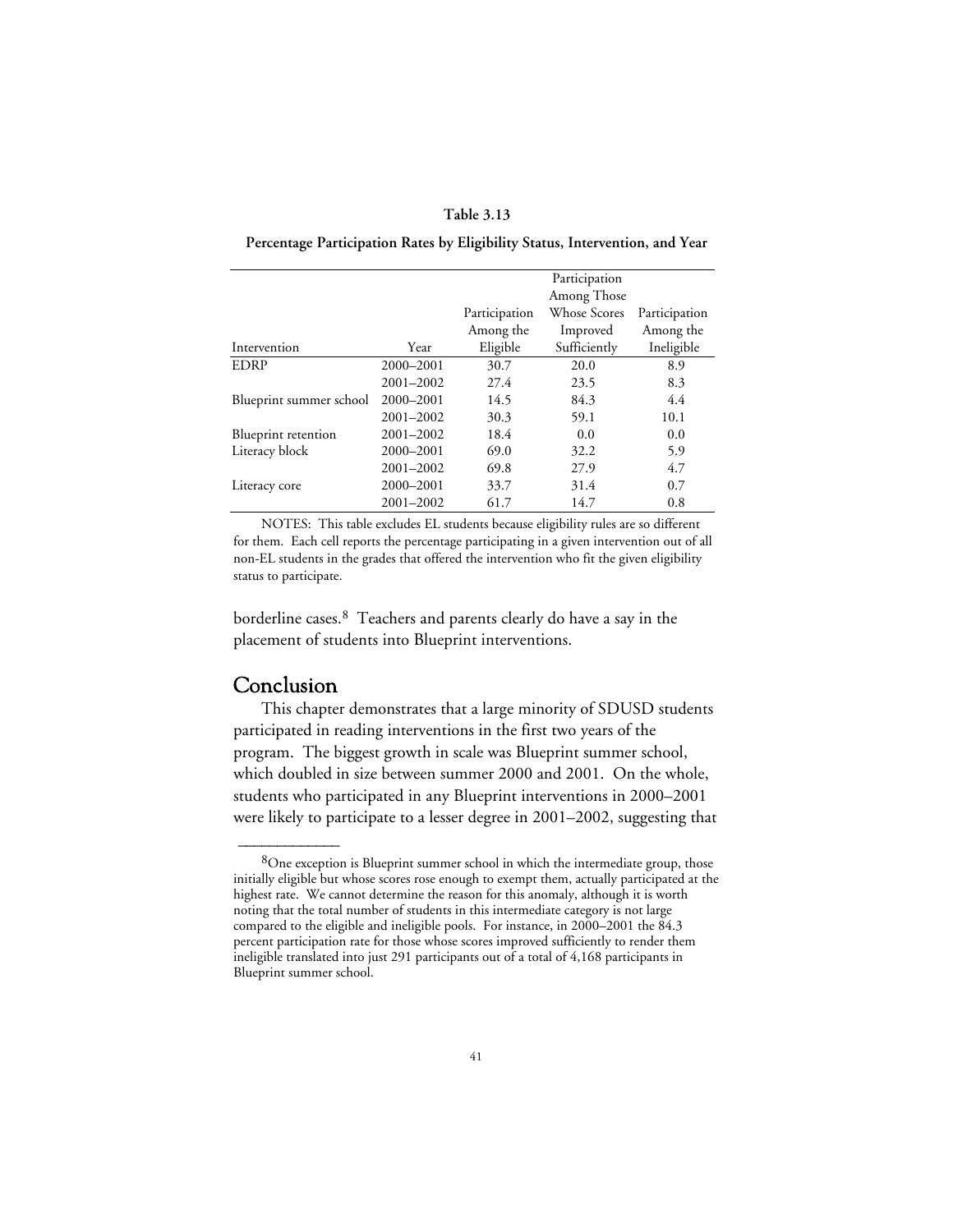## **Table 3.13**

**Percentage Participation Rates by Eligibility Status, Intervention, and Year**

|                         |               |               | Participation               |               |
|-------------------------|---------------|---------------|-----------------------------|---------------|
|                         |               | Participation | Among Those<br>Whose Scores | Participation |
|                         |               | Among the     | Improved                    | Among the     |
| Intervention            | Year          | Eligible      | Sufficiently                | Ineligible    |
| <b>EDRP</b>             | 2000-2001     | 30.7          | 20.0                        | 8.9           |
|                         | $2001 - 2002$ | 27.4          | 23.5                        | 8.3           |
| Blueprint summer school | 2000-2001     | 14.5          | 84.3                        | 4.4           |
|                         | $2001 - 2002$ | 30.3          | 59.1                        | 10.1          |
| Blueprint retention     | 2001-2002     | 18.4          | 0.0                         | 0.0           |
| Literacy block          | 2000-2001     | 69.0          | 32.2                        | 5.9           |
|                         | $2001 - 2002$ | 69.8          | 27.9                        | 4.7           |
| Literacy core           | 2000-2001     | 33.7          | 31.4                        | 0.7           |
|                         | 2001-2002     | 61.7          | 14.7                        | 0.8           |

NOTES: This table excludes EL students because eligibility rules are so different for them. Each cell reports the percentage participating in a given intervention out of all non-EL students in the grades that offered the intervention who fit the given eligibility status to participate.

borderline cases.8 Teachers and parents clearly do have a say in the placement of students into Blueprint interventions.

## Conclusion

 $\overline{\phantom{a}}$ 

This chapter demonstrates that a large minority of SDUSD students participated in reading interventions in the first two years of the program. The biggest growth in scale was Blueprint summer school, which doubled in size between summer 2000 and 2001. On the whole, students who participated in any Blueprint interventions in 2000–2001 were likely to participate to a lesser degree in 2001–2002, suggesting that

 $8$ One exception is Blueprint summer school in which the intermediate group, those initially eligible but whose scores rose enough to exempt them, actually participated at the highest rate. We cannot determine the reason for this anomaly, although it is worth noting that the total number of students in this intermediate category is not large compared to the eligible and ineligible pools. For instance, in 2000–2001 the 84.3 percent participation rate for those whose scores improved sufficiently to render them ineligible translated into just 291 participants out of a total of 4,168 participants in Blueprint summer school.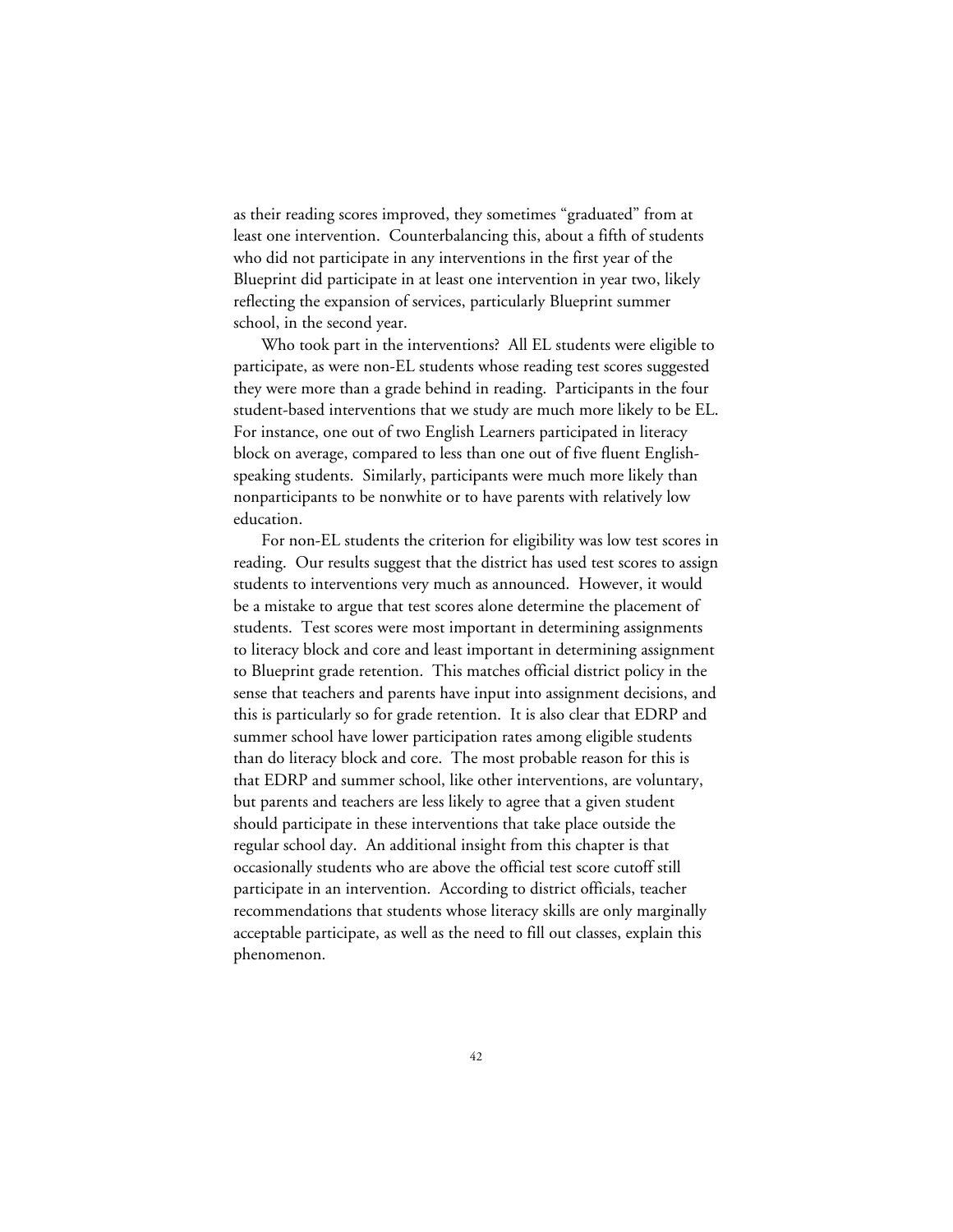as their reading scores improved, they sometimes "graduated" from at least one intervention. Counterbalancing this, about a fifth of students who did not participate in any interventions in the first year of the Blueprint did participate in at least one intervention in year two, likely reflecting the expansion of services, particularly Blueprint summer school, in the second year.

Who took part in the interventions? All EL students were eligible to participate, as were non-EL students whose reading test scores suggested they were more than a grade behind in reading. Participants in the four student-based interventions that we study are much more likely to be EL. For instance, one out of two English Learners participated in literacy block on average, compared to less than one out of five fluent Englishspeaking students. Similarly, participants were much more likely than nonparticipants to be nonwhite or to have parents with relatively low education.

For non-EL students the criterion for eligibility was low test scores in reading. Our results suggest that the district has used test scores to assign students to interventions very much as announced. However, it would be a mistake to argue that test scores alone determine the placement of students. Test scores were most important in determining assignments to literacy block and core and least important in determining assignment to Blueprint grade retention. This matches official district policy in the sense that teachers and parents have input into assignment decisions, and this is particularly so for grade retention. It is also clear that EDRP and summer school have lower participation rates among eligible students than do literacy block and core. The most probable reason for this is that EDRP and summer school, like other interventions, are voluntary, but parents and teachers are less likely to agree that a given student should participate in these interventions that take place outside the regular school day. An additional insight from this chapter is that occasionally students who are above the official test score cutoff still participate in an intervention. According to district officials, teacher recommendations that students whose literacy skills are only marginally acceptable participate, as well as the need to fill out classes, explain this phenomenon.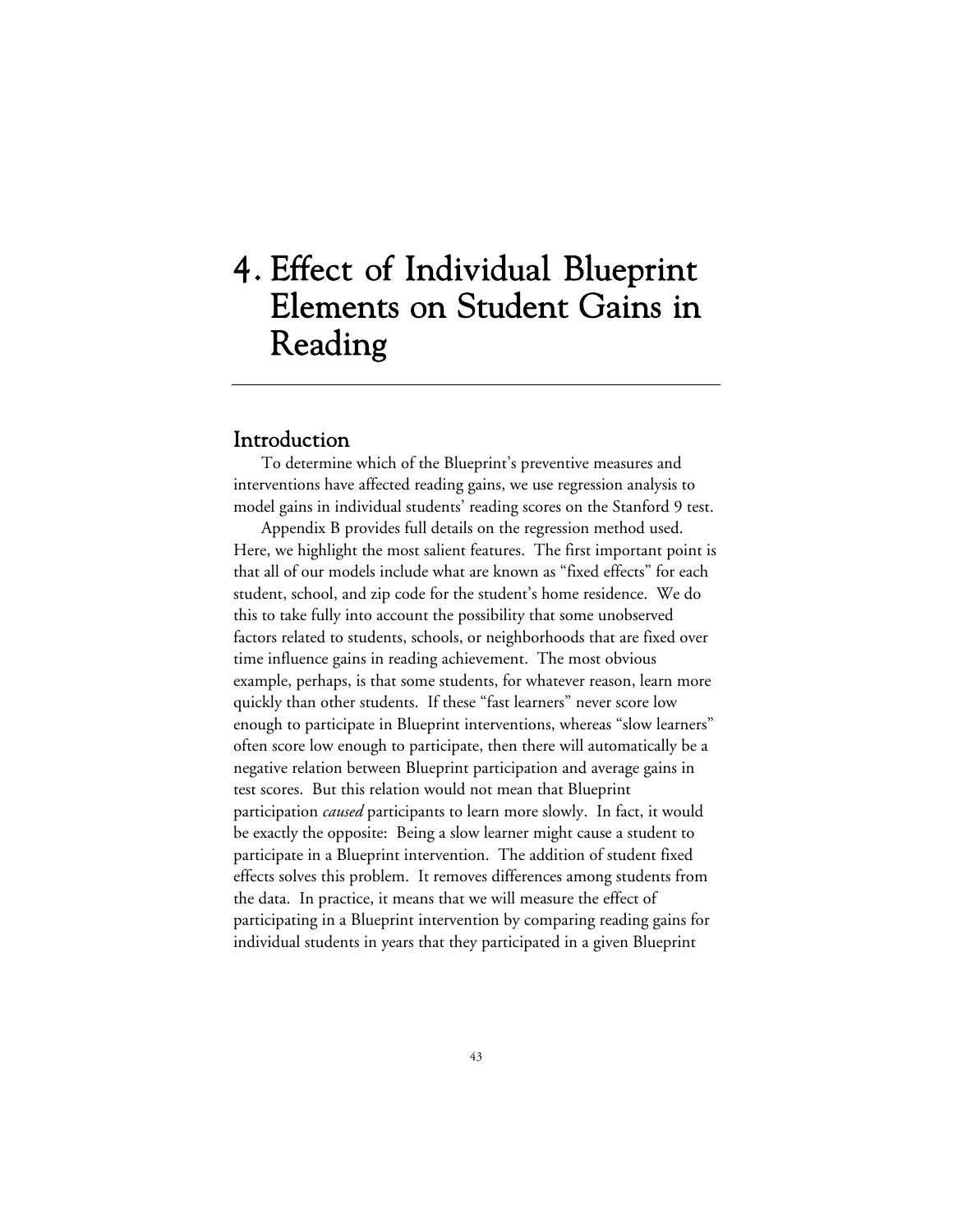# 4. Effect of Individual Blueprint Elements on Student Gains in Reading

## Introduction

To determine which of the Blueprint's preventive measures and interventions have affected reading gains, we use regression analysis to model gains in individual students' reading scores on the Stanford 9 test.

Appendix B provides full details on the regression method used. Here, we highlight the most salient features. The first important point is that all of our models include what are known as "fixed effects" for each student, school, and zip code for the student's home residence. We do this to take fully into account the possibility that some unobserved factors related to students, schools, or neighborhoods that are fixed over time influence gains in reading achievement. The most obvious example, perhaps, is that some students, for whatever reason, learn more quickly than other students. If these "fast learners" never score low enough to participate in Blueprint interventions, whereas "slow learners" often score low enough to participate, then there will automatically be a negative relation between Blueprint participation and average gains in test scores. But this relation would not mean that Blueprint participation *caused* participants to learn more slowly. In fact, it would be exactly the opposite: Being a slow learner might cause a student to participate in a Blueprint intervention. The addition of student fixed effects solves this problem. It removes differences among students from the data. In practice, it means that we will measure the effect of participating in a Blueprint intervention by comparing reading gains for individual students in years that they participated in a given Blueprint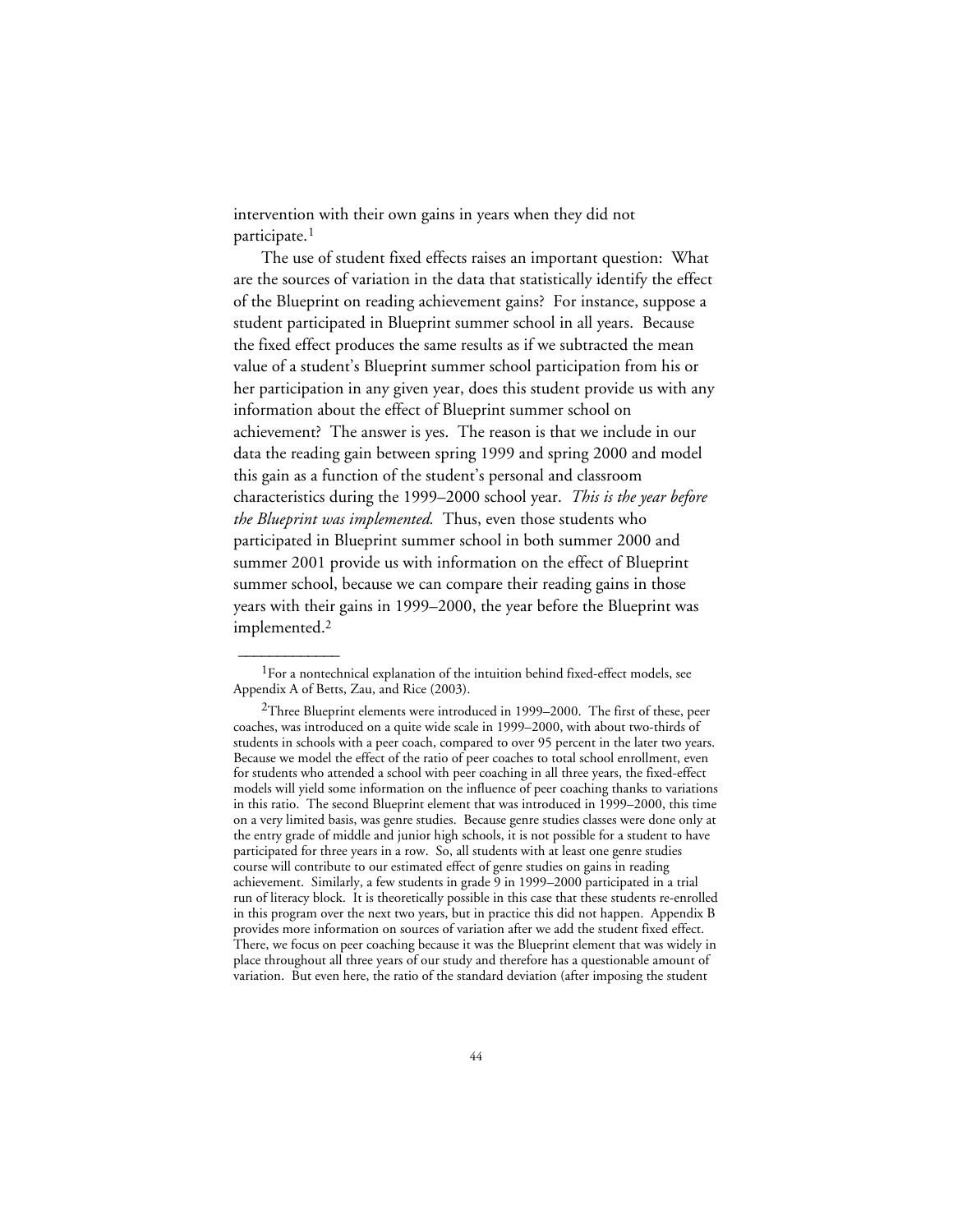intervention with their own gains in years when they did not participate.<sup>1</sup>

The use of student fixed effects raises an important question: What are the sources of variation in the data that statistically identify the effect of the Blueprint on reading achievement gains? For instance, suppose a student participated in Blueprint summer school in all years. Because the fixed effect produces the same results as if we subtracted the mean value of a student's Blueprint summer school participation from his or her participation in any given year, does this student provide us with any information about the effect of Blueprint summer school on achievement? The answer is yes. The reason is that we include in our data the reading gain between spring 1999 and spring 2000 and model this gain as a function of the student's personal and classroom characteristics during the 1999–2000 school year. *This is the year before the Blueprint was implemented.* Thus, even those students who participated in Blueprint summer school in both summer 2000 and summer 2001 provide us with information on the effect of Blueprint summer school, because we can compare their reading gains in those years with their gains in 1999–2000, the year before the Blueprint was implemented.2

<sup>&</sup>lt;sup>1</sup>For a nontechnical explanation of the intuition behind fixed-effect models, see Appendix A of Betts, Zau, and Rice (2003).

 $2$ Three Blueprint elements were introduced in 1999–2000. The first of these, peer coaches, was introduced on a quite wide scale in 1999–2000, with about two-thirds of students in schools with a peer coach, compared to over 95 percent in the later two years. Because we model the effect of the ratio of peer coaches to total school enrollment, even for students who attended a school with peer coaching in all three years, the fixed-effect models will yield some information on the influence of peer coaching thanks to variations in this ratio. The second Blueprint element that was introduced in 1999–2000, this time on a very limited basis, was genre studies. Because genre studies classes were done only at the entry grade of middle and junior high schools, it is not possible for a student to have participated for three years in a row. So, all students with at least one genre studies course will contribute to our estimated effect of genre studies on gains in reading achievement. Similarly, a few students in grade 9 in 1999–2000 participated in a trial run of literacy block. It is theoretically possible in this case that these students re-enrolled in this program over the next two years, but in practice this did not happen. Appendix B provides more information on sources of variation after we add the student fixed effect. There, we focus on peer coaching because it was the Blueprint element that was widely in place throughout all three years of our study and therefore has a questionable amount of variation. But even here, the ratio of the standard deviation (after imposing the student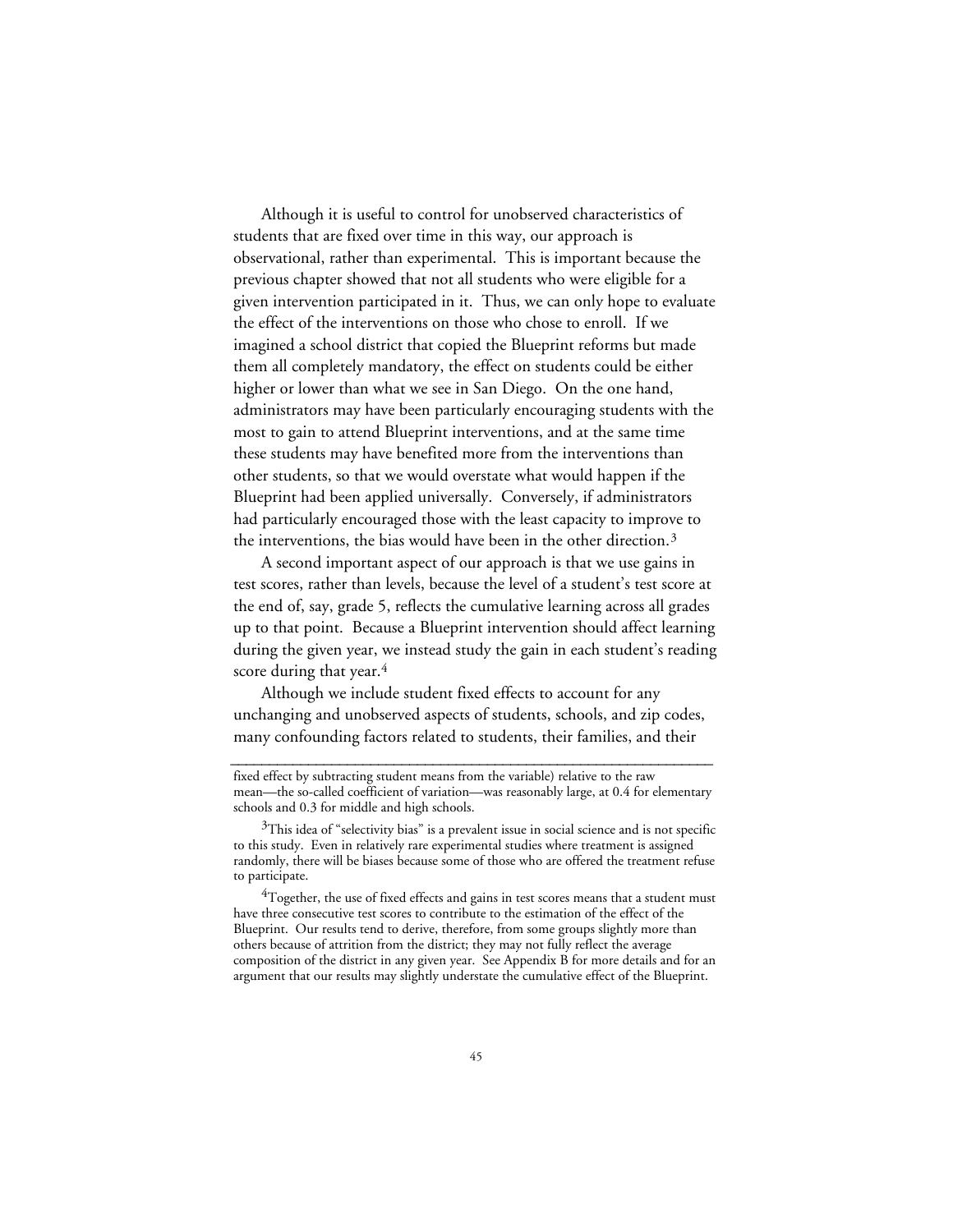Although it is useful to control for unobserved characteristics of students that are fixed over time in this way, our approach is observational, rather than experimental. This is important because the previous chapter showed that not all students who were eligible for a given intervention participated in it. Thus, we can only hope to evaluate the effect of the interventions on those who chose to enroll. If we imagined a school district that copied the Blueprint reforms but made them all completely mandatory, the effect on students could be either higher or lower than what we see in San Diego. On the one hand, administrators may have been particularly encouraging students with the most to gain to attend Blueprint interventions, and at the same time these students may have benefited more from the interventions than other students, so that we would overstate what would happen if the Blueprint had been applied universally. Conversely, if administrators had particularly encouraged those with the least capacity to improve to the interventions, the bias would have been in the other direction.3

A second important aspect of our approach is that we use gains in test scores, rather than levels, because the level of a student's test score at the end of, say, grade 5, reflects the cumulative learning across all grades up to that point. Because a Blueprint intervention should affect learning during the given year, we instead study the gain in each student's reading score during that year.<sup>4</sup>

Although we include student fixed effects to account for any unchanging and unobserved aspects of students, schools, and zip codes, many confounding factors related to students, their families, and their

**\_\_\_\_\_\_\_\_\_\_\_\_\_\_\_\_\_\_\_\_\_\_\_\_\_\_\_\_\_\_\_\_\_\_\_\_\_\_\_\_\_\_\_\_\_\_\_\_\_\_\_\_\_\_\_\_\_\_\_\_\_\_**

 $4$ Together, the use of fixed effects and gains in test scores means that a student must have three consecutive test scores to contribute to the estimation of the effect of the Blueprint. Our results tend to derive, therefore, from some groups slightly more than others because of attrition from the district; they may not fully reflect the average composition of the district in any given year. See Appendix B for more details and for an argument that our results may slightly understate the cumulative effect of the Blueprint.

fixed effect by subtracting student means from the variable) relative to the raw mean—the so-called coefficient of variation—was reasonably large, at 0.4 for elementary schools and 0.3 for middle and high schools.

 $3$ This idea of "selectivity bias" is a prevalent issue in social science and is not specific to this study. Even in relatively rare experimental studies where treatment is assigned randomly, there will be biases because some of those who are offered the treatment refuse to participate.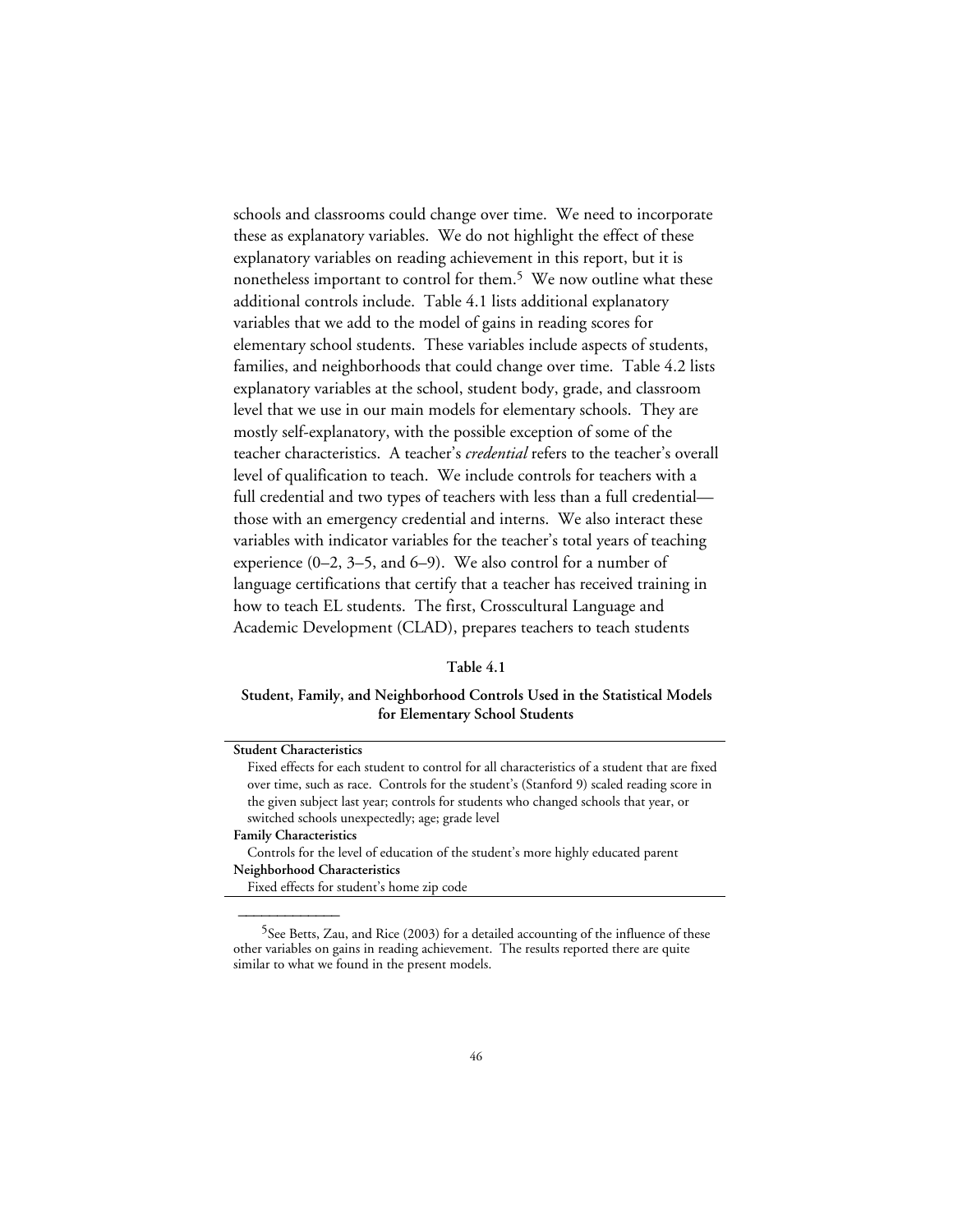schools and classrooms could change over time. We need to incorporate these as explanatory variables. We do not highlight the effect of these explanatory variables on reading achievement in this report, but it is nonetheless important to control for them.<sup>5</sup> We now outline what these additional controls include. Table 4.1 lists additional explanatory variables that we add to the model of gains in reading scores for elementary school students. These variables include aspects of students, families, and neighborhoods that could change over time. Table 4.2 lists explanatory variables at the school, student body, grade, and classroom level that we use in our main models for elementary schools. They are mostly self-explanatory, with the possible exception of some of the teacher characteristics. A teacher's *credential* refers to the teacher's overall level of qualification to teach. We include controls for teachers with a full credential and two types of teachers with less than a full credential those with an emergency credential and interns. We also interact these variables with indicator variables for the teacher's total years of teaching experience (0–2, 3–5, and 6–9). We also control for a number of language certifications that certify that a teacher has received training in how to teach EL students. The first, Crosscultural Language and Academic Development (CLAD), prepares teachers to teach students

#### **Table 4.1**

## **Student, Family, and Neighborhood Controls Used in the Statistical Models for Elementary School Students**

| <b>Student Characteristics</b>                                                                |
|-----------------------------------------------------------------------------------------------|
| Fixed effects for each student to control for all characteristics of a student that are fixed |
| over time, such as race. Controls for the student's (Stanford 9) scaled reading score in      |
| the given subject last year; controls for students who changed schools that year, or          |
| switched schools unexpectedly; age; grade level                                               |
| <b>Family Characteristics</b>                                                                 |
| Controls for the level of education of the student's more highly educated parent              |
| Neighborhood Characteristics                                                                  |
| Fixed effects for student's home zip code                                                     |
|                                                                                               |
|                                                                                               |

<sup>&</sup>lt;sup>5</sup>See Betts, Zau, and Rice (2003) for a detailed accounting of the influence of these other variables on gains in reading achievement. The results reported there are quite similar to what we found in the present models.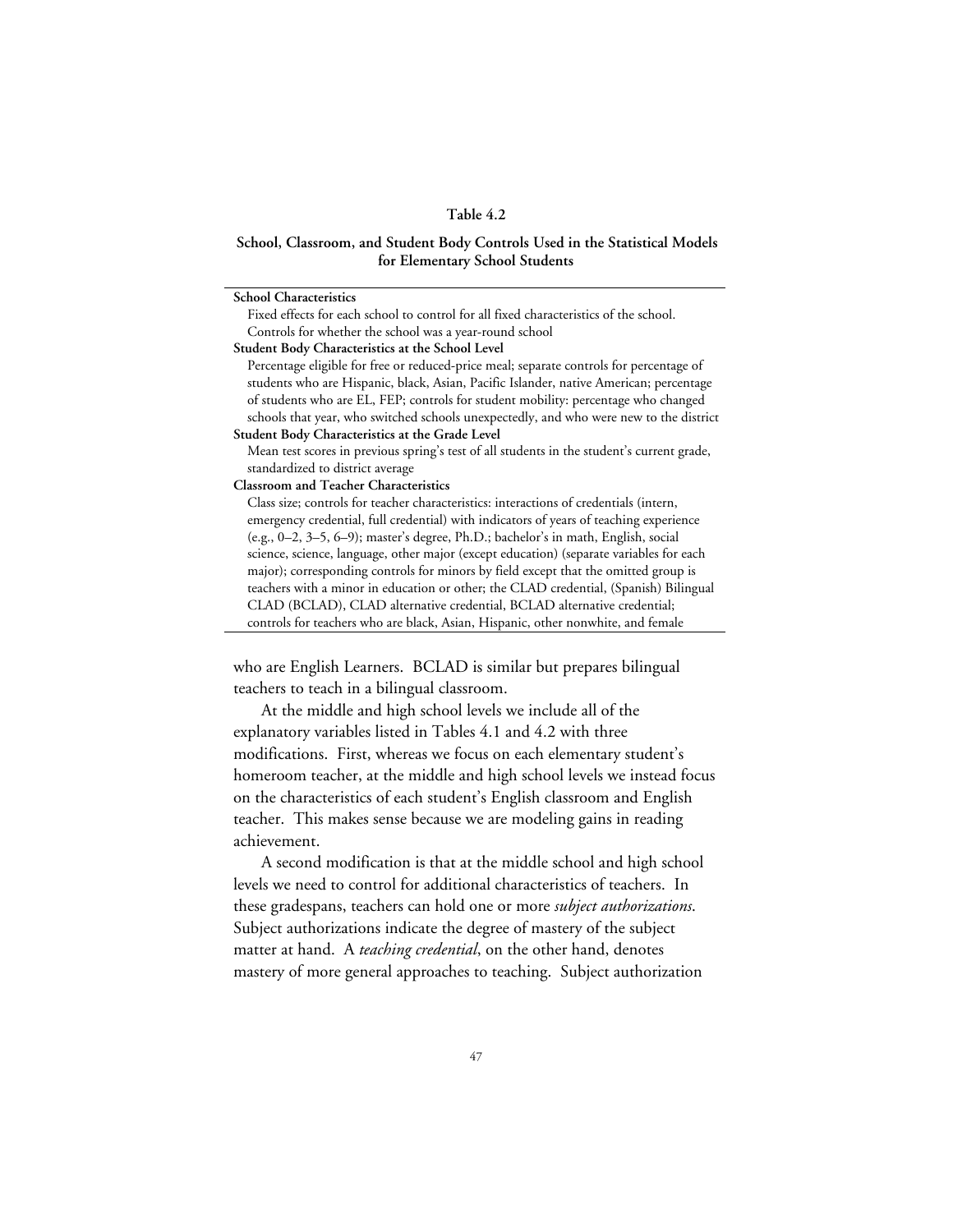## **Table 4.2**

## **School, Classroom, and Student Body Controls Used in the Statistical Models for Elementary School Students**

| <b>School Characteristics</b>                                                              |
|--------------------------------------------------------------------------------------------|
| Fixed effects for each school to control for all fixed characteristics of the school.      |
| Controls for whether the school was a year-round school                                    |
| Student Body Characteristics at the School Level                                           |
| Percentage eligible for free or reduced-price meal; separate controls for percentage of    |
| students who are Hispanic, black, Asian, Pacific Islander, native American; percentage     |
| of students who are EL, FEP; controls for student mobility: percentage who changed         |
| schools that year, who switched schools unexpectedly, and who were new to the district     |
| Student Body Characteristics at the Grade Level                                            |
| Mean test scores in previous spring's test of all students in the student's current grade, |
| standardized to district average                                                           |
| <b>Classroom and Teacher Characteristics</b>                                               |
| Class size; controls for teacher characteristics: interactions of credentials (intern,     |
| emergency credential, full credential) with indicators of years of teaching experience     |
| (e.g., 0-2, 3-5, 6-9); master's degree, Ph.D.; bachelor's in math, English, social         |
| science, science, language, other major (except education) (separate variables for each    |
| major); corresponding controls for minors by field except that the omitted group is        |
| teachers with a minor in education or other; the CLAD credential, (Spanish) Bilingual      |
| CLAD (BCLAD), CLAD alternative credential, BCLAD alternative credential;                   |
| controls for teachers who are black. Asian, Hispanic, other nonwhite, and female           |

who are English Learners. BCLAD is similar but prepares bilingual teachers to teach in a bilingual classroom.

At the middle and high school levels we include all of the explanatory variables listed in Tables 4.1 and 4.2 with three modifications. First, whereas we focus on each elementary student's homeroom teacher, at the middle and high school levels we instead focus on the characteristics of each student's English classroom and English teacher. This makes sense because we are modeling gains in reading achievement.

A second modification is that at the middle school and high school levels we need to control for additional characteristics of teachers. In these gradespans, teachers can hold one or more *subject authorizations*. Subject authorizations indicate the degree of mastery of the subject matter at hand. A *teaching credential*, on the other hand, denotes mastery of more general approaches to teaching. Subject authorization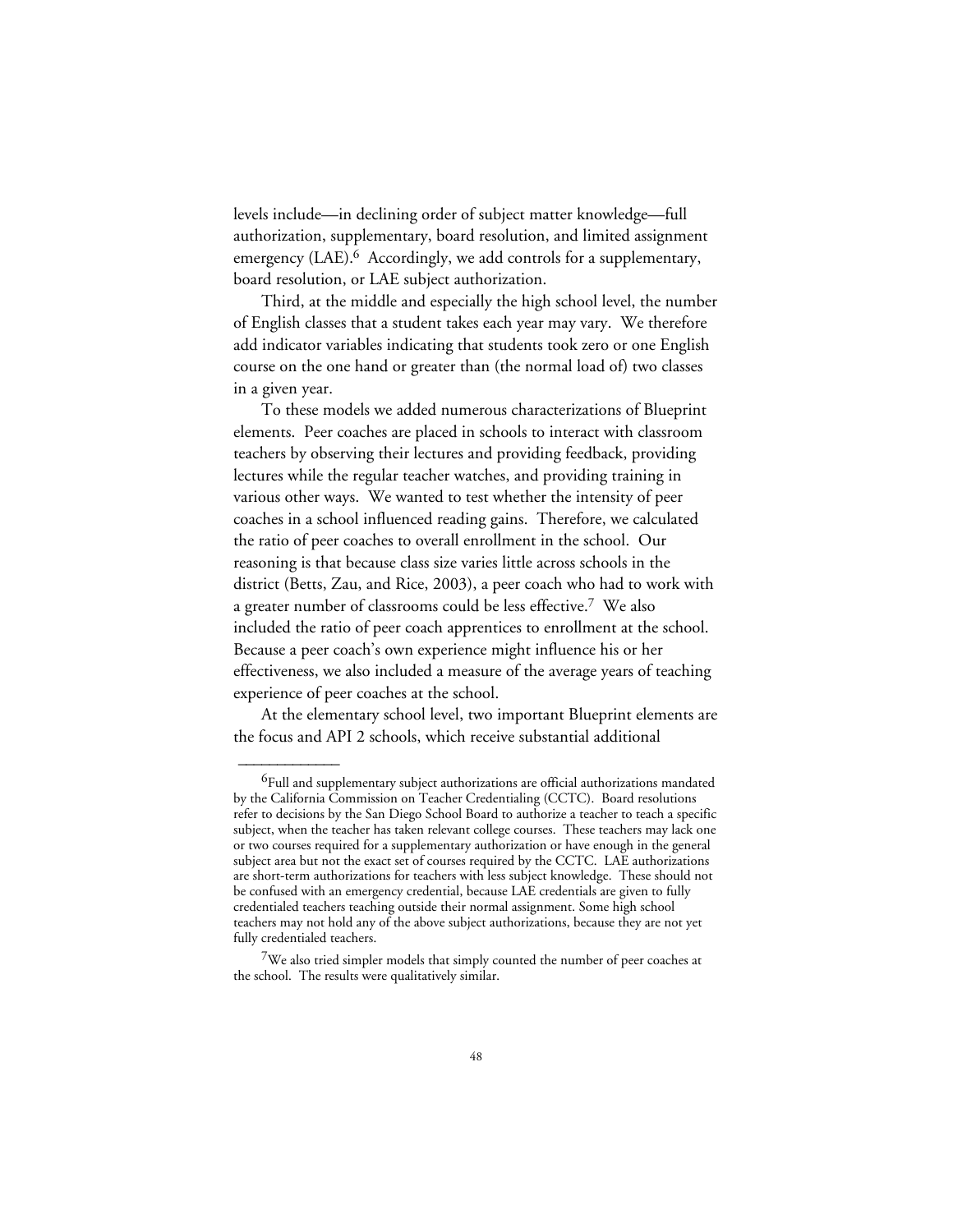levels include—in declining order of subject matter knowledge—full authorization, supplementary, board resolution, and limited assignment emergency (LAE).<sup>6</sup> Accordingly, we add controls for a supplementary, board resolution, or LAE subject authorization.

Third, at the middle and especially the high school level, the number of English classes that a student takes each year may vary. We therefore add indicator variables indicating that students took zero or one English course on the one hand or greater than (the normal load of) two classes in a given year.

To these models we added numerous characterizations of Blueprint elements. Peer coaches are placed in schools to interact with classroom teachers by observing their lectures and providing feedback, providing lectures while the regular teacher watches, and providing training in various other ways. We wanted to test whether the intensity of peer coaches in a school influenced reading gains. Therefore, we calculated the ratio of peer coaches to overall enrollment in the school. Our reasoning is that because class size varies little across schools in the district (Betts, Zau, and Rice, 2003), a peer coach who had to work with a greater number of classrooms could be less effective.7 We also included the ratio of peer coach apprentices to enrollment at the school. Because a peer coach's own experience might influence his or her effectiveness, we also included a measure of the average years of teaching experience of peer coaches at the school.

At the elementary school level, two important Blueprint elements are the focus and API 2 schools, which receive substantial additional

<sup>&</sup>lt;sup>6</sup>Full and supplementary subject authorizations are official authorizations mandated by the California Commission on Teacher Credentialing (CCTC). Board resolutions refer to decisions by the San Diego School Board to authorize a teacher to teach a specific subject, when the teacher has taken relevant college courses. These teachers may lack one or two courses required for a supplementary authorization or have enough in the general subject area but not the exact set of courses required by the CCTC. LAE authorizations are short-term authorizations for teachers with less subject knowledge. These should not be confused with an emergency credential, because LAE credentials are given to fully credentialed teachers teaching outside their normal assignment. Some high school teachers may not hold any of the above subject authorizations, because they are not yet fully credentialed teachers.

<sup>7</sup>We also tried simpler models that simply counted the number of peer coaches at the school. The results were qualitatively similar.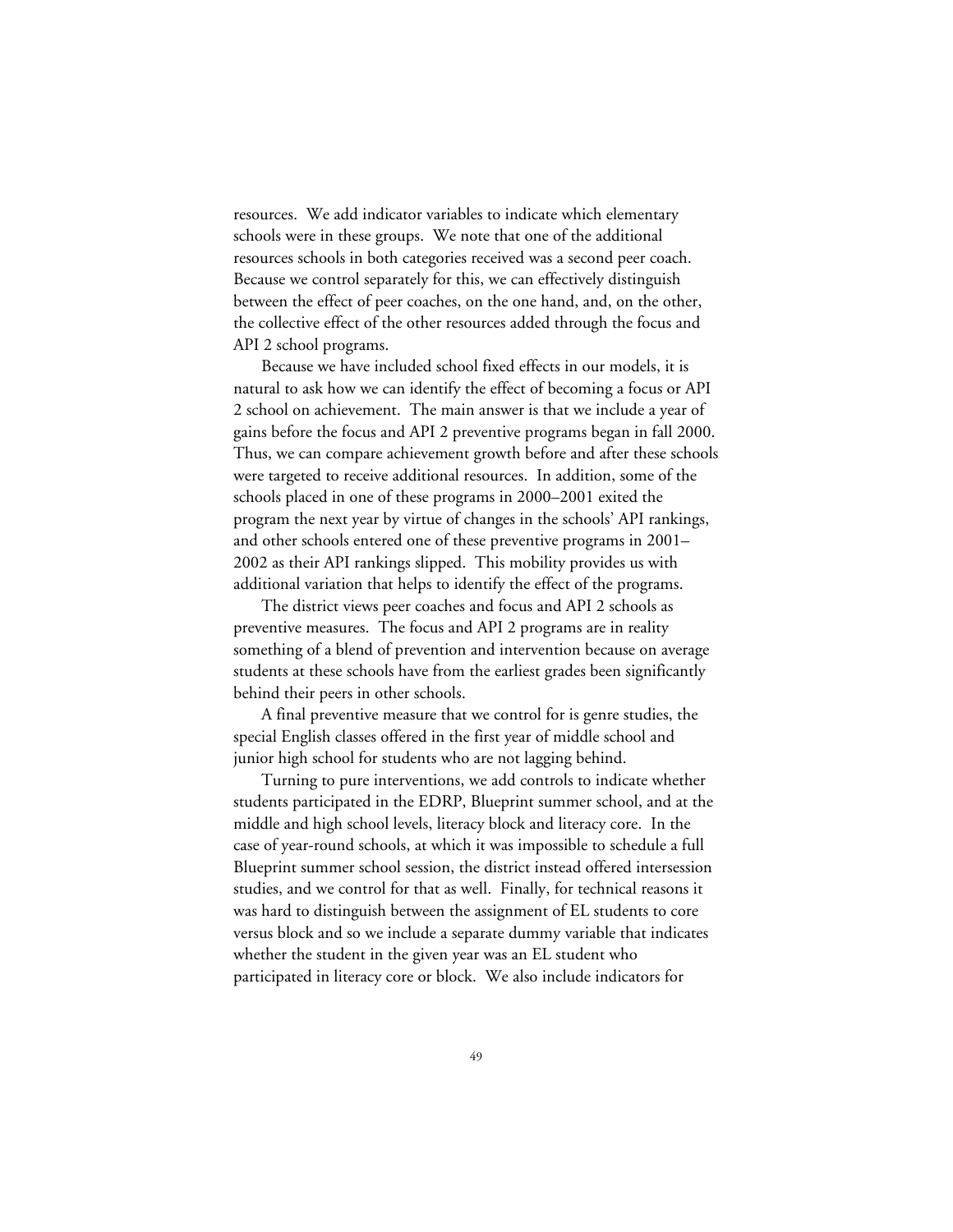resources. We add indicator variables to indicate which elementary schools were in these groups. We note that one of the additional resources schools in both categories received was a second peer coach. Because we control separately for this, we can effectively distinguish between the effect of peer coaches, on the one hand, and, on the other, the collective effect of the other resources added through the focus and API 2 school programs.

Because we have included school fixed effects in our models, it is natural to ask how we can identify the effect of becoming a focus or API 2 school on achievement. The main answer is that we include a year of gains before the focus and API 2 preventive programs began in fall 2000. Thus, we can compare achievement growth before and after these schools were targeted to receive additional resources. In addition, some of the schools placed in one of these programs in 2000–2001 exited the program the next year by virtue of changes in the schools' API rankings, and other schools entered one of these preventive programs in 2001– 2002 as their API rankings slipped. This mobility provides us with additional variation that helps to identify the effect of the programs.

The district views peer coaches and focus and API 2 schools as preventive measures. The focus and API 2 programs are in reality something of a blend of prevention and intervention because on average students at these schools have from the earliest grades been significantly behind their peers in other schools.

A final preventive measure that we control for is genre studies, the special English classes offered in the first year of middle school and junior high school for students who are not lagging behind.

Turning to pure interventions, we add controls to indicate whether students participated in the EDRP, Blueprint summer school, and at the middle and high school levels, literacy block and literacy core. In the case of year-round schools, at which it was impossible to schedule a full Blueprint summer school session, the district instead offered intersession studies, and we control for that as well. Finally, for technical reasons it was hard to distinguish between the assignment of EL students to core versus block and so we include a separate dummy variable that indicates whether the student in the given year was an EL student who participated in literacy core or block. We also include indicators for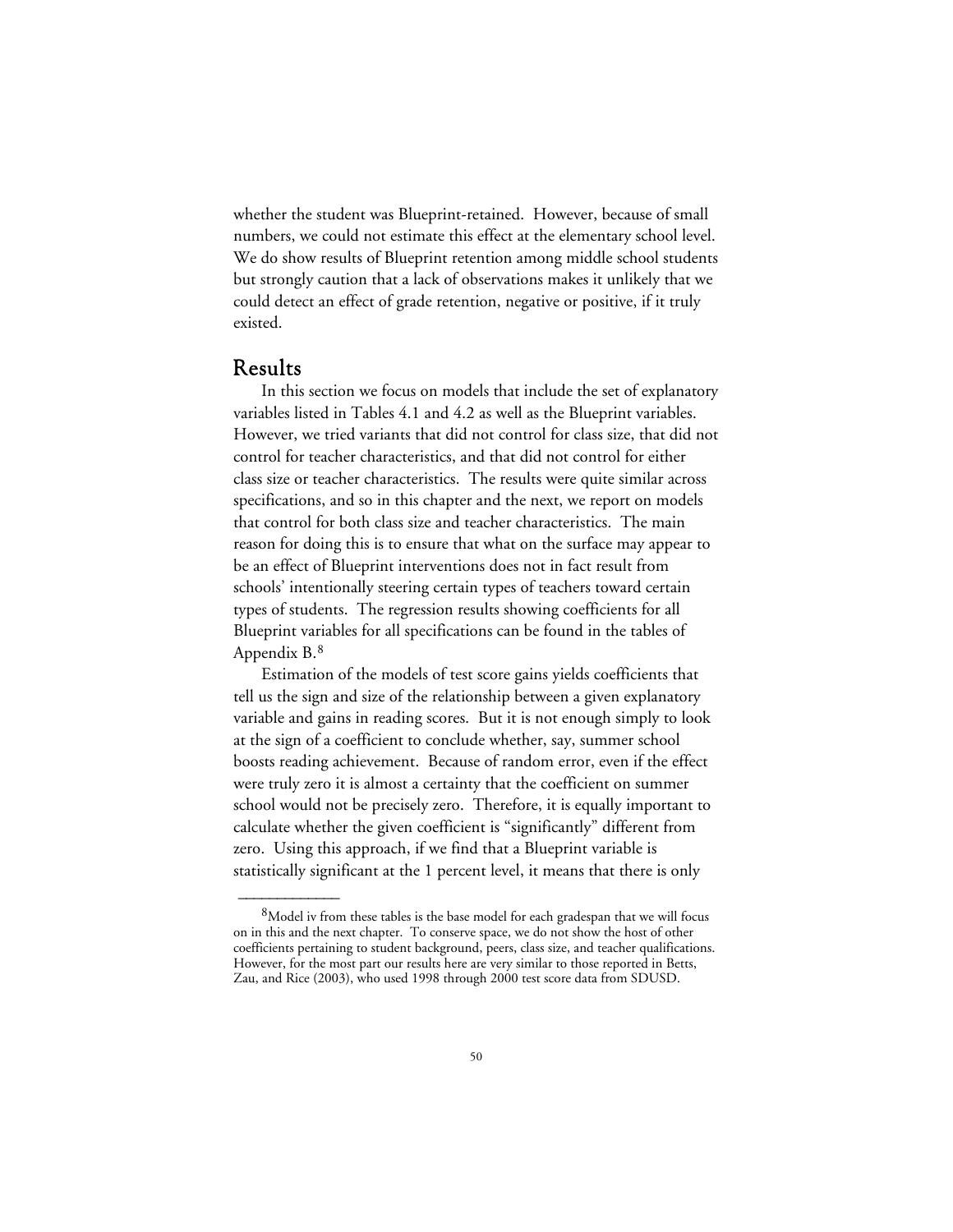whether the student was Blueprint-retained. However, because of small numbers, we could not estimate this effect at the elementary school level. We do show results of Blueprint retention among middle school students but strongly caution that a lack of observations makes it unlikely that we could detect an effect of grade retention, negative or positive, if it truly existed.

## Results

 $\overline{\phantom{a}}$ 

In this section we focus on models that include the set of explanatory variables listed in Tables 4.1 and 4.2 as well as the Blueprint variables. However, we tried variants that did not control for class size, that did not control for teacher characteristics, and that did not control for either class size or teacher characteristics. The results were quite similar across specifications, and so in this chapter and the next, we report on models that control for both class size and teacher characteristics. The main reason for doing this is to ensure that what on the surface may appear to be an effect of Blueprint interventions does not in fact result from schools' intentionally steering certain types of teachers toward certain types of students. The regression results showing coefficients for all Blueprint variables for all specifications can be found in the tables of Appendix B.8

Estimation of the models of test score gains yields coefficients that tell us the sign and size of the relationship between a given explanatory variable and gains in reading scores. But it is not enough simply to look at the sign of a coefficient to conclude whether, say, summer school boosts reading achievement. Because of random error, even if the effect were truly zero it is almost a certainty that the coefficient on summer school would not be precisely zero. Therefore, it is equally important to calculate whether the given coefficient is "significantly" different from zero. Using this approach, if we find that a Blueprint variable is statistically significant at the 1 percent level, it means that there is only

<sup>&</sup>lt;sup>8</sup>Model iv from these tables is the base model for each gradespan that we will focus on in this and the next chapter. To conserve space, we do not show the host of other coefficients pertaining to student background, peers, class size, and teacher qualifications. However, for the most part our results here are very similar to those reported in Betts, Zau, and Rice (2003), who used 1998 through 2000 test score data from SDUSD.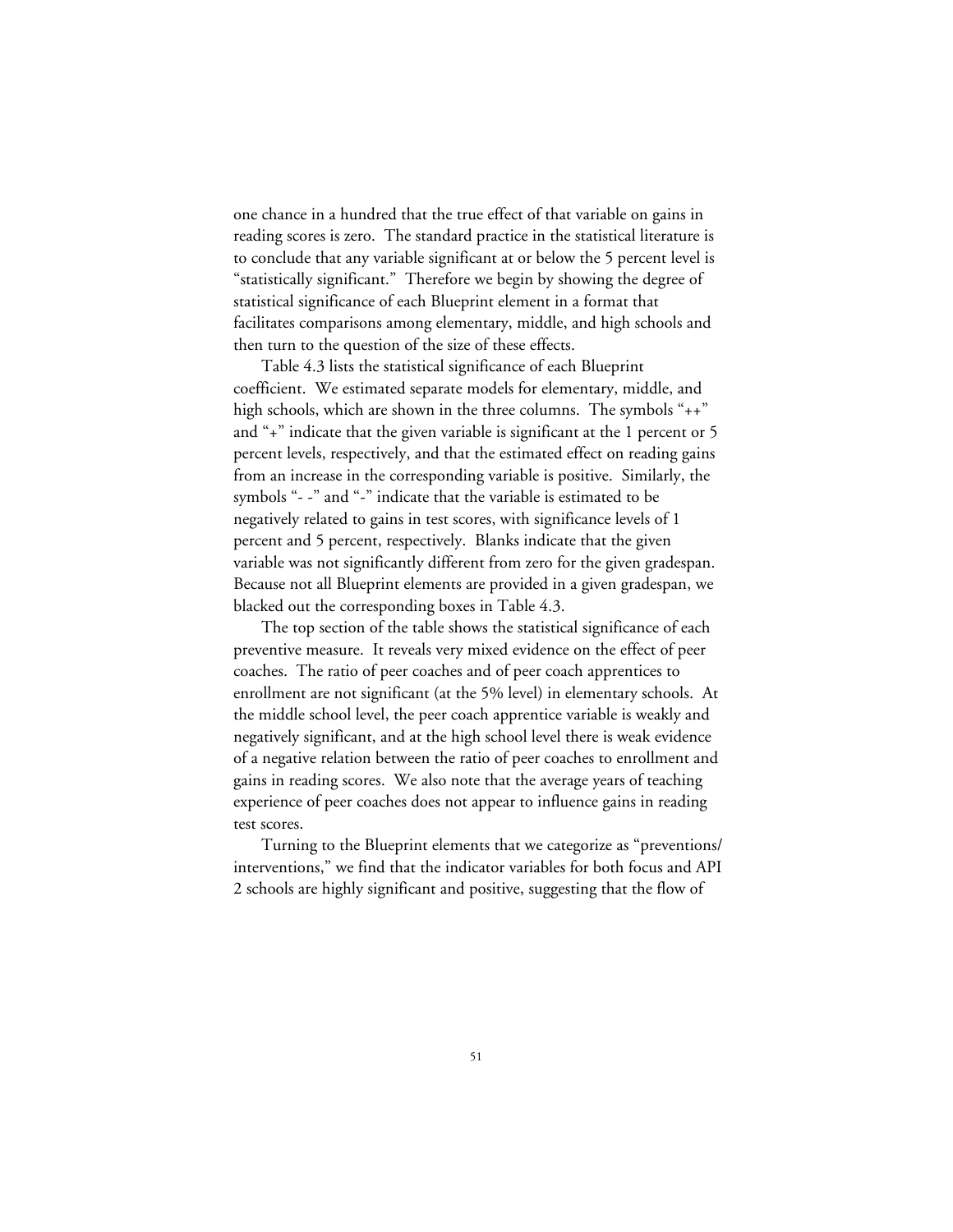one chance in a hundred that the true effect of that variable on gains in reading scores is zero. The standard practice in the statistical literature is to conclude that any variable significant at or below the 5 percent level is "statistically significant." Therefore we begin by showing the degree of statistical significance of each Blueprint element in a format that facilitates comparisons among elementary, middle, and high schools and then turn to the question of the size of these effects.

Table 4.3 lists the statistical significance of each Blueprint coefficient. We estimated separate models for elementary, middle, and high schools, which are shown in the three columns. The symbols "++" and "+" indicate that the given variable is significant at the 1 percent or 5 percent levels, respectively, and that the estimated effect on reading gains from an increase in the corresponding variable is positive. Similarly, the symbols "- -" and "-" indicate that the variable is estimated to be negatively related to gains in test scores, with significance levels of 1 percent and 5 percent, respectively. Blanks indicate that the given variable was not significantly different from zero for the given gradespan. Because not all Blueprint elements are provided in a given gradespan, we blacked out the corresponding boxes in Table 4.3.

The top section of the table shows the statistical significance of each preventive measure. It reveals very mixed evidence on the effect of peer coaches. The ratio of peer coaches and of peer coach apprentices to enrollment are not significant (at the 5% level) in elementary schools. At the middle school level, the peer coach apprentice variable is weakly and negatively significant, and at the high school level there is weak evidence of a negative relation between the ratio of peer coaches to enrollment and gains in reading scores. We also note that the average years of teaching experience of peer coaches does not appear to influence gains in reading test scores.

Turning to the Blueprint elements that we categorize as "preventions/ interventions," we find that the indicator variables for both focus and API 2 schools are highly significant and positive, suggesting that the flow of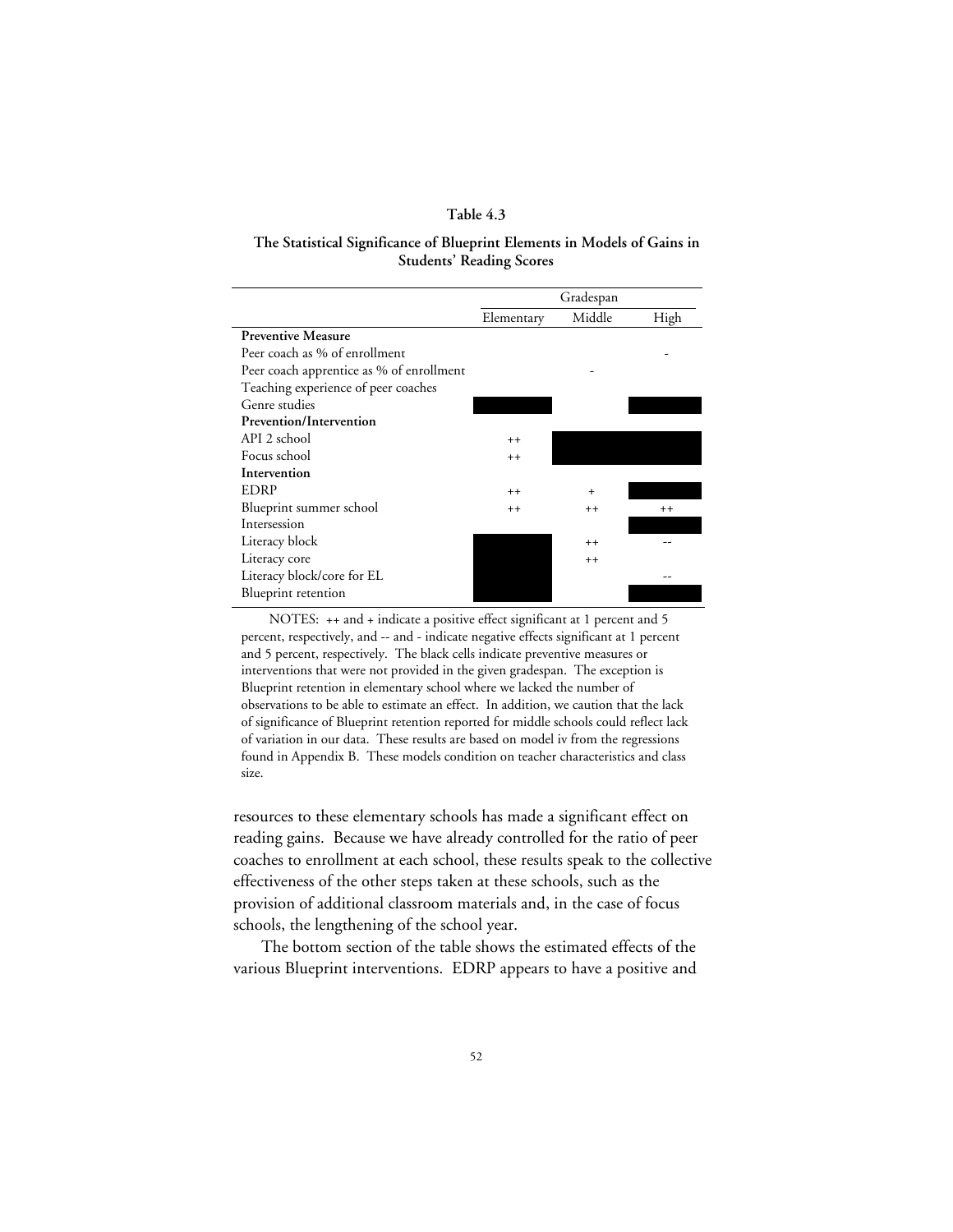## **Table 4.3**

## **The Statistical Significance of Blueprint Elements in Models of Gains in Students' Reading Scores**

|                                          | Gradespan  |           |      |
|------------------------------------------|------------|-----------|------|
|                                          | Elementary | Middle    | High |
| <b>Preventive Measure</b>                |            |           |      |
| Peer coach as % of enrollment            |            |           |      |
| Peer coach apprentice as % of enrollment |            |           |      |
| Teaching experience of peer coaches      |            |           |      |
| Genre studies                            |            |           |      |
| Prevention/Intervention                  |            |           |      |
| API 2 school                             | $++$       |           |      |
| Focus school                             | $++$       |           |      |
| Intervention                             |            |           |      |
| <b>EDRP</b>                              | $++$       | $\ddot{}$ |      |
| Blueprint summer school                  | $++$       | $++$      | $++$ |
| Intersession                             |            |           |      |
| Literacy block                           |            | $++$      |      |
| Literacy core                            |            | $++$      |      |
| Literacy block/core for EL               |            |           |      |
| Blueprint retention                      |            |           |      |

NOTES: ++ and + indicate a positive effect significant at 1 percent and 5 percent, respectively, and -- and - indicate negative effects significant at 1 percent and 5 percent, respectively. The black cells indicate preventive measures or interventions that were not provided in the given gradespan. The exception is Blueprint retention in elementary school where we lacked the number of observations to be able to estimate an effect. In addition, we caution that the lack of significance of Blueprint retention reported for middle schools could reflect lack of variation in our data. These results are based on model iv from the regressions found in Appendix B. These models condition on teacher characteristics and class size.

resources to these elementary schools has made a significant effect on reading gains. Because we have already controlled for the ratio of peer coaches to enrollment at each school, these results speak to the collective effectiveness of the other steps taken at these schools, such as the provision of additional classroom materials and, in the case of focus schools, the lengthening of the school year.

The bottom section of the table shows the estimated effects of the various Blueprint interventions. EDRP appears to have a positive and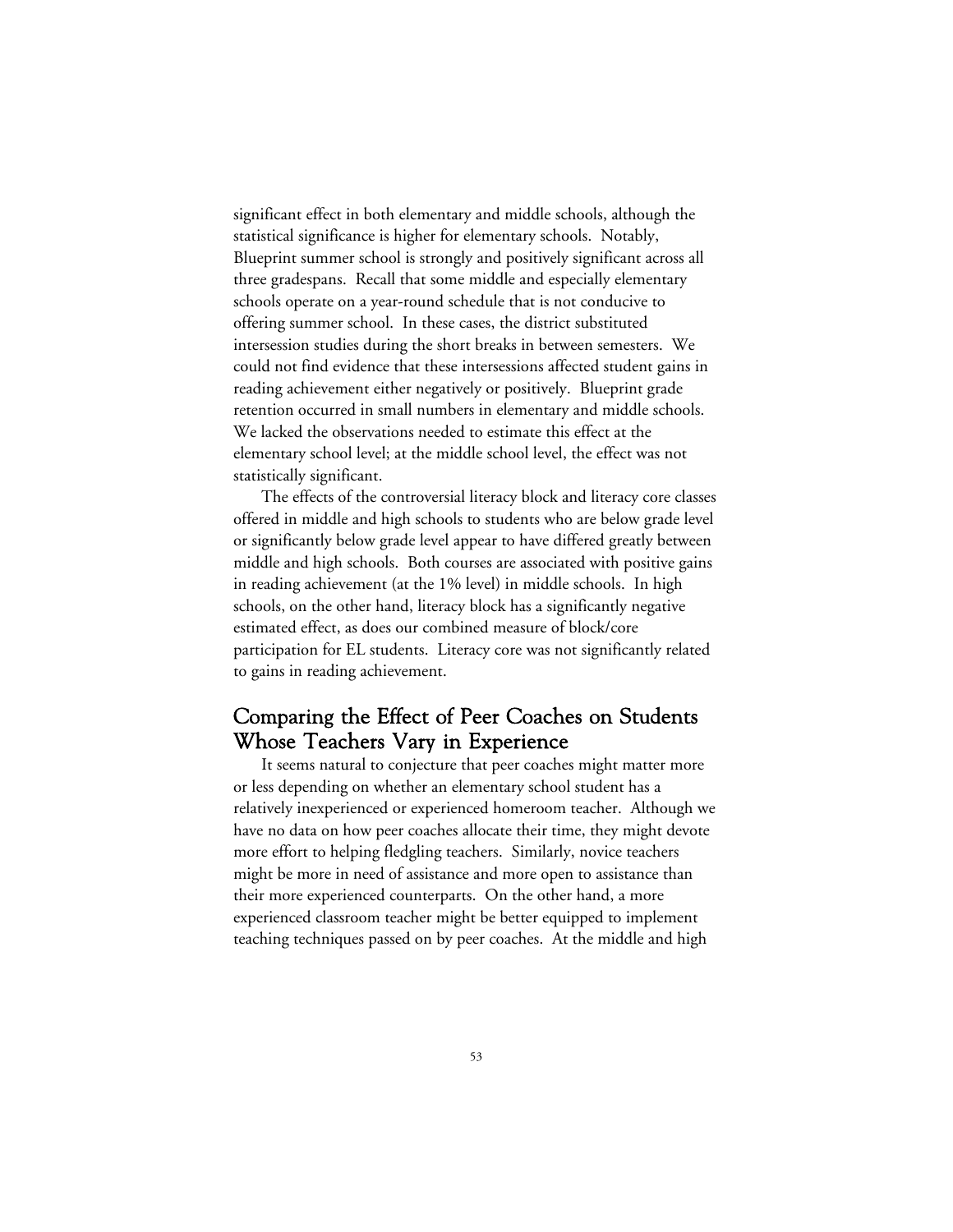significant effect in both elementary and middle schools, although the statistical significance is higher for elementary schools. Notably, Blueprint summer school is strongly and positively significant across all three gradespans. Recall that some middle and especially elementary schools operate on a year-round schedule that is not conducive to offering summer school. In these cases, the district substituted intersession studies during the short breaks in between semesters. We could not find evidence that these intersessions affected student gains in reading achievement either negatively or positively. Blueprint grade retention occurred in small numbers in elementary and middle schools. We lacked the observations needed to estimate this effect at the elementary school level; at the middle school level, the effect was not statistically significant.

The effects of the controversial literacy block and literacy core classes offered in middle and high schools to students who are below grade level or significantly below grade level appear to have differed greatly between middle and high schools. Both courses are associated with positive gains in reading achievement (at the 1% level) in middle schools. In high schools, on the other hand, literacy block has a significantly negative estimated effect, as does our combined measure of block/core participation for EL students. Literacy core was not significantly related to gains in reading achievement.

# Comparing the Effect of Peer Coaches on Students Whose Teachers Vary in Experience

It seems natural to conjecture that peer coaches might matter more or less depending on whether an elementary school student has a relatively inexperienced or experienced homeroom teacher. Although we have no data on how peer coaches allocate their time, they might devote more effort to helping fledgling teachers. Similarly, novice teachers might be more in need of assistance and more open to assistance than their more experienced counterparts. On the other hand, a more experienced classroom teacher might be better equipped to implement teaching techniques passed on by peer coaches. At the middle and high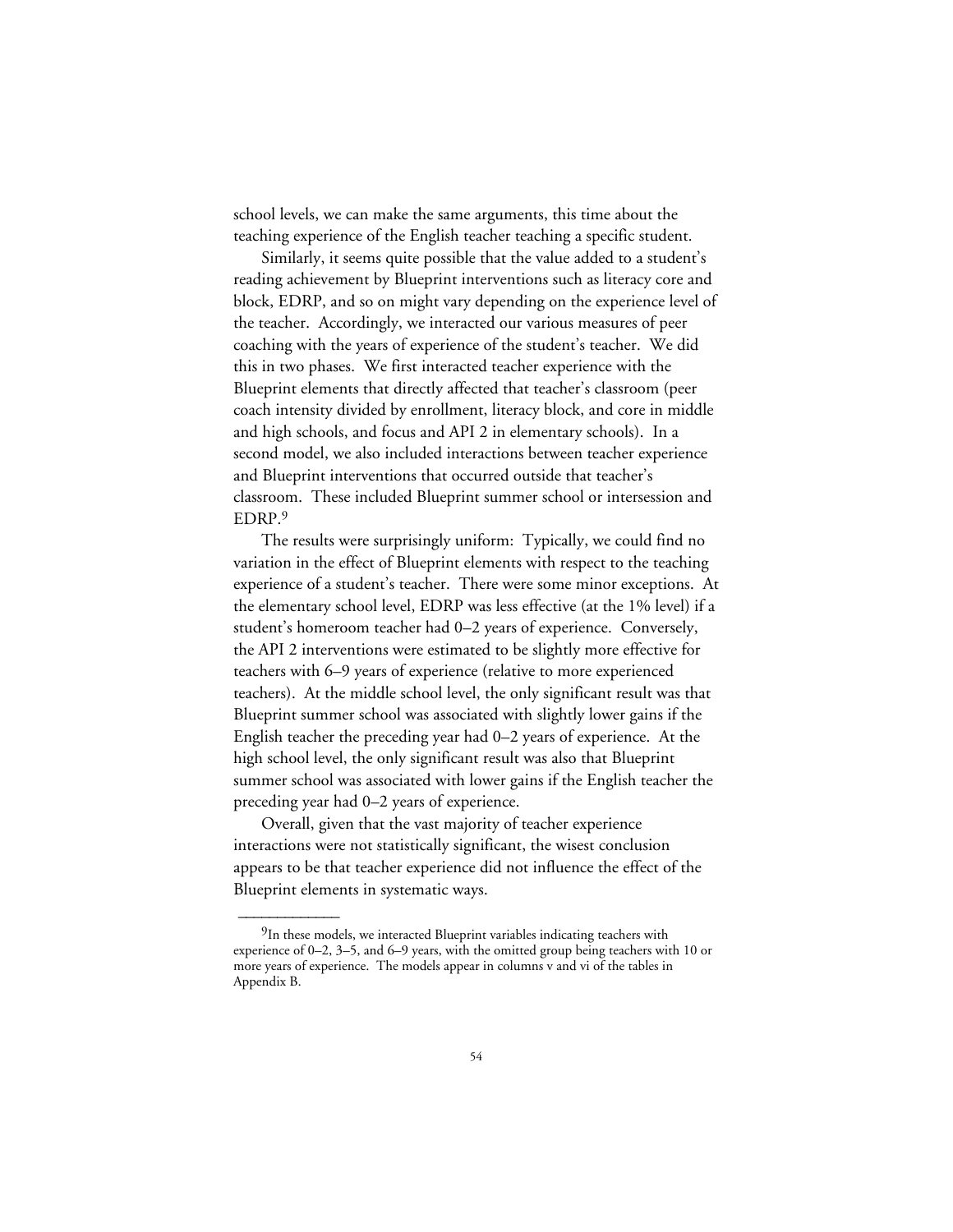school levels, we can make the same arguments, this time about the teaching experience of the English teacher teaching a specific student.

Similarly, it seems quite possible that the value added to a student's reading achievement by Blueprint interventions such as literacy core and block, EDRP, and so on might vary depending on the experience level of the teacher. Accordingly, we interacted our various measures of peer coaching with the years of experience of the student's teacher. We did this in two phases. We first interacted teacher experience with the Blueprint elements that directly affected that teacher's classroom (peer coach intensity divided by enrollment, literacy block, and core in middle and high schools, and focus and API 2 in elementary schools). In a second model, we also included interactions between teacher experience and Blueprint interventions that occurred outside that teacher's classroom. These included Blueprint summer school or intersession and EDRP.9

The results were surprisingly uniform: Typically, we could find no variation in the effect of Blueprint elements with respect to the teaching experience of a student's teacher. There were some minor exceptions. At the elementary school level, EDRP was less effective (at the 1% level) if a student's homeroom teacher had 0–2 years of experience. Conversely, the API 2 interventions were estimated to be slightly more effective for teachers with 6–9 years of experience (relative to more experienced teachers). At the middle school level, the only significant result was that Blueprint summer school was associated with slightly lower gains if the English teacher the preceding year had 0–2 years of experience. At the high school level, the only significant result was also that Blueprint summer school was associated with lower gains if the English teacher the preceding year had 0–2 years of experience.

Overall, given that the vast majority of teacher experience interactions were not statistically significant, the wisest conclusion appears to be that teacher experience did not influence the effect of the Blueprint elements in systematic ways.

<sup>&</sup>lt;sup>9</sup>In these models, we interacted Blueprint variables indicating teachers with experience of 0–2, 3–5, and 6–9 years, with the omitted group being teachers with 10 or more years of experience. The models appear in columns v and vi of the tables in Appendix B.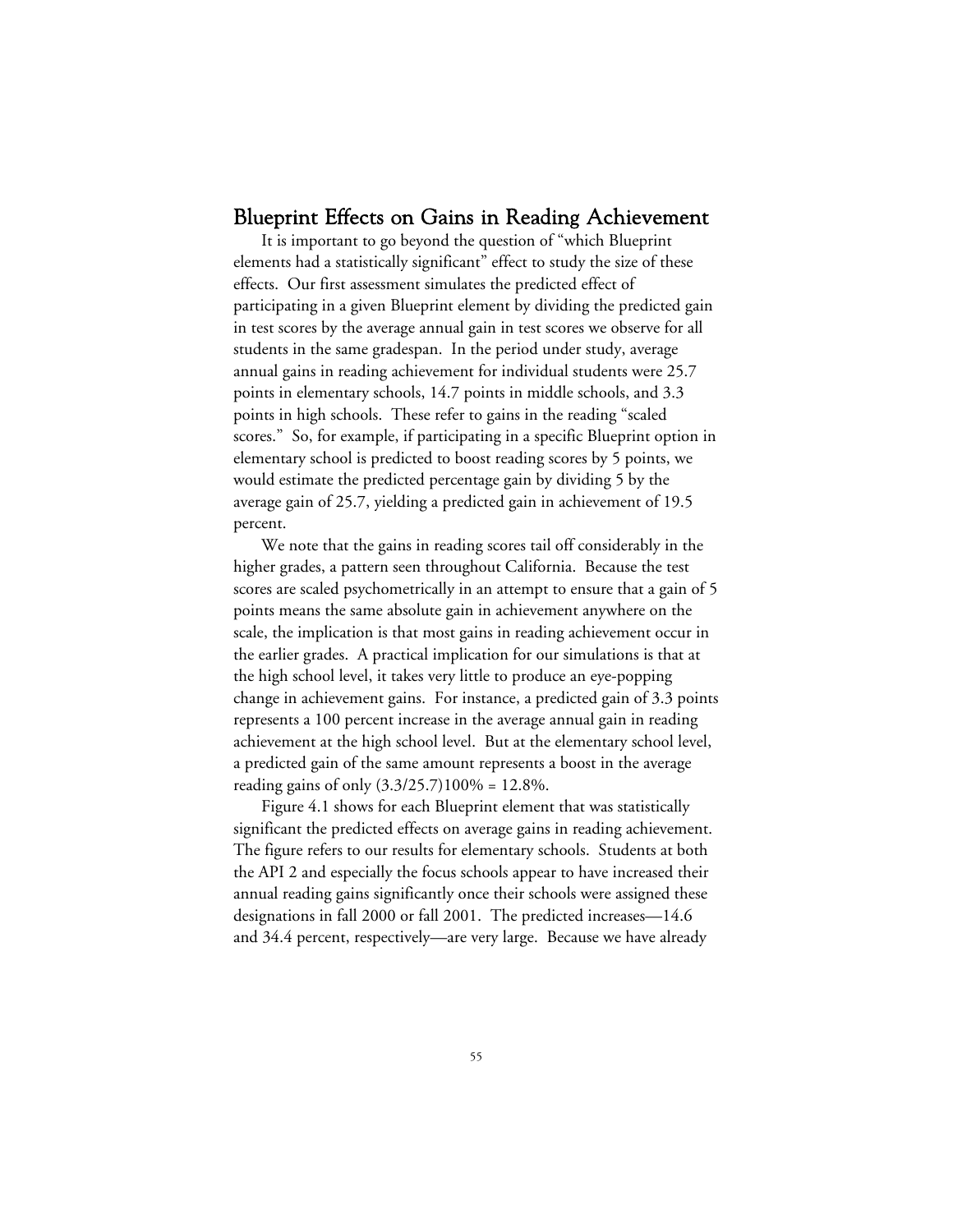## Blueprint Effects on Gains in Reading Achievement

It is important to go beyond the question of "which Blueprint elements had a statistically significant" effect to study the size of these effects. Our first assessment simulates the predicted effect of participating in a given Blueprint element by dividing the predicted gain in test scores by the average annual gain in test scores we observe for all students in the same gradespan. In the period under study, average annual gains in reading achievement for individual students were 25.7 points in elementary schools, 14.7 points in middle schools, and 3.3 points in high schools. These refer to gains in the reading "scaled scores." So, for example, if participating in a specific Blueprint option in elementary school is predicted to boost reading scores by 5 points, we would estimate the predicted percentage gain by dividing 5 by the average gain of 25.7, yielding a predicted gain in achievement of 19.5 percent.

We note that the gains in reading scores tail off considerably in the higher grades, a pattern seen throughout California. Because the test scores are scaled psychometrically in an attempt to ensure that a gain of 5 points means the same absolute gain in achievement anywhere on the scale, the implication is that most gains in reading achievement occur in the earlier grades. A practical implication for our simulations is that at the high school level, it takes very little to produce an eye-popping change in achievement gains. For instance, a predicted gain of 3.3 points represents a 100 percent increase in the average annual gain in reading achievement at the high school level. But at the elementary school level, a predicted gain of the same amount represents a boost in the average reading gains of only (3.3/25.7)100% = 12.8%.

Figure 4.1 shows for each Blueprint element that was statistically significant the predicted effects on average gains in reading achievement. The figure refers to our results for elementary schools. Students at both the API 2 and especially the focus schools appear to have increased their annual reading gains significantly once their schools were assigned these designations in fall 2000 or fall 2001. The predicted increases—14.6 and 34.4 percent, respectively—are very large. Because we have already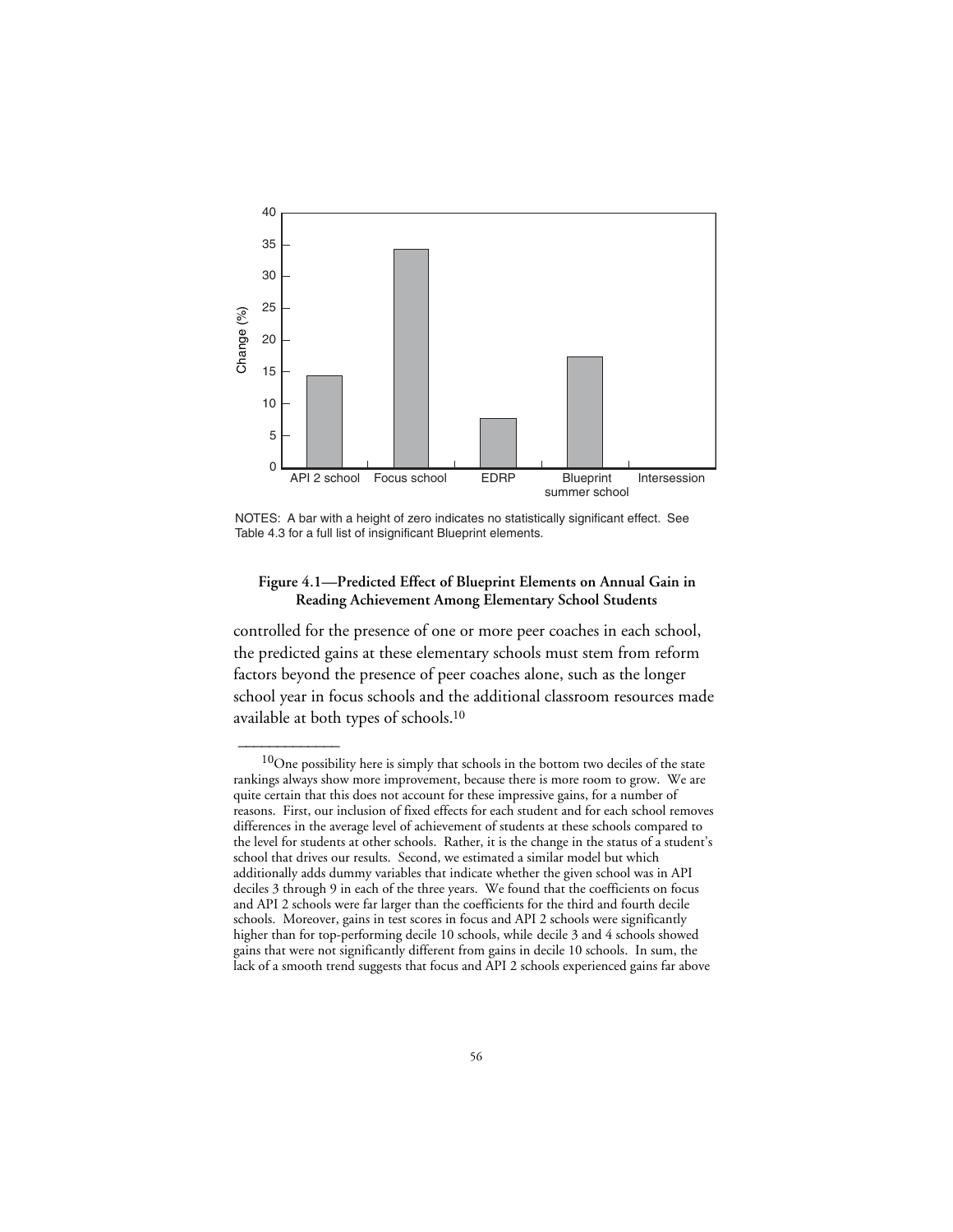

NOTES: A bar with a height of zero indicates no statistically significant effect. See Table 4.3 for a full list of insignificant Blueprint elements.

## **Figure 4.1—Predicted Effect of Blueprint Elements on Annual Gain in Reading Achievement Among Elementary School Students**

controlled for the presence of one or more peer coaches in each school, the predicted gains at these elementary schools must stem from reform factors beyond the presence of peer coaches alone, such as the longer school year in focus schools and the additional classroom resources made available at both types of schools.10

 $10$ One possibility here is simply that schools in the bottom two deciles of the state rankings always show more improvement, because there is more room to grow. We are quite certain that this does not account for these impressive gains, for a number of reasons. First, our inclusion of fixed effects for each student and for each school removes differences in the average level of achievement of students at these schools compared to the level for students at other schools. Rather, it is the change in the status of a student's school that drives our results. Second, we estimated a similar model but which additionally adds dummy variables that indicate whether the given school was in API deciles 3 through 9 in each of the three years. We found that the coefficients on focus and API 2 schools were far larger than the coefficients for the third and fourth decile schools. Moreover, gains in test scores in focus and API 2 schools were significantly higher than for top-performing decile 10 schools, while decile 3 and 4 schools showed gains that were not significantly different from gains in decile 10 schools. In sum, the lack of a smooth trend suggests that focus and API 2 schools experienced gains far above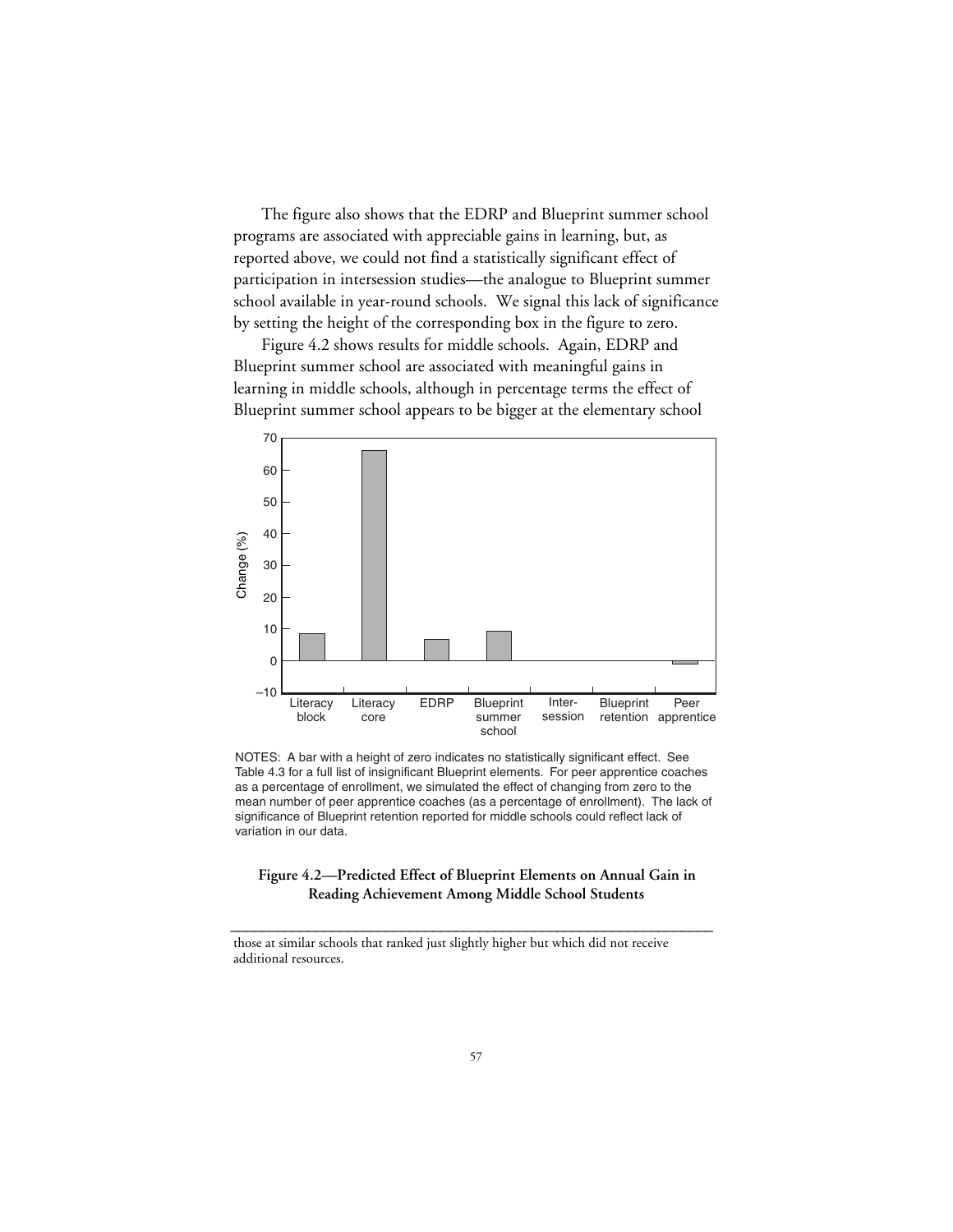The figure also shows that the EDRP and Blueprint summer school programs are associated with appreciable gains in learning, but, as reported above, we could not find a statistically significant effect of participation in intersession studies—the analogue to Blueprint summer school available in year-round schools. We signal this lack of significance by setting the height of the corresponding box in the figure to zero.

Figure 4.2 shows results for middle schools. Again, EDRP and Blueprint summer school are associated with meaningful gains in learning in middle schools, although in percentage terms the effect of Blueprint summer school appears to be bigger at the elementary school



NOTES: A bar with a height of zero indicates no statistically significant effect. See Table 4.3 for a full list of insignificant Blueprint elements. For peer apprentice coaches as a percentage of enrollment, we simulated the effect of changing from zero to the mean number of peer apprentice coaches (as a percentage of enrollment). The lack of significance of Blueprint retention reported for middle schools could reflect lack of variation in our data.

### **Figure 4.2—Predicted Effect of Blueprint Elements on Annual Gain in Reading Achievement Among Middle School Students**

**\_\_\_\_\_\_\_\_\_\_\_\_\_\_\_\_\_\_\_\_\_\_\_\_\_\_\_\_\_\_\_\_\_\_\_\_\_\_\_\_\_\_\_\_\_\_\_\_\_\_\_\_\_\_\_\_\_\_\_\_\_\_**

those at similar schools that ranked just slightly higher but which did not receive additional resources.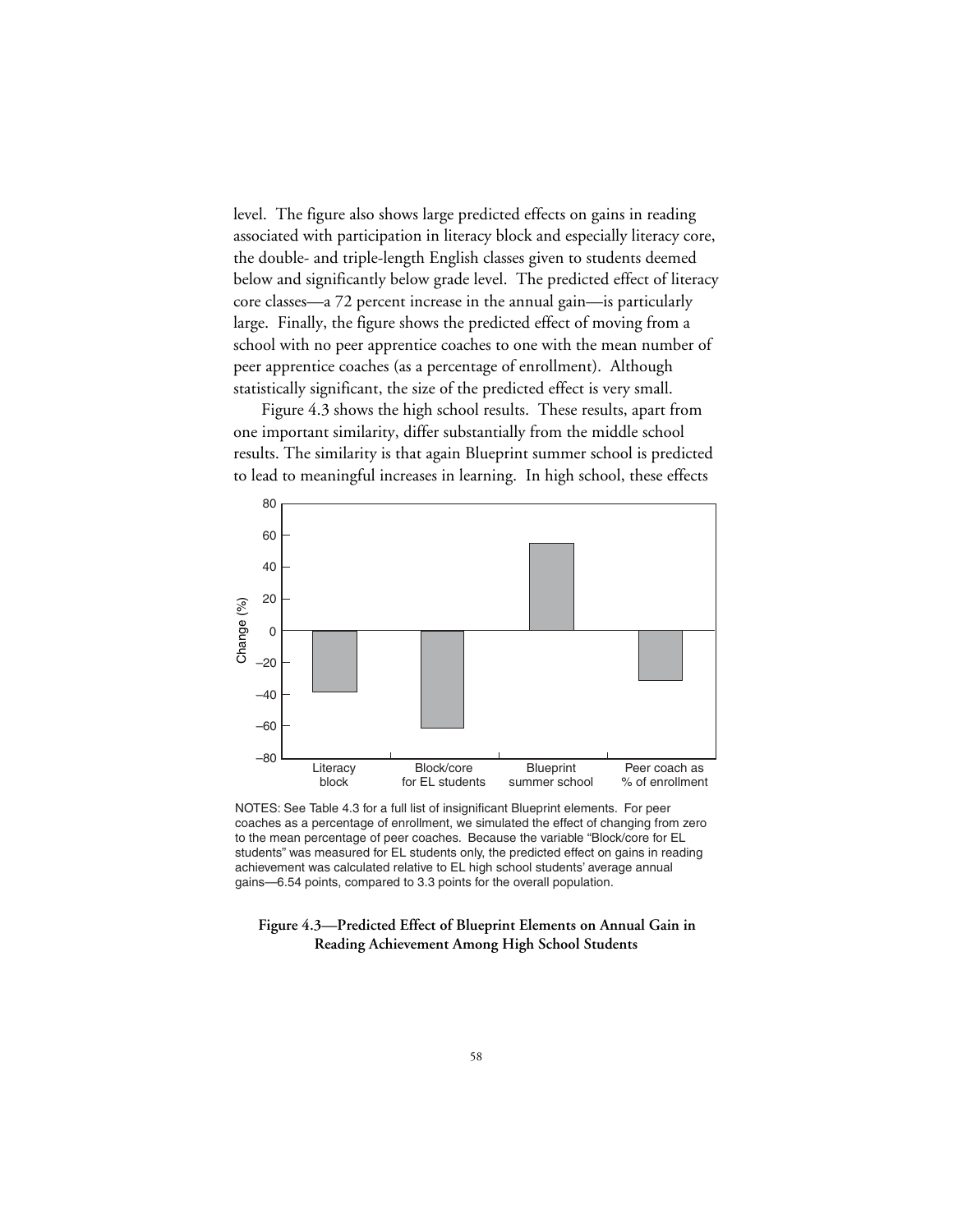level. The figure also shows large predicted effects on gains in reading associated with participation in literacy block and especially literacy core, the double- and triple-length English classes given to students deemed below and significantly below grade level. The predicted effect of literacy core classes—a 72 percent increase in the annual gain—is particularly large. Finally, the figure shows the predicted effect of moving from a school with no peer apprentice coaches to one with the mean number of peer apprentice coaches (as a percentage of enrollment). Although statistically significant, the size of the predicted effect is very small.

Figure 4.3 shows the high school results. These results, apart from one important similarity, differ substantially from the middle school results. The similarity is that again Blueprint summer school is predicted to lead to meaningful increases in learning. In high school, these effects



NOTES: See Table 4.3 for a full list of insignificant Blueprint elements. For peer coaches as a percentage of enrollment, we simulated the effect of changing from zero to the mean percentage of peer coaches. Because the variable "Block/core for EL students" was measured for EL students only, the predicted effect on gains in reading achievement was calculated relative to EL high school students' average annual gains—6.54 points, compared to 3.3 points for the overall population.

#### **Figure 4.3—Predicted Effect of Blueprint Elements on Annual Gain in Reading Achievement Among High School Students**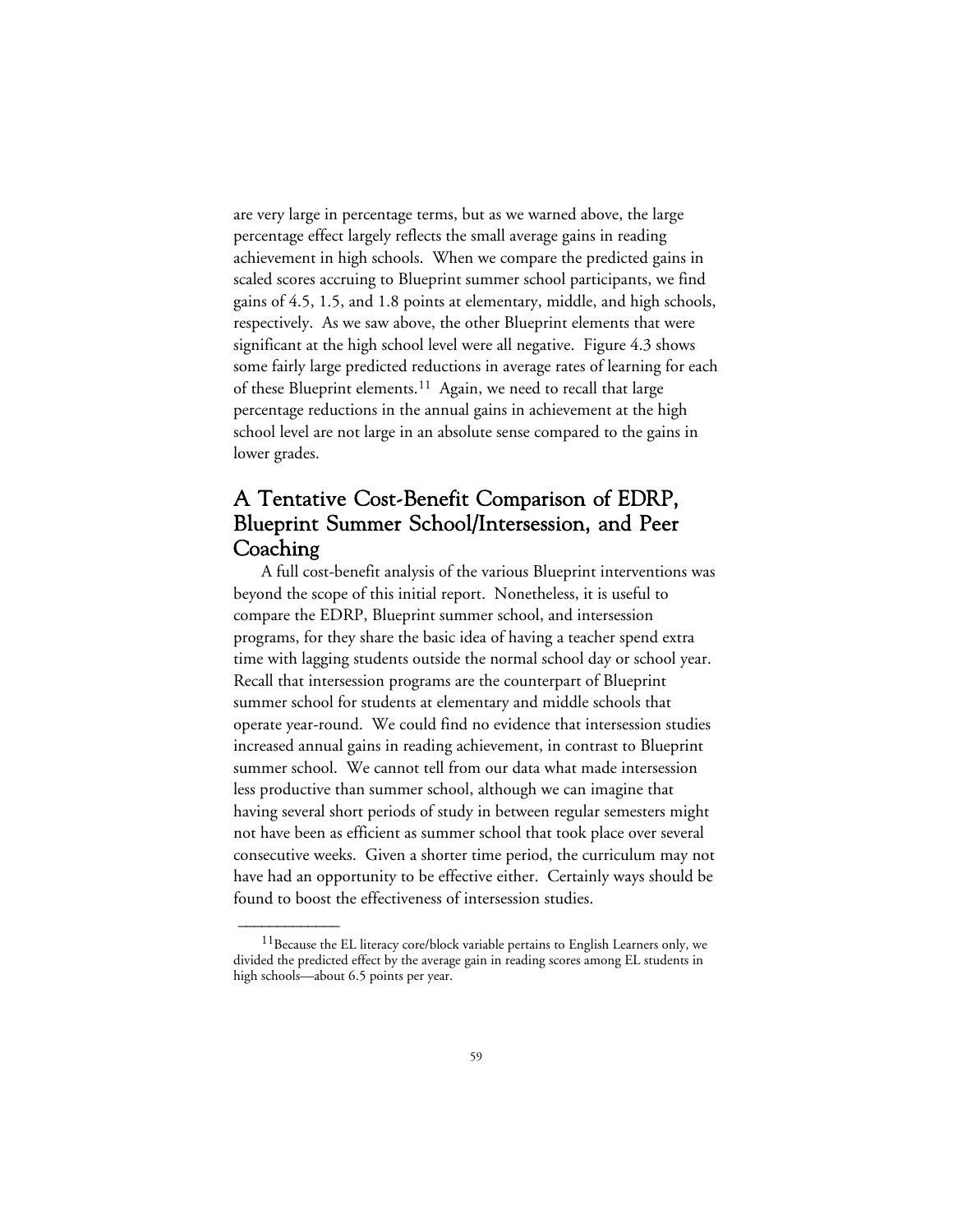are very large in percentage terms, but as we warned above, the large percentage effect largely reflects the small average gains in reading achievement in high schools. When we compare the predicted gains in scaled scores accruing to Blueprint summer school participants, we find gains of 4.5, 1.5, and 1.8 points at elementary, middle, and high schools, respectively. As we saw above, the other Blueprint elements that were significant at the high school level were all negative. Figure 4.3 shows some fairly large predicted reductions in average rates of learning for each of these Blueprint elements.11 Again, we need to recall that large percentage reductions in the annual gains in achievement at the high school level are not large in an absolute sense compared to the gains in lower grades.

# A Tentative Cost-Benefit Comparison of EDRP, Blueprint Summer School/Intersession, and Peer Coaching

A full cost-benefit analysis of the various Blueprint interventions was beyond the scope of this initial report. Nonetheless, it is useful to compare the EDRP, Blueprint summer school, and intersession programs, for they share the basic idea of having a teacher spend extra time with lagging students outside the normal school day or school year. Recall that intersession programs are the counterpart of Blueprint summer school for students at elementary and middle schools that operate year-round. We could find no evidence that intersession studies increased annual gains in reading achievement, in contrast to Blueprint summer school. We cannot tell from our data what made intersession less productive than summer school, although we can imagine that having several short periods of study in between regular semesters might not have been as efficient as summer school that took place over several consecutive weeks. Given a shorter time period, the curriculum may not have had an opportunity to be effective either. Certainly ways should be found to boost the effectiveness of intersession studies.

<sup>&</sup>lt;sup>11</sup> Because the EL literacy core/block variable pertains to English Learners only, we divided the predicted effect by the average gain in reading scores among EL students in high schools—about 6.5 points per year.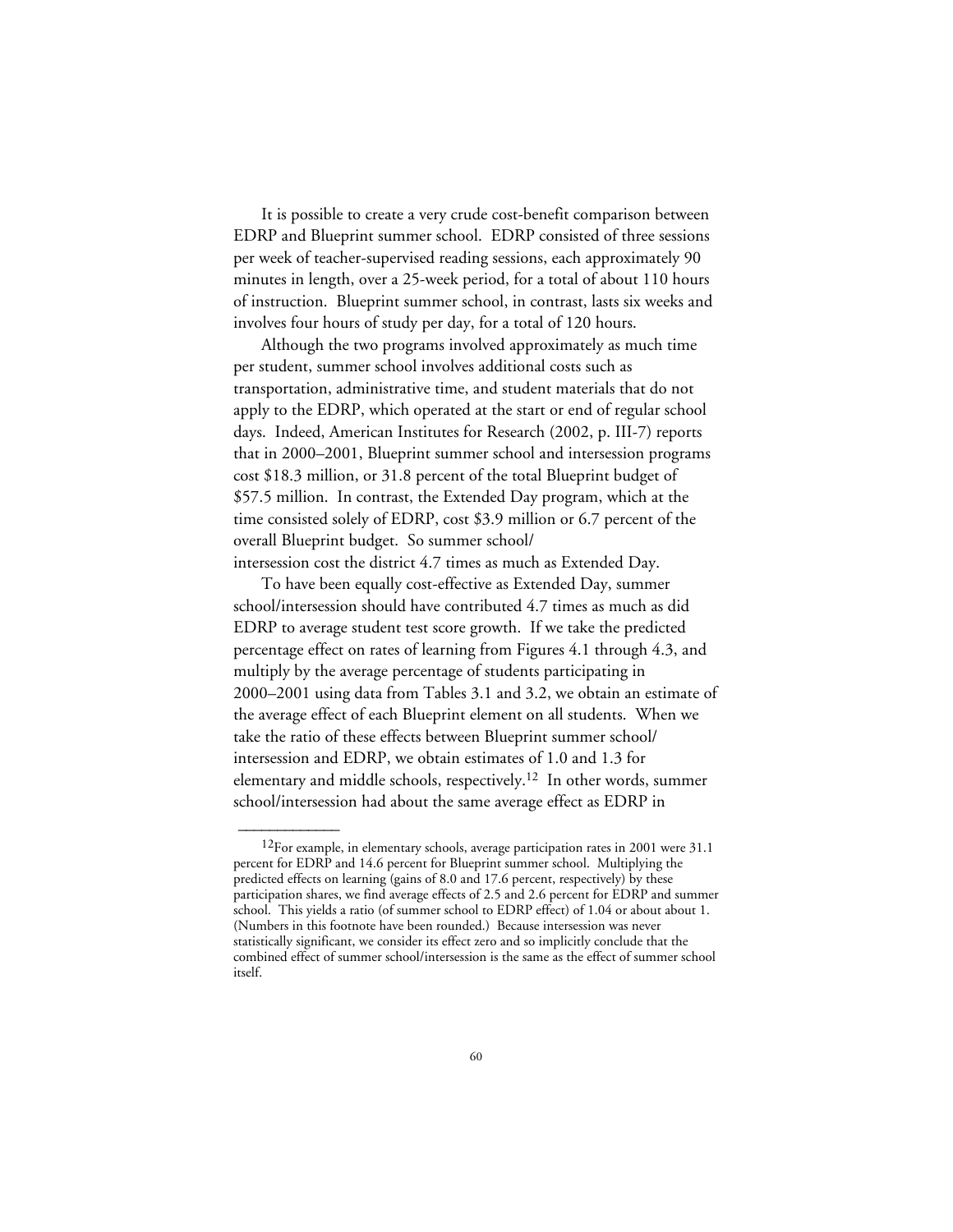It is possible to create a very crude cost-benefit comparison between EDRP and Blueprint summer school. EDRP consisted of three sessions per week of teacher-supervised reading sessions, each approximately 90 minutes in length, over a 25-week period, for a total of about 110 hours of instruction. Blueprint summer school, in contrast, lasts six weeks and involves four hours of study per day, for a total of 120 hours.

Although the two programs involved approximately as much time per student, summer school involves additional costs such as transportation, administrative time, and student materials that do not apply to the EDRP, which operated at the start or end of regular school days. Indeed, American Institutes for Research (2002, p. III-7) reports that in 2000–2001, Blueprint summer school and intersession programs cost \$18.3 million, or 31.8 percent of the total Blueprint budget of \$57.5 million. In contrast, the Extended Day program, which at the time consisted solely of EDRP, cost \$3.9 million or 6.7 percent of the overall Blueprint budget. So summer school/ intersession cost the district 4.7 times as much as Extended Day.

To have been equally cost-effective as Extended Day, summer school/intersession should have contributed 4.7 times as much as did EDRP to average student test score growth. If we take the predicted percentage effect on rates of learning from Figures 4.1 through 4.3, and multiply by the average percentage of students participating in 2000–2001 using data from Tables 3.1 and 3.2, we obtain an estimate of the average effect of each Blueprint element on all students. When we take the ratio of these effects between Blueprint summer school/ intersession and EDRP, we obtain estimates of 1.0 and 1.3 for elementary and middle schools, respectively.12 In other words, summer school/intersession had about the same average effect as EDRP in

 $12$ For example, in elementary schools, average participation rates in 2001 were 31.1 percent for EDRP and 14.6 percent for Blueprint summer school. Multiplying the predicted effects on learning (gains of 8.0 and 17.6 percent, respectively) by these participation shares, we find average effects of 2.5 and 2.6 percent for EDRP and summer school. This yields a ratio (of summer school to EDRP effect) of 1.04 or about about 1. (Numbers in this footnote have been rounded.) Because intersession was never statistically significant, we consider its effect zero and so implicitly conclude that the combined effect of summer school/intersession is the same as the effect of summer school itself.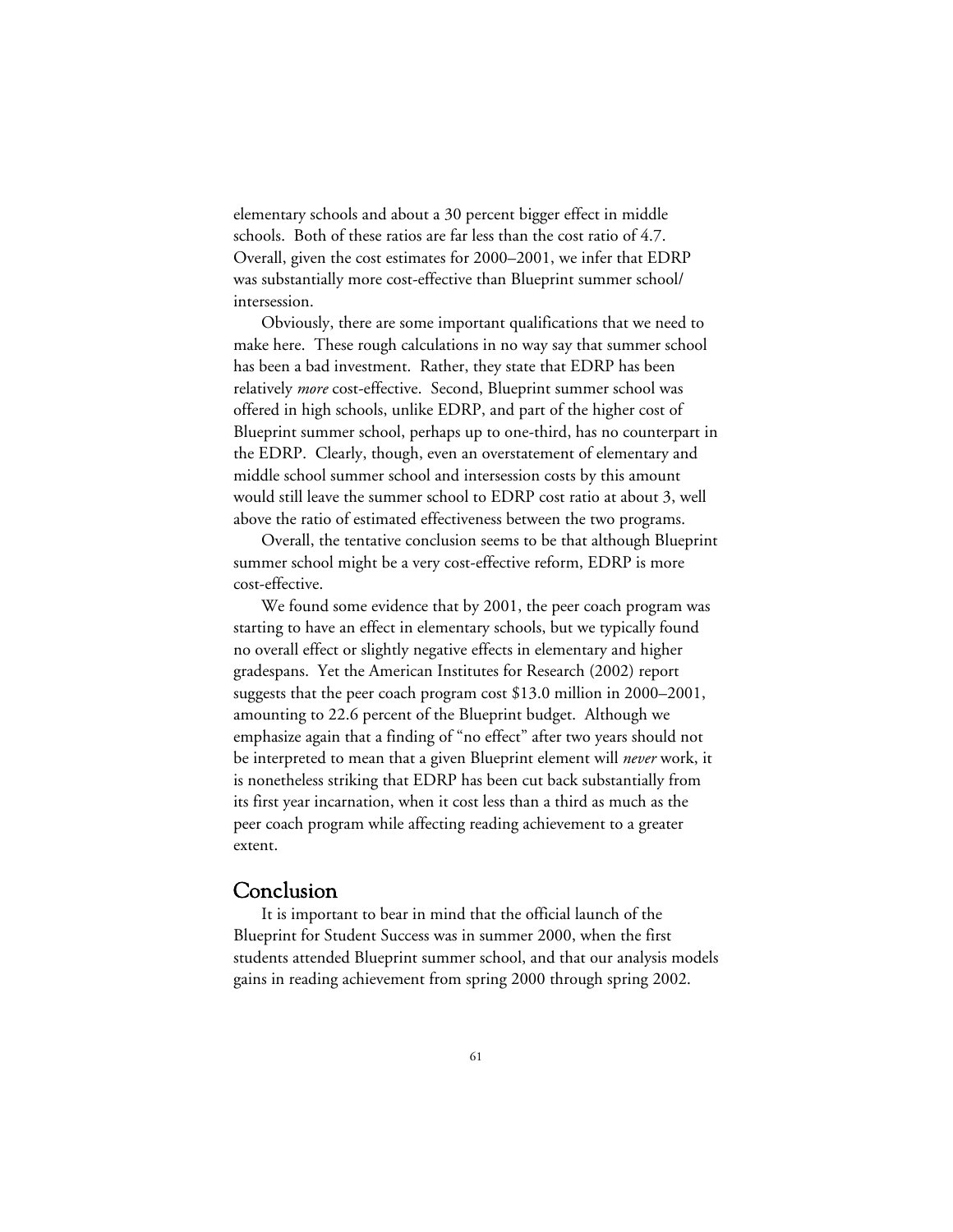elementary schools and about a 30 percent bigger effect in middle schools. Both of these ratios are far less than the cost ratio of 4.7. Overall, given the cost estimates for 2000–2001, we infer that EDRP was substantially more cost-effective than Blueprint summer school/ intersession.

Obviously, there are some important qualifications that we need to make here. These rough calculations in no way say that summer school has been a bad investment. Rather, they state that EDRP has been relatively *more* cost-effective. Second, Blueprint summer school was offered in high schools, unlike EDRP, and part of the higher cost of Blueprint summer school, perhaps up to one-third, has no counterpart in the EDRP. Clearly, though, even an overstatement of elementary and middle school summer school and intersession costs by this amount would still leave the summer school to EDRP cost ratio at about 3, well above the ratio of estimated effectiveness between the two programs.

Overall, the tentative conclusion seems to be that although Blueprint summer school might be a very cost-effective reform, EDRP is more cost-effective.

We found some evidence that by 2001, the peer coach program was starting to have an effect in elementary schools, but we typically found no overall effect or slightly negative effects in elementary and higher gradespans. Yet the American Institutes for Research (2002) report suggests that the peer coach program cost \$13.0 million in 2000–2001, amounting to 22.6 percent of the Blueprint budget. Although we emphasize again that a finding of "no effect" after two years should not be interpreted to mean that a given Blueprint element will *never* work, it is nonetheless striking that EDRP has been cut back substantially from its first year incarnation, when it cost less than a third as much as the peer coach program while affecting reading achievement to a greater extent.

## Conclusion

It is important to bear in mind that the official launch of the Blueprint for Student Success was in summer 2000, when the first students attended Blueprint summer school, and that our analysis models gains in reading achievement from spring 2000 through spring 2002.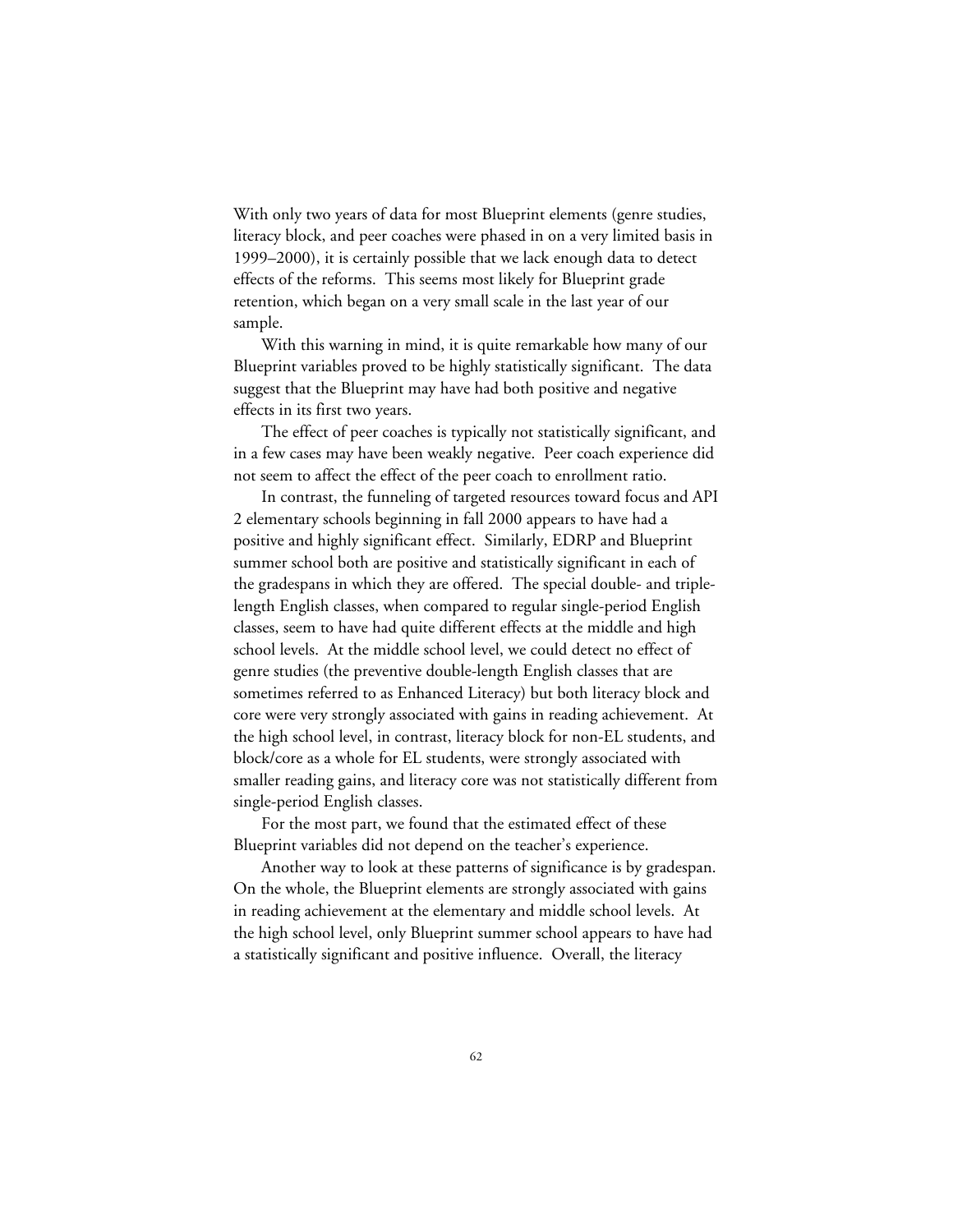With only two years of data for most Blueprint elements (genre studies, literacy block, and peer coaches were phased in on a very limited basis in 1999–2000), it is certainly possible that we lack enough data to detect effects of the reforms. This seems most likely for Blueprint grade retention, which began on a very small scale in the last year of our sample.

With this warning in mind, it is quite remarkable how many of our Blueprint variables proved to be highly statistically significant. The data suggest that the Blueprint may have had both positive and negative effects in its first two years.

The effect of peer coaches is typically not statistically significant, and in a few cases may have been weakly negative. Peer coach experience did not seem to affect the effect of the peer coach to enrollment ratio.

In contrast, the funneling of targeted resources toward focus and API 2 elementary schools beginning in fall 2000 appears to have had a positive and highly significant effect. Similarly, EDRP and Blueprint summer school both are positive and statistically significant in each of the gradespans in which they are offered. The special double- and triplelength English classes, when compared to regular single-period English classes, seem to have had quite different effects at the middle and high school levels. At the middle school level, we could detect no effect of genre studies (the preventive double-length English classes that are sometimes referred to as Enhanced Literacy) but both literacy block and core were very strongly associated with gains in reading achievement. At the high school level, in contrast, literacy block for non-EL students, and block/core as a whole for EL students, were strongly associated with smaller reading gains, and literacy core was not statistically different from single-period English classes.

For the most part, we found that the estimated effect of these Blueprint variables did not depend on the teacher's experience.

Another way to look at these patterns of significance is by gradespan. On the whole, the Blueprint elements are strongly associated with gains in reading achievement at the elementary and middle school levels. At the high school level, only Blueprint summer school appears to have had a statistically significant and positive influence. Overall, the literacy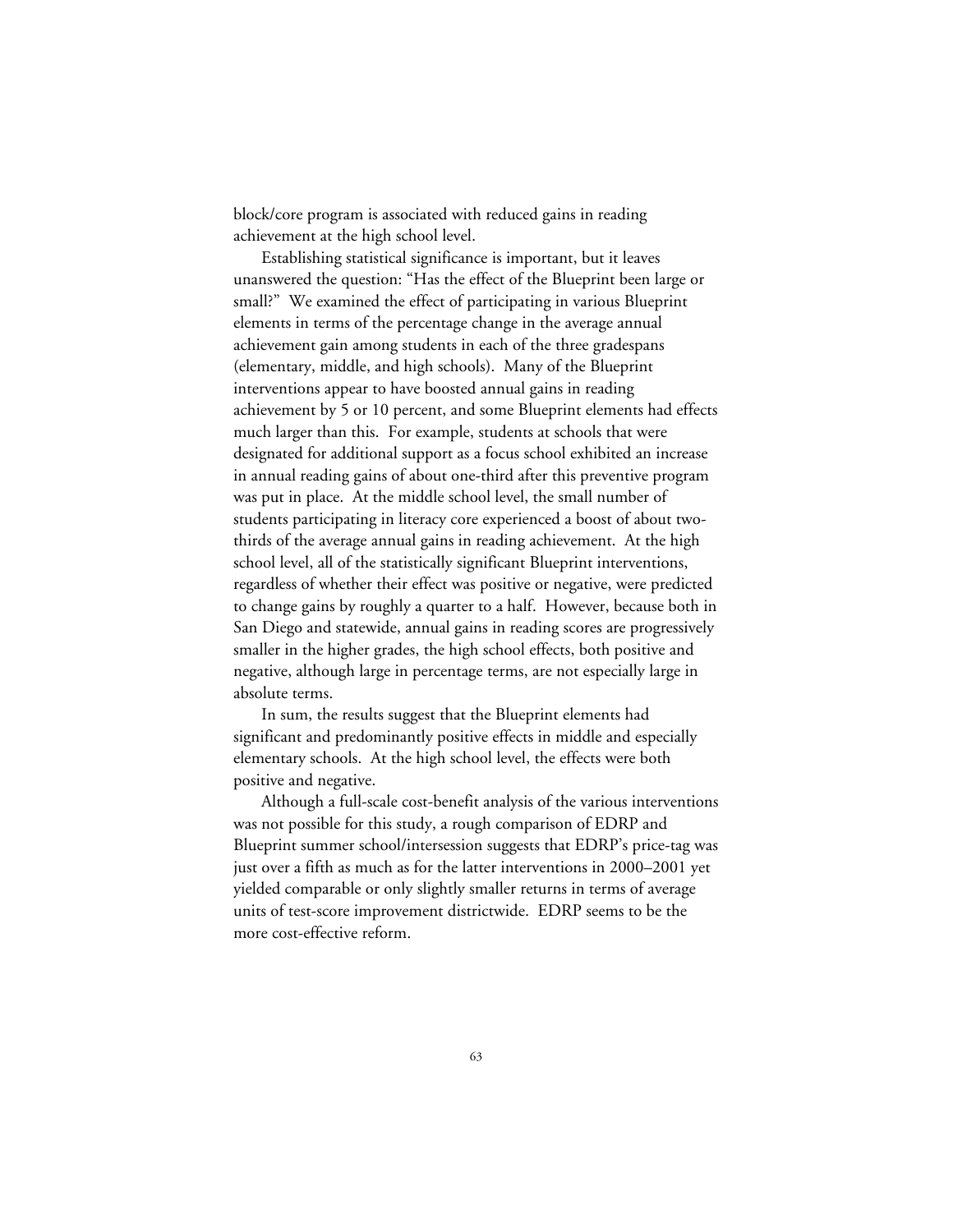block/core program is associated with reduced gains in reading achievement at the high school level.

Establishing statistical significance is important, but it leaves unanswered the question: "Has the effect of the Blueprint been large or small?" We examined the effect of participating in various Blueprint elements in terms of the percentage change in the average annual achievement gain among students in each of the three gradespans (elementary, middle, and high schools). Many of the Blueprint interventions appear to have boosted annual gains in reading achievement by 5 or 10 percent, and some Blueprint elements had effects much larger than this. For example, students at schools that were designated for additional support as a focus school exhibited an increase in annual reading gains of about one-third after this preventive program was put in place. At the middle school level, the small number of students participating in literacy core experienced a boost of about twothirds of the average annual gains in reading achievement. At the high school level, all of the statistically significant Blueprint interventions, regardless of whether their effect was positive or negative, were predicted to change gains by roughly a quarter to a half. However, because both in San Diego and statewide, annual gains in reading scores are progressively smaller in the higher grades, the high school effects, both positive and negative, although large in percentage terms, are not especially large in absolute terms.

In sum, the results suggest that the Blueprint elements had significant and predominantly positive effects in middle and especially elementary schools. At the high school level, the effects were both positive and negative.

Although a full-scale cost-benefit analysis of the various interventions was not possible for this study, a rough comparison of EDRP and Blueprint summer school/intersession suggests that EDRP's price-tag was just over a fifth as much as for the latter interventions in 2000–2001 yet yielded comparable or only slightly smaller returns in terms of average units of test-score improvement districtwide. EDRP seems to be the more cost-effective reform.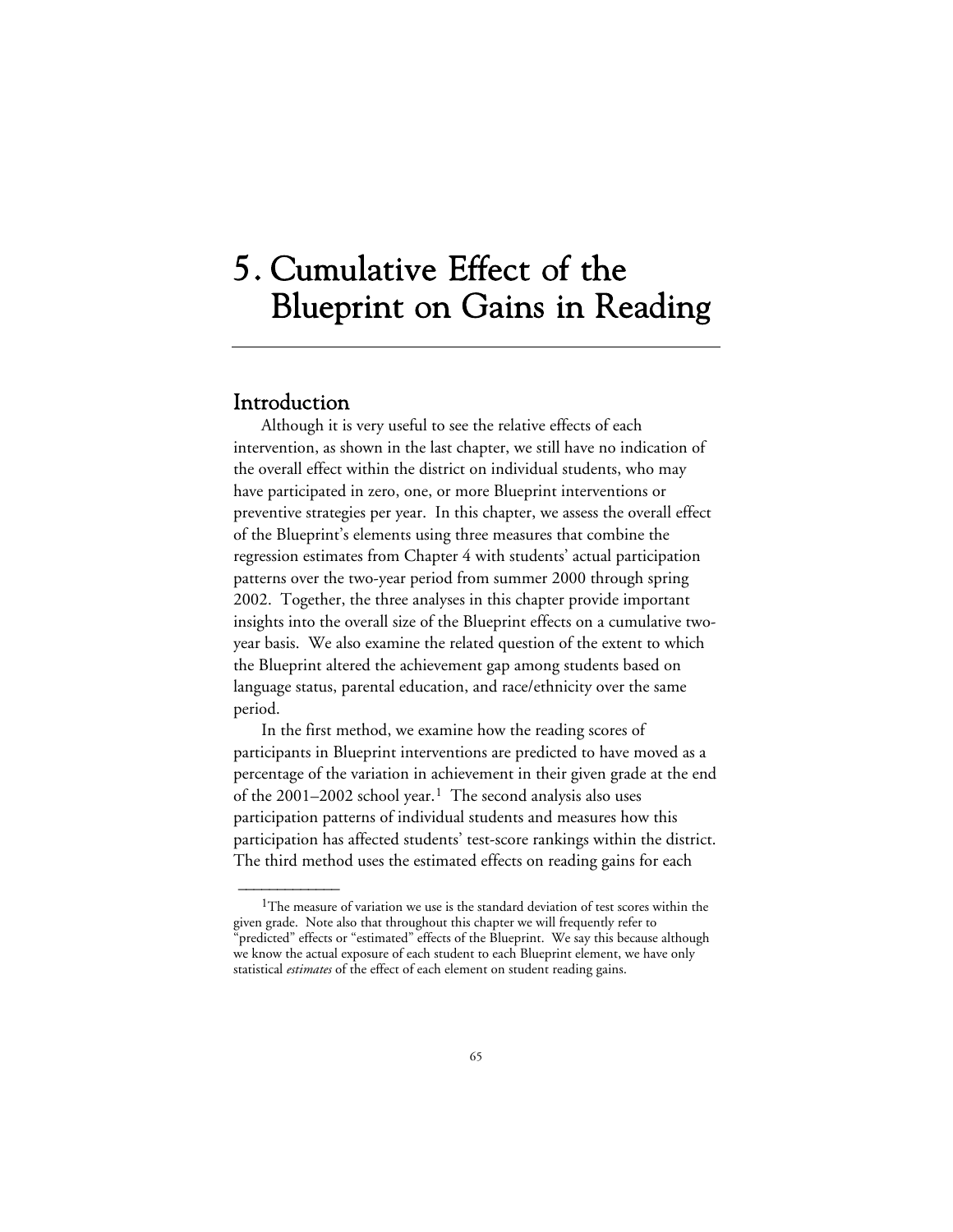# 5. Cumulative Effect of the Blueprint on Gains in Reading

## Introduction

 $\overline{\phantom{a}}$ 

Although it is very useful to see the relative effects of each intervention, as shown in the last chapter, we still have no indication of the overall effect within the district on individual students, who may have participated in zero, one, or more Blueprint interventions or preventive strategies per year. In this chapter, we assess the overall effect of the Blueprint's elements using three measures that combine the regression estimates from Chapter 4 with students' actual participation patterns over the two-year period from summer 2000 through spring 2002. Together, the three analyses in this chapter provide important insights into the overall size of the Blueprint effects on a cumulative twoyear basis. We also examine the related question of the extent to which the Blueprint altered the achievement gap among students based on language status, parental education, and race/ethnicity over the same period.

In the first method, we examine how the reading scores of participants in Blueprint interventions are predicted to have moved as a percentage of the variation in achievement in their given grade at the end of the  $2001-2002$  school year.<sup>1</sup> The second analysis also uses participation patterns of individual students and measures how this participation has affected students' test-score rankings within the district. The third method uses the estimated effects on reading gains for each

<sup>&</sup>lt;sup>1</sup>The measure of variation we use is the standard deviation of test scores within the given grade. Note also that throughout this chapter we will frequently refer to "predicted" effects or "estimated" effects of the Blueprint. We say this because although we know the actual exposure of each student to each Blueprint element, we have only statistical *estimates* of the effect of each element on student reading gains.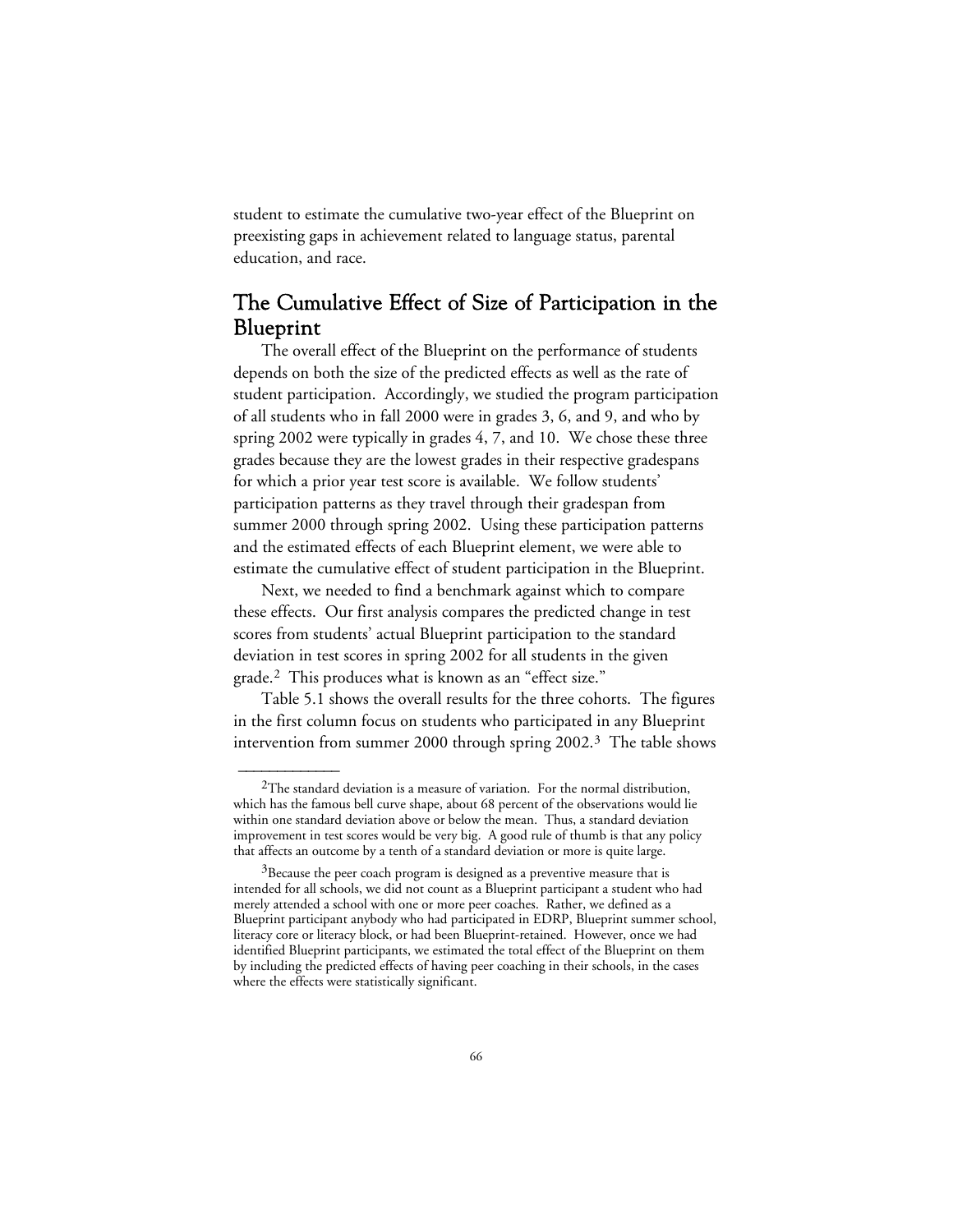student to estimate the cumulative two-year effect of the Blueprint on preexisting gaps in achievement related to language status, parental education, and race.

# The Cumulative Effect of Size of Participation in the Blueprint

The overall effect of the Blueprint on the performance of students depends on both the size of the predicted effects as well as the rate of student participation. Accordingly, we studied the program participation of all students who in fall 2000 were in grades 3, 6, and 9, and who by spring 2002 were typically in grades 4, 7, and 10. We chose these three grades because they are the lowest grades in their respective gradespans for which a prior year test score is available. We follow students' participation patterns as they travel through their gradespan from summer 2000 through spring 2002. Using these participation patterns and the estimated effects of each Blueprint element, we were able to estimate the cumulative effect of student participation in the Blueprint.

Next, we needed to find a benchmark against which to compare these effects. Our first analysis compares the predicted change in test scores from students' actual Blueprint participation to the standard deviation in test scores in spring 2002 for all students in the given grade.2 This produces what is known as an "effect size."

Table 5.1 shows the overall results for the three cohorts. The figures in the first column focus on students who participated in any Blueprint intervention from summer 2000 through spring 2002.3 The table shows

 $2$ The standard deviation is a measure of variation. For the normal distribution, which has the famous bell curve shape, about 68 percent of the observations would lie within one standard deviation above or below the mean. Thus, a standard deviation improvement in test scores would be very big. A good rule of thumb is that any policy that affects an outcome by a tenth of a standard deviation or more is quite large.

 $3B$  Because the peer coach program is designed as a preventive measure that is intended for all schools, we did not count as a Blueprint participant a student who had merely attended a school with one or more peer coaches. Rather, we defined as a Blueprint participant anybody who had participated in EDRP, Blueprint summer school, literacy core or literacy block, or had been Blueprint-retained. However, once we had identified Blueprint participants, we estimated the total effect of the Blueprint on them by including the predicted effects of having peer coaching in their schools, in the cases where the effects were statistically significant.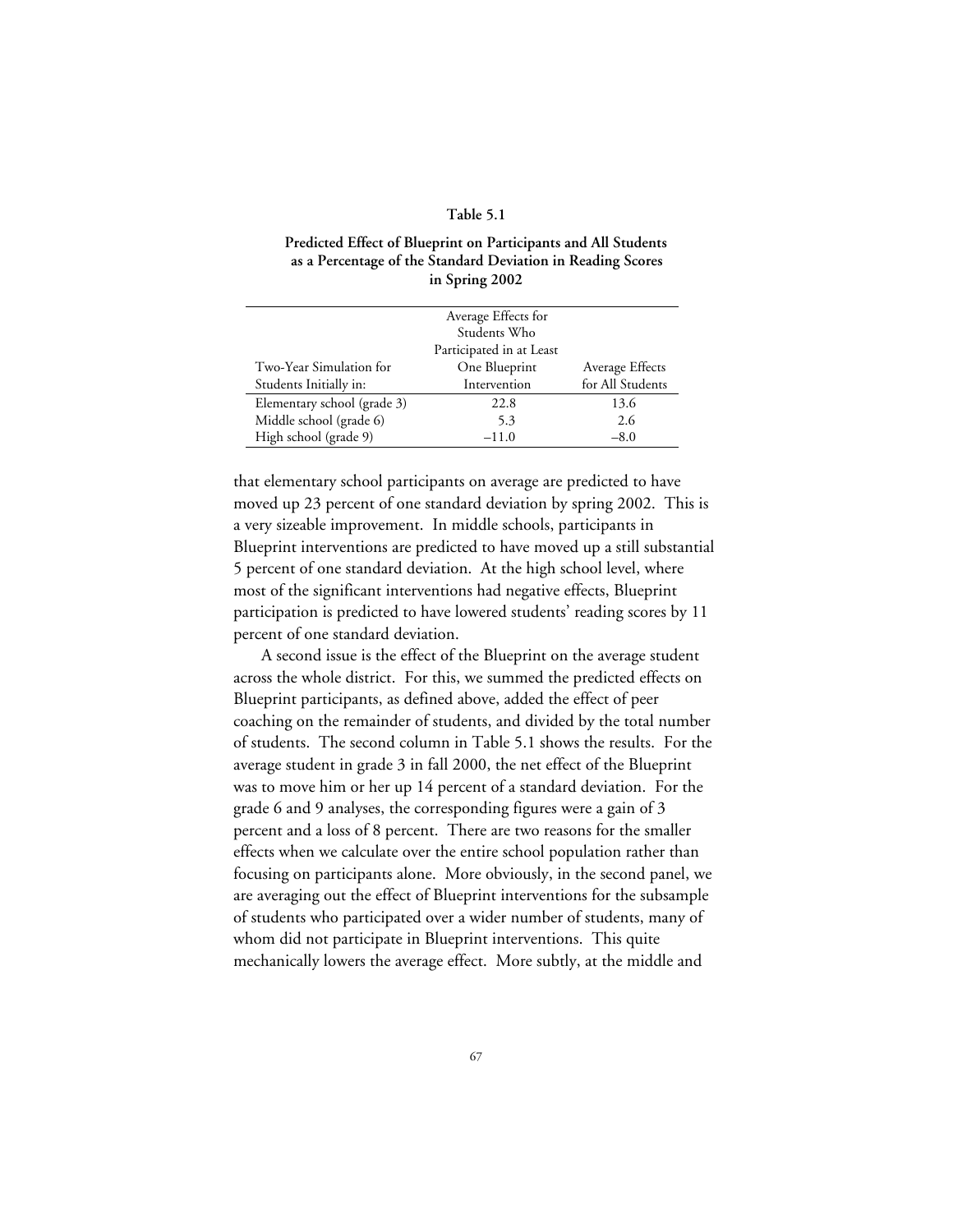## **Table 5.1**

## **Predicted Effect of Blueprint on Participants and All Students as a Percentage of the Standard Deviation in Reading Scores in Spring 2002**

|                             | Average Effects for      |                  |
|-----------------------------|--------------------------|------------------|
|                             | Students Who             |                  |
|                             | Participated in at Least |                  |
| Two-Year Simulation for     | One Blueprint            | Average Effects  |
| Students Initially in:      | Intervention             | for All Students |
| Elementary school (grade 3) | 22.8                     | 13.6             |
| Middle school (grade 6)     | 5.3                      | 2.6              |
| High school (grade 9)       | $-11.0$                  | $-8.0$           |

that elementary school participants on average are predicted to have moved up 23 percent of one standard deviation by spring 2002. This is a very sizeable improvement. In middle schools, participants in Blueprint interventions are predicted to have moved up a still substantial 5 percent of one standard deviation. At the high school level, where most of the significant interventions had negative effects, Blueprint participation is predicted to have lowered students' reading scores by 11 percent of one standard deviation.

A second issue is the effect of the Blueprint on the average student across the whole district. For this, we summed the predicted effects on Blueprint participants, as defined above, added the effect of peer coaching on the remainder of students, and divided by the total number of students. The second column in Table 5.1 shows the results. For the average student in grade 3 in fall 2000, the net effect of the Blueprint was to move him or her up 14 percent of a standard deviation. For the grade 6 and 9 analyses, the corresponding figures were a gain of 3 percent and a loss of 8 percent. There are two reasons for the smaller effects when we calculate over the entire school population rather than focusing on participants alone. More obviously, in the second panel, we are averaging out the effect of Blueprint interventions for the subsample of students who participated over a wider number of students, many of whom did not participate in Blueprint interventions. This quite mechanically lowers the average effect. More subtly, at the middle and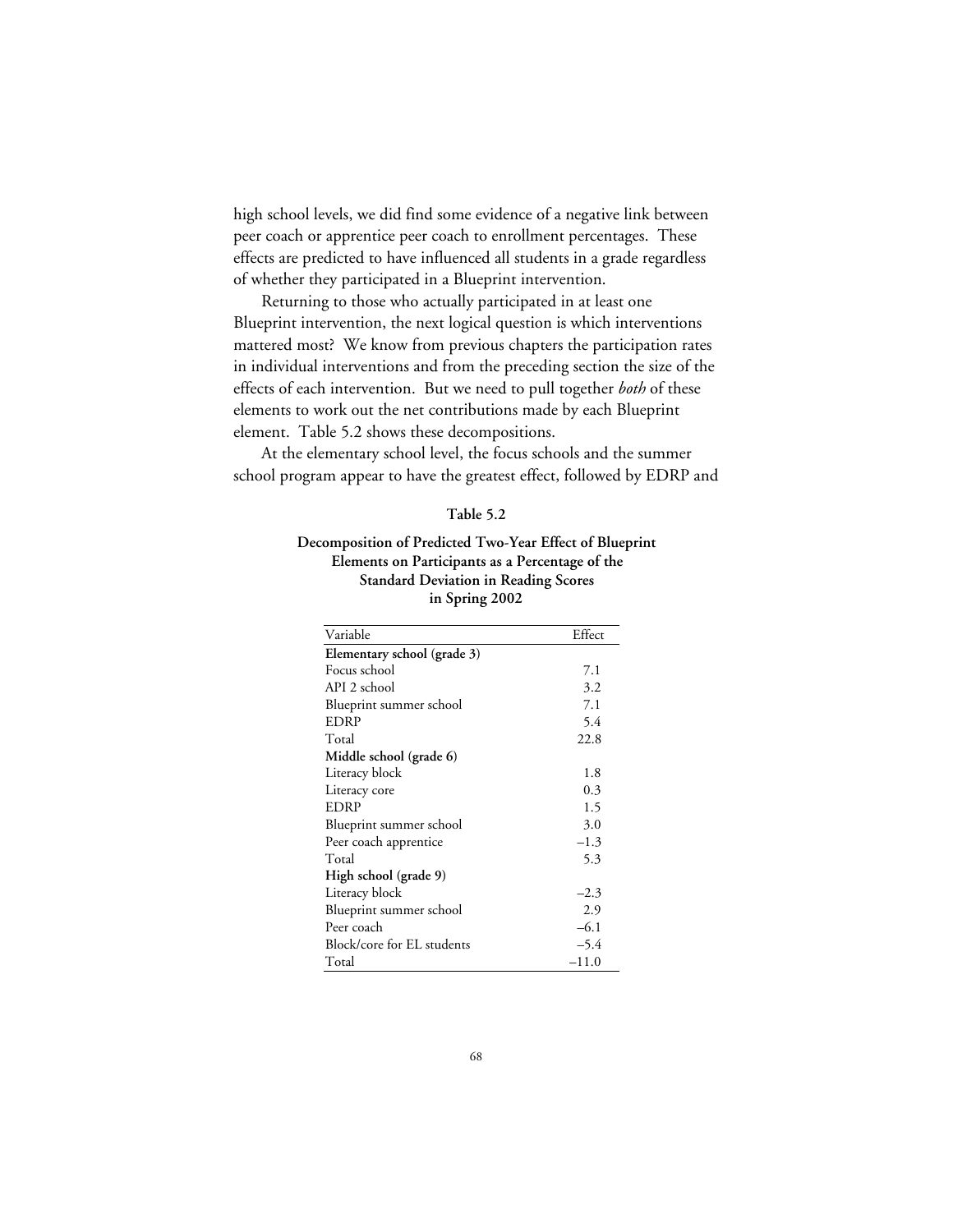high school levels, we did find some evidence of a negative link between peer coach or apprentice peer coach to enrollment percentages. These effects are predicted to have influenced all students in a grade regardless of whether they participated in a Blueprint intervention.

Returning to those who actually participated in at least one Blueprint intervention, the next logical question is which interventions mattered most? We know from previous chapters the participation rates in individual interventions and from the preceding section the size of the effects of each intervention. But we need to pull together *both* of these elements to work out the net contributions made by each Blueprint element. Table 5.2 shows these decompositions.

At the elementary school level, the focus schools and the summer school program appear to have the greatest effect, followed by EDRP and

#### **Table 5.2**

## **Decomposition of Predicted Two-Year Effect of Blueprint Elements on Participants as a Percentage of the Standard Deviation in Reading Scores in Spring 2002**

| Variable                    | Effect  |
|-----------------------------|---------|
| Elementary school (grade 3) |         |
| Focus school                | 7.1     |
| API 2 school                | 3.2     |
| Blueprint summer school     | 7.1     |
| EDRP                        | 5.4     |
| Total                       | 22.8    |
| Middle school (grade 6)     |         |
| Literacy block              | 1.8     |
| Literacy core               | 0.3     |
| EDRP                        | 1.5     |
| Blueprint summer school     | 3.0     |
| Peer coach apprentice       | $-1.3$  |
| Total                       | 5.3     |
| High school (grade 9)       |         |
| Literacy block              | $-2.3$  |
| Blueprint summer school     | 2.9     |
| Peer coach                  | $-6.1$  |
| Block/core for EL students  | $-5.4$  |
| Total                       | $-11.0$ |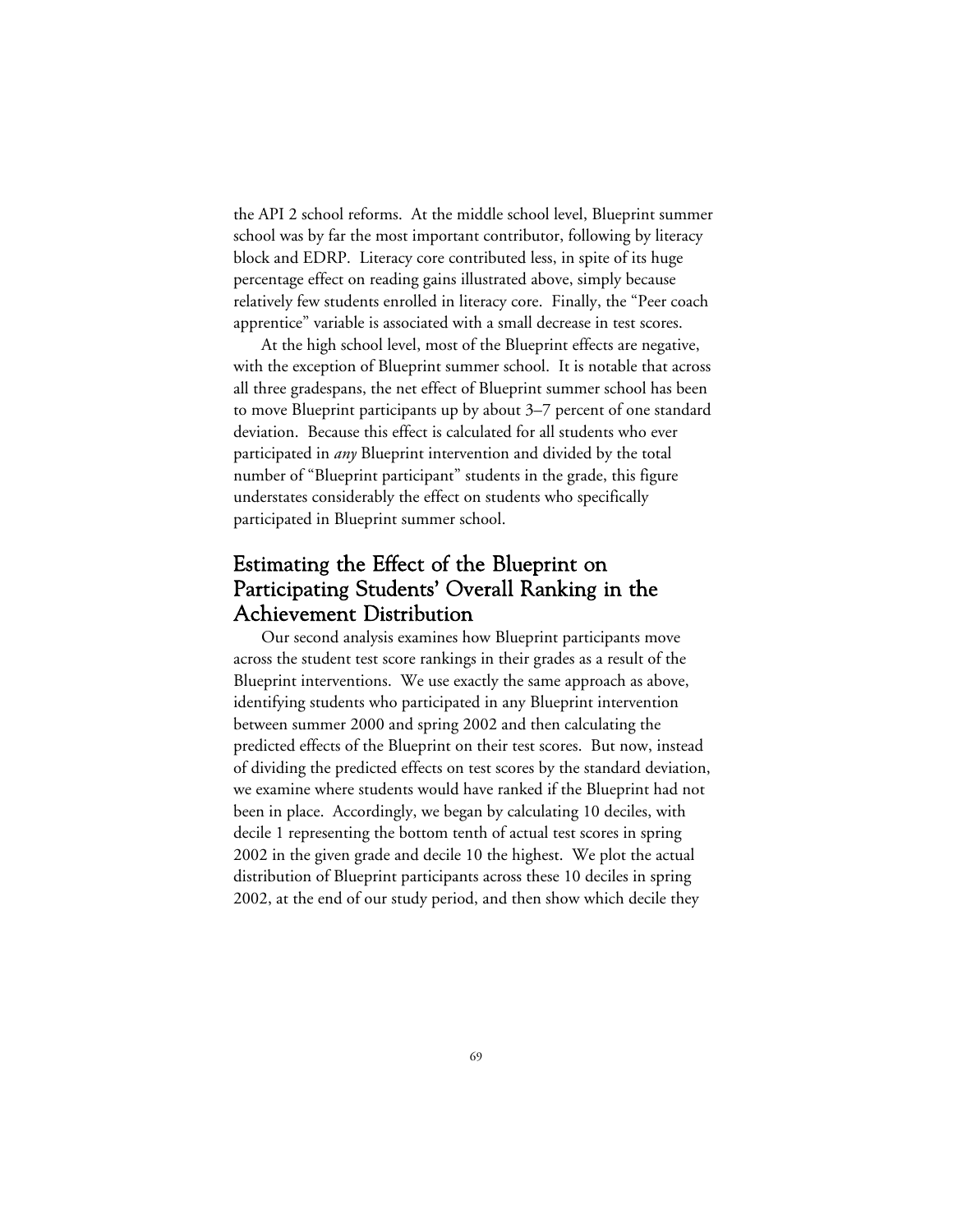the API 2 school reforms. At the middle school level, Blueprint summer school was by far the most important contributor, following by literacy block and EDRP. Literacy core contributed less, in spite of its huge percentage effect on reading gains illustrated above, simply because relatively few students enrolled in literacy core. Finally, the "Peer coach apprentice" variable is associated with a small decrease in test scores.

At the high school level, most of the Blueprint effects are negative, with the exception of Blueprint summer school. It is notable that across all three gradespans, the net effect of Blueprint summer school has been to move Blueprint participants up by about 3–7 percent of one standard deviation. Because this effect is calculated for all students who ever participated in *any* Blueprint intervention and divided by the total number of "Blueprint participant" students in the grade, this figure understates considerably the effect on students who specifically participated in Blueprint summer school.

# Estimating the Effect of the Blueprint on Participating Students' Overall Ranking in the Achievement Distribution

Our second analysis examines how Blueprint participants move across the student test score rankings in their grades as a result of the Blueprint interventions. We use exactly the same approach as above, identifying students who participated in any Blueprint intervention between summer 2000 and spring 2002 and then calculating the predicted effects of the Blueprint on their test scores. But now, instead of dividing the predicted effects on test scores by the standard deviation, we examine where students would have ranked if the Blueprint had not been in place. Accordingly, we began by calculating 10 deciles, with decile 1 representing the bottom tenth of actual test scores in spring 2002 in the given grade and decile 10 the highest. We plot the actual distribution of Blueprint participants across these 10 deciles in spring 2002, at the end of our study period, and then show which decile they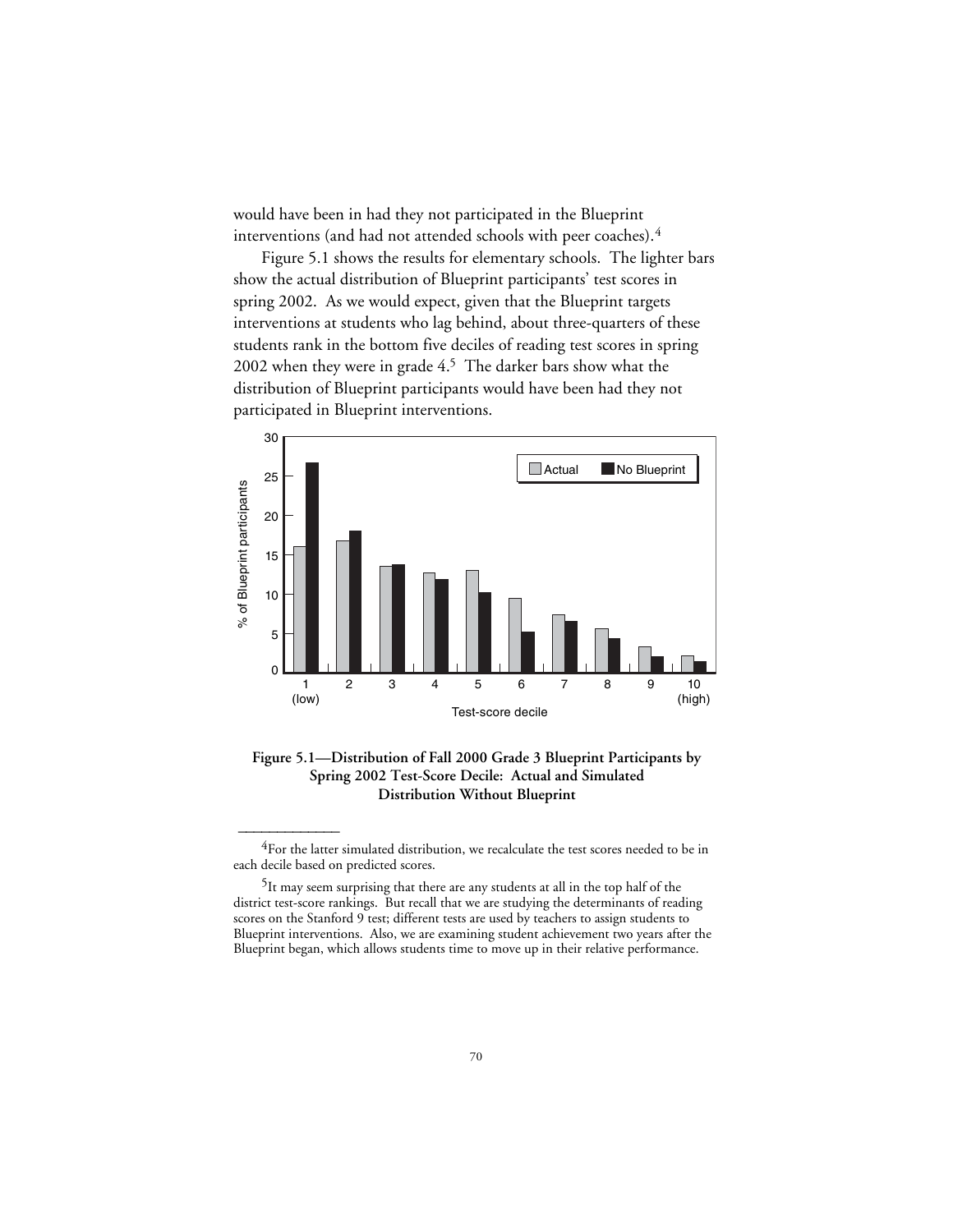would have been in had they not participated in the Blueprint interventions (and had not attended schools with peer coaches).4

Figure 5.1 shows the results for elementary schools. The lighter bars show the actual distribution of Blueprint participants' test scores in spring 2002. As we would expect, given that the Blueprint targets interventions at students who lag behind, about three-quarters of these students rank in the bottom five deciles of reading test scores in spring 2002 when they were in grade 4.5 The darker bars show what the distribution of Blueprint participants would have been had they not participated in Blueprint interventions.



**Figure 5.1—Distribution of Fall 2000 Grade 3 Blueprint Participants by Spring 2002 Test-Score Decile: Actual and Simulated Distribution Without Blueprint**

<sup>&</sup>lt;sup>4</sup>For the latter simulated distribution, we recalculate the test scores needed to be in each decile based on predicted scores.

<sup>5</sup>It may seem surprising that there are any students at all in the top half of the district test-score rankings. But recall that we are studying the determinants of reading scores on the Stanford 9 test; different tests are used by teachers to assign students to Blueprint interventions. Also, we are examining student achievement two years after the Blueprint began, which allows students time to move up in their relative performance.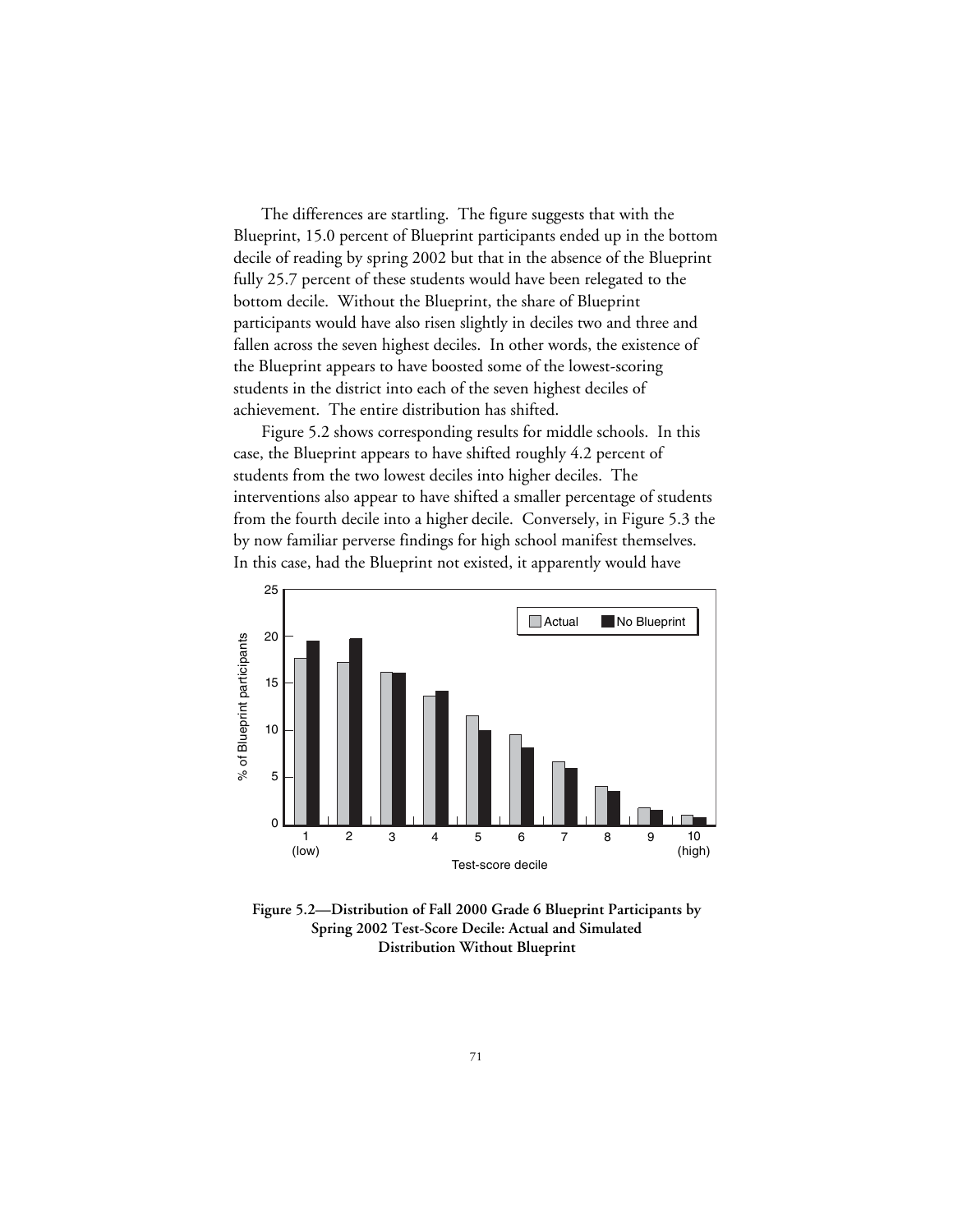The differences are startling. The figure suggests that with the Blueprint, 15.0 percent of Blueprint participants ended up in the bottom decile of reading by spring 2002 but that in the absence of the Blueprint fully 25.7 percent of these students would have been relegated to the bottom decile. Without the Blueprint, the share of Blueprint participants would have also risen slightly in deciles two and three and fallen across the seven highest deciles. In other words, the existence of the Blueprint appears to have boosted some of the lowest-scoring students in the district into each of the seven highest deciles of achievement. The entire distribution has shifted.

Figure 5.2 shows corresponding results for middle schools. In this case, the Blueprint appears to have shifted roughly 4.2 percent of students from the two lowest deciles into higher deciles. The interventions also appear to have shifted a smaller percentage of students from the fourth decile into a higher decile. Conversely, in Figure 5.3 the by now familiar perverse findings for high school manifest themselves. In this case, had the Blueprint not existed, it apparently would have



**Figure 5.2—Distribution of Fall 2000 Grade 6 Blueprint Participants by Spring 2002 Test-Score Decile: Actual and Simulated Distribution Without Blueprint**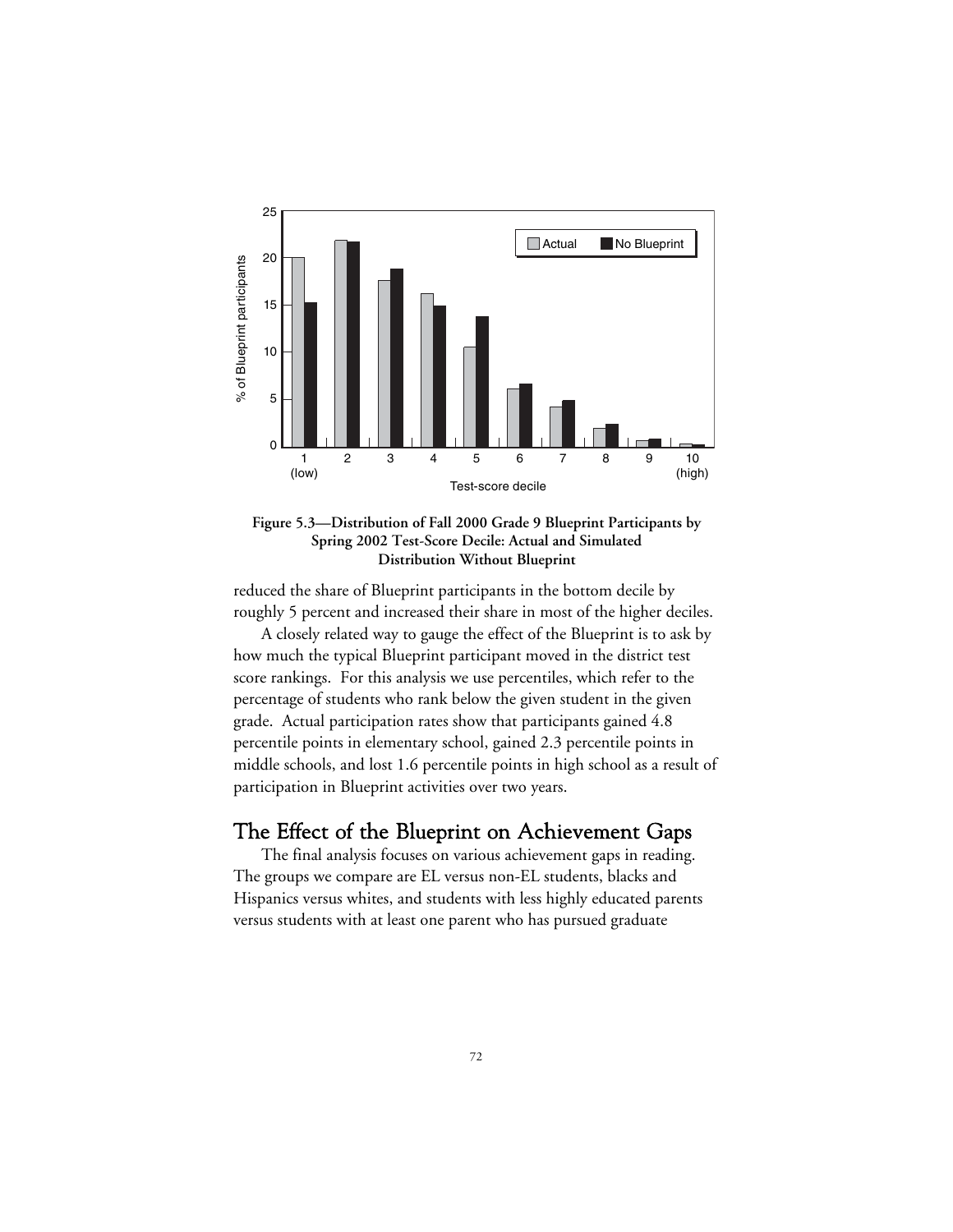



reduced the share of Blueprint participants in the bottom decile by roughly 5 percent and increased their share in most of the higher deciles.

A closely related way to gauge the effect of the Blueprint is to ask by how much the typical Blueprint participant moved in the district test score rankings. For this analysis we use percentiles, which refer to the percentage of students who rank below the given student in the given grade. Actual participation rates show that participants gained 4.8 percentile points in elementary school, gained 2.3 percentile points in middle schools, and lost 1.6 percentile points in high school as a result of participation in Blueprint activities over two years.

# The Effect of the Blueprint on Achievement Gaps

The final analysis focuses on various achievement gaps in reading. The groups we compare are EL versus non-EL students, blacks and Hispanics versus whites, and students with less highly educated parents versus students with at least one parent who has pursued graduate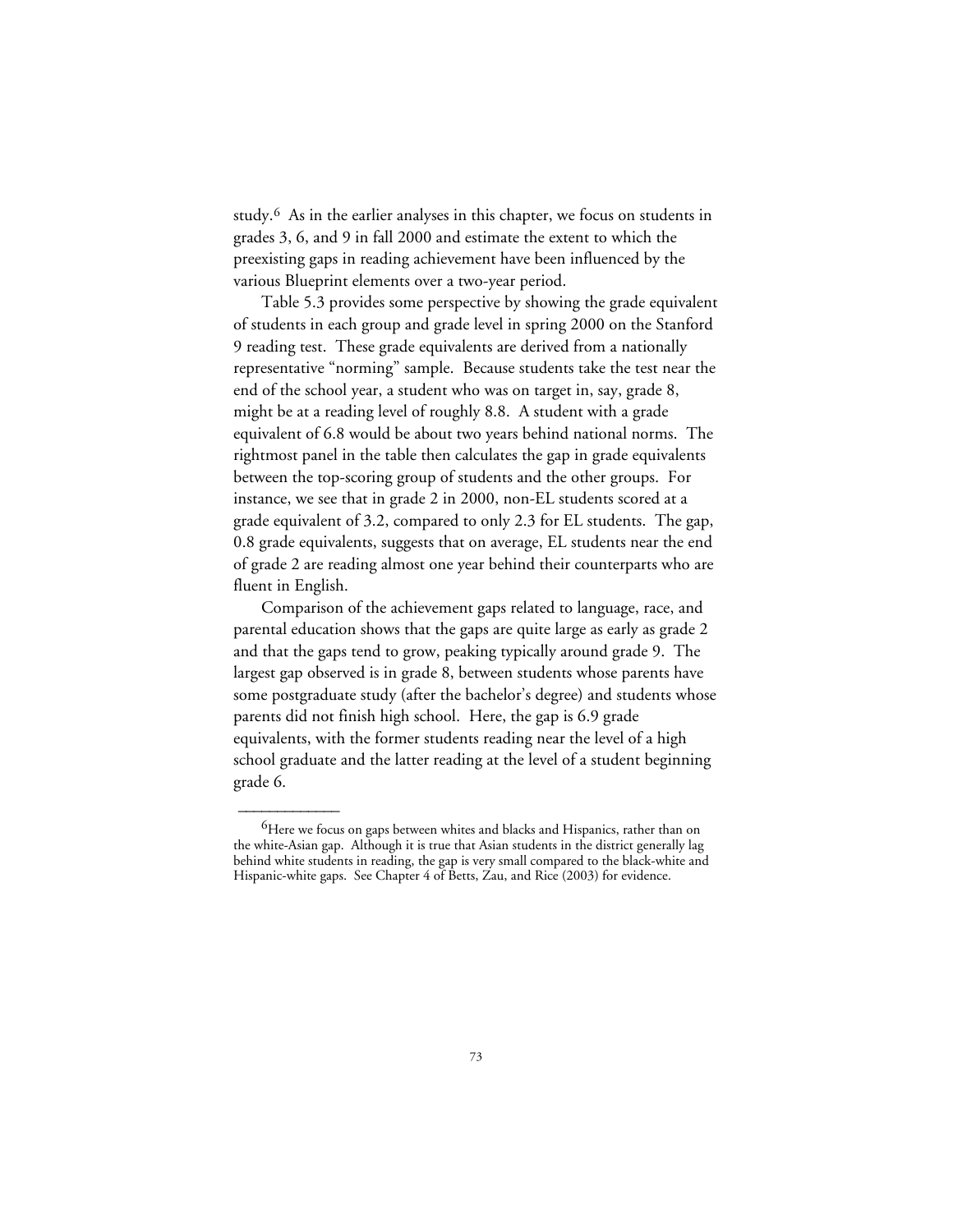study.6 As in the earlier analyses in this chapter, we focus on students in grades 3, 6, and 9 in fall 2000 and estimate the extent to which the preexisting gaps in reading achievement have been influenced by the various Blueprint elements over a two-year period.

Table 5.3 provides some perspective by showing the grade equivalent of students in each group and grade level in spring 2000 on the Stanford 9 reading test. These grade equivalents are derived from a nationally representative "norming" sample. Because students take the test near the end of the school year, a student who was on target in, say, grade 8, might be at a reading level of roughly 8.8. A student with a grade equivalent of 6.8 would be about two years behind national norms. The rightmost panel in the table then calculates the gap in grade equivalents between the top-scoring group of students and the other groups. For instance, we see that in grade 2 in 2000, non-EL students scored at a grade equivalent of 3.2, compared to only 2.3 for EL students. The gap, 0.8 grade equivalents, suggests that on average, EL students near the end of grade 2 are reading almost one year behind their counterparts who are fluent in English.

Comparison of the achievement gaps related to language, race, and parental education shows that the gaps are quite large as early as grade 2 and that the gaps tend to grow, peaking typically around grade 9. The largest gap observed is in grade 8, between students whose parents have some postgraduate study (after the bachelor's degree) and students whose parents did not finish high school. Here, the gap is 6.9 grade equivalents, with the former students reading near the level of a high school graduate and the latter reading at the level of a student beginning grade 6.

 $\overline{\phantom{a}}$ 

<sup>&</sup>lt;sup>6</sup>Here we focus on gaps between whites and blacks and Hispanics, rather than on the white-Asian gap. Although it is true that Asian students in the district generally lag behind white students in reading, the gap is very small compared to the black-white and Hispanic-white gaps. See Chapter 4 of Betts, Zau, and Rice (2003) for evidence.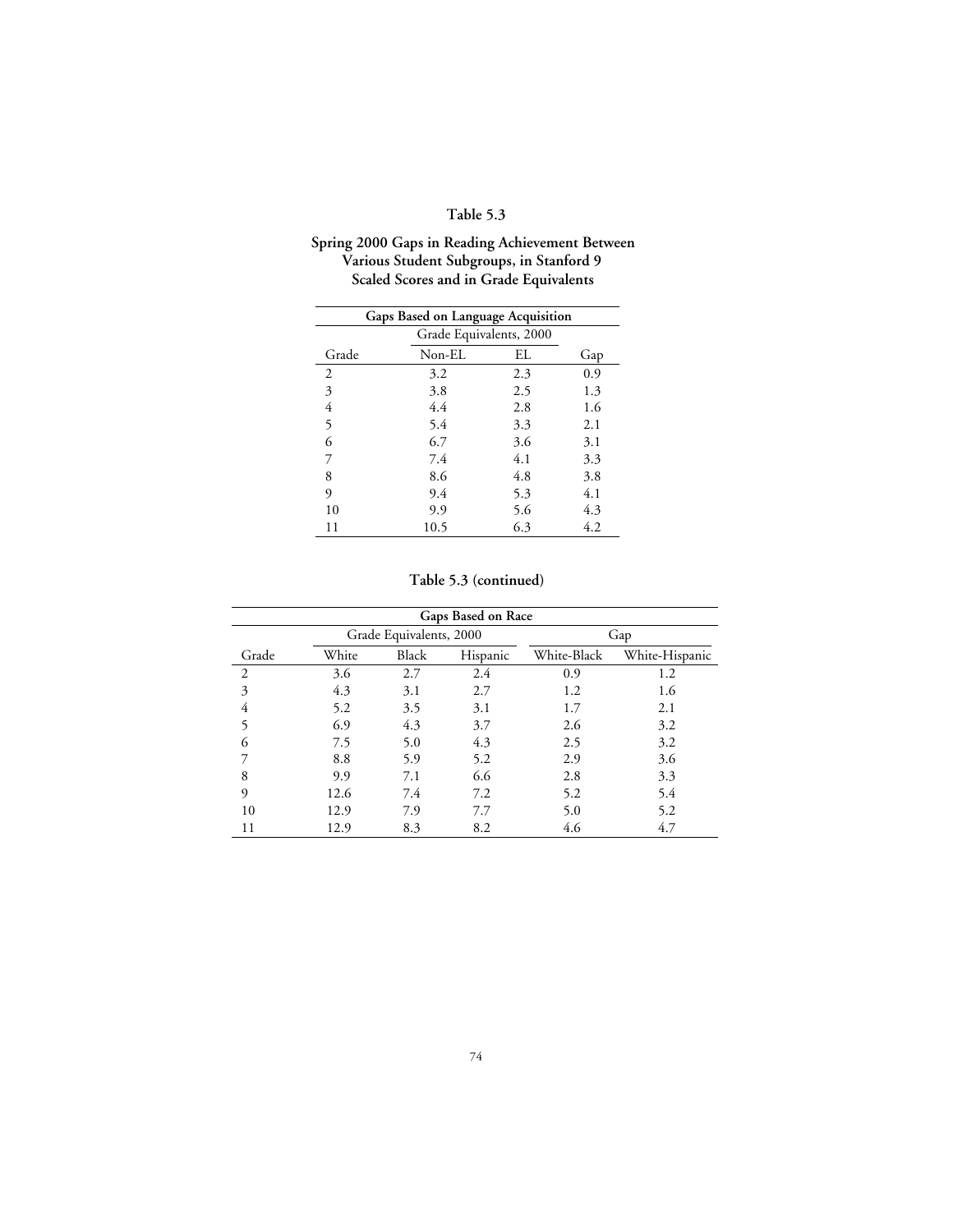# **Table 5.3**

### **Spring 2000 Gaps in Reading Achievement Between Various Student Subgroups, in Stanford 9 Scaled Scores and in Grade Equivalents**

|       | Gaps Based on Language Acquisition |     |     |
|-------|------------------------------------|-----|-----|
|       | Grade Equivalents, 2000            |     |     |
| Grade | Non-EL                             | EL  | Gap |
| 2     | 3.2                                | 2.3 | 0.9 |
| 3     | 3.8                                | 2.5 | 1.3 |
| 4     | 4.4                                | 2.8 | 1.6 |
| 5     | 5.4                                | 3.3 | 2.1 |
| 6     | 6.7                                | 3.6 | 3.1 |
| 7     | 7.4                                | 4.1 | 3.3 |
| 8     | 8.6                                | 4.8 | 3.8 |
| 9     | 9.4                                | 5.3 | 4.1 |
| 10    | 9.9                                | 5.6 | 4.3 |
| 11    | 10.5                               | 6.3 | 4.2 |

## **Table 5.3 (continued)**

|                |       |                         | Gaps Based on Race |             |                |
|----------------|-------|-------------------------|--------------------|-------------|----------------|
|                |       | Grade Equivalents, 2000 |                    |             | Gap            |
| Grade          | White | Black                   | Hispanic           | White-Black | White-Hispanic |
| $\overline{2}$ | 3.6   | 2.7                     | 2.4                | 0.9         | 1.2            |
| 3              | 4.3   | 3.1                     | 2.7                | 1.2         | 1.6            |
| 4              | 5.2   | 3.5                     | 3.1                | 1.7         | 2.1            |
| 5              | 6.9   | 4.3                     | 3.7                | 2.6         | 3.2            |
| 6              | 7.5   | 5.0                     | 4.3                | 2.5         | 3.2            |
|                | 8.8   | 5.9                     | 5.2                | 2.9         | 3.6            |
| 8              | 9.9   | 7.1                     | 6.6                | 2.8         | 3.3            |
| 9              | 12.6  | 7.4                     | 7.2                | 5.2         | 5.4            |
| 10             | 12.9  | 7.9                     | 7.7                | 5.0         | 5.2            |
| 11             | 12.9  | 8.3                     | 8.2                | 4.6         | 4.7            |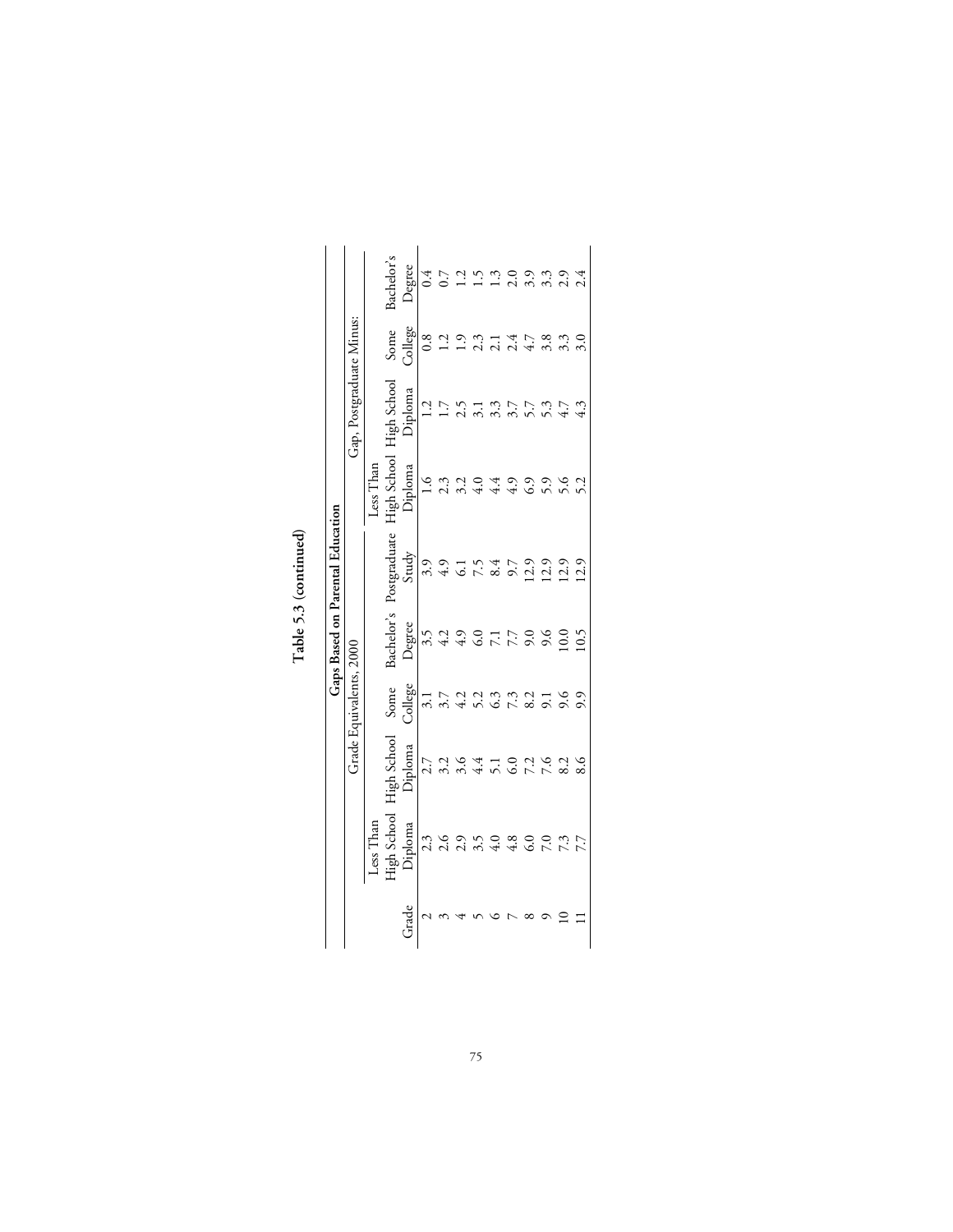|       |                          |                                  |                                                  |                           | Gaps Based on Parental Education |                                      |                          |                            |                                                          |
|-------|--------------------------|----------------------------------|--------------------------------------------------|---------------------------|----------------------------------|--------------------------------------|--------------------------|----------------------------|----------------------------------------------------------|
|       |                          |                                  | Grade Equivalents, 2000                          |                           |                                  |                                      | Gap, Postgraduate Minus: |                            |                                                          |
|       | Less Than                |                                  |                                                  |                           |                                  | Less Than                            |                          |                            |                                                          |
|       | <b>High School</b>       | High School                      | Some                                             | Bachelor's                | Postgraduate                     | ligh School                          | High School<br>Diploma   | Some                       | 3achelor's                                               |
| Grade | Diploma                  | Diploma                          | College                                          | Degree                    | Study                            | Diploma                              |                          | College                    | Degree                                                   |
|       |                          |                                  |                                                  |                           |                                  | $\frac{0}{1}$                        | 1.2                      | 0.8                        | 0.4                                                      |
|       |                          |                                  |                                                  |                           |                                  |                                      | 1.7                      | 1.2                        |                                                          |
|       |                          |                                  |                                                  |                           |                                  |                                      |                          | 1.9                        |                                                          |
|       | さんのうの800ミング しょうしょう こうしょう | フュ いちょうのこんこん sest context いんこうせい | 11 7 9 9 9 9 9 9 9 9 9<br>11 7 9 9 9 9 9 9 9 9 9 | 22222222222<br>2222222222 |                                  | 22 24 29 29 29 2<br>22 24 25 26 27 2 |                          | $3.1478800$<br>$3.1478000$ | $0.72$<br>$0.23$<br>$0.33$<br>$0.34$<br>$0.44$<br>$0.44$ |
|       |                          |                                  |                                                  |                           |                                  |                                      |                          |                            |                                                          |
|       |                          |                                  |                                                  |                           |                                  |                                      |                          |                            |                                                          |
|       |                          |                                  |                                                  |                           |                                  |                                      |                          |                            |                                                          |
|       |                          |                                  |                                                  |                           |                                  |                                      |                          |                            |                                                          |
|       |                          |                                  |                                                  |                           |                                  |                                      |                          |                            |                                                          |
|       |                          |                                  |                                                  |                           |                                  |                                      |                          |                            |                                                          |

Table 5.3 (continued) **Table 5.3 (continued)**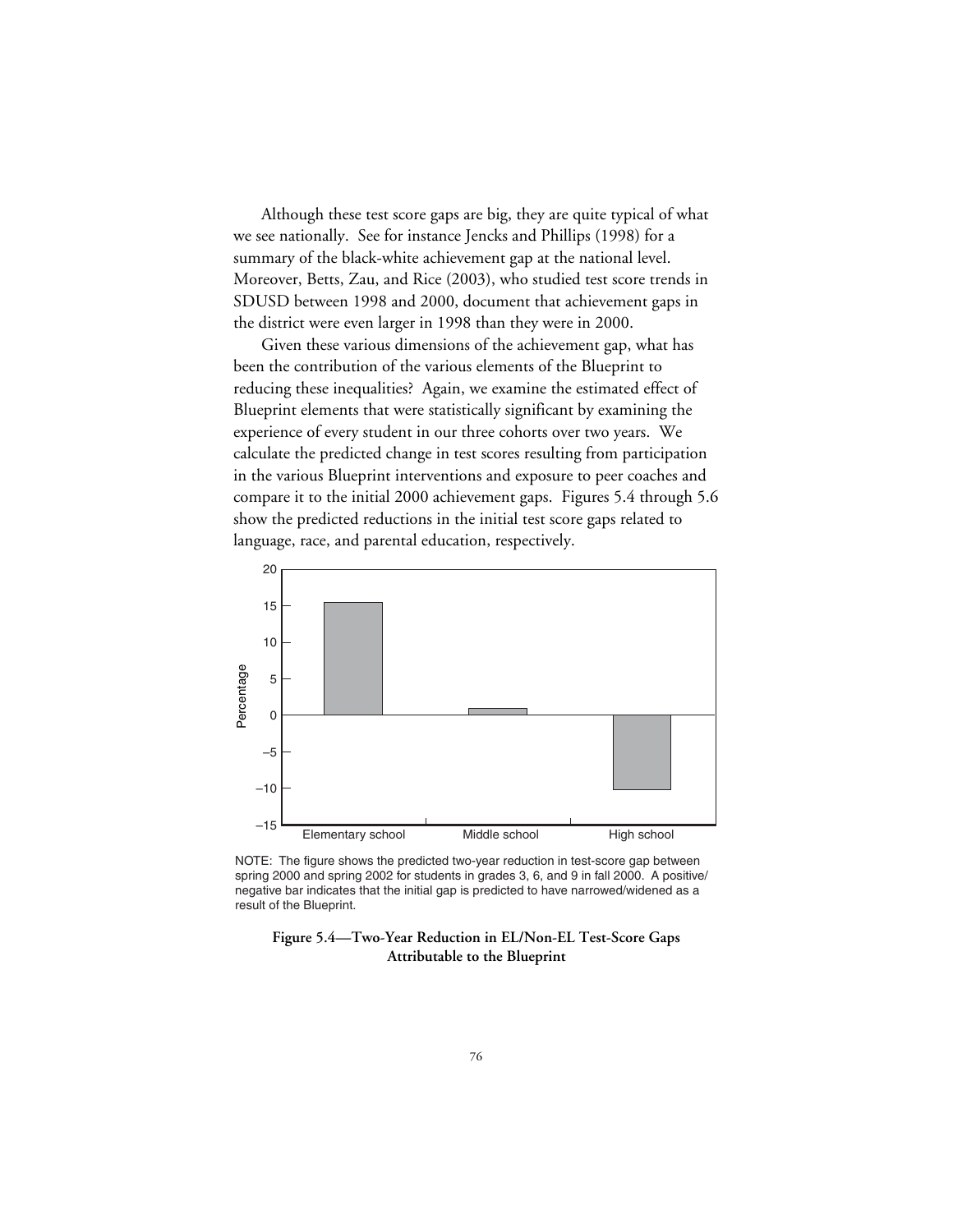Although these test score gaps are big, they are quite typical of what we see nationally. See for instance Jencks and Phillips (1998) for a summary of the black-white achievement gap at the national level. Moreover, Betts, Zau, and Rice (2003), who studied test score trends in SDUSD between 1998 and 2000, document that achievement gaps in the district were even larger in 1998 than they were in 2000.

Given these various dimensions of the achievement gap, what has been the contribution of the various elements of the Blueprint to reducing these inequalities? Again, we examine the estimated effect of Blueprint elements that were statistically significant by examining the experience of every student in our three cohorts over two years. We calculate the predicted change in test scores resulting from participation in the various Blueprint interventions and exposure to peer coaches and compare it to the initial 2000 achievement gaps. Figures 5.4 through 5.6 show the predicted reductions in the initial test score gaps related to language, race, and parental education, respectively.



NOTE: The figure shows the predicted two-year reduction in test-score gap between spring 2000 and spring 2002 for students in grades 3, 6, and 9 in fall 2000. A positive/ negative bar indicates that the initial gap is predicted to have narrowed/widened as a result of the Blueprint.

#### **Figure 5.4—Two-Year Reduction in EL/Non-EL Test-Score Gaps Attributable to the Blueprint**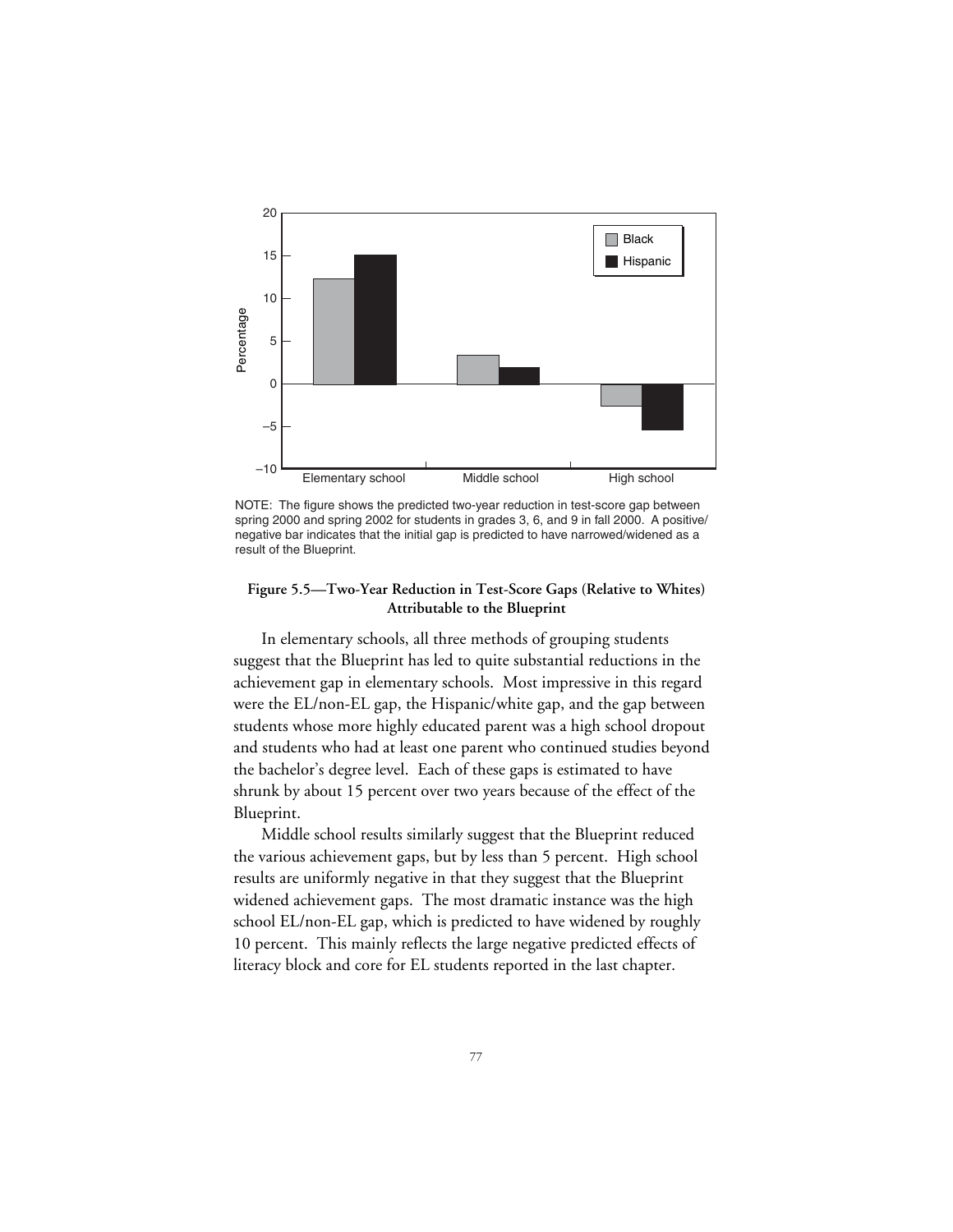

NOTE: The figure shows the predicted two-year reduction in test-score gap between spring 2000 and spring 2002 for students in grades 3, 6, and 9 in fall 2000. A positive/ negative bar indicates that the initial gap is predicted to have narrowed/widened as a result of the Blueprint.

#### **Figure 5.5—Two-Year Reduction in Test-Score Gaps (Relative to Whites) Attributable to the Blueprint**

In elementary schools, all three methods of grouping students suggest that the Blueprint has led to quite substantial reductions in the achievement gap in elementary schools. Most impressive in this regard were the EL/non-EL gap, the Hispanic/white gap, and the gap between students whose more highly educated parent was a high school dropout and students who had at least one parent who continued studies beyond the bachelor's degree level. Each of these gaps is estimated to have shrunk by about 15 percent over two years because of the effect of the Blueprint.

Middle school results similarly suggest that the Blueprint reduced the various achievement gaps, but by less than 5 percent. High school results are uniformly negative in that they suggest that the Blueprint widened achievement gaps. The most dramatic instance was the high school EL/non-EL gap, which is predicted to have widened by roughly 10 percent. This mainly reflects the large negative predicted effects of literacy block and core for EL students reported in the last chapter.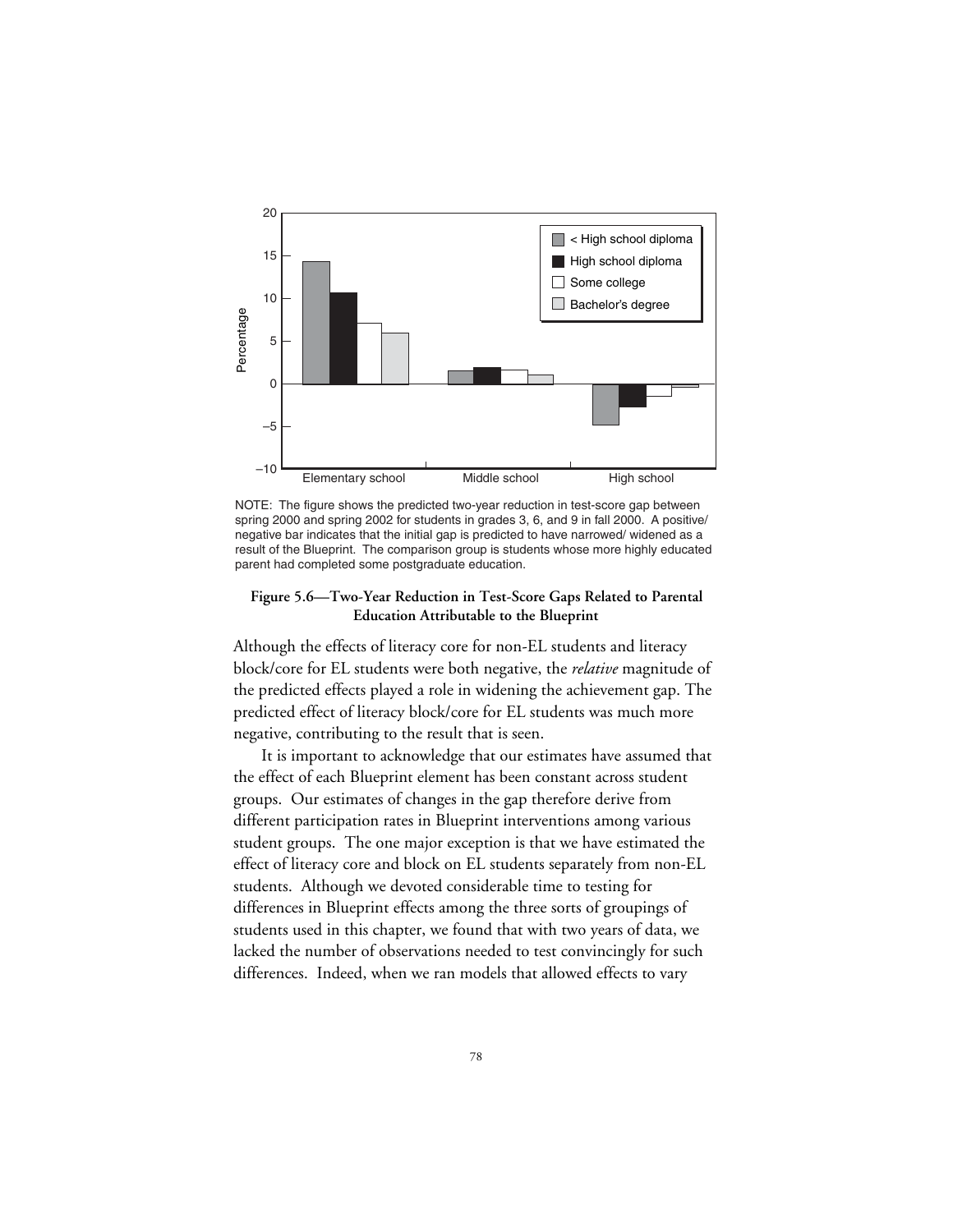

NOTE: The figure shows the predicted two-year reduction in test-score gap between spring 2000 and spring 2002 for students in grades 3, 6, and 9 in fall 2000. A positive/ negative bar indicates that the initial gap is predicted to have narrowed/ widened as a result of the Blueprint. The comparison group is students whose more highly educated parent had completed some postgraduate education.

#### **Figure 5.6—Two-Year Reduction in Test-Score Gaps Related to Parental Education Attributable to the Blueprint**

Although the effects of literacy core for non-EL students and literacy block/core for EL students were both negative, the *relative* magnitude of the predicted effects played a role in widening the achievement gap. The predicted effect of literacy block/core for EL students was much more negative, contributing to the result that is seen.

It is important to acknowledge that our estimates have assumed that the effect of each Blueprint element has been constant across student groups. Our estimates of changes in the gap therefore derive from different participation rates in Blueprint interventions among various student groups. The one major exception is that we have estimated the effect of literacy core and block on EL students separately from non-EL students. Although we devoted considerable time to testing for differences in Blueprint effects among the three sorts of groupings of students used in this chapter, we found that with two years of data, we lacked the number of observations needed to test convincingly for such differences. Indeed, when we ran models that allowed effects to vary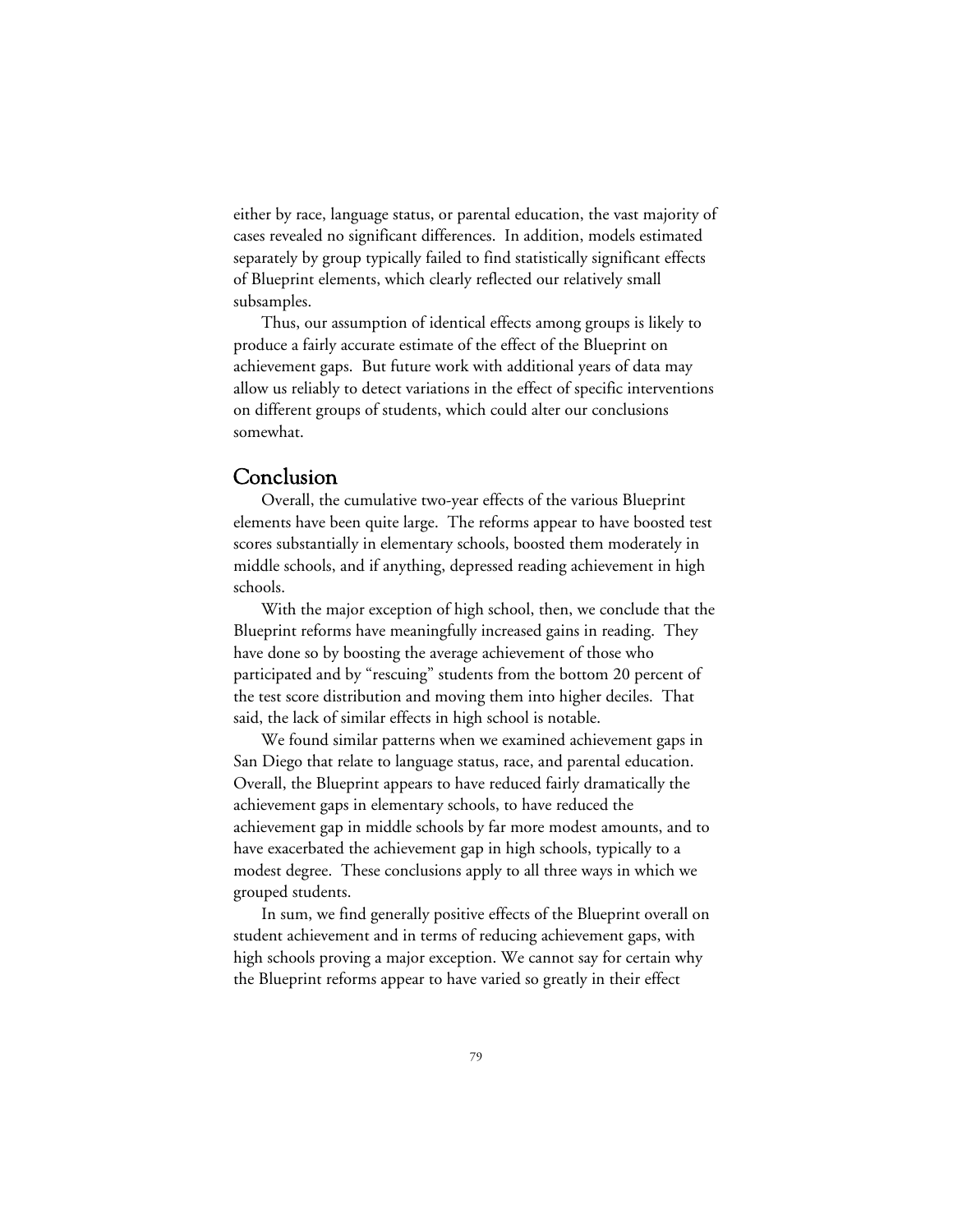either by race, language status, or parental education, the vast majority of cases revealed no significant differences. In addition, models estimated separately by group typically failed to find statistically significant effects of Blueprint elements, which clearly reflected our relatively small subsamples.

Thus, our assumption of identical effects among groups is likely to produce a fairly accurate estimate of the effect of the Blueprint on achievement gaps. But future work with additional years of data may allow us reliably to detect variations in the effect of specific interventions on different groups of students, which could alter our conclusions somewhat.

## Conclusion

Overall, the cumulative two-year effects of the various Blueprint elements have been quite large. The reforms appear to have boosted test scores substantially in elementary schools, boosted them moderately in middle schools, and if anything, depressed reading achievement in high schools.

With the major exception of high school, then, we conclude that the Blueprint reforms have meaningfully increased gains in reading. They have done so by boosting the average achievement of those who participated and by "rescuing" students from the bottom 20 percent of the test score distribution and moving them into higher deciles. That said, the lack of similar effects in high school is notable.

We found similar patterns when we examined achievement gaps in San Diego that relate to language status, race, and parental education. Overall, the Blueprint appears to have reduced fairly dramatically the achievement gaps in elementary schools, to have reduced the achievement gap in middle schools by far more modest amounts, and to have exacerbated the achievement gap in high schools, typically to a modest degree. These conclusions apply to all three ways in which we grouped students.

In sum, we find generally positive effects of the Blueprint overall on student achievement and in terms of reducing achievement gaps, with high schools proving a major exception. We cannot say for certain why the Blueprint reforms appear to have varied so greatly in their effect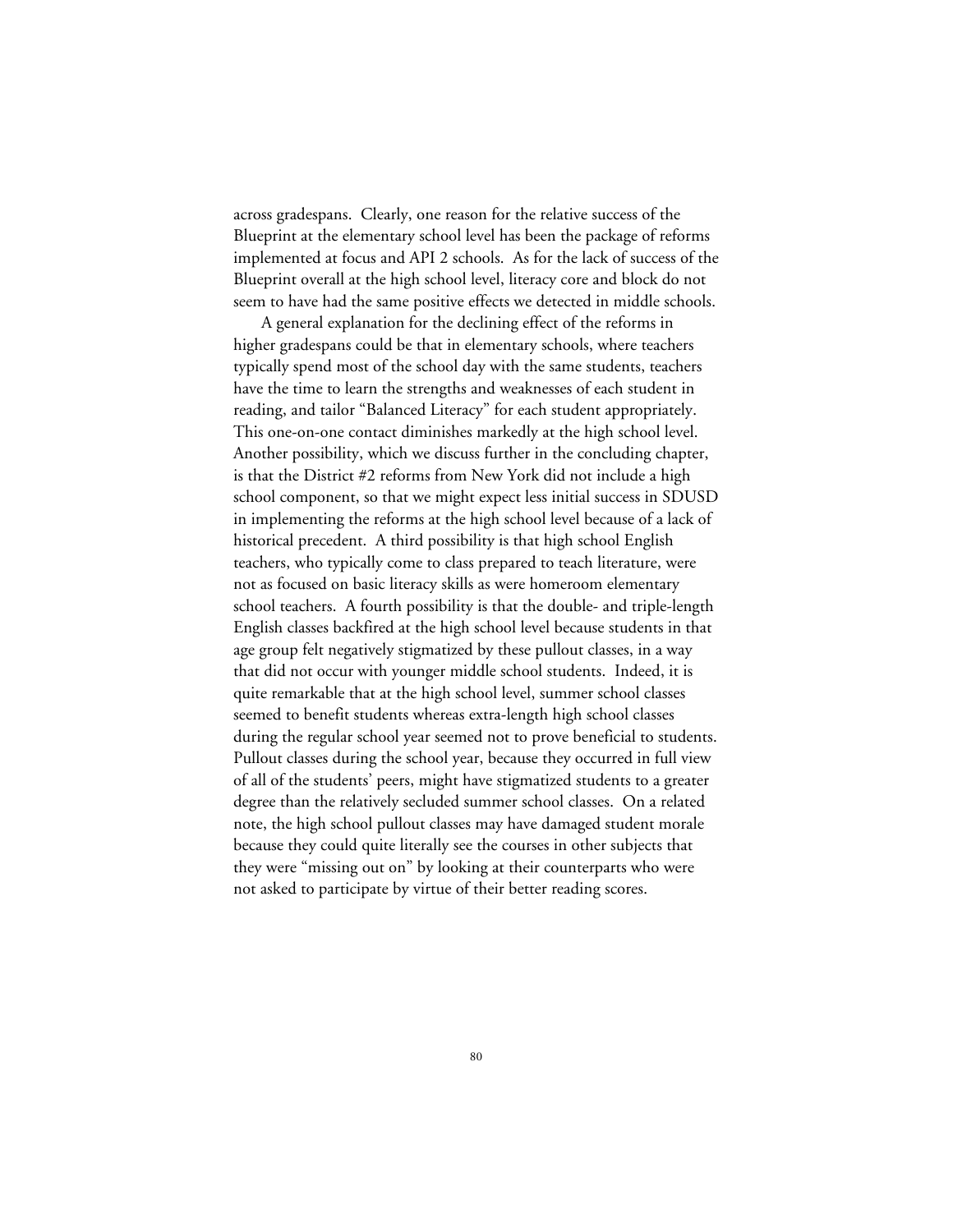across gradespans. Clearly, one reason for the relative success of the Blueprint at the elementary school level has been the package of reforms implemented at focus and API 2 schools. As for the lack of success of the Blueprint overall at the high school level, literacy core and block do not seem to have had the same positive effects we detected in middle schools.

A general explanation for the declining effect of the reforms in higher gradespans could be that in elementary schools, where teachers typically spend most of the school day with the same students, teachers have the time to learn the strengths and weaknesses of each student in reading, and tailor "Balanced Literacy" for each student appropriately. This one-on-one contact diminishes markedly at the high school level. Another possibility, which we discuss further in the concluding chapter, is that the District #2 reforms from New York did not include a high school component, so that we might expect less initial success in SDUSD in implementing the reforms at the high school level because of a lack of historical precedent. A third possibility is that high school English teachers, who typically come to class prepared to teach literature, were not as focused on basic literacy skills as were homeroom elementary school teachers. A fourth possibility is that the double- and triple-length English classes backfired at the high school level because students in that age group felt negatively stigmatized by these pullout classes, in a way that did not occur with younger middle school students. Indeed, it is quite remarkable that at the high school level, summer school classes seemed to benefit students whereas extra-length high school classes during the regular school year seemed not to prove beneficial to students. Pullout classes during the school year, because they occurred in full view of all of the students' peers, might have stigmatized students to a greater degree than the relatively secluded summer school classes. On a related note, the high school pullout classes may have damaged student morale because they could quite literally see the courses in other subjects that they were "missing out on" by looking at their counterparts who were not asked to participate by virtue of their better reading scores.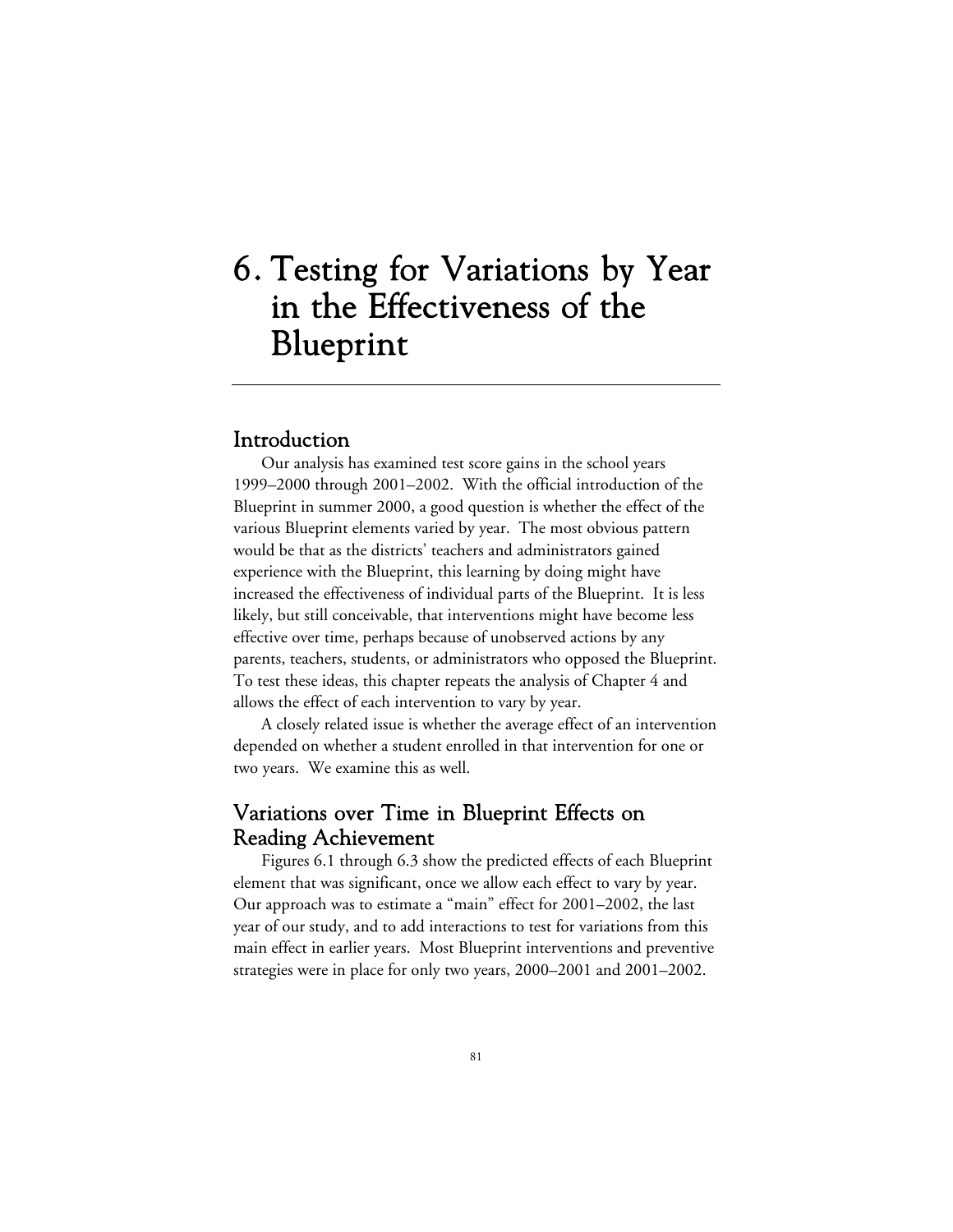# 6. Testing for Variations by Year in the Effectiveness of the Blueprint

## Introduction

Our analysis has examined test score gains in the school years 1999–2000 through 2001–2002. With the official introduction of the Blueprint in summer 2000, a good question is whether the effect of the various Blueprint elements varied by year. The most obvious pattern would be that as the districts' teachers and administrators gained experience with the Blueprint, this learning by doing might have increased the effectiveness of individual parts of the Blueprint. It is less likely, but still conceivable, that interventions might have become less effective over time, perhaps because of unobserved actions by any parents, teachers, students, or administrators who opposed the Blueprint. To test these ideas, this chapter repeats the analysis of Chapter 4 and allows the effect of each intervention to vary by year.

A closely related issue is whether the average effect of an intervention depended on whether a student enrolled in that intervention for one or two years. We examine this as well.

# Variations over Time in Blueprint Effects on Reading Achievement

Figures 6.1 through 6.3 show the predicted effects of each Blueprint element that was significant, once we allow each effect to vary by year. Our approach was to estimate a "main" effect for 2001–2002, the last year of our study, and to add interactions to test for variations from this main effect in earlier years. Most Blueprint interventions and preventive strategies were in place for only two years, 2000–2001 and 2001–2002.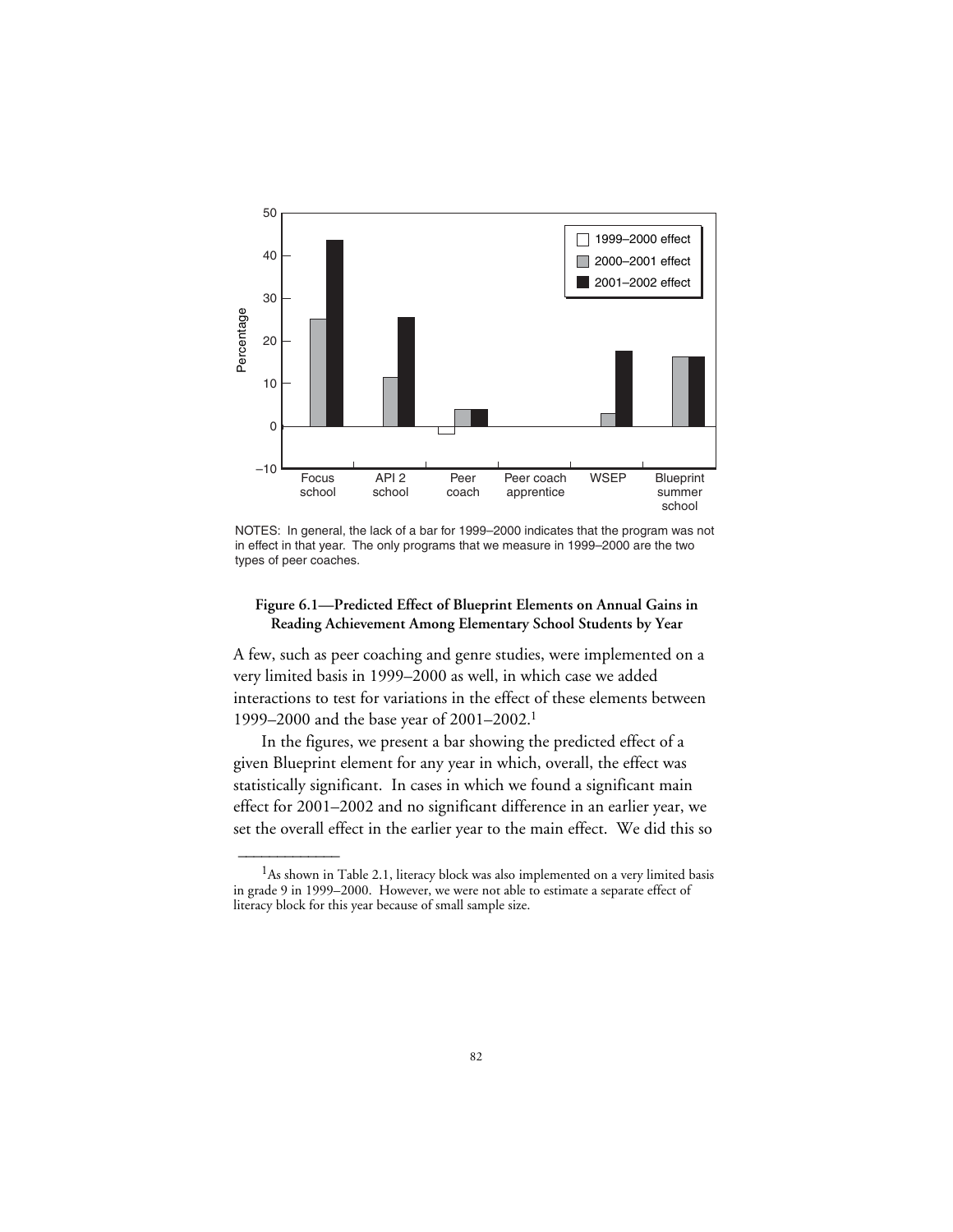

NOTES: In general, the lack of a bar for 1999–2000 indicates that the program was not in effect in that year. The only programs that we measure in 1999–2000 are the two types of peer coaches.

#### **Figure 6.1—Predicted Effect of Blueprint Elements on Annual Gains in Reading Achievement Among Elementary School Students by Year**

A few, such as peer coaching and genre studies, were implemented on a very limited basis in 1999–2000 as well, in which case we added interactions to test for variations in the effect of these elements between 1999–2000 and the base year of 2001–2002.1

In the figures, we present a bar showing the predicted effect of a given Blueprint element for any year in which, overall, the effect was statistically significant. In cases in which we found a significant main effect for 2001–2002 and no significant difference in an earlier year, we set the overall effect in the earlier year to the main effect. We did this so

 $\overline{\phantom{a}}$ 

<sup>&</sup>lt;sup>1</sup>As shown in Table 2.1, literacy block was also implemented on a very limited basis in grade 9 in 1999–2000. However, we were not able to estimate a separate effect of literacy block for this year because of small sample size.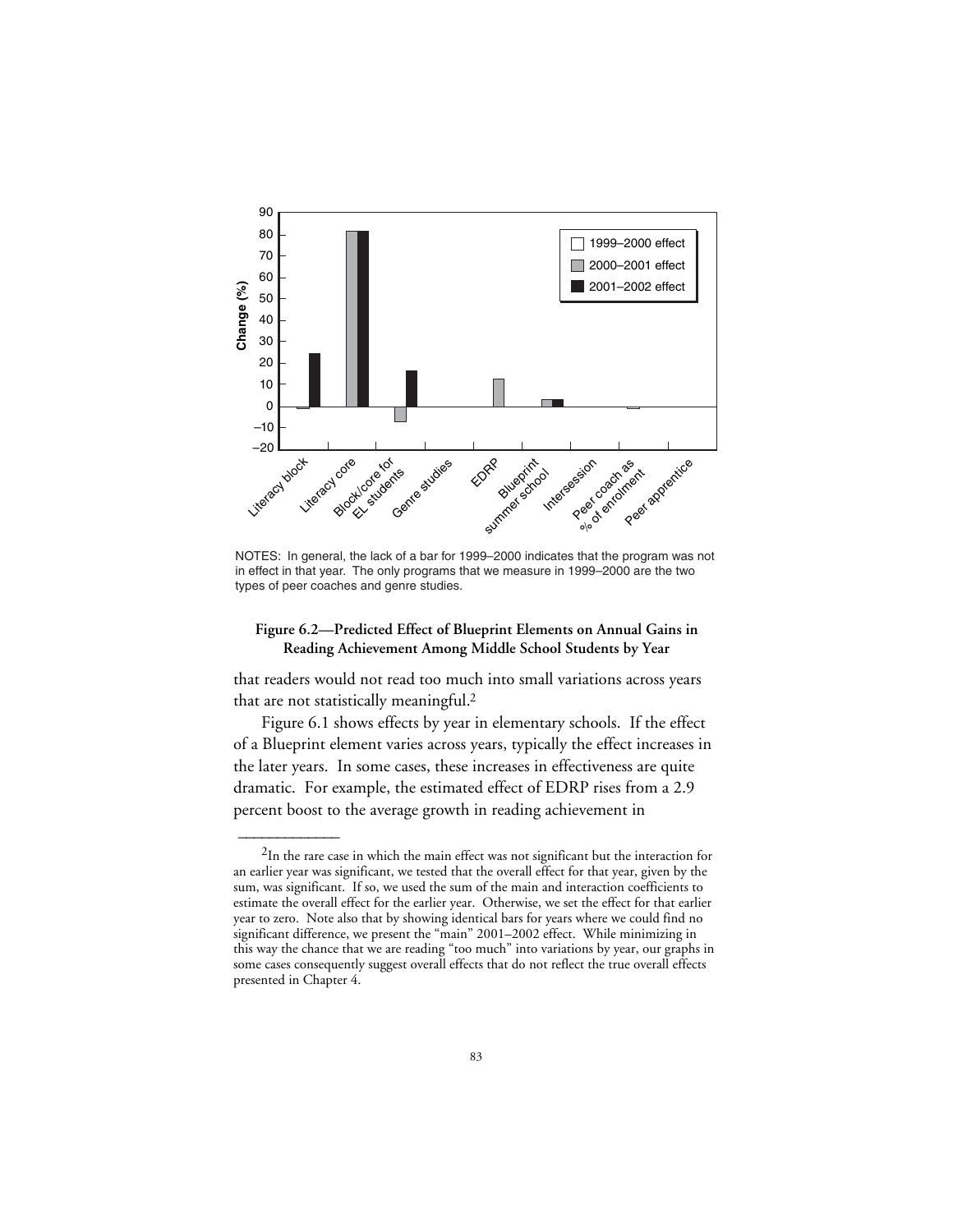

NOTES: In general, the lack of a bar for 1999–2000 indicates that the program was not in effect in that year. The only programs that we measure in 1999–2000 are the two types of peer coaches and genre studies.

#### **Figure 6.2—Predicted Effect of Blueprint Elements on Annual Gains in Reading Achievement Among Middle School Students by Year**

that readers would not read too much into small variations across years that are not statistically meaningful.2

Figure 6.1 shows effects by year in elementary schools. If the effect of a Blueprint element varies across years, typically the effect increases in the later years. In some cases, these increases in effectiveness are quite dramatic. For example, the estimated effect of EDRP rises from a 2.9 percent boost to the average growth in reading achievement in

 $\overline{\phantom{a}}$ 

<sup>&</sup>lt;sup>2</sup>In the rare case in which the main effect was not significant but the interaction for an earlier year was significant, we tested that the overall effect for that year, given by the sum, was significant. If so, we used the sum of the main and interaction coefficients to estimate the overall effect for the earlier year. Otherwise, we set the effect for that earlier year to zero. Note also that by showing identical bars for years where we could find no significant difference, we present the "main" 2001–2002 effect. While minimizing in this way the chance that we are reading "too much" into variations by year, our graphs in some cases consequently suggest overall effects that do not reflect the true overall effects presented in Chapter 4.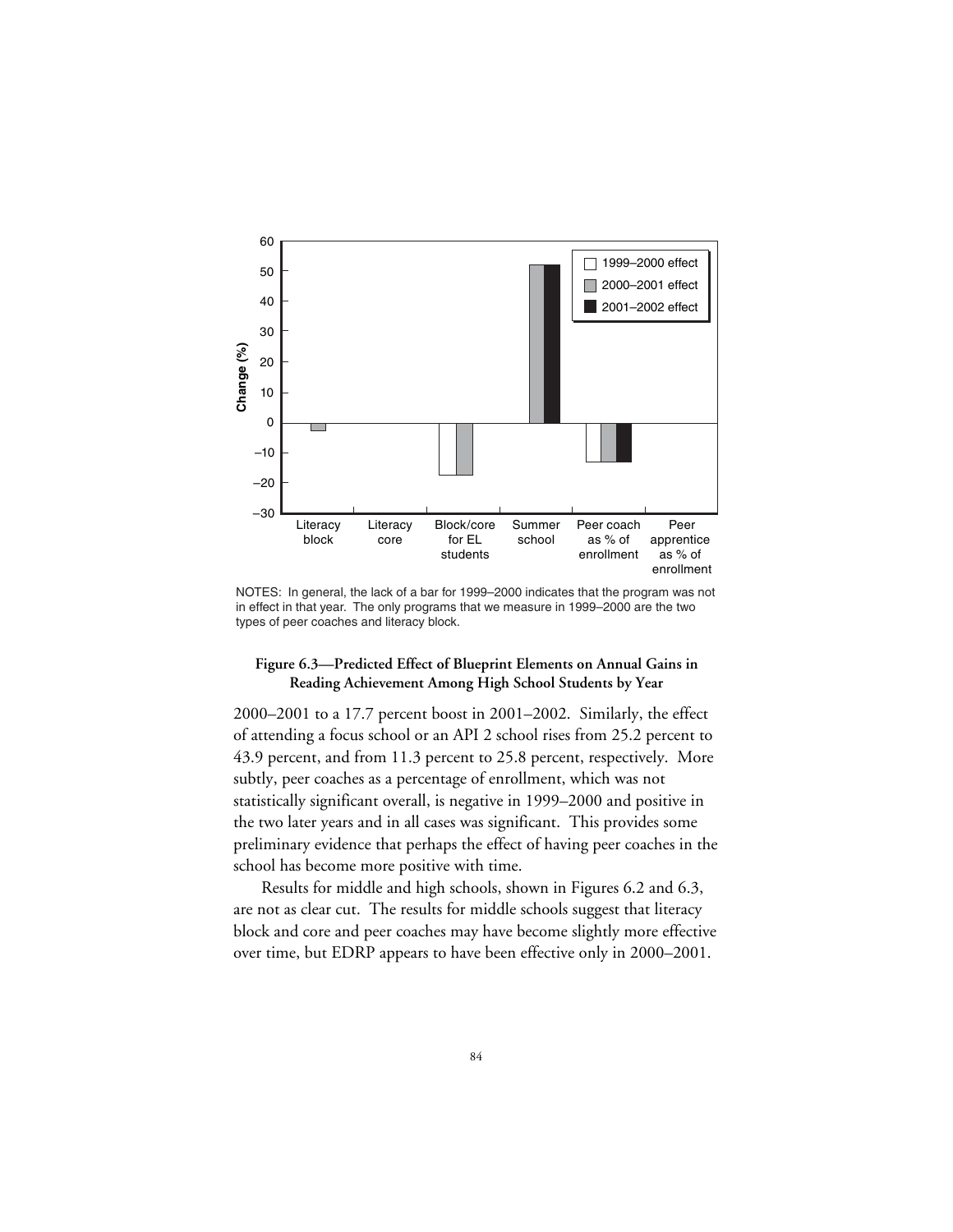

NOTES: In general, the lack of a bar for 1999–2000 indicates that the program was not in effect in that year. The only programs that we measure in 1999–2000 are the two types of peer coaches and literacy block.

#### **Figure 6.3—Predicted Effect of Blueprint Elements on Annual Gains in Reading Achievement Among High School Students by Year**

2000–2001 to a 17.7 percent boost in 2001–2002. Similarly, the effect of attending a focus school or an API 2 school rises from 25.2 percent to 43.9 percent, and from 11.3 percent to 25.8 percent, respectively. More subtly, peer coaches as a percentage of enrollment, which was not statistically significant overall, is negative in 1999–2000 and positive in the two later years and in all cases was significant. This provides some preliminary evidence that perhaps the effect of having peer coaches in the school has become more positive with time.

Results for middle and high schools, shown in Figures 6.2 and 6.3, are not as clear cut. The results for middle schools suggest that literacy block and core and peer coaches may have become slightly more effective over time, but EDRP appears to have been effective only in 2000–2001.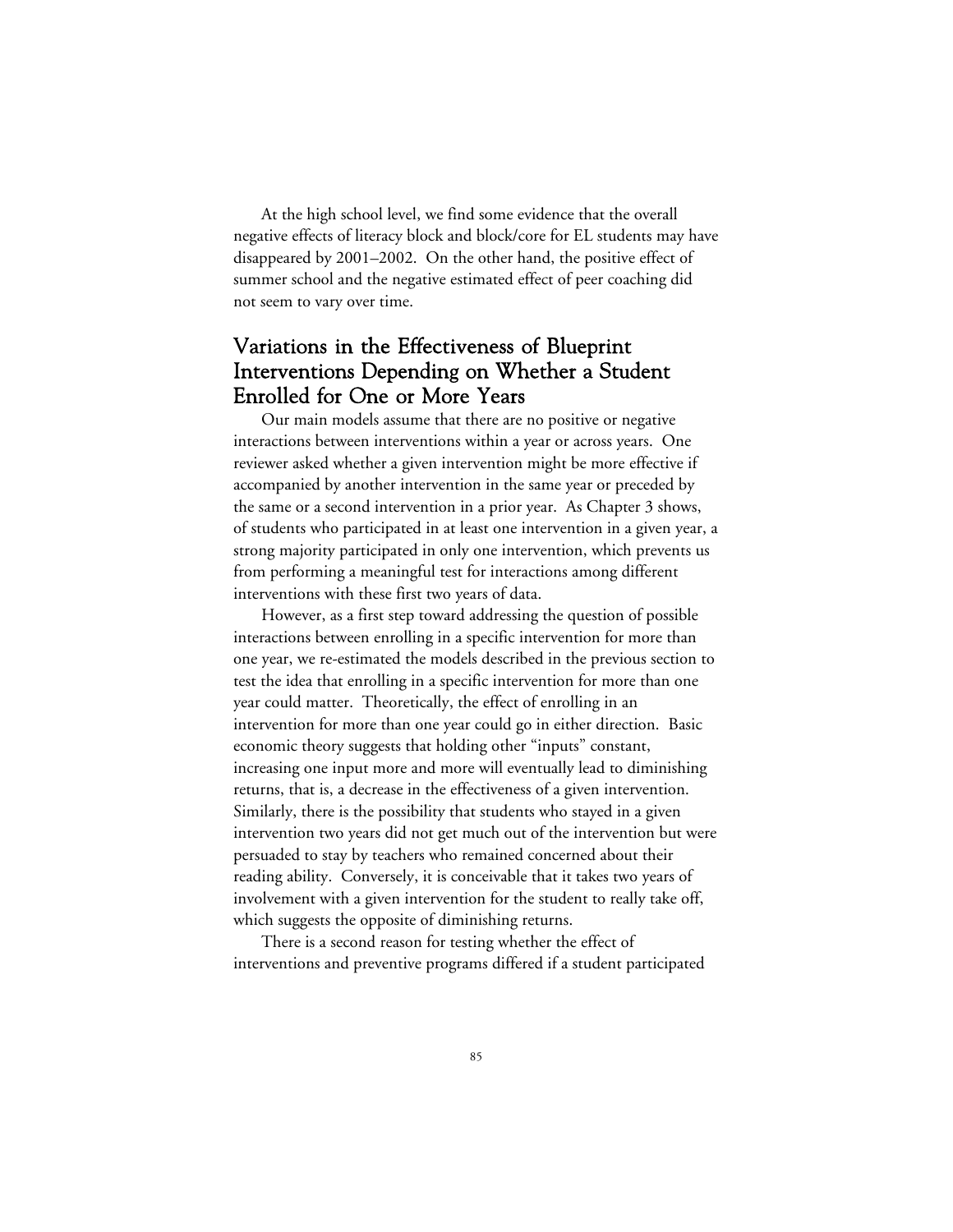At the high school level, we find some evidence that the overall negative effects of literacy block and block/core for EL students may have disappeared by 2001–2002. On the other hand, the positive effect of summer school and the negative estimated effect of peer coaching did not seem to vary over time.

# Variations in the Effectiveness of Blueprint Interventions Depending on Whether a Student Enrolled for One or More Years

Our main models assume that there are no positive or negative interactions between interventions within a year or across years. One reviewer asked whether a given intervention might be more effective if accompanied by another intervention in the same year or preceded by the same or a second intervention in a prior year. As Chapter 3 shows, of students who participated in at least one intervention in a given year, a strong majority participated in only one intervention, which prevents us from performing a meaningful test for interactions among different interventions with these first two years of data.

However, as a first step toward addressing the question of possible interactions between enrolling in a specific intervention for more than one year, we re-estimated the models described in the previous section to test the idea that enrolling in a specific intervention for more than one year could matter. Theoretically, the effect of enrolling in an intervention for more than one year could go in either direction. Basic economic theory suggests that holding other "inputs" constant, increasing one input more and more will eventually lead to diminishing returns, that is, a decrease in the effectiveness of a given intervention. Similarly, there is the possibility that students who stayed in a given intervention two years did not get much out of the intervention but were persuaded to stay by teachers who remained concerned about their reading ability. Conversely, it is conceivable that it takes two years of involvement with a given intervention for the student to really take off, which suggests the opposite of diminishing returns.

There is a second reason for testing whether the effect of interventions and preventive programs differed if a student participated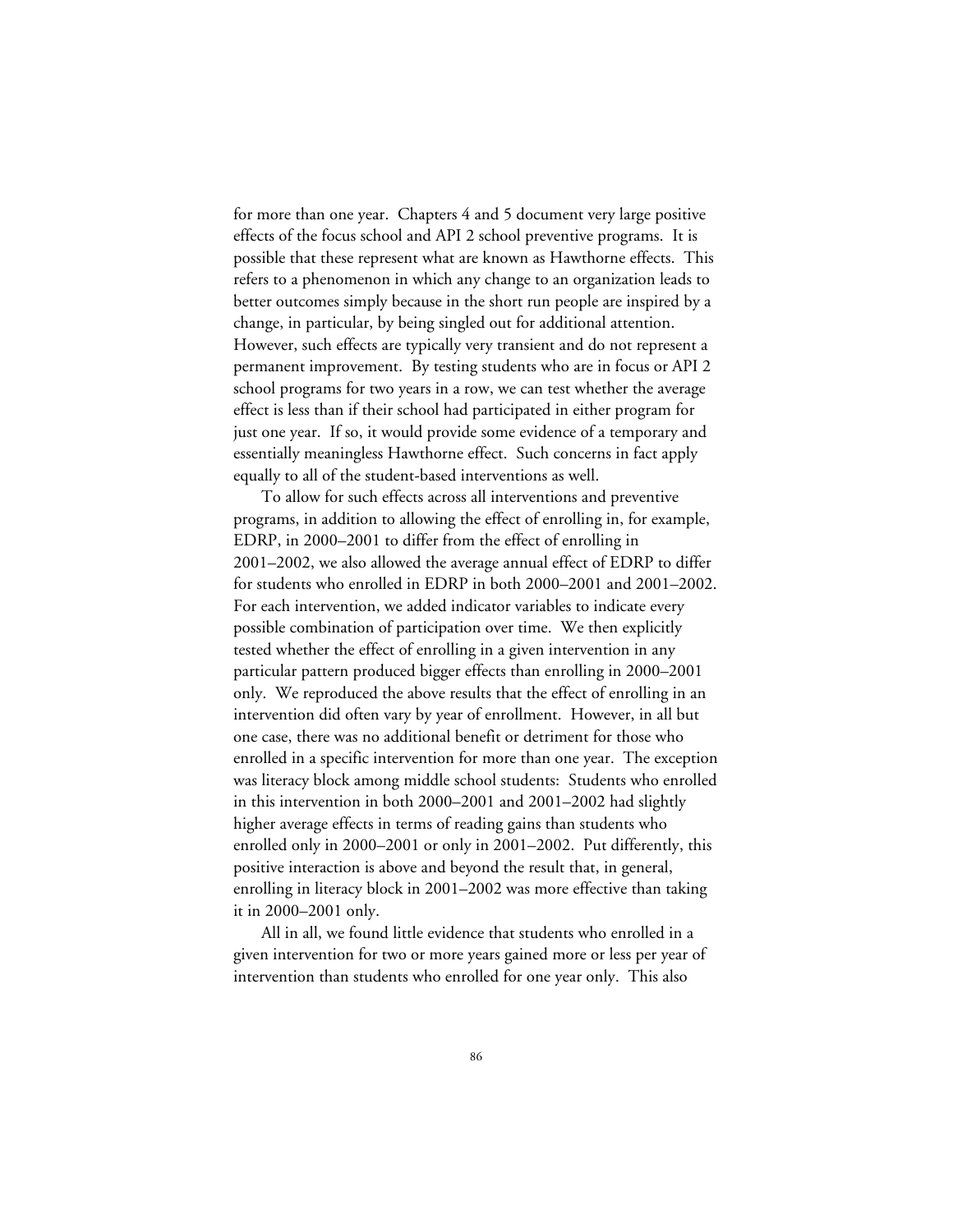for more than one year. Chapters 4 and 5 document very large positive effects of the focus school and API 2 school preventive programs. It is possible that these represent what are known as Hawthorne effects. This refers to a phenomenon in which any change to an organization leads to better outcomes simply because in the short run people are inspired by a change, in particular, by being singled out for additional attention. However, such effects are typically very transient and do not represent a permanent improvement. By testing students who are in focus or API 2 school programs for two years in a row, we can test whether the average effect is less than if their school had participated in either program for just one year. If so, it would provide some evidence of a temporary and essentially meaningless Hawthorne effect. Such concerns in fact apply equally to all of the student-based interventions as well.

To allow for such effects across all interventions and preventive programs, in addition to allowing the effect of enrolling in, for example, EDRP, in 2000–2001 to differ from the effect of enrolling in 2001–2002, we also allowed the average annual effect of EDRP to differ for students who enrolled in EDRP in both 2000–2001 and 2001–2002. For each intervention, we added indicator variables to indicate every possible combination of participation over time. We then explicitly tested whether the effect of enrolling in a given intervention in any particular pattern produced bigger effects than enrolling in 2000–2001 only. We reproduced the above results that the effect of enrolling in an intervention did often vary by year of enrollment. However, in all but one case, there was no additional benefit or detriment for those who enrolled in a specific intervention for more than one year. The exception was literacy block among middle school students: Students who enrolled in this intervention in both 2000–2001 and 2001–2002 had slightly higher average effects in terms of reading gains than students who enrolled only in 2000–2001 or only in 2001–2002. Put differently, this positive interaction is above and beyond the result that, in general, enrolling in literacy block in 2001–2002 was more effective than taking it in 2000–2001 only.

All in all, we found little evidence that students who enrolled in a given intervention for two or more years gained more or less per year of intervention than students who enrolled for one year only. This also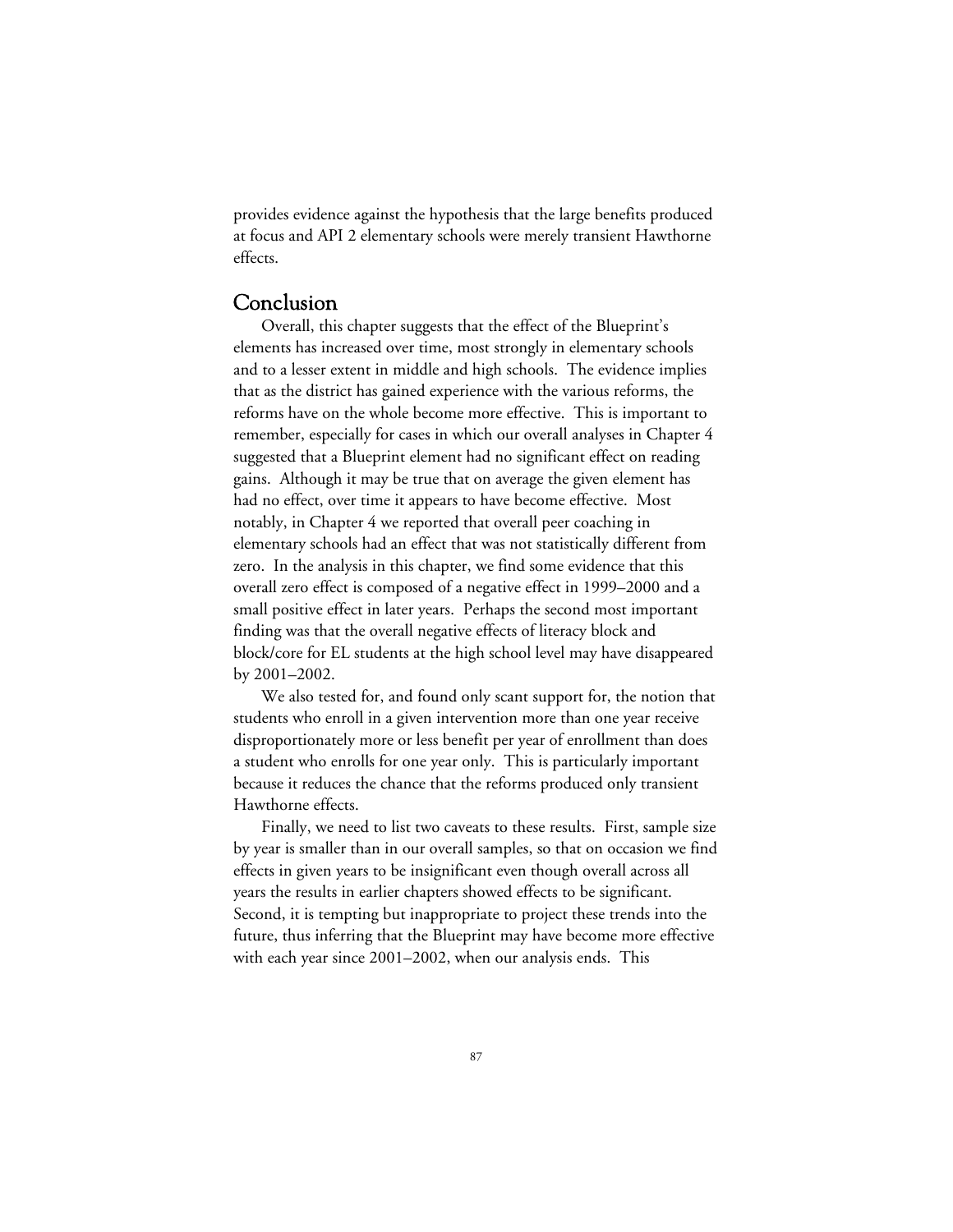provides evidence against the hypothesis that the large benefits produced at focus and API 2 elementary schools were merely transient Hawthorne effects.

# Conclusion

Overall, this chapter suggests that the effect of the Blueprint's elements has increased over time, most strongly in elementary schools and to a lesser extent in middle and high schools. The evidence implies that as the district has gained experience with the various reforms, the reforms have on the whole become more effective. This is important to remember, especially for cases in which our overall analyses in Chapter 4 suggested that a Blueprint element had no significant effect on reading gains. Although it may be true that on average the given element has had no effect, over time it appears to have become effective. Most notably, in Chapter 4 we reported that overall peer coaching in elementary schools had an effect that was not statistically different from zero. In the analysis in this chapter, we find some evidence that this overall zero effect is composed of a negative effect in 1999–2000 and a small positive effect in later years. Perhaps the second most important finding was that the overall negative effects of literacy block and block/core for EL students at the high school level may have disappeared by 2001–2002.

We also tested for, and found only scant support for, the notion that students who enroll in a given intervention more than one year receive disproportionately more or less benefit per year of enrollment than does a student who enrolls for one year only. This is particularly important because it reduces the chance that the reforms produced only transient Hawthorne effects.

Finally, we need to list two caveats to these results. First, sample size by year is smaller than in our overall samples, so that on occasion we find effects in given years to be insignificant even though overall across all years the results in earlier chapters showed effects to be significant. Second, it is tempting but inappropriate to project these trends into the future, thus inferring that the Blueprint may have become more effective with each year since 2001–2002, when our analysis ends. This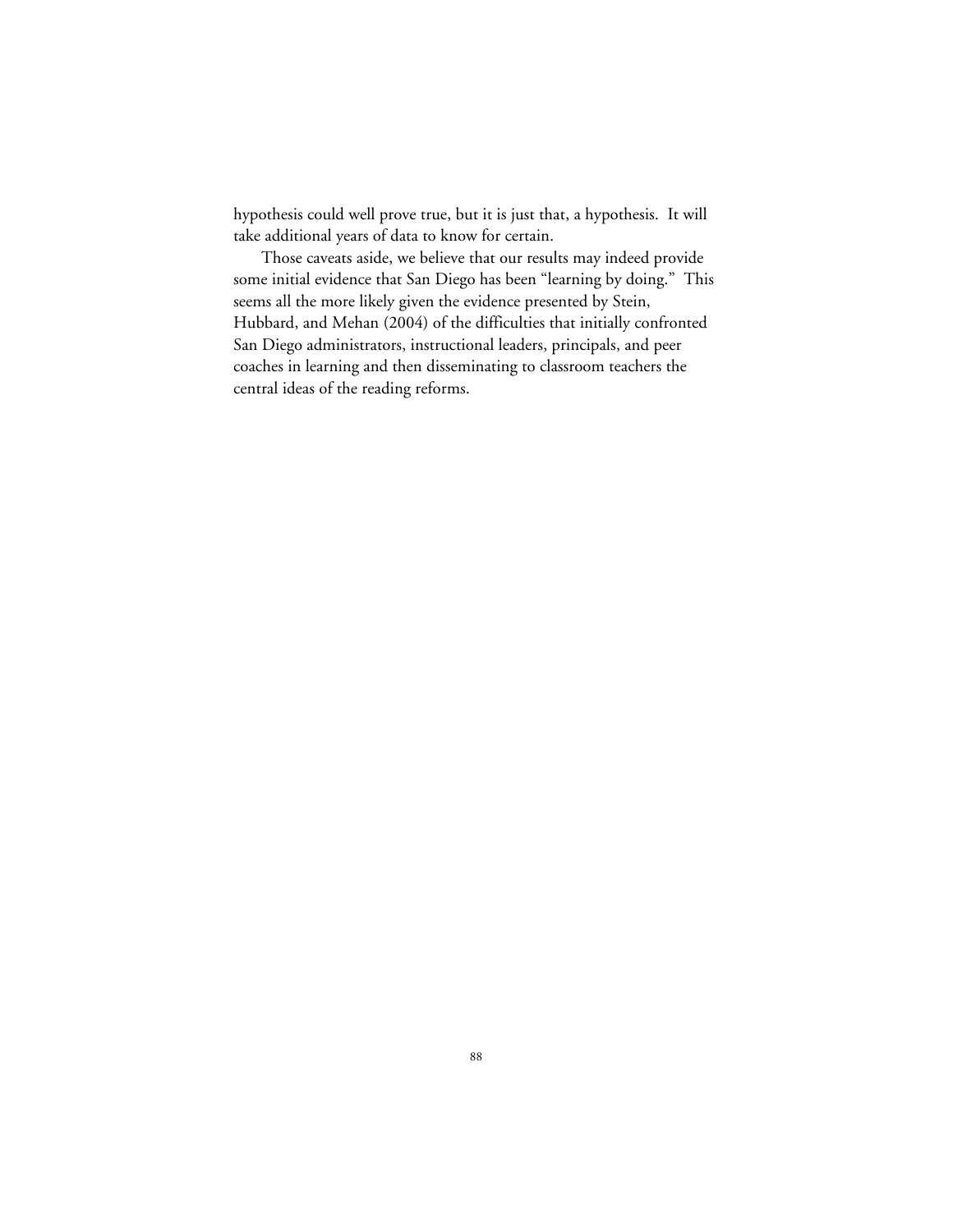hypothesis could well prove true, but it is just that, a hypothesis. It will take additional years of data to know for certain.

Those caveats aside, we believe that our results may indeed provide some initial evidence that San Diego has been "learning by doing." This seems all the more likely given the evidence presented by Stein, Hubbard, and Mehan (2004) of the difficulties that initially confronted San Diego administrators, instructional leaders, principals, and peer coaches in learning and then disseminating to classroom teachers the central ideas of the reading reforms.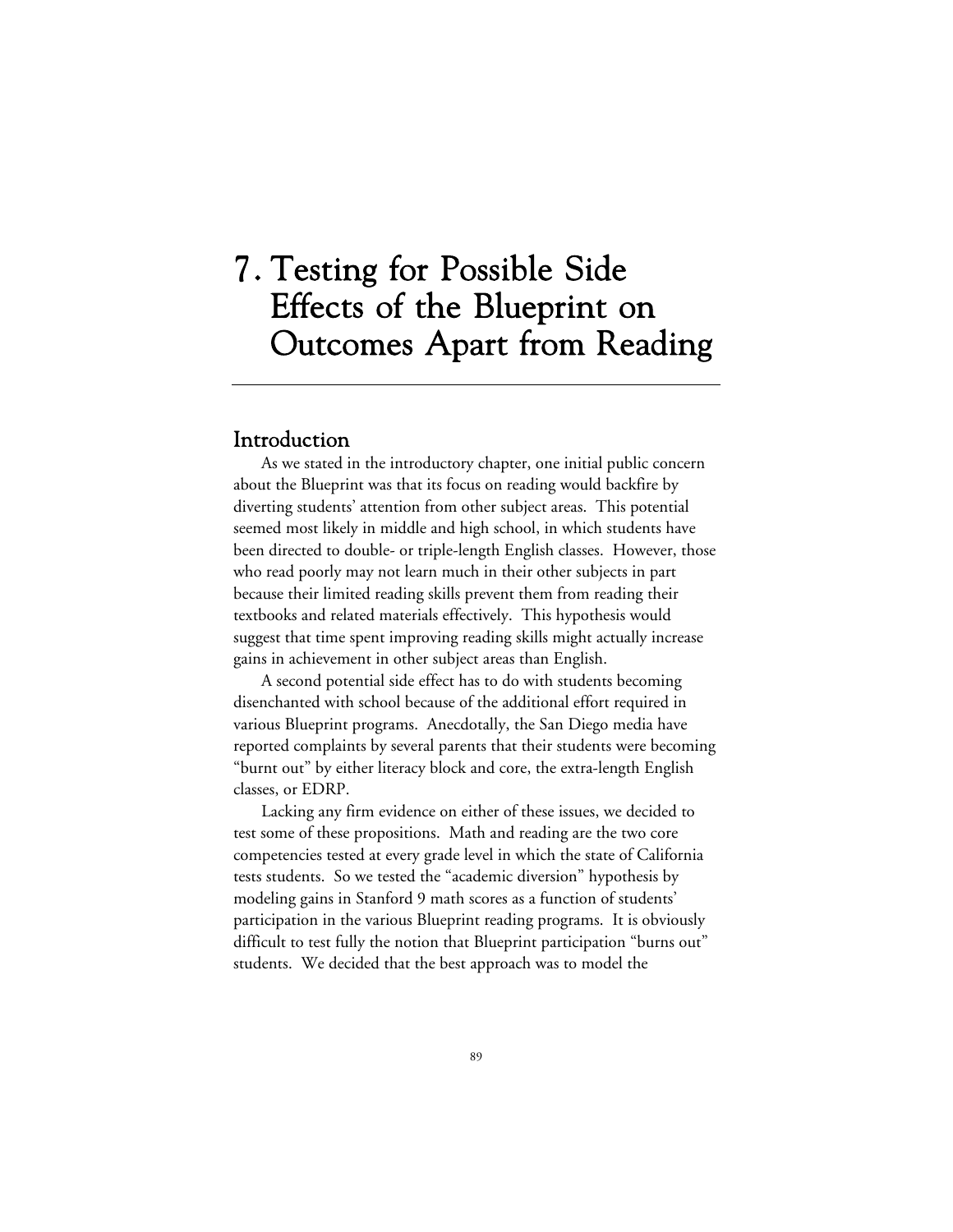# 7. Testing for Possible Side Effects of the Blueprint on Outcomes Apart from Reading

## Introduction

As we stated in the introductory chapter, one initial public concern about the Blueprint was that its focus on reading would backfire by diverting students' attention from other subject areas. This potential seemed most likely in middle and high school, in which students have been directed to double- or triple-length English classes. However, those who read poorly may not learn much in their other subjects in part because their limited reading skills prevent them from reading their textbooks and related materials effectively. This hypothesis would suggest that time spent improving reading skills might actually increase gains in achievement in other subject areas than English.

A second potential side effect has to do with students becoming disenchanted with school because of the additional effort required in various Blueprint programs. Anecdotally, the San Diego media have reported complaints by several parents that their students were becoming "burnt out" by either literacy block and core, the extra-length English classes, or EDRP.

Lacking any firm evidence on either of these issues, we decided to test some of these propositions. Math and reading are the two core competencies tested at every grade level in which the state of California tests students. So we tested the "academic diversion" hypothesis by modeling gains in Stanford 9 math scores as a function of students' participation in the various Blueprint reading programs. It is obviously difficult to test fully the notion that Blueprint participation "burns out" students. We decided that the best approach was to model the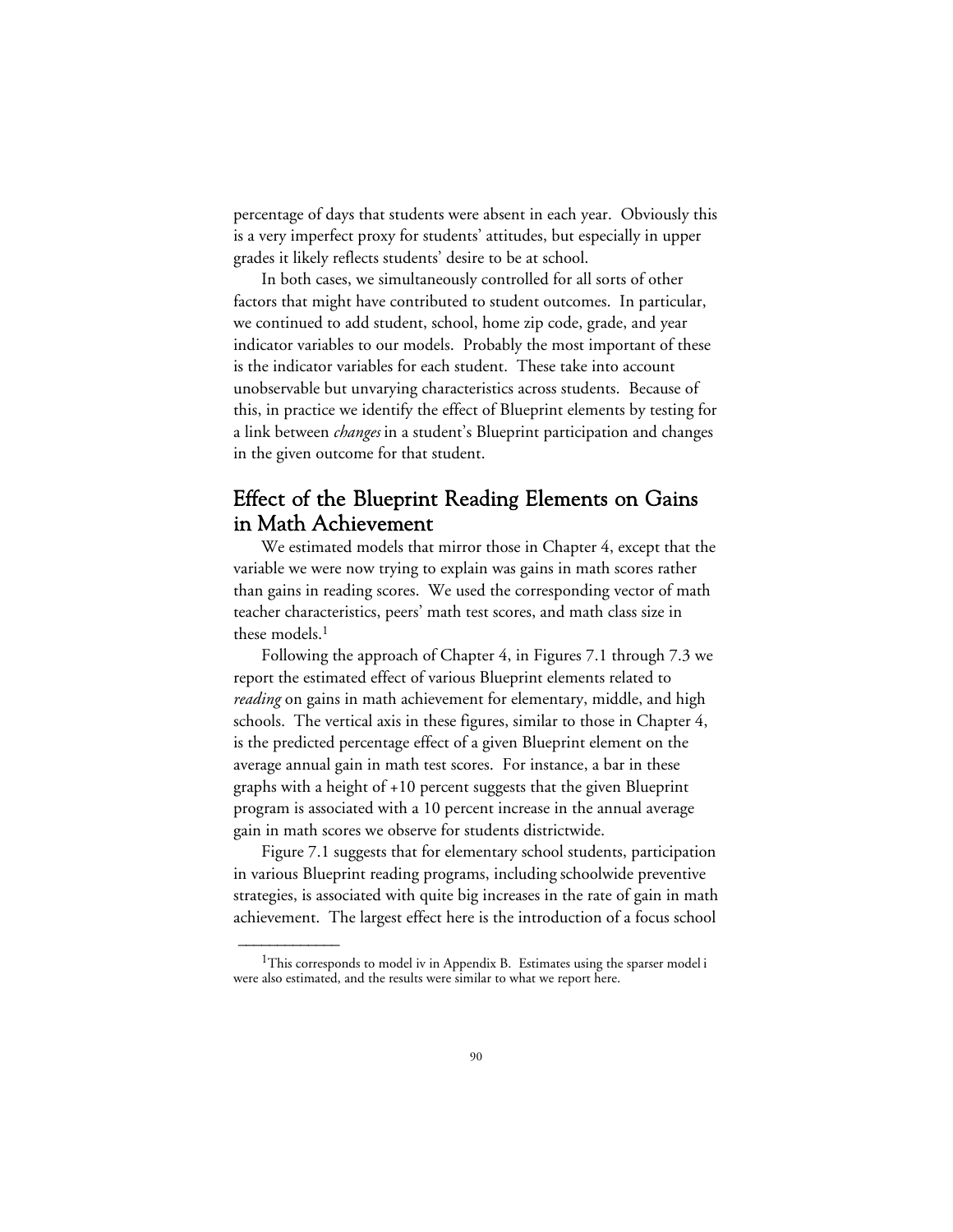percentage of days that students were absent in each year. Obviously this is a very imperfect proxy for students' attitudes, but especially in upper grades it likely reflects students' desire to be at school.

In both cases, we simultaneously controlled for all sorts of other factors that might have contributed to student outcomes. In particular, we continued to add student, school, home zip code, grade, and year indicator variables to our models. Probably the most important of these is the indicator variables for each student. These take into account unobservable but unvarying characteristics across students. Because of this, in practice we identify the effect of Blueprint elements by testing for a link between *changes* in a student's Blueprint participation and changes in the given outcome for that student.

# Effect of the Blueprint Reading Elements on Gains in Math Achievement

We estimated models that mirror those in Chapter 4, except that the variable we were now trying to explain was gains in math scores rather than gains in reading scores. We used the corresponding vector of math teacher characteristics, peers' math test scores, and math class size in these models.<sup>1</sup>

Following the approach of Chapter 4, in Figures 7.1 through 7.3 we report the estimated effect of various Blueprint elements related to *reading* on gains in math achievement for elementary, middle, and high schools. The vertical axis in these figures, similar to those in Chapter 4, is the predicted percentage effect of a given Blueprint element on the average annual gain in math test scores. For instance, a bar in these graphs with a height of +10 percent suggests that the given Blueprint program is associated with a 10 percent increase in the annual average gain in math scores we observe for students districtwide.

Figure 7.1 suggests that for elementary school students, participation in various Blueprint reading programs, including schoolwide preventive strategies, is associated with quite big increases in the rate of gain in math achievement. The largest effect here is the introduction of a focus school

 $\overline{\phantom{a}}$ 

<sup>&</sup>lt;sup>1</sup>This corresponds to model iv in Appendix B. Estimates using the sparser model i were also estimated, and the results were similar to what we report here.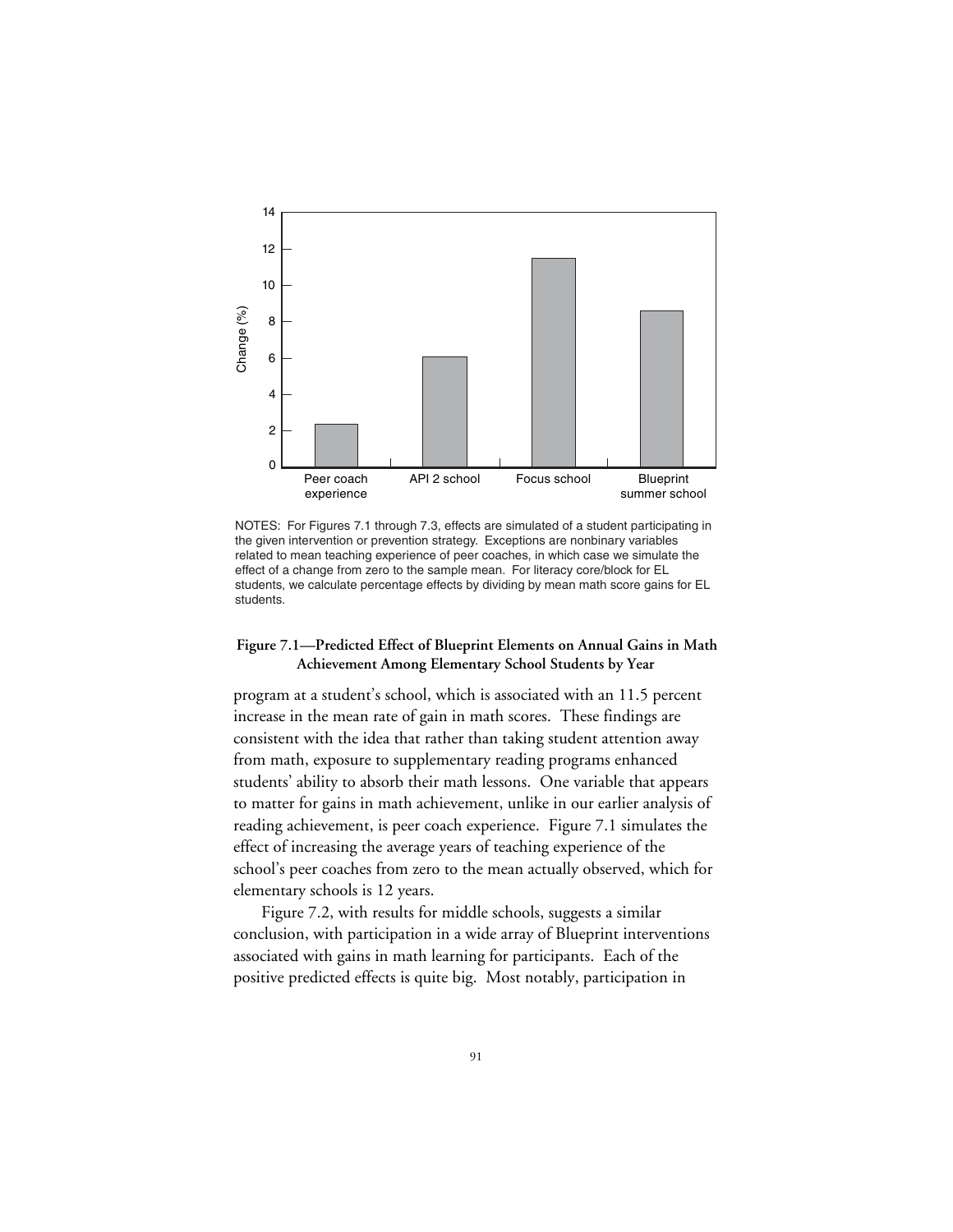

NOTES: For Figures 7.1 through 7.3, effects are simulated of a student participating in the given intervention or prevention strategy. Exceptions are nonbinary variables related to mean teaching experience of peer coaches, in which case we simulate the effect of a change from zero to the sample mean. For literacy core/block for EL students, we calculate percentage effects by dividing by mean math score gains for EL students.

### **Figure 7.1—Predicted Effect of Blueprint Elements on Annual Gains in Math Achievement Among Elementary School Students by Year**

program at a student's school, which is associated with an 11.5 percent increase in the mean rate of gain in math scores. These findings are consistent with the idea that rather than taking student attention away from math, exposure to supplementary reading programs enhanced students' ability to absorb their math lessons. One variable that appears to matter for gains in math achievement, unlike in our earlier analysis of reading achievement, is peer coach experience. Figure 7.1 simulates the effect of increasing the average years of teaching experience of the school's peer coaches from zero to the mean actually observed, which for elementary schools is 12 years.

Figure 7.2, with results for middle schools, suggests a similar conclusion, with participation in a wide array of Blueprint interventions associated with gains in math learning for participants. Each of the positive predicted effects is quite big. Most notably, participation in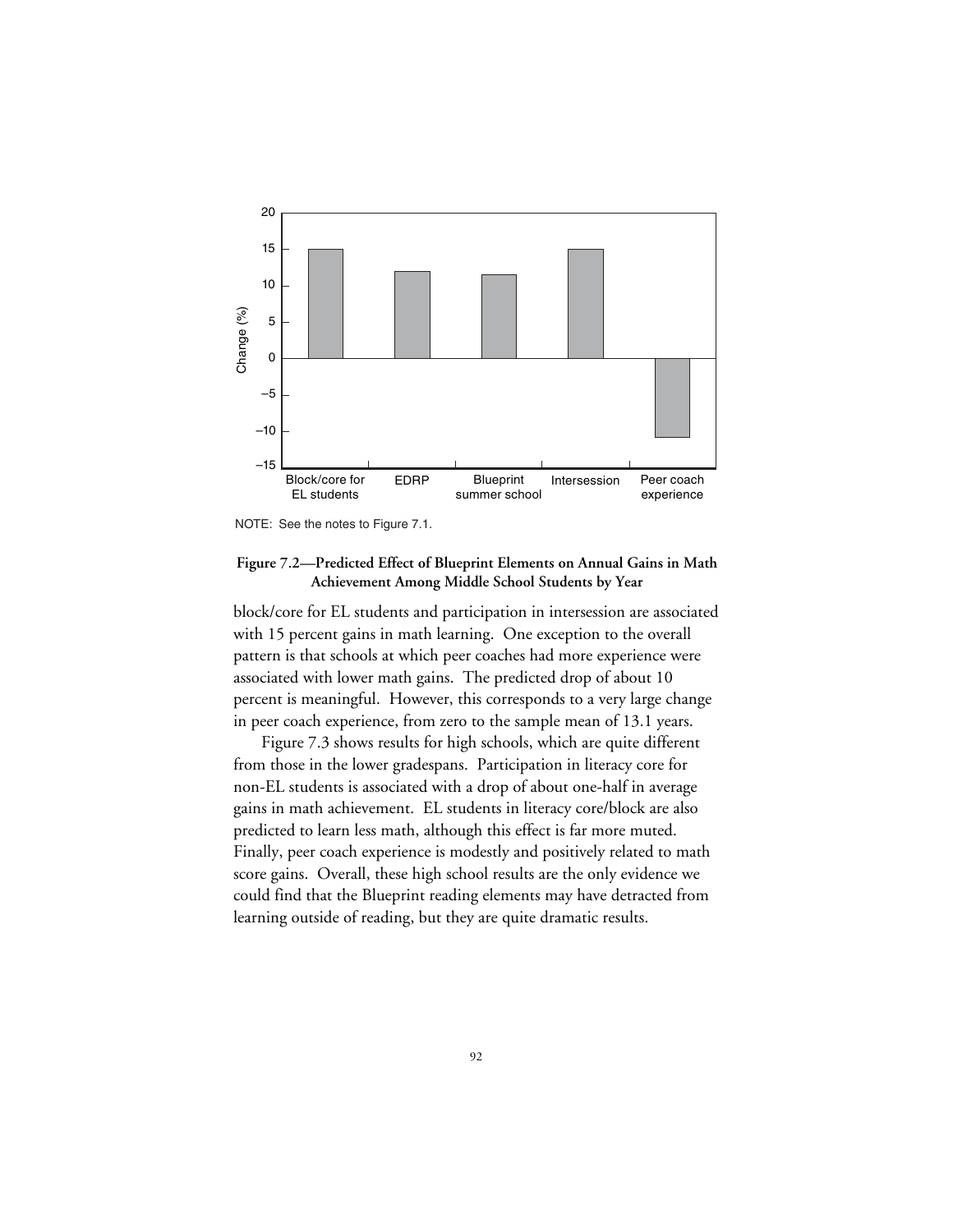

NOTE: See the notes to Figure 7.1.

### **Figure 7.2—Predicted Effect of Blueprint Elements on Annual Gains in Math Achievement Among Middle School Students by Year**

block/core for EL students and participation in intersession are associated with 15 percent gains in math learning. One exception to the overall pattern is that schools at which peer coaches had more experience were associated with lower math gains. The predicted drop of about 10 percent is meaningful. However, this corresponds to a very large change in peer coach experience, from zero to the sample mean of 13.1 years.

Figure 7.3 shows results for high schools, which are quite different from those in the lower gradespans. Participation in literacy core for non-EL students is associated with a drop of about one-half in average gains in math achievement. EL students in literacy core/block are also predicted to learn less math, although this effect is far more muted. Finally, peer coach experience is modestly and positively related to math score gains. Overall, these high school results are the only evidence we could find that the Blueprint reading elements may have detracted from learning outside of reading, but they are quite dramatic results.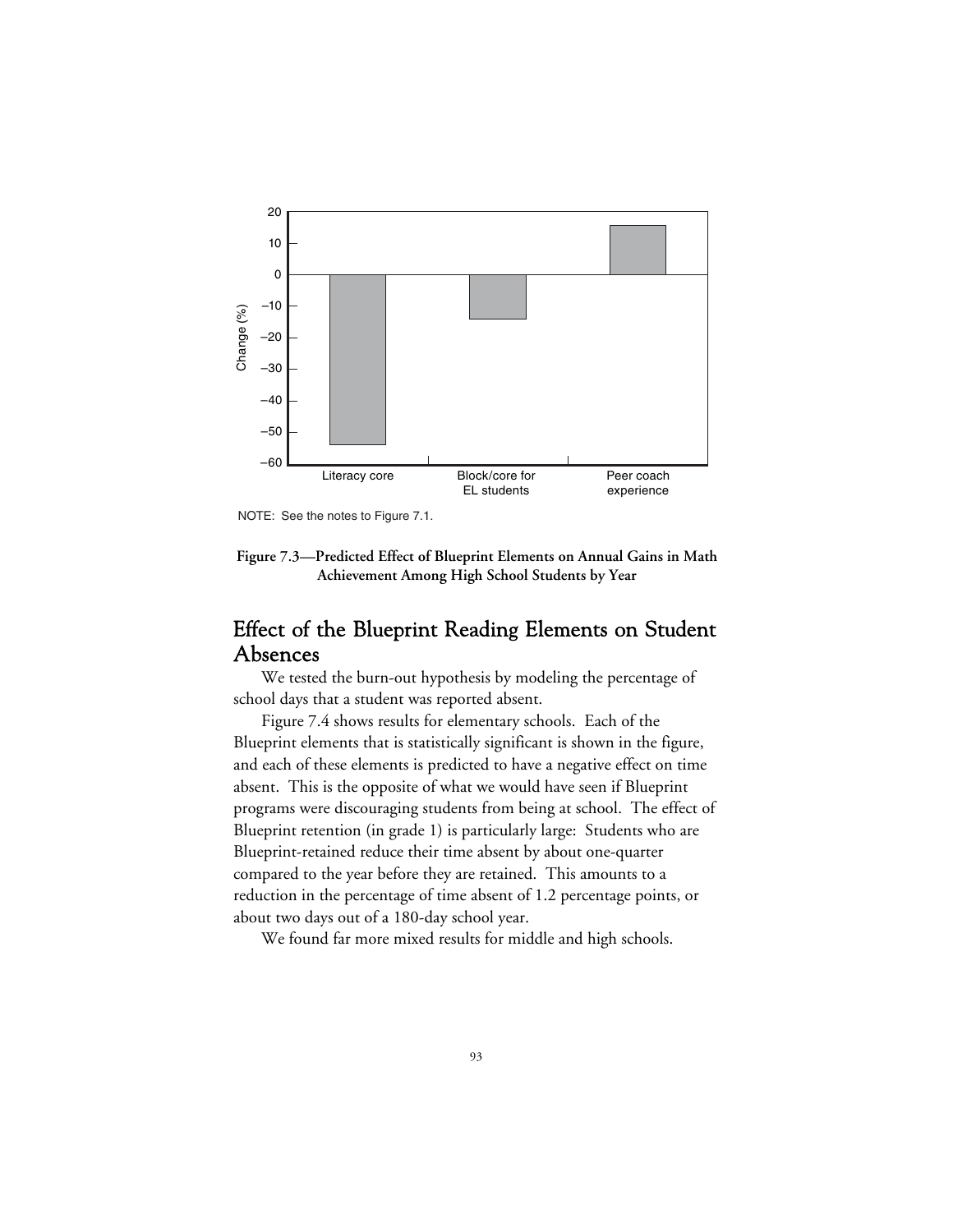

NOTE: See the notes to Figure 7.1.

**Figure 7.3—Predicted Effect of Blueprint Elements on Annual Gains in Math Achievement Among High School Students by Year**

# Effect of the Blueprint Reading Elements on Student Absences

We tested the burn-out hypothesis by modeling the percentage of school days that a student was reported absent.

Figure 7.4 shows results for elementary schools. Each of the Blueprint elements that is statistically significant is shown in the figure, and each of these elements is predicted to have a negative effect on time absent. This is the opposite of what we would have seen if Blueprint programs were discouraging students from being at school. The effect of Blueprint retention (in grade 1) is particularly large: Students who are Blueprint-retained reduce their time absent by about one-quarter compared to the year before they are retained. This amounts to a reduction in the percentage of time absent of 1.2 percentage points, or about two days out of a 180-day school year.

We found far more mixed results for middle and high schools.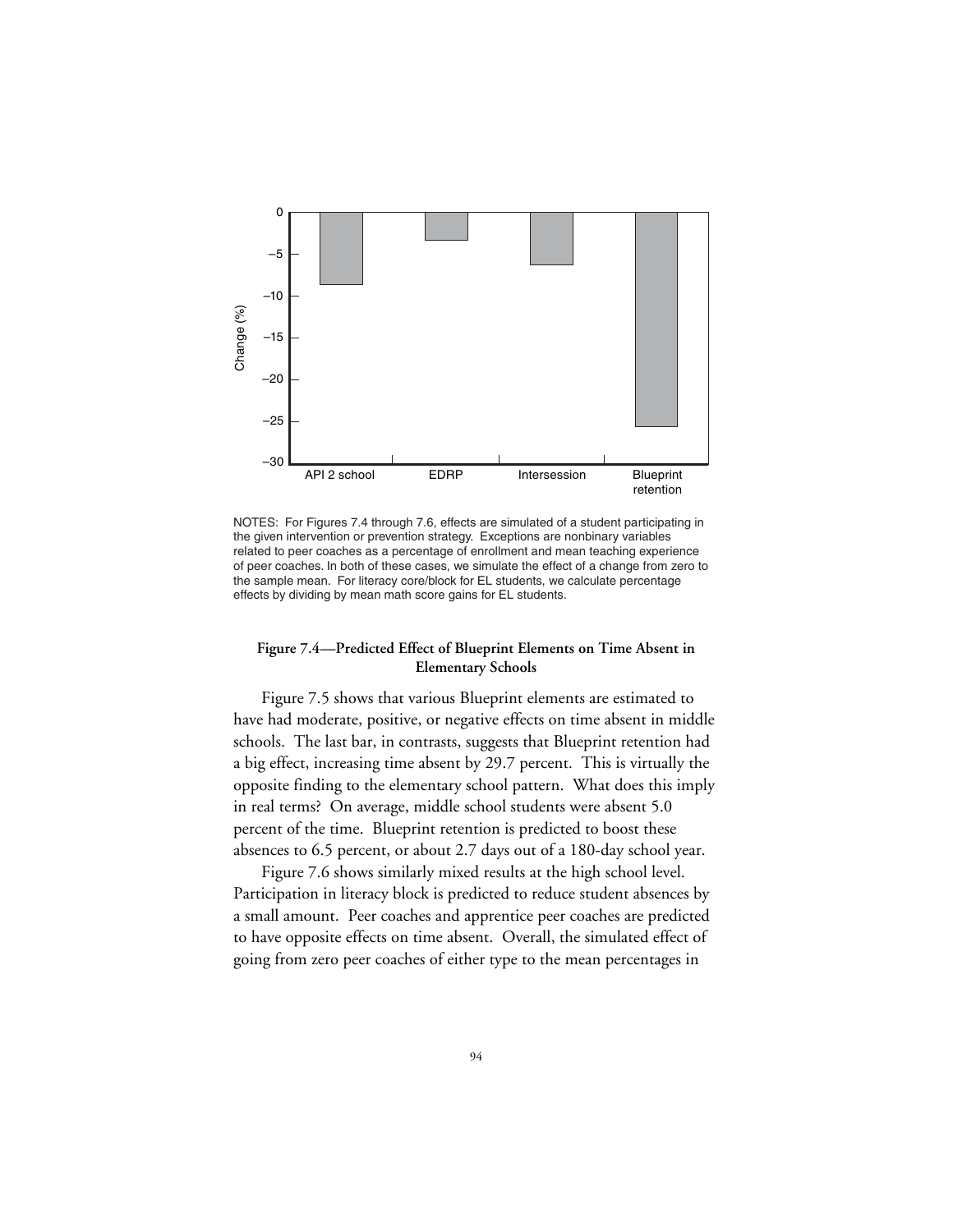

NOTES: For Figures 7.4 through 7.6, effects are simulated of a student participating in the given intervention or prevention strategy. Exceptions are nonbinary variables related to peer coaches as a percentage of enrollment and mean teaching experience of peer coaches. In both of these cases, we simulate the effect of a change from zero to the sample mean. For literacy core/block for EL students, we calculate percentage effects by dividing by mean math score gains for EL students.

#### **Figure 7.4—Predicted Effect of Blueprint Elements on Time Absent in Elementary Schools**

Figure 7.5 shows that various Blueprint elements are estimated to have had moderate, positive, or negative effects on time absent in middle schools. The last bar, in contrasts, suggests that Blueprint retention had a big effect, increasing time absent by 29.7 percent. This is virtually the opposite finding to the elementary school pattern. What does this imply in real terms? On average, middle school students were absent 5.0 percent of the time. Blueprint retention is predicted to boost these absences to 6.5 percent, or about 2.7 days out of a 180-day school year.

Figure 7.6 shows similarly mixed results at the high school level. Participation in literacy block is predicted to reduce student absences by a small amount. Peer coaches and apprentice peer coaches are predicted to have opposite effects on time absent. Overall, the simulated effect of going from zero peer coaches of either type to the mean percentages in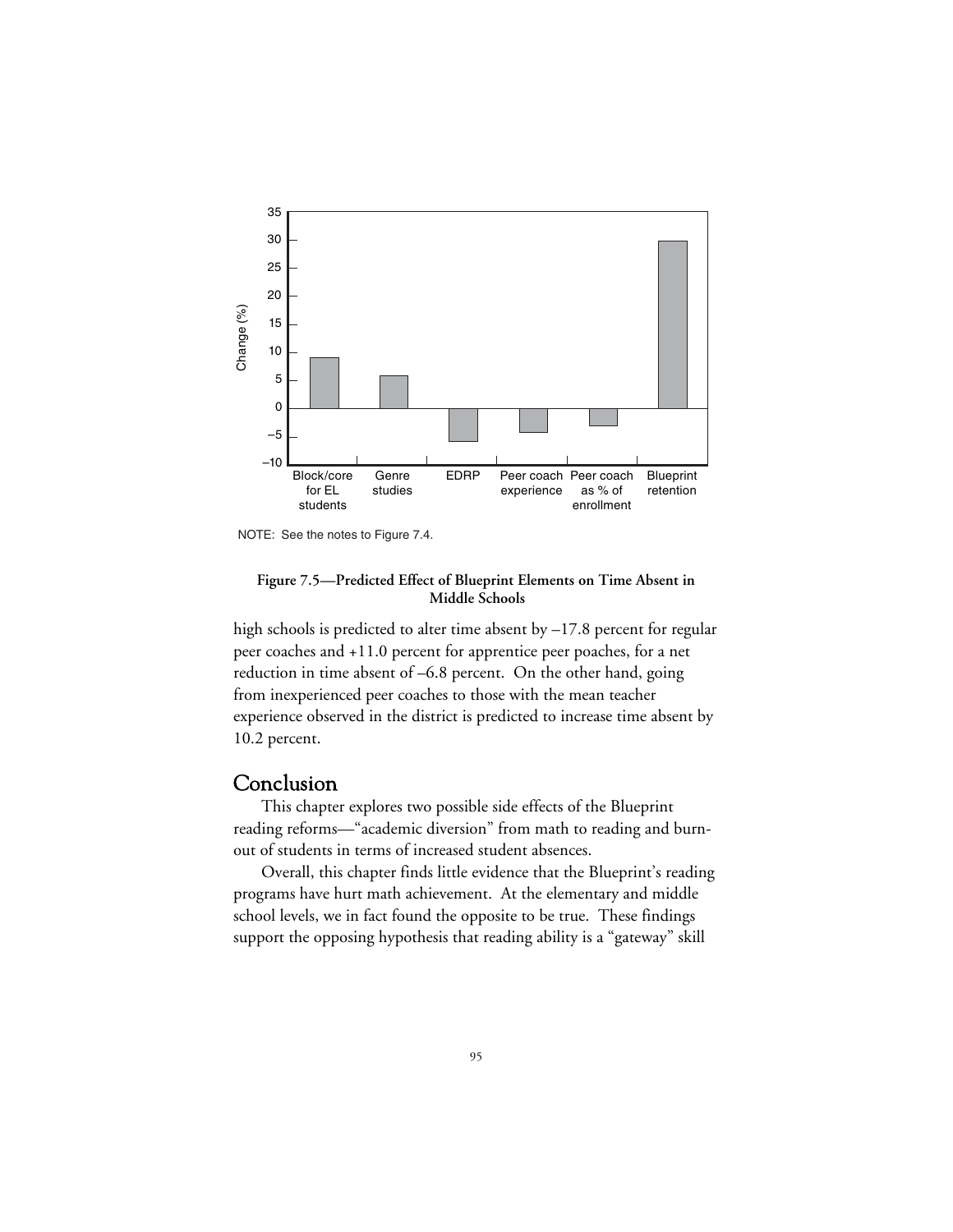

NOTE: See the notes to Figure 7.4.

#### **Figure 7.5—Predicted Effect of Blueprint Elements on Time Absent in Middle Schools**

high schools is predicted to alter time absent by -17.8 percent for regular peer coaches and +11.0 percent for apprentice peer poaches, for a net reduction in time absent of –6.8 percent. On the other hand, going from inexperienced peer coaches to those with the mean teacher experience observed in the district is predicted to increase time absent by 10.2 percent.

## Conclusion

This chapter explores two possible side effects of the Blueprint reading reforms—"academic diversion" from math to reading and burnout of students in terms of increased student absences.

Overall, this chapter finds little evidence that the Blueprint's reading programs have hurt math achievement. At the elementary and middle school levels, we in fact found the opposite to be true. These findings support the opposing hypothesis that reading ability is a "gateway" skill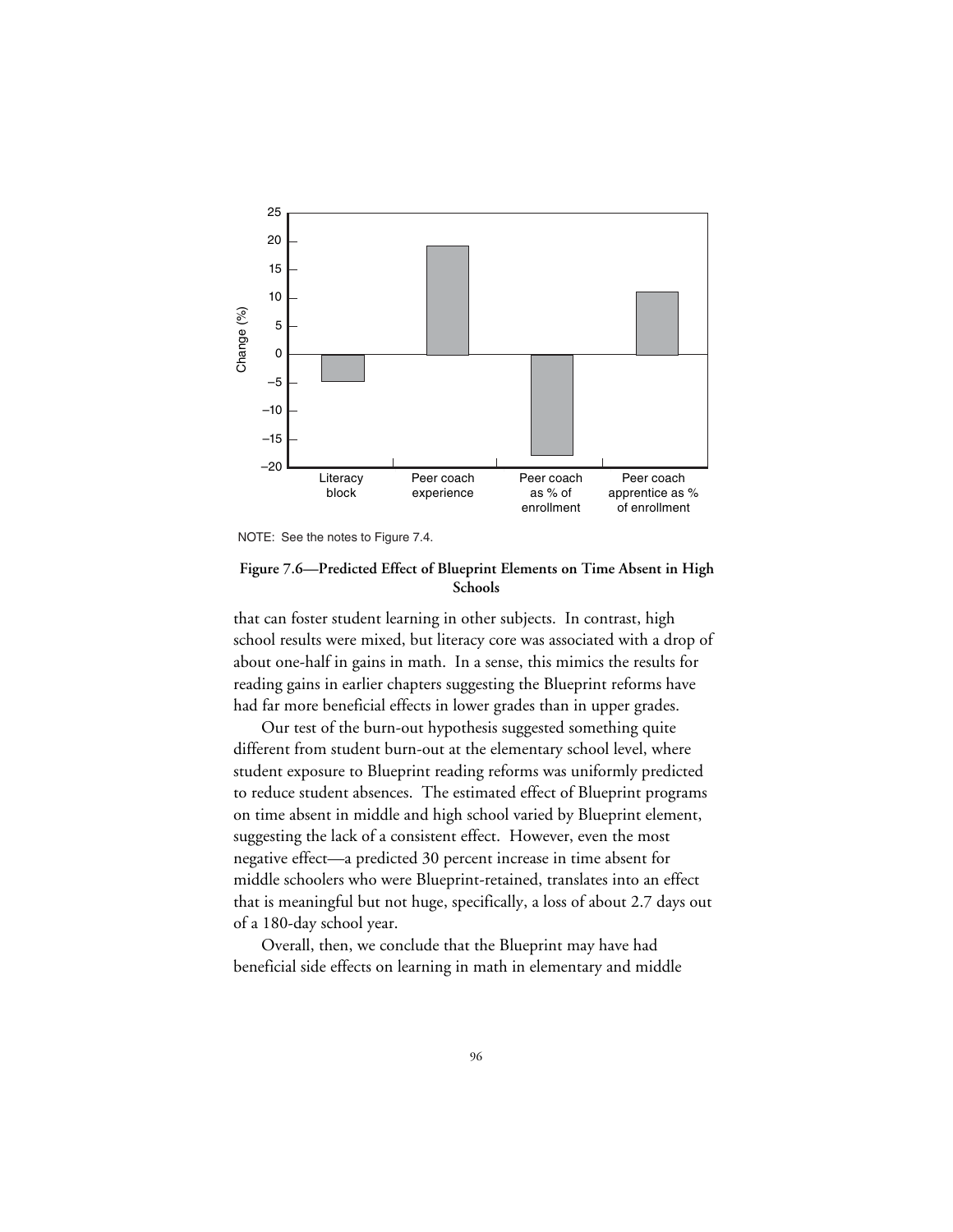

NOTE: See the notes to Figure 7.4.

### **Figure 7.6—Predicted Effect of Blueprint Elements on Time Absent in High Schools**

that can foster student learning in other subjects. In contrast, high school results were mixed, but literacy core was associated with a drop of about one-half in gains in math. In a sense, this mimics the results for reading gains in earlier chapters suggesting the Blueprint reforms have had far more beneficial effects in lower grades than in upper grades.

Our test of the burn-out hypothesis suggested something quite different from student burn-out at the elementary school level, where student exposure to Blueprint reading reforms was uniformly predicted to reduce student absences. The estimated effect of Blueprint programs on time absent in middle and high school varied by Blueprint element, suggesting the lack of a consistent effect. However, even the most negative effect—a predicted 30 percent increase in time absent for middle schoolers who were Blueprint-retained, translates into an effect that is meaningful but not huge, specifically, a loss of about 2.7 days out of a 180-day school year.

Overall, then, we conclude that the Blueprint may have had beneficial side effects on learning in math in elementary and middle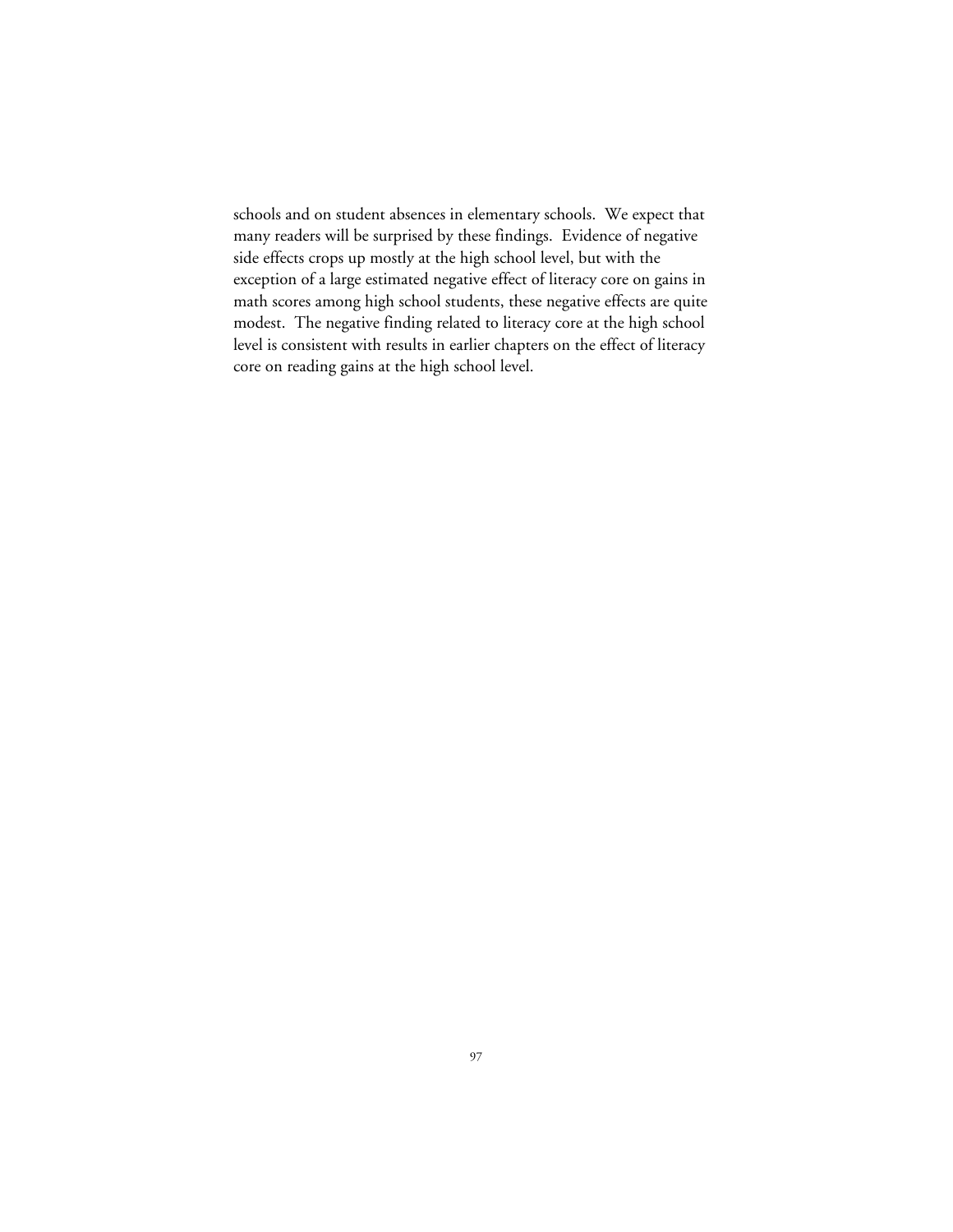schools and on student absences in elementary schools. We expect that many readers will be surprised by these findings. Evidence of negative side effects crops up mostly at the high school level, but with the exception of a large estimated negative effect of literacy core on gains in math scores among high school students, these negative effects are quite modest. The negative finding related to literacy core at the high school level is consistent with results in earlier chapters on the effect of literacy core on reading gains at the high school level.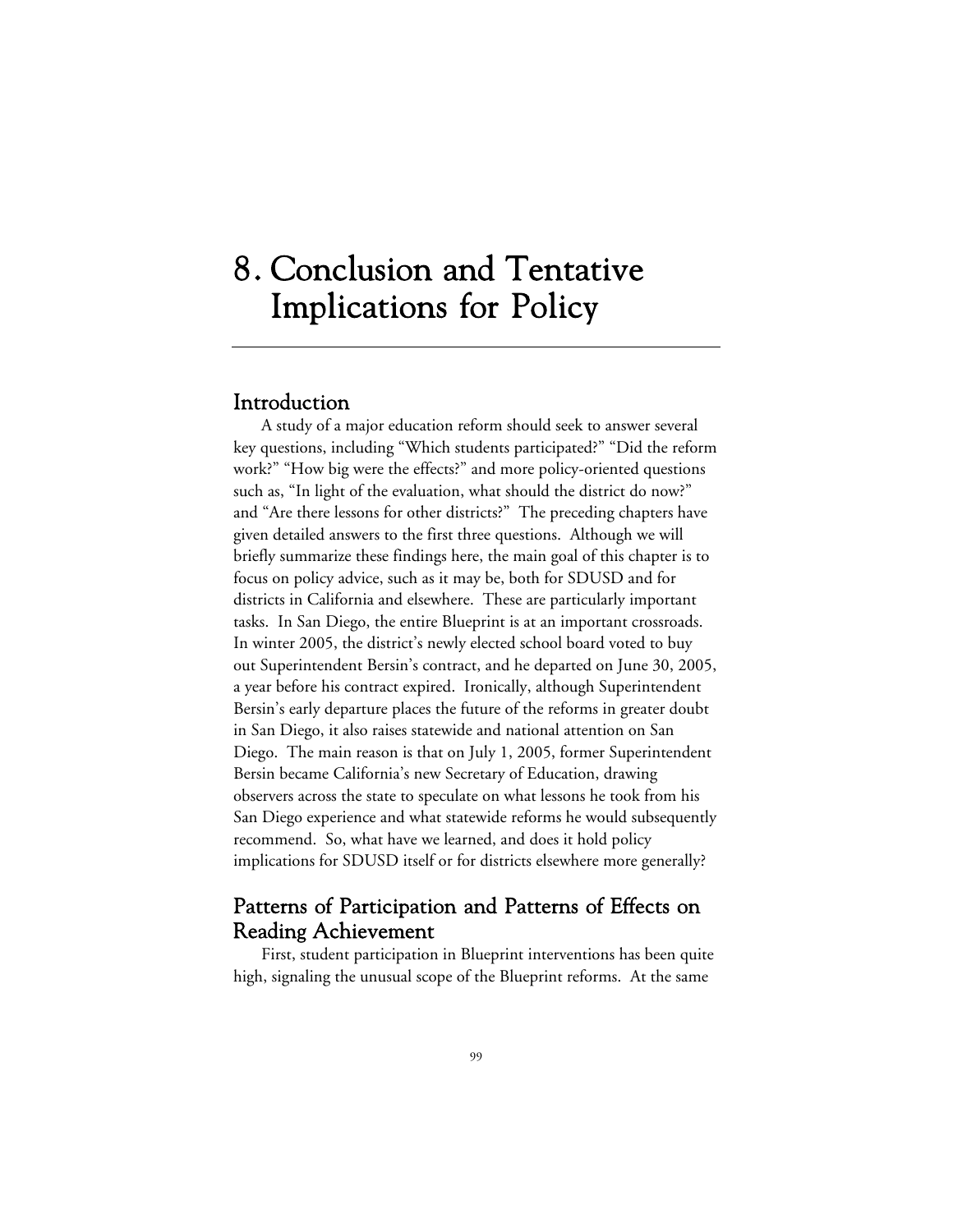# 8. Conclusion and Tentative Implications for Policy

# Introduction

A study of a major education reform should seek to answer several key questions, including "Which students participated?" "Did the reform work?" "How big were the effects?" and more policy-oriented questions such as, "In light of the evaluation, what should the district do now?" and "Are there lessons for other districts?" The preceding chapters have given detailed answers to the first three questions. Although we will briefly summarize these findings here, the main goal of this chapter is to focus on policy advice, such as it may be, both for SDUSD and for districts in California and elsewhere. These are particularly important tasks. In San Diego, the entire Blueprint is at an important crossroads. In winter 2005, the district's newly elected school board voted to buy out Superintendent Bersin's contract, and he departed on June 30, 2005, a year before his contract expired. Ironically, although Superintendent Bersin's early departure places the future of the reforms in greater doubt in San Diego, it also raises statewide and national attention on San Diego. The main reason is that on July 1, 2005, former Superintendent Bersin became California's new Secretary of Education, drawing observers across the state to speculate on what lessons he took from his San Diego experience and what statewide reforms he would subsequently recommend. So, what have we learned, and does it hold policy implications for SDUSD itself or for districts elsewhere more generally?

# Patterns of Participation and Patterns of Effects on Reading Achievement

First, student participation in Blueprint interventions has been quite high, signaling the unusual scope of the Blueprint reforms. At the same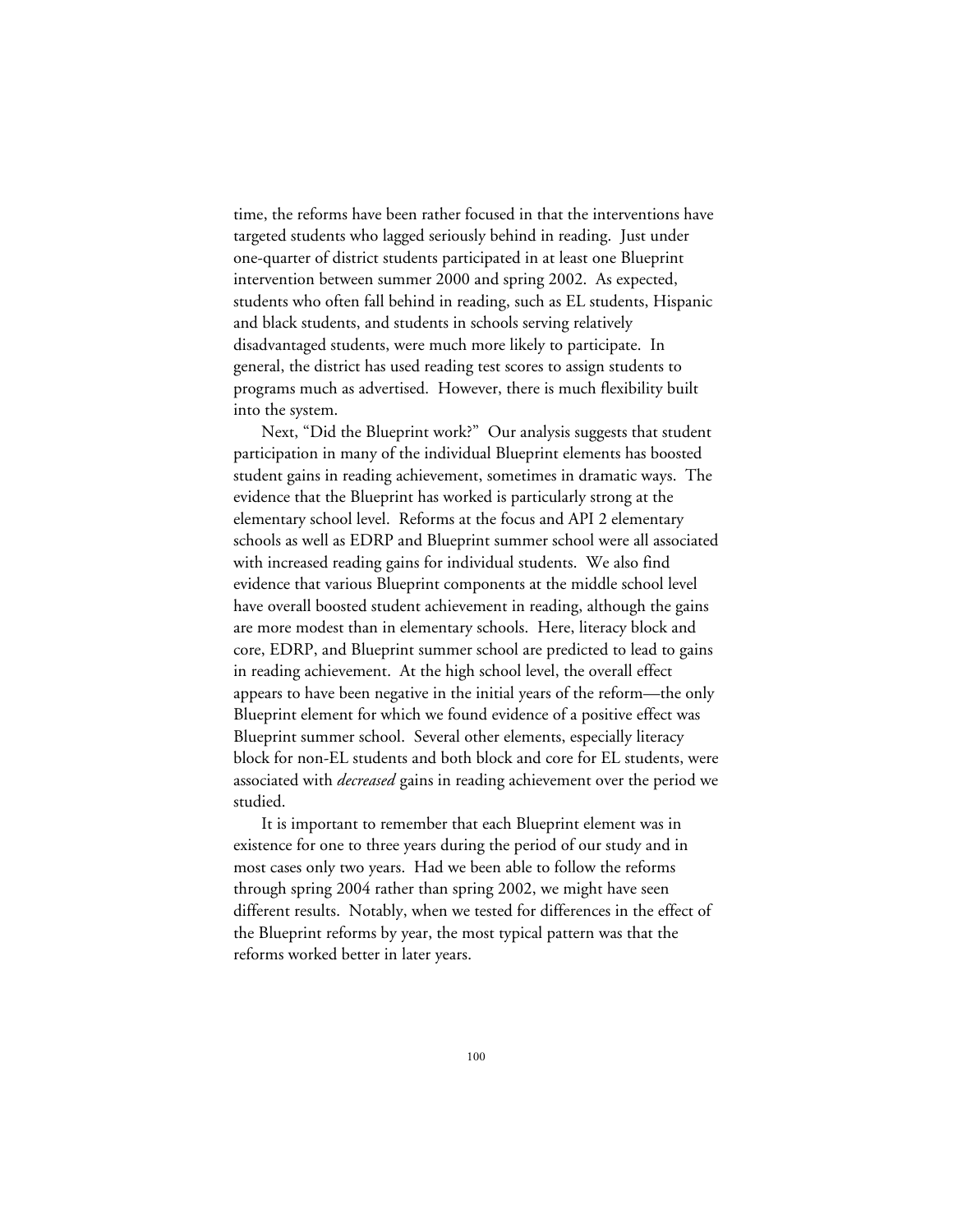time, the reforms have been rather focused in that the interventions have targeted students who lagged seriously behind in reading. Just under one-quarter of district students participated in at least one Blueprint intervention between summer 2000 and spring 2002. As expected, students who often fall behind in reading, such as EL students, Hispanic and black students, and students in schools serving relatively disadvantaged students, were much more likely to participate. In general, the district has used reading test scores to assign students to programs much as advertised. However, there is much flexibility built into the system.

Next, "Did the Blueprint work?" Our analysis suggests that student participation in many of the individual Blueprint elements has boosted student gains in reading achievement, sometimes in dramatic ways. The evidence that the Blueprint has worked is particularly strong at the elementary school level. Reforms at the focus and API 2 elementary schools as well as EDRP and Blueprint summer school were all associated with increased reading gains for individual students. We also find evidence that various Blueprint components at the middle school level have overall boosted student achievement in reading, although the gains are more modest than in elementary schools. Here, literacy block and core, EDRP, and Blueprint summer school are predicted to lead to gains in reading achievement. At the high school level, the overall effect appears to have been negative in the initial years of the reform—the only Blueprint element for which we found evidence of a positive effect was Blueprint summer school. Several other elements, especially literacy block for non-EL students and both block and core for EL students, were associated with *decreased* gains in reading achievement over the period we studied.

It is important to remember that each Blueprint element was in existence for one to three years during the period of our study and in most cases only two years. Had we been able to follow the reforms through spring 2004 rather than spring 2002, we might have seen different results. Notably, when we tested for differences in the effect of the Blueprint reforms by year, the most typical pattern was that the reforms worked better in later years.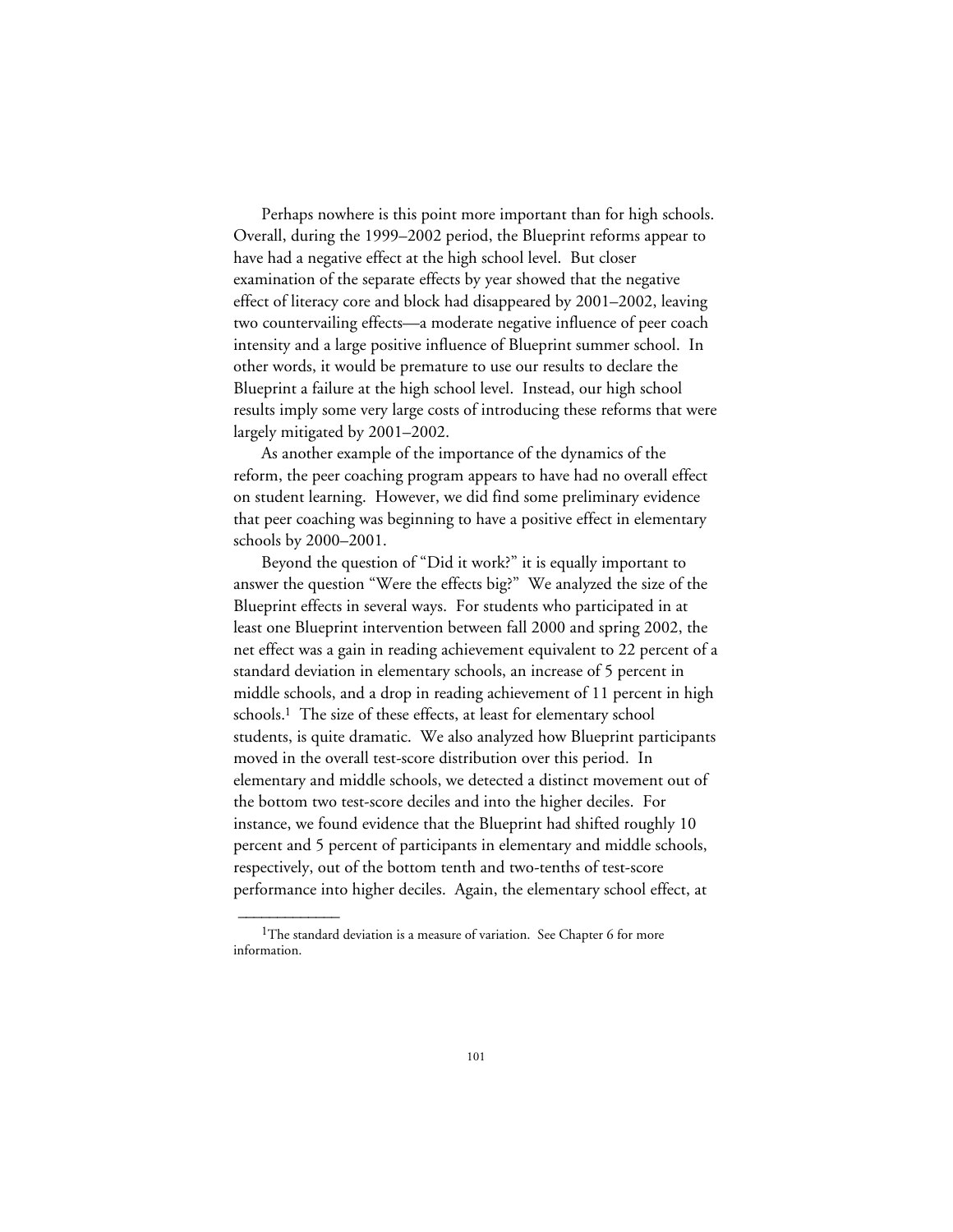Perhaps nowhere is this point more important than for high schools. Overall, during the 1999–2002 period, the Blueprint reforms appear to have had a negative effect at the high school level. But closer examination of the separate effects by year showed that the negative effect of literacy core and block had disappeared by 2001–2002, leaving two countervailing effects—a moderate negative influence of peer coach intensity and a large positive influence of Blueprint summer school. In other words, it would be premature to use our results to declare the Blueprint a failure at the high school level. Instead, our high school results imply some very large costs of introducing these reforms that were largely mitigated by 2001–2002.

As another example of the importance of the dynamics of the reform, the peer coaching program appears to have had no overall effect on student learning. However, we did find some preliminary evidence that peer coaching was beginning to have a positive effect in elementary schools by 2000–2001.

Beyond the question of "Did it work?" it is equally important to answer the question "Were the effects big?" We analyzed the size of the Blueprint effects in several ways. For students who participated in at least one Blueprint intervention between fall 2000 and spring 2002, the net effect was a gain in reading achievement equivalent to 22 percent of a standard deviation in elementary schools, an increase of 5 percent in middle schools, and a drop in reading achievement of 11 percent in high schools.<sup>1</sup> The size of these effects, at least for elementary school students, is quite dramatic. We also analyzed how Blueprint participants moved in the overall test-score distribution over this period. In elementary and middle schools, we detected a distinct movement out of the bottom two test-score deciles and into the higher deciles. For instance, we found evidence that the Blueprint had shifted roughly 10 percent and 5 percent of participants in elementary and middle schools, respectively, out of the bottom tenth and two-tenths of test-score performance into higher deciles. Again, the elementary school effect, at

 $\overline{\phantom{a}}$ 

<sup>&</sup>lt;sup>1</sup>The standard deviation is a measure of variation. See Chapter 6 for more information.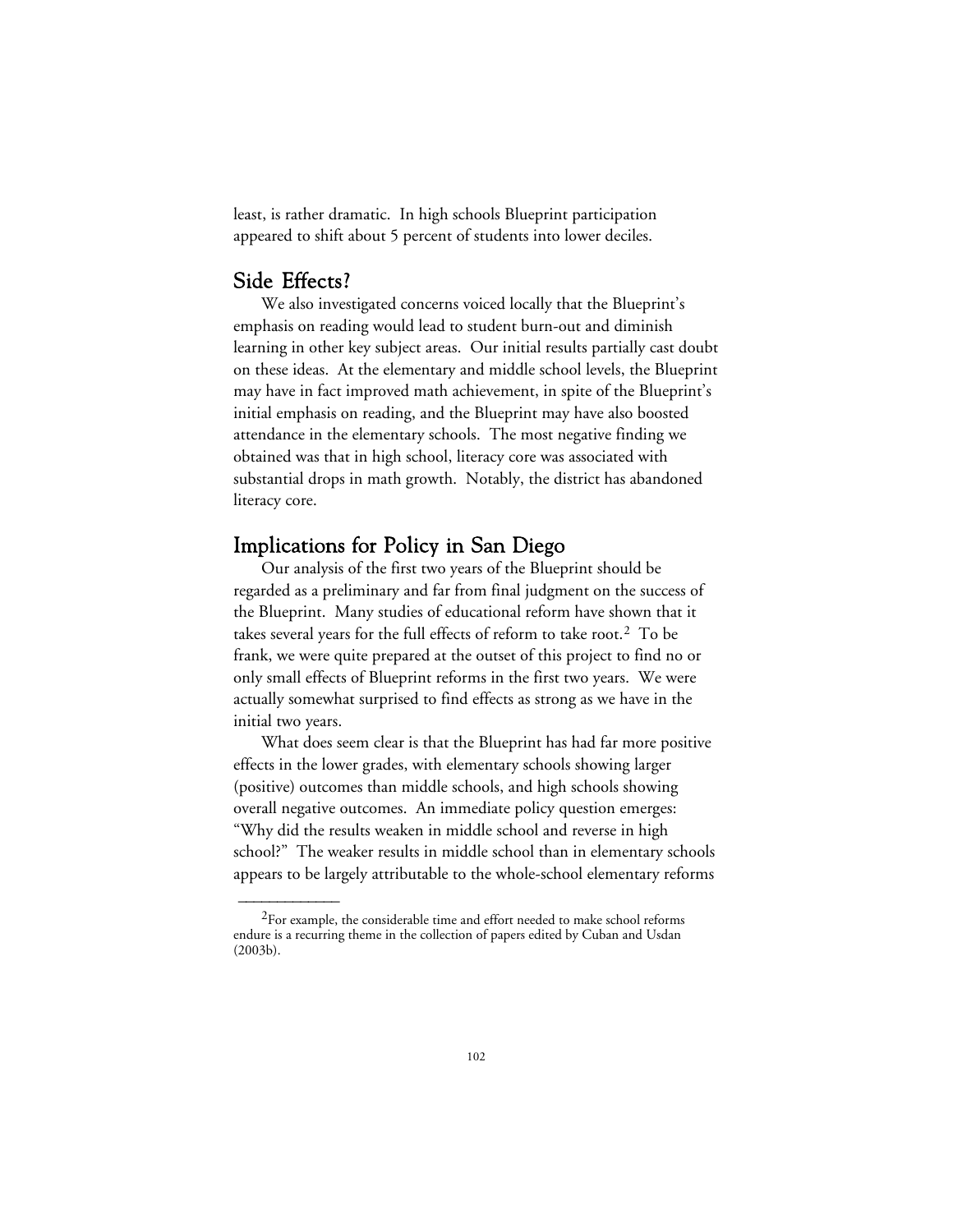least, is rather dramatic. In high schools Blueprint participation appeared to shift about 5 percent of students into lower deciles.

# Side Effects?

 $\overline{\phantom{a}}$ 

We also investigated concerns voiced locally that the Blueprint's emphasis on reading would lead to student burn-out and diminish learning in other key subject areas. Our initial results partially cast doubt on these ideas. At the elementary and middle school levels, the Blueprint may have in fact improved math achievement, in spite of the Blueprint's initial emphasis on reading, and the Blueprint may have also boosted attendance in the elementary schools. The most negative finding we obtained was that in high school, literacy core was associated with substantial drops in math growth. Notably, the district has abandoned literacy core.

# Implications for Policy in San Diego

Our analysis of the first two years of the Blueprint should be regarded as a preliminary and far from final judgment on the success of the Blueprint. Many studies of educational reform have shown that it takes several years for the full effects of reform to take root.2 To be frank, we were quite prepared at the outset of this project to find no or only small effects of Blueprint reforms in the first two years. We were actually somewhat surprised to find effects as strong as we have in the initial two years.

What does seem clear is that the Blueprint has had far more positive effects in the lower grades, with elementary schools showing larger (positive) outcomes than middle schools, and high schools showing overall negative outcomes. An immediate policy question emerges: "Why did the results weaken in middle school and reverse in high school?" The weaker results in middle school than in elementary schools appears to be largely attributable to the whole-school elementary reforms

 ${}^{2}$ For example, the considerable time and effort needed to make school reforms endure is a recurring theme in the collection of papers edited by Cuban and Usdan (2003b).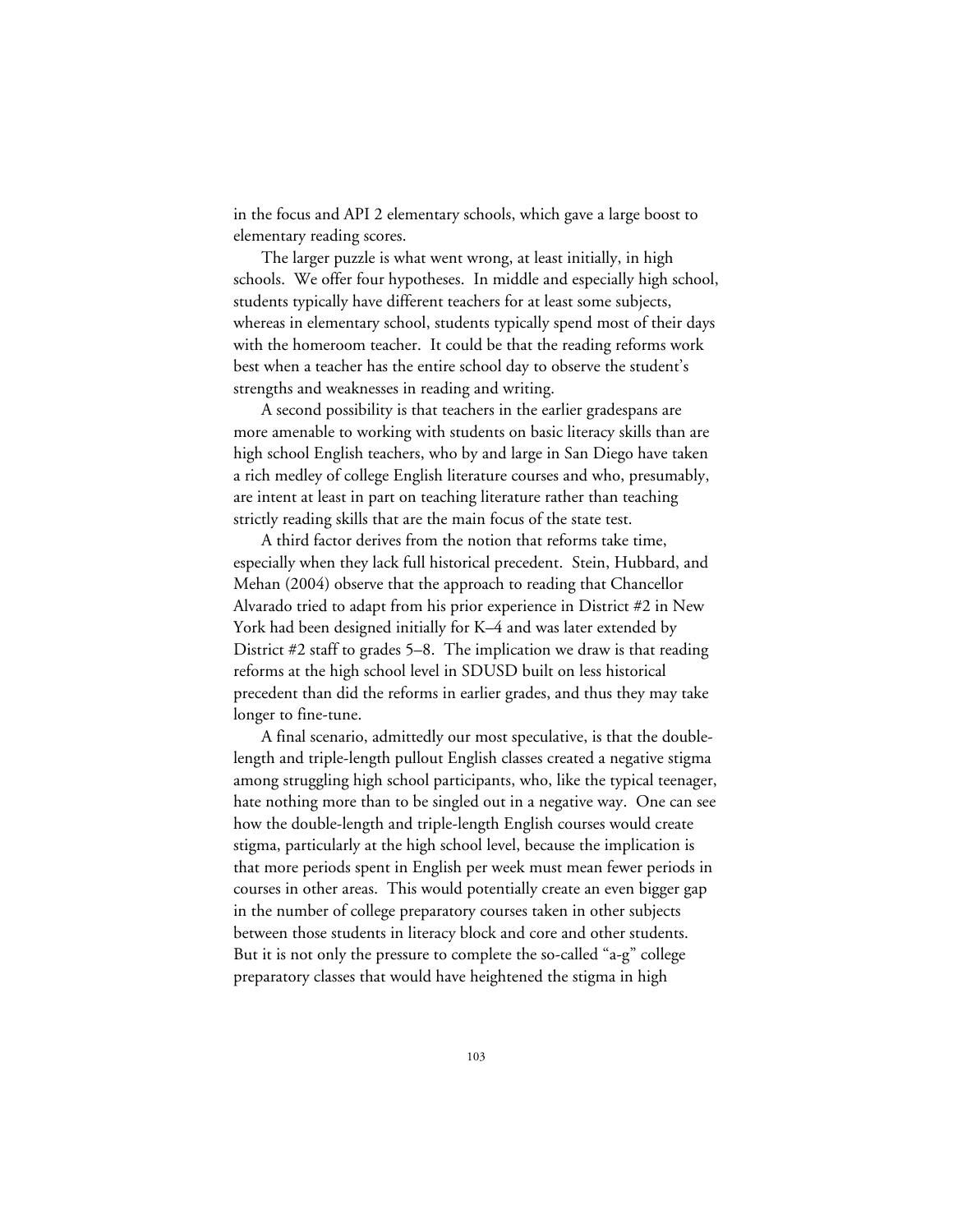in the focus and API 2 elementary schools, which gave a large boost to elementary reading scores.

The larger puzzle is what went wrong, at least initially, in high schools. We offer four hypotheses. In middle and especially high school, students typically have different teachers for at least some subjects, whereas in elementary school, students typically spend most of their days with the homeroom teacher. It could be that the reading reforms work best when a teacher has the entire school day to observe the student's strengths and weaknesses in reading and writing.

A second possibility is that teachers in the earlier gradespans are more amenable to working with students on basic literacy skills than are high school English teachers, who by and large in San Diego have taken a rich medley of college English literature courses and who, presumably, are intent at least in part on teaching literature rather than teaching strictly reading skills that are the main focus of the state test.

A third factor derives from the notion that reforms take time, especially when they lack full historical precedent. Stein, Hubbard, and Mehan (2004) observe that the approach to reading that Chancellor Alvarado tried to adapt from his prior experience in District #2 in New York had been designed initially for K–4 and was later extended by District #2 staff to grades 5–8. The implication we draw is that reading reforms at the high school level in SDUSD built on less historical precedent than did the reforms in earlier grades, and thus they may take longer to fine-tune.

A final scenario, admittedly our most speculative, is that the doublelength and triple-length pullout English classes created a negative stigma among struggling high school participants, who, like the typical teenager, hate nothing more than to be singled out in a negative way. One can see how the double-length and triple-length English courses would create stigma, particularly at the high school level, because the implication is that more periods spent in English per week must mean fewer periods in courses in other areas. This would potentially create an even bigger gap in the number of college preparatory courses taken in other subjects between those students in literacy block and core and other students. But it is not only the pressure to complete the so-called "a-g" college preparatory classes that would have heightened the stigma in high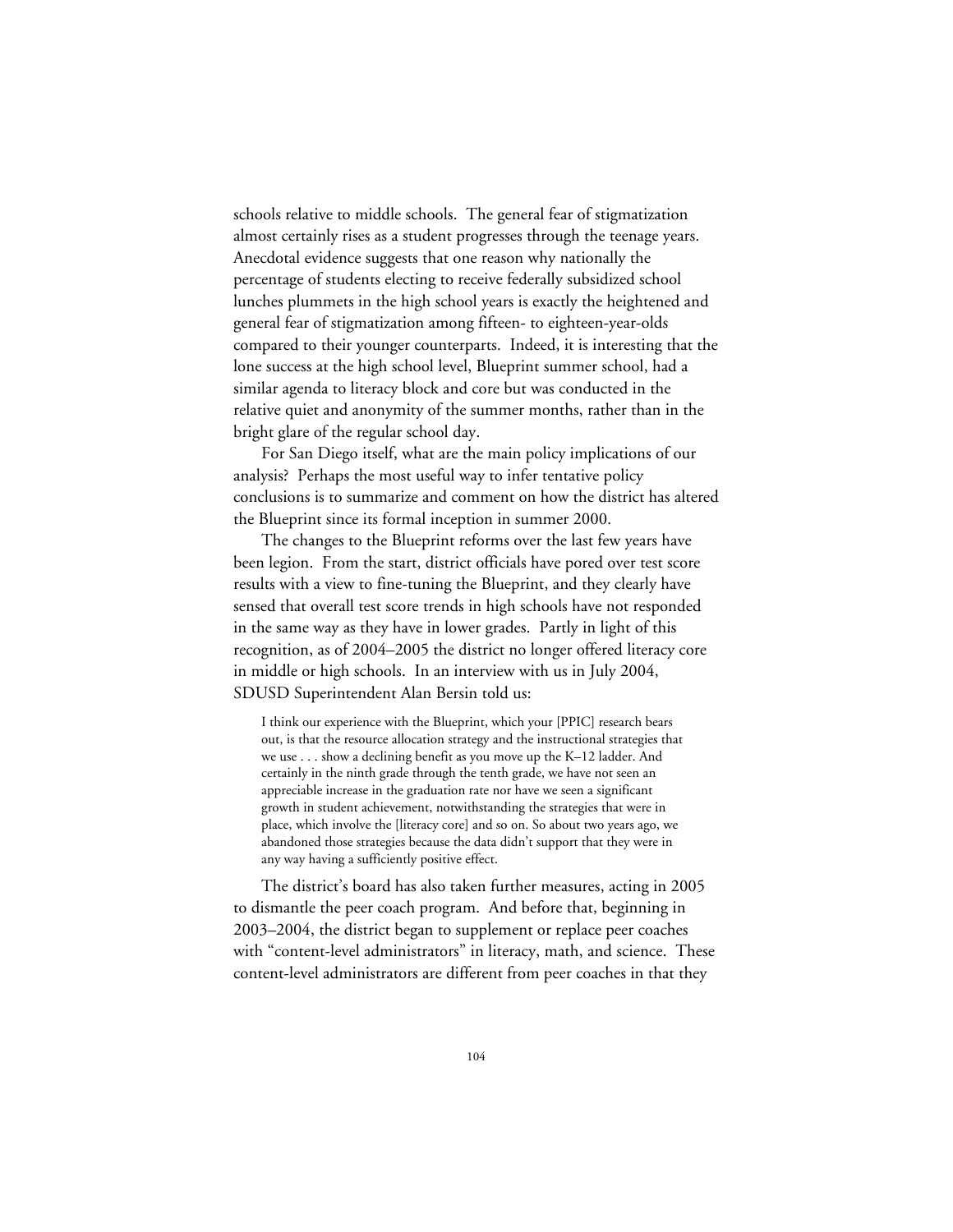schools relative to middle schools. The general fear of stigmatization almost certainly rises as a student progresses through the teenage years. Anecdotal evidence suggests that one reason why nationally the percentage of students electing to receive federally subsidized school lunches plummets in the high school years is exactly the heightened and general fear of stigmatization among fifteen- to eighteen-year-olds compared to their younger counterparts. Indeed, it is interesting that the lone success at the high school level, Blueprint summer school, had a similar agenda to literacy block and core but was conducted in the relative quiet and anonymity of the summer months, rather than in the bright glare of the regular school day.

For San Diego itself, what are the main policy implications of our analysis? Perhaps the most useful way to infer tentative policy conclusions is to summarize and comment on how the district has altered the Blueprint since its formal inception in summer 2000.

The changes to the Blueprint reforms over the last few years have been legion. From the start, district officials have pored over test score results with a view to fine-tuning the Blueprint, and they clearly have sensed that overall test score trends in high schools have not responded in the same way as they have in lower grades. Partly in light of this recognition, as of 2004–2005 the district no longer offered literacy core in middle or high schools. In an interview with us in July 2004, SDUSD Superintendent Alan Bersin told us:

I think our experience with the Blueprint, which your [PPIC] research bears out, is that the resource allocation strategy and the instructional strategies that we use . . . show a declining benefit as you move up the K–12 ladder. And certainly in the ninth grade through the tenth grade, we have not seen an appreciable increase in the graduation rate nor have we seen a significant growth in student achievement, notwithstanding the strategies that were in place, which involve the [literacy core] and so on. So about two years ago, we abandoned those strategies because the data didn't support that they were in any way having a sufficiently positive effect.

The district's board has also taken further measures, acting in 2005 to dismantle the peer coach program. And before that, beginning in 2003–2004, the district began to supplement or replace peer coaches with "content-level administrators" in literacy, math, and science. These content-level administrators are different from peer coaches in that they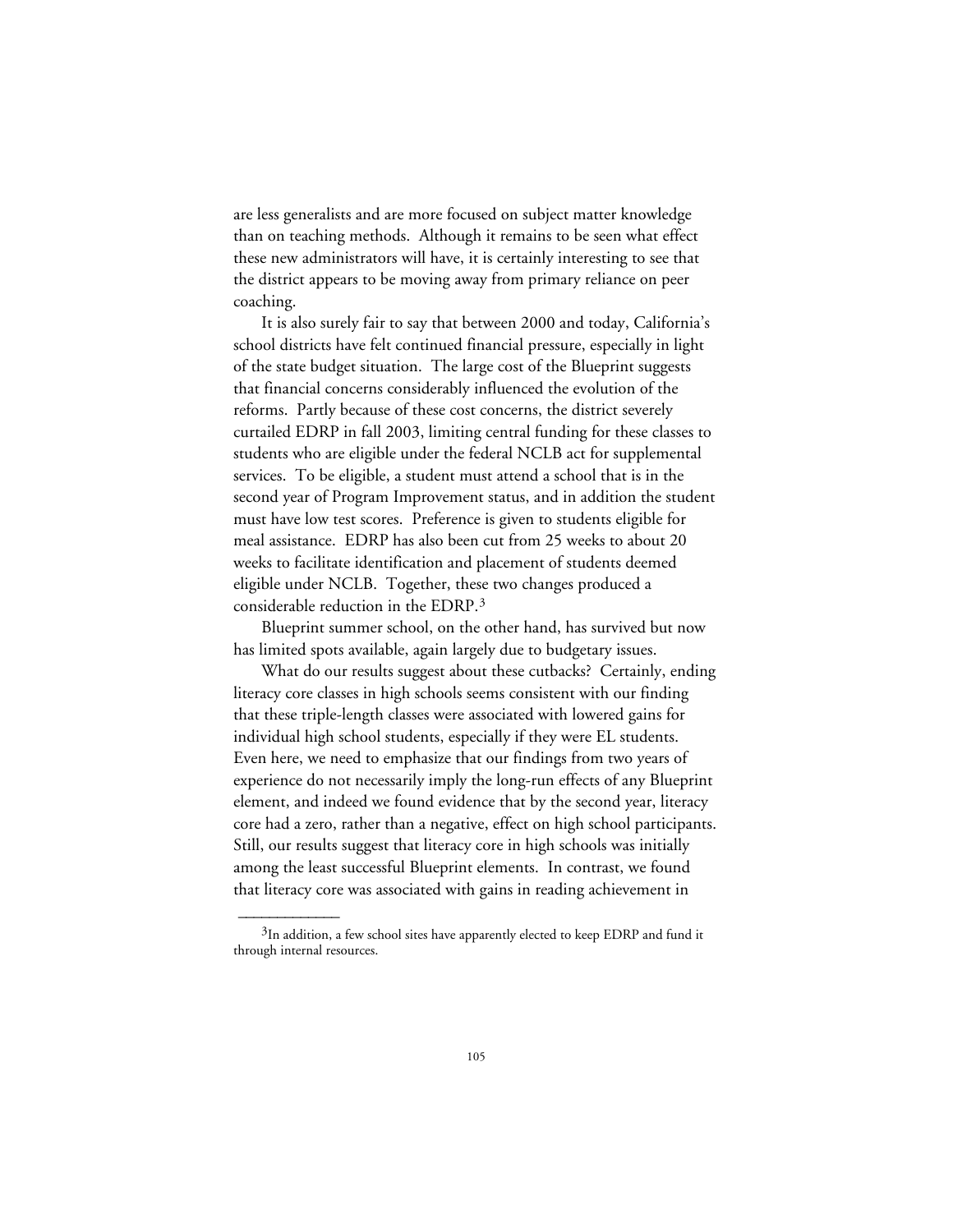are less generalists and are more focused on subject matter knowledge than on teaching methods. Although it remains to be seen what effect these new administrators will have, it is certainly interesting to see that the district appears to be moving away from primary reliance on peer coaching.

It is also surely fair to say that between 2000 and today, California's school districts have felt continued financial pressure, especially in light of the state budget situation. The large cost of the Blueprint suggests that financial concerns considerably influenced the evolution of the reforms. Partly because of these cost concerns, the district severely curtailed EDRP in fall 2003, limiting central funding for these classes to students who are eligible under the federal NCLB act for supplemental services. To be eligible, a student must attend a school that is in the second year of Program Improvement status, and in addition the student must have low test scores. Preference is given to students eligible for meal assistance. EDRP has also been cut from 25 weeks to about 20 weeks to facilitate identification and placement of students deemed eligible under NCLB. Together, these two changes produced a considerable reduction in the EDRP.3

Blueprint summer school, on the other hand, has survived but now has limited spots available, again largely due to budgetary issues.

What do our results suggest about these cutbacks? Certainly, ending literacy core classes in high schools seems consistent with our finding that these triple-length classes were associated with lowered gains for individual high school students, especially if they were EL students. Even here, we need to emphasize that our findings from two years of experience do not necessarily imply the long-run effects of any Blueprint element, and indeed we found evidence that by the second year, literacy core had a zero, rather than a negative, effect on high school participants. Still, our results suggest that literacy core in high schools was initially among the least successful Blueprint elements. In contrast, we found that literacy core was associated with gains in reading achievement in

 $\overline{\phantom{a}}$ 

 $3$ In addition, a few school sites have apparently elected to keep EDRP and fund it through internal resources.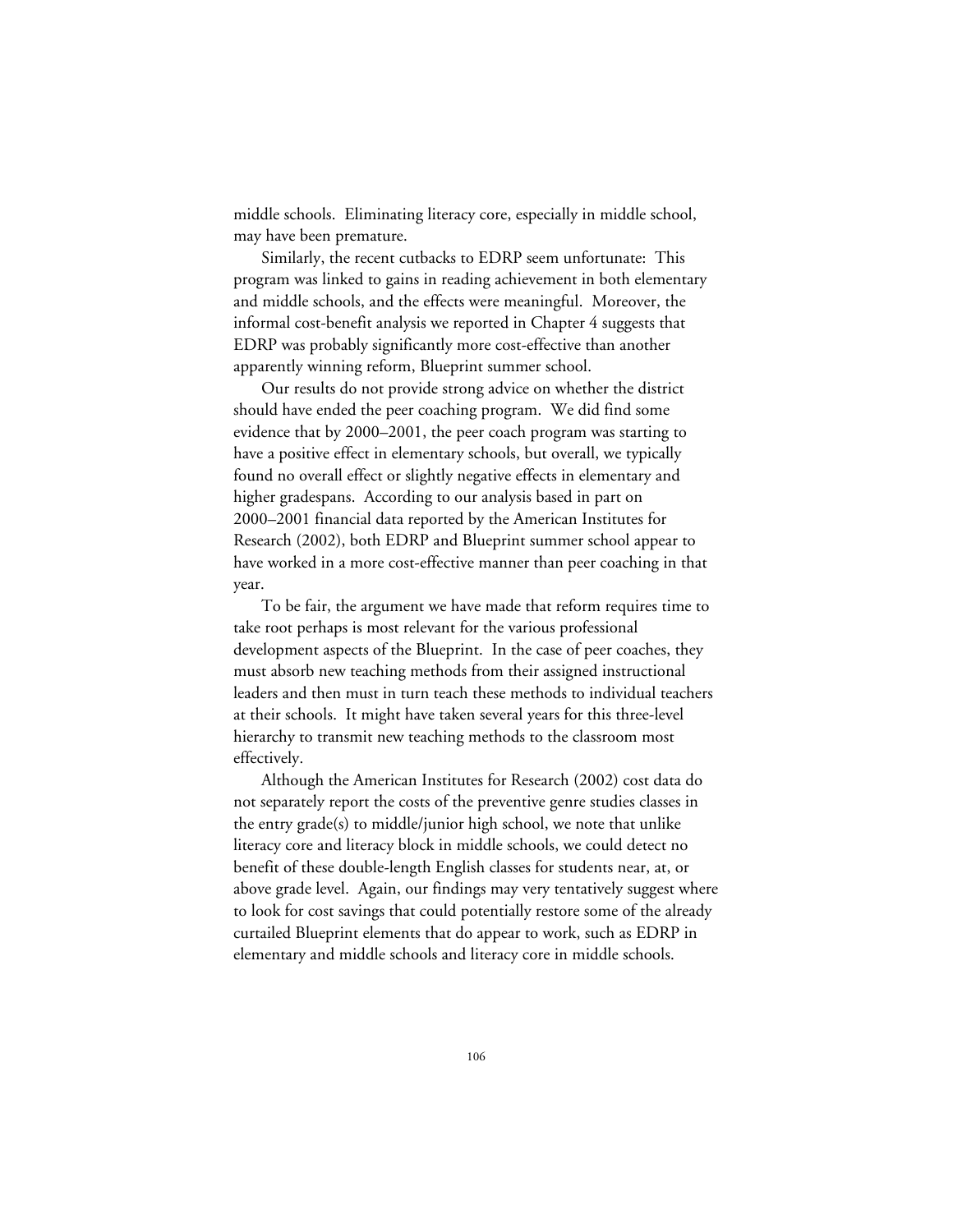middle schools. Eliminating literacy core, especially in middle school, may have been premature.

Similarly, the recent cutbacks to EDRP seem unfortunate: This program was linked to gains in reading achievement in both elementary and middle schools, and the effects were meaningful. Moreover, the informal cost-benefit analysis we reported in Chapter 4 suggests that EDRP was probably significantly more cost-effective than another apparently winning reform, Blueprint summer school.

Our results do not provide strong advice on whether the district should have ended the peer coaching program. We did find some evidence that by 2000–2001, the peer coach program was starting to have a positive effect in elementary schools, but overall, we typically found no overall effect or slightly negative effects in elementary and higher gradespans. According to our analysis based in part on 2000–2001 financial data reported by the American Institutes for Research (2002), both EDRP and Blueprint summer school appear to have worked in a more cost-effective manner than peer coaching in that year.

To be fair, the argument we have made that reform requires time to take root perhaps is most relevant for the various professional development aspects of the Blueprint. In the case of peer coaches, they must absorb new teaching methods from their assigned instructional leaders and then must in turn teach these methods to individual teachers at their schools. It might have taken several years for this three-level hierarchy to transmit new teaching methods to the classroom most effectively.

Although the American Institutes for Research (2002) cost data do not separately report the costs of the preventive genre studies classes in the entry grade(s) to middle/junior high school, we note that unlike literacy core and literacy block in middle schools, we could detect no benefit of these double-length English classes for students near, at, or above grade level. Again, our findings may very tentatively suggest where to look for cost savings that could potentially restore some of the already curtailed Blueprint elements that do appear to work, such as EDRP in elementary and middle schools and literacy core in middle schools.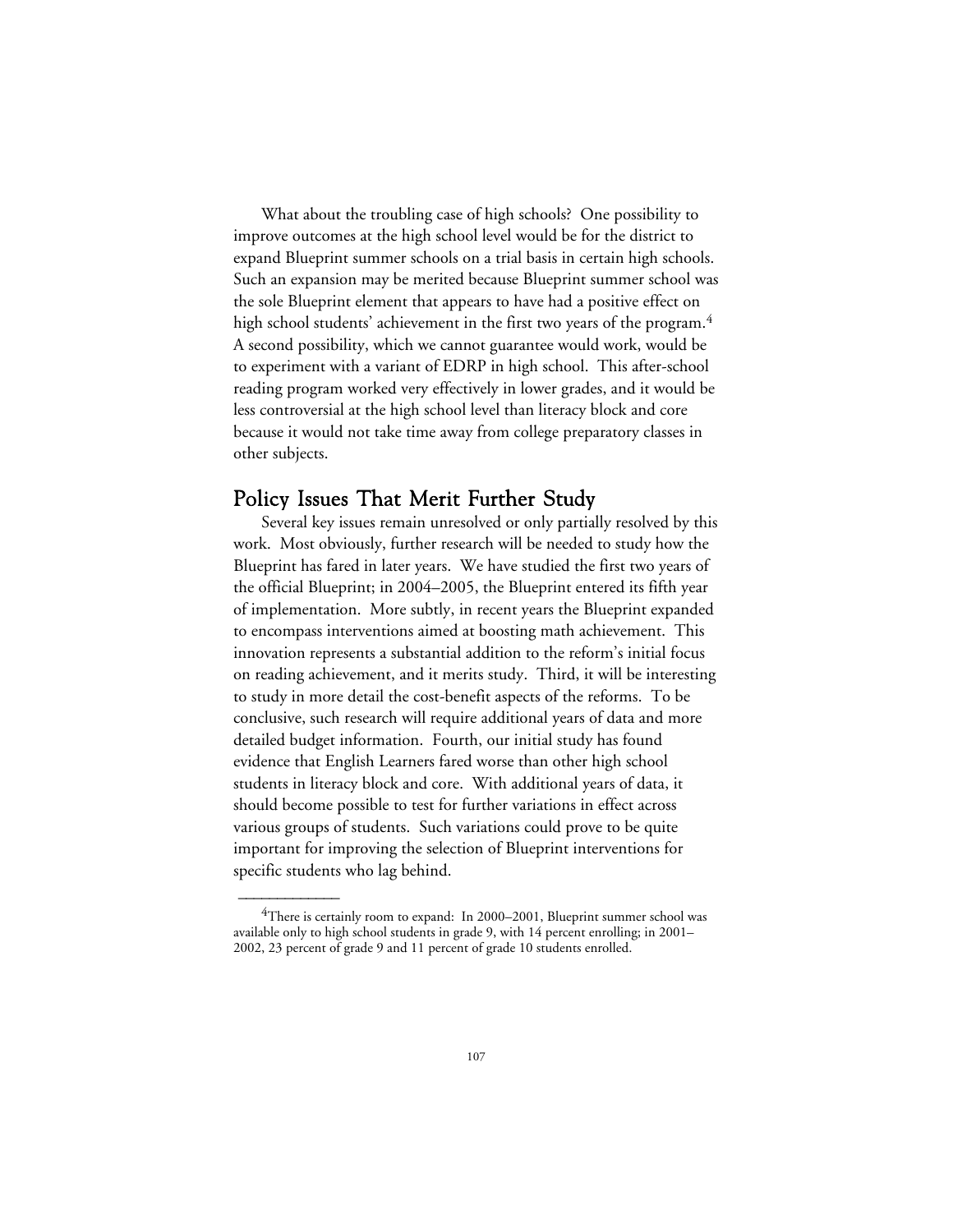What about the troubling case of high schools? One possibility to improve outcomes at the high school level would be for the district to expand Blueprint summer schools on a trial basis in certain high schools. Such an expansion may be merited because Blueprint summer school was the sole Blueprint element that appears to have had a positive effect on high school students' achievement in the first two years of the program.<sup>4</sup> A second possibility, which we cannot guarantee would work, would be to experiment with a variant of EDRP in high school. This after-school reading program worked very effectively in lower grades, and it would be less controversial at the high school level than literacy block and core because it would not take time away from college preparatory classes in other subjects.

#### Policy Issues That Merit Further Study

Several key issues remain unresolved or only partially resolved by this work. Most obviously, further research will be needed to study how the Blueprint has fared in later years. We have studied the first two years of the official Blueprint; in 2004–2005, the Blueprint entered its fifth year of implementation. More subtly, in recent years the Blueprint expanded to encompass interventions aimed at boosting math achievement. This innovation represents a substantial addition to the reform's initial focus on reading achievement, and it merits study. Third, it will be interesting to study in more detail the cost-benefit aspects of the reforms. To be conclusive, such research will require additional years of data and more detailed budget information. Fourth, our initial study has found evidence that English Learners fared worse than other high school students in literacy block and core. With additional years of data, it should become possible to test for further variations in effect across various groups of students. Such variations could prove to be quite important for improving the selection of Blueprint interventions for specific students who lag behind.

 $\overline{\phantom{a}}$ 

 $4$ There is certainly room to expand: In 2000–2001, Blueprint summer school was available only to high school students in grade 9, with 14 percent enrolling; in 2001– 2002, 23 percent of grade 9 and 11 percent of grade 10 students enrolled.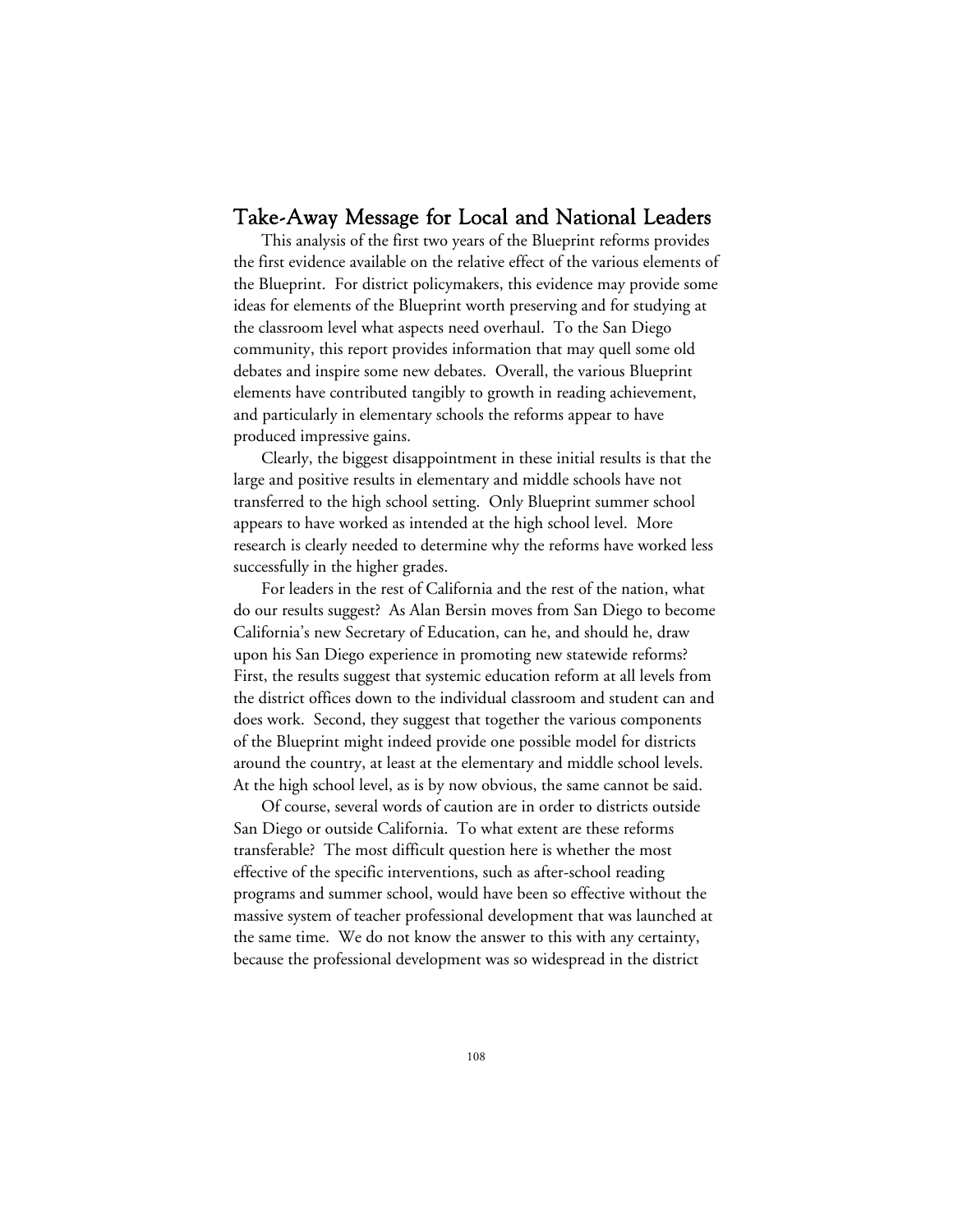#### Take-Away Message for Local and National Leaders

This analysis of the first two years of the Blueprint reforms provides the first evidence available on the relative effect of the various elements of the Blueprint. For district policymakers, this evidence may provide some ideas for elements of the Blueprint worth preserving and for studying at the classroom level what aspects need overhaul. To the San Diego community, this report provides information that may quell some old debates and inspire some new debates. Overall, the various Blueprint elements have contributed tangibly to growth in reading achievement, and particularly in elementary schools the reforms appear to have produced impressive gains.

Clearly, the biggest disappointment in these initial results is that the large and positive results in elementary and middle schools have not transferred to the high school setting. Only Blueprint summer school appears to have worked as intended at the high school level. More research is clearly needed to determine why the reforms have worked less successfully in the higher grades.

For leaders in the rest of California and the rest of the nation, what do our results suggest? As Alan Bersin moves from San Diego to become California's new Secretary of Education, can he, and should he, draw upon his San Diego experience in promoting new statewide reforms? First, the results suggest that systemic education reform at all levels from the district offices down to the individual classroom and student can and does work. Second, they suggest that together the various components of the Blueprint might indeed provide one possible model for districts around the country, at least at the elementary and middle school levels. At the high school level, as is by now obvious, the same cannot be said.

Of course, several words of caution are in order to districts outside San Diego or outside California. To what extent are these reforms transferable? The most difficult question here is whether the most effective of the specific interventions, such as after-school reading programs and summer school, would have been so effective without the massive system of teacher professional development that was launched at the same time. We do not know the answer to this with any certainty, because the professional development was so widespread in the district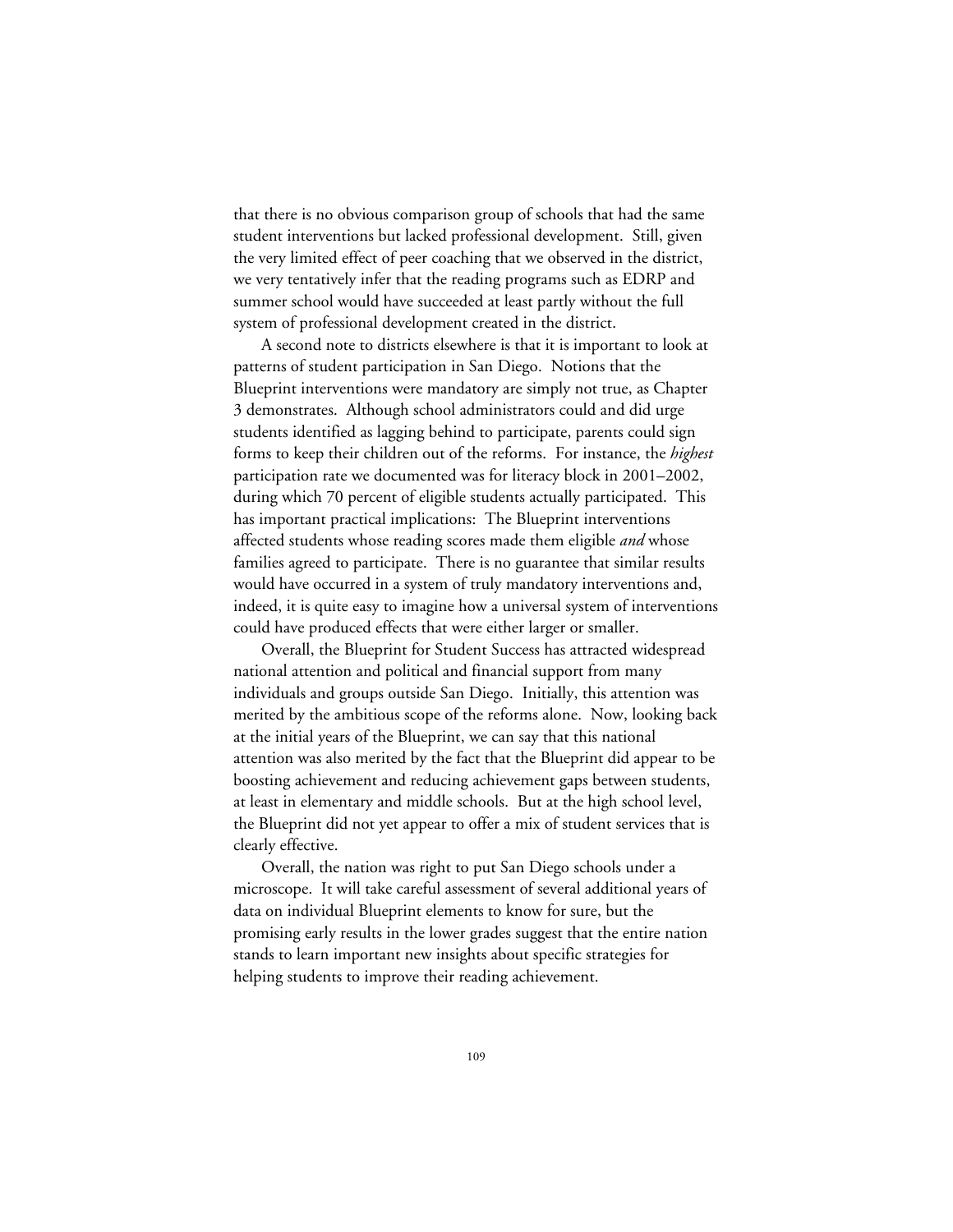that there is no obvious comparison group of schools that had the same student interventions but lacked professional development. Still, given the very limited effect of peer coaching that we observed in the district, we very tentatively infer that the reading programs such as EDRP and summer school would have succeeded at least partly without the full system of professional development created in the district.

A second note to districts elsewhere is that it is important to look at patterns of student participation in San Diego. Notions that the Blueprint interventions were mandatory are simply not true, as Chapter 3 demonstrates. Although school administrators could and did urge students identified as lagging behind to participate, parents could sign forms to keep their children out of the reforms. For instance, the *highest* participation rate we documented was for literacy block in 2001–2002, during which 70 percent of eligible students actually participated. This has important practical implications: The Blueprint interventions affected students whose reading scores made them eligible *and* whose families agreed to participate. There is no guarantee that similar results would have occurred in a system of truly mandatory interventions and, indeed, it is quite easy to imagine how a universal system of interventions could have produced effects that were either larger or smaller.

Overall, the Blueprint for Student Success has attracted widespread national attention and political and financial support from many individuals and groups outside San Diego. Initially, this attention was merited by the ambitious scope of the reforms alone. Now, looking back at the initial years of the Blueprint, we can say that this national attention was also merited by the fact that the Blueprint did appear to be boosting achievement and reducing achievement gaps between students, at least in elementary and middle schools. But at the high school level, the Blueprint did not yet appear to offer a mix of student services that is clearly effective.

Overall, the nation was right to put San Diego schools under a microscope. It will take careful assessment of several additional years of data on individual Blueprint elements to know for sure, but the promising early results in the lower grades suggest that the entire nation stands to learn important new insights about specific strategies for helping students to improve their reading achievement.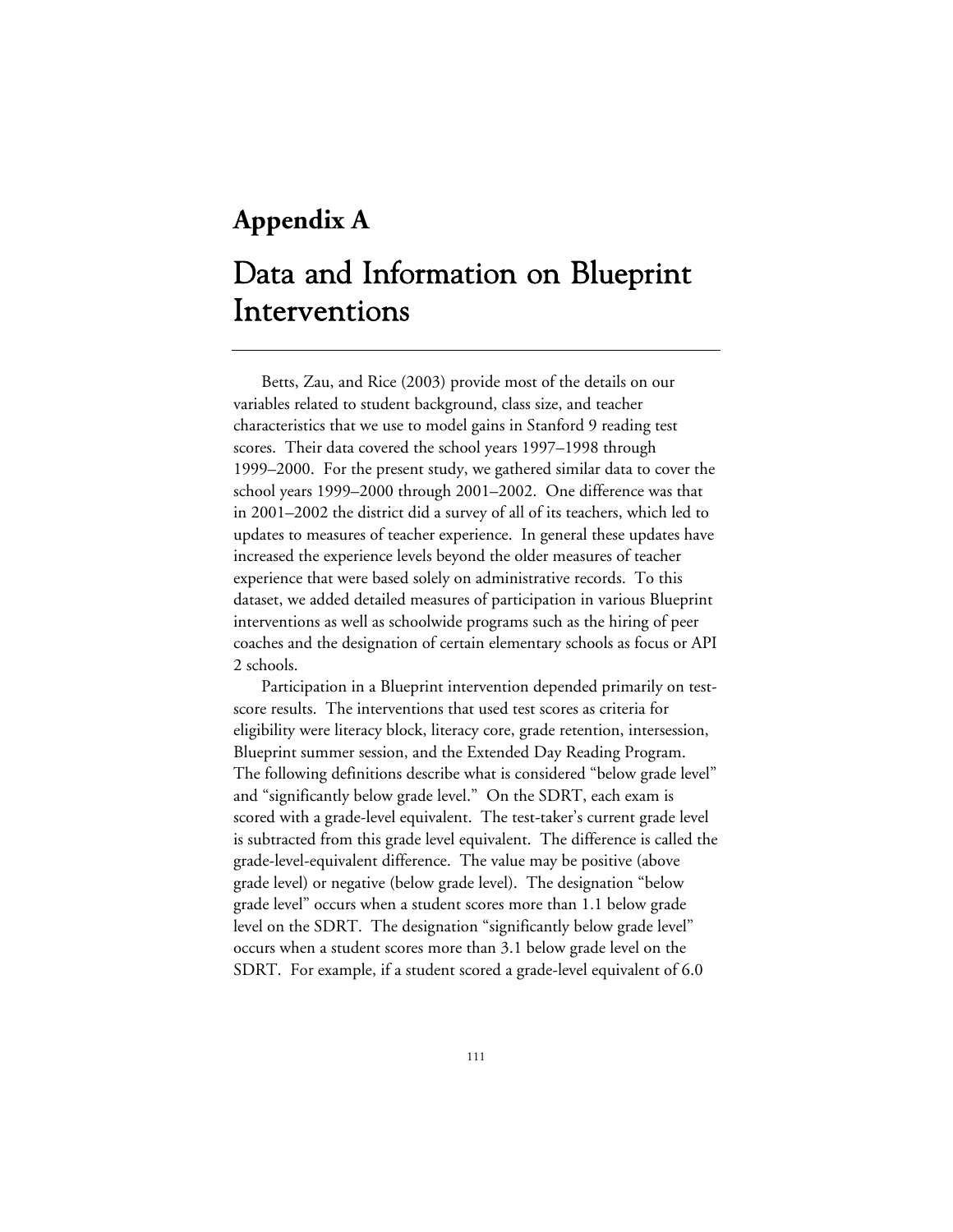### **Appendix A**

## Data and Information on Blueprint Interventions

Betts, Zau, and Rice (2003) provide most of the details on our variables related to student background, class size, and teacher characteristics that we use to model gains in Stanford 9 reading test scores. Their data covered the school years 1997–1998 through 1999–2000. For the present study, we gathered similar data to cover the school years 1999–2000 through 2001–2002. One difference was that in 2001–2002 the district did a survey of all of its teachers, which led to updates to measures of teacher experience. In general these updates have increased the experience levels beyond the older measures of teacher experience that were based solely on administrative records. To this dataset, we added detailed measures of participation in various Blueprint interventions as well as schoolwide programs such as the hiring of peer coaches and the designation of certain elementary schools as focus or API 2 schools.

Participation in a Blueprint intervention depended primarily on testscore results. The interventions that used test scores as criteria for eligibility were literacy block, literacy core, grade retention, intersession, Blueprint summer session, and the Extended Day Reading Program. The following definitions describe what is considered "below grade level" and "significantly below grade level." On the SDRT, each exam is scored with a grade-level equivalent. The test-taker's current grade level is subtracted from this grade level equivalent. The difference is called the grade-level-equivalent difference. The value may be positive (above grade level) or negative (below grade level). The designation "below grade level" occurs when a student scores more than 1.1 below grade level on the SDRT. The designation "significantly below grade level" occurs when a student scores more than 3.1 below grade level on the SDRT. For example, if a student scored a grade-level equivalent of 6.0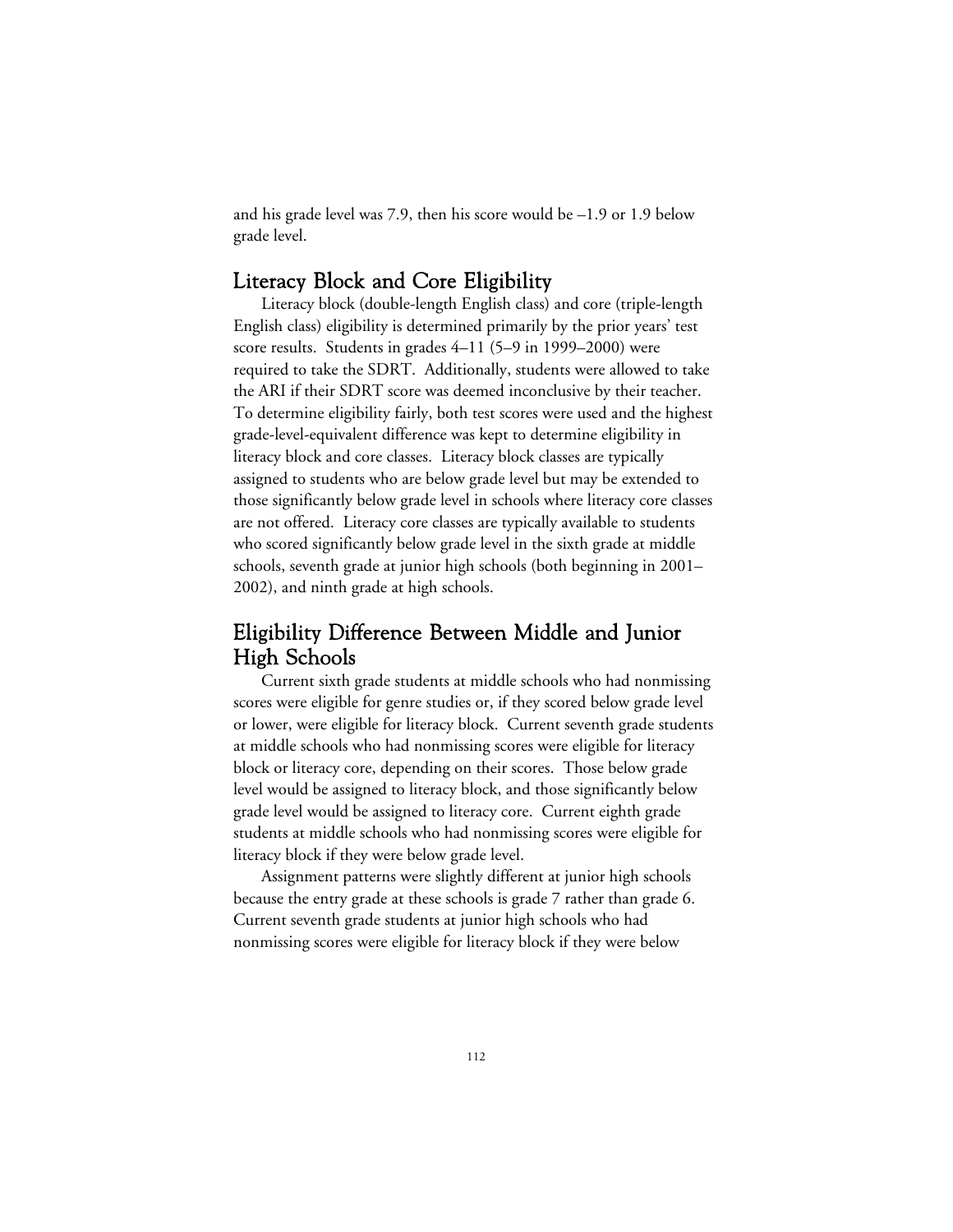and his grade level was 7.9, then his score would be –1.9 or 1.9 below grade level.

#### Literacy Block and Core Eligibility

Literacy block (double-length English class) and core (triple-length English class) eligibility is determined primarily by the prior years' test score results. Students in grades 4–11 (5–9 in 1999–2000) were required to take the SDRT. Additionally, students were allowed to take the ARI if their SDRT score was deemed inconclusive by their teacher. To determine eligibility fairly, both test scores were used and the highest grade-level-equivalent difference was kept to determine eligibility in literacy block and core classes. Literacy block classes are typically assigned to students who are below grade level but may be extended to those significantly below grade level in schools where literacy core classes are not offered. Literacy core classes are typically available to students who scored significantly below grade level in the sixth grade at middle schools, seventh grade at junior high schools (both beginning in 2001– 2002), and ninth grade at high schools.

### Eligibility Difference Between Middle and Junior High Schools

Current sixth grade students at middle schools who had nonmissing scores were eligible for genre studies or, if they scored below grade level or lower, were eligible for literacy block. Current seventh grade students at middle schools who had nonmissing scores were eligible for literacy block or literacy core, depending on their scores. Those below grade level would be assigned to literacy block, and those significantly below grade level would be assigned to literacy core. Current eighth grade students at middle schools who had nonmissing scores were eligible for literacy block if they were below grade level.

Assignment patterns were slightly different at junior high schools because the entry grade at these schools is grade 7 rather than grade 6. Current seventh grade students at junior high schools who had nonmissing scores were eligible for literacy block if they were below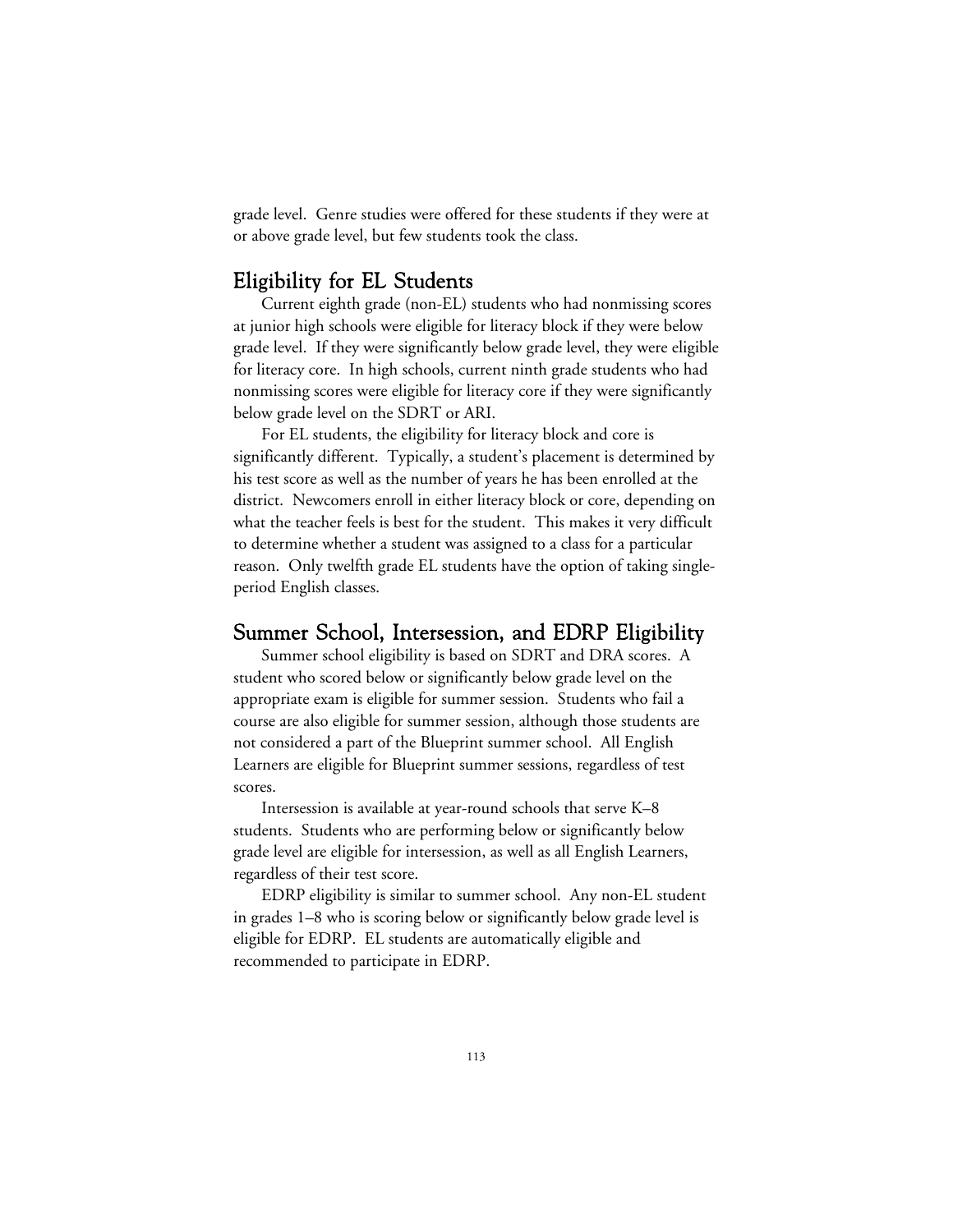grade level. Genre studies were offered for these students if they were at or above grade level, but few students took the class.

### Eligibility for EL Students

Current eighth grade (non-EL) students who had nonmissing scores at junior high schools were eligible for literacy block if they were below grade level. If they were significantly below grade level, they were eligible for literacy core. In high schools, current ninth grade students who had nonmissing scores were eligible for literacy core if they were significantly below grade level on the SDRT or ARI.

For EL students, the eligibility for literacy block and core is significantly different. Typically, a student's placement is determined by his test score as well as the number of years he has been enrolled at the district. Newcomers enroll in either literacy block or core, depending on what the teacher feels is best for the student. This makes it very difficult to determine whether a student was assigned to a class for a particular reason. Only twelfth grade EL students have the option of taking singleperiod English classes.

#### Summer School, Intersession, and EDRP Eligibility

Summer school eligibility is based on SDRT and DRA scores. A student who scored below or significantly below grade level on the appropriate exam is eligible for summer session. Students who fail a course are also eligible for summer session, although those students are not considered a part of the Blueprint summer school. All English Learners are eligible for Blueprint summer sessions, regardless of test scores.

Intersession is available at year-round schools that serve K–8 students. Students who are performing below or significantly below grade level are eligible for intersession, as well as all English Learners, regardless of their test score.

EDRP eligibility is similar to summer school. Any non-EL student in grades 1–8 who is scoring below or significantly below grade level is eligible for EDRP. EL students are automatically eligible and recommended to participate in EDRP.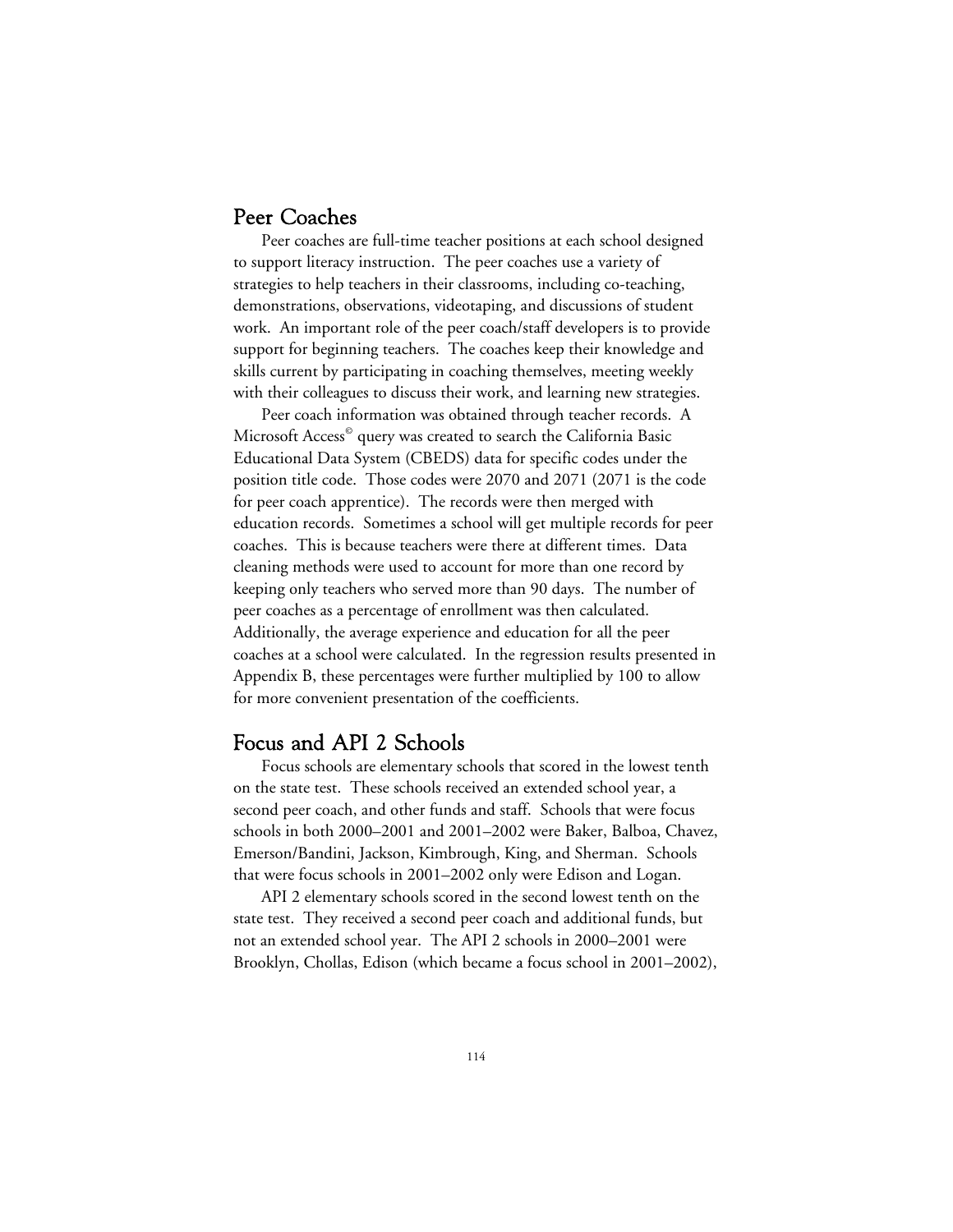#### Peer Coaches

Peer coaches are full-time teacher positions at each school designed to support literacy instruction. The peer coaches use a variety of strategies to help teachers in their classrooms, including co-teaching, demonstrations, observations, videotaping, and discussions of student work. An important role of the peer coach/staff developers is to provide support for beginning teachers. The coaches keep their knowledge and skills current by participating in coaching themselves, meeting weekly with their colleagues to discuss their work, and learning new strategies.

Peer coach information was obtained through teacher records. A Microsoft Access<sup>®</sup> query was created to search the California Basic Educational Data System (CBEDS) data for specific codes under the position title code. Those codes were 2070 and 2071 (2071 is the code for peer coach apprentice). The records were then merged with education records. Sometimes a school will get multiple records for peer coaches. This is because teachers were there at different times. Data cleaning methods were used to account for more than one record by keeping only teachers who served more than 90 days. The number of peer coaches as a percentage of enrollment was then calculated. Additionally, the average experience and education for all the peer coaches at a school were calculated. In the regression results presented in Appendix B, these percentages were further multiplied by 100 to allow for more convenient presentation of the coefficients.

### Focus and API 2 Schools

Focus schools are elementary schools that scored in the lowest tenth on the state test. These schools received an extended school year, a second peer coach, and other funds and staff. Schools that were focus schools in both 2000–2001 and 2001–2002 were Baker, Balboa, Chavez, Emerson/Bandini, Jackson, Kimbrough, King, and Sherman. Schools that were focus schools in 2001–2002 only were Edison and Logan.

API 2 elementary schools scored in the second lowest tenth on the state test. They received a second peer coach and additional funds, but not an extended school year. The API 2 schools in 2000–2001 were Brooklyn, Chollas, Edison (which became a focus school in 2001–2002),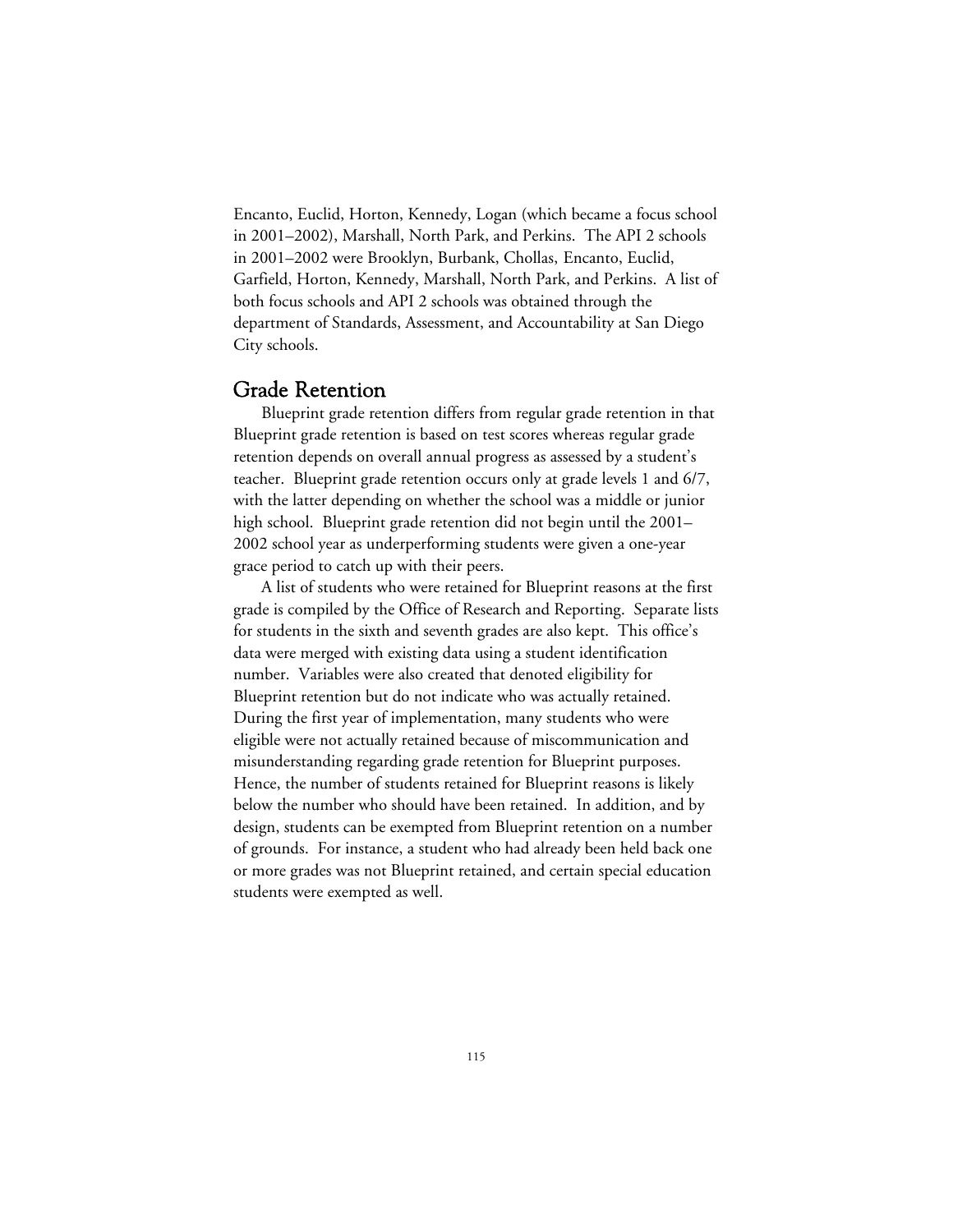Encanto, Euclid, Horton, Kennedy, Logan (which became a focus school in 2001–2002), Marshall, North Park, and Perkins. The API 2 schools in 2001–2002 were Brooklyn, Burbank, Chollas, Encanto, Euclid, Garfield, Horton, Kennedy, Marshall, North Park, and Perkins. A list of both focus schools and API 2 schools was obtained through the department of Standards, Assessment, and Accountability at San Diego City schools.

#### Grade Retention

Blueprint grade retention differs from regular grade retention in that Blueprint grade retention is based on test scores whereas regular grade retention depends on overall annual progress as assessed by a student's teacher. Blueprint grade retention occurs only at grade levels 1 and 6/7, with the latter depending on whether the school was a middle or junior high school. Blueprint grade retention did not begin until the 2001– 2002 school year as underperforming students were given a one-year grace period to catch up with their peers.

A list of students who were retained for Blueprint reasons at the first grade is compiled by the Office of Research and Reporting. Separate lists for students in the sixth and seventh grades are also kept. This office's data were merged with existing data using a student identification number. Variables were also created that denoted eligibility for Blueprint retention but do not indicate who was actually retained. During the first year of implementation, many students who were eligible were not actually retained because of miscommunication and misunderstanding regarding grade retention for Blueprint purposes. Hence, the number of students retained for Blueprint reasons is likely below the number who should have been retained. In addition, and by design, students can be exempted from Blueprint retention on a number of grounds. For instance, a student who had already been held back one or more grades was not Blueprint retained, and certain special education students were exempted as well.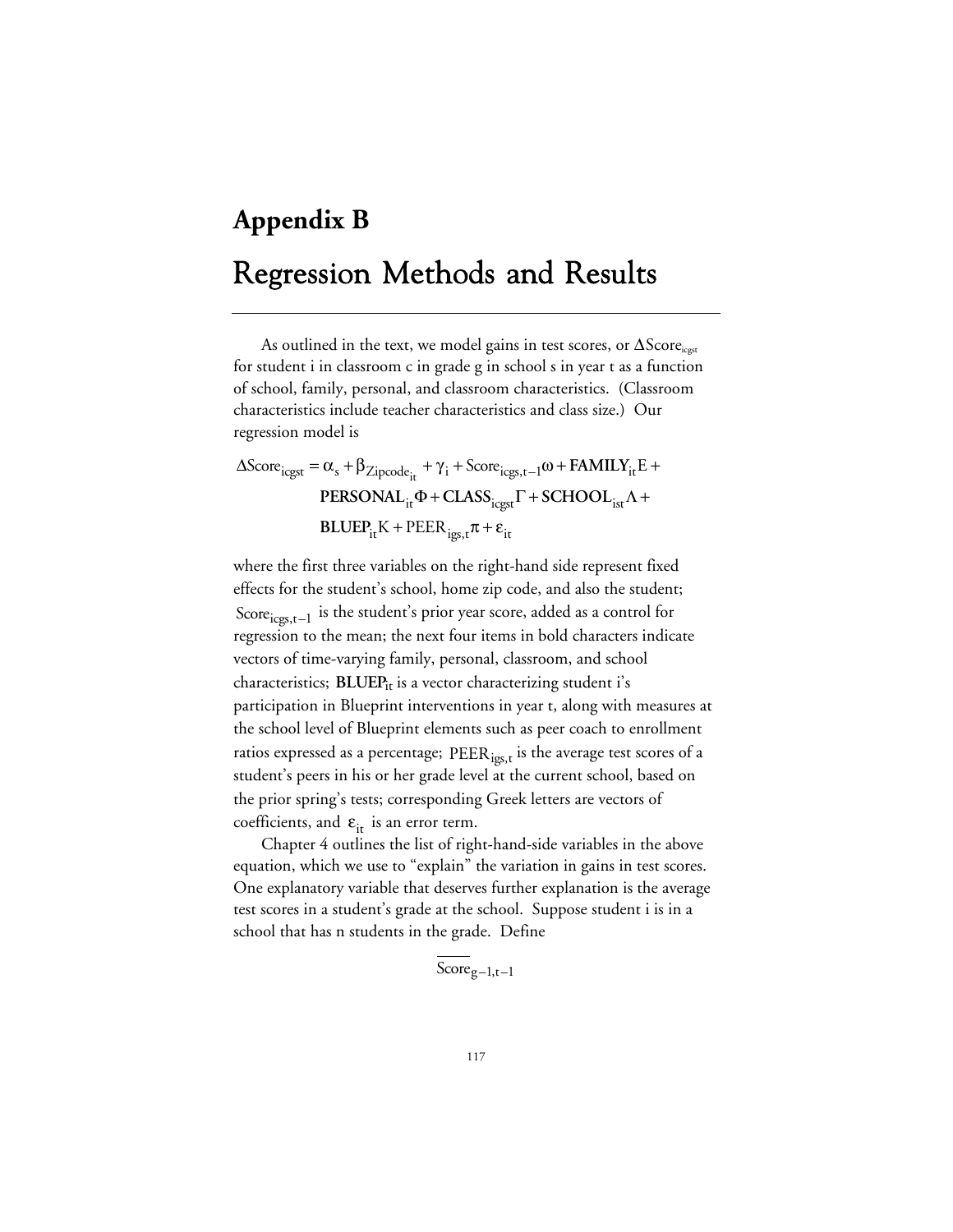# **Appendix B** Regression Methods and Results

As outlined in the text, we model gains in test scores, or  $\Delta\text{Score}_{\text{icest}}$ for student i in classroom c in grade g in school s in year t as a function of school, family, personal, and classroom characteristics. (Classroom characteristics include teacher characteristics and class size.) Our regression model is

$$
\Delta Score_{icgst} = \alpha_s + \beta_{Zipcode_{it}} + \gamma_i + Score_{icgs, t-1}\omega + FAMILY_{it}E +\nPERSONAL_{it}\Phi + CLASS_{icgst} \Gamma + SCHOOL_{ist}\Lambda +\nBLUEP_{it}K + PEER_{igs, t}\pi + \varepsilon_{it}
$$

where the first three variables on the right-hand side represent fixed effects for the student's school, home zip code, and also the student; Score $_{\text{icgs,t-1}}$  is the student's prior year score, added as a control for regression to the mean; the next four items in bold characters indicate vectors of time-varying family, personal, classroom, and school characteristics; **BLUEP**<sub>it</sub> is a vector characterizing student i's participation in Blueprint interventions in year t, along with measures at the school level of Blueprint elements such as peer coach to enrollment ratios expressed as a percentage; PEER<sub>igs,t</sub> is the average test scores of a student's peers in his or her grade level at the current school, based on the prior spring's tests; corresponding Greek letters are vectors of coefficients, and  $\varepsilon_{it}$  is an error term.

Chapter 4 outlines the list of right-hand-side variables in the above equation, which we use to "explain" the variation in gains in test scores. One explanatory variable that deserves further explanation is the average test scores in a student's grade at the school. Suppose student i is in a school that has n students in the grade. Define

$$
\text{Score}_{g-1,t-1}
$$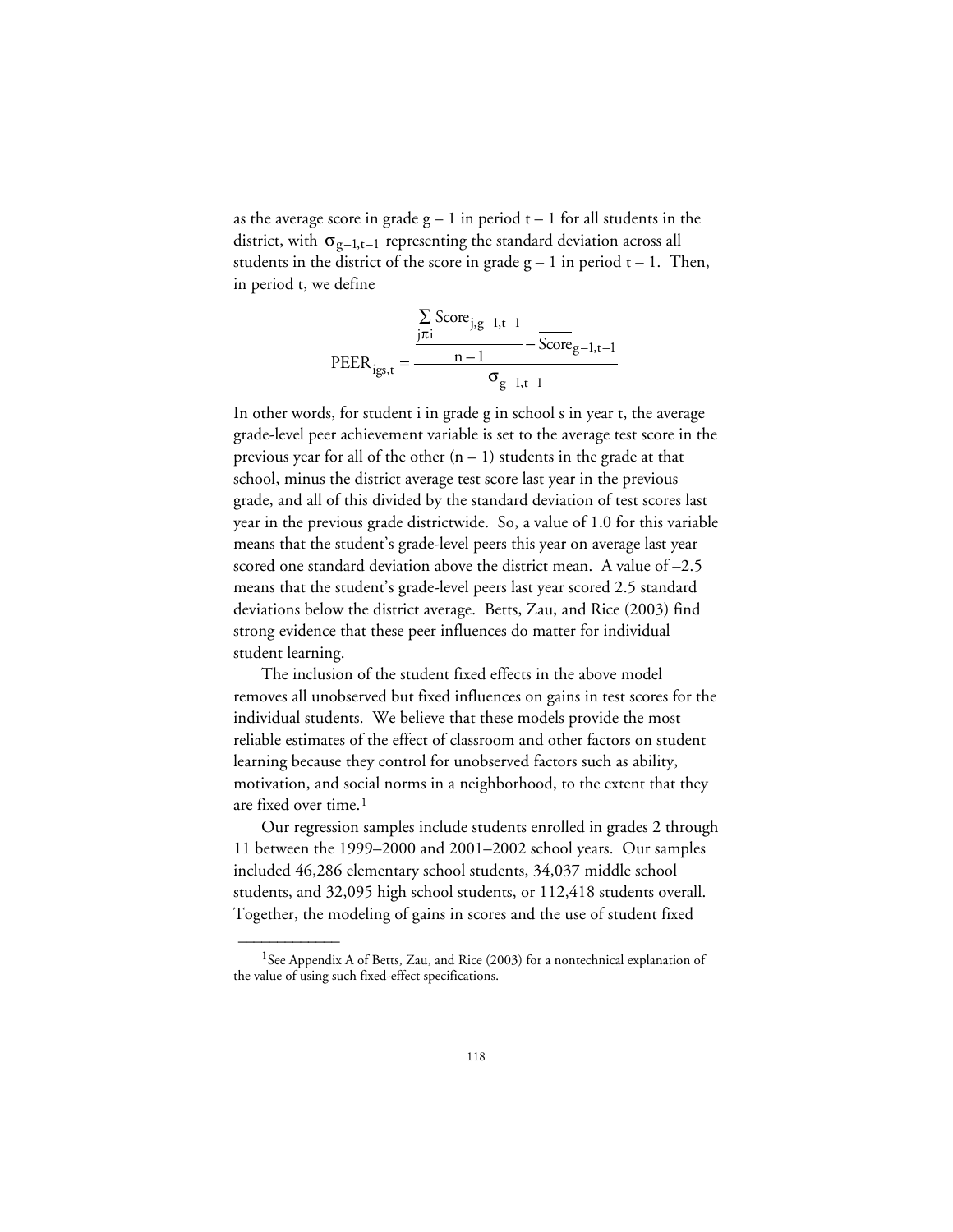as the average score in grade  $g - 1$  in period  $t - 1$  for all students in the district, with  $\sigma_{g-1,t-1}$  representing the standard deviation across all students in the district of the score in grade  $g - 1$  in period  $t - 1$ . Then, in period t, we define

$$
PEER_{igs,t} = \frac{\frac{\sum_{j\pi i} Score_{j,g-1,t-1}}{m-1} - \overline{Score}_{g-1,t-1}}{\sigma_{g-1,t-1}}
$$

In other words, for student i in grade g in school s in year t, the average grade-level peer achievement variable is set to the average test score in the previous year for all of the other  $(n - 1)$  students in the grade at that school, minus the district average test score last year in the previous grade, and all of this divided by the standard deviation of test scores last year in the previous grade districtwide. So, a value of 1.0 for this variable means that the student's grade-level peers this year on average last year scored one standard deviation above the district mean. A value of –2.5 means that the student's grade-level peers last year scored 2.5 standard deviations below the district average. Betts, Zau, and Rice (2003) find strong evidence that these peer influences do matter for individual student learning.

The inclusion of the student fixed effects in the above model removes all unobserved but fixed influences on gains in test scores for the individual students. We believe that these models provide the most reliable estimates of the effect of classroom and other factors on student learning because they control for unobserved factors such as ability, motivation, and social norms in a neighborhood, to the extent that they are fixed over time.<sup>1</sup>

Our regression samples include students enrolled in grades 2 through 11 between the 1999–2000 and 2001–2002 school years. Our samples included 46,286 elementary school students, 34,037 middle school students, and 32,095 high school students, or 112,418 students overall. Together, the modeling of gains in scores and the use of student fixed

 $\overline{\phantom{a}}$ 

<sup>&</sup>lt;sup>1</sup>See Appendix A of Betts, Zau, and Rice (2003) for a nontechnical explanation of the value of using such fixed-effect specifications.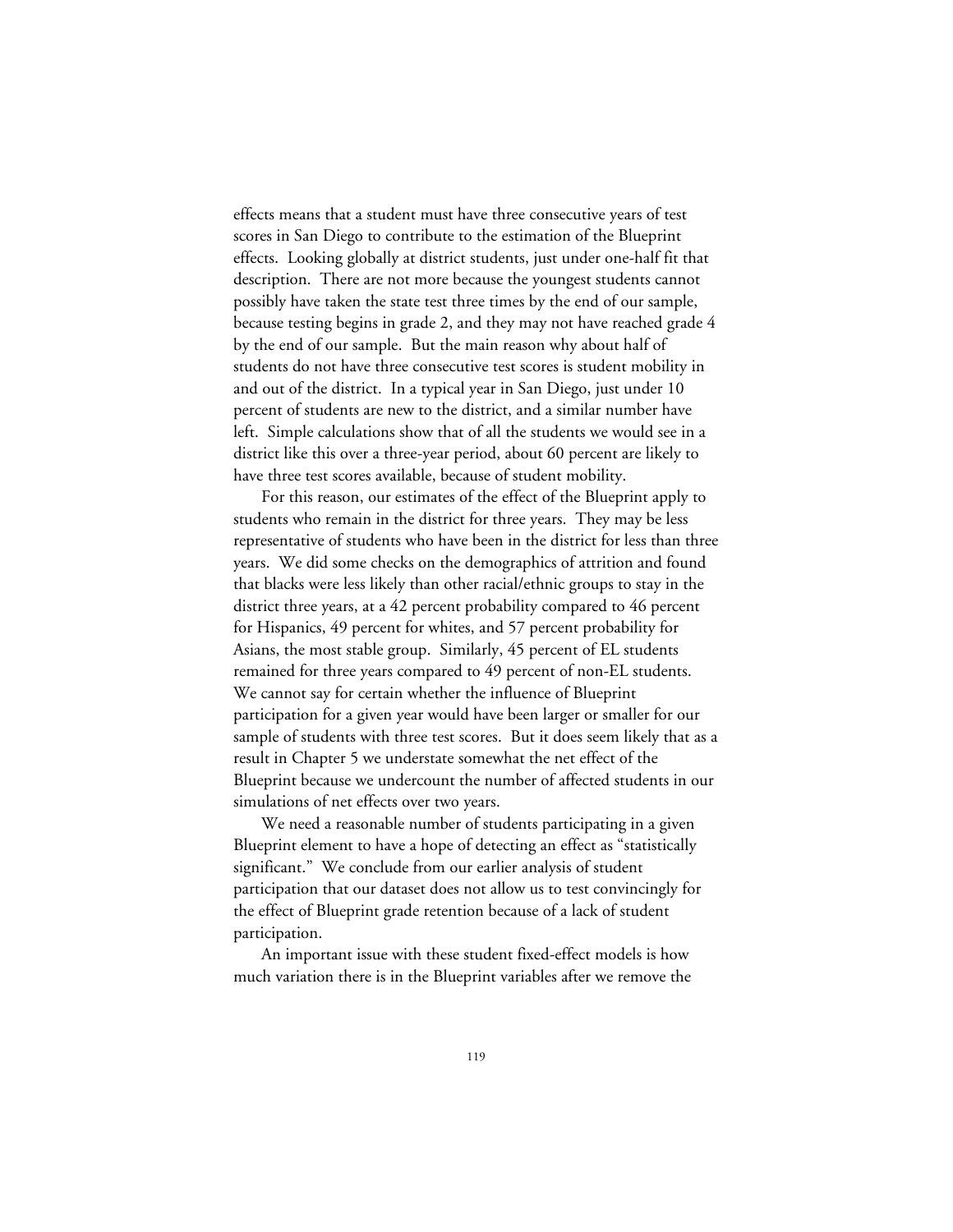effects means that a student must have three consecutive years of test scores in San Diego to contribute to the estimation of the Blueprint effects. Looking globally at district students, just under one-half fit that description. There are not more because the youngest students cannot possibly have taken the state test three times by the end of our sample, because testing begins in grade 2, and they may not have reached grade 4 by the end of our sample. But the main reason why about half of students do not have three consecutive test scores is student mobility in and out of the district. In a typical year in San Diego, just under 10 percent of students are new to the district, and a similar number have left. Simple calculations show that of all the students we would see in a district like this over a three-year period, about 60 percent are likely to have three test scores available, because of student mobility.

For this reason, our estimates of the effect of the Blueprint apply to students who remain in the district for three years. They may be less representative of students who have been in the district for less than three years. We did some checks on the demographics of attrition and found that blacks were less likely than other racial/ethnic groups to stay in the district three years, at a 42 percent probability compared to 46 percent for Hispanics, 49 percent for whites, and 57 percent probability for Asians, the most stable group. Similarly, 45 percent of EL students remained for three years compared to 49 percent of non-EL students. We cannot say for certain whether the influence of Blueprint participation for a given year would have been larger or smaller for our sample of students with three test scores. But it does seem likely that as a result in Chapter 5 we understate somewhat the net effect of the Blueprint because we undercount the number of affected students in our simulations of net effects over two years.

We need a reasonable number of students participating in a given Blueprint element to have a hope of detecting an effect as "statistically significant." We conclude from our earlier analysis of student participation that our dataset does not allow us to test convincingly for the effect of Blueprint grade retention because of a lack of student participation.

An important issue with these student fixed-effect models is how much variation there is in the Blueprint variables after we remove the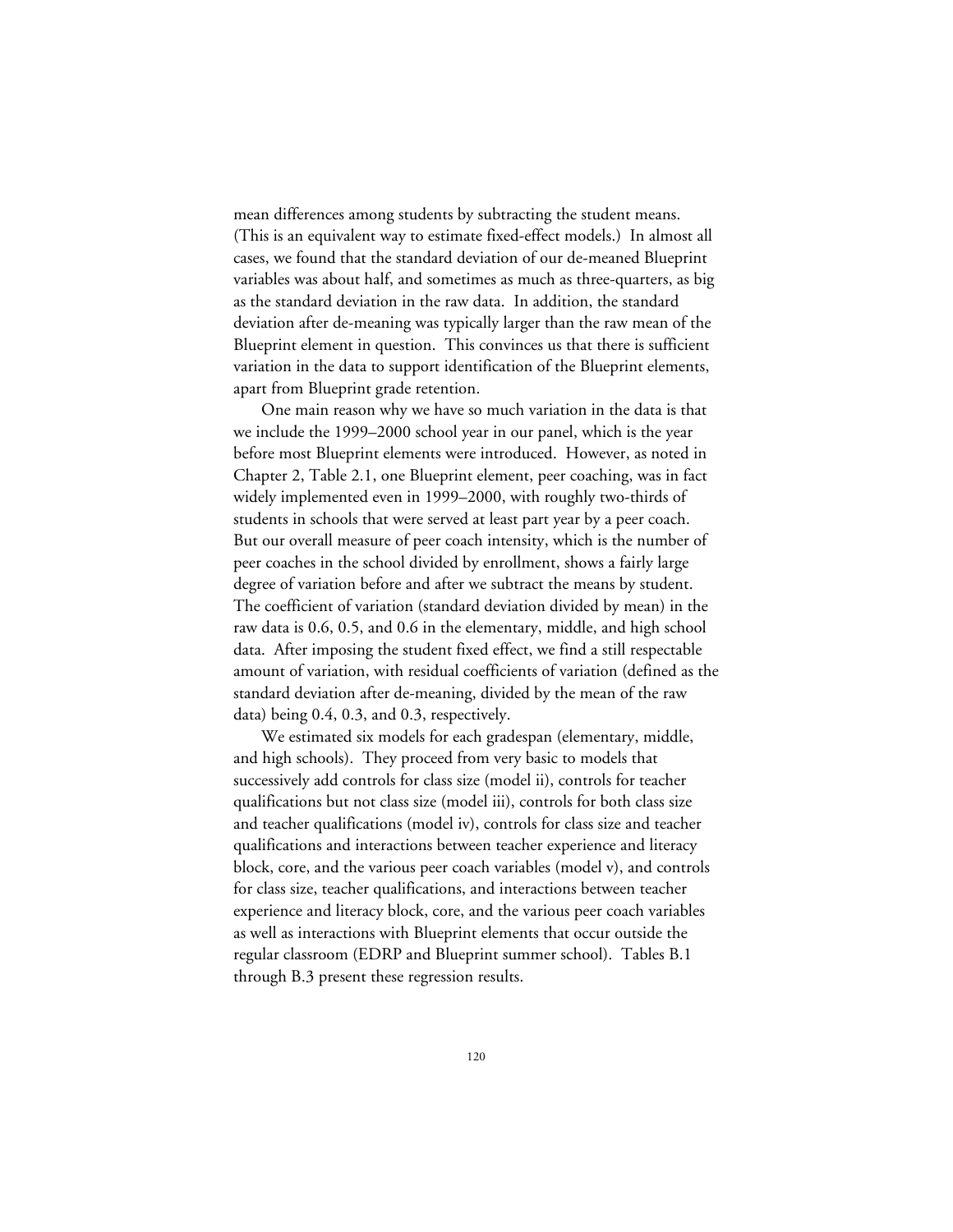mean differences among students by subtracting the student means. (This is an equivalent way to estimate fixed-effect models.) In almost all cases, we found that the standard deviation of our de-meaned Blueprint variables was about half, and sometimes as much as three-quarters, as big as the standard deviation in the raw data. In addition, the standard deviation after de-meaning was typically larger than the raw mean of the Blueprint element in question. This convinces us that there is sufficient variation in the data to support identification of the Blueprint elements, apart from Blueprint grade retention.

One main reason why we have so much variation in the data is that we include the 1999–2000 school year in our panel, which is the year before most Blueprint elements were introduced. However, as noted in Chapter 2, Table 2.1, one Blueprint element, peer coaching, was in fact widely implemented even in 1999–2000, with roughly two-thirds of students in schools that were served at least part year by a peer coach. But our overall measure of peer coach intensity, which is the number of peer coaches in the school divided by enrollment, shows a fairly large degree of variation before and after we subtract the means by student. The coefficient of variation (standard deviation divided by mean) in the raw data is 0.6, 0.5, and 0.6 in the elementary, middle, and high school data. After imposing the student fixed effect, we find a still respectable amount of variation, with residual coefficients of variation (defined as the standard deviation after de-meaning, divided by the mean of the raw data) being 0.4, 0.3, and 0.3, respectively.

We estimated six models for each gradespan (elementary, middle, and high schools). They proceed from very basic to models that successively add controls for class size (model ii), controls for teacher qualifications but not class size (model iii), controls for both class size and teacher qualifications (model iv), controls for class size and teacher qualifications and interactions between teacher experience and literacy block, core, and the various peer coach variables (model v), and controls for class size, teacher qualifications, and interactions between teacher experience and literacy block, core, and the various peer coach variables as well as interactions with Blueprint elements that occur outside the regular classroom (EDRP and Blueprint summer school). Tables B.1 through B.3 present these regression results.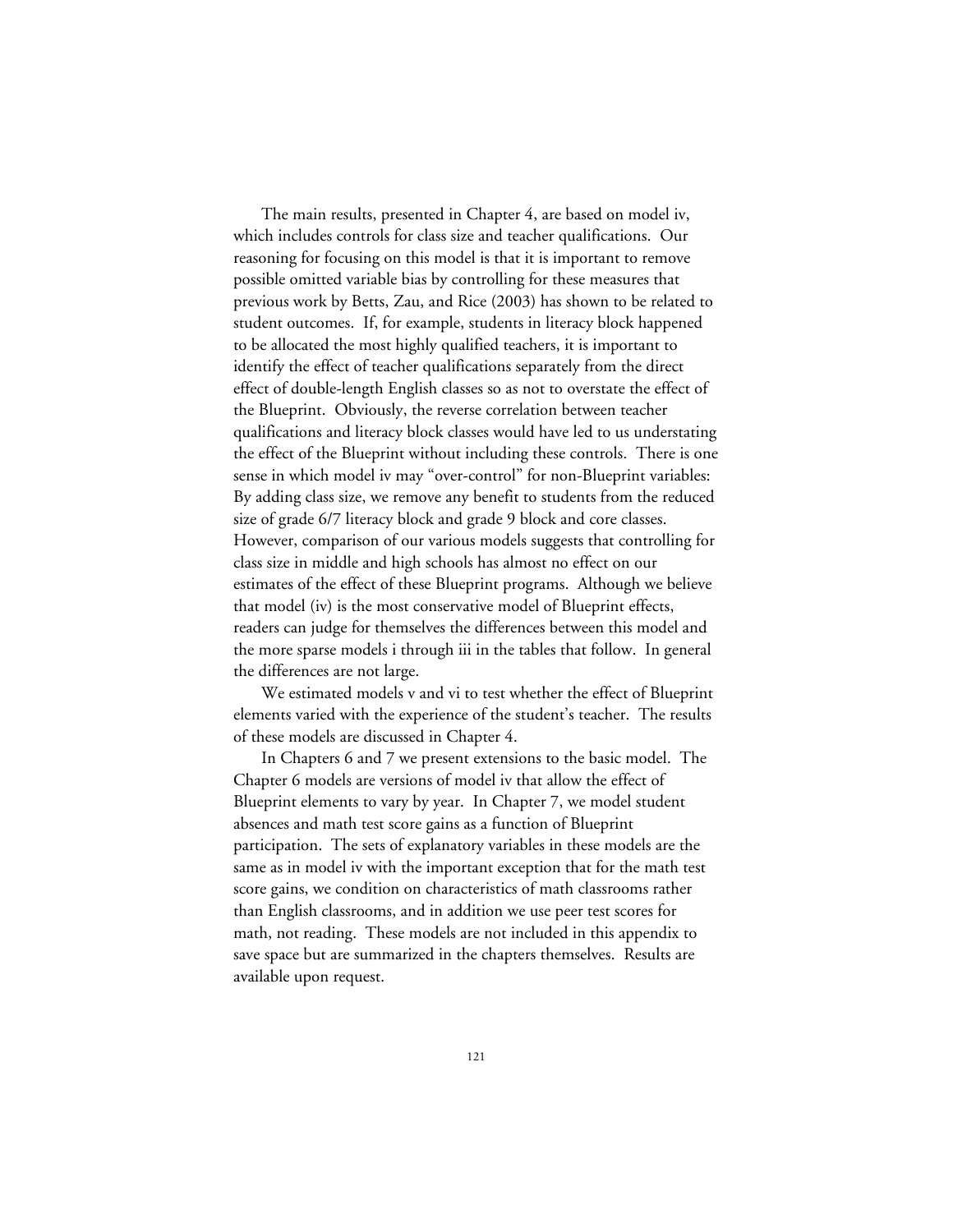The main results, presented in Chapter 4, are based on model iv, which includes controls for class size and teacher qualifications. Our reasoning for focusing on this model is that it is important to remove possible omitted variable bias by controlling for these measures that previous work by Betts, Zau, and Rice (2003) has shown to be related to student outcomes. If, for example, students in literacy block happened to be allocated the most highly qualified teachers, it is important to identify the effect of teacher qualifications separately from the direct effect of double-length English classes so as not to overstate the effect of the Blueprint. Obviously, the reverse correlation between teacher qualifications and literacy block classes would have led to us understating the effect of the Blueprint without including these controls. There is one sense in which model iv may "over-control" for non-Blueprint variables: By adding class size, we remove any benefit to students from the reduced size of grade 6/7 literacy block and grade 9 block and core classes. However, comparison of our various models suggests that controlling for class size in middle and high schools has almost no effect on our estimates of the effect of these Blueprint programs. Although we believe that model (iv) is the most conservative model of Blueprint effects, readers can judge for themselves the differences between this model and the more sparse models i through iii in the tables that follow. In general the differences are not large.

We estimated models v and vi to test whether the effect of Blueprint elements varied with the experience of the student's teacher. The results of these models are discussed in Chapter 4.

In Chapters 6 and 7 we present extensions to the basic model. The Chapter 6 models are versions of model iv that allow the effect of Blueprint elements to vary by year. In Chapter 7, we model student absences and math test score gains as a function of Blueprint participation. The sets of explanatory variables in these models are the same as in model iv with the important exception that for the math test score gains, we condition on characteristics of math classrooms rather than English classrooms, and in addition we use peer test scores for math, not reading. These models are not included in this appendix to save space but are summarized in the chapters themselves. Results are available upon request.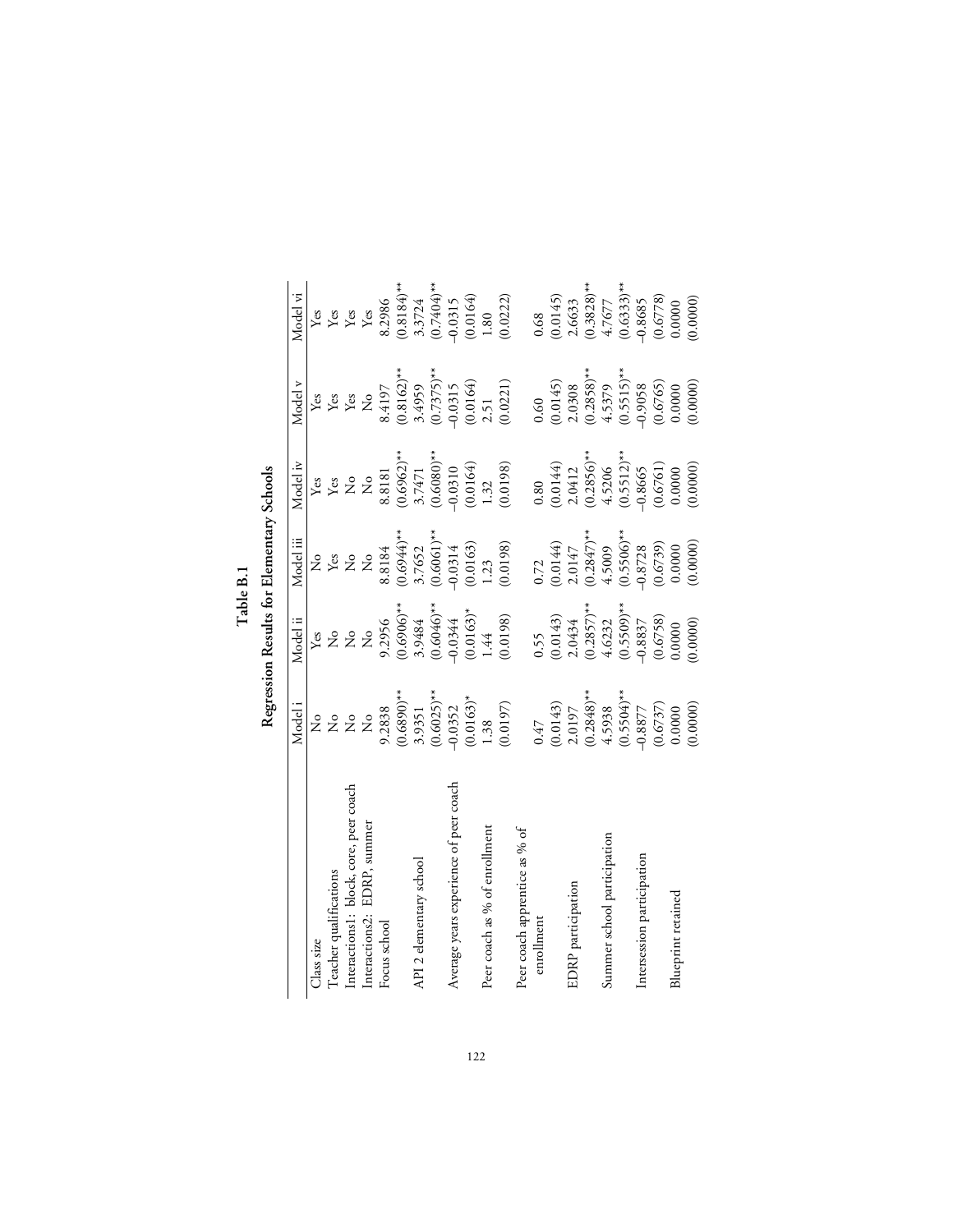Table B.1<br>Regression Results for Elementary Schools

|                                        |                                                              | Regression Results for Elementary Schools   |                         |                                              |                         |                                             |
|----------------------------------------|--------------------------------------------------------------|---------------------------------------------|-------------------------|----------------------------------------------|-------------------------|---------------------------------------------|
|                                        | Model i                                                      | Model ii                                    | Model iii               | Model iv                                     | Model v                 | Model vi                                    |
| Class size                             | ż                                                            | Yes                                         | ż                       | Yes                                          | Yes                     | Yes                                         |
| Teacher qualifications                 |                                                              |                                             | ${\rm Yes}$             |                                              |                         |                                             |
| Interactions1: block, core, peer coach | $\stackrel{\circ}{\mathcal{Z}}\stackrel{\circ}{\mathcal{Z}}$ | $\stackrel{\circ}{z}$ $\stackrel{\circ}{z}$ | 2                       | $\mathop{\mathrm{Z}}\nolimits^{\mathrm{cs}}$ | Yes<br>Yes              | $\operatorname*{Yes}_{\operatorname*{Yes}}$ |
| EDRP, summer<br>Interactions2:         | $\mathsf{S}^{\circ}$                                         | $\mathsf{S}^{\circ}$                        | $\mathring{z}$          | $\mathsf{S}^{\circ}$                         | $\frac{1}{2}$           | Yes                                         |
| Focus school                           | 9.2838                                                       | 9.2956                                      | 8.8184                  | 8.8181                                       | 8.4197                  | 8.2986                                      |
|                                        | $(0.6890)*$                                                  | $(0.6906)$ **                               | $(0.6944)$ **           | $(0.6962)$ **                                | $(0.8162)$ **           | $(0.8184)$ **                               |
| API 2 elementary school                | 3.9351                                                       | 3.9484                                      | 3.7652                  | 3.7471                                       | 3.4959                  | 3.3724                                      |
|                                        | $(0.6025)$ **                                                | $(0.6046)$ **                               | $(0.6061)$ **           | $(0.6080)$ **                                | $(0.7375)$ **           | $(6.7404)$ **                               |
| Average years experience of peer coach | $-0.0352$                                                    | $-0.0344$                                   | $-0.0314$               | $-0.0310$                                    | $-0.0315$               | $-0.0315$                                   |
|                                        | $(0.0163)^*$                                                 |                                             |                         | (0.0164)                                     |                         | (0.0164)                                    |
| Peer coach as % of enrollment          | 1.38                                                         | $(0.0163)^*$<br>1.44                        | $(0.0163)$<br>1.23      | 1.32                                         | $(0.0164)$<br>2.51      | 1.80                                        |
|                                        | (0.0197)                                                     | (0.0198)                                    | (0.0198)                | (0.0198)                                     | (0.0221)                | (0.0222)                                    |
| Peer coach apprentice as % of          |                                                              |                                             |                         |                                              |                         |                                             |
| enrollment                             | 0.47                                                         | 0.55                                        | 0.72                    | 0.80                                         | 0.60                    | 0.68                                        |
|                                        |                                                              |                                             |                         |                                              |                         |                                             |
| EDRP participation                     | $(0.0143)$<br>2.0197                                         | $(0.0143)$<br>$2.0434$                      | $(0.0144)$<br>$2.0147$  | $(0.0144)$<br>$2.0412$                       | $(0.0145)$<br>2.0308    | $(0.0145)$<br>2.6633                        |
|                                        | $(0.2848)$ **                                                | $(0.2857)$ **                               | $(0.2847)$ **<br>4.5009 | $(0.2856)$ **                                | $(0.2858)$ **<br>4.5379 | $(0.3828)$ **<br>4.7677                     |
| Summer school participation            | 4.5938                                                       | 4.6232                                      |                         | 4.5206                                       |                         |                                             |
|                                        | $(0.5504)$ **                                                | $(0.5509)$ **                               | $(0.5506)$ **           | $(0.5512)$ **                                | $(0.5515)$ **           | $(0.6333)**$                                |
| Intersession participation             | $-0.8877$                                                    | $-0.8837$                                   | $-0.8728$               | $-0.8665$                                    | $-0.9058$               | $-0.8685$                                   |
|                                        | (0.6737)                                                     | (0.6758)                                    | $(0.6739)$<br>0.0000    | (0.6761)                                     | (0.6765)                | (0.6778)                                    |
| Blueprint retained                     | 0.0000                                                       | 0.0000                                      |                         | 0.0000                                       | 0.0000                  | 0.0000                                      |
|                                        | (0.0000)                                                     | (0.0000)                                    | (0.0000)                | (0.0000)                                     | (0.0000)                | (0.0000)                                    |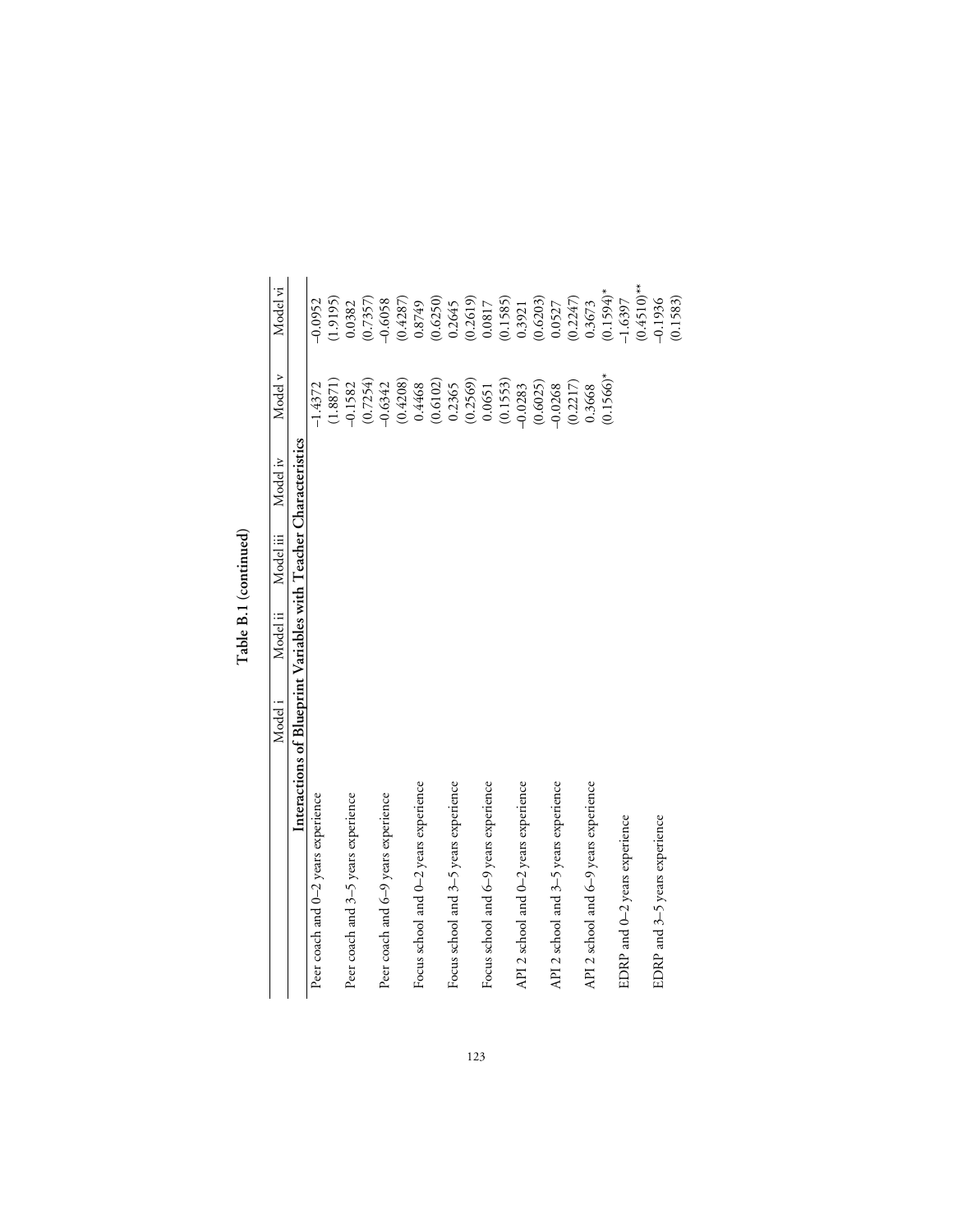|                                       | Model i | Model ii | Model iii | Model iv                                                         | Model v      | Model vi      |
|---------------------------------------|---------|----------|-----------|------------------------------------------------------------------|--------------|---------------|
|                                       |         |          |           | Interactions of Blueprint Variables with Teacher Characteristics |              |               |
| Peer coach and 0-2 years experience   |         |          |           |                                                                  | $-1.4372$    | $-0.0952$     |
|                                       |         |          |           |                                                                  | (1.8871)     | (1.9195)      |
| Peer coach and 3-5 years experience   |         |          |           |                                                                  | $-0.1582$    | 0.0382        |
|                                       |         |          |           |                                                                  | (0.7254)     | (0.7357)      |
| Peer coach and 6-9 years experience   |         |          |           |                                                                  | $-0.6342$    | $-0.6058$     |
|                                       |         |          |           |                                                                  | (0.4208)     | (0.4287)      |
| Focus school and 0-2 years experience |         |          |           |                                                                  | 0.4468       | 0.8749        |
|                                       |         |          |           |                                                                  | (0.6102)     | (0.6250)      |
| Focus school and 3-5 years experience |         |          |           |                                                                  | 0.2365       | 0.2645        |
|                                       |         |          |           |                                                                  | (0.2569)     | (0.2619)      |
| Focus school and 6-9 years experience |         |          |           |                                                                  | 0.0651       | 0.0817        |
|                                       |         |          |           |                                                                  | (0.1553)     | (0.1585)      |
| API 2 school and 0-2 years experience |         |          |           |                                                                  | $-0.0283$    | 0.3921        |
|                                       |         |          |           |                                                                  | (0.6025)     | (0.6203)      |
| API 2 school and 3-5 years experience |         |          |           |                                                                  | $-0.0268$    | 0.0527        |
|                                       |         |          |           |                                                                  | (0.2217)     | (0.2247)      |
| API 2 school and 6-9 years experience |         |          |           |                                                                  | 0.3668       | 0.3673        |
|                                       |         |          |           |                                                                  | $(0.1566)^*$ | $(0.1594)^*$  |
| EDRP and 0-2 years experience         |         |          |           |                                                                  |              | $-1.6397$     |
|                                       |         |          |           |                                                                  |              | $(0.4510)$ ** |
| EDRP and 3-5 years experience         |         |          |           |                                                                  |              | $-0.1936$     |
|                                       |         |          |           |                                                                  |              | (0.1583)      |

 ${\rm Table}$  B.1 (continued) **Table B.1 (continued)**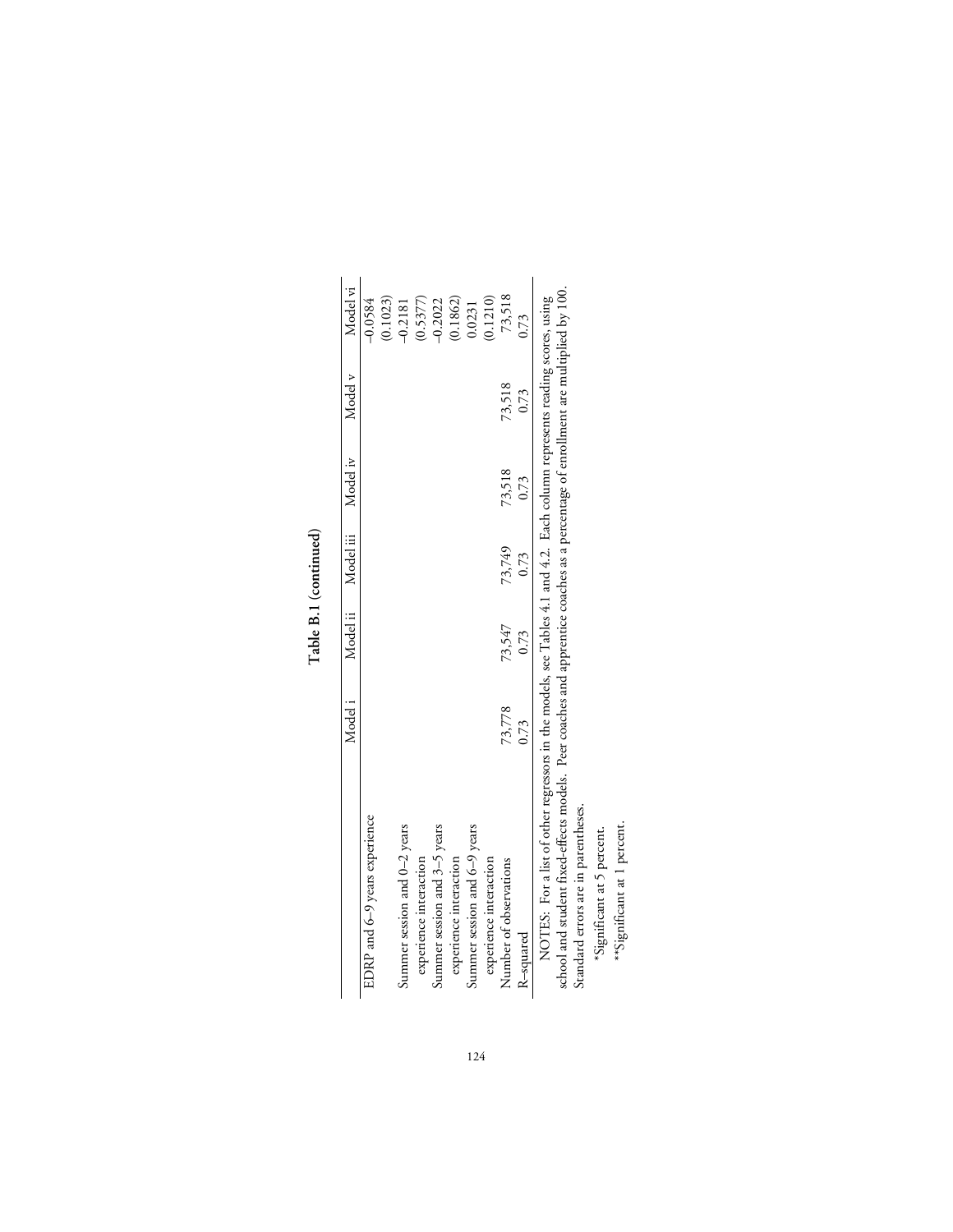| Ξ |
|---|
|   |
| z |

|                               | Modeli | Model ii | Model iii | Model iv | Model v | Model vi  |
|-------------------------------|--------|----------|-----------|----------|---------|-----------|
| EDRP and 6-9 years experience |        |          |           |          |         | $-0.0584$ |
|                               |        |          |           |          |         | (0.1023)  |
| Summer session and 0–2 years  |        |          |           |          |         | $-0.2181$ |
| experience interaction        |        |          |           |          |         | (0.5377)  |
| Summer session and 3–5 years  |        |          |           |          |         | $-0.2022$ |
| experience interaction        |        |          |           |          |         | (0.1862)  |
| Summer session and 6–9 years  |        |          |           |          |         | 0.0231    |
| experience interaction        |        |          |           |          |         | 0.1210)   |
| Number of observations        | 73,778 | 73,547   | 73,749    | 73,518   | 73,518  | 73,518    |
| R-squared                     | 0.73   | 0.73     | 0.73      | 0.73     | 0.73    | 0.73      |

school and student fixed-effects models. Peer coaches and apprentice coaches as a percentage of enrollment are multiplied by 100.<br>Standard errors are in parentheses.<br>\*Significant at 5 percent.<br>\*\*Significant at 1 percent. school and student fixed-effects models. Peer coaches and apprentice coaches as a percentage of enrollment are multiplied by 100.

Standard errors are in parentheses.

\*Significant at 5 percent.

\*\*Significant at 1 percent.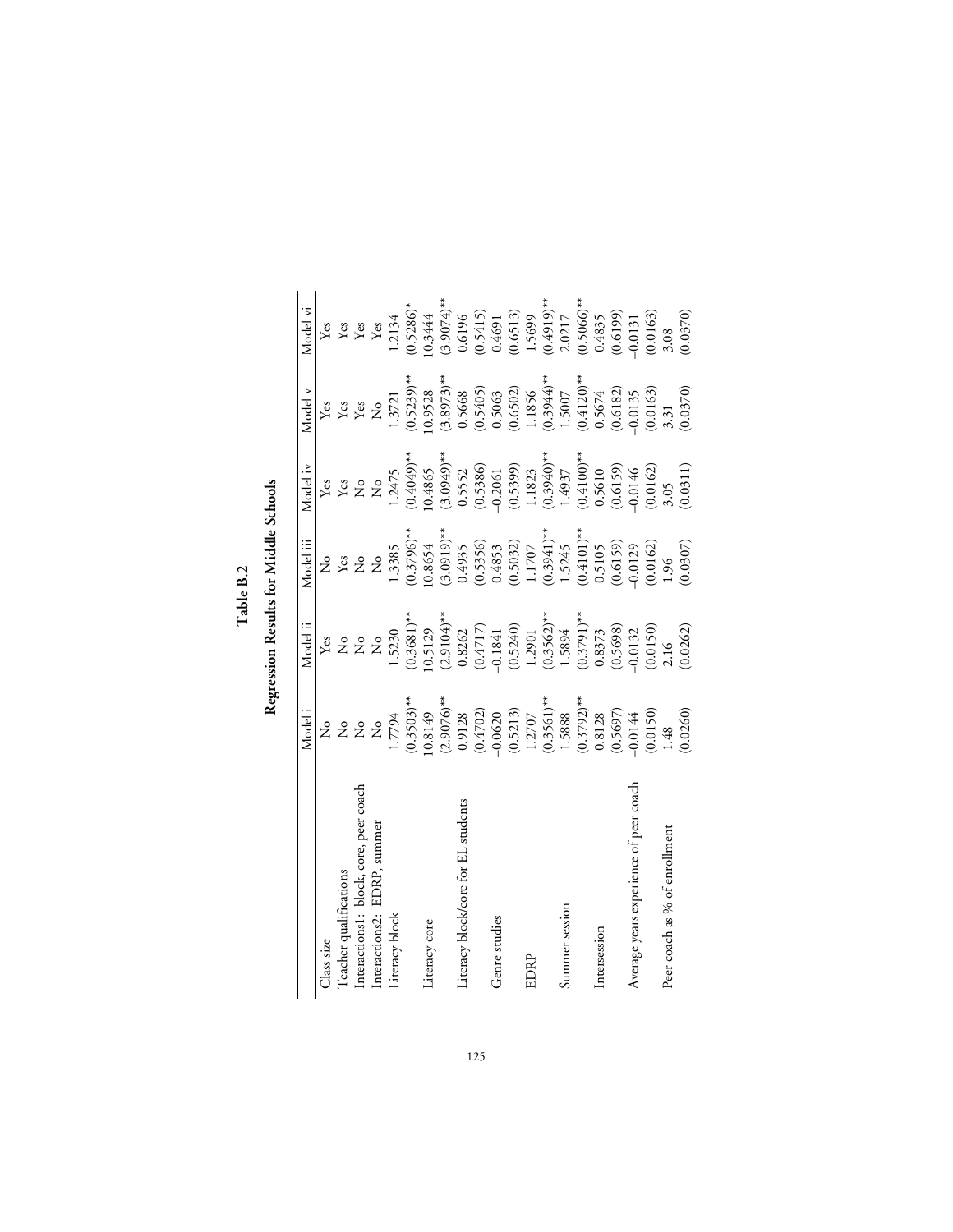${\rm Table}~{\rm B}.2$ **Table B.2**  $\ddot{\phantom{1}}$ 

| í      |
|--------|
| ζ      |
|        |
| ì      |
|        |
|        |
|        |
| i<br>Ċ |
| j      |
|        |
|        |
| £      |
|        |
|        |
|        |
| b      |
|        |
| Í      |
|        |

|                                        | Model i                                                                  | Model ii                                                    | Model iii                                                                                                         | Model iv                                                           | Model v                                                         | Model vi                                                                                                                 |
|----------------------------------------|--------------------------------------------------------------------------|-------------------------------------------------------------|-------------------------------------------------------------------------------------------------------------------|--------------------------------------------------------------------|-----------------------------------------------------------------|--------------------------------------------------------------------------------------------------------------------------|
| Class size                             | 2°                                                                       |                                                             |                                                                                                                   | Yes                                                                |                                                                 |                                                                                                                          |
| l'eacher qualifications                |                                                                          | å 222                                                       | 222                                                                                                               | $\chi^{\rm es}$                                                    | ye<br>Yes<br>Yes<br>Z                                           |                                                                                                                          |
| Interactions1: block, core, peer coach | 222                                                                      |                                                             |                                                                                                                   |                                                                    |                                                                 |                                                                                                                          |
| Interactions2: EDRP, summer            |                                                                          |                                                             |                                                                                                                   | $\frac{1}{2}$                                                      |                                                                 | $\begin{tabular}{l} \hline \texttt{Yes} \\ \texttt{Yes} \\ \texttt{Yes} \end{tabular}$                                   |
| Literacy block                         | 1.7794                                                                   | 1.5230                                                      | 1.3385                                                                                                            | 1.2475                                                             | 1.3721                                                          | 1.2134                                                                                                                   |
|                                        | $(0.3503)$ **                                                            | $(0.3681)$ **                                               |                                                                                                                   | $^{**}$ (6505.0)                                                   | $(0.5239)$ **                                                   | $(0.5286)*$                                                                                                              |
| Literacy core                          | 0.8149                                                                   | 10.5129                                                     |                                                                                                                   | 10.4865                                                            | 10.9528                                                         | 10.3444                                                                                                                  |
|                                        |                                                                          | $(2.9104)$ <sup>**</sup><br>0.8262<br>$(0.4717)$<br>-0.1841 | $(0.3796)$ <sup>**</sup><br>10.8654<br>(3.0919) <sup>**</sup><br>0.4935<br>0.50505<br>0.5032)<br>1.1707<br>1.5245 | $(3.0949)$ **<br>0.5552<br>0.5386)<br>0.5386<br>0.5399)<br>0.53953 |                                                                 | $(3.9074)$ **<br>0.6196<br>0.5415)<br>0.4691                                                                             |
| Literacy block/core for EL students    | $(2.9076)$ **<br>0.9128                                                  |                                                             |                                                                                                                   |                                                                    |                                                                 |                                                                                                                          |
|                                        | $\begin{array}{c} (0.4702) \\ -0.0620 \\ (0.5213) \\ 1.2707 \end{array}$ |                                                             |                                                                                                                   |                                                                    | $(3.8973)*$<br>0.5668<br>0.5405)<br>0.5063<br>0.6502)<br>0.6502 |                                                                                                                          |
| Genre studies                          |                                                                          |                                                             |                                                                                                                   |                                                                    |                                                                 |                                                                                                                          |
|                                        |                                                                          | $(0.5240)$<br>1.2901                                        |                                                                                                                   |                                                                    |                                                                 |                                                                                                                          |
| EDRP                                   |                                                                          |                                                             |                                                                                                                   |                                                                    |                                                                 |                                                                                                                          |
|                                        | $(0.3561)$ **<br>1.5888                                                  | $(0.3562)$ **                                               |                                                                                                                   | $(0.3940)$ **<br>1.4937<br>(0.4100)**<br>0.5610                    | $(0.3944)$ **<br>1.5007                                         | $\begin{array}{l} (0.6513) \\ 1.5699 \\ (0.4919)^{**} \\ 2.0217 \\ (0.5066)^{**} \\ (0.5066)^{**} \\ 0.4835 \end{array}$ |
| Summer session                         |                                                                          | 1.5894                                                      |                                                                                                                   |                                                                    |                                                                 |                                                                                                                          |
|                                        | $(0.3792)$ **                                                            | $(0.3791)$ **                                               | $(0.4101)$ **<br>0.5105                                                                                           |                                                                    |                                                                 |                                                                                                                          |
| Intersession                           | 0.8128                                                                   | 0.8373                                                      |                                                                                                                   |                                                                    | $(0.4120)$ **<br>0.5674                                         |                                                                                                                          |
|                                        | (0.5697)                                                                 | (0.5698)                                                    | $\begin{array}{c} (0.6159) \\ -0.0129 \\ (0.0162) \\ 1.96 \end{array}$                                            | $(0.6159)$<br>$-0.0146$                                            | (0.6182)                                                        | (0.6199)                                                                                                                 |
| Average years experience of peer coach | $-0.0144$                                                                | $-0.0132$                                                   |                                                                                                                   |                                                                    | $-0.0135$                                                       | $-0.0131$                                                                                                                |
|                                        | $(0.0150)$<br>1.48                                                       | (0.0150)                                                    |                                                                                                                   | $(0.0162)$<br>3.05                                                 | (0.0163)                                                        | (0.0163)                                                                                                                 |
| Peer coach as % of enrollment          |                                                                          | 2.16                                                        |                                                                                                                   |                                                                    | 3.31                                                            | 3.08                                                                                                                     |
|                                        | (0.0260)                                                                 | (0.0262)                                                    | (0.0307)                                                                                                          | (0.0311)                                                           | (0.0370)                                                        | (0.0370)                                                                                                                 |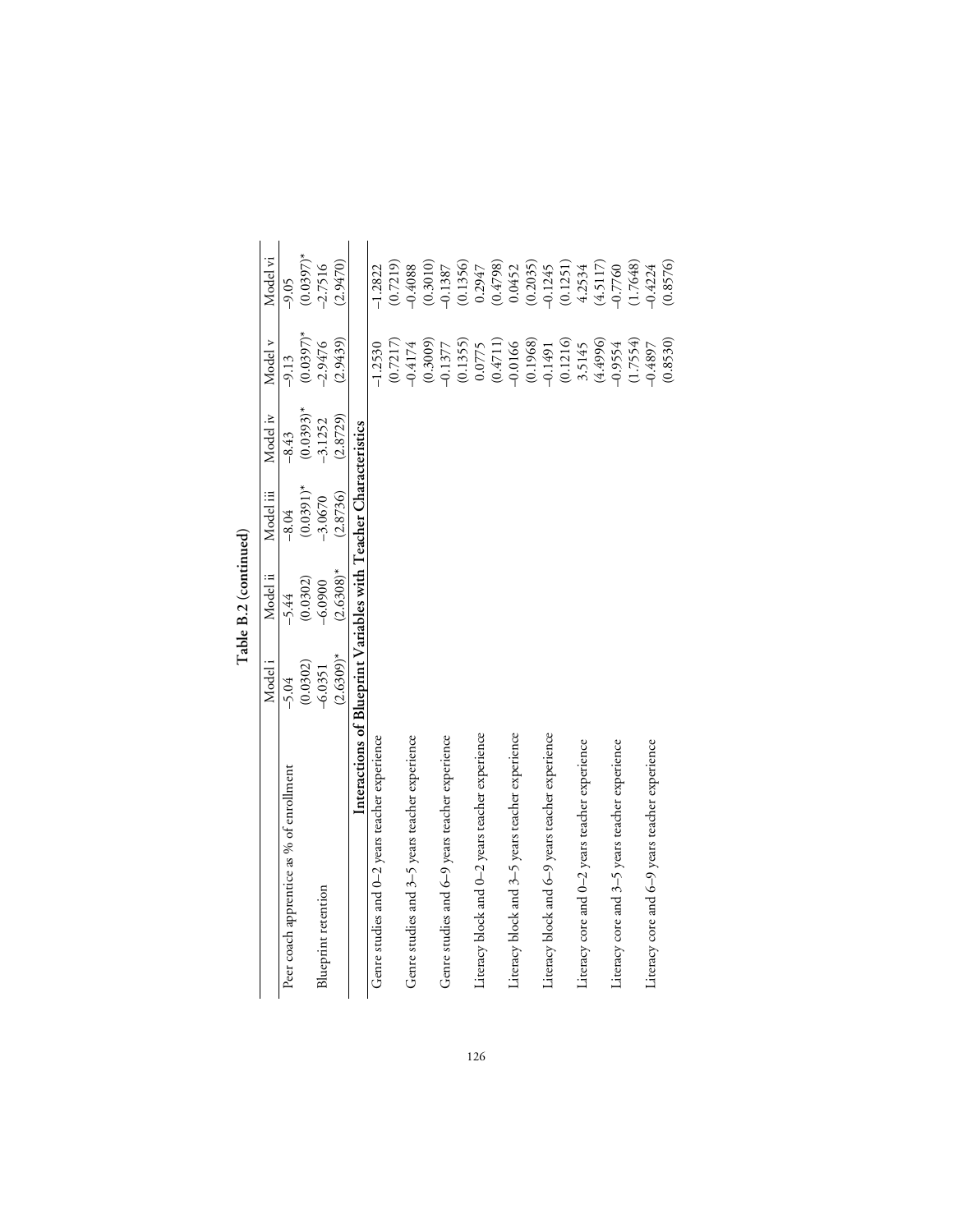|                                                                  | Model <sub>i</sub> | Model ii     | Model iii   | Model iv    | Model v     | Model vi    |
|------------------------------------------------------------------|--------------------|--------------|-------------|-------------|-------------|-------------|
| Peer coach apprentice as % of enrollment                         | $-5.04$            | $-5.44$      | $-8.04$     | $-8.43$     | $-9.13$     | $-9.05$     |
|                                                                  | (0.0302)           | (0.0302)     | $(0.0391)*$ | $(0.0393)*$ | $(0.0397)*$ | $(0.0397)*$ |
| Blueprint retention                                              | $-6.0351$          | $-6.0900$    | $-3.0670$   | $-3.1252$   | $-2.9476$   | $-2.7516$   |
|                                                                  | $(2.6309)^*$       | $(2.6308)^*$ | (2.8736)    | (2.8729)    | (2.9439)    | (2.9470)    |
| Interactions of Blueprint Variables with Teacher Characteristics |                    |              |             |             |             |             |
| Genre studies and 0-2 years teacher experience                   |                    |              |             |             | $-1.2530$   | $-1.2822$   |
|                                                                  |                    |              |             |             | (0.7217)    | (0.7219)    |
| Genre studies and 3-5 years teacher experience                   |                    |              |             |             | $-0.4174$   | $-0.4088$   |
|                                                                  |                    |              |             |             | (0.3009)    | (0.3010)    |
| Genre studies and 6-9 years teacher experience                   |                    |              |             |             | $-0.1377$   | $-0.1387$   |
|                                                                  |                    |              |             |             | (0.1355)    | (0.1356)    |
| Literacy block and 0–2 years teacher experience                  |                    |              |             |             | 0.0775      | 0.2947      |
|                                                                  |                    |              |             |             | (0.4711)    | (0.4798)    |
| Literacy block and 3-5 years teacher experience                  |                    |              |             |             | $-0.0166$   | 0.0452      |
|                                                                  |                    |              |             |             | (0.1968)    | (0.2035)    |
| Literacy block and 6-9 years teacher experience                  |                    |              |             |             | $-0.1491$   | $-0.1245$   |
|                                                                  |                    |              |             |             | (0.1216)    | (0.1251)    |
| Literacy core and 0-2 years teacher experience                   |                    |              |             |             | 3.5145      | 4.2534      |
|                                                                  |                    |              |             |             | (4.4996)    | (4.5117)    |
| Literacy core and 3-5 years teacher experience                   |                    |              |             |             | $-0.9554$   | $-0.7760$   |
|                                                                  |                    |              |             |             | (1.7554)    | (1.7648)    |
| Literacy core and 6-9 years teacher experience                   |                    |              |             |             | $-0.4897$   | $-0.4224$   |
|                                                                  |                    |              |             |             | (0.8530)    | (0.8576)    |

Table B.2 (continued) **Table B.2 (continued)**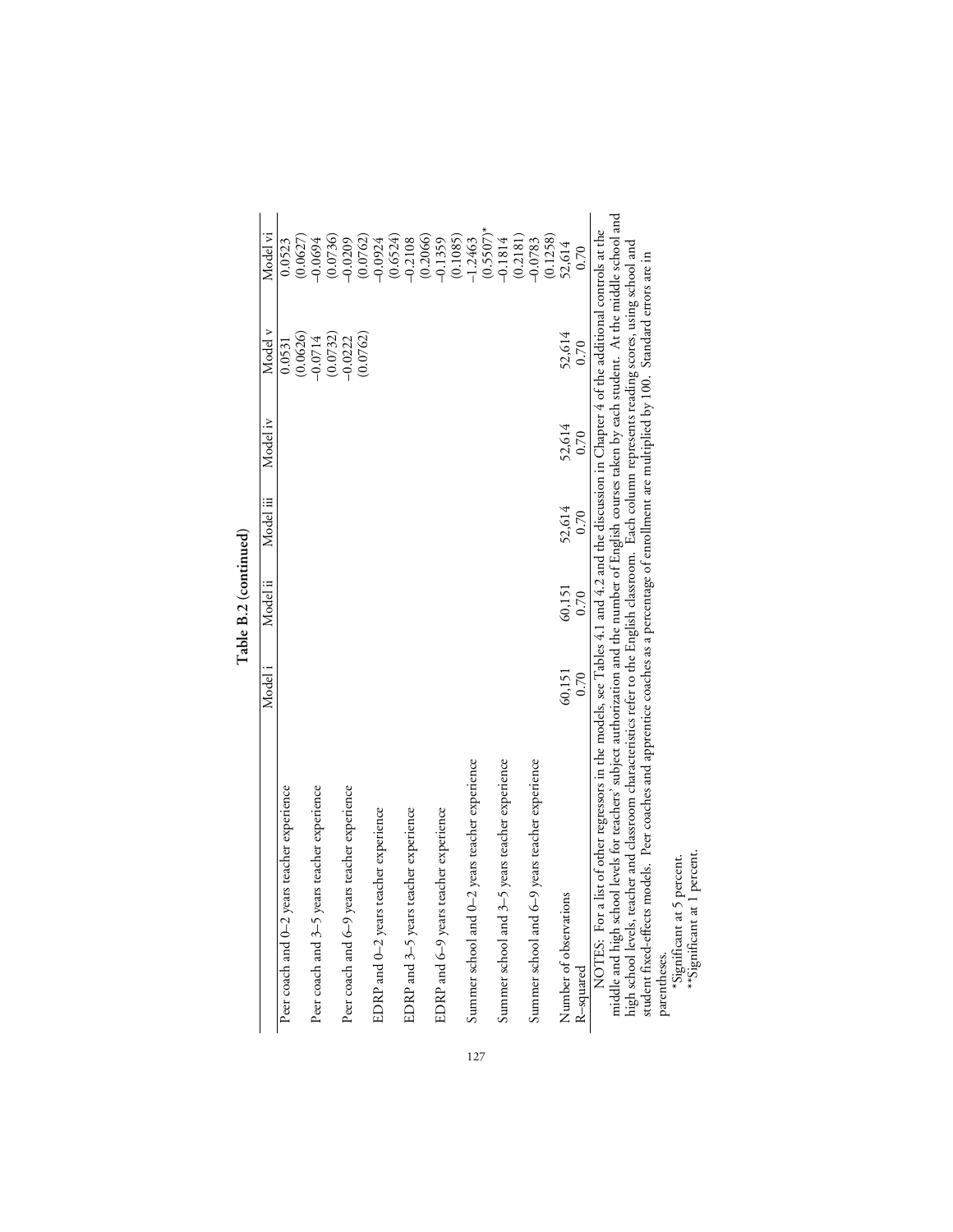|                                                                                                                                                                                                                                                                                                      | Model i | Model ii | Model iii | Model iv | Model v   | Model vi     |
|------------------------------------------------------------------------------------------------------------------------------------------------------------------------------------------------------------------------------------------------------------------------------------------------------|---------|----------|-----------|----------|-----------|--------------|
| Peer coach and 0-2 years teacher experience                                                                                                                                                                                                                                                          |         |          |           |          | 0.0531    | 0.0523       |
|                                                                                                                                                                                                                                                                                                      |         |          |           |          | (0.0626)  | (0.0627)     |
| Peer coach and 3-5 years teacher experience                                                                                                                                                                                                                                                          |         |          |           |          | $-0.0714$ | $-0.0694$    |
|                                                                                                                                                                                                                                                                                                      |         |          |           |          | (0.0732)  | (0.0736)     |
| Peer coach and 6-9 years teacher experience                                                                                                                                                                                                                                                          |         |          |           |          | $-0.0222$ | $-0.0209$    |
|                                                                                                                                                                                                                                                                                                      |         |          |           |          | (0.0762)  | (0.0762)     |
| EDRP and 0-2 years teacher experience                                                                                                                                                                                                                                                                |         |          |           |          |           | $-0.0924$    |
|                                                                                                                                                                                                                                                                                                      |         |          |           |          |           | (0.6524)     |
| EDRP and 3-5 years teacher experience                                                                                                                                                                                                                                                                |         |          |           |          |           | $-0.2108$    |
|                                                                                                                                                                                                                                                                                                      |         |          |           |          |           | (0.2066)     |
| EDRP and 6-9 years teacher experience                                                                                                                                                                                                                                                                |         |          |           |          |           | $-0.1359$    |
|                                                                                                                                                                                                                                                                                                      |         |          |           |          |           | (0.1085)     |
| Summer school and 0-2 years teacher experience                                                                                                                                                                                                                                                       |         |          |           |          |           | $-1.2463$    |
|                                                                                                                                                                                                                                                                                                      |         |          |           |          |           | $(0.5507)^*$ |
| Summer school and 3-5 years teacher experience                                                                                                                                                                                                                                                       |         |          |           |          |           | $-0.1814$    |
|                                                                                                                                                                                                                                                                                                      |         |          |           |          |           | (0.2181)     |
| Summer school and 6-9 years teacher experience                                                                                                                                                                                                                                                       |         |          |           |          |           | $-0.0783$    |
|                                                                                                                                                                                                                                                                                                      |         |          |           |          |           | (0.1258)     |
| Number of observations                                                                                                                                                                                                                                                                               | 60,151  | 60,151   | 52,614    | 52,614   | 52,614    | 52,614       |
| R-squared                                                                                                                                                                                                                                                                                            | 0.70    | 0.70     | 0.70      | 0.70     | 0.70      | 0.70         |
| middle and high school levels for teachers' subject authorization and the number of English courses taken by each student. At the middle school and<br>NOTES: For a list of other regressors in the models, see Tables 4.1 and 4.2 and the discussion in Chapter 4 of the additional controls at the |         |          |           |          |           |              |
| high school levels, teacher and classroom characteristics refer to the English classroom. Each column represents reading scores, using school and                                                                                                                                                    |         |          |           |          |           |              |

Table B.2 (continued) **Table B.2 (continued)**

 $\mathbf{I}$  $\overline{a}$ middle and high school levels for teachers' subject authorization and the number of English courses taken by each student. At the middle school and stadent fixed-effects models. Peer coaches and apprentice coaches as a percentage of enrollment are multiplied by 100. Standard errors are in "Significant at 5 percent.<br>Parentheses.<br>\*\*Significant at 1 percent. student fixed-effects models. Peer coaches and apprentice coaches as a percentage of enrollment are multiplied by 100. Standard errors are in

\*Significant at 5 percent.

\*\*Significant at 1 percent.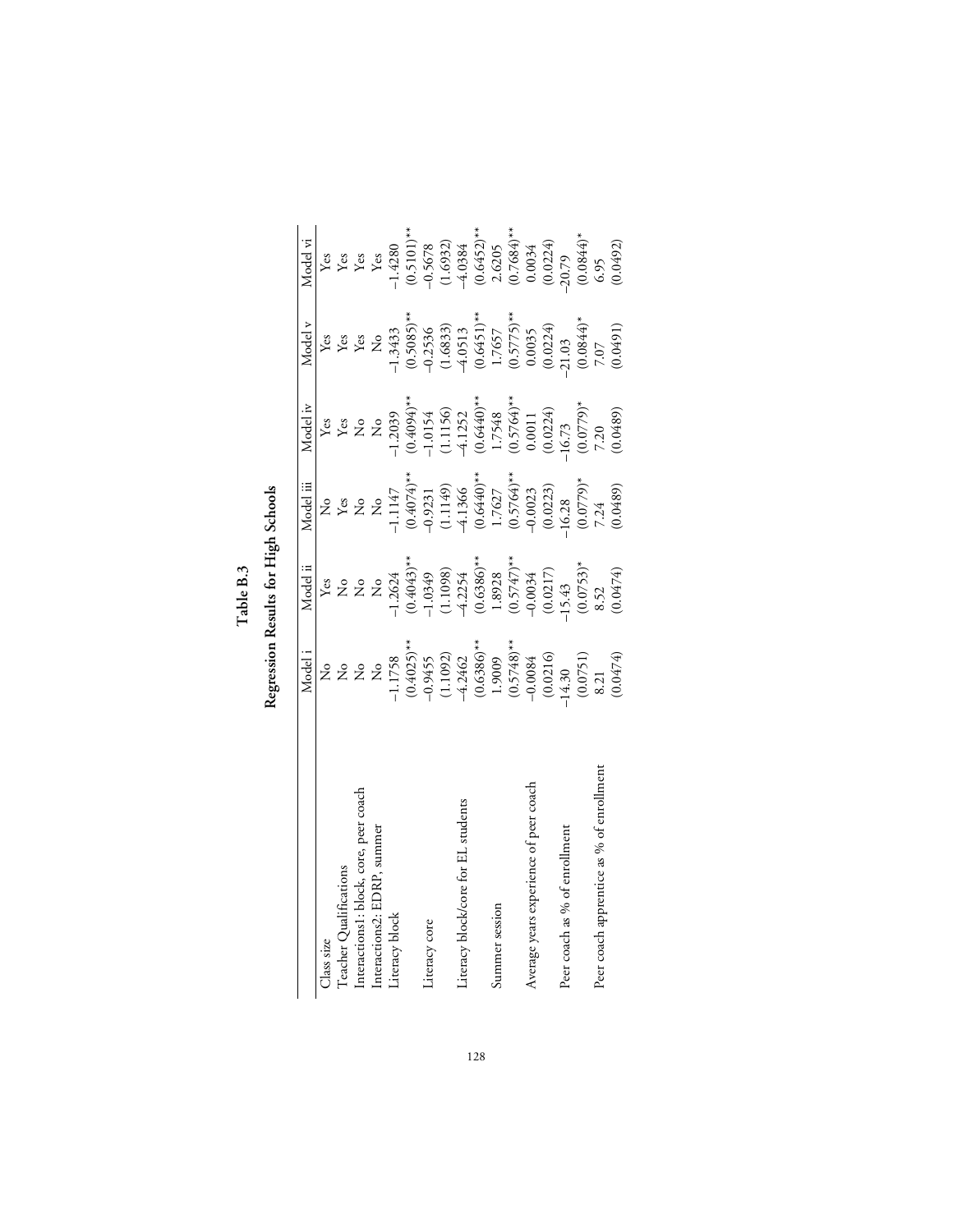**Table B.3**

|                                          | Model i                                                                                                                                                                                                                                                                                                                                                          | Model ii                                                                                                                                                                                                                                                                                                                                                                                                                                                                                           | Model iii                                                                                                                                                                                                                                                                                                                                                               | Model iv                                                                                                                                                                                                                                                                                                                                                                                                                                                                                          | Model v                                                                                                                                                                 | Model vi |
|------------------------------------------|------------------------------------------------------------------------------------------------------------------------------------------------------------------------------------------------------------------------------------------------------------------------------------------------------------------------------------------------------------------|----------------------------------------------------------------------------------------------------------------------------------------------------------------------------------------------------------------------------------------------------------------------------------------------------------------------------------------------------------------------------------------------------------------------------------------------------------------------------------------------------|-------------------------------------------------------------------------------------------------------------------------------------------------------------------------------------------------------------------------------------------------------------------------------------------------------------------------------------------------------------------------|---------------------------------------------------------------------------------------------------------------------------------------------------------------------------------------------------------------------------------------------------------------------------------------------------------------------------------------------------------------------------------------------------------------------------------------------------------------------------------------------------|-------------------------------------------------------------------------------------------------------------------------------------------------------------------------|----------|
| Class size                               |                                                                                                                                                                                                                                                                                                                                                                  |                                                                                                                                                                                                                                                                                                                                                                                                                                                                                                    |                                                                                                                                                                                                                                                                                                                                                                         | ${\it Yes}$                                                                                                                                                                                                                                                                                                                                                                                                                                                                                       | $\mathbf{Yes}$                                                                                                                                                          |          |
| Teacher Qualifications                   |                                                                                                                                                                                                                                                                                                                                                                  |                                                                                                                                                                                                                                                                                                                                                                                                                                                                                                    |                                                                                                                                                                                                                                                                                                                                                                         |                                                                                                                                                                                                                                                                                                                                                                                                                                                                                                   | ${\rm Yes}$ ${\rm Yes}$                                                                                                                                                 |          |
| Interactions1: block, core, peer coach   |                                                                                                                                                                                                                                                                                                                                                                  |                                                                                                                                                                                                                                                                                                                                                                                                                                                                                                    |                                                                                                                                                                                                                                                                                                                                                                         |                                                                                                                                                                                                                                                                                                                                                                                                                                                                                                   |                                                                                                                                                                         |          |
| Interactions2: EDRP, summer              |                                                                                                                                                                                                                                                                                                                                                                  |                                                                                                                                                                                                                                                                                                                                                                                                                                                                                                    |                                                                                                                                                                                                                                                                                                                                                                         |                                                                                                                                                                                                                                                                                                                                                                                                                                                                                                   |                                                                                                                                                                         |          |
| Literacy block                           |                                                                                                                                                                                                                                                                                                                                                                  |                                                                                                                                                                                                                                                                                                                                                                                                                                                                                                    |                                                                                                                                                                                                                                                                                                                                                                         |                                                                                                                                                                                                                                                                                                                                                                                                                                                                                                   |                                                                                                                                                                         |          |
|                                          | $Z \times 2$<br>$Z \times 2$<br>$Z \times 2$<br>$Z \times 2$<br>$Z \times 2$<br>$Q \times 2$<br>$Q \times 2$<br>$Q \times 2$<br>$Q \times 2$<br>$Q \times 2$<br>$Q \times 2$<br>$Q \times 2$<br>$Q \times 2$<br>$Q \times 2$<br>$Q \times 2$<br>$Q \times 2$<br>$Q \times 2$<br>$Q \times 2$<br>$Q \times 2$<br>$Q \times 2$<br>$Q \times 2$<br>$Q \times 2$<br> | $\begin{array}{l} \text{Yes}\\ \text{No} \\ \text{No} \\ \text{No} \\ \text{No} \\ \text{No} \\ \text{No} \\ \text{No} \\ \text{No} \\ \text{No} \\ \text{No} \\ \text{No} \\ \text{No} \\ \text{No} \\ \text{No} \\ \text{No} \\ \text{No} \\ \text{No} \\ \text{No} \\ \text{No} \\ \text{No} \\ \text{No} \\ \text{No} \\ \text{No} \\ \text{No} \\ \text{No} \\ \text{No} \\ \text{No} \\ \text{No} \\ \text{No} \\ \text{No} \\ \text{No} \\ \text{No} \\ \text{No} \\ \text{No} \\ \text{No$ | No $X_{\text{K}}$<br>$X_{\text{K}}$<br>$X_{\text{K}}$<br>$X_{\text{K}}$<br>$X_{\text{K}}$<br>$X_{\text{K}}$<br>$X_{\text{K}}$<br>$X_{\text{K}}$<br>$X_{\text{K}}$<br>$X_{\text{K}}$<br>$X_{\text{K}}$<br>$X_{\text{K}}$<br>$X_{\text{K}}$<br>$X_{\text{K}}$<br>$X_{\text{K}}$<br>$X_{\text{K}}$<br>$X_{\text{K}}$<br>$X_{\text{K}}$<br>$X_{\text{K}}$<br>$X_{\text{K}}$ | $\begin{array}{l} \text{Yes} \\ \text{No} \\ \text{NO} \\ \text{CO} \\ \text{CO} \\ \text{CO} \\ \text{CO} \\ \text{CO} \\ \text{CO} \\ \text{CO} \\ \text{CO} \\ \text{CO} \\ \text{CO} \\ \text{CO} \\ \text{CO} \\ \text{CO} \\ \text{CO} \\ \text{CO} \\ \text{CO} \\ \text{CO} \\ \text{CO} \\ \text{CO} \\ \text{CO} \\ \text{CO} \\ \text{CO} \\ \text{CO} \\ \text{CO} \\ \text{CO} \\ \text{CO} \\ \text{CO} \\ \text{CO} \\ \text{CO} \\ \text{CO} \\ \text{CO} \\ \text{CO} \\ \text{$ | No<br>$-1.3433$<br>$(0.5085)**$<br>$-0.2536$<br>$-0.2536$<br>$(1.6833)$<br>$(1.6833)$<br>$(0.5775)**$<br>$0.0035$<br>$0.0024$<br>$-21.03$<br>$(0.0844)^*$<br>$(0.0049)$ |          |
| Literacy core                            |                                                                                                                                                                                                                                                                                                                                                                  |                                                                                                                                                                                                                                                                                                                                                                                                                                                                                                    |                                                                                                                                                                                                                                                                                                                                                                         |                                                                                                                                                                                                                                                                                                                                                                                                                                                                                                   |                                                                                                                                                                         |          |
|                                          |                                                                                                                                                                                                                                                                                                                                                                  |                                                                                                                                                                                                                                                                                                                                                                                                                                                                                                    |                                                                                                                                                                                                                                                                                                                                                                         |                                                                                                                                                                                                                                                                                                                                                                                                                                                                                                   |                                                                                                                                                                         |          |
| iteracy block/core for EL students       |                                                                                                                                                                                                                                                                                                                                                                  |                                                                                                                                                                                                                                                                                                                                                                                                                                                                                                    |                                                                                                                                                                                                                                                                                                                                                                         |                                                                                                                                                                                                                                                                                                                                                                                                                                                                                                   |                                                                                                                                                                         |          |
|                                          |                                                                                                                                                                                                                                                                                                                                                                  |                                                                                                                                                                                                                                                                                                                                                                                                                                                                                                    |                                                                                                                                                                                                                                                                                                                                                                         |                                                                                                                                                                                                                                                                                                                                                                                                                                                                                                   |                                                                                                                                                                         |          |
| Summer session                           |                                                                                                                                                                                                                                                                                                                                                                  |                                                                                                                                                                                                                                                                                                                                                                                                                                                                                                    |                                                                                                                                                                                                                                                                                                                                                                         |                                                                                                                                                                                                                                                                                                                                                                                                                                                                                                   |                                                                                                                                                                         |          |
|                                          |                                                                                                                                                                                                                                                                                                                                                                  |                                                                                                                                                                                                                                                                                                                                                                                                                                                                                                    |                                                                                                                                                                                                                                                                                                                                                                         |                                                                                                                                                                                                                                                                                                                                                                                                                                                                                                   |                                                                                                                                                                         |          |
| Average years experience of peer coach   |                                                                                                                                                                                                                                                                                                                                                                  |                                                                                                                                                                                                                                                                                                                                                                                                                                                                                                    |                                                                                                                                                                                                                                                                                                                                                                         |                                                                                                                                                                                                                                                                                                                                                                                                                                                                                                   |                                                                                                                                                                         |          |
|                                          |                                                                                                                                                                                                                                                                                                                                                                  |                                                                                                                                                                                                                                                                                                                                                                                                                                                                                                    |                                                                                                                                                                                                                                                                                                                                                                         |                                                                                                                                                                                                                                                                                                                                                                                                                                                                                                   |                                                                                                                                                                         |          |
| Peer coach as % of enrollment            |                                                                                                                                                                                                                                                                                                                                                                  |                                                                                                                                                                                                                                                                                                                                                                                                                                                                                                    |                                                                                                                                                                                                                                                                                                                                                                         |                                                                                                                                                                                                                                                                                                                                                                                                                                                                                                   |                                                                                                                                                                         |          |
|                                          |                                                                                                                                                                                                                                                                                                                                                                  |                                                                                                                                                                                                                                                                                                                                                                                                                                                                                                    |                                                                                                                                                                                                                                                                                                                                                                         |                                                                                                                                                                                                                                                                                                                                                                                                                                                                                                   |                                                                                                                                                                         |          |
| Peer coach apprentice as % of enrollment |                                                                                                                                                                                                                                                                                                                                                                  |                                                                                                                                                                                                                                                                                                                                                                                                                                                                                                    |                                                                                                                                                                                                                                                                                                                                                                         |                                                                                                                                                                                                                                                                                                                                                                                                                                                                                                   |                                                                                                                                                                         |          |
|                                          |                                                                                                                                                                                                                                                                                                                                                                  |                                                                                                                                                                                                                                                                                                                                                                                                                                                                                                    |                                                                                                                                                                                                                                                                                                                                                                         |                                                                                                                                                                                                                                                                                                                                                                                                                                                                                                   |                                                                                                                                                                         |          |

Table B.3<br>Regression Results for High Schools **Regression Results for High Schools**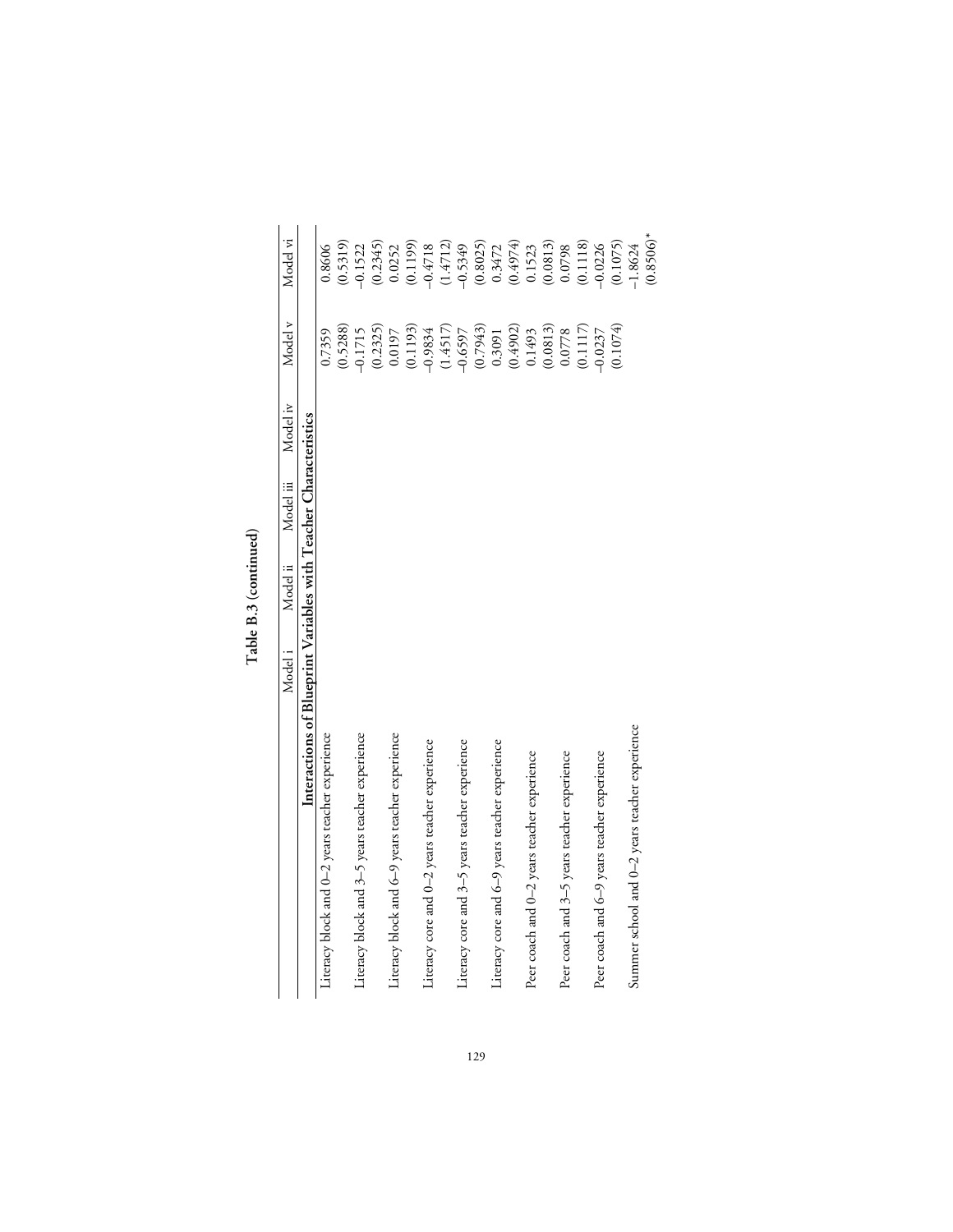|                                                                  | Model <sub>i</sub> | Model ii | Model iii | Model iv | Model v   | Model vi     |
|------------------------------------------------------------------|--------------------|----------|-----------|----------|-----------|--------------|
| Interactions of Blueprint Variables with Teacher Characteristics |                    |          |           |          |           |              |
| Literacy block and 0-2 years teacher experience                  |                    |          |           |          | 0.7359    | 0.8606       |
|                                                                  |                    |          |           |          | (0.5288)  | (0.5319)     |
| Literacy block and 3-5 years teacher experience                  |                    |          |           |          | $-0.1715$ | $-0.1522$    |
|                                                                  |                    |          |           |          | (0.2325)  | (0.2345)     |
| Literacy block and 6-9 years teacher experience                  |                    |          |           |          | 0.0197    | 0.0252       |
|                                                                  |                    |          |           |          | (0.1193)  | (0.1199)     |
| Literacy core and 0-2 years teacher experience                   |                    |          |           |          | $-0.9834$ | $-0.4718$    |
|                                                                  |                    |          |           |          | (1.4517)  | (1.4712)     |
| Literacy core and 3–5 years teacher experience                   |                    |          |           |          | $-0.6597$ | $-0.5349$    |
|                                                                  |                    |          |           |          | (0.7943)  | (0.8025)     |
| Literacy core and 6-9 years teacher experience                   |                    |          |           |          | 0.3091    | 0.3472       |
|                                                                  |                    |          |           |          | (0.4902)  | (0.4974)     |
| Peer coach and 0-2 years teacher experience                      |                    |          |           |          | 0.1493    | 0.1523       |
|                                                                  |                    |          |           |          | (0.0813)  | (0.0813)     |
| Peer coach and 3-5 years teacher experience                      |                    |          |           |          | 0.0778    | 0.0798       |
|                                                                  |                    |          |           |          | (0.1117)  | (0.1118)     |
| Peer coach and 6-9 years teacher experience                      |                    |          |           |          | $-0.0237$ | $-0.0226$    |
|                                                                  |                    |          |           |          | (0.1074)  | (0.1075)     |
| Summer school and 0–2 years teacher experience                   |                    |          |           |          |           | $-1.8624$    |
|                                                                  |                    |          |           |          |           | $(0.8506)^*$ |

Table B.3 (continued) **Table B.3 (continued)**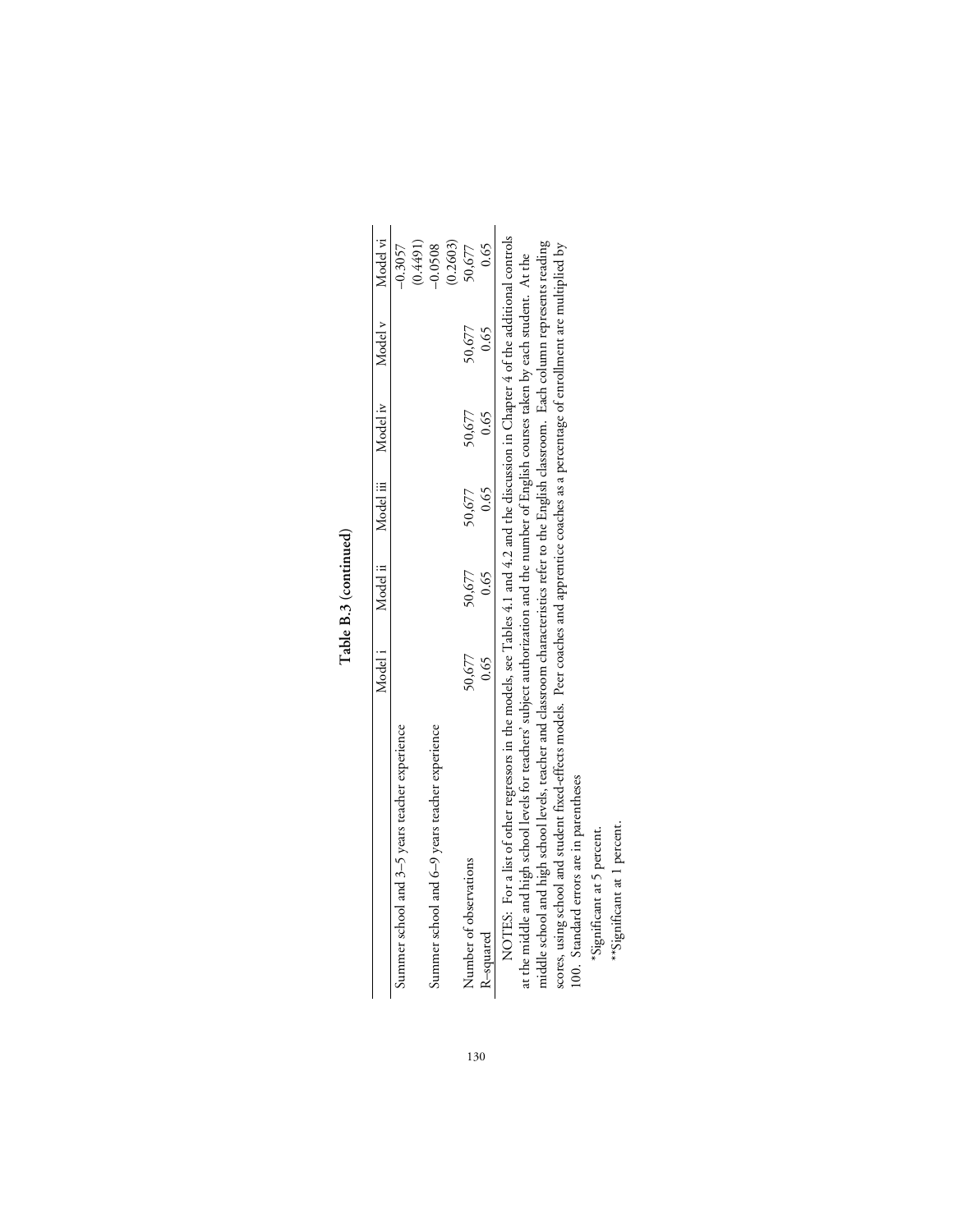| ٦ |
|---|
|   |
| ٢ |
| p |
|   |
|   |

|                                                                                                                                                                                                                                                 | Model <sub>1</sub> |        |        | Model ii Model iii Model iv Model v                                                                                                                                                                                                                                                                                                 |        | Model vi  |
|-------------------------------------------------------------------------------------------------------------------------------------------------------------------------------------------------------------------------------------------------|--------------------|--------|--------|-------------------------------------------------------------------------------------------------------------------------------------------------------------------------------------------------------------------------------------------------------------------------------------------------------------------------------------|--------|-----------|
| Summer school and 3–5 years teacher experience                                                                                                                                                                                                  |                    |        |        |                                                                                                                                                                                                                                                                                                                                     |        | $-0.3057$ |
|                                                                                                                                                                                                                                                 |                    |        |        |                                                                                                                                                                                                                                                                                                                                     |        | (0.4491)  |
| Summer school and 6-9 years teacher experience                                                                                                                                                                                                  |                    |        |        |                                                                                                                                                                                                                                                                                                                                     |        | $-0.0508$ |
|                                                                                                                                                                                                                                                 |                    |        |        |                                                                                                                                                                                                                                                                                                                                     |        | (0.2603)  |
| Number of observations                                                                                                                                                                                                                          | 50,677             | 50,677 | 50,677 | 50,677                                                                                                                                                                                                                                                                                                                              | 50,677 | 50,677    |
| R-squared                                                                                                                                                                                                                                       | 0.65               | 0.65   | 0.65   | 0.65                                                                                                                                                                                                                                                                                                                                | 0.65   | 0.65      |
| NOTES: For a list of other regressors in the models, see Tables 4.1 and 4.2 and the discussion in Chapter 4 of the additional controls<br>$\ddot{a}$ , $\ddot{a}$ , $\ddot{a}$ , $\ddot{a}$ , $\ddot{a}$ , $\ddot{a}$ , $\ddot{a}$ , $\ddot{a}$ |                    |        |        | $\begin{bmatrix} 1 & 1 & 1 \\ 1 & 1 & 1 \\ 1 & 1 & 1 \\ 1 & 1 & 1 \\ 1 & 1 & 1 \\ 1 & 1 & 1 \\ 1 & 1 & 1 \\ 1 & 1 & 1 \\ 1 & 1 & 1 \\ 1 & 1 & 1 \\ 1 & 1 & 1 \\ 1 & 1 & 1 \\ 1 & 1 & 1 \\ 1 & 1 & 1 \\ 1 & 1 & 1 & 1 \\ 1 & 1 & 1 & 1 \\ 1 & 1 & 1 & 1 \\ 1 & 1 & 1 & 1 \\ 1 & 1 & 1 & 1 \\ 1 & 1 & 1 & 1 \\ 1 & 1 & 1 & 1 \\ 1 & $ |        |           |

at the middle and high school levels for teachers' subject authorization and the number of English courses taken by each student. At the<br>middle school and high school levels, teacher and classroom characteristics refer to middle school and high school levels, teacher and classroom characteristics refer to the English classroom. Each column represents reading scores, using school and student fixed-effects models. Peer coaches and apprentice coaches as a percentage of enrollment are multiplied by at the middle and high school levels for teachers' subject authorization and the number of English courses taken by each student. At the 100. Standard errors are in parentheses

\*Significant at 5 percent. \*Significant at 5 percent.

\*\*Significant at 1 percent. \*\*Significant at 1 percent.

130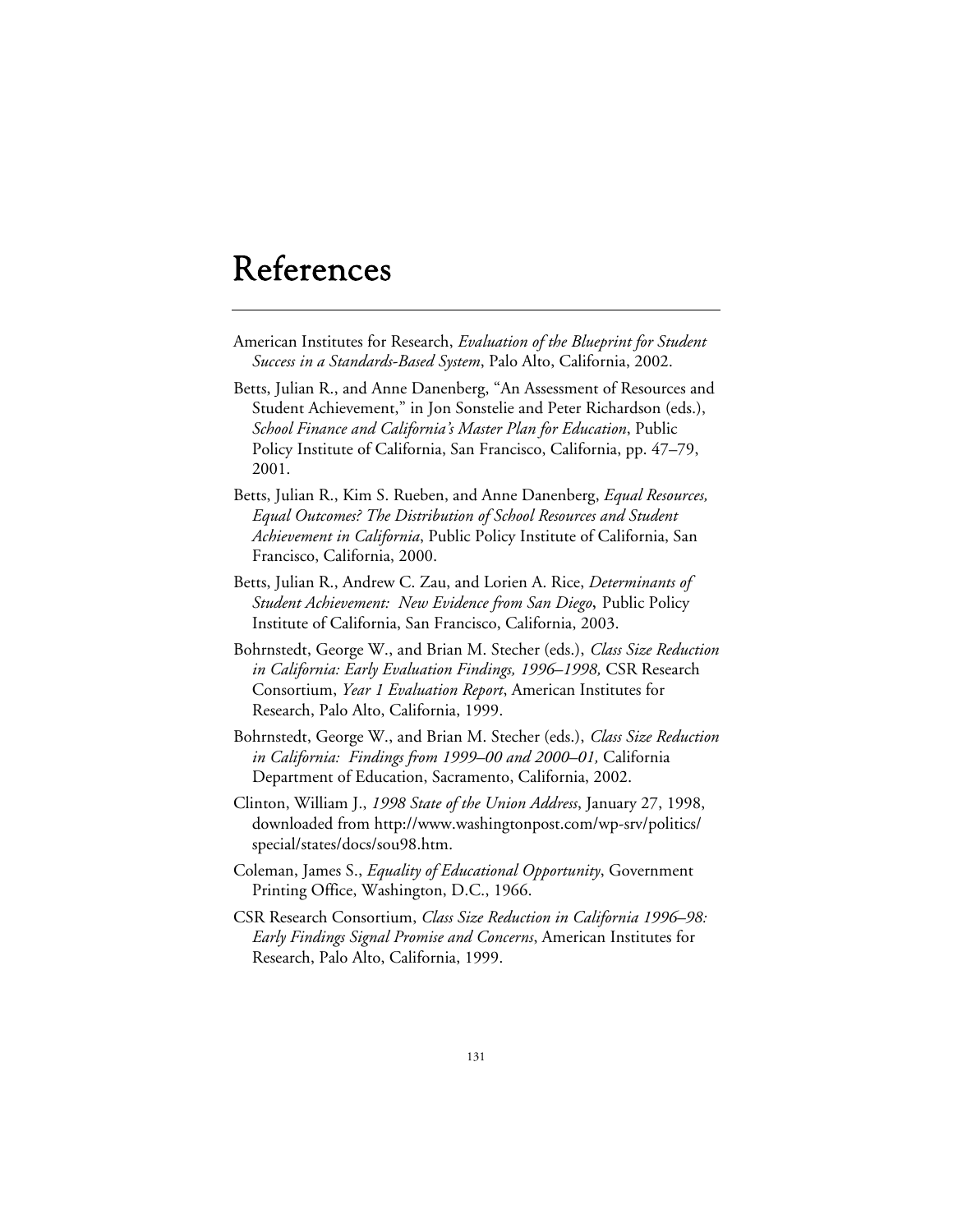## References

- American Institutes for Research, *Evaluation of the Blueprint for Student Success in a Standards-Based System*, Palo Alto, California, 2002.
- Betts, Julian R., and Anne Danenberg, "An Assessment of Resources and Student Achievement," in Jon Sonstelie and Peter Richardson (eds.), *School Finance and California's Master Plan for Education*, Public Policy Institute of California, San Francisco, California, pp. 47–79, 2001.
- Betts, Julian R., Kim S. Rueben, and Anne Danenberg, *Equal Resources, Equal Outcomes? The Distribution of School Resources and Student Achievement in California*, Public Policy Institute of California, San Francisco, California, 2000.
- Betts, Julian R., Andrew C. Zau, and Lorien A. Rice, *Determinants of Student Achievement: New Evidence from San Diego***,** Public Policy Institute of California, San Francisco, California, 2003.
- Bohrnstedt, George W., and Brian M. Stecher (eds.), *Class Size Reduction in California: Early Evaluation Findings, 1996–1998,* CSR Research Consortium, *Year 1 Evaluation Report*, American Institutes for Research, Palo Alto, California, 1999.
- Bohrnstedt, George W., and Brian M. Stecher (eds.), *Class Size Reduction in California: Findings from 1999–00 and 2000–01,* California Department of Education, Sacramento, California, 2002.
- Clinton, William J., *1998 State of the Union Address*, January 27, 1998, downloaded from http://www.washingtonpost.com/wp-srv/politics/ special/states/docs/sou98.htm.
- Coleman, James S., *Equality of Educational Opportunity*, Government Printing Office, Washington, D.C., 1966.
- CSR Research Consortium, *Class Size Reduction in California 1996–98: Early Findings Signal Promise and Concerns*, American Institutes for Research, Palo Alto, California, 1999.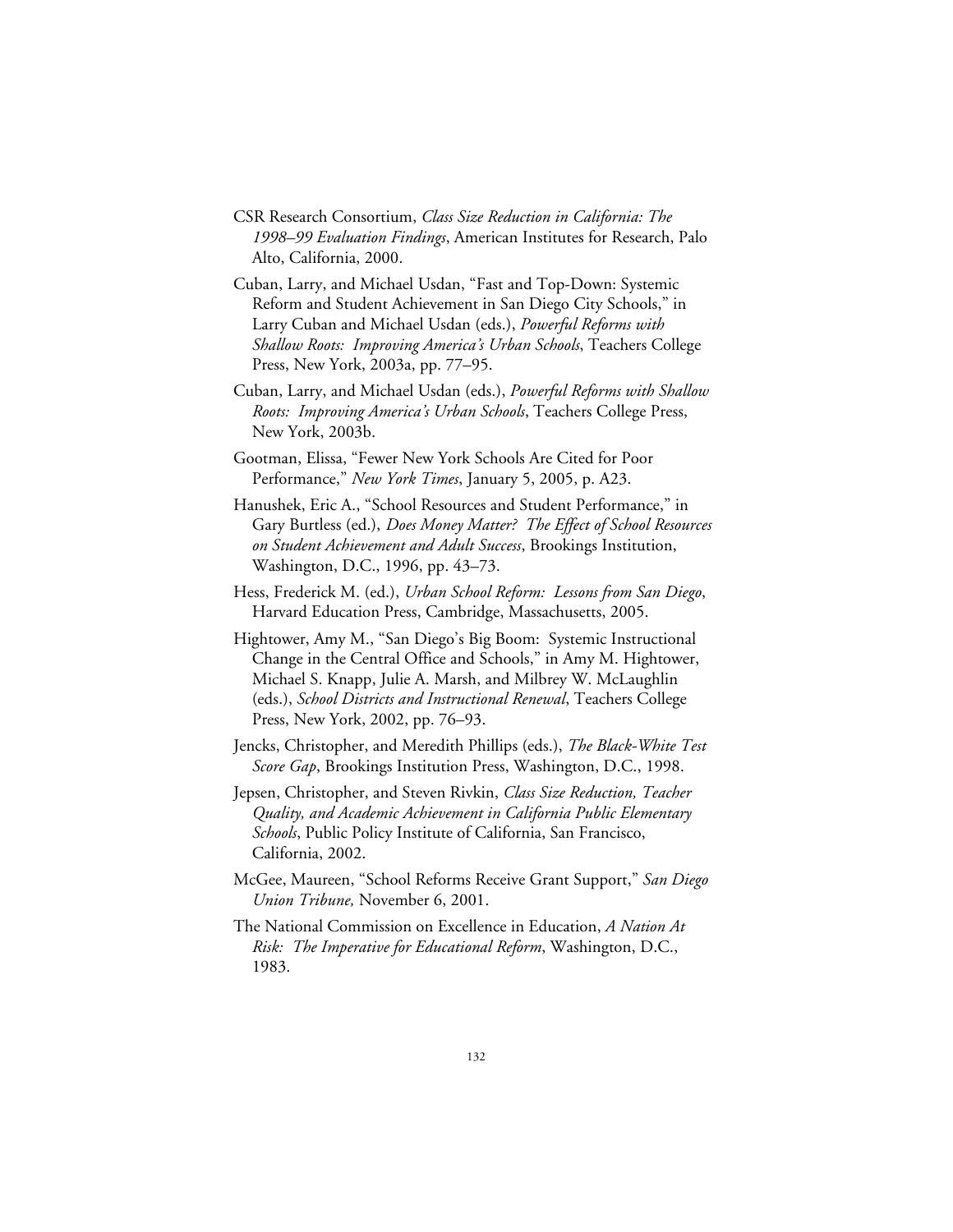- CSR Research Consortium, *Class Size Reduction in California: The 1998–99 Evaluation Findings*, American Institutes for Research, Palo Alto, California, 2000.
- Cuban, Larry, and Michael Usdan, "Fast and Top-Down: Systemic Reform and Student Achievement in San Diego City Schools," in Larry Cuban and Michael Usdan (eds.), *Powerful Reforms with Shallow Roots: Improving America's Urban Schools*, Teachers College Press, New York, 2003a, pp. 77–95.
- Cuban, Larry, and Michael Usdan (eds.), *Powerful Reforms with Shallow Roots: Improving America's Urban Schools*, Teachers College Press, New York, 2003b.
- Gootman, Elissa, "Fewer New York Schools Are Cited for Poor Performance," *New York Times*, January 5, 2005, p. A23.
- Hanushek, Eric A., "School Resources and Student Performance," in Gary Burtless (ed.), *Does Money Matter? The Effect of School Resources on Student Achievement and Adult Success*, Brookings Institution, Washington, D.C., 1996, pp. 43–73.
- Hess, Frederick M. (ed.), *Urban School Reform: Lessons from San Diego*, Harvard Education Press, Cambridge, Massachusetts, 2005.
- Hightower, Amy M., "San Diego's Big Boom: Systemic Instructional Change in the Central Office and Schools," in Amy M. Hightower, Michael S. Knapp, Julie A. Marsh, and Milbrey W. McLaughlin (eds.), *School Districts and Instructional Renewal*, Teachers College Press, New York, 2002, pp. 76–93.
- Jencks, Christopher, and Meredith Phillips (eds.), *The Black-White Test Score Gap*, Brookings Institution Press, Washington, D.C., 1998.
- Jepsen, Christopher, and Steven Rivkin, *Class Size Reduction, Teacher Quality, and Academic Achievement in California Public Elementary Schools*, Public Policy Institute of California, San Francisco, California, 2002.
- McGee, Maureen, "School Reforms Receive Grant Support," *San Diego Union Tribune,* November 6, 2001.
- The National Commission on Excellence in Education, *A Nation At Risk: The Imperative for Educational Reform*, Washington, D.C., 1983.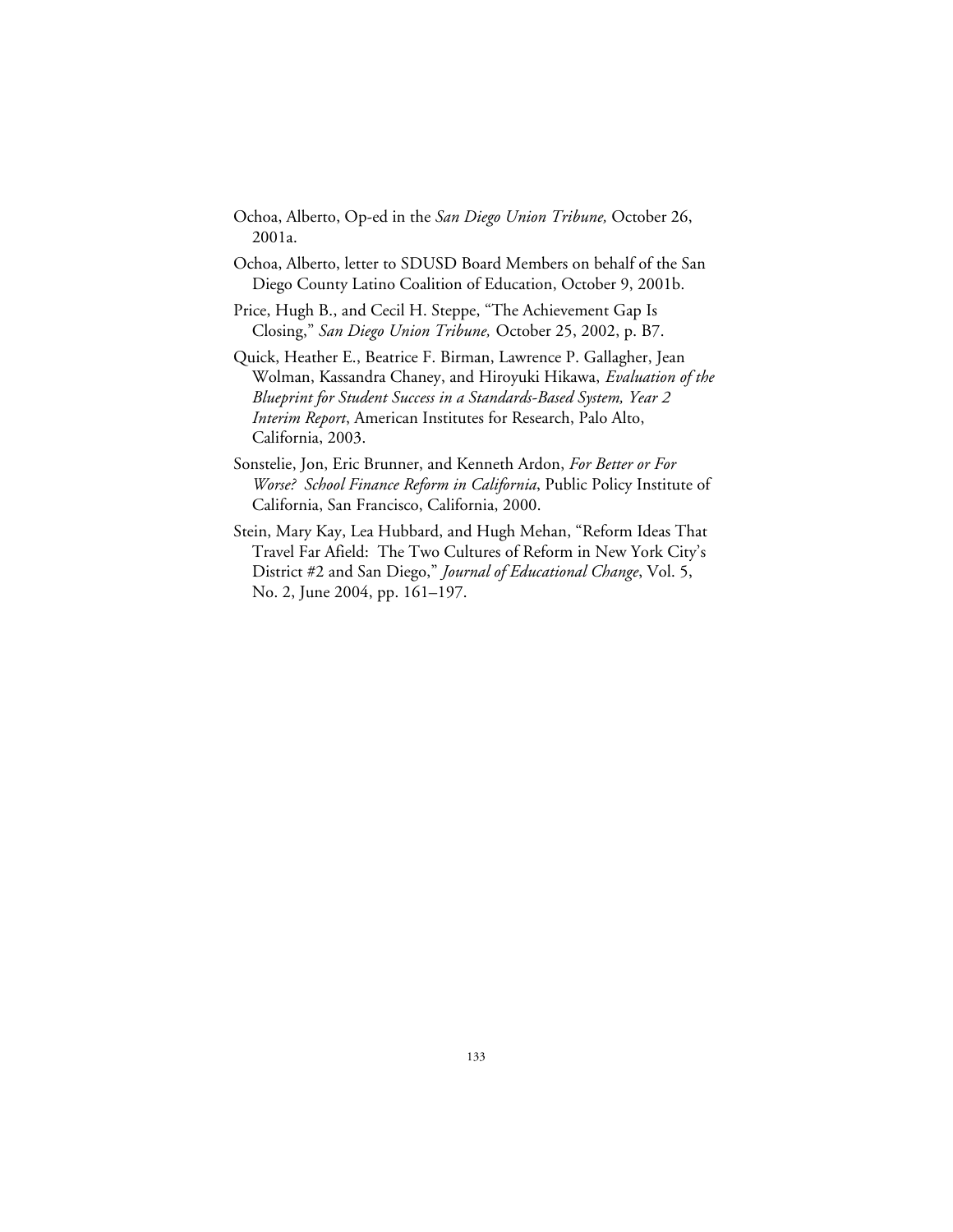- Ochoa, Alberto, Op-ed in the *San Diego Union Tribune,* October 26, 2001a.
- Ochoa, Alberto, letter to SDUSD Board Members on behalf of the San Diego County Latino Coalition of Education, October 9, 2001b.
- Price, Hugh B., and Cecil H. Steppe, "The Achievement Gap Is Closing," *San Diego Union Tribune,* October 25, 2002, p. B7.
- Quick, Heather E., Beatrice F. Birman, Lawrence P. Gallagher, Jean Wolman, Kassandra Chaney, and Hiroyuki Hikawa, *Evaluation of the Blueprint for Student Success in a Standards-Based System, Year 2 Interim Report*, American Institutes for Research, Palo Alto, California, 2003.
- Sonstelie, Jon, Eric Brunner, and Kenneth Ardon, *For Better or For Worse? School Finance Reform in California*, Public Policy Institute of California, San Francisco, California, 2000.
- Stein, Mary Kay, Lea Hubbard, and Hugh Mehan, "Reform Ideas That Travel Far Afield: The Two Cultures of Reform in New York City's District #2 and San Diego," *Journal of Educational Change*, Vol. 5, No. 2, June 2004, pp. 161–197.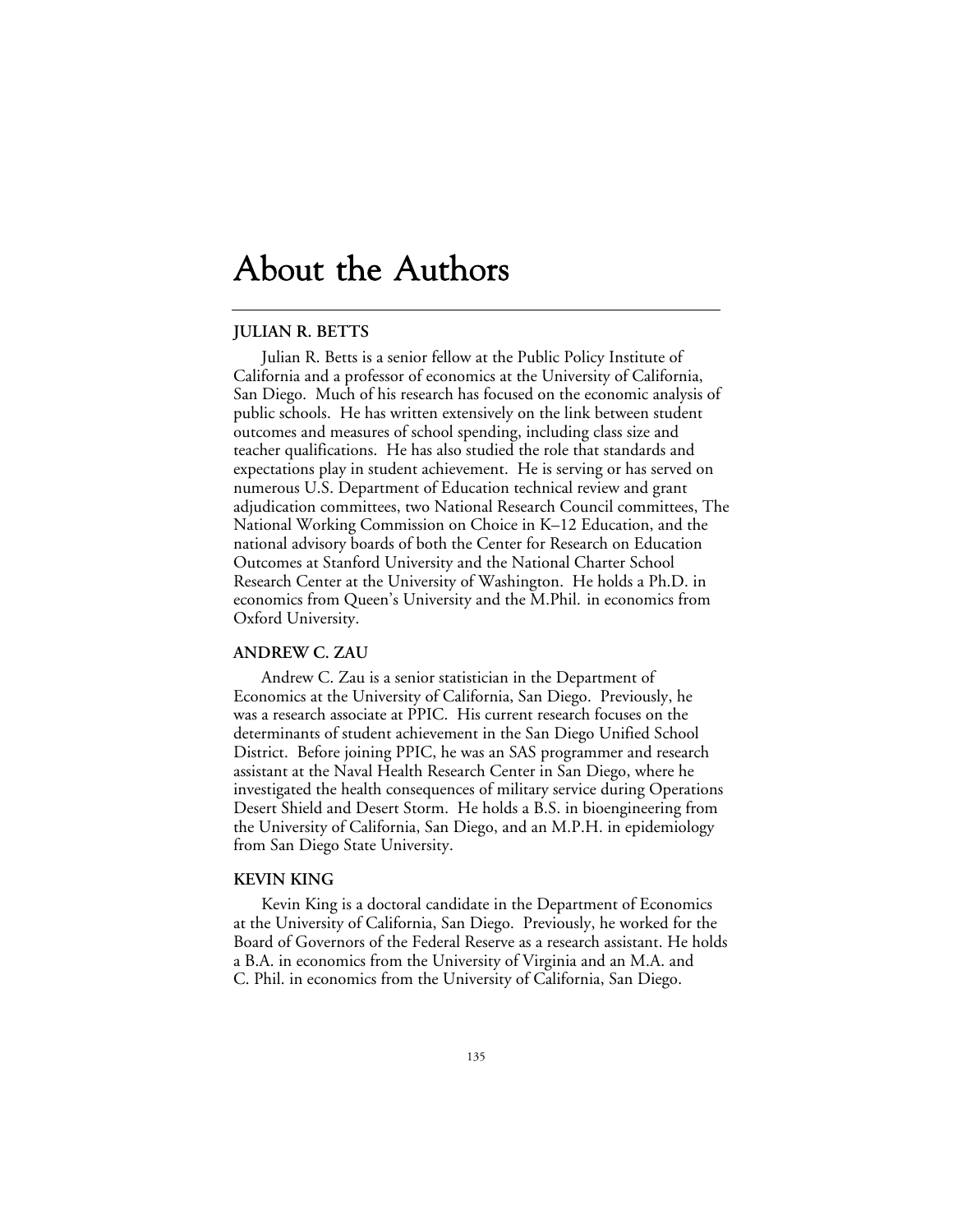### About the Authors

#### **JULIAN R. BETTS**

Julian R. Betts is a senior fellow at the Public Policy Institute of California and a professor of economics at the University of California, San Diego. Much of his research has focused on the economic analysis of public schools. He has written extensively on the link between student outcomes and measures of school spending, including class size and teacher qualifications. He has also studied the role that standards and expectations play in student achievement. He is serving or has served on numerous U.S. Department of Education technical review and grant adjudication committees, two National Research Council committees, The National Working Commission on Choice in K–12 Education, and the national advisory boards of both the Center for Research on Education Outcomes at Stanford University and the National Charter School Research Center at the University of Washington. He holds a Ph.D. in economics from Queen's University and the M.Phil. in economics from Oxford University.

#### **ANDREW C. ZAU**

Andrew C. Zau is a senior statistician in the Department of Economics at the University of California, San Diego. Previously, he was a research associate at PPIC. His current research focuses on the determinants of student achievement in the San Diego Unified School District. Before joining PPIC, he was an SAS programmer and research assistant at the Naval Health Research Center in San Diego, where he investigated the health consequences of military service during Operations Desert Shield and Desert Storm. He holds a B.S. in bioengineering from the University of California, San Diego, and an M.P.H. in epidemiology from San Diego State University.

#### **KEVIN KING**

Kevin King is a doctoral candidate in the Department of Economics at the University of California, San Diego. Previously, he worked for the Board of Governors of the Federal Reserve as a research assistant. He holds a B.A. in economics from the University of Virginia and an M.A. and C. Phil. in economics from the University of California, San Diego.